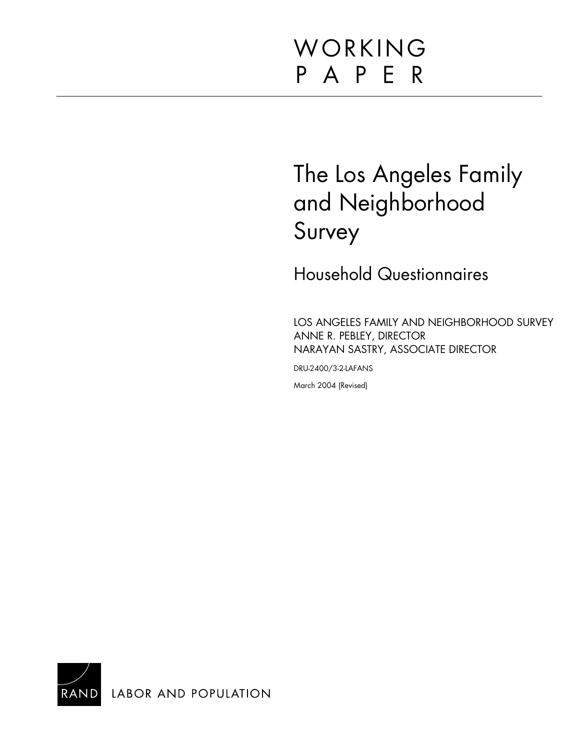# WORKING P A P E R

# The Los Angeles Family and Neighborhood Survey

Household Questionnaires

LOS ANGELES FAMILY AND NEIGHBORHOOD SURVEY ANNE R. PEBLEY, DIRECTOR NARAYAN SASTRY, ASSOCIATE DIRECTOR

DRU-2400/3-2-LAFANS

March 2004 (Revised)

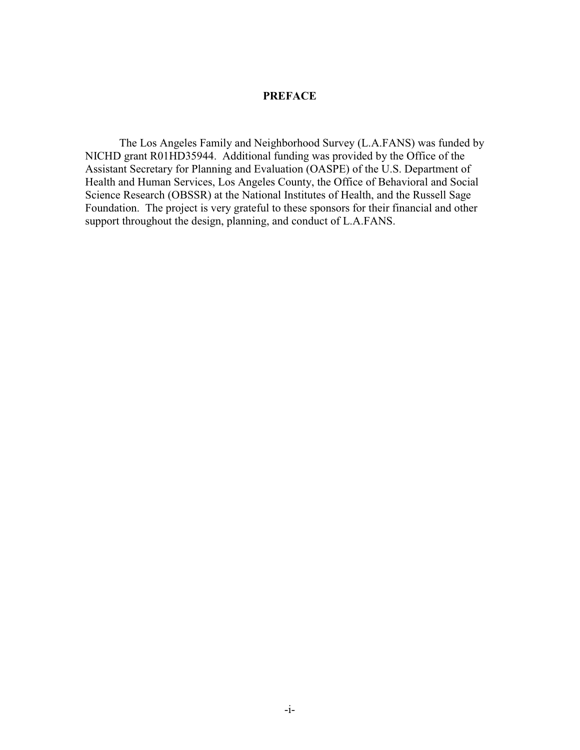#### **PREFACE**

The Los Angeles Family and Neighborhood Survey (L.A.FANS) was funded by NICHD grant R01HD35944. Additional funding was provided by the Office of the Assistant Secretary for Planning and Evaluation (OASPE) of the U.S. Department of Health and Human Services, Los Angeles County, the Office of Behavioral and Social Science Research (OBSSR) at the National Institutes of Health, and the Russell Sage Foundation. The project is very grateful to these sponsors for their financial and other support throughout the design, planning, and conduct of L.A.FANS.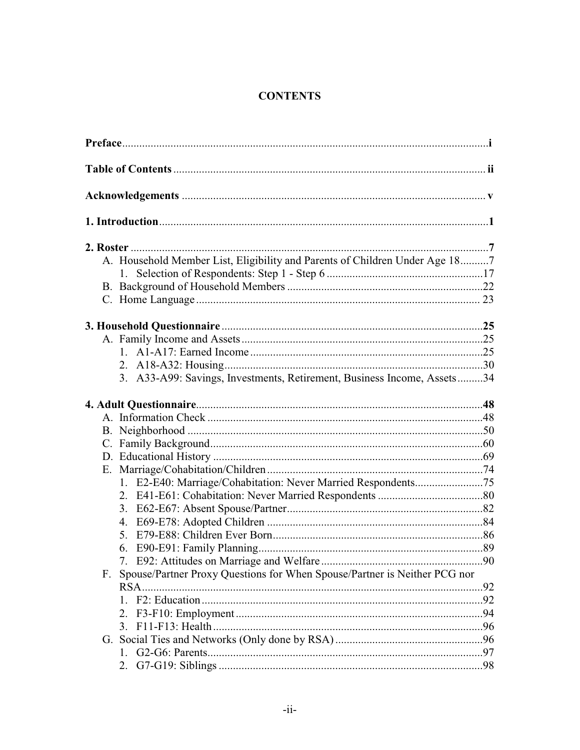## **CONTENTS**

| A. Household Member List, Eligibility and Parents of Children Under Age 187     |  |
|---------------------------------------------------------------------------------|--|
| 1.                                                                              |  |
|                                                                                 |  |
|                                                                                 |  |
|                                                                                 |  |
|                                                                                 |  |
|                                                                                 |  |
|                                                                                 |  |
| 3. A33-A99: Savings, Investments, Retirement, Business Income, Assets34         |  |
|                                                                                 |  |
|                                                                                 |  |
|                                                                                 |  |
|                                                                                 |  |
|                                                                                 |  |
|                                                                                 |  |
|                                                                                 |  |
|                                                                                 |  |
|                                                                                 |  |
|                                                                                 |  |
|                                                                                 |  |
| 6.                                                                              |  |
|                                                                                 |  |
| Spouse/Partner Proxy Questions for When Spouse/Partner is Neither PCG nor<br>F. |  |
|                                                                                 |  |
|                                                                                 |  |
| 2.                                                                              |  |
|                                                                                 |  |
|                                                                                 |  |
| $1_{-}$                                                                         |  |
| 2.                                                                              |  |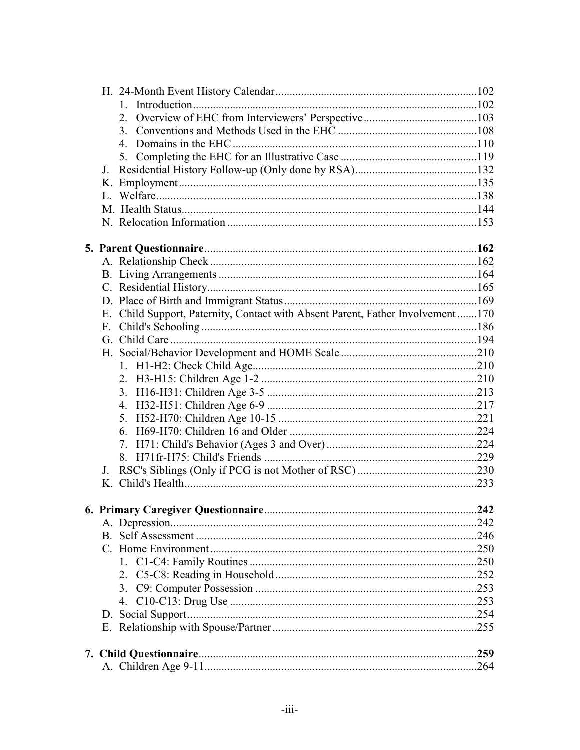| J. |                                                                                |  |
|----|--------------------------------------------------------------------------------|--|
|    |                                                                                |  |
|    |                                                                                |  |
|    |                                                                                |  |
|    |                                                                                |  |
|    |                                                                                |  |
|    |                                                                                |  |
|    |                                                                                |  |
|    |                                                                                |  |
|    |                                                                                |  |
|    | E. Child Support, Paternity, Contact with Absent Parent, Father Involvement170 |  |
|    |                                                                                |  |
|    |                                                                                |  |
|    |                                                                                |  |
|    |                                                                                |  |
|    |                                                                                |  |
|    |                                                                                |  |
|    |                                                                                |  |
|    |                                                                                |  |
|    |                                                                                |  |
|    |                                                                                |  |
|    |                                                                                |  |
| J. |                                                                                |  |
|    |                                                                                |  |
|    |                                                                                |  |
|    |                                                                                |  |
|    |                                                                                |  |
|    |                                                                                |  |
|    |                                                                                |  |
|    | Τ.                                                                             |  |
|    | 2.                                                                             |  |
|    | 3.                                                                             |  |
|    |                                                                                |  |
|    |                                                                                |  |
|    |                                                                                |  |
|    |                                                                                |  |
|    |                                                                                |  |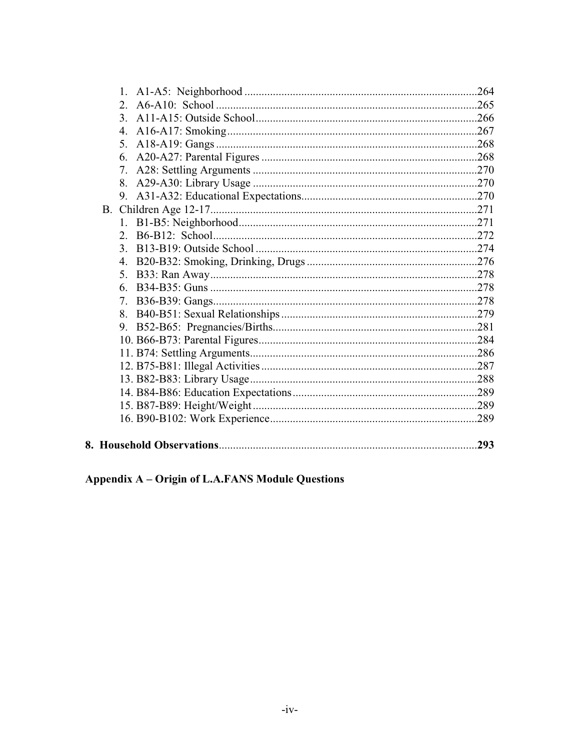|           | 4. |  |
|-----------|----|--|
|           | 5. |  |
|           |    |  |
|           | 7. |  |
|           |    |  |
|           |    |  |
| <b>B.</b> |    |  |
|           |    |  |
|           |    |  |
|           | 3. |  |
|           |    |  |
|           | 5. |  |
|           | 6. |  |
|           | 7. |  |
|           |    |  |
|           |    |  |
|           |    |  |
|           |    |  |
|           |    |  |
|           |    |  |
|           |    |  |
|           |    |  |
|           |    |  |
|           |    |  |

# Appendix A - Origin of L.A.FANS Module Questions

8.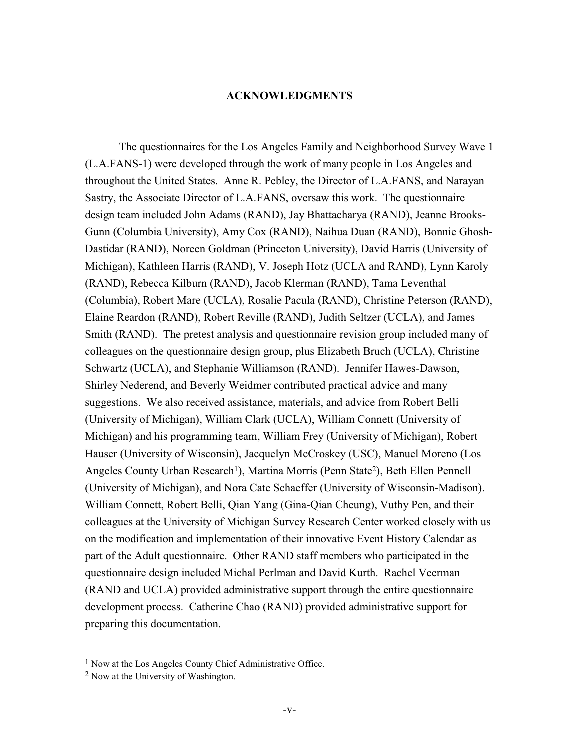#### **ACKNOWLEDGMENTS**

The questionnaires for the Los Angeles Family and Neighborhood Survey Wave 1 (L.A.FANS-1) were developed through the work of many people in Los Angeles and throughout the United States. Anne R. Pebley, the Director of L.A.FANS, and Narayan Sastry, the Associate Director of L.A.FANS, oversaw this work. The questionnaire design team included John Adams (RAND), Jay Bhattacharya (RAND), Jeanne Brooks-Gunn (Columbia University), Amy Cox (RAND), Naihua Duan (RAND), Bonnie Ghosh-Dastidar (RAND), Noreen Goldman (Princeton University), David Harris (University of Michigan), Kathleen Harris (RAND), V. Joseph Hotz (UCLA and RAND), Lynn Karoly (RAND), Rebecca Kilburn (RAND), Jacob Klerman (RAND), Tama Leventhal (Columbia), Robert Mare (UCLA), Rosalie Pacula (RAND), Christine Peterson (RAND), Elaine Reardon (RAND), Robert Reville (RAND), Judith Seltzer (UCLA), and James Smith (RAND). The pretest analysis and questionnaire revision group included many of colleagues on the questionnaire design group, plus Elizabeth Bruch (UCLA), Christine Schwartz (UCLA), and Stephanie Williamson (RAND). Jennifer Hawes-Dawson, Shirley Nederend, and Beverly Weidmer contributed practical advice and many suggestions. We also received assistance, materials, and advice from Robert Belli (University of Michigan), William Clark (UCLA), William Connett (University of Michigan) and his programming team, William Frey (University of Michigan), Robert Hauser (University of Wisconsin), Jacquelyn McCroskey (USC), Manuel Moreno (Los Angeles County Urban Research<sup>1</sup>), Martina Morris (Penn State<sup>2</sup>), Beth Ellen Pennell (University of Michigan), and Nora Cate Schaeffer (University of Wisconsin-Madison). William Connett, Robert Belli, Qian Yang (Gina-Qian Cheung), Vuthy Pen, and their colleagues at the University of Michigan Survey Research Center worked closely with us on the modification and implementation of their innovative Event History Calendar as part of the Adult questionnaire. Other RAND staff members who participated in the questionnaire design included Michal Perlman and David Kurth. Rachel Veerman (RAND and UCLA) provided administrative support through the entire questionnaire development process. Catherine Chao (RAND) provided administrative support for preparing this documentation.

<sup>1</sup> Now at the Los Angeles County Chief Administrative Office.

<sup>2</sup> Now at the University of Washington.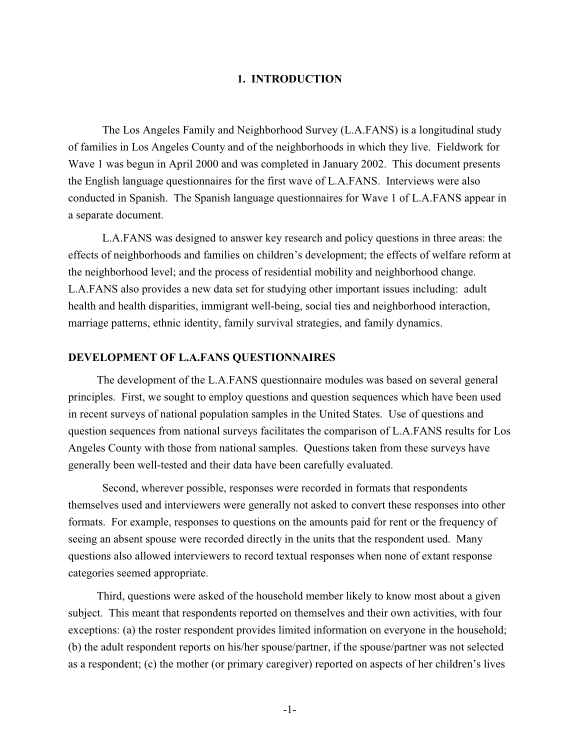#### **1. INTRODUCTION**

The Los Angeles Family and Neighborhood Survey (L.A.FANS) is a longitudinal study of families in Los Angeles County and of the neighborhoods in which they live. Fieldwork for Wave 1 was begun in April 2000 and was completed in January 2002. This document presents the English language questionnaires for the first wave of L.A.FANS. Interviews were also conducted in Spanish. The Spanish language questionnaires for Wave 1 of L.A.FANS appear in a separate document.

 L.A.FANS was designed to answer key research and policy questions in three areas: the effects of neighborhoods and families on children's development; the effects of welfare reform at the neighborhood level; and the process of residential mobility and neighborhood change. L.A.FANS also provides a new data set for studying other important issues including: adult health and health disparities, immigrant well-being, social ties and neighborhood interaction, marriage patterns, ethnic identity, family survival strategies, and family dynamics.

#### **DEVELOPMENT OF L.A.FANS QUESTIONNAIRES**

The development of the L.A.FANS questionnaire modules was based on several general principles. First, we sought to employ questions and question sequences which have been used in recent surveys of national population samples in the United States. Use of questions and question sequences from national surveys facilitates the comparison of L.A.FANS results for Los Angeles County with those from national samples. Questions taken from these surveys have generally been well-tested and their data have been carefully evaluated.

 Second, wherever possible, responses were recorded in formats that respondents themselves used and interviewers were generally not asked to convert these responses into other formats. For example, responses to questions on the amounts paid for rent or the frequency of seeing an absent spouse were recorded directly in the units that the respondent used. Many questions also allowed interviewers to record textual responses when none of extant response categories seemed appropriate.

Third, questions were asked of the household member likely to know most about a given subject. This meant that respondents reported on themselves and their own activities, with four exceptions: (a) the roster respondent provides limited information on everyone in the household; (b) the adult respondent reports on his/her spouse/partner, if the spouse/partner was not selected as a respondent; (c) the mother (or primary caregiver) reported on aspects of her children's lives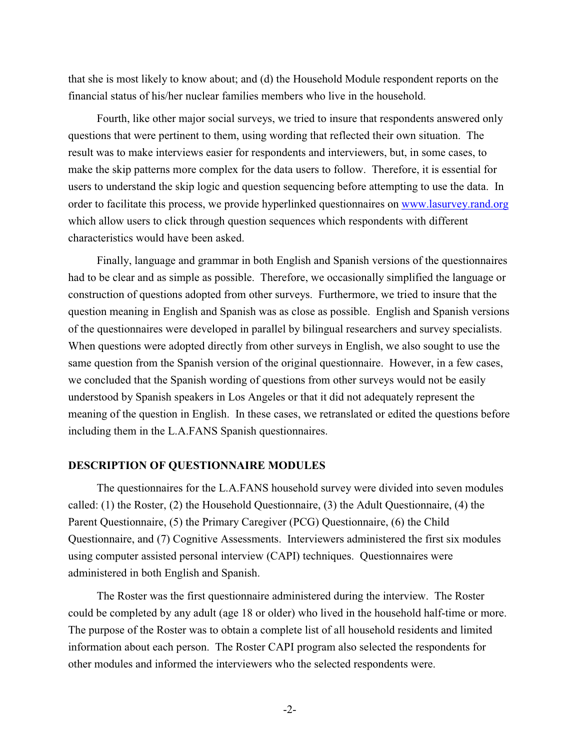that she is most likely to know about; and (d) the Household Module respondent reports on the financial status of his/her nuclear families members who live in the household.

Fourth, like other major social surveys, we tried to insure that respondents answered only questions that were pertinent to them, using wording that reflected their own situation. The result was to make interviews easier for respondents and interviewers, but, in some cases, to make the skip patterns more complex for the data users to follow. Therefore, it is essential for users to understand the skip logic and question sequencing before attempting to use the data. In order to facilitate this process, we provide hyperlinked questionnaires on www.lasurvey.rand.org which allow users to click through question sequences which respondents with different characteristics would have been asked.

Finally, language and grammar in both English and Spanish versions of the questionnaires had to be clear and as simple as possible. Therefore, we occasionally simplified the language or construction of questions adopted from other surveys. Furthermore, we tried to insure that the question meaning in English and Spanish was as close as possible. English and Spanish versions of the questionnaires were developed in parallel by bilingual researchers and survey specialists. When questions were adopted directly from other surveys in English, we also sought to use the same question from the Spanish version of the original questionnaire. However, in a few cases, we concluded that the Spanish wording of questions from other surveys would not be easily understood by Spanish speakers in Los Angeles or that it did not adequately represent the meaning of the question in English. In these cases, we retranslated or edited the questions before including them in the L.A.FANS Spanish questionnaires.

#### **DESCRIPTION OF QUESTIONNAIRE MODULES**

The questionnaires for the L.A.FANS household survey were divided into seven modules called: (1) the Roster, (2) the Household Questionnaire, (3) the Adult Questionnaire, (4) the Parent Questionnaire, (5) the Primary Caregiver (PCG) Questionnaire, (6) the Child Questionnaire, and (7) Cognitive Assessments. Interviewers administered the first six modules using computer assisted personal interview (CAPI) techniques. Questionnaires were administered in both English and Spanish.

The Roster was the first questionnaire administered during the interview. The Roster could be completed by any adult (age 18 or older) who lived in the household half-time or more. The purpose of the Roster was to obtain a complete list of all household residents and limited information about each person. The Roster CAPI program also selected the respondents for other modules and informed the interviewers who the selected respondents were.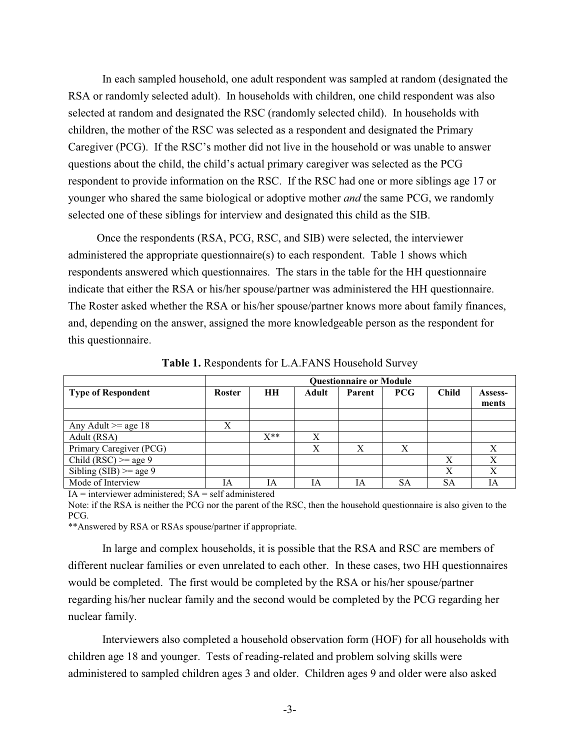In each sampled household, one adult respondent was sampled at random (designated the RSA or randomly selected adult). In households with children, one child respondent was also selected at random and designated the RSC (randomly selected child). In households with children, the mother of the RSC was selected as a respondent and designated the Primary Caregiver (PCG). If the RSC's mother did not live in the household or was unable to answer questions about the child, the child's actual primary caregiver was selected as the PCG respondent to provide information on the RSC. If the RSC had one or more siblings age 17 or younger who shared the same biological or adoptive mother *and* the same PCG, we randomly selected one of these siblings for interview and designated this child as the SIB.

Once the respondents (RSA, PCG, RSC, and SIB) were selected, the interviewer administered the appropriate questionnaire(s) to each respondent. Table 1 shows which respondents answered which questionnaires. The stars in the table for the HH questionnaire indicate that either the RSA or his/her spouse/partner was administered the HH questionnaire. The Roster asked whether the RSA or his/her spouse/partner knows more about family finances, and, depending on the answer, assigned the more knowledgeable person as the respondent for this questionnaire.

|                           | <b>Questionnaire or Module</b> |           |              |        |            |              |                  |
|---------------------------|--------------------------------|-----------|--------------|--------|------------|--------------|------------------|
| <b>Type of Respondent</b> | <b>Roster</b>                  | <b>HH</b> | <b>Adult</b> | Parent | <b>PCG</b> | <b>Child</b> | Assess-<br>ments |
|                           |                                |           |              |        |            |              |                  |
| Any Adult $\geq$ age 18   | X                              |           |              |        |            |              |                  |
| Adult (RSA)               |                                | $X^{**}$  | X            |        |            |              |                  |
| Primary Caregiver (PCG)   |                                |           | X            | X      | X          |              | X                |
| Child (RSC) $>=$ age 9    |                                |           |              |        |            | X            |                  |
| Sibling (SIB) $>=$ age 9  |                                |           |              |        |            | X            | X                |
| Mode of Interview         | ĪА                             | IA        | ĪА           | ĪА     | SА         | <b>SA</b>    | IA               |

**Table 1.** Respondents for L.A.FANS Household Survey

 $IA =$  interviewer administered;  $SA =$  self administered Note: if the RSA is neither the PCG nor the parent of the RSC, then the household questionnaire is also given to the PCG.

\*\*Answered by RSA or RSAs spouse/partner if appropriate.

In large and complex households, it is possible that the RSA and RSC are members of different nuclear families or even unrelated to each other. In these cases, two HH questionnaires would be completed. The first would be completed by the RSA or his/her spouse/partner regarding his/her nuclear family and the second would be completed by the PCG regarding her nuclear family.

Interviewers also completed a household observation form (HOF) for all households with children age 18 and younger. Tests of reading-related and problem solving skills were administered to sampled children ages 3 and older. Children ages 9 and older were also asked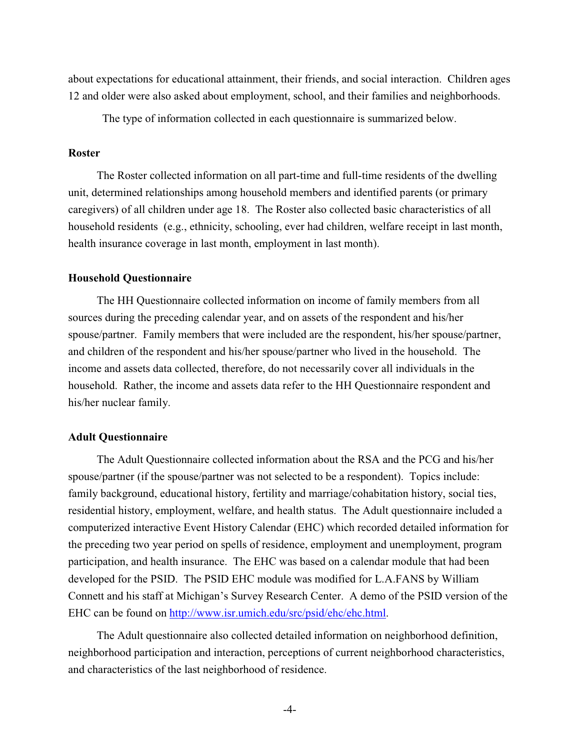about expectations for educational attainment, their friends, and social interaction. Children ages 12 and older were also asked about employment, school, and their families and neighborhoods.

The type of information collected in each questionnaire is summarized below.

#### **Roster**

The Roster collected information on all part-time and full-time residents of the dwelling unit, determined relationships among household members and identified parents (or primary caregivers) of all children under age 18. The Roster also collected basic characteristics of all household residents (e.g., ethnicity, schooling, ever had children, welfare receipt in last month, health insurance coverage in last month, employment in last month).

#### **Household Questionnaire**

The HH Questionnaire collected information on income of family members from all sources during the preceding calendar year, and on assets of the respondent and his/her spouse/partner. Family members that were included are the respondent, his/her spouse/partner, and children of the respondent and his/her spouse/partner who lived in the household. The income and assets data collected, therefore, do not necessarily cover all individuals in the household. Rather, the income and assets data refer to the HH Questionnaire respondent and his/her nuclear family.

#### **Adult Questionnaire**

The Adult Questionnaire collected information about the RSA and the PCG and his/her spouse/partner (if the spouse/partner was not selected to be a respondent). Topics include: family background, educational history, fertility and marriage/cohabitation history, social ties, residential history, employment, welfare, and health status. The Adult questionnaire included a computerized interactive Event History Calendar (EHC) which recorded detailed information for the preceding two year period on spells of residence, employment and unemployment, program participation, and health insurance. The EHC was based on a calendar module that had been developed for the PSID. The PSID EHC module was modified for L.A.FANS by William Connett and his staff at Michigan's Survey Research Center. A demo of the PSID version of the EHC can be found on http://www.isr.umich.edu/src/psid/ehc/ehc.html.

The Adult questionnaire also collected detailed information on neighborhood definition, neighborhood participation and interaction, perceptions of current neighborhood characteristics, and characteristics of the last neighborhood of residence.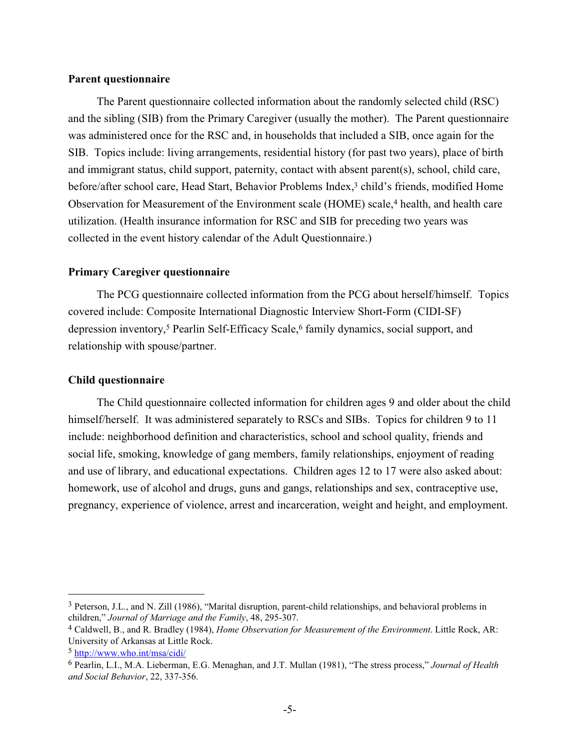#### **Parent questionnaire**

The Parent questionnaire collected information about the randomly selected child (RSC) and the sibling (SIB) from the Primary Caregiver (usually the mother). The Parent questionnaire was administered once for the RSC and, in households that included a SIB, once again for the SIB. Topics include: living arrangements, residential history (for past two years), place of birth and immigrant status, child support, paternity, contact with absent parent(s), school, child care, before/after school care, Head Start, Behavior Problems Index,<sup>3</sup> child's friends, modified Home Observation for Measurement of the Environment scale (HOME) scale,<sup>4</sup> health, and health care utilization. (Health insurance information for RSC and SIB for preceding two years was collected in the event history calendar of the Adult Questionnaire.)

#### **Primary Caregiver questionnaire**

The PCG questionnaire collected information from the PCG about herself/himself. Topics covered include: Composite International Diagnostic Interview Short-Form (CIDI-SF) depression inventory,5 Pearlin Self-Efficacy Scale,6 family dynamics, social support, and relationship with spouse/partner.

#### **Child questionnaire**

The Child questionnaire collected information for children ages 9 and older about the child himself/herself. It was administered separately to RSCs and SIBs. Topics for children 9 to 11 include: neighborhood definition and characteristics, school and school quality, friends and social life, smoking, knowledge of gang members, family relationships, enjoyment of reading and use of library, and educational expectations. Children ages 12 to 17 were also asked about: homework, use of alcohol and drugs, guns and gangs, relationships and sex, contraceptive use, pregnancy, experience of violence, arrest and incarceration, weight and height, and employment.

<sup>3</sup> Peterson, J.L., and N. Zill (1986), "Marital disruption, parent-child relationships, and behavioral problems in children," *Journal of Marriage and the Family*, 48, 295-307.

<sup>4</sup> Caldwell, B., and R. Bradley (1984), *Home Observation for Measurement of the Environment*. Little Rock, AR: University of Arkansas at Little Rock.

<sup>5</sup> http://www.who.int/msa/cidi/

<sup>6</sup> Pearlin, L.I., M.A. Lieberman, E.G. Menaghan, and J.T. Mullan (1981), "The stress process," *Journal of Health and Social Behavior*, 22, 337-356.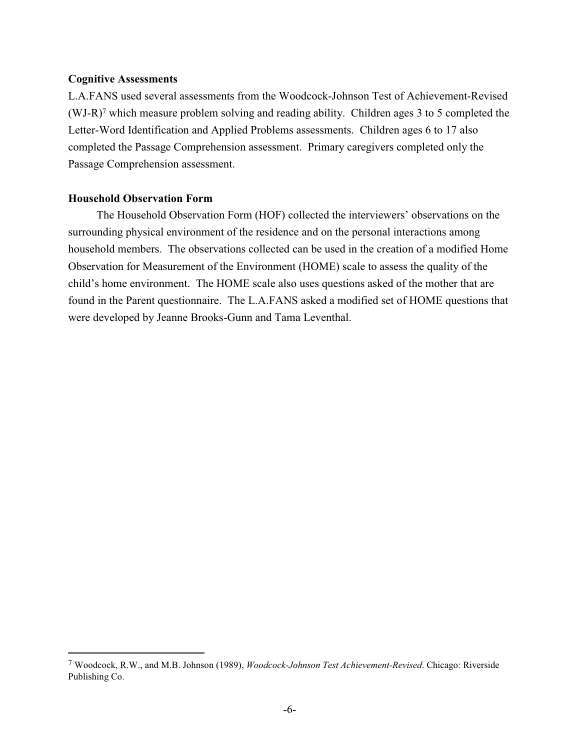#### **Cognitive Assessments**

L.A.FANS used several assessments from the Woodcock-Johnson Test of Achievement-Revised (WJ-R)7 which measure problem solving and reading ability. Children ages 3 to 5 completed the Letter-Word Identification and Applied Problems assessments. Children ages 6 to 17 also completed the Passage Comprehension assessment. Primary caregivers completed only the Passage Comprehension assessment.

#### **Household Observation Form**

The Household Observation Form (HOF) collected the interviewers' observations on the surrounding physical environment of the residence and on the personal interactions among household members. The observations collected can be used in the creation of a modified Home Observation for Measurement of the Environment (HOME) scale to assess the quality of the child's home environment. The HOME scale also uses questions asked of the mother that are found in the Parent questionnaire. The L.A.FANS asked a modified set of HOME questions that were developed by Jeanne Brooks-Gunn and Tama Leventhal.

<sup>7</sup> Woodcock, R.W., and M.B. Johnson (1989), *Woodcock-Johnson Test Achievement-Revised*. Chicago: Riverside Publishing Co.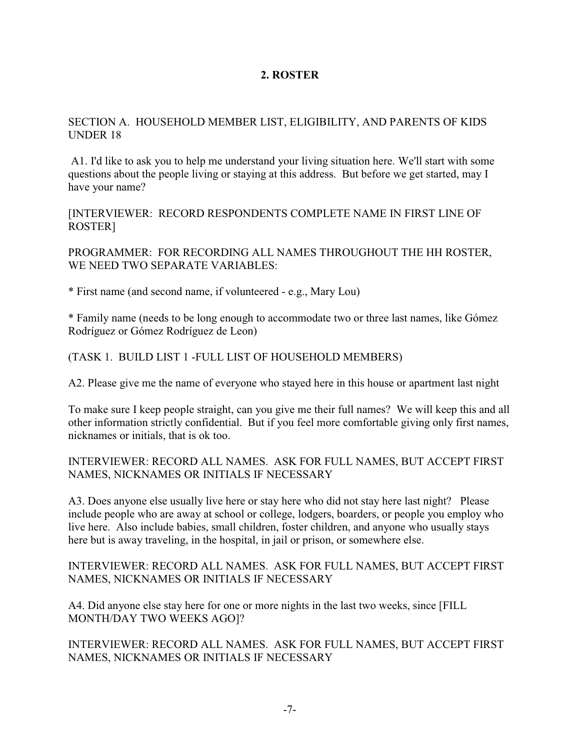## **2. ROSTER**

#### SECTION A. HOUSEHOLD MEMBER LIST, ELIGIBILITY, AND PARENTS OF KIDS UNDER 18

 A1. I'd like to ask you to help me understand your living situation here. We'll start with some questions about the people living or staying at this address. But before we get started, may I have your name?

[INTERVIEWER: RECORD RESPONDENTS COMPLETE NAME IN FIRST LINE OF ROSTER]

PROGRAMMER: FOR RECORDING ALL NAMES THROUGHOUT THE HH ROSTER, WE NEED TWO SEPARATE VARIABLES:

\* First name (and second name, if volunteered - e.g., Mary Lou)

\* Family name (needs to be long enough to accommodate two or three last names, like Gómez Rodríguez or Gómez Rodríguez de Leon)

(TASK 1. BUILD LIST 1 -FULL LIST OF HOUSEHOLD MEMBERS)

A2. Please give me the name of everyone who stayed here in this house or apartment last night

To make sure I keep people straight, can you give me their full names? We will keep this and all other information strictly confidential. But if you feel more comfortable giving only first names, nicknames or initials, that is ok too.

## INTERVIEWER: RECORD ALL NAMES. ASK FOR FULL NAMES, BUT ACCEPT FIRST NAMES, NICKNAMES OR INITIALS IF NECESSARY

A3. Does anyone else usually live here or stay here who did not stay here last night? Please include people who are away at school or college, lodgers, boarders, or people you employ who live here. Also include babies, small children, foster children, and anyone who usually stays here but is away traveling, in the hospital, in jail or prison, or somewhere else.

INTERVIEWER: RECORD ALL NAMES. ASK FOR FULL NAMES, BUT ACCEPT FIRST NAMES, NICKNAMES OR INITIALS IF NECESSARY

A4. Did anyone else stay here for one or more nights in the last two weeks, since [FILL MONTH/DAY TWO WEEKS AGO]?

INTERVIEWER: RECORD ALL NAMES. ASK FOR FULL NAMES, BUT ACCEPT FIRST NAMES, NICKNAMES OR INITIALS IF NECESSARY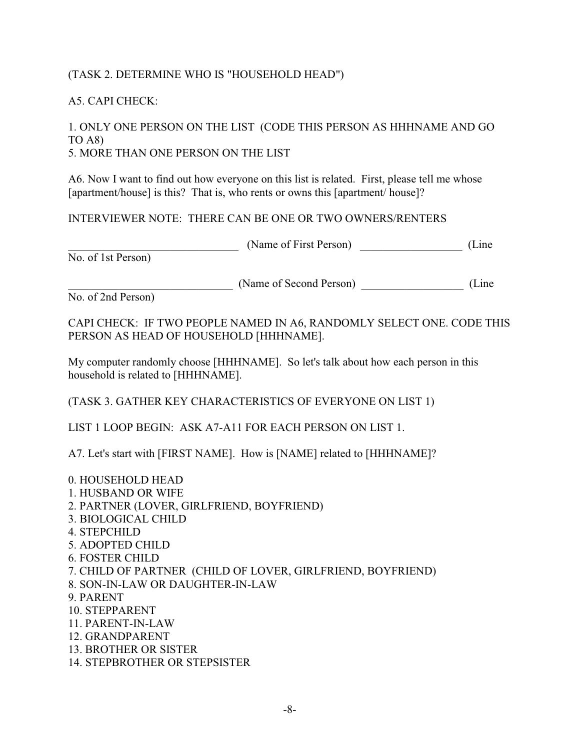## (TASK 2. DETERMINE WHO IS "HOUSEHOLD HEAD")

#### A5. CAPI CHECK:

#### 1. ONLY ONE PERSON ON THE LIST (CODE THIS PERSON AS HHHNAME AND GO TO A8) 5. MORE THAN ONE PERSON ON THE LIST

A6. Now I want to find out how everyone on this list is related. First, please tell me whose [apartment/house] is this? That is, who rents or owns this [apartment/house]?

## INTERVIEWER NOTE: THERE CAN BE ONE OR TWO OWNERS/RENTERS

| (Name of First Person)<br><u> 1990 - Johann Barbara, martin d</u>                                                                                                                                                                                                                                                                                                                                                           | (Line |
|-----------------------------------------------------------------------------------------------------------------------------------------------------------------------------------------------------------------------------------------------------------------------------------------------------------------------------------------------------------------------------------------------------------------------------|-------|
| No. of 1st Person)                                                                                                                                                                                                                                                                                                                                                                                                          |       |
| (Name of Second Person)<br>No. of 2nd Person)                                                                                                                                                                                                                                                                                                                                                                               | (Line |
| CAPI CHECK: IF TWO PEOPLE NAMED IN A6, RANDOMLY SELECT ONE. CODE THIS<br>PERSON AS HEAD OF HOUSEHOLD [HHHNAME].                                                                                                                                                                                                                                                                                                             |       |
| My computer randomly choose [HHHNAME]. So let's talk about how each person in this<br>household is related to [HHHNAME].                                                                                                                                                                                                                                                                                                    |       |
| (TASK 3. GATHER KEY CHARACTERISTICS OF EVERYONE ON LIST 1)                                                                                                                                                                                                                                                                                                                                                                  |       |
| LIST 1 LOOP BEGIN: ASK A7-A11 FOR EACH PERSON ON LIST 1.                                                                                                                                                                                                                                                                                                                                                                    |       |
| A7. Let's start with [FIRST NAME]. How is [NAME] related to [HHHNAME]?                                                                                                                                                                                                                                                                                                                                                      |       |
| 0. HOUSEHOLD HEAD<br>1. HUSBAND OR WIFE<br>2. PARTNER (LOVER, GIRLFRIEND, BOYFRIEND)<br>3. BIOLOGICAL CHILD<br>4. STEPCHILD<br>5. ADOPTED CHILD<br><b>6. FOSTER CHILD</b><br>7. CHILD OF PARTNER (CHILD OF LOVER, GIRLFRIEND, BOYFRIEND)<br>8. SON-IN-LAW OR DAUGHTER-IN-LAW<br>9. PARENT<br>10. STEPPARENT<br>11. PARENT-IN-LAW<br>12. GRANDPARENT<br><b>13. BROTHER OR SISTER</b><br><b>14. STEPBROTHER OR STEPSISTER</b> |       |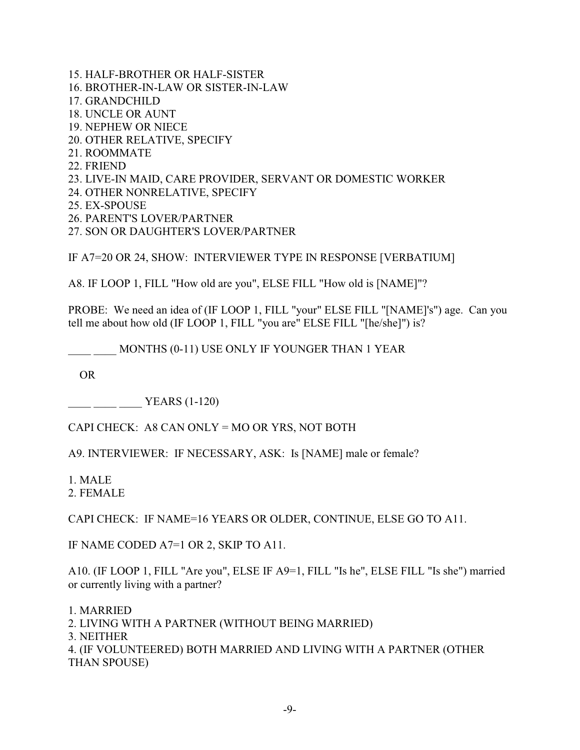15. HALF-BROTHER OR HALF-SISTER 16. BROTHER-IN-LAW OR SISTER-IN-LAW 17. GRANDCHILD 18. UNCLE OR AUNT 19. NEPHEW OR NIECE 20. OTHER RELATIVE, SPECIFY 21. ROOMMATE 22. FRIEND 23. LIVE-IN MAID, CARE PROVIDER, SERVANT OR DOMESTIC WORKER 24. OTHER NONRELATIVE, SPECIFY 25. EX-SPOUSE 26. PARENT'S LOVER/PARTNER

27. SON OR DAUGHTER'S LOVER/PARTNER

IF A7=20 OR 24, SHOW: INTERVIEWER TYPE IN RESPONSE [VERBATIUM]

A8. IF LOOP 1, FILL "How old are you", ELSE FILL "How old is [NAME]"?

PROBE: We need an idea of (IF LOOP 1, FILL "your" ELSE FILL "[NAME]'s") age. Can you tell me about how old (IF LOOP 1, FILL "you are" ELSE FILL "[he/she]") is?

\_\_\_\_ \_\_\_\_ MONTHS (0-11) USE ONLY IF YOUNGER THAN 1 YEAR

OR

 $\frac{1}{\sqrt{1-\frac{1}{20}}}\frac{1}{\sqrt{1-\frac{1}{20}}}\frac{1}{\sqrt{1-\frac{1}{20}}}\frac{1}{\sqrt{1-\frac{1}{20}}}\frac{1}{\sqrt{1-\frac{1}{20}}}\frac{1}{\sqrt{1-\frac{1}{20}}}\frac{1}{\sqrt{1-\frac{1}{20}}}\frac{1}{\sqrt{1-\frac{1}{20}}}\frac{1}{\sqrt{1-\frac{1}{20}}}\frac{1}{\sqrt{1-\frac{1}{20}}}\frac{1}{\sqrt{1-\frac{1}{20}}}\frac{1}{\sqrt{1-\frac{1}{20}}}\frac{1}{\sqrt{1-\frac{1}{20$ 

CAPI CHECK: A8 CAN ONLY = MO OR YRS, NOT BOTH

A9. INTERVIEWER: IF NECESSARY, ASK: Is [NAME] male or female?

1. MALE

2. FEMALE

CAPI CHECK: IF NAME=16 YEARS OR OLDER, CONTINUE, ELSE GO TO A11.

IF NAME CODED A7=1 OR 2, SKIP TO A11.

A10. (IF LOOP 1, FILL "Are you", ELSE IF A9=1, FILL "Is he", ELSE FILL "Is she") married or currently living with a partner?

1. MARRIED

- 2. LIVING WITH A PARTNER (WITHOUT BEING MARRIED)
- 3. NEITHER

4. (IF VOLUNTEERED) BOTH MARRIED AND LIVING WITH A PARTNER (OTHER THAN SPOUSE)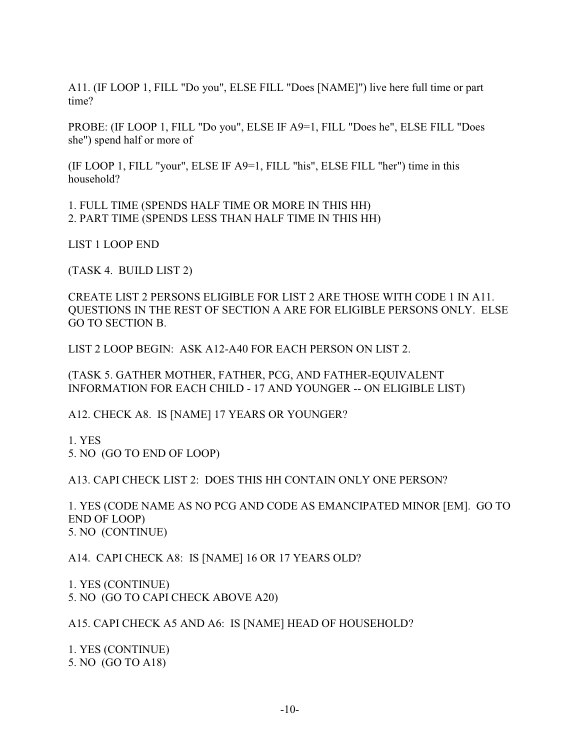A11. (IF LOOP 1, FILL "Do you", ELSE FILL "Does [NAME]") live here full time or part time?

PROBE: (IF LOOP 1, FILL "Do you", ELSE IF A9=1, FILL "Does he", ELSE FILL "Does she") spend half or more of

(IF LOOP 1, FILL "your", ELSE IF A9=1, FILL "his", ELSE FILL "her") time in this household?

1. FULL TIME (SPENDS HALF TIME OR MORE IN THIS HH) 2. PART TIME (SPENDS LESS THAN HALF TIME IN THIS HH)

LIST 1 LOOP END

(TASK 4. BUILD LIST 2)

CREATE LIST 2 PERSONS ELIGIBLE FOR LIST 2 ARE THOSE WITH CODE 1 IN A11. QUESTIONS IN THE REST OF SECTION A ARE FOR ELIGIBLE PERSONS ONLY. ELSE GO TO SECTION B.

LIST 2 LOOP BEGIN: ASK A12-A40 FOR EACH PERSON ON LIST 2.

(TASK 5. GATHER MOTHER, FATHER, PCG, AND FATHER-EQUIVALENT INFORMATION FOR EACH CHILD - 17 AND YOUNGER -- ON ELIGIBLE LIST)

A12. CHECK A8. IS [NAME] 17 YEARS OR YOUNGER?

1. YES 5. NO (GO TO END OF LOOP)

A13. CAPI CHECK LIST 2: DOES THIS HH CONTAIN ONLY ONE PERSON?

1. YES (CODE NAME AS NO PCG AND CODE AS EMANCIPATED MINOR [EM]. GO TO END OF LOOP) 5. NO (CONTINUE)

A14. CAPI CHECK A8: IS [NAME] 16 OR 17 YEARS OLD?

1. YES (CONTINUE) 5. NO (GO TO CAPI CHECK ABOVE A20)

A15. CAPI CHECK A5 AND A6: IS [NAME] HEAD OF HOUSEHOLD?

1. YES (CONTINUE) 5. NO (GO TO A18)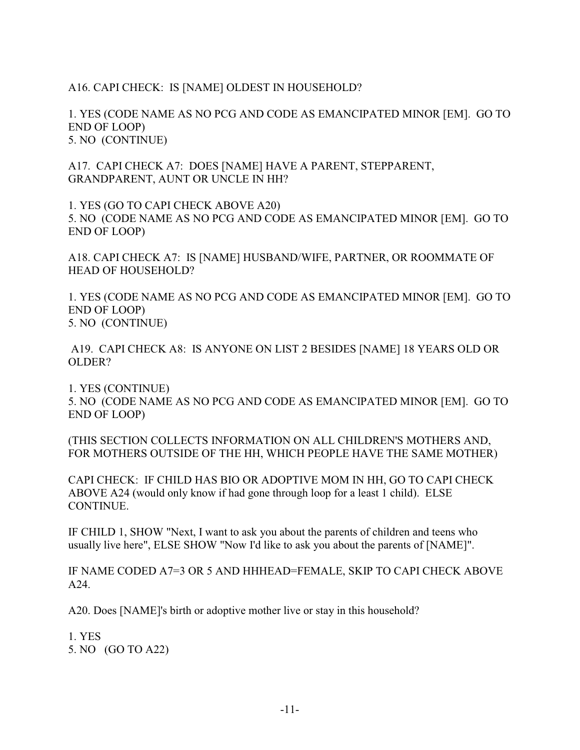## A16. CAPI CHECK: IS [NAME] OLDEST IN HOUSEHOLD?

1. YES (CODE NAME AS NO PCG AND CODE AS EMANCIPATED MINOR [EM]. GO TO END OF LOOP) 5. NO (CONTINUE)

A17. CAPI CHECK A7: DOES [NAME] HAVE A PARENT, STEPPARENT, GRANDPARENT, AUNT OR UNCLE IN HH?

1. YES (GO TO CAPI CHECK ABOVE A20) 5. NO (CODE NAME AS NO PCG AND CODE AS EMANCIPATED MINOR [EM]. GO TO END OF LOOP)

A18. CAPI CHECK A7: IS [NAME] HUSBAND/WIFE, PARTNER, OR ROOMMATE OF HEAD OF HOUSEHOLD?

1. YES (CODE NAME AS NO PCG AND CODE AS EMANCIPATED MINOR [EM]. GO TO END OF LOOP) 5. NO (CONTINUE)

 A19. CAPI CHECK A8: IS ANYONE ON LIST 2 BESIDES [NAME] 18 YEARS OLD OR OLDER?

1. YES (CONTINUE) 5. NO (CODE NAME AS NO PCG AND CODE AS EMANCIPATED MINOR [EM]. GO TO END OF LOOP)

(THIS SECTION COLLECTS INFORMATION ON ALL CHILDREN'S MOTHERS AND, FOR MOTHERS OUTSIDE OF THE HH, WHICH PEOPLE HAVE THE SAME MOTHER)

CAPI CHECK: IF CHILD HAS BIO OR ADOPTIVE MOM IN HH, GO TO CAPI CHECK ABOVE A24 (would only know if had gone through loop for a least 1 child). ELSE CONTINUE.

IF CHILD 1, SHOW "Next, I want to ask you about the parents of children and teens who usually live here", ELSE SHOW "Now I'd like to ask you about the parents of [NAME]".

IF NAME CODED A7=3 OR 5 AND HHHEAD=FEMALE, SKIP TO CAPI CHECK ABOVE A24.

A20. Does [NAME]'s birth or adoptive mother live or stay in this household?

1. YES 5. NO (GO TO A22)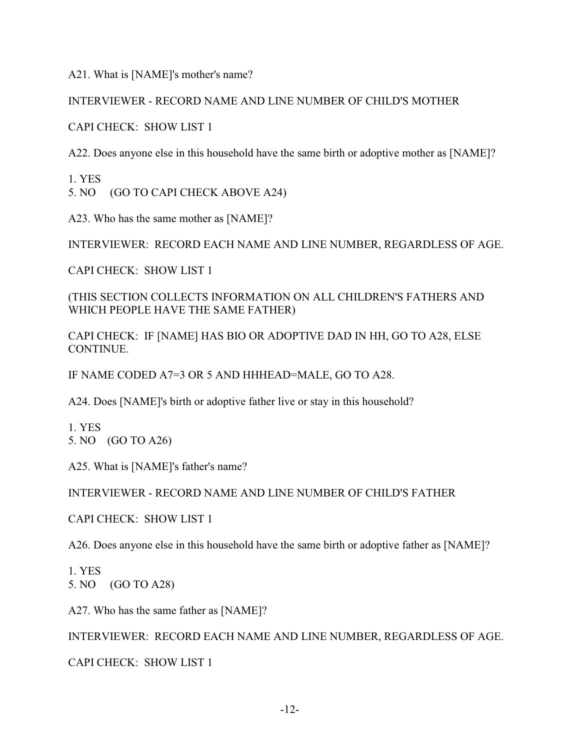A21. What is [NAME]'s mother's name?

INTERVIEWER - RECORD NAME AND LINE NUMBER OF CHILD'S MOTHER

CAPI CHECK: SHOW LIST 1

A22. Does anyone else in this household have the same birth or adoptive mother as [NAME]?

1. YES 5. NO (GO TO CAPI CHECK ABOVE A24)

A23. Who has the same mother as [NAME]?

INTERVIEWER: RECORD EACH NAME AND LINE NUMBER, REGARDLESS OF AGE.

CAPI CHECK: SHOW LIST 1

(THIS SECTION COLLECTS INFORMATION ON ALL CHILDREN'S FATHERS AND WHICH PEOPLE HAVE THE SAME FATHER)

CAPI CHECK: IF [NAME] HAS BIO OR ADOPTIVE DAD IN HH, GO TO A28, ELSE CONTINUE.

IF NAME CODED A7=3 OR 5 AND HHHEAD=MALE, GO TO A28.

A24. Does [NAME]'s birth or adoptive father live or stay in this household?

1. YES 5. NO (GO TO A26)

A25. What is [NAME]'s father's name?

INTERVIEWER - RECORD NAME AND LINE NUMBER OF CHILD'S FATHER

CAPI CHECK: SHOW LIST 1

A26. Does anyone else in this household have the same birth or adoptive father as [NAME]?

1. YES 5. NO (GO TO A28)

A27. Who has the same father as [NAME]?

INTERVIEWER: RECORD EACH NAME AND LINE NUMBER, REGARDLESS OF AGE.

CAPI CHECK: SHOW LIST 1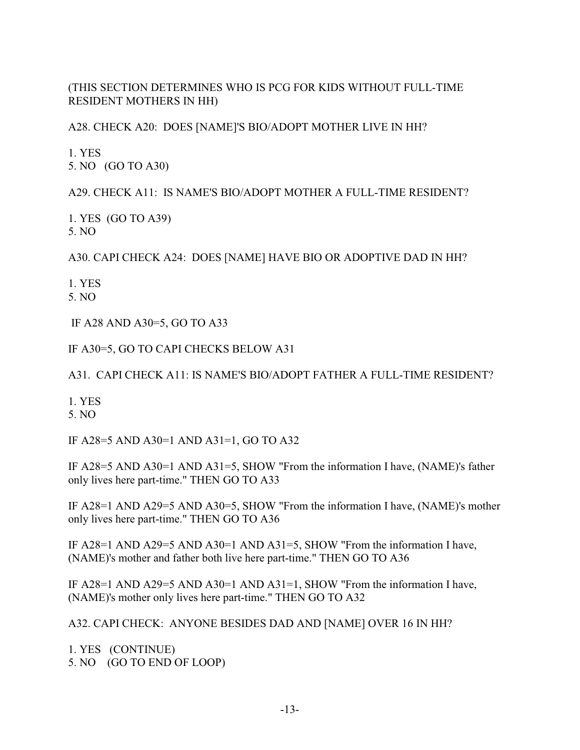(THIS SECTION DETERMINES WHO IS PCG FOR KIDS WITHOUT FULL-TIME RESIDENT MOTHERS IN HH)

A28. CHECK A20: DOES [NAME]'S BIO/ADOPT MOTHER LIVE IN HH?

1. YES 5. NO (GO TO A30)

A29. CHECK A11: IS NAME'S BIO/ADOPT MOTHER A FULL-TIME RESIDENT?

1. YES (GO TO A39) 5. NO

A30. CAPI CHECK A24: DOES [NAME] HAVE BIO OR ADOPTIVE DAD IN HH?

1. YES

5. NO

IF A28 AND A30=5, GO TO A33

IF A30=5, GO TO CAPI CHECKS BELOW A31

A31. CAPI CHECK A11: IS NAME'S BIO/ADOPT FATHER A FULL-TIME RESIDENT?

1. YES

5. NO

IF A28=5 AND A30=1 AND A31=1, GO TO A32

IF A28=5 AND A30=1 AND A31=5, SHOW "From the information I have, (NAME)'s father only lives here part-time." THEN GO TO A33

IF A28=1 AND A29=5 AND A30=5, SHOW "From the information I have, (NAME)'s mother only lives here part-time." THEN GO TO A36

IF A28=1 AND A29=5 AND A30=1 AND A31=5, SHOW "From the information I have, (NAME)'s mother and father both live here part-time." THEN GO TO A36

IF A28=1 AND A29=5 AND A30=1 AND A31=1, SHOW "From the information I have, (NAME)'s mother only lives here part-time." THEN GO TO A32

A32. CAPI CHECK: ANYONE BESIDES DAD AND [NAME] OVER 16 IN HH?

1. YES (CONTINUE) 5. NO (GO TO END OF LOOP)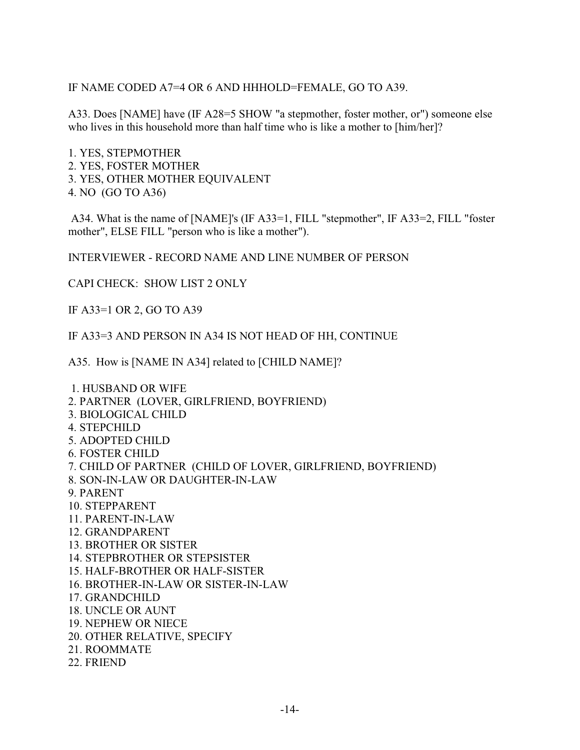IF NAME CODED A7=4 OR 6 AND HHHOLD=FEMALE, GO TO A39.

A33. Does [NAME] have (IF A28=5 SHOW "a stepmother, foster mother, or") someone else who lives in this household more than half time who is like a mother to [him/her]?

1. YES, STEPMOTHER 2. YES, FOSTER MOTHER 3. YES, OTHER MOTHER EQUIVALENT 4. NO (GO TO A36)

 A34. What is the name of [NAME]'s (IF A33=1, FILL "stepmother", IF A33=2, FILL "foster mother", ELSE FILL "person who is like a mother").

INTERVIEWER - RECORD NAME AND LINE NUMBER OF PERSON

CAPI CHECK: SHOW LIST 2 ONLY

IF A33=1 OR 2, GO TO A39

IF A33=3 AND PERSON IN A34 IS NOT HEAD OF HH, CONTINUE

A35. How is [NAME IN A34] related to [CHILD NAME]?

 1. HUSBAND OR WIFE 2. PARTNER (LOVER, GIRLFRIEND, BOYFRIEND) 3. BIOLOGICAL CHILD 4. STEPCHILD 5. ADOPTED CHILD 6. FOSTER CHILD 7. CHILD OF PARTNER (CHILD OF LOVER, GIRLFRIEND, BOYFRIEND) 8. SON-IN-LAW OR DAUGHTER-IN-LAW 9. PARENT 10. STEPPARENT 11. PARENT-IN-LAW 12. GRANDPARENT 13. BROTHER OR SISTER 14. STEPBROTHER OR STEPSISTER 15. HALF-BROTHER OR HALF-SISTER 16. BROTHER-IN-LAW OR SISTER-IN-LAW 17. GRANDCHILD 18. UNCLE OR AUNT 19. NEPHEW OR NIECE 20. OTHER RELATIVE, SPECIFY 21. ROOMMATE 22. FRIEND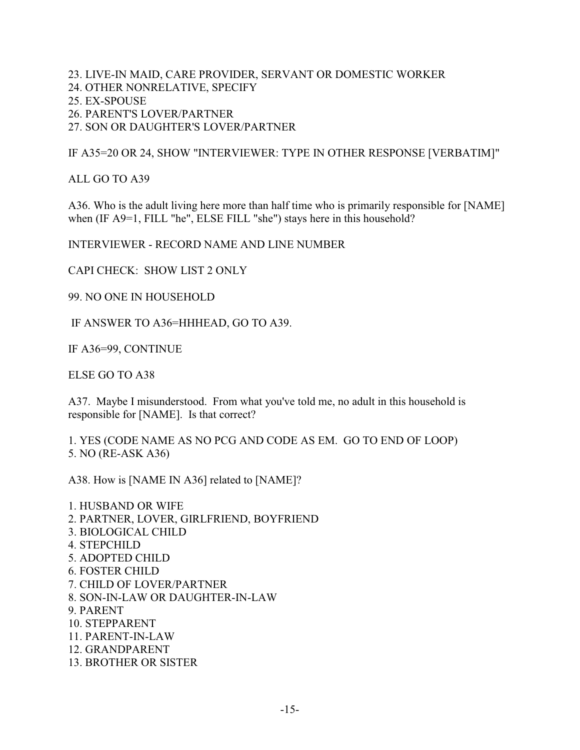23. LIVE-IN MAID, CARE PROVIDER, SERVANT OR DOMESTIC WORKER 24. OTHER NONRELATIVE, SPECIFY 25. EX-SPOUSE 26. PARENT'S LOVER/PARTNER 27. SON OR DAUGHTER'S LOVER/PARTNER

IF A35=20 OR 24, SHOW "INTERVIEWER: TYPE IN OTHER RESPONSE [VERBATIM]"

ALL GO TO A39

A36. Who is the adult living here more than half time who is primarily responsible for [NAME] when (IF A9=1, FILL "he", ELSE FILL "she") stays here in this household?

INTERVIEWER - RECORD NAME AND LINE NUMBER

CAPI CHECK: SHOW LIST 2 ONLY

99. NO ONE IN HOUSEHOLD

IF ANSWER TO A36=HHHEAD, GO TO A39.

IF A36=99, CONTINUE

ELSE GO TO A38

A37. Maybe I misunderstood. From what you've told me, no adult in this household is responsible for [NAME]. Is that correct?

1. YES (CODE NAME AS NO PCG AND CODE AS EM. GO TO END OF LOOP) 5. NO (RE-ASK A36)

A38. How is [NAME IN A36] related to [NAME]?

1. HUSBAND OR WIFE 2. PARTNER, LOVER, GIRLFRIEND, BOYFRIEND 3. BIOLOGICAL CHILD 4. STEPCHILD 5. ADOPTED CHILD 6. FOSTER CHILD 7. CHILD OF LOVER/PARTNER 8. SON-IN-LAW OR DAUGHTER-IN-LAW 9. PARENT 10. STEPPARENT 11. PARENT-IN-LAW 12. GRANDPARENT 13. BROTHER OR SISTER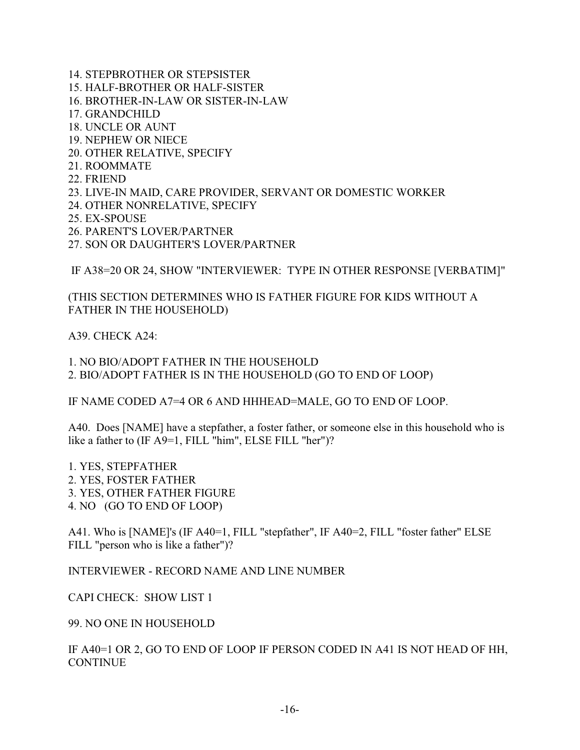14. STEPBROTHER OR STEPSISTER 15. HALF-BROTHER OR HALF-SISTER 16. BROTHER-IN-LAW OR SISTER-IN-LAW 17. GRANDCHILD 18. UNCLE OR AUNT 19. NEPHEW OR NIECE 20. OTHER RELATIVE, SPECIFY 21. ROOMMATE 22. FRIEND 23. LIVE-IN MAID, CARE PROVIDER, SERVANT OR DOMESTIC WORKER 24. OTHER NONRELATIVE, SPECIFY 25. EX-SPOUSE

- 26. PARENT'S LOVER/PARTNER
- 27. SON OR DAUGHTER'S LOVER/PARTNER

IF A38=20 OR 24, SHOW "INTERVIEWER: TYPE IN OTHER RESPONSE [VERBATIM]"

(THIS SECTION DETERMINES WHO IS FATHER FIGURE FOR KIDS WITHOUT A FATHER IN THE HOUSEHOLD)

A39. CHECK A24:

1. NO BIO/ADOPT FATHER IN THE HOUSEHOLD 2. BIO/ADOPT FATHER IS IN THE HOUSEHOLD (GO TO END OF LOOP)

IF NAME CODED A7=4 OR 6 AND HHHEAD=MALE, GO TO END OF LOOP.

A40. Does [NAME] have a stepfather, a foster father, or someone else in this household who is like a father to (IF A9=1, FILL "him", ELSE FILL "her")?

1. YES, STEPFATHER 2. YES, FOSTER FATHER 3. YES, OTHER FATHER FIGURE 4. NO (GO TO END OF LOOP)

A41. Who is [NAME]'s (IF A40=1, FILL "stepfather", IF A40=2, FILL "foster father" ELSE FILL "person who is like a father")?

INTERVIEWER - RECORD NAME AND LINE NUMBER

CAPI CHECK: SHOW LIST 1

99. NO ONE IN HOUSEHOLD

IF A40=1 OR 2, GO TO END OF LOOP IF PERSON CODED IN A41 IS NOT HEAD OF HH, **CONTINUE**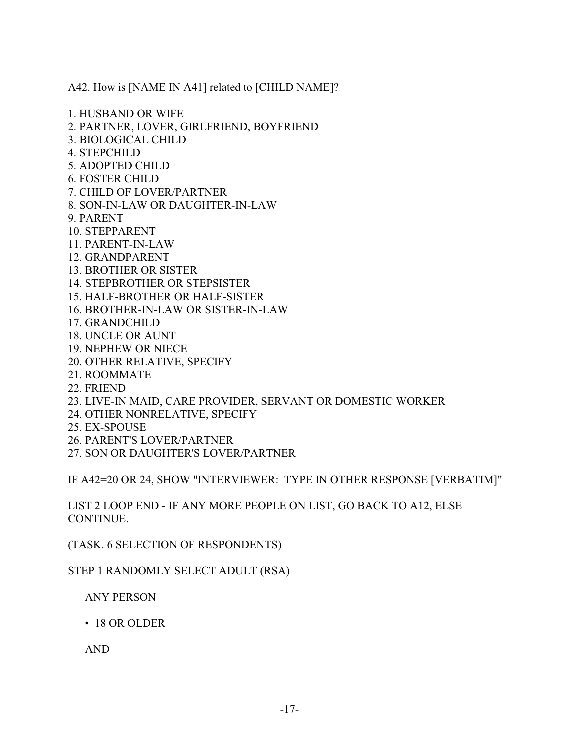A42. How is [NAME IN A41] related to [CHILD NAME]?

1. HUSBAND OR WIFE

- 2. PARTNER, LOVER, GIRLFRIEND, BOYFRIEND
- 3. BIOLOGICAL CHILD
- 4. STEPCHILD
- 5. ADOPTED CHILD
- 6. FOSTER CHILD
- 7. CHILD OF LOVER/PARTNER
- 8. SON-IN-LAW OR DAUGHTER-IN-LAW
- 9. PARENT
- 10. STEPPARENT
- 11. PARENT-IN-LAW
- 12. GRANDPARENT
- 13. BROTHER OR SISTER
- 14. STEPBROTHER OR STEPSISTER
- 15. HALF-BROTHER OR HALF-SISTER
- 16. BROTHER-IN-LAW OR SISTER-IN-LAW
- 17. GRANDCHILD
- 18. UNCLE OR AUNT
- 19. NEPHEW OR NIECE
- 20. OTHER RELATIVE, SPECIFY
- 21. ROOMMATE
- 22. FRIEND
- 23. LIVE-IN MAID, CARE PROVIDER, SERVANT OR DOMESTIC WORKER
- 24. OTHER NONRELATIVE, SPECIFY
- 25. EX-SPOUSE
- 26. PARENT'S LOVER/PARTNER
- 27. SON OR DAUGHTER'S LOVER/PARTNER

IF A42=20 OR 24, SHOW "INTERVIEWER: TYPE IN OTHER RESPONSE [VERBATIM]"

LIST 2 LOOP END - IF ANY MORE PEOPLE ON LIST, GO BACK TO A12, ELSE CONTINUE.

(TASK. 6 SELECTION OF RESPONDENTS)

STEP 1 RANDOMLY SELECT ADULT (RSA)

ANY PERSON

• 18 OR OLDER

AND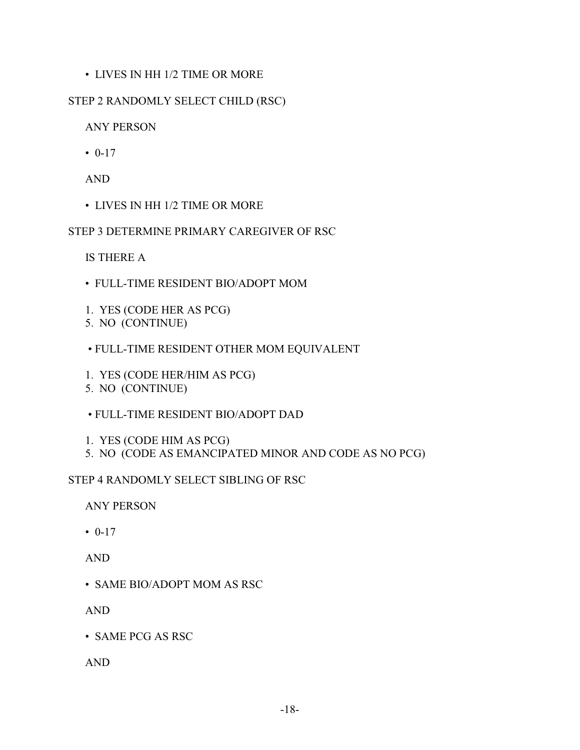## • LIVES IN HH 1/2 TIME OR MORE

## STEP 2 RANDOMLY SELECT CHILD (RSC)

ANY PERSON

 $• 0-17$ 

AND

• LIVES IN HH 1/2 TIME OR MORE

STEP 3 DETERMINE PRIMARY CAREGIVER OF RSC

IS THERE A

- FULL-TIME RESIDENT BIO/ADOPT MOM
- 1. YES (CODE HER AS PCG)
- 5. NO (CONTINUE)
- FULL-TIME RESIDENT OTHER MOM EQUIVALENT
- 1. YES (CODE HER/HIM AS PCG)
- 5. NO (CONTINUE)
- FULL-TIME RESIDENT BIO/ADOPT DAD
- 1. YES (CODE HIM AS PCG)
- 5. NO (CODE AS EMANCIPATED MINOR AND CODE AS NO PCG)

STEP 4 RANDOMLY SELECT SIBLING OF RSC

ANY PERSON

 $\cdot 0.17$ 

AND

• SAME BIO/ADOPT MOM AS RSC

AND

• SAME PCG AS RSC

AND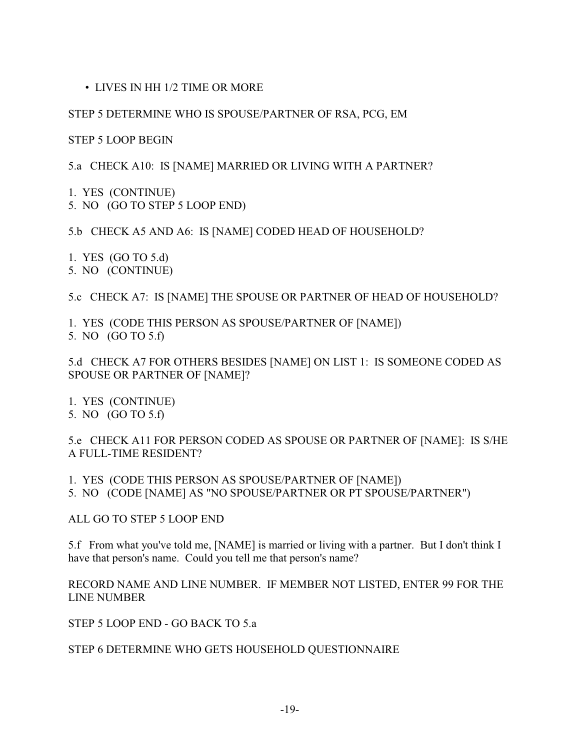• LIVES IN HH 1/2 TIME OR MORE

#### STEP 5 DETERMINE WHO IS SPOUSE/PARTNER OF RSA, PCG, EM

STEP 5 LOOP BEGIN

5.a CHECK A10: IS [NAME] MARRIED OR LIVING WITH A PARTNER?

1. YES (CONTINUE) 5. NO (GO TO STEP 5 LOOP END)

5.b CHECK A5 AND A6: IS [NAME] CODED HEAD OF HOUSEHOLD?

1. YES (GO TO 5.d) 5. NO (CONTINUE)

5.c CHECK A7: IS [NAME] THE SPOUSE OR PARTNER OF HEAD OF HOUSEHOLD?

1. YES (CODE THIS PERSON AS SPOUSE/PARTNER OF [NAME]) 5. NO (GO TO 5.f)

5.d CHECK A7 FOR OTHERS BESIDES [NAME] ON LIST 1: IS SOMEONE CODED AS SPOUSE OR PARTNER OF [NAME]?

- 1. YES (CONTINUE)
- 5. NO (GO TO 5.f)

5.e CHECK A11 FOR PERSON CODED AS SPOUSE OR PARTNER OF [NAME]: IS S/HE A FULL-TIME RESIDENT?

1. YES (CODE THIS PERSON AS SPOUSE/PARTNER OF [NAME]) 5. NO (CODE [NAME] AS "NO SPOUSE/PARTNER OR PT SPOUSE/PARTNER")

ALL GO TO STEP 5 LOOP END

5.f From what you've told me, [NAME] is married or living with a partner. But I don't think I have that person's name. Could you tell me that person's name?

#### RECORD NAME AND LINE NUMBER. IF MEMBER NOT LISTED, ENTER 99 FOR THE LINE NUMBER

STEP 5 LOOP END - GO BACK TO 5.a

#### STEP 6 DETERMINE WHO GETS HOUSEHOLD QUESTIONNAIRE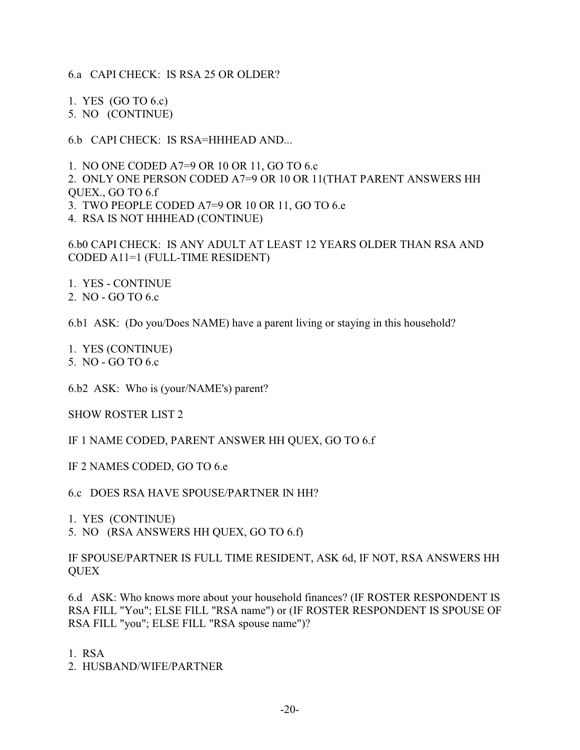6.a CAPI CHECK: IS RSA 25 OR OLDER?

1. YES (GO TO 6.c) 5. NO (CONTINUE)

6.b CAPI CHECK: IS RSA=HHHEAD AND...

1. NO ONE CODED A7=9 OR 10 OR 11, GO TO 6.c 2. ONLY ONE PERSON CODED A7=9 OR 10 OR 11(THAT PARENT ANSWERS HH QUEX., GO TO 6.f 3. TWO PEOPLE CODED A7=9 OR 10 OR 11, GO TO 6.e 4. RSA IS NOT HHHEAD (CONTINUE)

6.b0 CAPI CHECK: IS ANY ADULT AT LEAST 12 YEARS OLDER THAN RSA AND CODED A11=1 (FULL-TIME RESIDENT)

1. YES - CONTINUE

2. NO - GO TO 6.c

6.b1 ASK: (Do you/Does NAME) have a parent living or staying in this household?

1. YES (CONTINUE) 5. NO - GO TO 6.c

6.b2 ASK: Who is (your/NAME's) parent?

SHOW ROSTER LIST 2

IF 1 NAME CODED, PARENT ANSWER HH QUEX, GO TO 6.f

IF 2 NAMES CODED, GO TO 6.e

6.c DOES RSA HAVE SPOUSE/PARTNER IN HH?

1. YES (CONTINUE)

5. NO (RSA ANSWERS HH QUEX, GO TO 6.f)

IF SPOUSE/PARTNER IS FULL TIME RESIDENT, ASK 6d, IF NOT, RSA ANSWERS HH **QUEX** 

6.d ASK: Who knows more about your household finances? (IF ROSTER RESPONDENT IS RSA FILL "You"; ELSE FILL "RSA name") or (IF ROSTER RESPONDENT IS SPOUSE OF RSA FILL "you"; ELSE FILL "RSA spouse name")?

1. RSA

2. HUSBAND/WIFE/PARTNER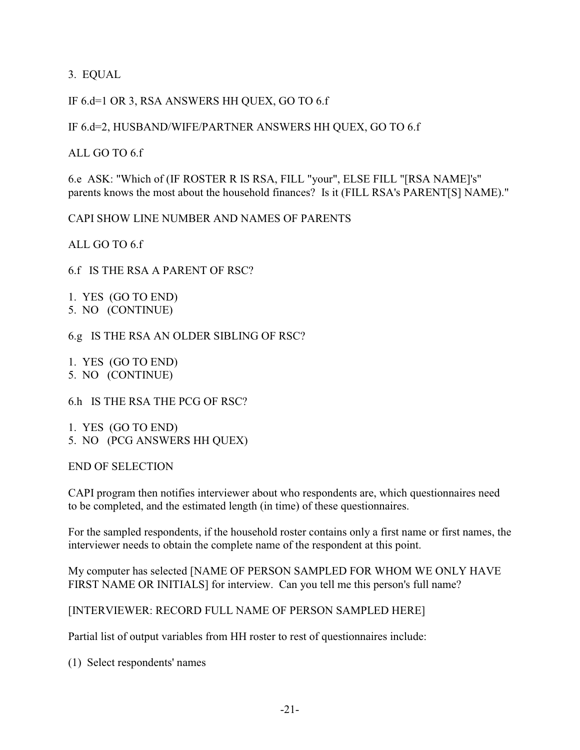3. EQUAL

#### IF 6.d=1 OR 3, RSA ANSWERS HH QUEX, GO TO 6.f

#### IF 6.d=2, HUSBAND/WIFE/PARTNER ANSWERS HH QUEX, GO TO 6.f

ALL GO TO 6.f

6.e ASK: "Which of (IF ROSTER R IS RSA, FILL "your", ELSE FILL "[RSA NAME]'s" parents knows the most about the household finances? Is it (FILL RSA's PARENT[S] NAME)."

CAPI SHOW LINE NUMBER AND NAMES OF PARENTS

ALL GO TO 6.f

6.f IS THE RSA A PARENT OF RSC?

1. YES (GO TO END) 5. NO (CONTINUE)

6.g IS THE RSA AN OLDER SIBLING OF RSC?

1. YES (GO TO END) 5. NO (CONTINUE)

6.h IS THE RSA THE PCG OF RSC?

1. YES (GO TO END) 5. NO (PCG ANSWERS HH QUEX)

END OF SELECTION

CAPI program then notifies interviewer about who respondents are, which questionnaires need to be completed, and the estimated length (in time) of these questionnaires.

For the sampled respondents, if the household roster contains only a first name or first names, the interviewer needs to obtain the complete name of the respondent at this point.

My computer has selected [NAME OF PERSON SAMPLED FOR WHOM WE ONLY HAVE FIRST NAME OR INITIALS] for interview. Can you tell me this person's full name?

[INTERVIEWER: RECORD FULL NAME OF PERSON SAMPLED HERE]

Partial list of output variables from HH roster to rest of questionnaires include:

(1) Select respondents' names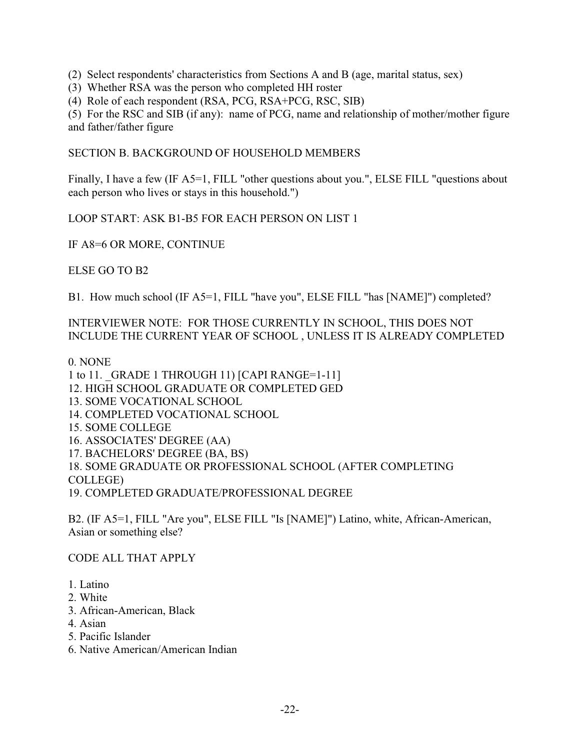(2) Select respondents' characteristics from Sections A and B (age, marital status, sex)

(3) Whether RSA was the person who completed HH roster

(4) Role of each respondent (RSA, PCG, RSA+PCG, RSC, SIB)

(5) For the RSC and SIB (if any): name of PCG, name and relationship of mother/mother figure and father/father figure

SECTION B. BACKGROUND OF HOUSEHOLD MEMBERS

Finally, I have a few (IF A5=1, FILL "other questions about you.", ELSE FILL "questions about each person who lives or stays in this household.")

LOOP START: ASK B1-B5 FOR EACH PERSON ON LIST 1

IF A8=6 OR MORE, CONTINUE

ELSE GO TO B2

B1. How much school (IF A5=1, FILL "have you", ELSE FILL "has [NAME]") completed?

INTERVIEWER NOTE: FOR THOSE CURRENTLY IN SCHOOL, THIS DOES NOT INCLUDE THE CURRENT YEAR OF SCHOOL , UNLESS IT IS ALREADY COMPLETED

0. NONE

1 to 11. \_GRADE 1 THROUGH 11) [CAPI RANGE=1-11] 12. HIGH SCHOOL GRADUATE OR COMPLETED GED 13. SOME VOCATIONAL SCHOOL 14. COMPLETED VOCATIONAL SCHOOL 15. SOME COLLEGE 16. ASSOCIATES' DEGREE (AA) 17. BACHELORS' DEGREE (BA, BS) 18. SOME GRADUATE OR PROFESSIONAL SCHOOL (AFTER COMPLETING COLLEGE)

19. COMPLETED GRADUATE/PROFESSIONAL DEGREE

B2. (IF A5=1, FILL "Are you", ELSE FILL "Is [NAME]") Latino, white, African-American, Asian or something else?

CODE ALL THAT APPLY

- 1. Latino
- 2. White
- 3. African-American, Black
- 4. Asian
- 5. Pacific Islander
- 6. Native American/American Indian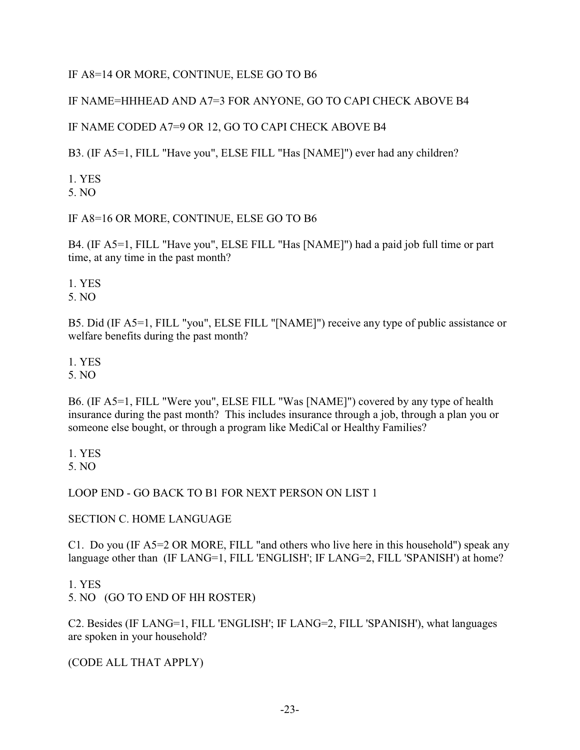## IF A8=14 OR MORE, CONTINUE, ELSE GO TO B6

## IF NAME=HHHEAD AND A7=3 FOR ANYONE, GO TO CAPI CHECK ABOVE B4

## IF NAME CODED A7=9 OR 12, GO TO CAPI CHECK ABOVE B4

B3. (IF A5=1, FILL "Have you", ELSE FILL "Has [NAME]") ever had any children?

1. YES 5. NO

## IF A8=16 OR MORE, CONTINUE, ELSE GO TO B6

B4. (IF A5=1, FILL "Have you", ELSE FILL "Has [NAME]") had a paid job full time or part time, at any time in the past month?

1. YES

5. NO

B5. Did (IF A5=1, FILL "you", ELSE FILL "[NAME]") receive any type of public assistance or welfare benefits during the past month?

1. YES

5. NO

B6. (IF A5=1, FILL "Were you", ELSE FILL "Was [NAME]") covered by any type of health insurance during the past month? This includes insurance through a job, through a plan you or someone else bought, or through a program like MediCal or Healthy Families?

1. YES 5. NO

## LOOP END - GO BACK TO B1 FOR NEXT PERSON ON LIST 1

## SECTION C. HOME LANGUAGE

C1. Do you (IF A5=2 OR MORE, FILL "and others who live here in this household") speak any language other than (IF LANG=1, FILL 'ENGLISH'; IF LANG=2, FILL 'SPANISH') at home?

1. YES

5. NO (GO TO END OF HH ROSTER)

C2. Besides (IF LANG=1, FILL 'ENGLISH'; IF LANG=2, FILL 'SPANISH'), what languages are spoken in your household?

(CODE ALL THAT APPLY)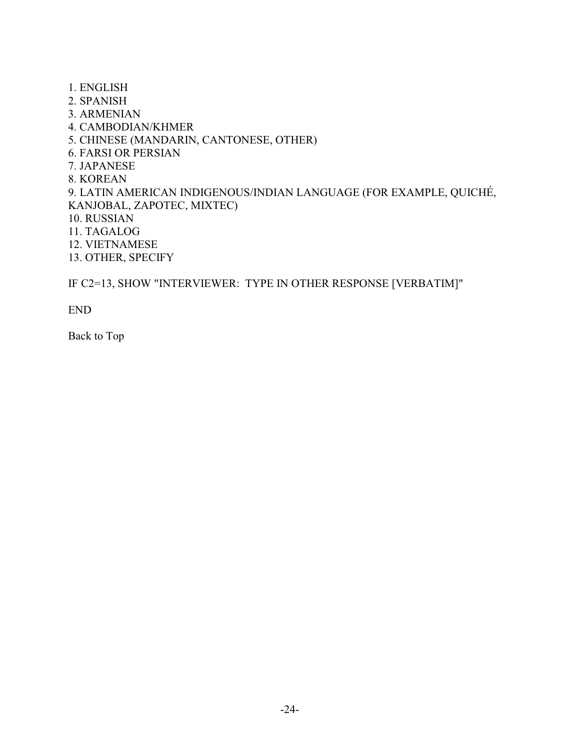- 1. ENGLISH
- 2. SPANISH
- 3. ARMENIAN
- 4. CAMBODIAN/KHMER
- 5. CHINESE (MANDARIN, CANTONESE, OTHER)
- 6. FARSI OR PERSIAN
- 7. JAPANESE
- 8. KOREAN
- 9. LATIN AMERICAN INDIGENOUS/INDIAN LANGUAGE (FOR EXAMPLE, QUICHÉ, KANJOBAL, ZAPOTEC, MIXTEC)
- 10. RUSSIAN
- 11. TAGALOG
- 12. VIETNAMESE
- 13. OTHER, SPECIFY

IF C2=13, SHOW "INTERVIEWER: TYPE IN OTHER RESPONSE [VERBATIM]"

END

Back to Top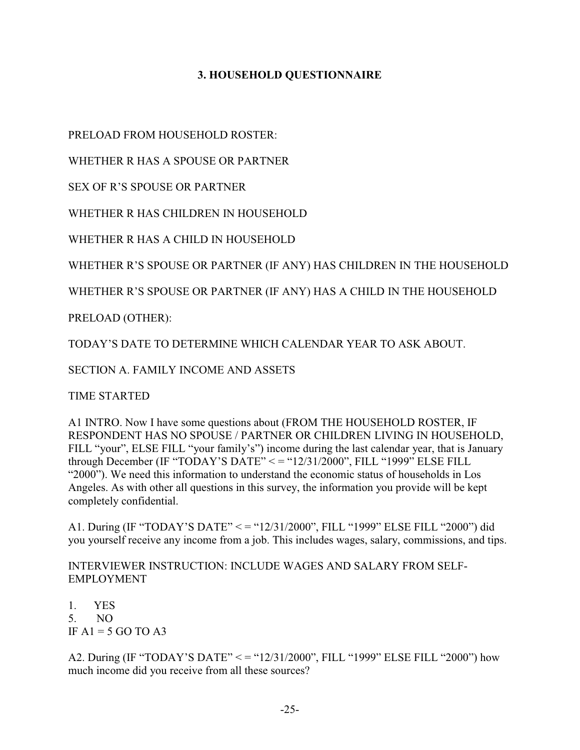## **3. HOUSEHOLD QUESTIONNAIRE**

PRELOAD FROM HOUSEHOLD ROSTER:

WHETHER R HAS A SPOUSE OR PARTNER

SEX OF R'S SPOUSE OR PARTNER

WHETHER R HAS CHILDREN IN HOUSEHOLD

WHETHER R HAS A CHILD IN HOUSEHOLD

WHETHER R'S SPOUSE OR PARTNER (IF ANY) HAS CHILDREN IN THE HOUSEHOLD

WHETHER R'S SPOUSE OR PARTNER (IF ANY) HAS A CHILD IN THE HOUSEHOLD

PRELOAD (OTHER):

TODAY'S DATE TO DETERMINE WHICH CALENDAR YEAR TO ASK ABOUT.

SECTION A. FAMILY INCOME AND ASSETS

TIME STARTED

A1 INTRO. Now I have some questions about (FROM THE HOUSEHOLD ROSTER, IF RESPONDENT HAS NO SPOUSE / PARTNER OR CHILDREN LIVING IN HOUSEHOLD, FILL "your", ELSE FILL "your family's") income during the last calendar year, that is January through December (IF "TODAY'S DATE" < = "12/31/2000", FILL "1999" ELSE FILL "2000"). We need this information to understand the economic status of households in Los Angeles. As with other all questions in this survey, the information you provide will be kept completely confidential.

A1. During (IF "TODAY'S DATE" < = "12/31/2000", FILL "1999" ELSE FILL "2000") did you yourself receive any income from a job. This includes wages, salary, commissions, and tips.

INTERVIEWER INSTRUCTION: INCLUDE WAGES AND SALARY FROM SELF-EMPLOYMENT

1. YES 5. NO IF  $A1 = 5$  GO TO A3

A2. During (IF "TODAY'S DATE" < = "12/31/2000", FILL "1999" ELSE FILL "2000") how much income did you receive from all these sources?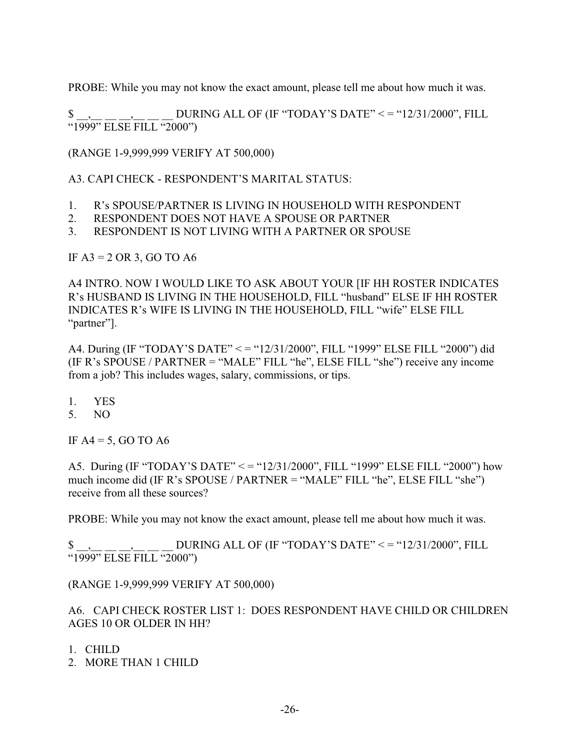PROBE: While you may not know the exact amount, please tell me about how much it was.

DURING ALL OF (IF "TODAY'S DATE" <= "12/31/2000", FILL  $\frac{\text{S}}{\text{``1999''}} \frac{1}{\text{ELSE}} \frac{1}{\text{FILL}} \frac{1}{\text{``2000''}}$ 

(RANGE 1-9,999,999 VERIFY AT 500,000)

A3. CAPI CHECK - RESPONDENT'S MARITAL STATUS:

- 1. R's SPOUSE/PARTNER IS LIVING IN HOUSEHOLD WITH RESPONDENT
- 2. RESPONDENT DOES NOT HAVE A SPOUSE OR PARTNER
- 3. RESPONDENT IS NOT LIVING WITH A PARTNER OR SPOUSE

IF  $A3 = 2$  OR 3, GO TO A6

A4 INTRO. NOW I WOULD LIKE TO ASK ABOUT YOUR [IF HH ROSTER INDICATES R's HUSBAND IS LIVING IN THE HOUSEHOLD, FILL "husband" ELSE IF HH ROSTER INDICATES R's WIFE IS LIVING IN THE HOUSEHOLD, FILL "wife" ELSE FILL "partner"].

A4. During (IF "TODAY'S DATE" < = "12/31/2000", FILL "1999" ELSE FILL "2000") did (IF R's SPOUSE / PARTNER = "MALE" FILL "he", ELSE FILL "she") receive any income from a job? This includes wages, salary, commissions, or tips.

- 1. YES
- 5. NO

IF  $AA = 5$ , GO TO A6

A5. During (IF "TODAY'S DATE" < = "12/31/2000", FILL "1999" ELSE FILL "2000") how much income did (IF R's SPOUSE / PARTNER = "MALE" FILL "he", ELSE FILL "she") receive from all these sources?

PROBE: While you may not know the exact amount, please tell me about how much it was.

DURING ALL OF (IF "TODAY'S DATE" <= "12/31/2000", FILL  $\frac{1}{1999}$ " ELSE FILL "2000")

(RANGE 1-9,999,999 VERIFY AT 500,000)

A6. CAPI CHECK ROSTER LIST 1: DOES RESPONDENT HAVE CHILD OR CHILDREN AGES 10 OR OLDER IN HH?

- 1. CHILD
- 2. MORE THAN 1 CHILD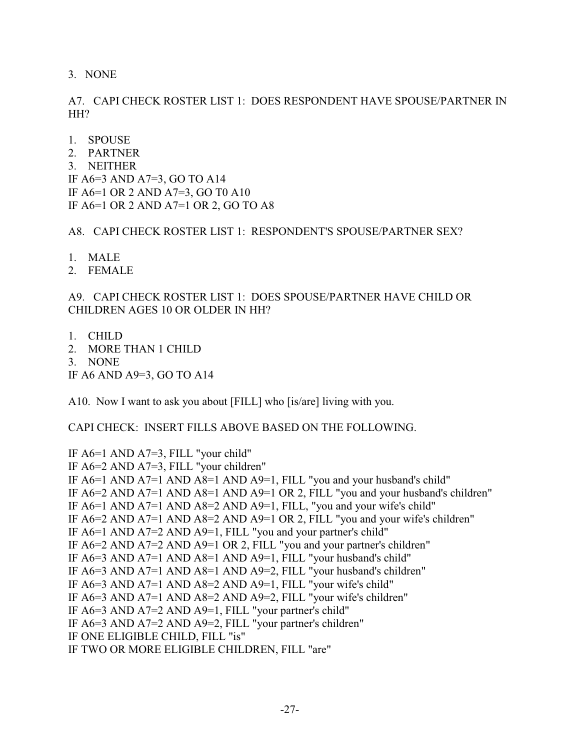3. NONE

A7. CAPI CHECK ROSTER LIST 1: DOES RESPONDENT HAVE SPOUSE/PARTNER IN HH?

- 1. SPOUSE
- 2. PARTNER
- 3. NEITHER

IF A6=3 AND A7=3, GO TO A14 IF A6=1 OR 2 AND A7=3, GO T0 A10 IF A6=1 OR 2 AND A7=1 OR 2, GO TO A8

A8. CAPI CHECK ROSTER LIST 1: RESPONDENT'S SPOUSE/PARTNER SEX?

- 1. MALE
- 2. FEMALE

A9. CAPI CHECK ROSTER LIST 1: DOES SPOUSE/PARTNER HAVE CHILD OR CHILDREN AGES 10 OR OLDER IN HH?

- 1. CHILD
- 2. MORE THAN 1 CHILD
- 3. NONE

IF A6 AND A9=3, GO TO A14

A10. Now I want to ask you about [FILL] who [is/are] living with you.

CAPI CHECK: INSERT FILLS ABOVE BASED ON THE FOLLOWING.

IF A6=1 AND A7=3, FILL "your child" IF A6=2 AND A7=3, FILL "your children" IF A6=1 AND A7=1 AND A8=1 AND A9=1, FILL "you and your husband's child" IF A6=2 AND A7=1 AND A8=1 AND A9=1 OR 2, FILL "you and your husband's children" IF A6=1 AND A7=1 AND A8=2 AND A9=1, FILL, "you and your wife's child" IF A6=2 AND A7=1 AND A8=2 AND A9=1 OR 2, FILL "you and your wife's children" IF A6=1 AND A7=2 AND A9=1, FILL "you and your partner's child" IF A6=2 AND A7=2 AND A9=1 OR 2, FILL "you and your partner's children" IF A6=3 AND A7=1 AND A8=1 AND A9=1, FILL "your husband's child" IF A6=3 AND A7=1 AND A8=1 AND A9=2, FILL "your husband's children" IF A6=3 AND A7=1 AND A8=2 AND A9=1, FILL "your wife's child" IF A6=3 AND A7=1 AND A8=2 AND A9=2, FILL "your wife's children" IF A6=3 AND A7=2 AND A9=1, FILL "your partner's child" IF A6=3 AND A7=2 AND A9=2, FILL "your partner's children" IF ONE ELIGIBLE CHILD, FILL "is" IF TWO OR MORE ELIGIBLE CHILDREN, FILL "are"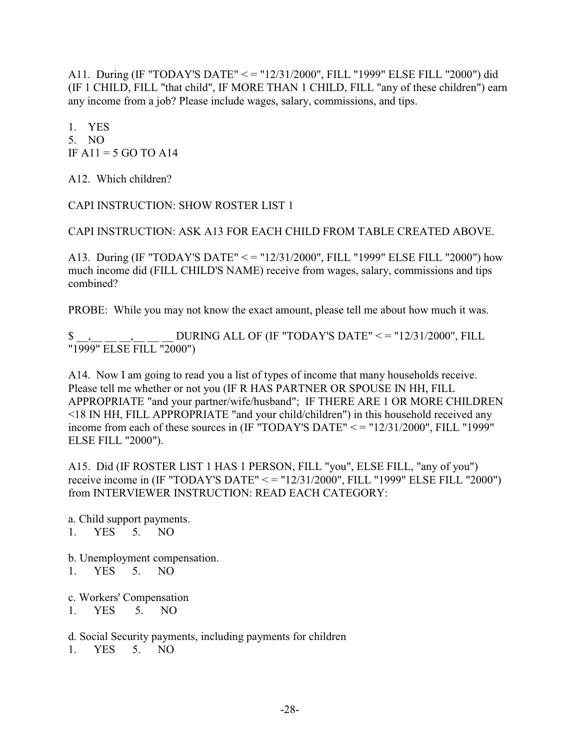A11. During (IF "TODAY'S DATE" < = "12/31/2000", FILL "1999" ELSE FILL "2000") did (IF 1 CHILD, FILL "that child", IF MORE THAN 1 CHILD, FILL "any of these children") earn any income from a job? Please include wages, salary, commissions, and tips.

1. YES 5. NO IF  $A11 = 5$  GO TO  $A14$ 

A12. Which children?

CAPI INSTRUCTION: SHOW ROSTER LIST 1

CAPI INSTRUCTION: ASK A13 FOR EACH CHILD FROM TABLE CREATED ABOVE.

A13. During (IF "TODAY'S DATE" < = "12/31/2000", FILL "1999" ELSE FILL "2000") how much income did (FILL CHILD'S NAME) receive from wages, salary, commissions and tips combined?

PROBE: While you may not know the exact amount, please tell me about how much it was.

\$ \_\_,\_\_ \_\_ \_\_,\_\_ \_\_ \_\_ DURING ALL OF (IF "TODAY'S DATE" < = "12/31/2000", FILL "1999" ELSE FILL "2000")

A14. Now I am going to read you a list of types of income that many households receive. Please tell me whether or not you (IF R HAS PARTNER OR SPOUSE IN HH, FILL APPROPRIATE "and your partner/wife/husband"; IF THERE ARE 1 OR MORE CHILDREN <18 IN HH, FILL APPROPRIATE "and your child/children") in this household received any income from each of these sources in (IF "TODAY'S DATE" < = "12/31/2000", FILL "1999" ELSE FILL "2000").

A15. Did (IF ROSTER LIST 1 HAS 1 PERSON, FILL "you", ELSE FILL, "any of you") receive income in (IF "TODAY'S DATE" < = "12/31/2000", FILL "1999" ELSE FILL "2000") from INTERVIEWER INSTRUCTION: READ EACH CATEGORY:

a. Child support payments. 1. YES 5. NO

b. Unemployment compensation.

- 1. YES 5. NO
- c. Workers' Compensation
- 1. YES 5. NO

d. Social Security payments, including payments for children

1. YES 5. NO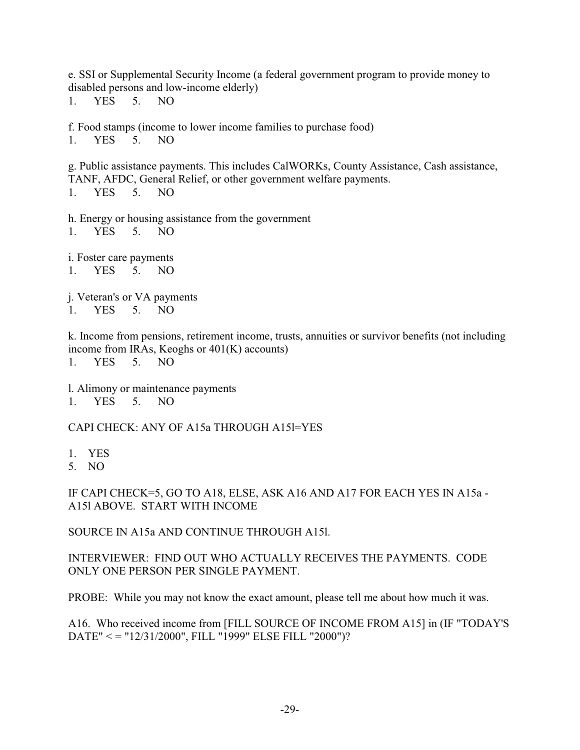e. SSI or Supplemental Security Income (a federal government program to provide money to disabled persons and low-income elderly)

1. YES 5. NO

f. Food stamps (income to lower income families to purchase food) 1. YES 5. NO

g. Public assistance payments. This includes CalWORKs, County Assistance, Cash assistance, TANF, AFDC, General Relief, or other government welfare payments. 1. YES 5. NO

h. Energy or housing assistance from the government 1. YES 5. NO

i. Foster care payments 1. YES 5. NO

j. Veteran's or VA payments 1. YES 5. NO

k. Income from pensions, retirement income, trusts, annuities or survivor benefits (not including income from IRAs, Keoghs or 401(K) accounts) 1. YES 5. NO

l. Alimony or maintenance payments 1. YES 5. NO

CAPI CHECK: ANY OF A15a THROUGH A15l=YES

- 1. YES
- 5. NO

IF CAPI CHECK=5, GO TO A18, ELSE, ASK A16 AND A17 FOR EACH YES IN A15a - A15l ABOVE. START WITH INCOME

SOURCE IN A15a AND CONTINUE THROUGH A15l.

INTERVIEWER: FIND OUT WHO ACTUALLY RECEIVES THE PAYMENTS. CODE ONLY ONE PERSON PER SINGLE PAYMENT.

PROBE: While you may not know the exact amount, please tell me about how much it was.

A16. Who received income from [FILL SOURCE OF INCOME FROM A15] in (IF "TODAY'S DATE" < = "12/31/2000", FILL "1999" ELSE FILL "2000")?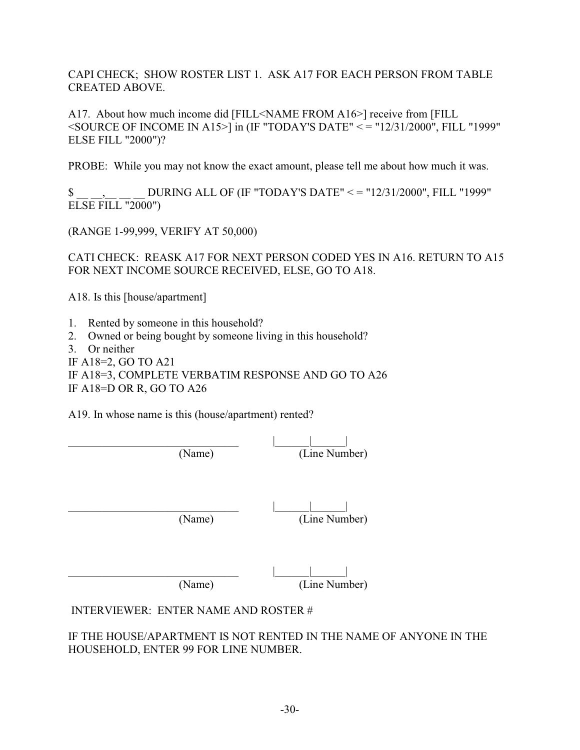CAPI CHECK; SHOW ROSTER LIST 1. ASK A17 FOR EACH PERSON FROM TABLE CREATED ABOVE.

A17. About how much income did [FILL<NAME FROM A16>] receive from [FILL  $\leq$ SOURCE OF INCOME IN A15>] in (IF "TODAY'S DATE"  $\leq$  = "12/31/2000", FILL "1999" ELSE FILL "2000")?

PROBE: While you may not know the exact amount, please tell me about how much it was.

\$ \_\_ \_\_,\_\_ \_\_ \_\_ DURING ALL OF (IF "TODAY'S DATE" < = "12/31/2000", FILL "1999"  $EISE$  FILL "2000")

(RANGE 1-99,999, VERIFY AT 50,000)

CATI CHECK: REASK A17 FOR NEXT PERSON CODED YES IN A16. RETURN TO A15 FOR NEXT INCOME SOURCE RECEIVED, ELSE, GO TO A18.

A18. Is this [house/apartment]

- 1. Rented by someone in this household?
- 2. Owned or being bought by someone living in this household?
- 3. Or neither

IF A18=2, GO TO A21

IF A18=3, COMPLETE VERBATIM RESPONSE AND GO TO A26 IF A18=D OR R, GO TO A26

A19. In whose name is this (house/apartment) rented?

\_\_\_\_\_\_\_\_\_\_\_\_\_\_\_\_\_\_\_\_\_\_\_\_\_\_\_\_\_\_ |\_\_\_\_\_\_|\_\_\_\_\_\_| (Name) (Line Number)

\_\_\_\_\_\_\_\_\_\_\_\_\_\_\_\_\_\_\_\_\_\_\_\_\_\_\_\_\_\_ |\_\_\_\_\_\_|\_\_\_\_\_\_| (Name) (Line Number)

\_\_\_\_\_\_\_\_\_\_\_\_\_\_\_\_\_\_\_\_\_\_\_\_\_\_\_\_\_\_ |\_\_\_\_\_\_|\_\_\_\_\_\_| (Name) (Line Number)

INTERVIEWER: ENTER NAME AND ROSTER #

IF THE HOUSE/APARTMENT IS NOT RENTED IN THE NAME OF ANYONE IN THE HOUSEHOLD, ENTER 99 FOR LINE NUMBER.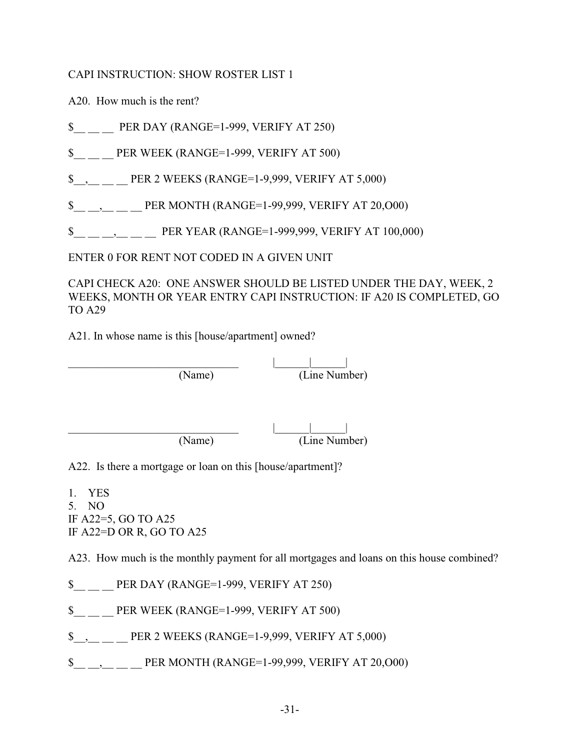CAPI INSTRUCTION: SHOW ROSTER LIST 1

A20. How much is the rent?

\$ PER DAY (RANGE=1-999, VERIFY AT 250)

\$ PER WEEK (RANGE=1-999, VERIFY AT 500)

\$, PER 2 WEEKS (RANGE=1-9,999, VERIFY AT 5,000)

\$, PER MONTH (RANGE=1-99,999, VERIFY AT 20,000)

\$<sub>1</sub>, 100,000) PER YEAR (RANGE=1-999,999, VERIFY AT 100,000)

ENTER 0 FOR RENT NOT CODED IN A GIVEN UNIT

CAPI CHECK A20: ONE ANSWER SHOULD BE LISTED UNDER THE DAY, WEEK, 2 WEEKS, MONTH OR YEAR ENTRY CAPI INSTRUCTION: IF A20 IS COMPLETED, GO TO A29

A21. In whose name is this [house/apartment] owned?

\_\_\_\_\_\_\_\_\_\_\_\_\_\_\_\_\_\_\_\_\_\_\_\_\_\_\_\_\_\_ |\_\_\_\_\_\_|\_\_\_\_\_\_| (Name) (Line Number)

\_\_\_\_\_\_\_\_\_\_\_\_\_\_\_\_\_\_\_\_\_\_\_\_\_\_\_\_\_\_ |\_\_\_\_\_\_|\_\_\_\_\_\_|

(Name) (Line Number)

A22. Is there a mortgage or loan on this [house/apartment]?

1. YES 5. NO IF A22=5, GO TO A25 IF A22=D OR R, GO TO A25

A23. How much is the monthly payment for all mortgages and loans on this house combined?

\$ PER DAY (RANGE=1-999, VERIFY AT 250)

\$ PER WEEK (RANGE=1-999, VERIFY AT 500)

\$, PER 2 WEEKS (RANGE=1-9,999, VERIFY AT 5,000)

\$, PER MONTH (RANGE=1-99,999, VERIFY AT 20,000)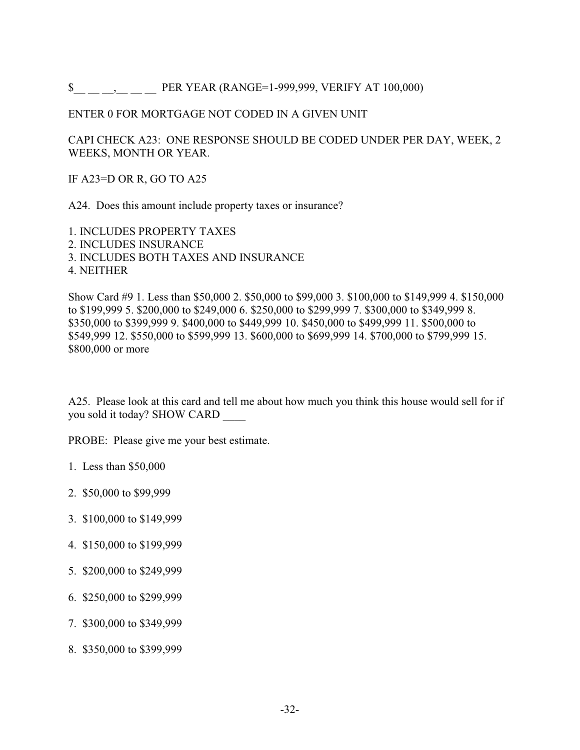\$ FER YEAR (RANGE=1-999,999, VERIFY AT 100,000)

#### ENTER 0 FOR MORTGAGE NOT CODED IN A GIVEN UNIT

CAPI CHECK A23: ONE RESPONSE SHOULD BE CODED UNDER PER DAY, WEEK, 2 WEEKS, MONTH OR YEAR.

IF A23=D OR R, GO TO A25

A24. Does this amount include property taxes or insurance?

1. INCLUDES PROPERTY TAXES 2. INCLUDES INSURANCE 3. INCLUDES BOTH TAXES AND INSURANCE 4. NEITHER

Show Card #9 1. Less than \$50,000 2. \$50,000 to \$99,000 3. \$100,000 to \$149,999 4. \$150,000 to \$199,999 5. \$200,000 to \$249,000 6. \$250,000 to \$299,999 7. \$300,000 to \$349,999 8. \$350,000 to \$399,999 9. \$400,000 to \$449,999 10. \$450,000 to \$499,999 11. \$500,000 to \$549,999 12. \$550,000 to \$599,999 13. \$600,000 to \$699,999 14. \$700,000 to \$799,999 15. \$800,000 or more

A25. Please look at this card and tell me about how much you think this house would sell for if you sold it today? SHOW CARD \_\_\_\_

PROBE: Please give me your best estimate.

- 1. Less than \$50,000
- 2. \$50,000 to \$99,999
- 3. \$100,000 to \$149,999
- 4. \$150,000 to \$199,999
- 5. \$200,000 to \$249,999
- 6. \$250,000 to \$299,999
- 7. \$300,000 to \$349,999
- 8. \$350,000 to \$399,999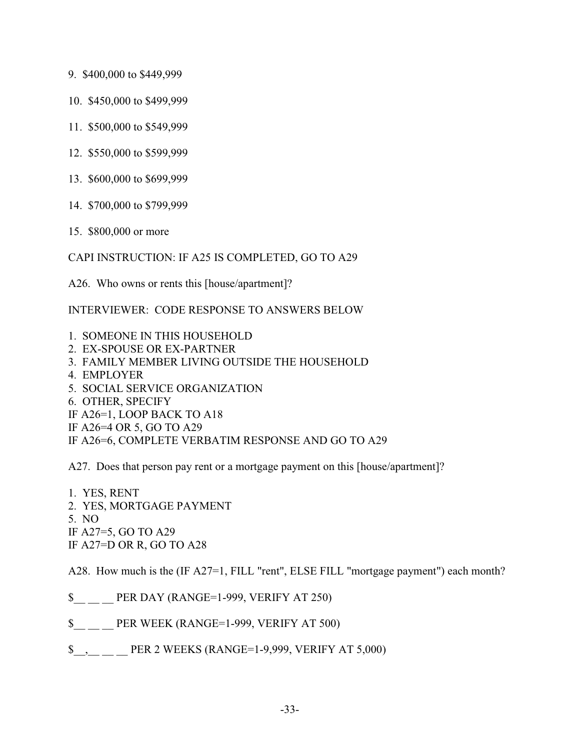- 9. \$400,000 to \$449,999
- 10. \$450,000 to \$499,999
- 11. \$500,000 to \$549,999
- 12. \$550,000 to \$599,999
- 13. \$600,000 to \$699,999
- 14. \$700,000 to \$799,999
- 15. \$800,000 or more

CAPI INSTRUCTION: IF A25 IS COMPLETED, GO TO A29

A26. Who owns or rents this [house/apartment]?

INTERVIEWER: CODE RESPONSE TO ANSWERS BELOW

- 1. SOMEONE IN THIS HOUSEHOLD
- 2. EX-SPOUSE OR EX-PARTNER
- 3. FAMILY MEMBER LIVING OUTSIDE THE HOUSEHOLD
- 4. EMPLOYER
- 5. SOCIAL SERVICE ORGANIZATION
- 6. OTHER, SPECIFY
- IF A26=1, LOOP BACK TO A18
- IF A26=4 OR 5, GO TO A29
- IF A26=6, COMPLETE VERBATIM RESPONSE AND GO TO A29

A27. Does that person pay rent or a mortgage payment on this [house/apartment]?

1. YES, RENT 2. YES, MORTGAGE PAYMENT 5. NO IF A27=5, GO TO A29 IF A27=D OR R, GO TO A28

A28. How much is the (IF A27=1, FILL "rent", ELSE FILL "mortgage payment") each month?

- \$\_\_ \_\_ \_\_ PER DAY (RANGE=1-999, VERIFY AT 250)
- \$\_\_ \_\_ \_\_ PER WEEK (RANGE=1-999, VERIFY AT 500)
- \$<sub>\_\_</sub>, \_\_ \_\_ PER 2 WEEKS (RANGE=1-9,999, VERIFY AT 5,000)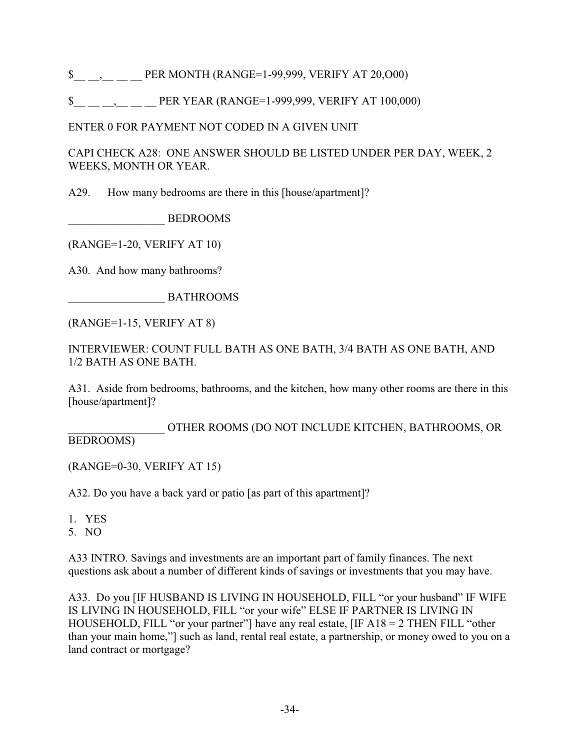\$ PER MONTH (RANGE=1-99,999, VERIFY AT 20,000)

\$ PER YEAR (RANGE=1-999,999, VERIFY AT 100,000)

ENTER 0 FOR PAYMENT NOT CODED IN A GIVEN UNIT

CAPI CHECK A28: ONE ANSWER SHOULD BE LISTED UNDER PER DAY, WEEK, 2 WEEKS, MONTH OR YEAR.

A29. How many bedrooms are there in this [house/apartment]?

\_\_\_\_\_\_\_\_\_\_\_\_\_\_\_\_\_ BEDROOMS

(RANGE=1-20, VERIFY AT 10)

A30. And how many bathrooms?

\_\_\_\_\_\_\_\_\_\_\_\_\_\_\_\_\_ BATHROOMS

(RANGE=1-15, VERIFY AT 8)

INTERVIEWER: COUNT FULL BATH AS ONE BATH, 3/4 BATH AS ONE BATH, AND 1/2 BATH AS ONE BATH.

A31. Aside from bedrooms, bathrooms, and the kitchen, how many other rooms are there in this [house/apartment]?

\_\_\_\_\_\_\_\_\_\_\_\_\_\_\_\_\_ OTHER ROOMS (DO NOT INCLUDE KITCHEN, BATHROOMS, OR BEDROOMS)

(RANGE=0-30, VERIFY AT 15)

A32. Do you have a back yard or patio [as part of this apartment]?

1. YES

5. NO

A33 INTRO. Savings and investments are an important part of family finances. The next questions ask about a number of different kinds of savings or investments that you may have.

A33. Do you [IF HUSBAND IS LIVING IN HOUSEHOLD, FILL "or your husband" IF WIFE IS LIVING IN HOUSEHOLD, FILL "or your wife" ELSE IF PARTNER IS LIVING IN HOUSEHOLD, FILL "or your partner"] have any real estate, [IF A18 = 2 THEN FILL "other than your main home,"] such as land, rental real estate, a partnership, or money owed to you on a land contract or mortgage?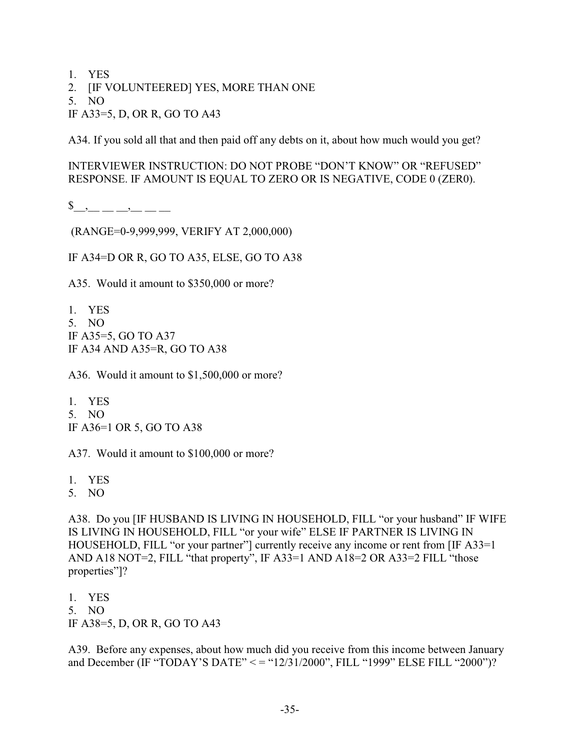1. YES

2. [IF VOLUNTEERED] YES, MORE THAN ONE

5. NO

IF A33=5, D, OR R, GO TO A43

A34. If you sold all that and then paid off any debts on it, about how much would you get?

INTERVIEWER INSTRUCTION: DO NOT PROBE "DON'T KNOW" OR "REFUSED" RESPONSE. IF AMOUNT IS EQUAL TO ZERO OR IS NEGATIVE, CODE 0 (ZER0).

 $\updownarrow \qquad \qquad$   $\qquad , \qquad$  \_\_\_\_\_\_\_\_\_\_

(RANGE=0-9,999,999, VERIFY AT 2,000,000)

IF A34=D OR R, GO TO A35, ELSE, GO TO A38

A35. Would it amount to \$350,000 or more?

1. YES 5. NO IF A35=5, GO TO A37 IF A34 AND A35=R, GO TO A38

A36. Would it amount to \$1,500,000 or more?

1. YES 5. NO IF A36=1 OR 5, GO TO A38

A37. Would it amount to \$100,000 or more?

- 1. YES
- 5. NO

A38. Do you [IF HUSBAND IS LIVING IN HOUSEHOLD, FILL "or your husband" IF WIFE IS LIVING IN HOUSEHOLD, FILL "or your wife" ELSE IF PARTNER IS LIVING IN HOUSEHOLD, FILL "or your partner"] currently receive any income or rent from [IF A33=1 AND A18 NOT=2, FILL "that property", IF A33=1 AND A18=2 OR A33=2 FILL "those properties"]?

- 1. YES
- 5. NO

IF A38=5, D, OR R, GO TO A43

A39. Before any expenses, about how much did you receive from this income between January and December (IF "TODAY'S DATE" < = "12/31/2000", FILL "1999" ELSE FILL "2000")?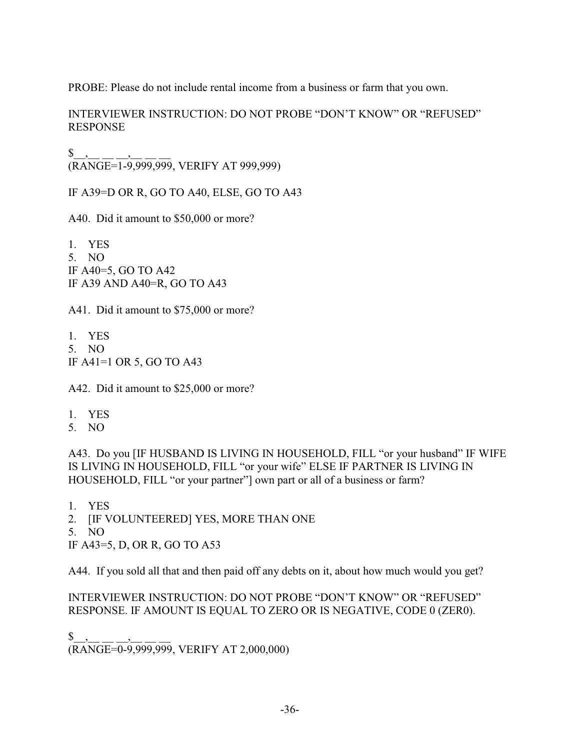PROBE: Please do not include rental income from a business or farm that you own.

INTERVIEWER INSTRUCTION: DO NOT PROBE "DON'T KNOW" OR "REFUSED" RESPONSE

 $\begin{array}{cc} \texttt{\$} & \texttt{\_}, \end{array}$ (RANGE=1-9,999,999, VERIFY AT 999,999)

IF A39=D OR R, GO TO A40, ELSE, GO TO A43

A40. Did it amount to \$50,000 or more?

1. YES 5. NO IF A40=5, GO TO A42 IF A39 AND A40=R, GO TO A43

A41. Did it amount to \$75,000 or more?

1. YES 5. NO IF A41=1 OR 5, GO TO A43

A42. Did it amount to \$25,000 or more?

- 1. YES
- 5. NO

A43. Do you [IF HUSBAND IS LIVING IN HOUSEHOLD, FILL "or your husband" IF WIFE IS LIVING IN HOUSEHOLD, FILL "or your wife" ELSE IF PARTNER IS LIVING IN HOUSEHOLD, FILL "or your partner"] own part or all of a business or farm?

1. YES

2. [IF VOLUNTEERED] YES, MORE THAN ONE

5. NO

IF A43=5, D, OR R, GO TO A53

A44. If you sold all that and then paid off any debts on it, about how much would you get?

INTERVIEWER INSTRUCTION: DO NOT PROBE "DON'T KNOW" OR "REFUSED" RESPONSE. IF AMOUNT IS EQUAL TO ZERO OR IS NEGATIVE, CODE 0 (ZER0).

 $\frac{1}{2}$ ,  $\frac{1}{2}$  ,  $\frac{1}{2}$  ,  $\frac{1}{2}$  ,  $\frac{1}{2}$  ,  $\frac{1}{2}$  ,  $\frac{1}{2}$ (RANGE=0-9,999,999, VERIFY AT 2,000,000)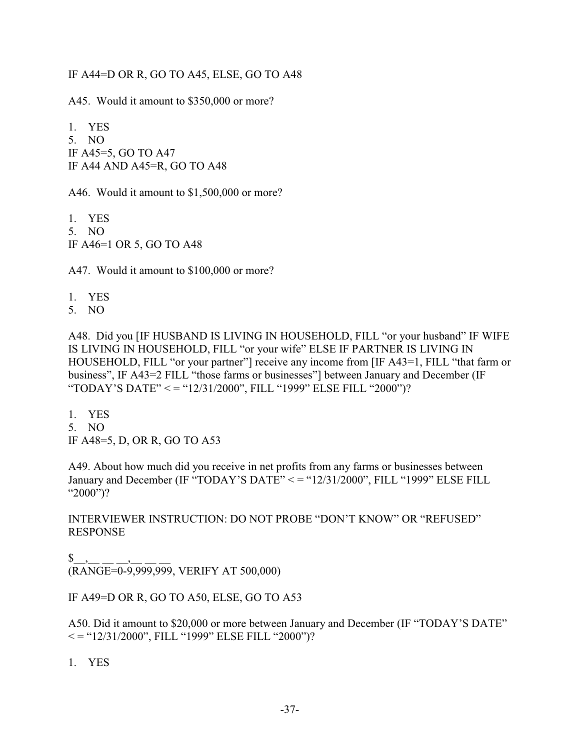### IF A44=D OR R, GO TO A45, ELSE, GO TO A48

A45. Would it amount to \$350,000 or more?

1. YES 5. NO IF A45=5, GO TO A47 IF A44 AND A45=R, GO TO A48

A46. Would it amount to \$1,500,000 or more?

1. YES 5. NO IF A46=1 OR 5, GO TO A48

A47. Would it amount to \$100,000 or more?

1. YES

5. NO

A48. Did you [IF HUSBAND IS LIVING IN HOUSEHOLD, FILL "or your husband" IF WIFE IS LIVING IN HOUSEHOLD, FILL "or your wife" ELSE IF PARTNER IS LIVING IN HOUSEHOLD, FILL "or your partner"] receive any income from [IF A43=1, FILL "that farm or business", IF A43=2 FILL "those farms or businesses"] between January and December (IF "TODAY'S DATE" < = "12/31/2000", FILL "1999" ELSE FILL "2000")?

- 1. YES
- 5. NO

IF A48=5, D, OR R, GO TO A53

A49. About how much did you receive in net profits from any farms or businesses between January and December (IF "TODAY'S DATE" < = "12/31/2000", FILL "1999" ELSE FILL "2000")?

INTERVIEWER INSTRUCTION: DO NOT PROBE "DON'T KNOW" OR "REFUSED" RESPONSE

 $\mathbb{S}$  . (RANGE=0-9,999,999, VERIFY AT 500,000)

IF A49=D OR R, GO TO A50, ELSE, GO TO A53

A50. Did it amount to \$20,000 or more between January and December (IF "TODAY'S DATE"  $\epsilon =$  "12/31/2000", FILL "1999" ELSE FILL "2000")?

1. YES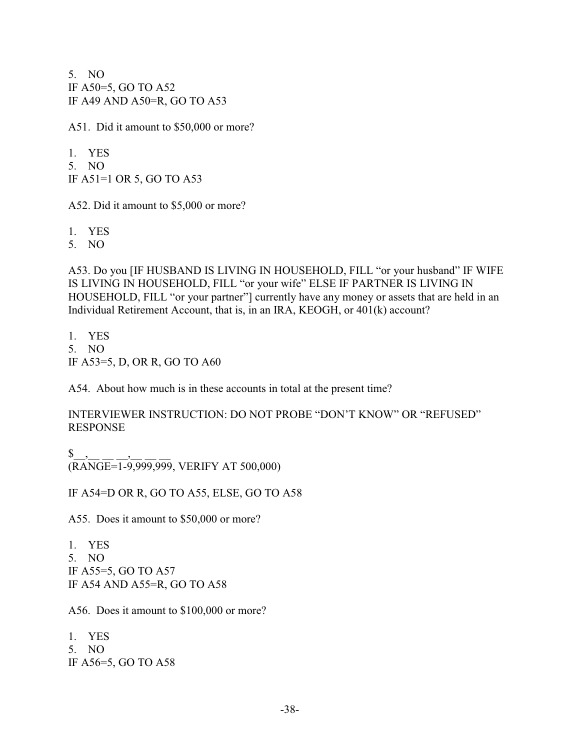5. NO IF A50=5, GO TO A52 IF A49 AND A50=R, GO TO A53

A51. Did it amount to \$50,000 or more?

1. YES 5. NO IF A51=1 OR 5, GO TO A53

A52. Did it amount to \$5,000 or more?

1. YES

5. NO

A53. Do you [IF HUSBAND IS LIVING IN HOUSEHOLD, FILL "or your husband" IF WIFE IS LIVING IN HOUSEHOLD, FILL "or your wife" ELSE IF PARTNER IS LIVING IN HOUSEHOLD, FILL "or your partner"] currently have any money or assets that are held in an Individual Retirement Account, that is, in an IRA, KEOGH, or 401(k) account?

1. YES 5. NO IF A53=5, D, OR R, GO TO A60

A54. About how much is in these accounts in total at the present time?

INTERVIEWER INSTRUCTION: DO NOT PROBE "DON'T KNOW" OR "REFUSED" RESPONSE

 $\frac{1}{2}$ ,  $\frac{1}{2}$  ,  $\frac{1}{2}$  ,  $\frac{1}{2}$  ,  $\frac{1}{2}$  ,  $\frac{1}{2}$  ,  $\frac{1}{2}$ (RANGE=1-9,999,999, VERIFY AT 500,000)

IF A54=D OR R, GO TO A55, ELSE, GO TO A58

A55. Does it amount to \$50,000 or more?

1. YES 5. NO IF A55=5, GO TO A57 IF A54 AND A55=R, GO TO A58

A56. Does it amount to \$100,000 or more?

1. YES 5. NO IF A56=5, GO TO A58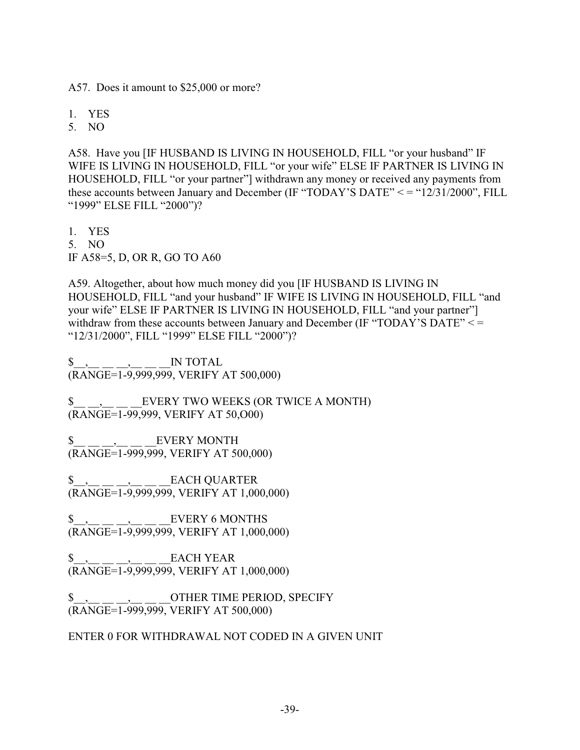A57. Does it amount to \$25,000 or more?

1. YES

5. NO

A58. Have you [IF HUSBAND IS LIVING IN HOUSEHOLD, FILL "or your husband" IF WIFE IS LIVING IN HOUSEHOLD, FILL "or your wife" ELSE IF PARTNER IS LIVING IN HOUSEHOLD, FILL "or your partner"] withdrawn any money or received any payments from these accounts between January and December (IF "TODAY'S DATE" < = "12/31/2000", FILL "1999" ELSE FILL "2000")?

1. YES 5. NO IF A58=5, D, OR R, GO TO A60

A59. Altogether, about how much money did you [IF HUSBAND IS LIVING IN HOUSEHOLD, FILL "and your husband" IF WIFE IS LIVING IN HOUSEHOLD, FILL "and your wife" ELSE IF PARTNER IS LIVING IN HOUSEHOLD, FILL "and your partner"] withdraw from these accounts between January and December (IF "TODAY'S DATE" <= "12/31/2000", FILL "1999" ELSE FILL "2000")?

 $\frac{1}{2}$ , \_\_ \_\_, \_\_, \_\_ \_\_ \_\_ IN TOTAL (RANGE=1-9,999,999, VERIFY AT 500,000)

 $\text{\$}$ , EVERY TWO WEEKS (OR TWICE A MONTH) (RANGE=1-99,999, VERIFY AT 50,O00)

\$, EVERY MONTH (RANGE=1-999,999, VERIFY AT 500,000)

\$\_\_,\_\_ \_\_ \_\_,\_\_ \_\_ \_\_EACH QUARTER  $(\overline{RANGE}=1-9,999,999, \overline{999}, \overline{999}, \overline{998}, \overline{R_K}$  at 1,000,000)

 $EVERY$  6 MONTHS  $\sqrt[3]{\frac{1}{(R \text{NGE}}=1.9,999,999)}$ , VERIFY AT 1,000,000)

\$, EACH YEAR (RANGE=1-9,999,999, VERIFY AT 1,000,000)

\$, , . . . . . . . OTHER TIME PERIOD, SPECIFY (RANGE=1-999,999, VERIFY AT 500,000)

ENTER 0 FOR WITHDRAWAL NOT CODED IN A GIVEN UNIT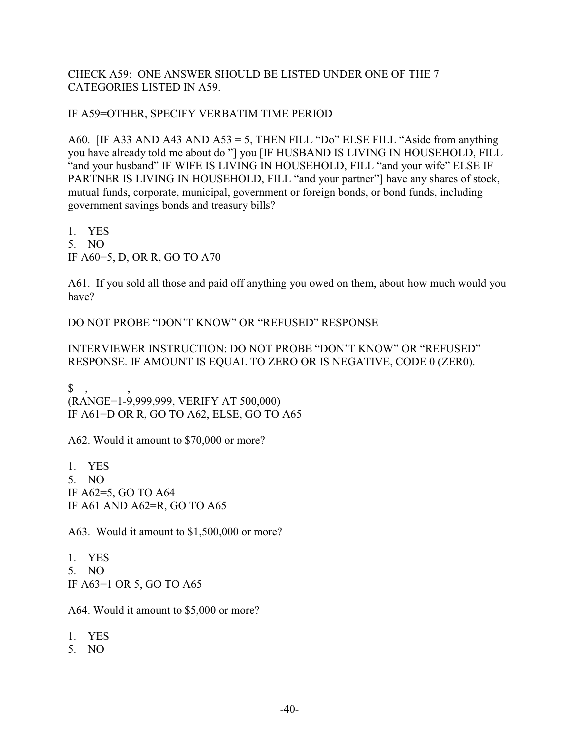CHECK A59: ONE ANSWER SHOULD BE LISTED UNDER ONE OF THE 7 CATEGORIES LISTED IN A59.

IF A59=OTHER, SPECIFY VERBATIM TIME PERIOD

A60. [IF A33 AND A43 AND A53 = 5, THEN FILL "Do" ELSE FILL "Aside from anything you have already told me about do "] you [IF HUSBAND IS LIVING IN HOUSEHOLD, FILL "and your husband" IF WIFE IS LIVING IN HOUSEHOLD, FILL "and your wife" ELSE IF PARTNER IS LIVING IN HOUSEHOLD, FILL "and your partner"] have any shares of stock, mutual funds, corporate, municipal, government or foreign bonds, or bond funds, including government savings bonds and treasury bills?

1. YES 5. NO IF A60=5, D, OR R, GO TO A70

A61. If you sold all those and paid off anything you owed on them, about how much would you have?

DO NOT PROBE "DON'T KNOW" OR "REFUSED" RESPONSE

INTERVIEWER INSTRUCTION: DO NOT PROBE "DON'T KNOW" OR "REFUSED" RESPONSE. IF AMOUNT IS EQUAL TO ZERO OR IS NEGATIVE, CODE 0 (ZER0).

 $\mathbb{S}^-,$  $(RANGE=1-9.999.999, VERIFY AT 500.000)$ IF A61=D OR R, GO TO A62, ELSE, GO TO A65

A62. Would it amount to \$70,000 or more?

1. YES 5. NO IF A62=5, GO TO A64 IF A61 AND A62=R, GO TO A65

A63. Would it amount to \$1,500,000 or more?

1. YES 5. NO IF A63=1 OR 5, GO TO A65

A64. Would it amount to \$5,000 or more?

- 1. YES
- 5. NO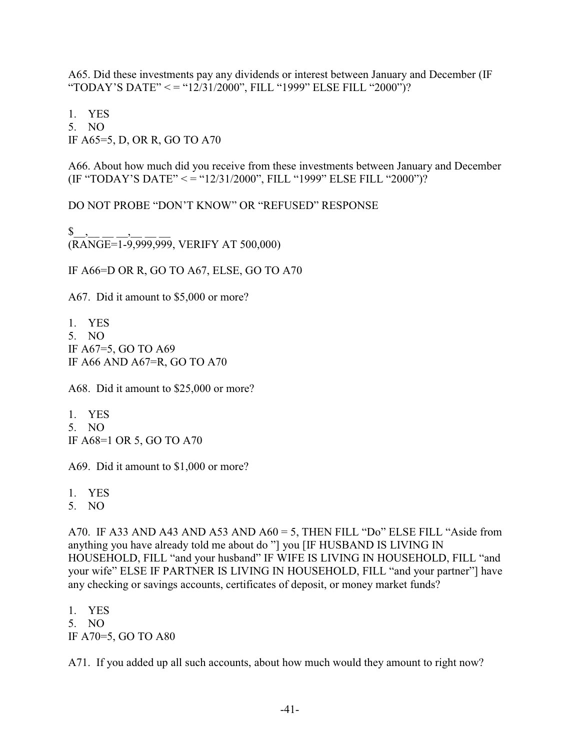A65. Did these investments pay any dividends or interest between January and December (IF "TODAY'S DATE" < = "12/31/2000", FILL "1999" ELSE FILL "2000")?

1. YES 5. NO IF A65=5, D, OR R, GO TO A70

A66. About how much did you receive from these investments between January and December (IF "TODAY'S DATE" < = "12/31/2000", FILL "1999" ELSE FILL "2000")?

DO NOT PROBE "DON'T KNOW" OR "REFUSED" RESPONSE

 $\begin{array}{cc} \texttt{\$} & , \end{array}$  $(\overline{\text{RANGE}}=1-9,999,999, \text{VERIFY AT } 500,000)$ 

IF A66=D OR R, GO TO A67, ELSE, GO TO A70

A67. Did it amount to \$5,000 or more?

1. YES 5. NO IF A67=5, GO TO A69 IF A66 AND A67=R, GO TO A70

A68. Did it amount to \$25,000 or more?

1. YES 5. NO IF A68=1 OR 5, GO TO A70

A69. Did it amount to \$1,000 or more?

1. YES

5. NO

A70. IF A33 AND A43 AND A53 AND  $A60 = 5$ , THEN FILL "Do" ELSE FILL "Aside from anything you have already told me about do "] you [IF HUSBAND IS LIVING IN HOUSEHOLD, FILL "and your husband" IF WIFE IS LIVING IN HOUSEHOLD, FILL "and your wife" ELSE IF PARTNER IS LIVING IN HOUSEHOLD, FILL "and your partner"] have any checking or savings accounts, certificates of deposit, or money market funds?

1. YES 5. NO

IF A70=5, GO TO A80

A71. If you added up all such accounts, about how much would they amount to right now?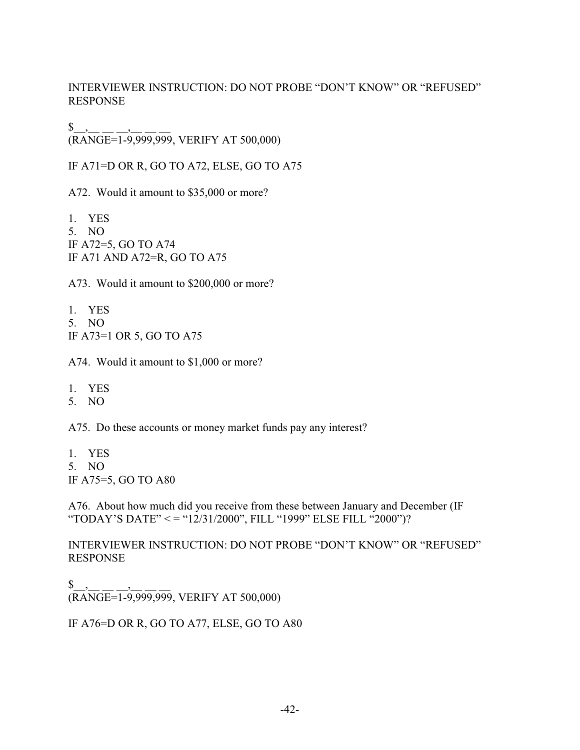INTERVIEWER INSTRUCTION: DO NOT PROBE "DON'T KNOW" OR "REFUSED" RESPONSE

 $\uparrow$  \_,\_  $(KANGE=1-9,999,999, VERIFY AT 500,000)$ 

IF A71=D OR R, GO TO A72, ELSE, GO TO A75

A72. Would it amount to \$35,000 or more?

1. YES 5. NO IF A72=5, GO TO A74 IF A71 AND A72=R, GO TO A75

A73. Would it amount to \$200,000 or more?

1. YES 5. NO IF A73=1 OR 5, GO TO A75

A74. Would it amount to \$1,000 or more?

1. YES

5. NO

A75. Do these accounts or money market funds pay any interest?

1. YES 5. NO IF A75=5, GO TO A80

A76. About how much did you receive from these between January and December (IF "TODAY'S DATE" < = "12/31/2000", FILL "1999" ELSE FILL "2000")?

INTERVIEWER INSTRUCTION: DO NOT PROBE "DON'T KNOW" OR "REFUSED" RESPONSE

 $\frac{1}{2}$ ,  $\frac{1}{2}$  ,  $\frac{1}{2}$  ,  $\frac{1}{2}$  ,  $\frac{1}{2}$  ,  $\frac{1}{2}$  ,  $\frac{1}{2}$ (RANGE=1-9,999,999, VERIFY AT 500,000)

IF A76=D OR R, GO TO A77, ELSE, GO TO A80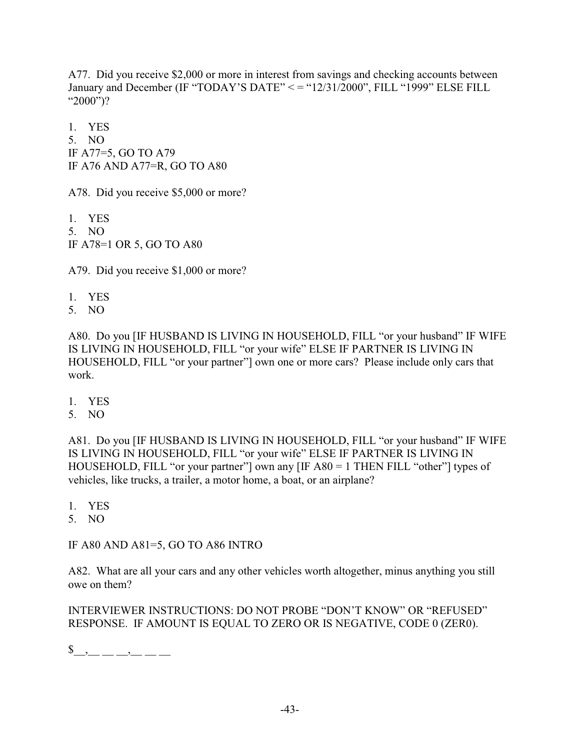A77. Did you receive \$2,000 or more in interest from savings and checking accounts between January and December (IF "TODAY'S DATE" < = "12/31/2000", FILL "1999" ELSE FILL "2000")?

1. YES 5. NO IF A77=5, GO TO A79 IF A76 AND A77=R, GO TO A80

A78. Did you receive \$5,000 or more?

1. YES 5. NO IF A78=1 OR 5, GO TO A80

A79. Did you receive \$1,000 or more?

- 1. YES
- 5. NO

A80. Do you [IF HUSBAND IS LIVING IN HOUSEHOLD, FILL "or your husband" IF WIFE IS LIVING IN HOUSEHOLD, FILL "or your wife" ELSE IF PARTNER IS LIVING IN HOUSEHOLD, FILL "or your partner"] own one or more cars? Please include only cars that work.

- 1. YES
- 5. NO

A81. Do you [IF HUSBAND IS LIVING IN HOUSEHOLD, FILL "or your husband" IF WIFE IS LIVING IN HOUSEHOLD, FILL "or your wife" ELSE IF PARTNER IS LIVING IN HOUSEHOLD, FILL "or your partner"] own any [IF A80 = 1 THEN FILL "other"] types of vehicles, like trucks, a trailer, a motor home, a boat, or an airplane?

- 1. YES
- 5. NO

IF A80 AND A81=5, GO TO A86 INTRO

A82. What are all your cars and any other vehicles worth altogether, minus anything you still owe on them?

INTERVIEWER INSTRUCTIONS: DO NOT PROBE "DON'T KNOW" OR "REFUSED" RESPONSE. IF AMOUNT IS EQUAL TO ZERO OR IS NEGATIVE, CODE 0 (ZER0).

 $\frac{1}{2}$ , \_ \_ \_ , \_ \_ \_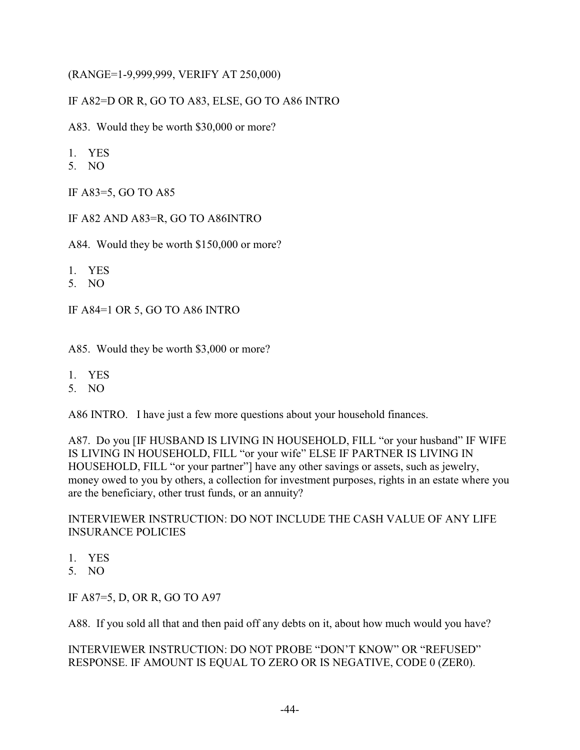### (RANGE=1-9,999,999, VERIFY AT 250,000)

# IF A82=D OR R, GO TO A83, ELSE, GO TO A86 INTRO

A83. Would they be worth \$30,000 or more?

- 1. YES
- 5. NO

IF A83=5, GO TO A85

IF A82 AND A83=R, GO TO A86INTRO

A84. Would they be worth \$150,000 or more?

- 1. YES
- 5. NO

IF A84=1 OR 5, GO TO A86 INTRO

A85. Would they be worth \$3,000 or more?

- 1. YES
- 5. NO

A86 INTRO. I have just a few more questions about your household finances.

A87. Do you [IF HUSBAND IS LIVING IN HOUSEHOLD, FILL "or your husband" IF WIFE IS LIVING IN HOUSEHOLD, FILL "or your wife" ELSE IF PARTNER IS LIVING IN HOUSEHOLD, FILL "or your partner"] have any other savings or assets, such as jewelry, money owed to you by others, a collection for investment purposes, rights in an estate where you are the beneficiary, other trust funds, or an annuity?

INTERVIEWER INSTRUCTION: DO NOT INCLUDE THE CASH VALUE OF ANY LIFE INSURANCE POLICIES

- 1. YES
- 5. NO

IF A87=5, D, OR R, GO TO A97

A88. If you sold all that and then paid off any debts on it, about how much would you have?

INTERVIEWER INSTRUCTION: DO NOT PROBE "DON'T KNOW" OR "REFUSED" RESPONSE. IF AMOUNT IS EQUAL TO ZERO OR IS NEGATIVE, CODE 0 (ZER0).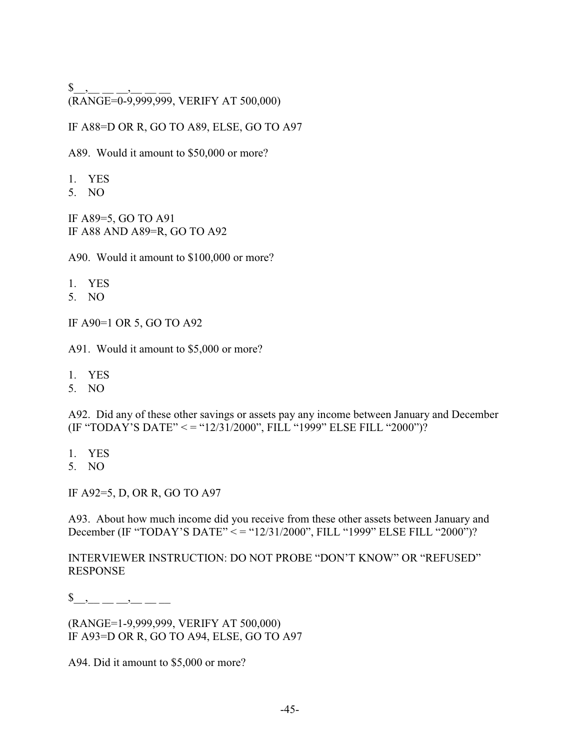${\$\_\_,\_\_\_\_\_\_\_\_},$ (RANGE=0-9,999,999, VERIFY AT 500,000)

IF A88=D OR R, GO TO A89, ELSE, GO TO A97

A89. Would it amount to \$50,000 or more?

- 1. YES
- 5. NO

IF A89=5, GO TO A91 IF A88 AND A89=R, GO TO A92

A90. Would it amount to \$100,000 or more?

- 1. YES
- 5. NO

IF A90=1 OR 5, GO TO A92

A91. Would it amount to \$5,000 or more?

- 1. YES
- 5. NO

A92. Did any of these other savings or assets pay any income between January and December (IF "TODAY'S DATE" < = "12/31/2000", FILL "1999" ELSE FILL "2000")?

- 1. YES
- 5. NO

IF A92=5, D, OR R, GO TO A97

A93. About how much income did you receive from these other assets between January and December (IF "TODAY'S DATE" < = "12/31/2000", FILL "1999" ELSE FILL "2000")?

INTERVIEWER INSTRUCTION: DO NOT PROBE "DON'T KNOW" OR "REFUSED" RESPONSE

\$\_\_,\_\_ \_\_ \_\_,\_\_ \_\_ \_\_

(RANGE=1-9,999,999, VERIFY AT 500,000) IF A93=D OR R, GO TO A94, ELSE, GO TO A97

A94. Did it amount to \$5,000 or more?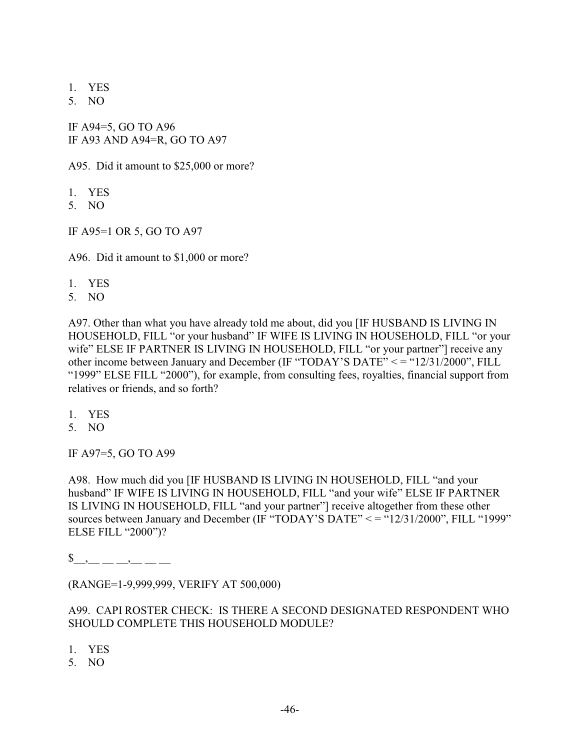- 1. YES
- 5. NO

IF A94=5, GO TO A96 IF A93 AND A94=R, GO TO A97

A95. Did it amount to \$25,000 or more?

- 1. YES
- 5. NO
- IF A95=1 OR 5, GO TO A97

A96. Did it amount to \$1,000 or more?

- 1. YES
- 5. NO

A97. Other than what you have already told me about, did you [IF HUSBAND IS LIVING IN HOUSEHOLD, FILL "or your husband" IF WIFE IS LIVING IN HOUSEHOLD, FILL "or your wife" ELSE IF PARTNER IS LIVING IN HOUSEHOLD, FILL "or your partner"] receive any other income between January and December (IF "TODAY'S DATE" < = "12/31/2000", FILL "1999" ELSE FILL "2000"), for example, from consulting fees, royalties, financial support from relatives or friends, and so forth?

- 1. YES
- 5. NO

IF A97=5, GO TO A99

A98. How much did you [IF HUSBAND IS LIVING IN HOUSEHOLD, FILL "and your husband" IF WIFE IS LIVING IN HOUSEHOLD, FILL "and your wife" ELSE IF PARTNER IS LIVING IN HOUSEHOLD, FILL "and your partner"] receive altogether from these other sources between January and December (IF "TODAY'S DATE" < = "12/31/2000", FILL "1999" ELSE FILL "2000")?

 $\$\quad ,\quad \_ \ ,\_ \_ \$ 

(RANGE=1-9,999,999, VERIFY AT 500,000)

A99. CAPI ROSTER CHECK: IS THERE A SECOND DESIGNATED RESPONDENT WHO SHOULD COMPLETE THIS HOUSEHOLD MODULE?

- 1. YES
- 5. NO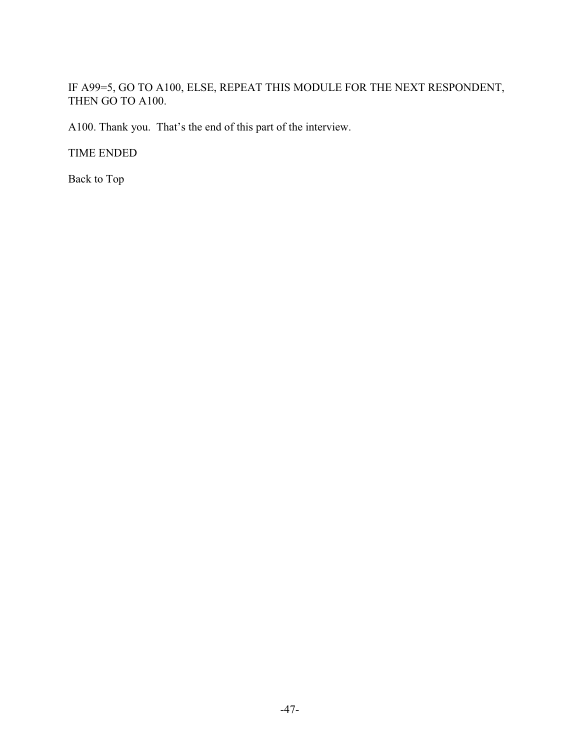# IF A99=5, GO TO A100, ELSE, REPEAT THIS MODULE FOR THE NEXT RESPONDENT, THEN GO TO A100.

A100. Thank you. That's the end of this part of the interview.

TIME ENDED

Back to Top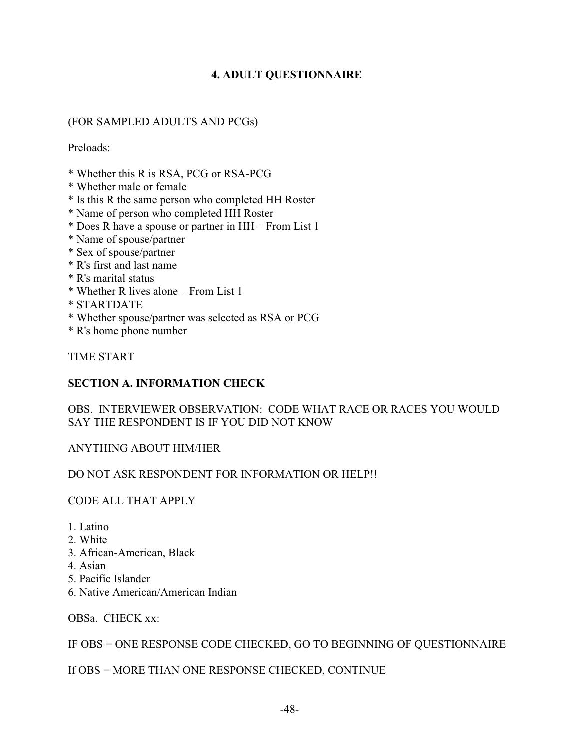## **4. ADULT QUESTIONNAIRE**

## (FOR SAMPLED ADULTS AND PCGs)

Preloads:

- \* Whether this R is RSA, PCG or RSA-PCG
- \* Whether male or female
- \* Is this R the same person who completed HH Roster
- \* Name of person who completed HH Roster
- \* Does R have a spouse or partner in HH From List 1
- \* Name of spouse/partner
- \* Sex of spouse/partner
- \* R's first and last name
- \* R's marital status
- \* Whether R lives alone From List 1
- \* STARTDATE
- \* Whether spouse/partner was selected as RSA or PCG
- \* R's home phone number

TIME START

### **SECTION A. INFORMATION CHECK**

OBS. INTERVIEWER OBSERVATION: CODE WHAT RACE OR RACES YOU WOULD SAY THE RESPONDENT IS IF YOU DID NOT KNOW

### ANYTHING ABOUT HIM/HER

### DO NOT ASK RESPONDENT FOR INFORMATION OR HELP!!

#### CODE ALL THAT APPLY

- 1. Latino
- 2. White
- 3. African-American, Black
- 4. Asian
- 5. Pacific Islander
- 6. Native American/American Indian

OBSa. CHECK xx:

### IF OBS = ONE RESPONSE CODE CHECKED, GO TO BEGINNING OF QUESTIONNAIRE

### If OBS = MORE THAN ONE RESPONSE CHECKED, CONTINUE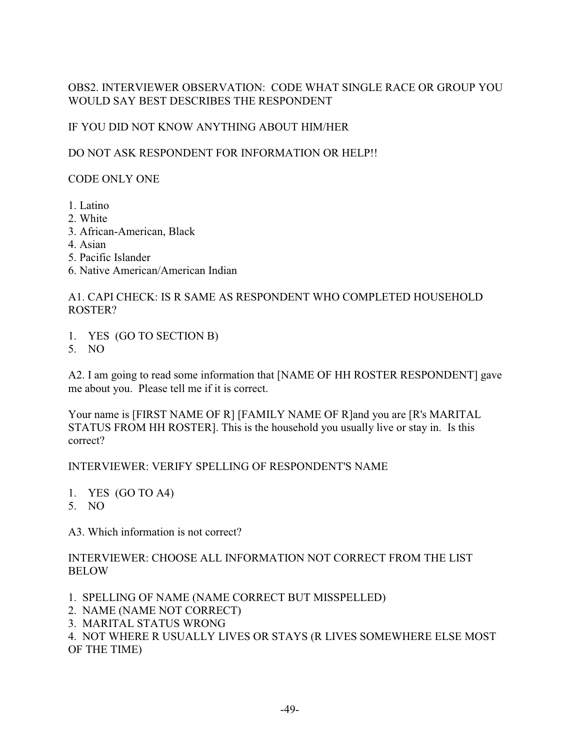## OBS2. INTERVIEWER OBSERVATION: CODE WHAT SINGLE RACE OR GROUP YOU WOULD SAY BEST DESCRIBES THE RESPONDENT

### IF YOU DID NOT KNOW ANYTHING ABOUT HIM/HER

### DO NOT ASK RESPONDENT FOR INFORMATION OR HELP!!

# CODE ONLY ONE

- 1. Latino
- 2. White
- 3. African-American, Black
- 4. Asian
- 5. Pacific Islander
- 6. Native American/American Indian

# A1. CAPI CHECK: IS R SAME AS RESPONDENT WHO COMPLETED HOUSEHOLD ROSTER?

- 1. YES (GO TO SECTION B)
- 5. NO

A2. I am going to read some information that [NAME OF HH ROSTER RESPONDENT] gave me about you. Please tell me if it is correct.

Your name is [FIRST NAME OF R] [FAMILY NAME OF R]and you are [R's MARITAL STATUS FROM HH ROSTER]. This is the household you usually live or stay in. Is this correct?

### INTERVIEWER: VERIFY SPELLING OF RESPONDENT'S NAME

- 1. YES (GO TO A4)
- 5. NO

A3. Which information is not correct?

### INTERVIEWER: CHOOSE ALL INFORMATION NOT CORRECT FROM THE LIST BELOW

- 1. SPELLING OF NAME (NAME CORRECT BUT MISSPELLED)
- 2. NAME (NAME NOT CORRECT)
- 3. MARITAL STATUS WRONG

4. NOT WHERE R USUALLY LIVES OR STAYS (R LIVES SOMEWHERE ELSE MOST OF THE TIME)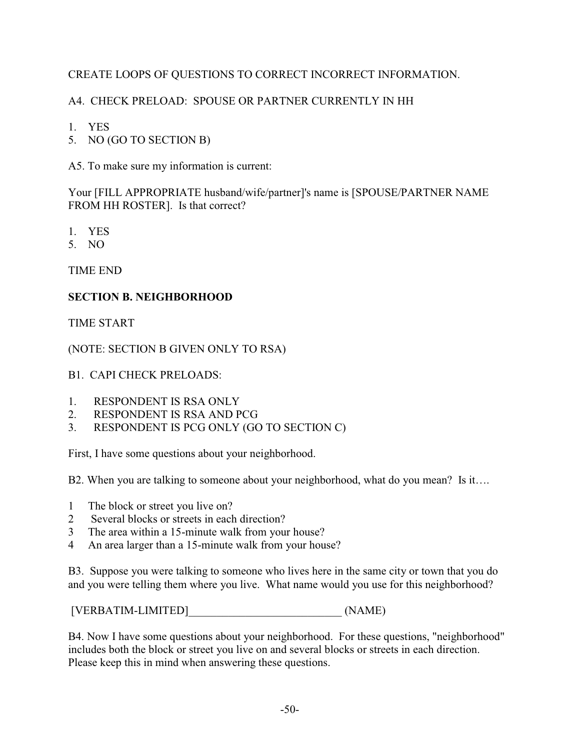# CREATE LOOPS OF QUESTIONS TO CORRECT INCORRECT INFORMATION.

# A4. CHECK PRELOAD: SPOUSE OR PARTNER CURRENTLY IN HH

5. NO (GO TO SECTION B)

A5. To make sure my information is current:

Your [FILL APPROPRIATE husband/wife/partner]'s name is [SPOUSE/PARTNER NAME FROM HH ROSTER]. Is that correct?

- 1. YES
- 5. NO

TIME END

### **SECTION B. NEIGHBORHOOD**

TIME START

(NOTE: SECTION B GIVEN ONLY TO RSA)

#### B1. CAPI CHECK PRELOADS:

- 1. RESPONDENT IS RSA ONLY
- 2. RESPONDENT IS RSA AND PCG
- 3. RESPONDENT IS PCG ONLY (GO TO SECTION C)

First, I have some questions about your neighborhood.

B2. When you are talking to someone about your neighborhood, what do you mean? Is it….

- 1 The block or street you live on?
- 2 Several blocks or streets in each direction?
- 3 The area within a 15-minute walk from your house?
- 4 An area larger than a 15-minute walk from your house?

B3. Suppose you were talking to someone who lives here in the same city or town that you do and you were telling them where you live. What name would you use for this neighborhood?

[VERBATIM-LIMITED]\_\_\_\_\_\_\_\_\_\_\_\_\_\_\_\_\_\_\_\_\_\_\_\_\_\_\_ (NAME)

B4. Now I have some questions about your neighborhood. For these questions, "neighborhood" includes both the block or street you live on and several blocks or streets in each direction. Please keep this in mind when answering these questions.

<sup>1.</sup> YES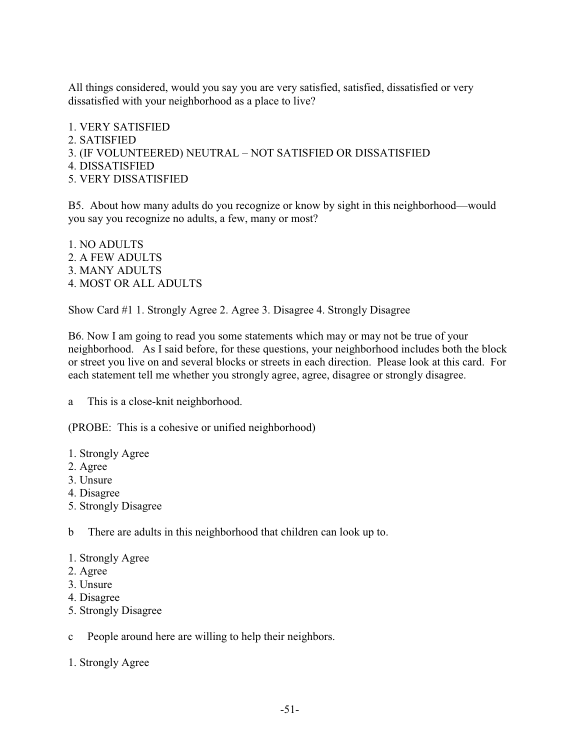All things considered, would you say you are very satisfied, satisfied, dissatisfied or very dissatisfied with your neighborhood as a place to live?

1. VERY SATISFIED 2. SATISFIED 3. (IF VOLUNTEERED) NEUTRAL – NOT SATISFIED OR DISSATISFIED 4. DISSATISFIED 5. VERY DISSATISFIED

B5. About how many adults do you recognize or know by sight in this neighborhood—would you say you recognize no adults, a few, many or most?

1. NO ADULTS 2. A FEW ADULTS 3. MANY ADULTS 4. MOST OR ALL ADULTS

Show Card #1 1. Strongly Agree 2. Agree 3. Disagree 4. Strongly Disagree

B6. Now I am going to read you some statements which may or may not be true of your neighborhood. As I said before, for these questions, your neighborhood includes both the block or street you live on and several blocks or streets in each direction. Please look at this card. For each statement tell me whether you strongly agree, agree, disagree or strongly disagree.

a This is a close-knit neighborhood.

(PROBE: This is a cohesive or unified neighborhood)

- 1. Strongly Agree
- 2. Agree
- 3. Unsure
- 4. Disagree
- 5. Strongly Disagree

b There are adults in this neighborhood that children can look up to.

- 1. Strongly Agree
- 2. Agree
- 3. Unsure
- 4. Disagree
- 5. Strongly Disagree

c People around here are willing to help their neighbors.

1. Strongly Agree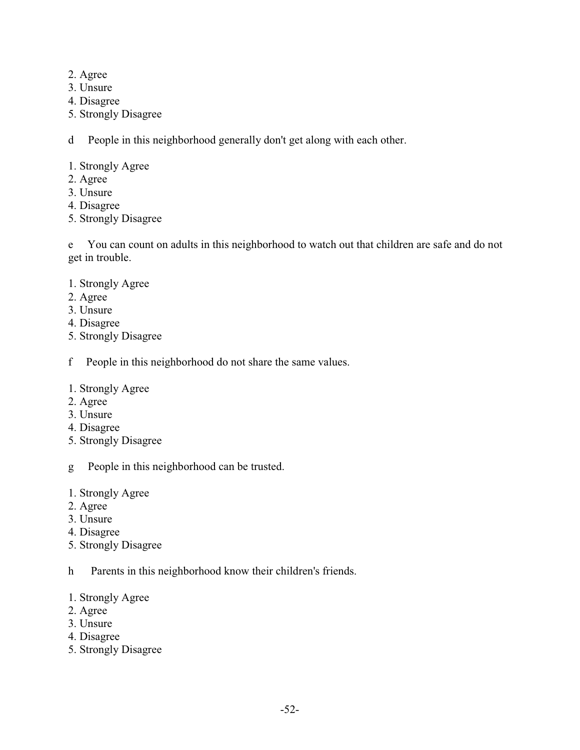- 2. Agree
- 3. Unsure
- 4. Disagree
- 5. Strongly Disagree

d People in this neighborhood generally don't get along with each other.

- 1. Strongly Agree
- 2. Agree
- 3. Unsure
- 4. Disagree
- 5. Strongly Disagree

e You can count on adults in this neighborhood to watch out that children are safe and do not get in trouble.

- 1. Strongly Agree
- 2. Agree
- 3. Unsure
- 4. Disagree
- 5. Strongly Disagree
- f People in this neighborhood do not share the same values.
- 1. Strongly Agree
- 2. Agree
- 3. Unsure
- 4. Disagree
- 5. Strongly Disagree
- g People in this neighborhood can be trusted.
- 1. Strongly Agree
- 2. Agree
- 3. Unsure
- 4. Disagree
- 5. Strongly Disagree
- h Parents in this neighborhood know their children's friends.
- 1. Strongly Agree
- 2. Agree
- 3. Unsure
- 4. Disagree
- 5. Strongly Disagree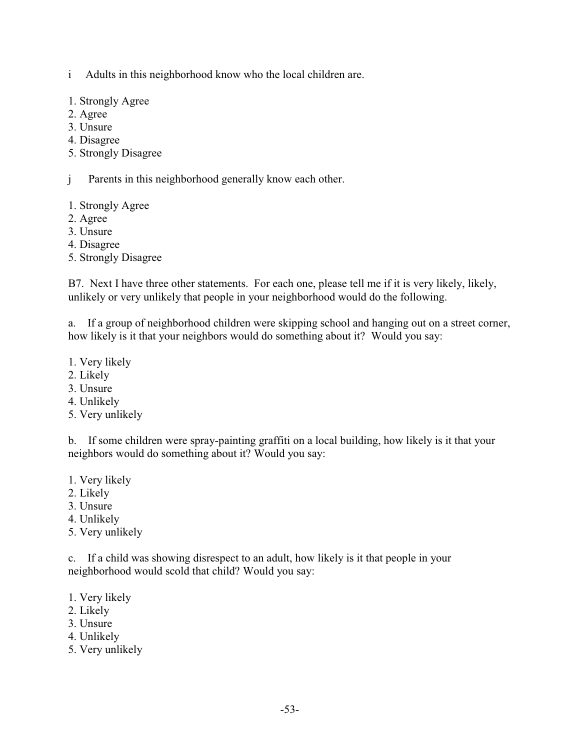i Adults in this neighborhood know who the local children are.

- 1. Strongly Agree
- 2. Agree
- 3. Unsure
- 4. Disagree
- 5. Strongly Disagree

j Parents in this neighborhood generally know each other.

- 1. Strongly Agree
- 2. Agree
- 3. Unsure
- 4. Disagree
- 5. Strongly Disagree

B7. Next I have three other statements. For each one, please tell me if it is very likely, likely, unlikely or very unlikely that people in your neighborhood would do the following.

a. If a group of neighborhood children were skipping school and hanging out on a street corner, how likely is it that your neighbors would do something about it? Would you say:

- 1. Very likely
- 2. Likely
- 3. Unsure
- 4. Unlikely
- 5. Very unlikely

b. If some children were spray-painting graffiti on a local building, how likely is it that your neighbors would do something about it? Would you say:

- 1. Very likely
- 2. Likely
- 3. Unsure
- 4. Unlikely
- 5. Very unlikely

c. If a child was showing disrespect to an adult, how likely is it that people in your neighborhood would scold that child? Would you say:

- 1. Very likely
- 2. Likely
- 3. Unsure
- 4. Unlikely
- 5. Very unlikely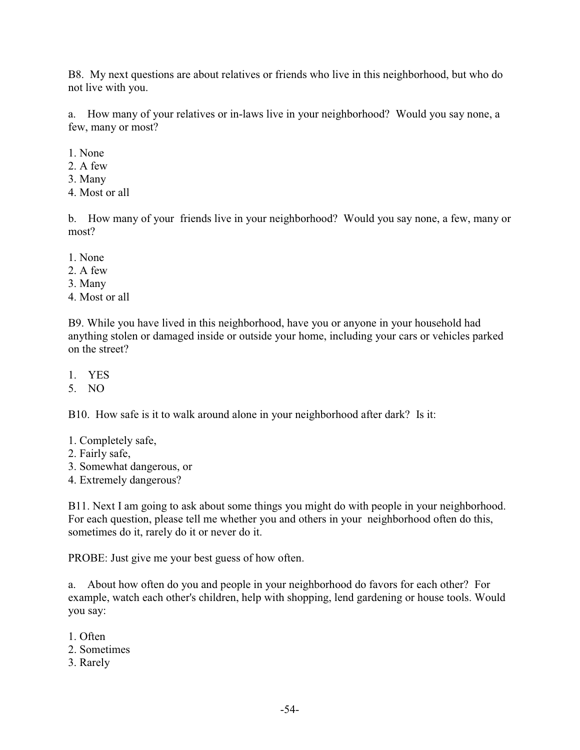B8. My next questions are about relatives or friends who live in this neighborhood, but who do not live with you.

a. How many of your relatives or in-laws live in your neighborhood? Would you say none, a few, many or most?

- 1. None
- 2. A few
- 3. Many
- 4. Most or all

b. How many of your friends live in your neighborhood? Would you say none, a few, many or most?

- 1. None
- 2. A few
- 3. Many
- 4. Most or all

B9. While you have lived in this neighborhood, have you or anyone in your household had anything stolen or damaged inside or outside your home, including your cars or vehicles parked on the street?

- 1. YES
- 5. NO

B10. How safe is it to walk around alone in your neighborhood after dark? Is it:

- 1. Completely safe,
- 2. Fairly safe,
- 3. Somewhat dangerous, or
- 4. Extremely dangerous?

B11. Next I am going to ask about some things you might do with people in your neighborhood. For each question, please tell me whether you and others in your neighborhood often do this, sometimes do it, rarely do it or never do it.

PROBE: Just give me your best guess of how often.

a. About how often do you and people in your neighborhood do favors for each other? For example, watch each other's children, help with shopping, lend gardening or house tools. Would you say:

- 1. Often
- 2. Sometimes
- 3. Rarely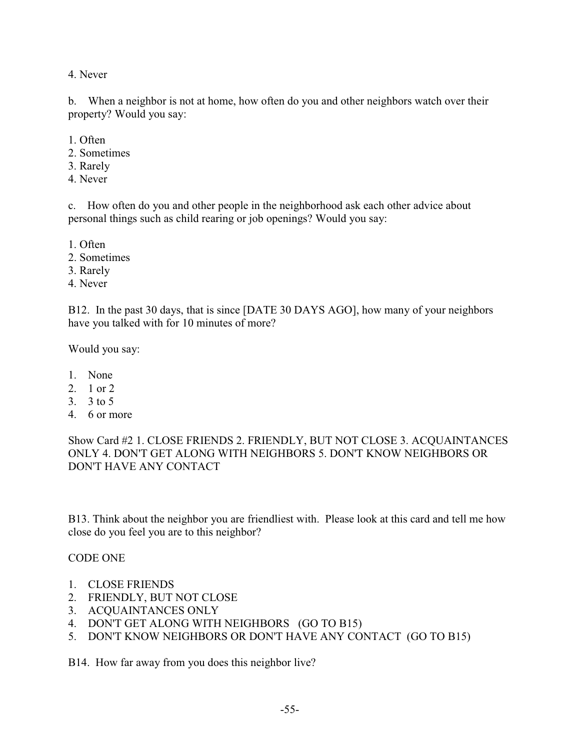4. Never

b. When a neighbor is not at home, how often do you and other neighbors watch over their property? Would you say:

- 1. Often
- 2. Sometimes
- 3. Rarely
- 4. Never

c. How often do you and other people in the neighborhood ask each other advice about personal things such as child rearing or job openings? Would you say:

1. Often

- 2. Sometimes
- 3. Rarely
- 4. Never

B12. In the past 30 days, that is since [DATE 30 DAYS AGO], how many of your neighbors have you talked with for 10 minutes of more?

Would you say:

- 1. None
- 2. 1 or 2
- 3. 3 to 5
- 4. 6 or more

Show Card #2 1. CLOSE FRIENDS 2. FRIENDLY, BUT NOT CLOSE 3. ACQUAINTANCES ONLY 4. DON'T GET ALONG WITH NEIGHBORS 5. DON'T KNOW NEIGHBORS OR DON'T HAVE ANY CONTACT

B13. Think about the neighbor you are friendliest with. Please look at this card and tell me how close do you feel you are to this neighbor?

#### CODE ONE

- 1. CLOSE FRIENDS
- 2. FRIENDLY, BUT NOT CLOSE
- 3. ACQUAINTANCES ONLY
- 4. DON'T GET ALONG WITH NEIGHBORS (GO TO B15)
- 5. DON'T KNOW NEIGHBORS OR DON'T HAVE ANY CONTACT (GO TO B15)

B14. How far away from you does this neighbor live?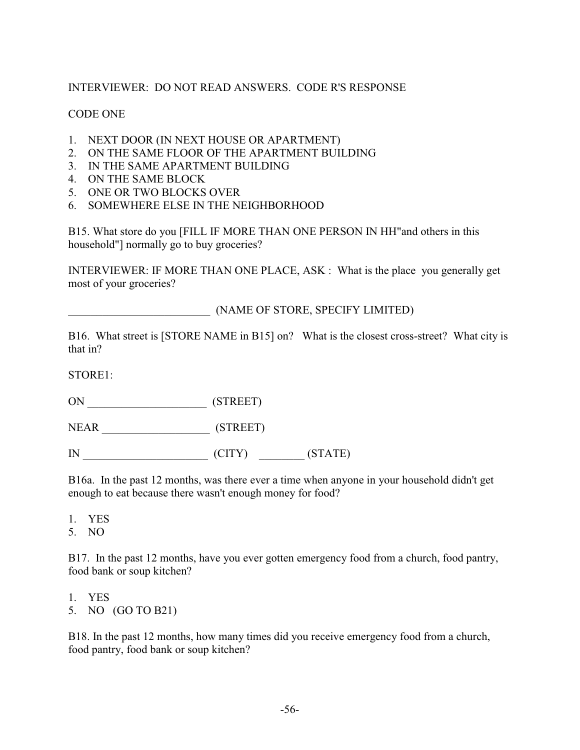## INTERVIEWER: DO NOT READ ANSWERS. CODE R'S RESPONSE

### CODE ONE

- 1. NEXT DOOR (IN NEXT HOUSE OR APARTMENT)
- 2. ON THE SAME FLOOR OF THE APARTMENT BUILDING
- 3. IN THE SAME APARTMENT BUILDING
- 4. ON THE SAME BLOCK
- 5. ONE OR TWO BLOCKS OVER
- 6. SOMEWHERE ELSE IN THE NEIGHBORHOOD

B15. What store do you [FILL IF MORE THAN ONE PERSON IN HH"and others in this household"] normally go to buy groceries?

INTERVIEWER: IF MORE THAN ONE PLACE, ASK : What is the place you generally get most of your groceries?

\_\_\_\_\_\_\_\_\_\_\_\_\_\_\_\_\_\_\_\_\_\_\_\_\_ (NAME OF STORE, SPECIFY LIMITED)

B16. What street is [STORE NAME in B15] on? What is the closest cross-street? What city is that in?

STORE1:

ON \_\_\_\_\_\_\_\_\_\_\_\_\_\_\_\_\_\_\_\_\_ (STREET)

NEAR \_\_\_\_\_\_\_\_\_\_\_\_\_\_\_\_\_\_\_ (STREET)

IN  $(CITY)$   $(STATE)$ 

B16a. In the past 12 months, was there ever a time when anyone in your household didn't get enough to eat because there wasn't enough money for food?

1. YES

5. NO

B17. In the past 12 months, have you ever gotten emergency food from a church, food pantry, food bank or soup kitchen?

1. YES 5. NO (GO TO B21)

B18. In the past 12 months, how many times did you receive emergency food from a church, food pantry, food bank or soup kitchen?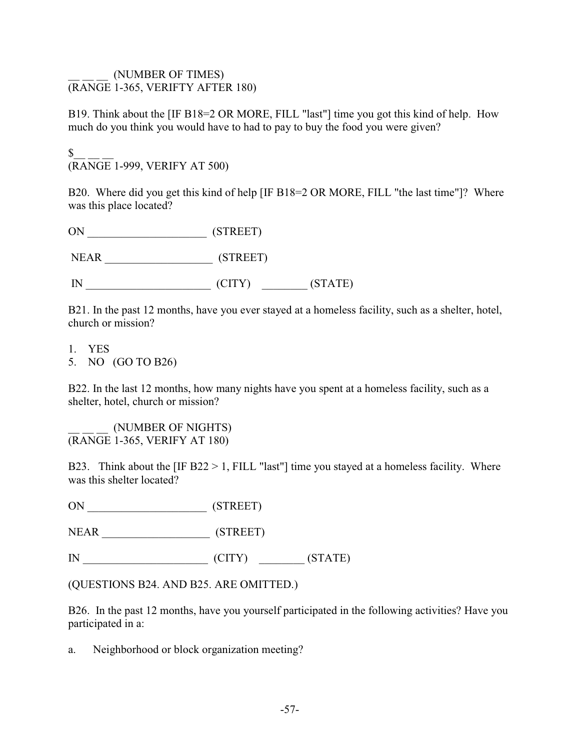#### \_\_ \_\_ \_\_ (NUMBER OF TIMES) (RANGE 1-365, VERIFTY AFTER 180)

B19. Think about the [IF B18=2 OR MORE, FILL "last"] time you got this kind of help. How much do you think you would have to had to pay to buy the food you were given?

 $S_{-}$ (RANGE 1-999, VERIFY AT 500)

B20. Where did you get this kind of help [IF B18=2 OR MORE, FILL "the last time"]? Where was this place located?

| ON          | (STREET) |         |
|-------------|----------|---------|
| <b>NEAR</b> | (STREET) |         |
|             | (CITY)   | (STATE) |

B21. In the past 12 months, have you ever stayed at a homeless facility, such as a shelter, hotel, church or mission?

- 1. YES
- 5. NO (GO TO B26)

B22. In the last 12 months, how many nights have you spent at a homeless facility, such as a shelter, hotel, church or mission?

\_\_ \_\_ \_\_ (NUMBER OF NIGHTS) (RANGE 1-365, VERIFY AT 180)

B23. Think about the  $[IF B22 > 1, FILL "last"]$  time you stayed at a homeless facility. Where was this shelter located?

ON \_\_\_\_\_\_\_\_\_\_\_\_\_\_\_\_\_\_\_\_\_ (STREET)

NEAR \_\_\_\_\_\_\_\_\_\_\_\_\_\_\_\_\_\_\_ (STREET)

IN \_\_\_\_\_\_\_\_\_\_\_\_\_\_\_\_\_\_\_\_\_\_ (CITY) \_\_\_\_\_\_\_\_ (STATE)

(QUESTIONS B24. AND B25. ARE OMITTED.)

B26. In the past 12 months, have you yourself participated in the following activities? Have you participated in a:

a. Neighborhood or block organization meeting?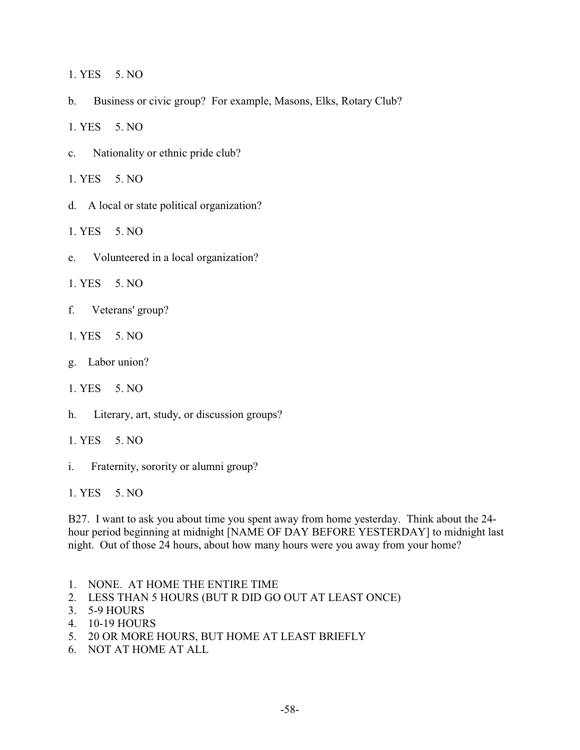1. YES 5. NO

b. Business or civic group? For example, Masons, Elks, Rotary Club?

1. YES 5. NO

c. Nationality or ethnic pride club?

1. YES 5. NO

- d. A local or state political organization?
- 1. YES 5. NO
- e. Volunteered in a local organization?
- 1. YES 5. NO
- f. Veterans' group?
- 1. YES 5. NO
- g. Labor union?
- 1. YES 5. NO
- h. Literary, art, study, or discussion groups?

1. YES 5. NO

i. Fraternity, sorority or alumni group?

1. YES 5. NO

B27. I want to ask you about time you spent away from home yesterday. Think about the 24 hour period beginning at midnight [NAME OF DAY BEFORE YESTERDAY] to midnight last night. Out of those 24 hours, about how many hours were you away from your home?

- 1. NONE. AT HOME THE ENTIRE TIME
- 2. LESS THAN 5 HOURS (BUT R DID GO OUT AT LEAST ONCE)
- 3. 5-9 HOURS
- 4. 10-19 HOURS
- 5. 20 OR MORE HOURS, BUT HOME AT LEAST BRIEFLY
- 6. NOT AT HOME AT ALL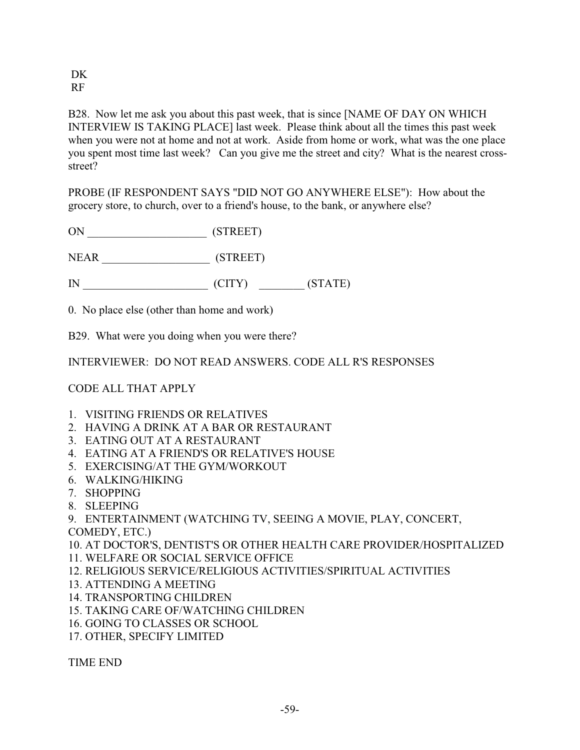DK RF

B28. Now let me ask you about this past week, that is since [NAME OF DAY ON WHICH INTERVIEW IS TAKING PLACE] last week. Please think about all the times this past week when you were not at home and not at work. Aside from home or work, what was the one place you spent most time last week? Can you give me the street and city? What is the nearest crossstreet?

PROBE (IF RESPONDENT SAYS "DID NOT GO ANYWHERE ELSE"): How about the grocery store, to church, over to a friend's house, to the bank, or anywhere else?

ON \_\_\_\_\_\_\_\_\_\_\_\_\_\_\_\_\_\_\_\_\_ (STREET)

NEAR \_\_\_\_\_\_\_\_\_\_\_\_\_\_\_\_\_\_\_ (STREET)

IN \_\_\_\_\_\_\_\_\_\_\_\_\_\_\_\_\_\_\_\_\_\_ (CITY) \_\_\_\_\_\_\_\_ (STATE)

0. No place else (other than home and work)

B29. What were you doing when you were there?

INTERVIEWER: DO NOT READ ANSWERS. CODE ALL R'S RESPONSES

### CODE ALL THAT APPLY

- 1. VISITING FRIENDS OR RELATIVES
- 2. HAVING A DRINK AT A BAR OR RESTAURANT
- 3. EATING OUT AT A RESTAURANT
- 4. EATING AT A FRIEND'S OR RELATIVE'S HOUSE
- 5. EXERCISING/AT THE GYM/WORKOUT
- 6. WALKING/HIKING
- 7. SHOPPING
- 8. SLEEPING
- 9. ENTERTAINMENT (WATCHING TV, SEEING A MOVIE, PLAY, CONCERT, COMEDY, ETC.)
- 10. AT DOCTOR'S, DENTIST'S OR OTHER HEALTH CARE PROVIDER/HOSPITALIZED
- 11. WELFARE OR SOCIAL SERVICE OFFICE
- 12. RELIGIOUS SERVICE/RELIGIOUS ACTIVITIES/SPIRITUAL ACTIVITIES
- 13. ATTENDING A MEETING
- 14. TRANSPORTING CHILDREN
- 15. TAKING CARE OF/WATCHING CHILDREN
- 16. GOING TO CLASSES OR SCHOOL
- 17. OTHER, SPECIFY LIMITED

TIME END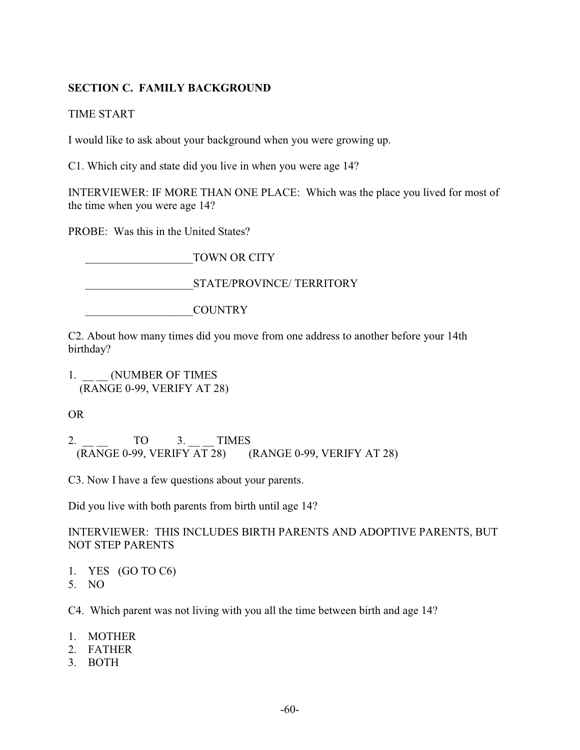## **SECTION C. FAMILY BACKGROUND**

TIME START

I would like to ask about your background when you were growing up.

C1. Which city and state did you live in when you were age 14?

INTERVIEWER: IF MORE THAN ONE PLACE: Which was the place you lived for most of the time when you were age 14?

PROBE: Was this in the United States?

TOWN OR CITY

STATE/PROVINCE/ TERRITORY

\_\_\_\_\_\_\_\_\_\_\_\_\_\_\_\_\_\_\_COUNTRY

C2. About how many times did you move from one address to another before your 14th birthday?

1. (NUMBER OF TIMES (RANGE 0-99, VERIFY AT 28)

OR

2. TO 3. TIMES (RANGE 0-99, VERIFY AT 28) (RANGE 0-99, VERIFY AT 28)

C3. Now I have a few questions about your parents.

Did you live with both parents from birth until age 14?

INTERVIEWER: THIS INCLUDES BIRTH PARENTS AND ADOPTIVE PARENTS, BUT NOT STEP PARENTS

- 1. YES (GO TO C6)
- 5. NO

C4. Which parent was not living with you all the time between birth and age 14?

- 1. MOTHER
- 2. FATHER
- 3. BOTH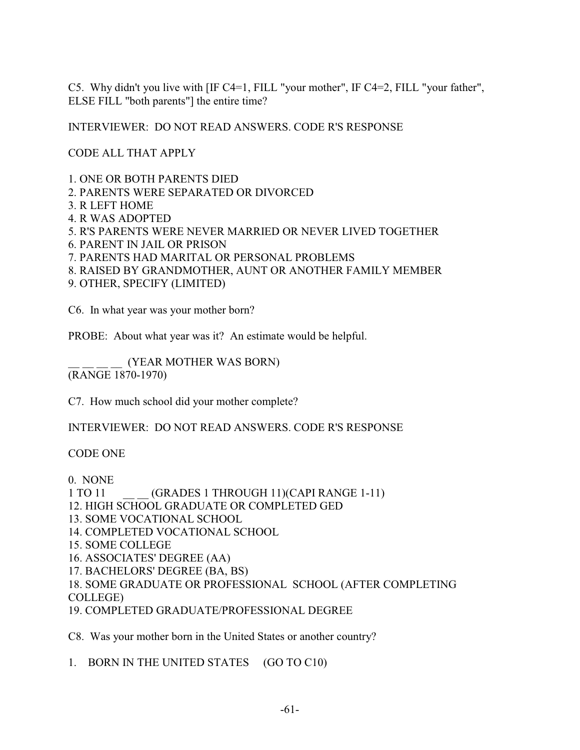C5. Why didn't you live with [IF C4=1, FILL "your mother", IF C4=2, FILL "your father", ELSE FILL "both parents"] the entire time?

INTERVIEWER: DO NOT READ ANSWERS. CODE R'S RESPONSE

CODE ALL THAT APPLY

1. ONE OR BOTH PARENTS DIED

2. PARENTS WERE SEPARATED OR DIVORCED

- 3. R LEFT HOME
- 4. R WAS ADOPTED

5. R'S PARENTS WERE NEVER MARRIED OR NEVER LIVED TOGETHER

6. PARENT IN JAIL OR PRISON

7. PARENTS HAD MARITAL OR PERSONAL PROBLEMS

8. RAISED BY GRANDMOTHER, AUNT OR ANOTHER FAMILY MEMBER

9. OTHER, SPECIFY (LIMITED)

C6. In what year was your mother born?

PROBE: About what year was it? An estimate would be helpful.

\_\_ \_\_ \_\_ \_\_ (YEAR MOTHER WAS BORN) (RANGE 1870-1970)

C7. How much school did your mother complete?

INTERVIEWER: DO NOT READ ANSWERS. CODE R'S RESPONSE

#### CODE ONE

0. NONE

1 TO 11  $(GRADES 1 THROUCH 11)(CAPIRANGE 1-11)$ 

12. HIGH SCHOOL GRADUATE OR COMPLETED GED

- 13. SOME VOCATIONAL SCHOOL
- 14. COMPLETED VOCATIONAL SCHOOL
- 15. SOME COLLEGE
- 16. ASSOCIATES' DEGREE (AA)
- 17. BACHELORS' DEGREE (BA, BS)
- 18. SOME GRADUATE OR PROFESSIONAL SCHOOL (AFTER COMPLETING COLLEGE)

19. COMPLETED GRADUATE/PROFESSIONAL DEGREE

C8. Was your mother born in the United States or another country?

1. BORN IN THE UNITED STATES (GO TO C10)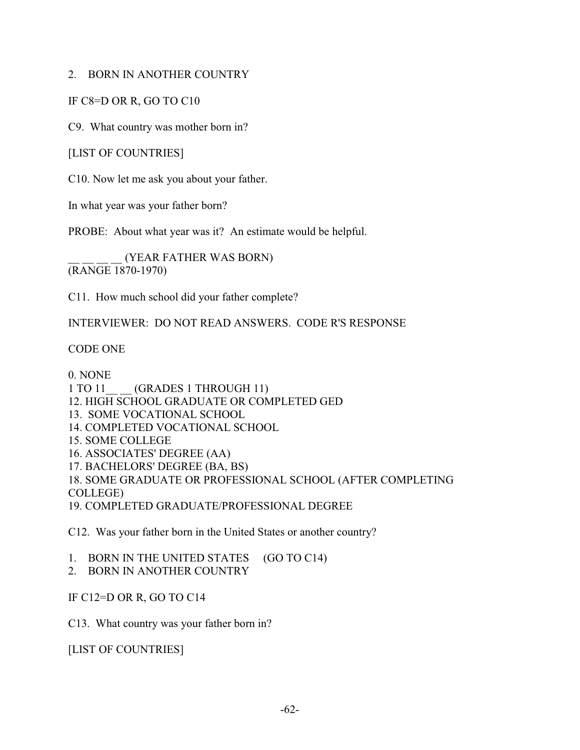#### 2. BORN IN ANOTHER COUNTRY

IF C8=D OR R, GO TO C10

C9. What country was mother born in?

[LIST OF COUNTRIES]

C10. Now let me ask you about your father.

In what year was your father born?

PROBE: About what year was it? An estimate would be helpful.

\_\_ \_\_ \_\_ \_\_ (YEAR FATHER WAS BORN) (RANGE 1870-1970)

C11. How much school did your father complete?

INTERVIEWER: DO NOT READ ANSWERS. CODE R'S RESPONSE

CODE ONE

0. NONE 1 TO 11 (GRADES 1 THROUGH 11) 12. HIGH SCHOOL GRADUATE OR COMPLETED GED 13. SOME VOCATIONAL SCHOOL 14. COMPLETED VOCATIONAL SCHOOL 15. SOME COLLEGE 16. ASSOCIATES' DEGREE (AA) 17. BACHELORS' DEGREE (BA, BS) 18. SOME GRADUATE OR PROFESSIONAL SCHOOL (AFTER COMPLETING COLLEGE) 19. COMPLETED GRADUATE/PROFESSIONAL DEGREE

C12. Was your father born in the United States or another country?

1. BORN IN THE UNITED STATES (GO TO C14)

2. BORN IN ANOTHER COUNTRY

IF C12=D OR R, GO TO C14

C13. What country was your father born in?

[LIST OF COUNTRIES]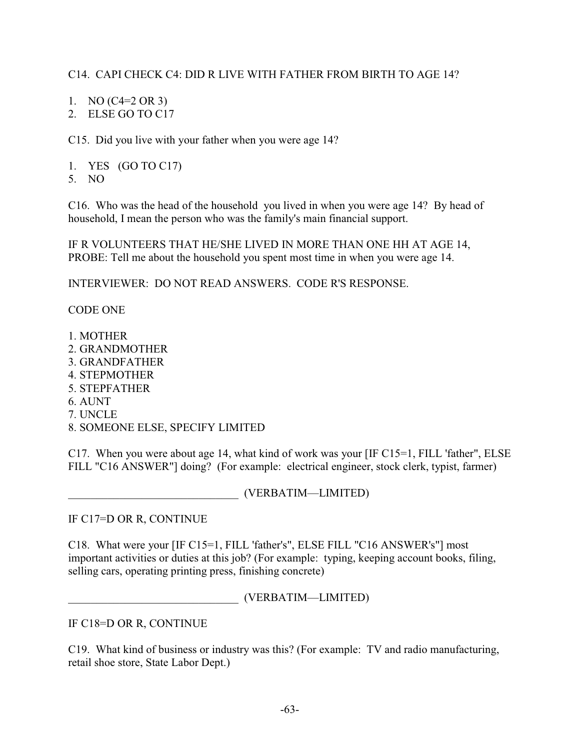## C14. CAPI CHECK C4: DID R LIVE WITH FATHER FROM BIRTH TO AGE 14?

- 1. NO (C4=2 OR 3)
- 2. ELSE GO TO C17

C15. Did you live with your father when you were age 14?

- 1. YES (GO TO C17)
- 5. NO

C16. Who was the head of the household you lived in when you were age 14? By head of household, I mean the person who was the family's main financial support.

IF R VOLUNTEERS THAT HE/SHE LIVED IN MORE THAN ONE HH AT AGE 14, PROBE: Tell me about the household you spent most time in when you were age 14.

INTERVIEWER: DO NOT READ ANSWERS. CODE R'S RESPONSE.

CODE ONE

- 1. MOTHER 2. GRANDMOTHER
- 3. GRANDFATHER
- 4. STEPMOTHER
- 5. STEPFATHER
- 6. AUNT
- 7. UNCLE
- 8. SOMEONE ELSE, SPECIFY LIMITED

C17. When you were about age 14, what kind of work was your [IF C15=1, FILL 'father", ELSE FILL "C16 ANSWER"] doing? (For example: electrical engineer, stock clerk, typist, farmer)

\_\_\_\_\_\_\_\_\_\_\_\_\_\_\_\_\_\_\_\_\_\_\_\_\_\_\_\_\_\_ (VERBATIM—LIMITED)

IF C17=D OR R, CONTINUE

C18. What were your [IF C15=1, FILL 'father's", ELSE FILL "C16 ANSWER's"] most important activities or duties at this job? (For example: typing, keeping account books, filing, selling cars, operating printing press, finishing concrete)

\_\_\_\_\_\_\_\_\_\_\_\_\_\_\_\_\_\_\_\_\_\_\_\_\_\_\_\_\_\_ (VERBATIM—LIMITED)

IF C18=D OR R, CONTINUE

C19. What kind of business or industry was this? (For example: TV and radio manufacturing, retail shoe store, State Labor Dept.)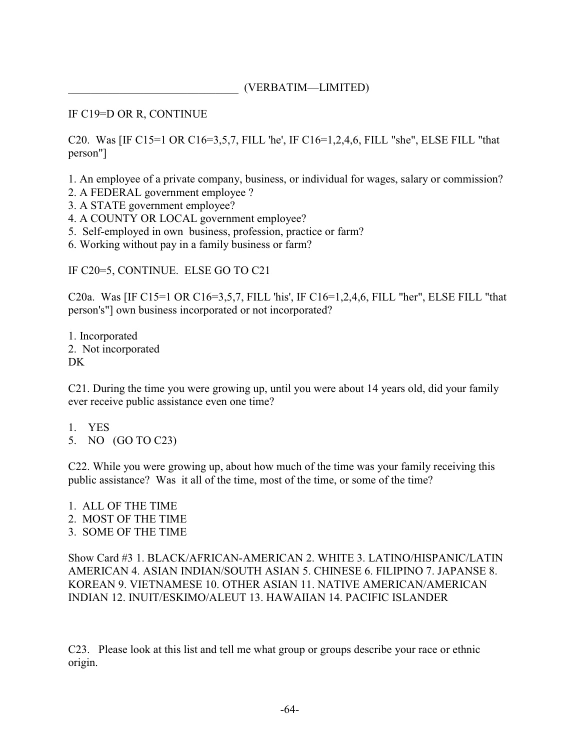#### \_\_\_\_\_\_\_\_\_\_\_\_\_\_\_\_\_\_\_\_\_\_\_\_\_\_\_\_\_\_ (VERBATIM—LIMITED)

IF C19=D OR R, CONTINUE

C20. Was [IF C15=1 OR C16=3,5,7, FILL 'he', IF C16=1,2,4,6, FILL "she", ELSE FILL "that person"]

1. An employee of a private company, business, or individual for wages, salary or commission?

- 2. A FEDERAL government employee ?
- 3. A STATE government employee?
- 4. A COUNTY OR LOCAL government employee?
- 5. Self-employed in own business, profession, practice or farm?
- 6. Working without pay in a family business or farm?

IF C20=5, CONTINUE. ELSE GO TO C21

C20a. Was [IF C15=1 OR C16=3,5,7, FILL 'his', IF C16=1,2,4,6, FILL "her", ELSE FILL "that person's"] own business incorporated or not incorporated?

1. Incorporated 2. Not incorporated D<sub>K</sub>

C21. During the time you were growing up, until you were about 14 years old, did your family ever receive public assistance even one time?

- 1. YES
- 5. NO (GO TO C23)

C22. While you were growing up, about how much of the time was your family receiving this public assistance? Was it all of the time, most of the time, or some of the time?

- 1. ALL OF THE TIME
- 2. MOST OF THE TIME
- 3. SOME OF THE TIME

Show Card #3 1. BLACK/AFRICAN-AMERICAN 2. WHITE 3. LATINO/HISPANIC/LATIN AMERICAN 4. ASIAN INDIAN/SOUTH ASIAN 5. CHINESE 6. FILIPINO 7. JAPANSE 8. KOREAN 9. VIETNAMESE 10. OTHER ASIAN 11. NATIVE AMERICAN/AMERICAN INDIAN 12. INUIT/ESKIMO/ALEUT 13. HAWAIIAN 14. PACIFIC ISLANDER

C23. Please look at this list and tell me what group or groups describe your race or ethnic origin.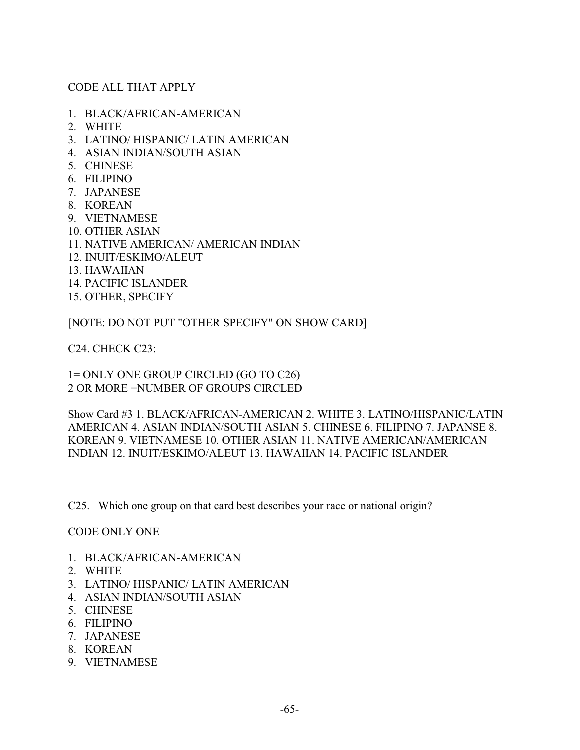#### CODE ALL THAT APPLY

- 1. BLACK/AFRICAN-AMERICAN
- 2. WHITE
- 3. LATINO/ HISPANIC/ LATIN AMERICAN
- 4. ASIAN INDIAN/SOUTH ASIAN
- 5. CHINESE
- 6. FILIPINO
- 7. JAPANESE
- 8. KOREAN
- 9. VIETNAMESE
- 10. OTHER ASIAN
- 11. NATIVE AMERICAN/ AMERICAN INDIAN
- 12. INUIT/ESKIMO/ALEUT
- 13. HAWAIIAN
- 14. PACIFIC ISLANDER
- 15. OTHER, SPECIFY

[NOTE: DO NOT PUT "OTHER SPECIFY" ON SHOW CARD]

C24. CHECK C23:

1= ONLY ONE GROUP CIRCLED (GO TO C26) 2 OR MORE =NUMBER OF GROUPS CIRCLED

Show Card #3 1. BLACK/AFRICAN-AMERICAN 2. WHITE 3. LATINO/HISPANIC/LATIN AMERICAN 4. ASIAN INDIAN/SOUTH ASIAN 5. CHINESE 6. FILIPINO 7. JAPANSE 8. KOREAN 9. VIETNAMESE 10. OTHER ASIAN 11. NATIVE AMERICAN/AMERICAN INDIAN 12. INUIT/ESKIMO/ALEUT 13. HAWAIIAN 14. PACIFIC ISLANDER

C25. Which one group on that card best describes your race or national origin?

CODE ONLY ONE

- 1. BLACK/AFRICAN-AMERICAN
- 2. WHITE
- 3. LATINO/ HISPANIC/ LATIN AMERICAN
- 4. ASIAN INDIAN/SOUTH ASIAN
- 5. CHINESE
- 6. FILIPINO
- 7. JAPANESE
- 8. KOREAN
- 9. VIETNAMESE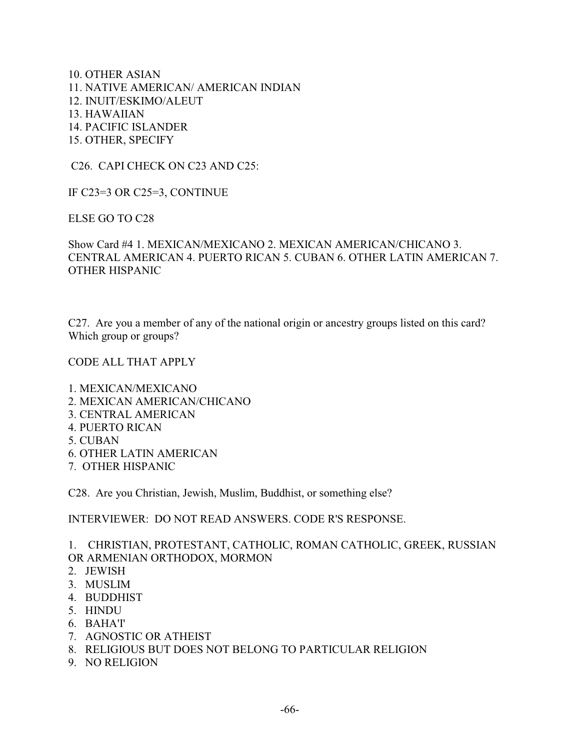10. OTHER ASIAN 11. NATIVE AMERICAN/ AMERICAN INDIAN 12. INUIT/ESKIMO/ALEUT 13. HAWAIIAN 14. PACIFIC ISLANDER 15. OTHER, SPECIFY

C26. CAPI CHECK ON C23 AND C25:

IF C23=3 OR C25=3, CONTINUE

ELSE GO TO C28

Show Card #4 1. MEXICAN/MEXICANO 2. MEXICAN AMERICAN/CHICANO 3. CENTRAL AMERICAN 4. PUERTO RICAN 5. CUBAN 6. OTHER LATIN AMERICAN 7. OTHER HISPANIC

C27. Are you a member of any of the national origin or ancestry groups listed on this card? Which group or groups?

CODE ALL THAT APPLY

1. MEXICAN/MEXICANO 2. MEXICAN AMERICAN/CHICANO 3. CENTRAL AMERICAN 4. PUERTO RICAN 5. CUBAN 6. OTHER LATIN AMERICAN 7. OTHER HISPANIC

C28. Are you Christian, Jewish, Muslim, Buddhist, or something else?

INTERVIEWER: DO NOT READ ANSWERS. CODE R'S RESPONSE.

1. CHRISTIAN, PROTESTANT, CATHOLIC, ROMAN CATHOLIC, GREEK, RUSSIAN OR ARMENIAN ORTHODOX, MORMON

- 2. JEWISH
- 3. MUSLIM
- 4. BUDDHIST
- 5. HINDU
- 6. BAHA'I'
- 7. AGNOSTIC OR ATHEIST
- 8. RELIGIOUS BUT DOES NOT BELONG TO PARTICULAR RELIGION
- 9. NO RELIGION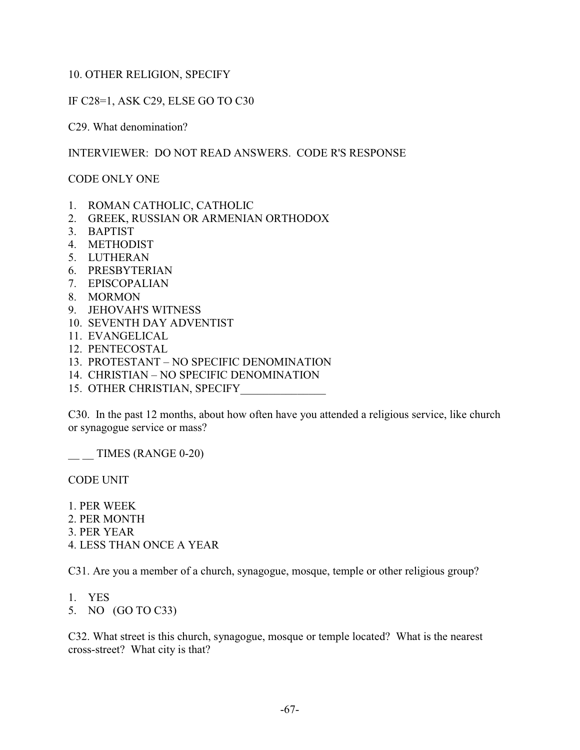### 10. OTHER RELIGION, SPECIFY

IF C28=1, ASK C29, ELSE GO TO C30

C29. What denomination?

INTERVIEWER: DO NOT READ ANSWERS. CODE R'S RESPONSE

CODE ONLY ONE

- 1. ROMAN CATHOLIC, CATHOLIC
- 2. GREEK, RUSSIAN OR ARMENIAN ORTHODOX
- 3. BAPTIST
- 4. METHODIST
- 5. LUTHERAN
- 6. PRESBYTERIAN
- 7. EPISCOPALIAN
- 8. MORMON
- 9. JEHOVAH'S WITNESS
- 10. SEVENTH DAY ADVENTIST
- 11. EVANGELICAL
- 12. PENTECOSTAL
- 13. PROTESTANT NO SPECIFIC DENOMINATION
- 14. CHRISTIAN NO SPECIFIC DENOMINATION
- 15. OTHER CHRISTIAN, SPECIFY

C30. In the past 12 months, about how often have you attended a religious service, like church or synagogue service or mass?

 $\frac{1}{2}$  TIMES (RANGE 0-20)

CODE UNIT

1. PER WEEK

- 2. PER MONTH
- 3. PER YEAR
- 4. LESS THAN ONCE A YEAR

C31. Are you a member of a church, synagogue, mosque, temple or other religious group?

- 1. YES
- 5. NO (GO TO C33)

C32. What street is this church, synagogue, mosque or temple located? What is the nearest cross-street? What city is that?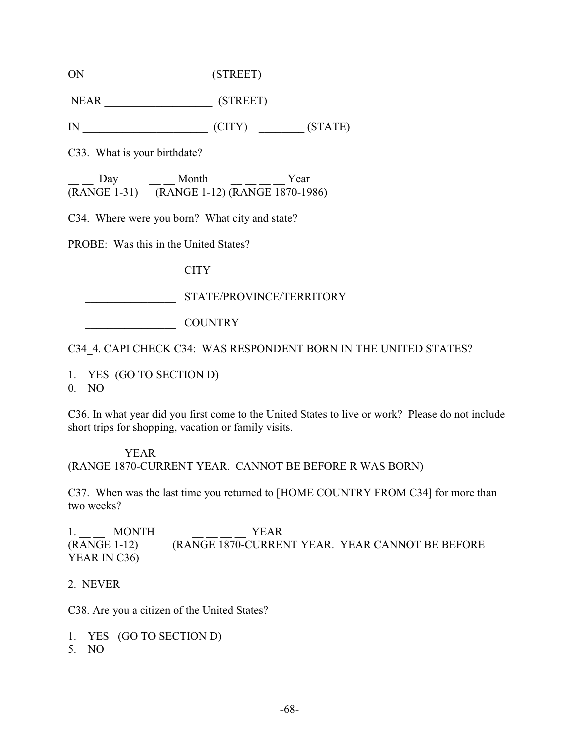| ΟN<br>(STREET) |
|----------------|
|----------------|

NEAR \_\_\_\_\_\_\_\_\_\_\_\_\_\_\_\_\_\_\_ (STREET)

IN CITY (CITY) (STATE)

C33. What is your birthdate?

Day Month Year (RANGE 1-31) (RANGE 1-12) (RANGE 1870-1986)

C34. Where were you born? What city and state?

PROBE: Was this in the United States?

 $CITY$ 

\_\_\_\_\_\_\_\_\_\_\_\_\_\_\_\_ STATE/PROVINCE/TERRITORY

\_\_\_\_\_\_\_\_\_\_\_\_\_\_\_\_ COUNTRY

C34\_4. CAPI CHECK C34: WAS RESPONDENT BORN IN THE UNITED STATES?

1. YES (GO TO SECTION D)

0. NO

C36. In what year did you first come to the United States to live or work? Please do not include short trips for shopping, vacation or family visits.

YEAR (RANGE 1870-CURRENT YEAR. CANNOT BE BEFORE R WAS BORN)

C37. When was the last time you returned to [HOME COUNTRY FROM C34] for more than two weeks?

1. MONTH YEAR (RANGE 1-12) (RANGE 1870-CURRENT YEAR. YEAR CANNOT BE BEFORE YEAR IN C36)

2. NEVER

C38. Are you a citizen of the United States?

- 1. YES (GO TO SECTION D)
- 5. NO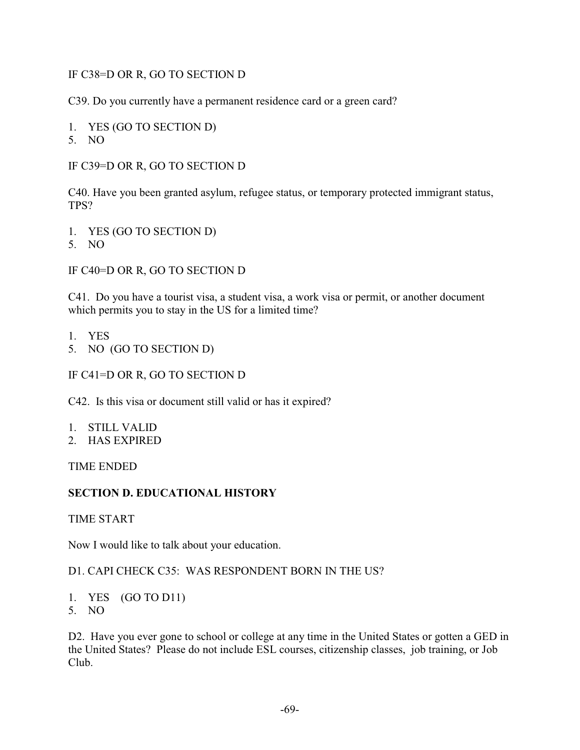## IF C38=D OR R, GO TO SECTION D

C39. Do you currently have a permanent residence card or a green card?

- 1. YES (GO TO SECTION D)
- 5. NO

IF C39=D OR R, GO TO SECTION D

C40. Have you been granted asylum, refugee status, or temporary protected immigrant status, TPS?

- 1. YES (GO TO SECTION D)
- 5. NO

IF C40=D OR R, GO TO SECTION D

C41. Do you have a tourist visa, a student visa, a work visa or permit, or another document which permits you to stay in the US for a limited time?

- 1. YES
- 5. NO (GO TO SECTION D)

IF C41=D OR R, GO TO SECTION D

C42. Is this visa or document still valid or has it expired?

- 1. STILL VALID
- 2. HAS EXPIRED

TIME ENDED

#### **SECTION D. EDUCATIONAL HISTORY**

TIME START

Now I would like to talk about your education.

#### D1. CAPI CHECK C35: WAS RESPONDENT BORN IN THE US?

- 1. YES (GO TO D11)
- 5. NO

D2. Have you ever gone to school or college at any time in the United States or gotten a GED in the United States? Please do not include ESL courses, citizenship classes, job training, or Job Club.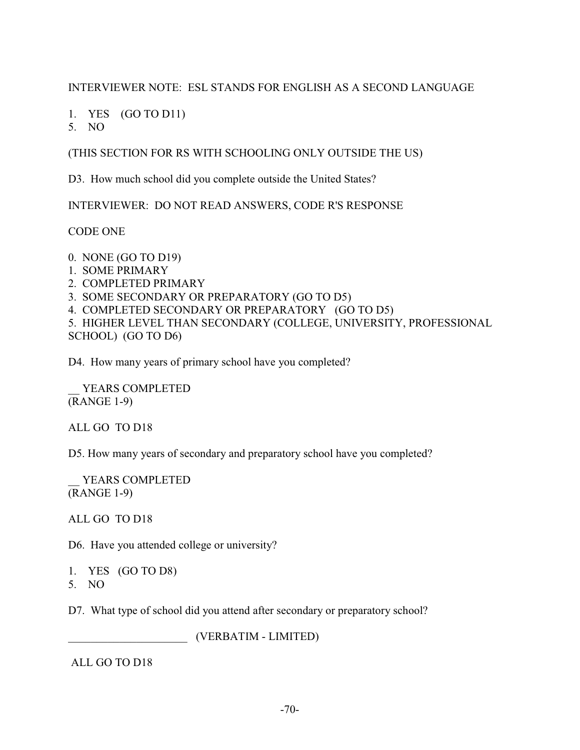## INTERVIEWER NOTE: ESL STANDS FOR ENGLISH AS A SECOND LANGUAGE

1. YES (GO TO D11)

5. NO

(THIS SECTION FOR RS WITH SCHOOLING ONLY OUTSIDE THE US)

D3. How much school did you complete outside the United States?

INTERVIEWER: DO NOT READ ANSWERS, CODE R'S RESPONSE

CODE ONE

0. NONE (GO TO D19)

- 1. SOME PRIMARY
- 2. COMPLETED PRIMARY
- 3. SOME SECONDARY OR PREPARATORY (GO TO D5)
- 4. COMPLETED SECONDARY OR PREPARATORY (GO TO D5)

5. HIGHER LEVEL THAN SECONDARY (COLLEGE, UNIVERSITY, PROFESSIONAL SCHOOL) (GO TO D6)

D4. How many years of primary school have you completed?

YEARS COMPLETED (RANGE 1-9)

ALL GO TO D18

D5. How many years of secondary and preparatory school have you completed?

YEARS COMPLETED (RANGE 1-9)

ALL GO TO D18

D6. Have you attended college or university?

1. YES (GO TO D8)

5. NO

D7. What type of school did you attend after secondary or preparatory school?

\_\_\_\_\_\_\_\_\_\_\_\_\_\_\_\_\_\_\_\_\_ (VERBATIM - LIMITED)

ALL GO TO D18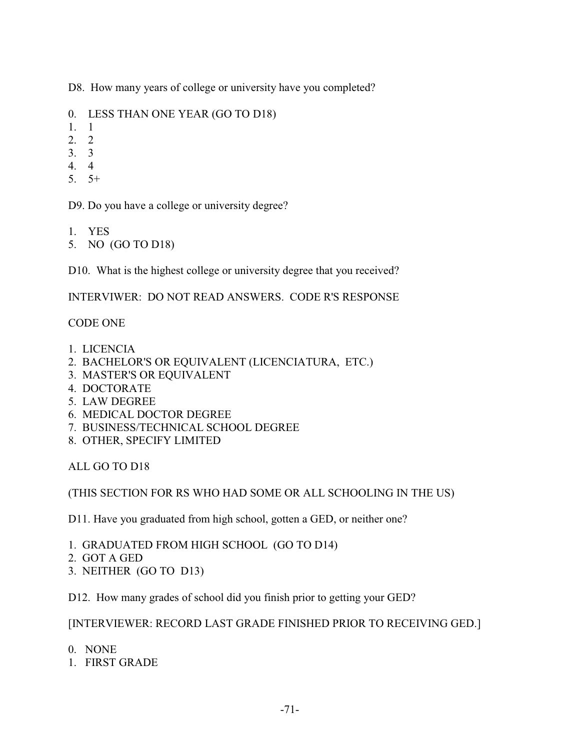D8. How many years of college or university have you completed?

- 0. LESS THAN ONE YEAR (GO TO D18)
- 1. 1
- 2. 2
- 3. 3
- 4. 4
- 5. 5+

D9. Do you have a college or university degree?

- 1. YES
- 5. NO (GO TO D18)

D10. What is the highest college or university degree that you received?

INTERVIWER: DO NOT READ ANSWERS. CODE R'S RESPONSE

# CODE ONE

- 1. LICENCIA
- 2. BACHELOR'S OR EQUIVALENT (LICENCIATURA, ETC.)
- 3. MASTER'S OR EQUIVALENT
- 4. DOCTORATE
- 5. LAW DEGREE
- 6. MEDICAL DOCTOR DEGREE
- 7. BUSINESS/TECHNICAL SCHOOL DEGREE
- 8. OTHER, SPECIFY LIMITED

ALL GO TO D18

(THIS SECTION FOR RS WHO HAD SOME OR ALL SCHOOLING IN THE US)

D11. Have you graduated from high school, gotten a GED, or neither one?

- 1. GRADUATED FROM HIGH SCHOOL (GO TO D14)
- 2. GOT A GED
- 3. NEITHER (GO TO D13)

D12. How many grades of school did you finish prior to getting your GED?

[INTERVIEWER: RECORD LAST GRADE FINISHED PRIOR TO RECEIVING GED.]

- 0. NONE
- 1. FIRST GRADE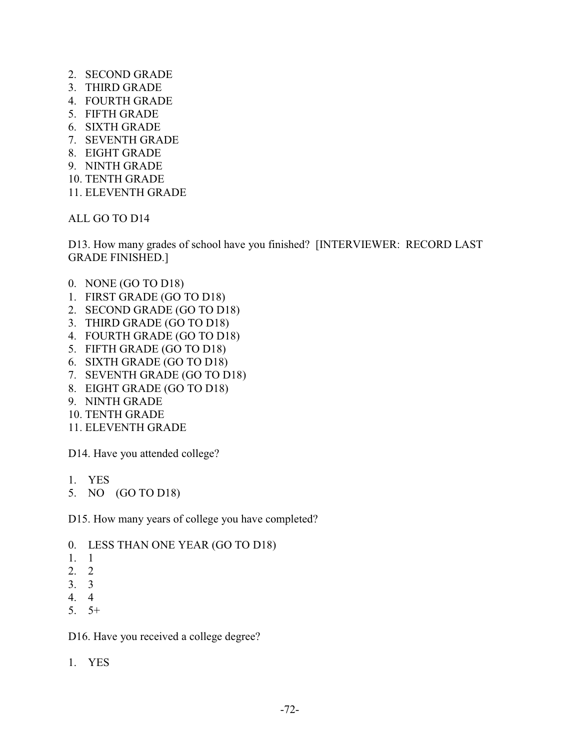- 2. SECOND GRADE
- 3. THIRD GRADE
- 4. FOURTH GRADE
- 5. FIFTH GRADE
- 6. SIXTH GRADE
- 7. SEVENTH GRADE
- 8. EIGHT GRADE
- 9. NINTH GRADE
- 10. TENTH GRADE
- 11. ELEVENTH GRADE

ALL GO TO D14

D13. How many grades of school have you finished? [INTERVIEWER: RECORD LAST GRADE FINISHED.]

- 0. NONE (GO TO D18)
- 1. FIRST GRADE (GO TO D18)
- 2. SECOND GRADE (GO TO D18)
- 3. THIRD GRADE (GO TO D18)
- 4. FOURTH GRADE (GO TO D18)
- 5. FIFTH GRADE (GO TO D18)
- 6. SIXTH GRADE (GO TO D18)
- 7. SEVENTH GRADE (GO TO D18)
- 8. EIGHT GRADE (GO TO D18)
- 9. NINTH GRADE
- 10. TENTH GRADE
- 11. ELEVENTH GRADE

D14. Have you attended college?

- 1. YES
- 5. NO (GO TO D18)

D15. How many years of college you have completed?

- 0. LESS THAN ONE YEAR (GO TO D18)
- 1. 1
- 2. 2
- 3. 3
- 4. 4
- 5. 5+

D16. Have you received a college degree?

1. YES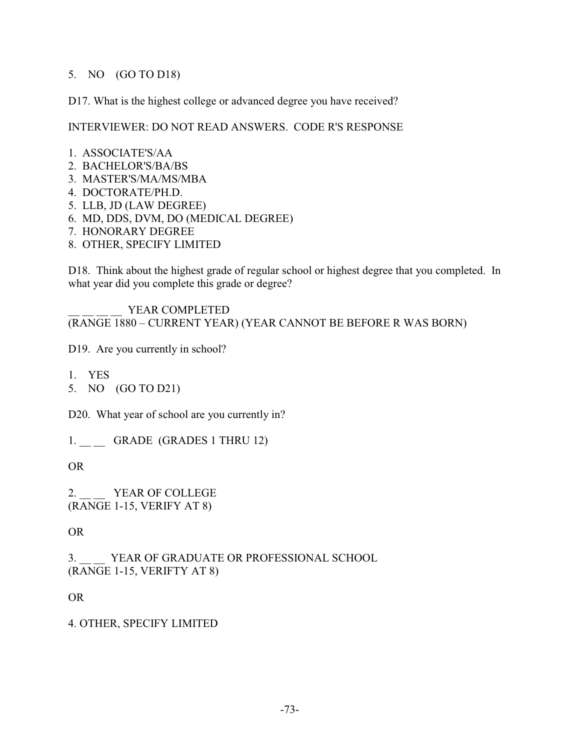## 5. NO (GO TO D18)

D17. What is the highest college or advanced degree you have received?

INTERVIEWER: DO NOT READ ANSWERS. CODE R'S RESPONSE

- 1. ASSOCIATE'S/AA
- 2. BACHELOR'S/BA/BS
- 3. MASTER'S/MA/MS/MBA
- 4. DOCTORATE/PH.D.
- 5. LLB, JD (LAW DEGREE)
- 6. MD, DDS, DVM, DO (MEDICAL DEGREE)
- 7. HONORARY DEGREE
- 8. OTHER, SPECIFY LIMITED

D18. Think about the highest grade of regular school or highest degree that you completed. In what year did you complete this grade or degree?

YEAR COMPLETED (RANGE 1880 – CURRENT YEAR) (YEAR CANNOT BE BEFORE R WAS BORN)

D19. Are you currently in school?

- 1. YES
- 5. NO (GO TO D21)

D20. What year of school are you currently in?

1. GRADE (GRADES 1 THRU 12)

OR

2. YEAR OF COLLEGE (RANGE 1-15, VERIFY AT 8)

OR

3. YEAR OF GRADUATE OR PROFESSIONAL SCHOOL (RANGE 1-15, VERIFTY AT 8)

OR

4. OTHER, SPECIFY LIMITED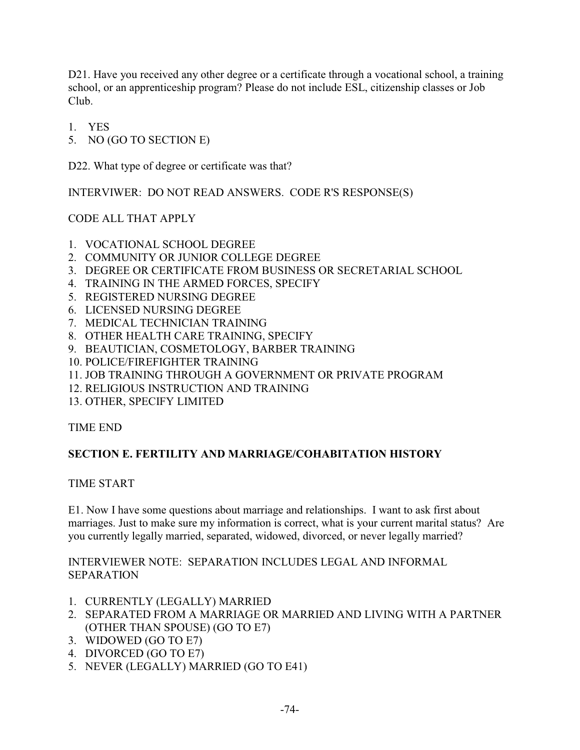D21. Have you received any other degree or a certificate through a vocational school, a training school, or an apprenticeship program? Please do not include ESL, citizenship classes or Job Club.

- 1. YES
- 5. NO (GO TO SECTION E)

D22. What type of degree or certificate was that?

INTERVIWER: DO NOT READ ANSWERS. CODE R'S RESPONSE(S)

CODE ALL THAT APPLY

- 1. VOCATIONAL SCHOOL DEGREE
- 2. COMMUNITY OR JUNIOR COLLEGE DEGREE
- 3. DEGREE OR CERTIFICATE FROM BUSINESS OR SECRETARIAL SCHOOL
- 4. TRAINING IN THE ARMED FORCES, SPECIFY
- 5. REGISTERED NURSING DEGREE
- 6. LICENSED NURSING DEGREE
- 7. MEDICAL TECHNICIAN TRAINING
- 8. OTHER HEALTH CARE TRAINING, SPECIFY
- 9. BEAUTICIAN, COSMETOLOGY, BARBER TRAINING
- 10. POLICE/FIREFIGHTER TRAINING
- 11. JOB TRAINING THROUGH A GOVERNMENT OR PRIVATE PROGRAM
- 12. RELIGIOUS INSTRUCTION AND TRAINING
- 13. OTHER, SPECIFY LIMITED

#### TIME END

## **SECTION E. FERTILITY AND MARRIAGE/COHABITATION HISTORY**

#### TIME START

E1. Now I have some questions about marriage and relationships. I want to ask first about marriages. Just to make sure my information is correct, what is your current marital status? Are you currently legally married, separated, widowed, divorced, or never legally married?

INTERVIEWER NOTE: SEPARATION INCLUDES LEGAL AND INFORMAL SEPARATION

- 1. CURRENTLY (LEGALLY) MARRIED
- 2. SEPARATED FROM A MARRIAGE OR MARRIED AND LIVING WITH A PARTNER (OTHER THAN SPOUSE) (GO TO E7)
- 3. WIDOWED (GO TO E7)
- 4. DIVORCED (GO TO E7)
- 5. NEVER (LEGALLY) MARRIED (GO TO E41)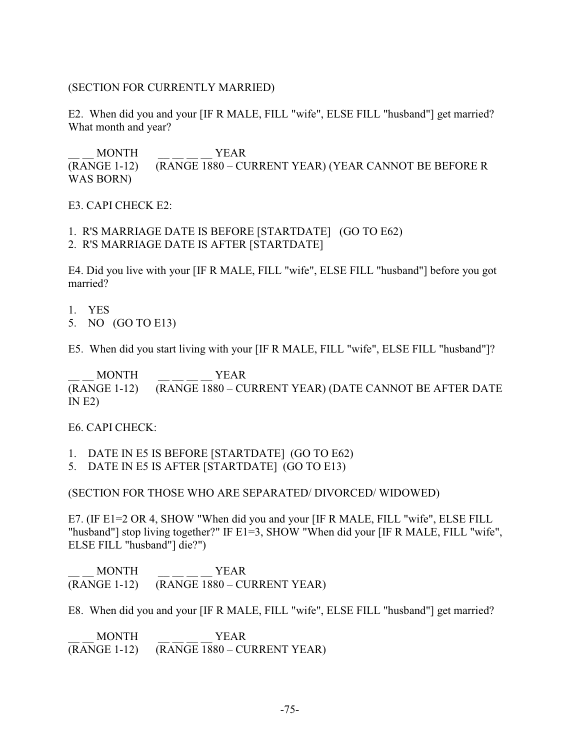### (SECTION FOR CURRENTLY MARRIED)

E2. When did you and your [IF R MALE, FILL "wife", ELSE FILL "husband"] get married? What month and year?

\_\_ \_\_ MONTH \_\_ \_\_ \_\_ \_\_ YEAR (RANGE 1-12) (RANGE 1880 – CURRENT YEAR) (YEAR CANNOT BE BEFORE R WAS BORN)

E3. CAPI CHECK E2:

1. R'S MARRIAGE DATE IS BEFORE [STARTDATE] (GO TO E62)

2. R'S MARRIAGE DATE IS AFTER [STARTDATE]

E4. Did you live with your [IF R MALE, FILL "wife", ELSE FILL "husband"] before you got married?

1. YES

5. NO (GO TO E13)

E5. When did you start living with your [IF R MALE, FILL "wife", ELSE FILL "husband"]?

MONTH YEAR (RANGE 1-12) (RANGE 1880 – CURRENT YEAR) (DATE CANNOT BE AFTER DATE  $IN E2$ 

E6. CAPI CHECK:

1. DATE IN E5 IS BEFORE [STARTDATE] (GO TO E62)

5. DATE IN E5 IS AFTER [STARTDATE] (GO TO E13)

(SECTION FOR THOSE WHO ARE SEPARATED/ DIVORCED/ WIDOWED)

E7. (IF E1=2 OR 4, SHOW "When did you and your [IF R MALE, FILL "wife", ELSE FILL "husband"] stop living together?" IF E1=3, SHOW "When did your [IF R MALE, FILL "wife", ELSE FILL "husband"] die?")

MONTH YEAR (RANGE 1-12) (RANGE 1880 – CURRENT YEAR)

E8. When did you and your [IF R MALE, FILL "wife", ELSE FILL "husband"] get married?

MONTH YEAR (RANGE 1-12) (RANGE 1880 – CURRENT YEAR)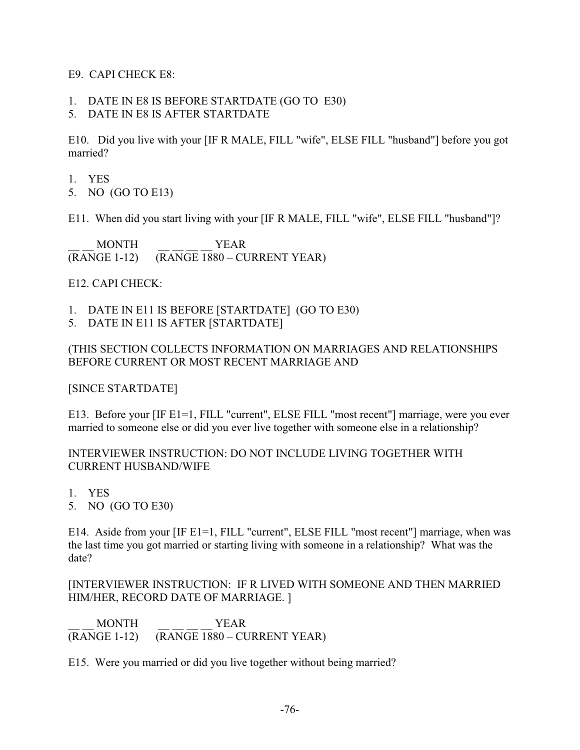E9. CAPI CHECK E8:

- 1. DATE IN E8 IS BEFORE STARTDATE (GO TO E30)
- 5. DATE IN E8 IS AFTER STARTDATE

E10. Did you live with your [IF R MALE, FILL "wife", ELSE FILL "husband"] before you got married?

- 1. YES
- 5. NO (GO TO E13)

E11. When did you start living with your [IF R MALE, FILL "wife", ELSE FILL "husband"]?

MONTH YEAR (RANGE 1-12) (RANGE 1880 – CURRENT YEAR)

E12. CAPI CHECK:

- 1. DATE IN E11 IS BEFORE [STARTDATE] (GO TO E30)
- 5. DATE IN E11 IS AFTER [STARTDATE]

## (THIS SECTION COLLECTS INFORMATION ON MARRIAGES AND RELATIONSHIPS BEFORE CURRENT OR MOST RECENT MARRIAGE AND

[SINCE STARTDATE]

E13. Before your [IF E1=1, FILL "current", ELSE FILL "most recent"] marriage, were you ever married to someone else or did you ever live together with someone else in a relationship?

INTERVIEWER INSTRUCTION: DO NOT INCLUDE LIVING TOGETHER WITH CURRENT HUSBAND/WIFE

- 1. YES
- 5. NO (GO TO E30)

E14. Aside from your [IF E1=1, FILL "current", ELSE FILL "most recent"] marriage, when was the last time you got married or starting living with someone in a relationship? What was the date?

[INTERVIEWER INSTRUCTION: IF R LIVED WITH SOMEONE AND THEN MARRIED HIM/HER, RECORD DATE OF MARRIAGE. ]

\_\_ \_\_ MONTH \_\_ \_\_ \_\_ \_\_ YEAR (RANGE 1-12) (RANGE 1880 – CURRENT YEAR)

E15. Were you married or did you live together without being married?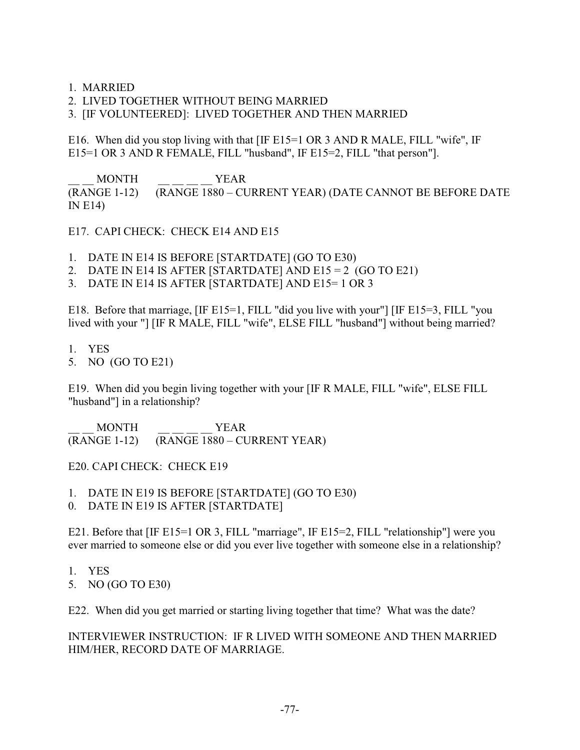1. MARRIED

2. LIVED TOGETHER WITHOUT BEING MARRIED

3. [IF VOLUNTEERED]: LIVED TOGETHER AND THEN MARRIED

E16. When did you stop living with that  $[IF E15=1 OR 3 AND R MALE, FILL "wire", IF]$ E15=1 OR 3 AND R FEMALE, FILL "husband", IF E15=2, FILL "that person"].

\_\_ \_\_ MONTH \_\_ \_\_ \_\_ \_\_ YEAR (RANGE 1-12) (RANGE 1880 – CURRENT YEAR) (DATE CANNOT BE BEFORE DATE IN E14)

E17. CAPI CHECK: CHECK E14 AND E15

1. DATE IN E14 IS BEFORE [STARTDATE] (GO TO E30)

- 2. DATE IN E14 IS AFTER [STARTDATE] AND  $E15 = 2$  (GO TO E21)
- 3. DATE IN E14 IS AFTER [STARTDATE] AND E15= 1 OR 3

E18. Before that marriage, [IF E15=1, FILL "did you live with your"] [IF E15=3, FILL "you lived with your "] [IF R MALE, FILL "wife", ELSE FILL "husband"] without being married?

- 1. YES
- 5. NO (GO TO E21)

E19. When did you begin living together with your [IF R MALE, FILL "wife", ELSE FILL "husband"] in a relationship?

\_\_ \_\_ MONTH \_\_ \_\_ \_\_ \_\_ YEAR (RANGE 1-12) (RANGE 1880 – CURRENT YEAR)

E20. CAPI CHECK: CHECK E19

1. DATE IN E19 IS BEFORE [STARTDATE] (GO TO E30)

0. DATE IN E19 IS AFTER [STARTDATE]

E21. Before that [IF E15=1 OR 3, FILL "marriage", IF E15=2, FILL "relationship"] were you ever married to someone else or did you ever live together with someone else in a relationship?

- 1. YES
- 5. NO (GO TO E30)

E22. When did you get married or starting living together that time? What was the date?

INTERVIEWER INSTRUCTION: IF R LIVED WITH SOMEONE AND THEN MARRIED HIM/HER, RECORD DATE OF MARRIAGE.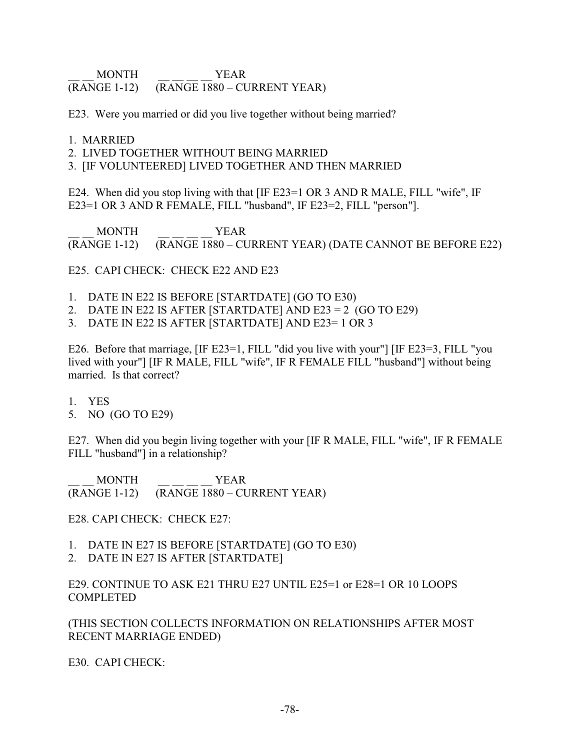\_\_ \_\_ MONTH \_\_ \_\_ \_\_ \_\_ YEAR (RANGE 1-12) (RANGE 1880 – CURRENT YEAR)

E23. Were you married or did you live together without being married?

#### 1. MARRIED

2. LIVED TOGETHER WITHOUT BEING MARRIED

3. [IF VOLUNTEERED] LIVED TOGETHER AND THEN MARRIED

E24. When did you stop living with that [IF E23=1 OR 3 AND R MALE, FILL "wife", IF E23=1 OR 3 AND R FEMALE, FILL "husband", IF E23=2, FILL "person"].

\_\_ \_\_ MONTH \_\_ \_\_ \_\_ \_\_ YEAR (RANGE 1-12) (RANGE 1880 – CURRENT YEAR) (DATE CANNOT BE BEFORE E22)

E25. CAPI CHECK: CHECK E22 AND E23

- 1. DATE IN E22 IS BEFORE [STARTDATE] (GO TO E30)
- 2. DATE IN E22 IS AFTER [STARTDATE] AND E23 = 2  $(GO TO E29)$
- 3. DATE IN E22 IS AFTER [STARTDATE] AND E23= 1 OR 3

E26. Before that marriage, [IF E23=1, FILL "did you live with your"] [IF E23=3, FILL "you lived with your"] [IF R MALE, FILL "wife", IF R FEMALE FILL "husband"] without being married. Is that correct?

- 1. YES
- 5. NO (GO TO E29)

E27. When did you begin living together with your [IF R MALE, FILL "wife", IF R FEMALE FILL "husband"] in a relationship?

\_\_ \_\_ MONTH \_\_ \_\_ \_\_ \_\_ YEAR (RANGE 1-12) (RANGE 1880 – CURRENT YEAR)

E28. CAPI CHECK: CHECK E27:

- 1. DATE IN E27 IS BEFORE [STARTDATE] (GO TO E30)
- 2. DATE IN E27 IS AFTER [STARTDATE]

E29. CONTINUE TO ASK E21 THRU E27 UNTIL E25=1 or E28=1 OR 10 LOOPS **COMPLETED** 

(THIS SECTION COLLECTS INFORMATION ON RELATIONSHIPS AFTER MOST RECENT MARRIAGE ENDED)

E30. CAPI CHECK: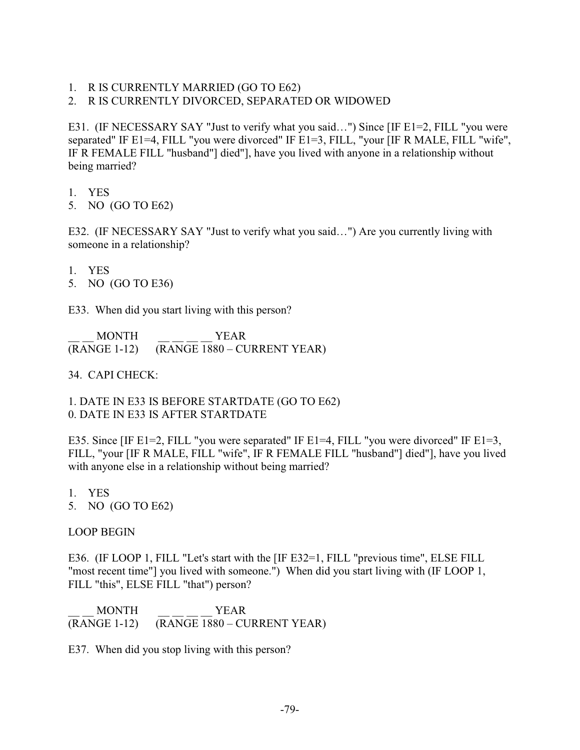1. R IS CURRENTLY MARRIED (GO TO E62)

## 2. R IS CURRENTLY DIVORCED, SEPARATED OR WIDOWED

E31. (IF NECESSARY SAY "Just to verify what you said…") Since [IF E1=2, FILL "you were separated" IF E1=4, FILL "you were divorced" IF E1=3, FILL, "your [IF R MALE, FILL "wife", IF R FEMALE FILL "husband"] died"], have you lived with anyone in a relationship without being married?

- 1. YES
- 5. NO (GO TO E62)

E32. (IF NECESSARY SAY "Just to verify what you said…") Are you currently living with someone in a relationship?

- 1. YES
- 5. NO (GO TO E36)

E33. When did you start living with this person?

\_\_ \_\_ MONTH \_\_ \_\_ \_\_ \_\_ YEAR (RANGE 1-12) (RANGE 1880 – CURRENT YEAR)

34. CAPI CHECK:

1. DATE IN E33 IS BEFORE STARTDATE (GO TO E62) 0. DATE IN E33 IS AFTER STARTDATE

E35. Since [IF E1=2, FILL "you were separated" IF E1=4, FILL "you were divorced" IF E1=3, FILL, "your [IF R MALE, FILL "wife", IF R FEMALE FILL "husband"] died"], have you lived with anyone else in a relationship without being married?

- 1. YES
- 5. NO (GO TO E62)

## LOOP BEGIN

E36. (IF LOOP 1, FILL "Let's start with the [IF E32=1, FILL "previous time", ELSE FILL "most recent time"] you lived with someone.") When did you start living with (IF LOOP 1, FILL "this", ELSE FILL "that") person?

\_\_ \_\_ MONTH \_\_ \_\_ \_\_ \_\_ YEAR (RANGE 1-12) (RANGE 1880 – CURRENT YEAR)

E37. When did you stop living with this person?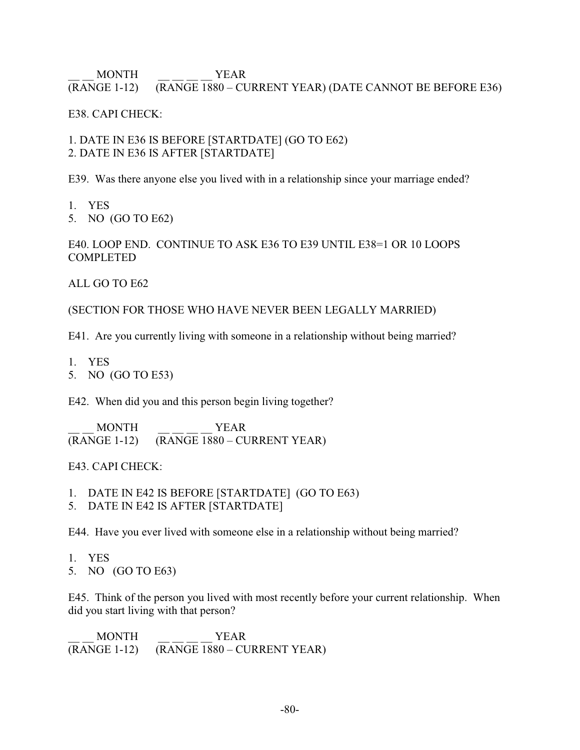## \_\_ \_\_ MONTH \_\_ \_\_ \_\_ \_\_ YEAR (RANGE 1-12) (RANGE 1880 – CURRENT YEAR) (DATE CANNOT BE BEFORE E36)

E38. CAPI CHECK:

1. DATE IN E36 IS BEFORE [STARTDATE] (GO TO E62) 2. DATE IN E36 IS AFTER [STARTDATE]

E39. Was there anyone else you lived with in a relationship since your marriage ended?

- 1. YES
- 5. NO (GO TO E62)

E40. LOOP END. CONTINUE TO ASK E36 TO E39 UNTIL E38=1 OR 10 LOOPS **COMPLETED** 

ALL GO TO E62

(SECTION FOR THOSE WHO HAVE NEVER BEEN LEGALLY MARRIED)

E41. Are you currently living with someone in a relationship without being married?

- 1. YES
- 5. NO (GO TO E53)

E42. When did you and this person begin living together?

\_\_ \_\_ MONTH \_\_ \_\_ \_\_ \_\_ YEAR (RANGE 1-12) (RANGE 1880 – CURRENT YEAR)

E43. CAPI CHECK:

- 1. DATE IN E42 IS BEFORE [STARTDATE] (GO TO E63)
- 5. DATE IN E42 IS AFTER [STARTDATE]

E44. Have you ever lived with someone else in a relationship without being married?

- 1. YES
- 5. NO (GO TO E63)

E45. Think of the person you lived with most recently before your current relationship. When did you start living with that person?

MONTH YEAR (RANGE 1-12) (RANGE 1880 – CURRENT YEAR)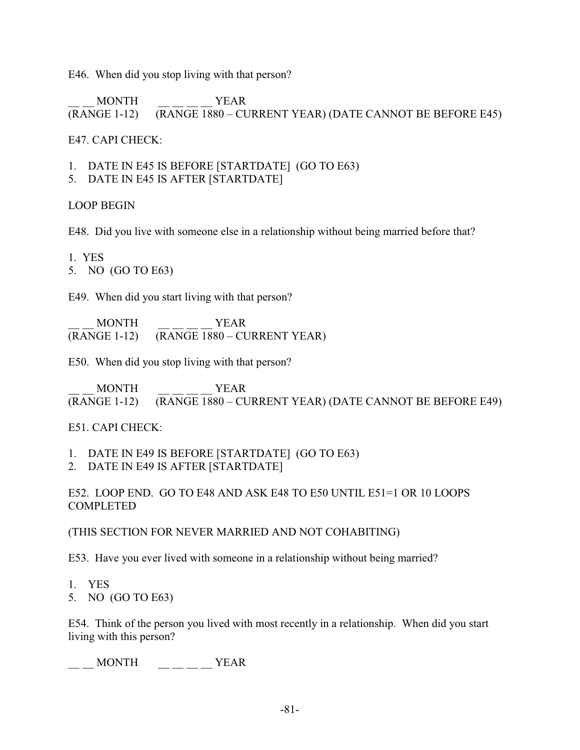E46. When did you stop living with that person?

\_\_ \_\_ MONTH \_\_ \_\_ \_\_ \_\_ YEAR (RANGE 1-12) (RANGE 1880 – CURRENT YEAR) (DATE CANNOT BE BEFORE E45)

E47. CAPI CHECK:

- 1. DATE IN E45 IS BEFORE [STARTDATE] (GO TO E63)
- 5. DATE IN E45 IS AFTER [STARTDATE]

LOOP BEGIN

E48. Did you live with someone else in a relationship without being married before that?

1. YES

5. NO (GO TO E63)

E49. When did you start living with that person?

\_\_ \_\_ MONTH \_\_ \_\_ \_\_ \_\_ YEAR  $(RANGE 1-12)$   $(RANGE 1880 - CURRENT YEAR)$ 

E50. When did you stop living with that person?

\_\_ \_\_ MONTH \_\_ \_\_ \_\_ \_\_ YEAR (RANGE 1-12) (RANGE 1880 – CURRENT YEAR) (DATE CANNOT BE BEFORE E49)

E51. CAPI CHECK:

1. DATE IN E49 IS BEFORE [STARTDATE] (GO TO E63)

2. DATE IN E49 IS AFTER [STARTDATE]

E52. LOOP END. GO TO E48 AND ASK E48 TO E50 UNTIL E51=1 OR 10 LOOPS COMPLETED

(THIS SECTION FOR NEVER MARRIED AND NOT COHABITING)

E53. Have you ever lived with someone in a relationship without being married?

1. YES

5. NO (GO TO E63)

E54. Think of the person you lived with most recently in a relationship. When did you start living with this person?

 $\frac{1}{2}$  MONTH  $\frac{1}{2}$   $\frac{1}{2}$   $\frac{1}{2}$   $\frac{1}{2}$  YEAR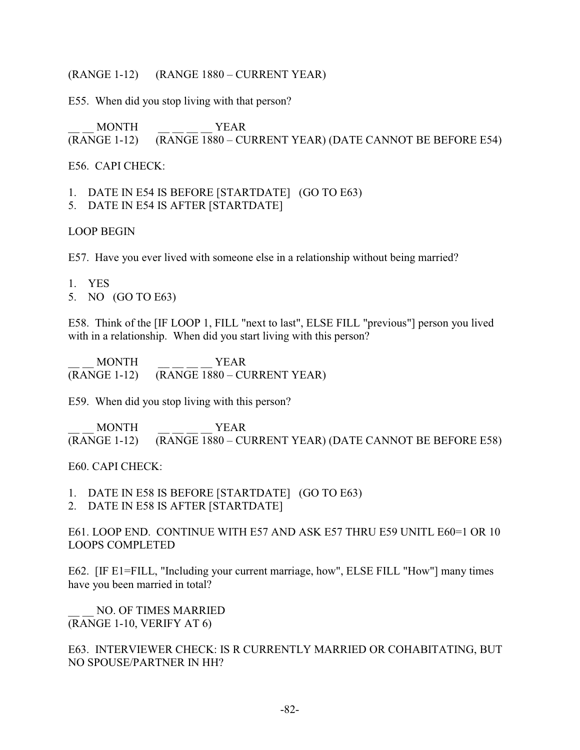### (RANGE 1-12) (RANGE 1880 – CURRENT YEAR)

E55. When did you stop living with that person?

\_\_ \_\_ MONTH \_\_ \_\_ \_\_ \_\_ YEAR (RANGE 1-12) (RANGE 1880 – CURRENT YEAR) (DATE CANNOT BE BEFORE E54)

## E56. CAPI CHECK:

1. DATE IN E54 IS BEFORE [STARTDATE] (GO TO E63)

5. DATE IN E54 IS AFTER [STARTDATE]

### LOOP BEGIN

E57. Have you ever lived with someone else in a relationship without being married?

- 1. YES
- 5. NO (GO TO E63)

E58. Think of the [IF LOOP 1, FILL "next to last", ELSE FILL "previous"] person you lived with in a relationship. When did you start living with this person?

\_\_ \_\_ MONTH \_\_ \_\_ \_\_ \_\_ YEAR (RANGE 1-12) (RANGE 1880 – CURRENT YEAR)

E59. When did you stop living with this person?

\_\_ \_\_ MONTH \_\_ \_\_ \_\_ \_\_ YEAR (RANGE 1-12) (RANGE 1880 – CURRENT YEAR) (DATE CANNOT BE BEFORE E58)

#### E60. CAPI CHECK:

1. DATE IN E58 IS BEFORE [STARTDATE] (GO TO E63)

2. DATE IN E58 IS AFTER [STARTDATE]

E61. LOOP END. CONTINUE WITH E57 AND ASK E57 THRU E59 UNITL E60=1 OR 10 LOOPS COMPLETED

E62. [IF E1=FILL, "Including your current marriage, how", ELSE FILL "How"] many times have you been married in total?

NO. OF TIMES MARRIED (RANGE 1-10, VERIFY AT 6)

E63. INTERVIEWER CHECK: IS R CURRENTLY MARRIED OR COHABITATING, BUT NO SPOUSE/PARTNER IN HH?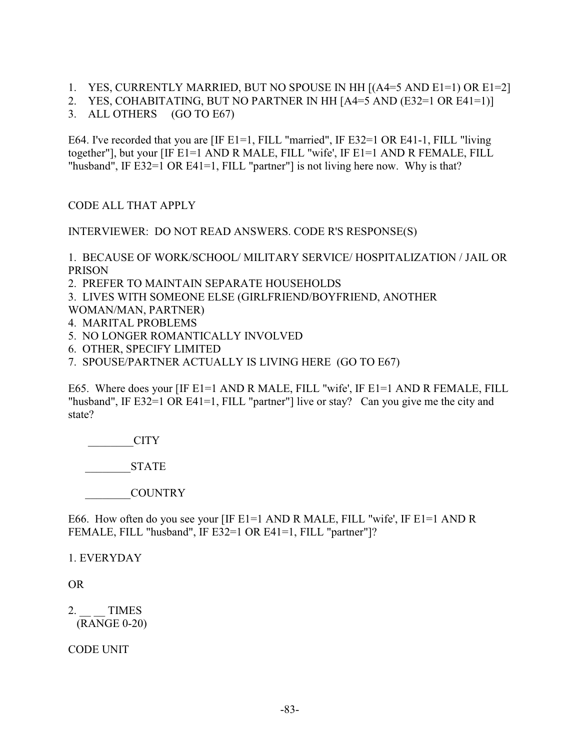- 1. YES, CURRENTLY MARRIED, BUT NO SPOUSE IN HH [(A4=5 AND E1=1) OR E1=2]
- 2. YES, COHABITATING, BUT NO PARTNER IN HH [A4=5 AND (E32=1 OR E41=1)]
- 3. ALL OTHERS (GO TO E67)

E64. I've recorded that you are [IF E1=1, FILL "married", IF E32=1 OR E41-1, FILL "living together"], but your [IF E1=1 AND R MALE, FILL "wife', IF E1=1 AND R FEMALE, FILL "husband", IF E32=1 OR E41=1, FILL "partner"] is not living here now. Why is that?

CODE ALL THAT APPLY

INTERVIEWER: DO NOT READ ANSWERS. CODE R'S RESPONSE(S)

1. BECAUSE OF WORK/SCHOOL/ MILITARY SERVICE/ HOSPITALIZATION / JAIL OR PRISON

2. PREFER TO MAINTAIN SEPARATE HOUSEHOLDS

3. LIVES WITH SOMEONE ELSE (GIRLFRIEND/BOYFRIEND, ANOTHER

- WOMAN/MAN, PARTNER)
- 4. MARITAL PROBLEMS
- 5. NO LONGER ROMANTICALLY INVOLVED
- 6. OTHER, SPECIFY LIMITED
- 7. SPOUSE/PARTNER ACTUALLY IS LIVING HERE (GO TO E67)

E65. Where does your [IF E1=1 AND R MALE, FILL "wife', IF E1=1 AND R FEMALE, FILL "husband", IF E32=1 OR E41=1, FILL "partner"] live or stay? Can you give me the city and state?

 $\overline{\phantom{a}}$  CITY

STATE

\_\_\_\_\_\_\_\_COUNTRY

E66. How often do you see your [IF E1=1 AND R MALE, FILL "wife', IF E1=1 AND R FEMALE, FILL "husband", IF E32=1 OR E41=1, FILL "partner"]?

1. EVERYDAY

OR

2. TIMES (RANGE 0-20)

CODE UNIT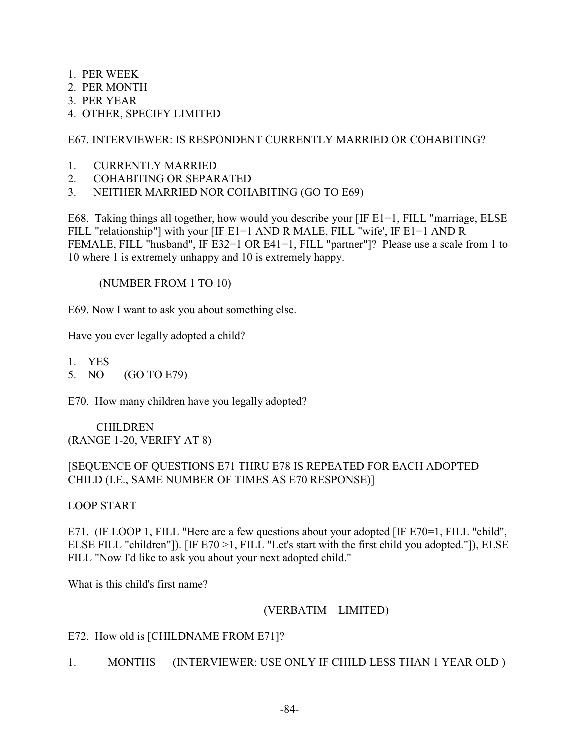- 1. PER WEEK
- 2. PER MONTH
- 3. PER YEAR
- 4. OTHER, SPECIFY LIMITED

E67. INTERVIEWER: IS RESPONDENT CURRENTLY MARRIED OR COHABITING?

- 1. CURRENTLY MARRIED
- 2. COHABITING OR SEPARATED
- 3. NEITHER MARRIED NOR COHABITING (GO TO E69)

E68. Taking things all together, how would you describe your [IF E1=1, FILL "marriage, ELSE FILL "relationship"] with your [IF E1=1 AND R MALE, FILL "wife', IF E1=1 AND R FEMALE, FILL "husband", IF E32=1 OR E41=1, FILL "partner"]? Please use a scale from 1 to 10 where 1 is extremely unhappy and 10 is extremely happy.

\_\_ \_\_ (NUMBER FROM 1 TO 10)

E69. Now I want to ask you about something else.

Have you ever legally adopted a child?

- 1. YES
- 5. NO (GO TO E79)

E70. How many children have you legally adopted?

\_\_ \_\_ CHILDREN (RANGE 1-20, VERIFY AT 8)

# [SEQUENCE OF QUESTIONS E71 THRU E78 IS REPEATED FOR EACH ADOPTED CHILD (I.E., SAME NUMBER OF TIMES AS E70 RESPONSE)]

## LOOP START

E71. (IF LOOP 1, FILL "Here are a few questions about your adopted [IF E70=1, FILL "child", ELSE FILL "children"]). [IF E70 >1, FILL "Let's start with the first child you adopted."]), ELSE FILL "Now I'd like to ask you about your next adopted child."

What is this child's first name?

\_\_\_\_\_\_\_\_\_\_\_\_\_\_\_\_\_\_\_\_\_\_\_\_\_\_\_\_\_\_\_\_\_\_ (VERBATIM – LIMITED)

E72. How old is [CHILDNAME FROM E71]?

1. MONTHS (INTERVIEWER: USE ONLY IF CHILD LESS THAN 1 YEAR OLD )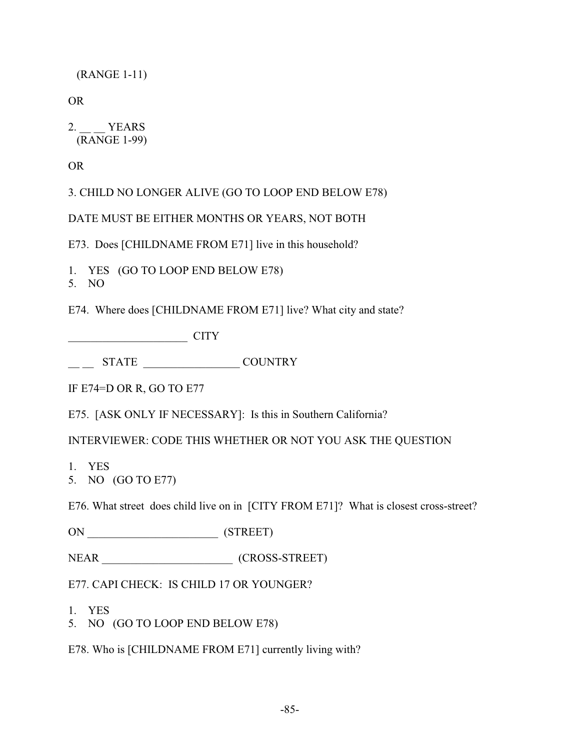(RANGE 1-11)

OR

2. YEARS (RANGE 1-99)

OR

3. CHILD NO LONGER ALIVE (GO TO LOOP END BELOW E78)

DATE MUST BE EITHER MONTHS OR YEARS, NOT BOTH

E73. Does [CHILDNAME FROM E71] live in this household?

1. YES (GO TO LOOP END BELOW E78)

5. NO

E74. Where does [CHILDNAME FROM E71] live? What city and state?

 $CITY$ 

\_\_ \_\_ STATE \_\_\_\_\_\_\_\_\_\_\_\_\_\_\_\_\_ COUNTRY

IF E74=D OR R, GO TO E77

E75. [ASK ONLY IF NECESSARY]: Is this in Southern California?

INTERVIEWER: CODE THIS WHETHER OR NOT YOU ASK THE QUESTION

1. YES

5. NO (GO TO E77)

E76. What street does child live on in [CITY FROM E71]? What is closest cross-street?

ON \_\_\_\_\_\_\_\_\_\_\_\_\_\_\_\_\_\_\_\_\_\_\_ (STREET)

NEAR \_\_\_\_\_\_\_\_\_\_\_\_\_\_\_\_\_\_\_\_\_\_\_ (CROSS-STREET)

E77. CAPI CHECK: IS CHILD 17 OR YOUNGER?

- 1. YES
- 5. NO (GO TO LOOP END BELOW E78)

E78. Who is [CHILDNAME FROM E71] currently living with?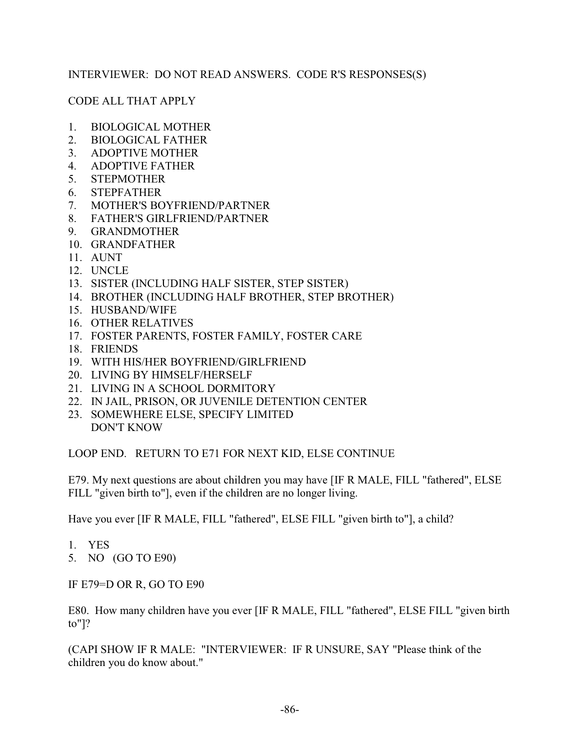## INTERVIEWER: DO NOT READ ANSWERS. CODE R'S RESPONSES(S)

## CODE ALL THAT APPLY

- 1. BIOLOGICAL MOTHER
- 2. BIOLOGICAL FATHER
- 3. ADOPTIVE MOTHER
- 4. ADOPTIVE FATHER
- 5. STEPMOTHER
- 6. STEPFATHER
- 7. MOTHER'S BOYFRIEND/PARTNER
- 8. FATHER'S GIRLFRIEND/PARTNER
- 9. GRANDMOTHER
- 10. GRANDFATHER
- 11. AUNT
- 12. UNCLE
- 13. SISTER (INCLUDING HALF SISTER, STEP SISTER)
- 14. BROTHER (INCLUDING HALF BROTHER, STEP BROTHER)
- 15. HUSBAND/WIFE
- 16. OTHER RELATIVES
- 17. FOSTER PARENTS, FOSTER FAMILY, FOSTER CARE
- 18. FRIENDS
- 19. WITH HIS/HER BOYFRIEND/GIRLFRIEND
- 20. LIVING BY HIMSELF/HERSELF
- 21. LIVING IN A SCHOOL DORMITORY
- 22. IN JAIL, PRISON, OR JUVENILE DETENTION CENTER
- 23. SOMEWHERE ELSE, SPECIFY LIMITED DON'T KNOW

LOOP END. RETURN TO E71 FOR NEXT KID, ELSE CONTINUE

E79. My next questions are about children you may have [IF R MALE, FILL "fathered", ELSE FILL "given birth to"], even if the children are no longer living.

Have you ever [IF R MALE, FILL "fathered", ELSE FILL "given birth to"], a child?

- 1. YES
- 5. NO (GO TO E90)

IF E79=D OR R, GO TO E90

E80. How many children have you ever [IF R MALE, FILL "fathered", ELSE FILL "given birth to"]?

(CAPI SHOW IF R MALE: "INTERVIEWER: IF R UNSURE, SAY "Please think of the children you do know about."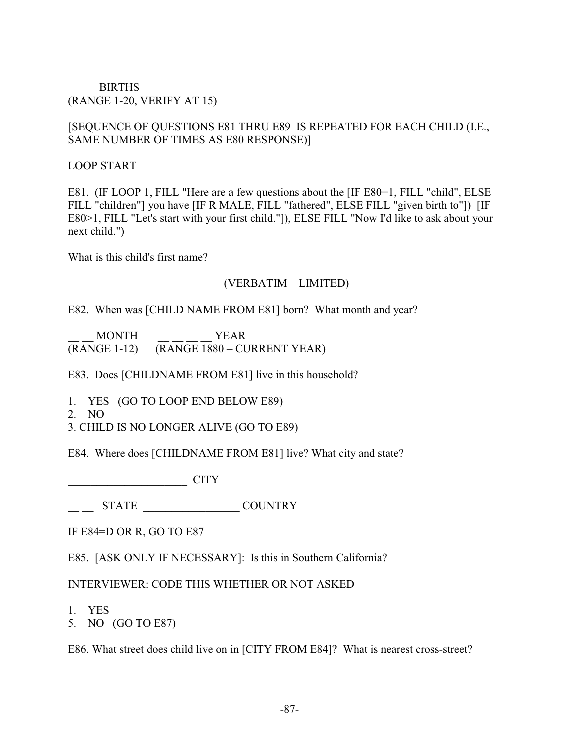BIRTHS (RANGE 1-20, VERIFY AT 15)

### [SEQUENCE OF QUESTIONS E81 THRU E89 IS REPEATED FOR EACH CHILD (I.E., SAME NUMBER OF TIMES AS E80 RESPONSE)]

### LOOP START

E81. (IF LOOP 1, FILL "Here are a few questions about the [IF E80=1, FILL "child", ELSE FILL "children"] you have [IF R MALE, FILL "fathered", ELSE FILL "given birth to"]) [IF E80>1, FILL "Let's start with your first child."]), ELSE FILL "Now I'd like to ask about your next child.")

What is this child's first name?

## \_\_\_\_\_\_\_\_\_\_\_\_\_\_\_\_\_\_\_\_\_\_\_\_\_\_\_ (VERBATIM – LIMITED)

E82. When was [CHILD NAME FROM E81] born? What month and year?

\_\_ \_\_ MONTH \_\_ \_\_ \_\_ \_\_ YEAR (RANGE 1-12) (RANGE 1880 – CURRENT YEAR)

E83. Does [CHILDNAME FROM E81] live in this household?

1. YES (GO TO LOOP END BELOW E89)

2. NO

3. CHILD IS NO LONGER ALIVE (GO TO E89)

E84. Where does [CHILDNAME FROM E81] live? What city and state?

 $CITY$ 

 $\frac{1}{2}$  STATE  $\frac{1}{2}$  COUNTRY

IF E84=D OR R, GO TO E87

E85. [ASK ONLY IF NECESSARY]: Is this in Southern California?

## INTERVIEWER: CODE THIS WHETHER OR NOT ASKED

- 1. YES
- 5. NO (GO TO E87)

E86. What street does child live on in [CITY FROM E84]? What is nearest cross-street?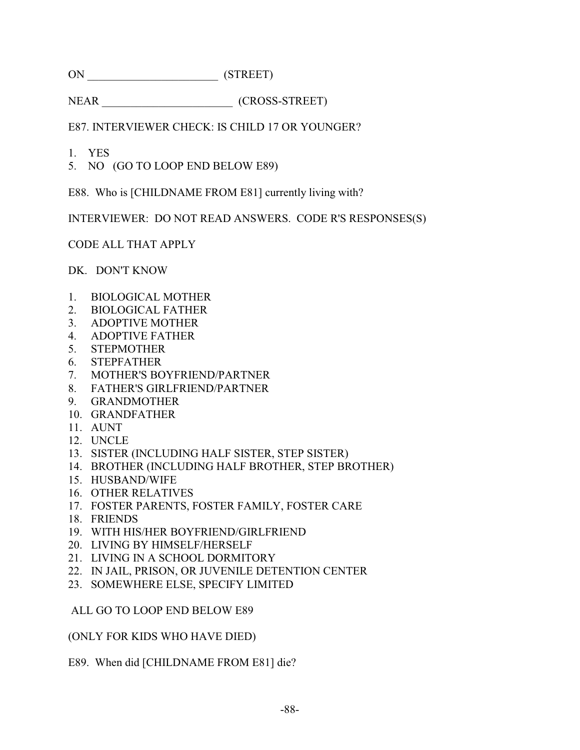ON \_\_\_\_\_\_\_\_\_\_\_\_\_\_\_\_\_\_\_\_\_\_\_ (STREET)

NEAR (CROSS-STREET)

E87. INTERVIEWER CHECK: IS CHILD 17 OR YOUNGER?

- 1. YES
- 5. NO (GO TO LOOP END BELOW E89)

E88. Who is [CHILDNAME FROM E81] currently living with?

INTERVIEWER: DO NOT READ ANSWERS. CODE R'S RESPONSES(S)

CODE ALL THAT APPLY

DK. DON'T KNOW

- 1. BIOLOGICAL MOTHER
- 2. BIOLOGICAL FATHER
- 3. ADOPTIVE MOTHER
- 4. ADOPTIVE FATHER
- 5. STEPMOTHER
- 6. STEPFATHER
- 7. MOTHER'S BOYFRIEND/PARTNER
- 8. FATHER'S GIRLFRIEND/PARTNER
- 9. GRANDMOTHER
- 10. GRANDFATHER
- 11. AUNT
- 12. UNCLE
- 13. SISTER (INCLUDING HALF SISTER, STEP SISTER)
- 14. BROTHER (INCLUDING HALF BROTHER, STEP BROTHER)
- 15. HUSBAND/WIFE
- 16. OTHER RELATIVES
- 17. FOSTER PARENTS, FOSTER FAMILY, FOSTER CARE
- 18. FRIENDS
- 19. WITH HIS/HER BOYFRIEND/GIRLFRIEND
- 20. LIVING BY HIMSELF/HERSELF
- 21. LIVING IN A SCHOOL DORMITORY
- 22. IN JAIL, PRISON, OR JUVENILE DETENTION CENTER
- 23. SOMEWHERE ELSE, SPECIFY LIMITED

ALL GO TO LOOP END BELOW E89

(ONLY FOR KIDS WHO HAVE DIED)

E89. When did [CHILDNAME FROM E81] die?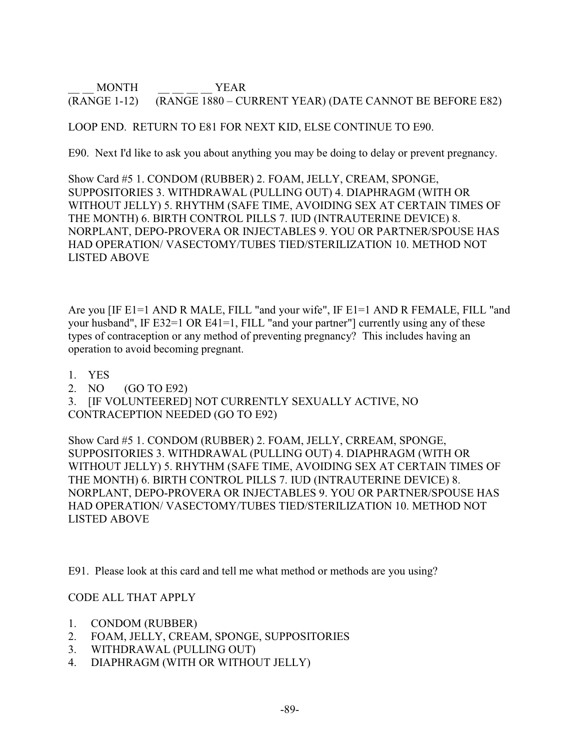\_\_ \_\_ MONTH \_\_ \_\_ \_\_ \_\_ YEAR (RANGE 1-12) (RANGE 1880 – CURRENT YEAR) (DATE CANNOT BE BEFORE E82)

## LOOP END. RETURN TO E81 FOR NEXT KID, ELSE CONTINUE TO E90.

E90. Next I'd like to ask you about anything you may be doing to delay or prevent pregnancy.

Show Card #5 1. CONDOM (RUBBER) 2. FOAM, JELLY, CREAM, SPONGE, SUPPOSITORIES 3. WITHDRAWAL (PULLING OUT) 4. DIAPHRAGM (WITH OR WITHOUT JELLY) 5. RHYTHM (SAFE TIME, AVOIDING SEX AT CERTAIN TIMES OF THE MONTH) 6. BIRTH CONTROL PILLS 7. IUD (INTRAUTERINE DEVICE) 8. NORPLANT, DEPO-PROVERA OR INJECTABLES 9. YOU OR PARTNER/SPOUSE HAS HAD OPERATION/ VASECTOMY/TUBES TIED/STERILIZATION 10. METHOD NOT LISTED ABOVE

Are you [IF E1=1 AND R MALE, FILL "and your wife", IF E1=1 AND R FEMALE, FILL "and your husband", IF E32=1 OR E41=1, FILL "and your partner"] currently using any of these types of contraception or any method of preventing pregnancy? This includes having an operation to avoid becoming pregnant.

- 1. YES
- 2. NO (GO TO E92)

3. [IF VOLUNTEERED] NOT CURRENTLY SEXUALLY ACTIVE, NO CONTRACEPTION NEEDED (GO TO E92)

Show Card #5 1. CONDOM (RUBBER) 2. FOAM, JELLY, CRREAM, SPONGE, SUPPOSITORIES 3. WITHDRAWAL (PULLING OUT) 4. DIAPHRAGM (WITH OR WITHOUT JELLY) 5. RHYTHM (SAFE TIME, AVOIDING SEX AT CERTAIN TIMES OF THE MONTH) 6. BIRTH CONTROL PILLS 7. IUD (INTRAUTERINE DEVICE) 8. NORPLANT, DEPO-PROVERA OR INJECTABLES 9. YOU OR PARTNER/SPOUSE HAS HAD OPERATION/ VASECTOMY/TUBES TIED/STERILIZATION 10. METHOD NOT LISTED ABOVE

E91. Please look at this card and tell me what method or methods are you using?

## CODE ALL THAT APPLY

- 1. CONDOM (RUBBER)
- 2. FOAM, JELLY, CREAM, SPONGE, SUPPOSITORIES
- 3. WITHDRAWAL (PULLING OUT)
- 4. DIAPHRAGM (WITH OR WITHOUT JELLY)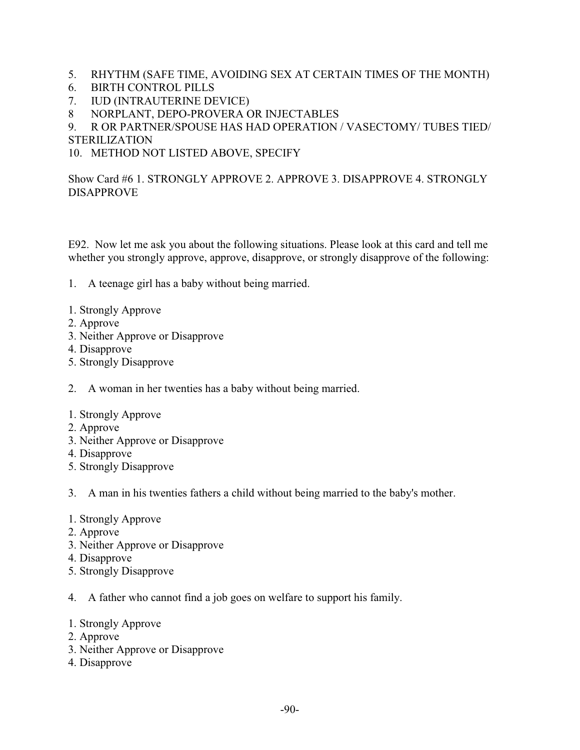- 5. RHYTHM (SAFE TIME, AVOIDING SEX AT CERTAIN TIMES OF THE MONTH)
- 6. BIRTH CONTROL PILLS
- 7. IUD (INTRAUTERINE DEVICE)
- 8 NORPLANT, DEPO-PROVERA OR INJECTABLES
- 9. R OR PARTNER/SPOUSE HAS HAD OPERATION / VASECTOMY/ TUBES TIED/ STERILIZATION
- 10. METHOD NOT LISTED ABOVE, SPECIFY

## Show Card #6 1. STRONGLY APPROVE 2. APPROVE 3. DISAPPROVE 4. STRONGLY DISAPPROVE

E92. Now let me ask you about the following situations. Please look at this card and tell me whether you strongly approve, approve, disapprove, or strongly disapprove of the following:

- 1. A teenage girl has a baby without being married.
- 1. Strongly Approve
- 2. Approve
- 3. Neither Approve or Disapprove
- 4. Disapprove
- 5. Strongly Disapprove

2. A woman in her twenties has a baby without being married.

- 1. Strongly Approve
- 2. Approve
- 3. Neither Approve or Disapprove
- 4. Disapprove
- 5. Strongly Disapprove

3. A man in his twenties fathers a child without being married to the baby's mother.

- 1. Strongly Approve
- 2. Approve
- 3. Neither Approve or Disapprove
- 4. Disapprove
- 5. Strongly Disapprove
- 4. A father who cannot find a job goes on welfare to support his family.
- 1. Strongly Approve
- 2. Approve
- 3. Neither Approve or Disapprove
- 4. Disapprove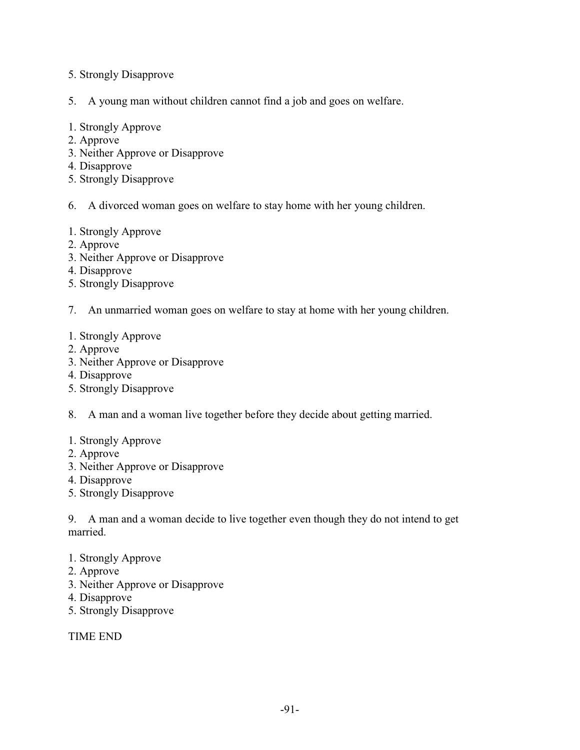- 5. Strongly Disapprove
- 5. A young man without children cannot find a job and goes on welfare.
- 1. Strongly Approve
- 2. Approve
- 3. Neither Approve or Disapprove
- 4. Disapprove
- 5. Strongly Disapprove
- 6. A divorced woman goes on welfare to stay home with her young children.
- 1. Strongly Approve
- 2. Approve
- 3. Neither Approve or Disapprove
- 4. Disapprove
- 5. Strongly Disapprove
- 7. An unmarried woman goes on welfare to stay at home with her young children.

#### 1. Strongly Approve

- 2. Approve
- 3. Neither Approve or Disapprove
- 4. Disapprove
- 5. Strongly Disapprove
- 8. A man and a woman live together before they decide about getting married.
- 1. Strongly Approve
- 2. Approve
- 3. Neither Approve or Disapprove
- 4. Disapprove
- 5. Strongly Disapprove

9. A man and a woman decide to live together even though they do not intend to get married.

- 1. Strongly Approve
- 2. Approve
- 3. Neither Approve or Disapprove
- 4. Disapprove
- 5. Strongly Disapprove

TIME END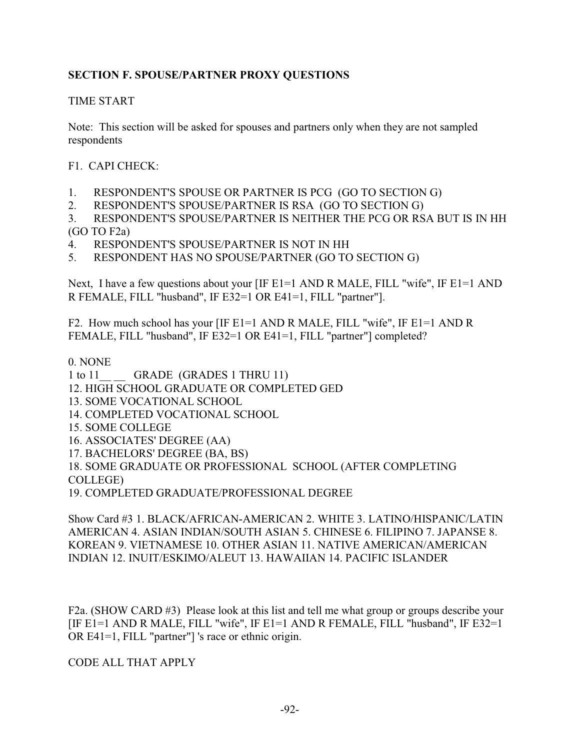# **SECTION F. SPOUSE/PARTNER PROXY QUESTIONS**

## TIME START

Note: This section will be asked for spouses and partners only when they are not sampled respondents

F1. CAPI CHECK:

- 1. RESPONDENT'S SPOUSE OR PARTNER IS PCG (GO TO SECTION G)
- 2. RESPONDENT'S SPOUSE/PARTNER IS RSA (GO TO SECTION G)
- 3. RESPONDENT'S SPOUSE/PARTNER IS NEITHER THE PCG OR RSA BUT IS IN HH (GO TO F2a)
- 4. RESPONDENT'S SPOUSE/PARTNER IS NOT IN HH
- 5. RESPONDENT HAS NO SPOUSE/PARTNER (GO TO SECTION G)

Next, I have a few questions about your [IF E1=1 AND R MALE, FILL "wife", IF E1=1 AND R FEMALE, FILL "husband", IF E32=1 OR E41=1, FILL "partner"].

F2. How much school has your [IF E1=1 AND R MALE, FILL "wife", IF E1=1 AND R FEMALE, FILL "husband", IF E32=1 OR E41=1, FILL "partner"] completed?

#### 0. NONE

- 1 to 11 GRADE (GRADES 1 THRU 11)
- 12. HIGH SCHOOL GRADUATE OR COMPLETED GED
- 13. SOME VOCATIONAL SCHOOL
- 14. COMPLETED VOCATIONAL SCHOOL
- 15. SOME COLLEGE
- 16. ASSOCIATES' DEGREE (AA)
- 17. BACHELORS' DEGREE (BA, BS)
- 18. SOME GRADUATE OR PROFESSIONAL SCHOOL (AFTER COMPLETING

COLLEGE)

19. COMPLETED GRADUATE/PROFESSIONAL DEGREE

Show Card #3 1. BLACK/AFRICAN-AMERICAN 2. WHITE 3. LATINO/HISPANIC/LATIN AMERICAN 4. ASIAN INDIAN/SOUTH ASIAN 5. CHINESE 6. FILIPINO 7. JAPANSE 8. KOREAN 9. VIETNAMESE 10. OTHER ASIAN 11. NATIVE AMERICAN/AMERICAN INDIAN 12. INUIT/ESKIMO/ALEUT 13. HAWAIIAN 14. PACIFIC ISLANDER

F2a. (SHOW CARD #3) Please look at this list and tell me what group or groups describe your [IF E1=1 AND R MALE, FILL "wife", IF E1=1 AND R FEMALE, FILL "husband", IF E32=1 OR E41=1, FILL "partner"] 's race or ethnic origin.

CODE ALL THAT APPLY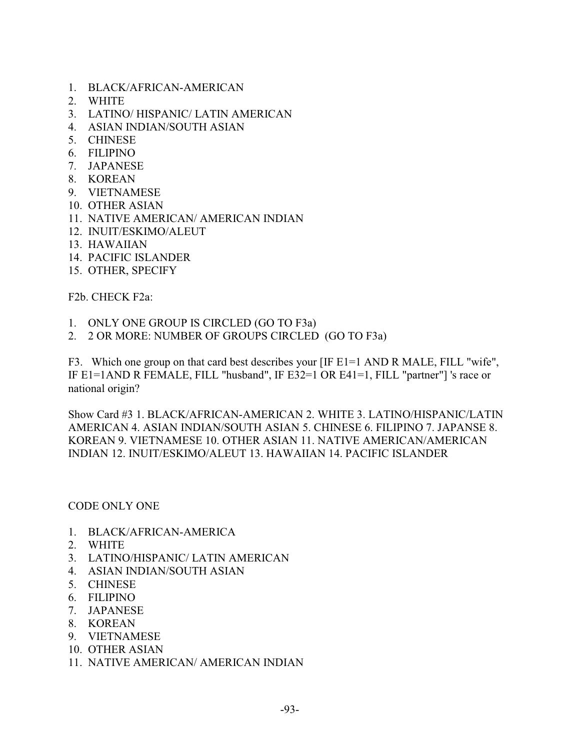- 1. BLACK/AFRICAN-AMERICAN
- 2. WHITE
- 3. LATINO/ HISPANIC/ LATIN AMERICAN
- 4. ASIAN INDIAN/SOUTH ASIAN
- 5. CHINESE
- 6. FILIPINO
- 7. JAPANESE
- 8. KOREAN
- 9. VIETNAMESE
- 10. OTHER ASIAN
- 11. NATIVE AMERICAN/ AMERICAN INDIAN
- 12. INUIT/ESKIMO/ALEUT
- 13. HAWAIIAN
- 14. PACIFIC ISLANDER
- 15. OTHER, SPECIFY

F2b. CHECK F2a:

- 1. ONLY ONE GROUP IS CIRCLED (GO TO F3a)
- 2. 2 OR MORE: NUMBER OF GROUPS CIRCLED (GO TO F3a)

F3. Which one group on that card best describes your [IF E1=1 AND R MALE, FILL "wife", IF E1=1AND R FEMALE, FILL "husband", IF E32=1 OR E41=1, FILL "partner"] 's race or national origin?

Show Card #3 1. BLACK/AFRICAN-AMERICAN 2. WHITE 3. LATINO/HISPANIC/LATIN AMERICAN 4. ASIAN INDIAN/SOUTH ASIAN 5. CHINESE 6. FILIPINO 7. JAPANSE 8. KOREAN 9. VIETNAMESE 10. OTHER ASIAN 11. NATIVE AMERICAN/AMERICAN INDIAN 12. INUIT/ESKIMO/ALEUT 13. HAWAIIAN 14. PACIFIC ISLANDER

CODE ONLY ONE

- 1. BLACK/AFRICAN-AMERICA
- 2. WHITE
- 3. LATINO/HISPANIC/ LATIN AMERICAN
- 4. ASIAN INDIAN/SOUTH ASIAN
- 5. CHINESE
- 6. FILIPINO
- 7. JAPANESE
- 8. KOREAN
- 9. VIETNAMESE
- 10. OTHER ASIAN
- 11. NATIVE AMERICAN/ AMERICAN INDIAN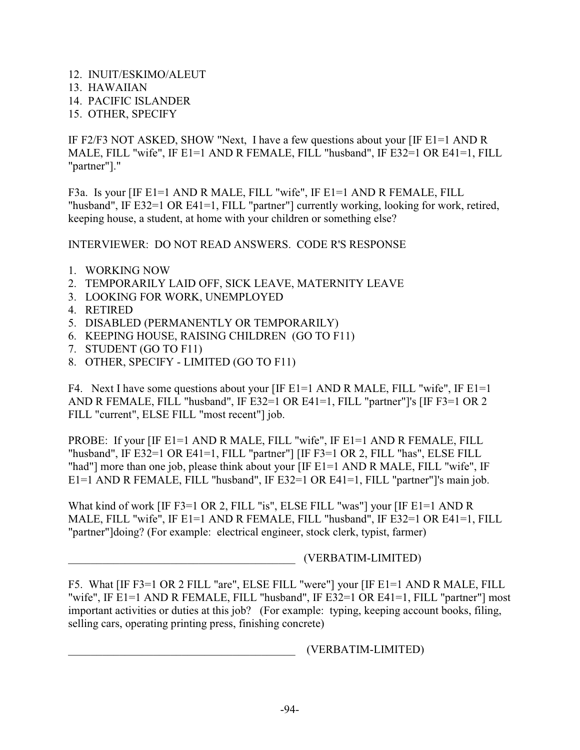- 12. INUIT/ESKIMO/ALEUT
- 13. HAWAIIAN
- 14. PACIFIC ISLANDER
- 15. OTHER, SPECIFY

IF F2/F3 NOT ASKED, SHOW "Next, I have a few questions about your [IF E1=1 AND R MALE, FILL "wife", IF E1=1 AND R FEMALE, FILL "husband", IF E32=1 OR E41=1, FILL "partner"]."

F3a. Is your [IF E1=1 AND R MALE, FILL "wife", IF E1=1 AND R FEMALE, FILL "husband", IF E32=1 OR E41=1, FILL "partner"] currently working, looking for work, retired, keeping house, a student, at home with your children or something else?

INTERVIEWER: DO NOT READ ANSWERS. CODE R'S RESPONSE

- 1. WORKING NOW
- 2. TEMPORARILY LAID OFF, SICK LEAVE, MATERNITY LEAVE
- 3. LOOKING FOR WORK, UNEMPLOYED
- 4. RETIRED
- 5. DISABLED (PERMANENTLY OR TEMPORARILY)
- 6. KEEPING HOUSE, RAISING CHILDREN (GO TO F11)
- 7. STUDENT (GO TO F11)
- 8. OTHER, SPECIFY LIMITED (GO TO F11)

F4. Next I have some questions about your [IF E1=1 AND R MALE, FILL "wife", IF E1=1 AND R FEMALE, FILL "husband", IF E32=1 OR E41=1, FILL "partner"]'s [IF F3=1 OR 2 FILL "current", ELSE FILL "most recent"] job.

PROBE: If your [IF E1=1 AND R MALE, FILL "wife", IF E1=1 AND R FEMALE, FILL "husband", IF E32=1 OR E41=1, FILL "partner"] [IF F3=1 OR 2, FILL "has", ELSE FILL "had"] more than one job, please think about your [IF E1=1 AND R MALE, FILL "wife", IF E1=1 AND R FEMALE, FILL "husband", IF E32=1 OR E41=1, FILL "partner"]'s main job.

What kind of work [IF F3=1 OR 2, FILL "is", ELSE FILL "was"] your [IF E1=1 AND R MALE, FILL "wife", IF E1=1 AND R FEMALE, FILL "husband", IF E32=1 OR E41=1, FILL "partner"]doing? (For example: electrical engineer, stock clerk, typist, farmer)

\_\_\_\_\_\_\_\_\_\_\_\_\_\_\_\_\_\_\_\_\_\_\_\_\_\_\_\_\_\_\_\_\_\_\_\_\_\_\_\_ (VERBATIM-LIMITED)

F5. What [IF F3=1 OR 2 FILL "are", ELSE FILL "were"] your [IF E1=1 AND R MALE, FILL "wife", IF E1=1 AND R FEMALE, FILL "husband", IF E32=1 OR E41=1, FILL "partner"] most important activities or duties at this job? (For example: typing, keeping account books, filing, selling cars, operating printing press, finishing concrete)

\_\_\_\_\_\_\_\_\_\_\_\_\_\_\_\_\_\_\_\_\_\_\_\_\_\_\_\_\_\_\_\_\_\_\_\_\_\_\_\_ (VERBATIM-LIMITED)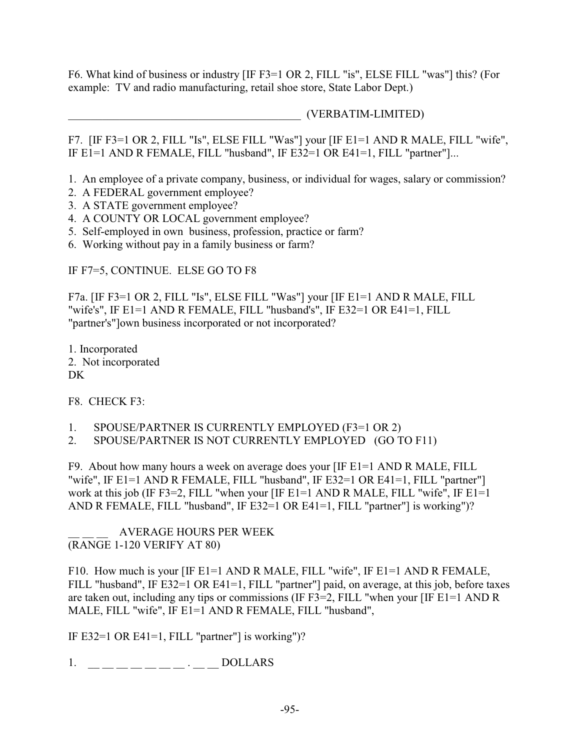F6. What kind of business or industry [IF F3=1 OR 2, FILL "is", ELSE FILL "was"] this? (For example: TV and radio manufacturing, retail shoe store, State Labor Dept.)

\_\_\_\_\_\_\_\_\_\_\_\_\_\_\_\_\_\_\_\_\_\_\_\_\_\_\_\_\_\_\_\_\_\_\_\_\_\_\_\_\_ (VERBATIM-LIMITED)

F7. [IF F3=1 OR 2, FILL "Is", ELSE FILL "Was"] your [IF E1=1 AND R MALE, FILL "wife", IF E1=1 AND R FEMALE, FILL "husband", IF E32=1 OR E41=1, FILL "partner"]...

1. An employee of a private company, business, or individual for wages, salary or commission?

- 2. A FEDERAL government employee?
- 3. A STATE government employee?
- 4. A COUNTY OR LOCAL government employee?
- 5. Self-employed in own business, profession, practice or farm?
- 6. Working without pay in a family business or farm?

IF F7=5, CONTINUE. ELSE GO TO F8

F7a. [IF F3=1 OR 2, FILL "Is", ELSE FILL "Was"] your [IF E1=1 AND R MALE, FILL "wife's", IF E1=1 AND R FEMALE, FILL "husband's", IF E32=1 OR E41=1, FILL "partner's"]own business incorporated or not incorporated?

1. Incorporated 2. Not incorporated DK

F8. CHECK F3:

- 1. SPOUSE/PARTNER IS CURRENTLY EMPLOYED (F3=1 OR 2)
- 2. SPOUSE/PARTNER IS NOT CURRENTLY EMPLOYED (GO TO F11)

F9. About how many hours a week on average does your [IF E1=1 AND R MALE, FILL "wife", IF E1=1 AND R FEMALE, FILL "husband", IF E32=1 OR E41=1, FILL "partner"] work at this job (IF F3=2, FILL "when your [IF E1=1 AND R MALE, FILL "wife", IF E1=1 AND R FEMALE, FILL "husband", IF E32=1 OR E41=1, FILL "partner"] is working")?

AVERAGE HOURS PER WEEK (RANGE 1-120 VERIFY AT 80)

F10. How much is your [IF E1=1 AND R MALE, FILL "wife", IF E1=1 AND R FEMALE, FILL "husband", IF E32=1 OR E41=1, FILL "partner"] paid, on average, at this job, before taxes are taken out, including any tips or commissions (IF F3=2, FILL "when your [IF E1=1 AND R MALE, FILL "wife", IF E1=1 AND R FEMALE, FILL "husband",

IF E32=1 OR E41=1, FILL "partner"] is working")?

1. \_\_ \_\_ \_\_ \_\_ \_\_ \_\_ \_\_ . \_\_ \_\_ DOLLARS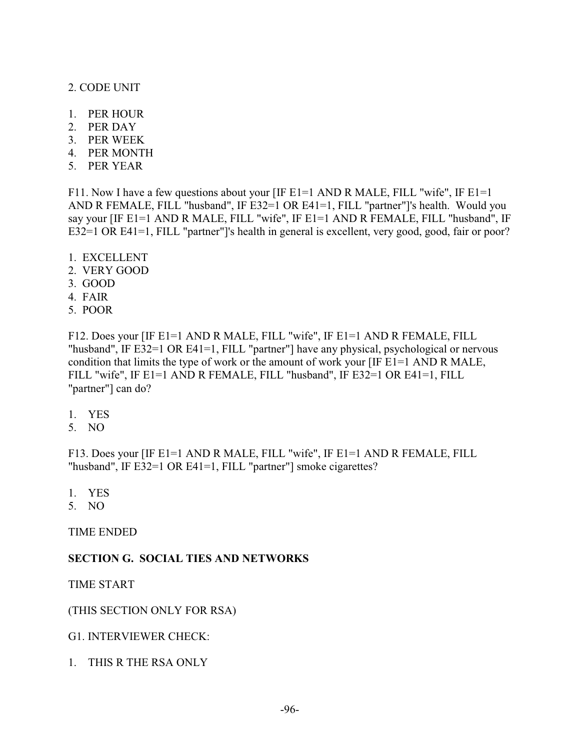#### 2. CODE UNIT

- 1. PER HOUR
- 2. PER DAY
- 3. PER WEEK
- 4. PER MONTH
- 5. PER YEAR

F11. Now I have a few questions about your [IF E1=1 AND R MALE, FILL "wife", IF E1=1 AND R FEMALE, FILL "husband", IF E32=1 OR E41=1, FILL "partner"]'s health. Would you say your [IF E1=1 AND R MALE, FILL "wife", IF E1=1 AND R FEMALE, FILL "husband", IF E32=1 OR E41=1, FILL "partner"]'s health in general is excellent, very good, good, fair or poor?

- 1. EXCELLENT
- 2. VERY GOOD
- 3. GOOD
- 4. FAIR
- 5. POOR

F12. Does your [IF E1=1 AND R MALE, FILL "wife", IF E1=1 AND R FEMALE, FILL "husband", IF E32=1 OR E41=1, FILL "partner"] have any physical, psychological or nervous condition that limits the type of work or the amount of work your [IF E1=1 AND R MALE, FILL "wife", IF E1=1 AND R FEMALE, FILL "husband", IF E32=1 OR E41=1, FILL "partner"] can do?

- 1. YES
- 5. NO

F13. Does your [IF E1=1 AND R MALE, FILL "wife", IF E1=1 AND R FEMALE, FILL "husband", IF E32=1 OR E41=1, FILL "partner"] smoke cigarettes?

- 1. YES
- 5. NO

TIME ENDED

#### **SECTION G. SOCIAL TIES AND NETWORKS**

TIME START

#### (THIS SECTION ONLY FOR RSA)

G1. INTERVIEWER CHECK:

1. THIS R THE RSA ONLY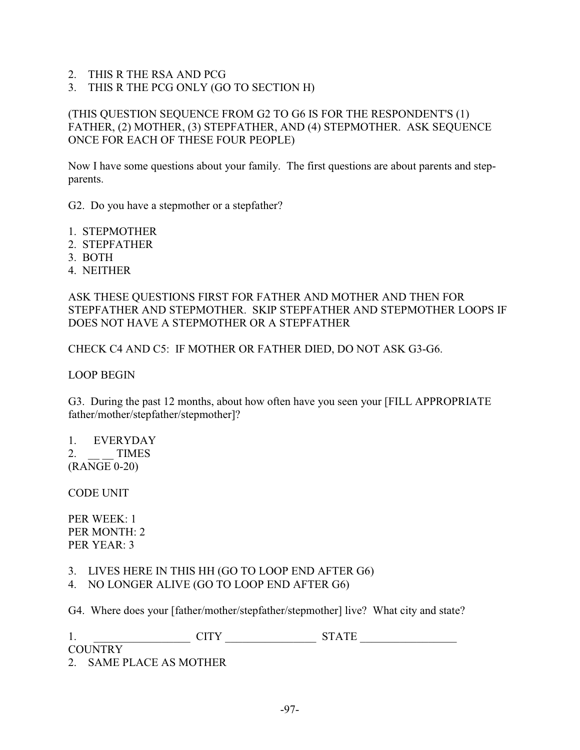- 2. THIS R THE RSA AND PCG
- 3. THIS R THE PCG ONLY (GO TO SECTION H)

### (THIS QUESTION SEQUENCE FROM G2 TO G6 IS FOR THE RESPONDENT'S (1) FATHER, (2) MOTHER, (3) STEPFATHER, AND (4) STEPMOTHER. ASK SEQUENCE ONCE FOR EACH OF THESE FOUR PEOPLE)

Now I have some questions about your family. The first questions are about parents and stepparents.

G2. Do you have a stepmother or a stepfather?

- 1. STEPMOTHER
- 2. STEPFATHER
- 3. BOTH
- 4. NEITHER

ASK THESE QUESTIONS FIRST FOR FATHER AND MOTHER AND THEN FOR STEPFATHER AND STEPMOTHER. SKIP STEPFATHER AND STEPMOTHER LOOPS IF DOES NOT HAVE A STEPMOTHER OR A STEPFATHER

CHECK C4 AND C5: IF MOTHER OR FATHER DIED, DO NOT ASK G3-G6.

LOOP BEGIN

G3. During the past 12 months, about how often have you seen your [FILL APPROPRIATE father/mother/stepfather/stepmother]?

1. EVERYDAY 2. TIMES (RANGE 0-20)

CODE UNIT

PER WEEK: 1 PER MONTH: 2 PER YEAR: 3

- 3. LIVES HERE IN THIS HH (GO TO LOOP END AFTER G6)
- 4. NO LONGER ALIVE (GO TO LOOP END AFTER G6)

G4. Where does your [father/mother/stepfather/stepmother] live? What city and state?

| 1.            | $\gamma$ TTM $\gamma$ | $CDA$ $CD$<br>$\overline{\phantom{a}}$ |
|---------------|-----------------------|----------------------------------------|
| COLINTRY<br>. |                       |                                        |

2. SAME PLACE AS MOTHER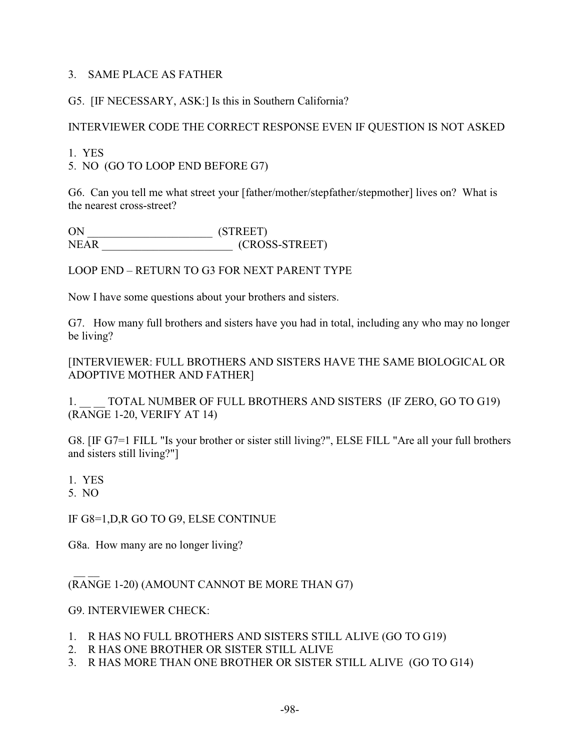### 3. SAME PLACE AS FATHER

## G5. [IF NECESSARY, ASK:] Is this in Southern California?

## INTERVIEWER CODE THE CORRECT RESPONSE EVEN IF QUESTION IS NOT ASKED

1. YES

5. NO (GO TO LOOP END BEFORE G7)

G6. Can you tell me what street your [father/mother/stepfather/stepmother] lives on? What is the nearest cross-street?

ON \_\_\_\_\_\_\_\_\_\_\_\_\_\_\_\_\_\_\_\_\_\_ (STREET)  $(CROSS-STATEET)$ 

LOOP END – RETURN TO G3 FOR NEXT PARENT TYPE

Now I have some questions about your brothers and sisters.

G7. How many full brothers and sisters have you had in total, including any who may no longer be living?

[INTERVIEWER: FULL BROTHERS AND SISTERS HAVE THE SAME BIOLOGICAL OR ADOPTIVE MOTHER AND FATHER]

1. TOTAL NUMBER OF FULL BROTHERS AND SISTERS (IF ZERO, GO TO G19) (RANGE 1-20, VERIFY AT 14)

G8. [IF G7=1 FILL "Is your brother or sister still living?", ELSE FILL "Are all your full brothers and sisters still living?"]

1. YES

5. NO

IF G8=1,D,R GO TO G9, ELSE CONTINUE

G8a. How many are no longer living?

 $\frac{1}{2}$ (RANGE 1-20) (AMOUNT CANNOT BE MORE THAN G7)

#### G9. INTERVIEWER CHECK:

- 1. R HAS NO FULL BROTHERS AND SISTERS STILL ALIVE (GO TO G19)
- 2. R HAS ONE BROTHER OR SISTER STILL ALIVE
- 3. R HAS MORE THAN ONE BROTHER OR SISTER STILL ALIVE (GO TO G14)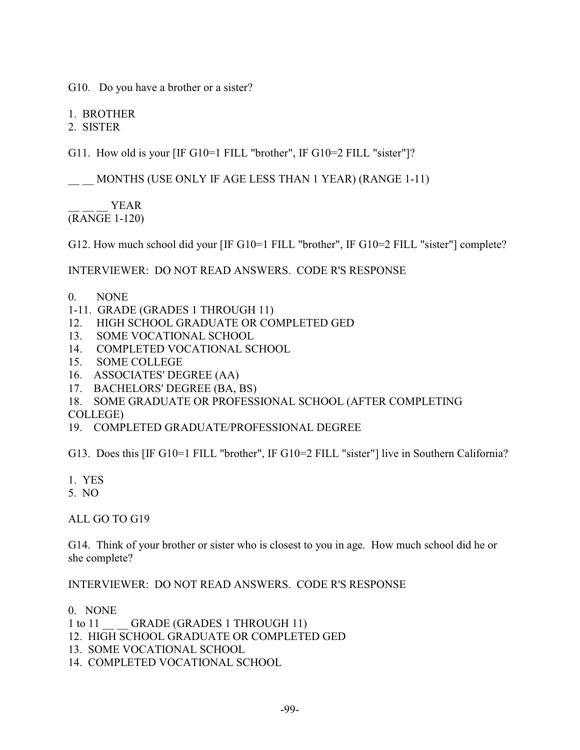G10. Do you have a brother or a sister?

1. BROTHER

2. SISTER

G11. How old is your [IF G10=1 FILL "brother", IF G10=2 FILL "sister"]?

\_\_ \_\_ MONTHS (USE ONLY IF AGE LESS THAN 1 YEAR) (RANGE 1-11)

YEAR (RANGE 1-120)

G12. How much school did your [IF G10=1 FILL "brother", IF G10=2 FILL "sister"] complete?

INTERVIEWER: DO NOT READ ANSWERS. CODE R'S RESPONSE

- 0. NONE
- 1-11. GRADE (GRADES 1 THROUGH 11)
- 12. HIGH SCHOOL GRADUATE OR COMPLETED GED
- 13. SOME VOCATIONAL SCHOOL
- 14. COMPLETED VOCATIONAL SCHOOL
- 15. SOME COLLEGE
- 16. ASSOCIATES' DEGREE (AA)
- 17. BACHELORS' DEGREE (BA, BS)
- 18. SOME GRADUATE OR PROFESSIONAL SCHOOL (AFTER COMPLETING

COLLEGE)

19. COMPLETED GRADUATE/PROFESSIONAL DEGREE

G13. Does this [IF G10=1 FILL "brother", IF G10=2 FILL "sister"] live in Southern California?

- 1. YES
- 5. NO

ALL GO TO G19

G14. Think of your brother or sister who is closest to you in age. How much school did he or she complete?

INTERVIEWER: DO NOT READ ANSWERS. CODE R'S RESPONSE

0. NONE

- 1 to 11 GRADE (GRADES 1 THROUGH 11)
- 12. HIGH SCHOOL GRADUATE OR COMPLETED GED
- 13. SOME VOCATIONAL SCHOOL
- 14. COMPLETED VOCATIONAL SCHOOL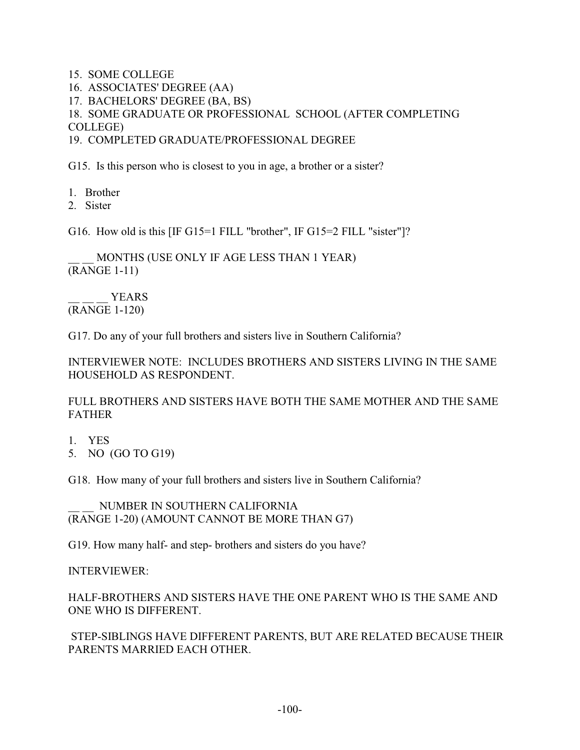- 15. SOME COLLEGE
- 16. ASSOCIATES' DEGREE (AA)
- 17. BACHELORS' DEGREE (BA, BS)

18. SOME GRADUATE OR PROFESSIONAL SCHOOL (AFTER COMPLETING COLLEGE)

19. COMPLETED GRADUATE/PROFESSIONAL DEGREE

G15. Is this person who is closest to you in age, a brother or a sister?

- 1. Brother
- 2. Sister

G16. How old is this [IF G15=1 FILL "brother", IF G15=2 FILL "sister"]?

MONTHS (USE ONLY IF AGE LESS THAN 1 YEAR) (RANGE 1-11)

YEARS (RANGE 1-120)

G17. Do any of your full brothers and sisters live in Southern California?

INTERVIEWER NOTE: INCLUDES BROTHERS AND SISTERS LIVING IN THE SAME HOUSEHOLD AS RESPONDENT.

FULL BROTHERS AND SISTERS HAVE BOTH THE SAME MOTHER AND THE SAME FATHER

- 1. YES
- 5. NO (GO TO G19)

G18. How many of your full brothers and sisters live in Southern California?

NUMBER IN SOUTHERN CALIFORNIA (RANGE 1-20) (AMOUNT CANNOT BE MORE THAN G7)

G19. How many half- and step- brothers and sisters do you have?

INTERVIEWER:

HALF-BROTHERS AND SISTERS HAVE THE ONE PARENT WHO IS THE SAME AND ONE WHO IS DIFFERENT.

 STEP-SIBLINGS HAVE DIFFERENT PARENTS, BUT ARE RELATED BECAUSE THEIR PARENTS MARRIED EACH OTHER.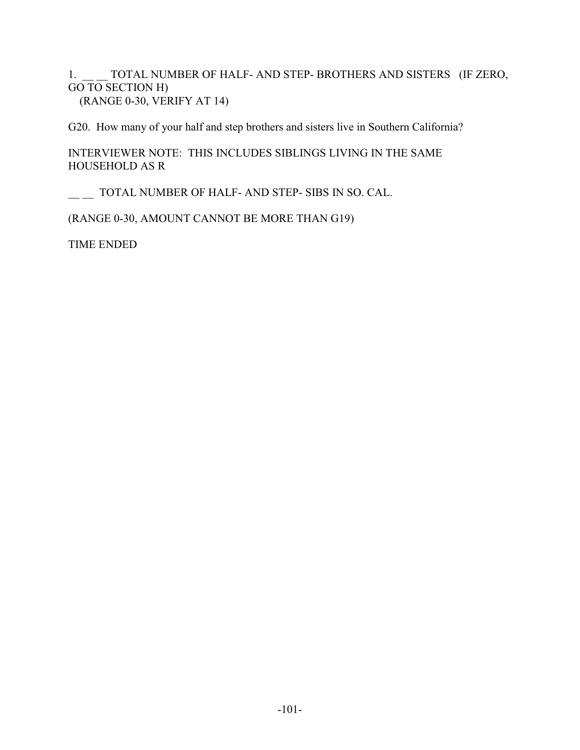1. TOTAL NUMBER OF HALF- AND STEP- BROTHERS AND SISTERS (IF ZERO, GO TO SECTION H) (RANGE 0-30, VERIFY AT 14)

G20. How many of your half and step brothers and sisters live in Southern California?

INTERVIEWER NOTE: THIS INCLUDES SIBLINGS LIVING IN THE SAME HOUSEHOLD AS R

\_\_ \_\_ TOTAL NUMBER OF HALF- AND STEP- SIBS IN SO. CAL.

(RANGE 0-30, AMOUNT CANNOT BE MORE THAN G19)

TIME ENDED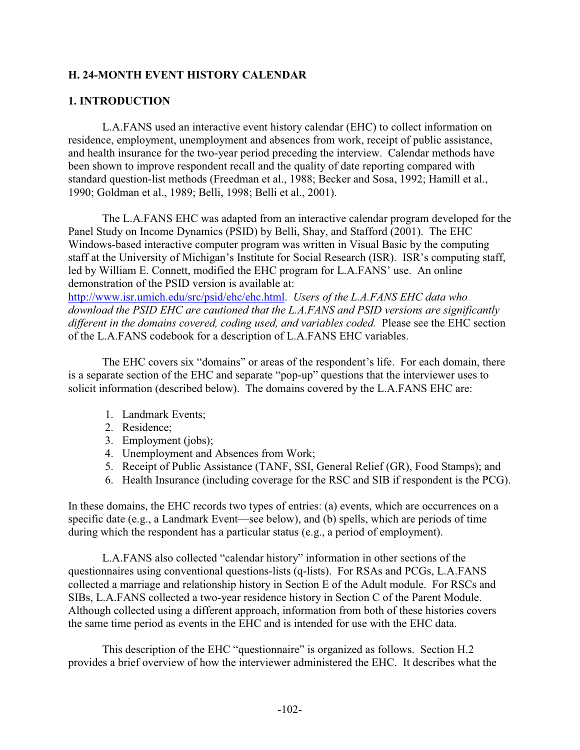## **H. 24-MONTH EVENT HISTORY CALENDAR**

## **1. INTRODUCTION**

L.A.FANS used an interactive event history calendar (EHC) to collect information on residence, employment, unemployment and absences from work, receipt of public assistance, and health insurance for the two-year period preceding the interview. Calendar methods have been shown to improve respondent recall and the quality of date reporting compared with standard question-list methods (Freedman et al., 1988; Becker and Sosa, 1992; Hamill et al., 1990; Goldman et al., 1989; Belli, 1998; Belli et al., 2001).

The L.A.FANS EHC was adapted from an interactive calendar program developed for the Panel Study on Income Dynamics (PSID) by Belli, Shay, and Stafford (2001). The EHC Windows-based interactive computer program was written in Visual Basic by the computing staff at the University of Michigan's Institute for Social Research (ISR). ISR's computing staff, led by William E. Connett, modified the EHC program for L.A.FANS' use. An online demonstration of the PSID version is available at: http://www.isr.umich.edu/src/psid/ehc/ehc.html. *Users of the L.A.FANS EHC data who* 

*download the PSID EHC are cautioned that the L.A.FANS and PSID versions are significantly different in the domains covered, coding used, and variables coded.* Please see the EHC section of the L.A.FANS codebook for a description of L.A.FANS EHC variables.

The EHC covers six "domains" or areas of the respondent's life. For each domain, there is a separate section of the EHC and separate "pop-up" questions that the interviewer uses to solicit information (described below). The domains covered by the L.A.FANS EHC are:

- 1. Landmark Events;
- 2. Residence;
- 3. Employment (jobs);
- 4. Unemployment and Absences from Work;
- 5. Receipt of Public Assistance (TANF, SSI, General Relief (GR), Food Stamps); and
- 6. Health Insurance (including coverage for the RSC and SIB if respondent is the PCG).

In these domains, the EHC records two types of entries: (a) events, which are occurrences on a specific date (e.g., a Landmark Event—see below), and (b) spells, which are periods of time during which the respondent has a particular status (e.g., a period of employment).

L.A.FANS also collected "calendar history" information in other sections of the questionnaires using conventional questions-lists (q-lists). For RSAs and PCGs, L.A.FANS collected a marriage and relationship history in Section E of the Adult module. For RSCs and SIBs, L.A.FANS collected a two-year residence history in Section C of the Parent Module. Although collected using a different approach, information from both of these histories covers the same time period as events in the EHC and is intended for use with the EHC data.

This description of the EHC "questionnaire" is organized as follows. Section H.2 provides a brief overview of how the interviewer administered the EHC. It describes what the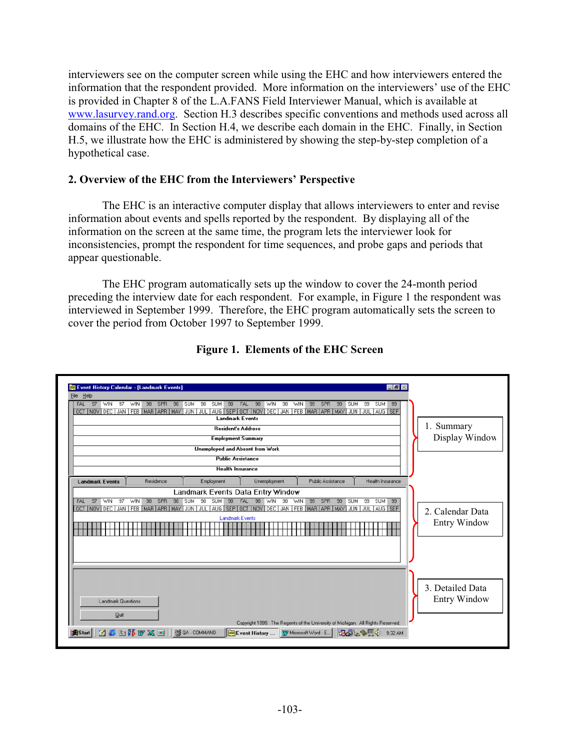interviewers see on the computer screen while using the EHC and how interviewers entered the information that the respondent provided. More information on the interviewers' use of the EHC is provided in Chapter 8 of the L.A.FANS Field Interviewer Manual, which is available at www.lasurvey.rand.org. Section H.3 describes specific conventions and methods used across all domains of the EHC. In Section H.4, we describe each domain in the EHC. Finally, in Section H.5, we illustrate how the EHC is administered by showing the step-by-step completion of a hypothetical case.

# **2. Overview of the EHC from the Interviewers' Perspective**

The EHC is an interactive computer display that allows interviewers to enter and revise information about events and spells reported by the respondent. By displaying all of the information on the screen at the same time, the program lets the interviewer look for inconsistencies, prompt the respondent for time sequences, and probe gaps and periods that appear questionable.

The EHC program automatically sets up the window to cover the 24-month period preceding the interview date for each respondent. For example, in Figure 1 the respondent was interviewed in September 1999. Therefore, the EHC program automatically sets the screen to cover the period from October 1997 to September 1999.

| FAL 97<br><b>WIN</b><br>97        | <b>WIN</b><br>98<br>SPR<br>98<br><b>SUM</b><br>OCT   NOV   DEC   JAN   FEB   MAR   APR   MAY   JUN   JUL   AUG   SEP   OCT   NOV   DEC   JAN   FEB   MAR   APR   MAY   JUN   JUL   AUG   SEP | 98<br><b>SUM</b><br>98<br><b>FAL</b><br><b>Landmark Events</b>       | 98<br>98<br>WIN<br>WIN                            | 99<br>SPR<br>99          | 99<br>SUM 99<br><b>SUM</b> |                                         |
|-----------------------------------|----------------------------------------------------------------------------------------------------------------------------------------------------------------------------------------------|----------------------------------------------------------------------|---------------------------------------------------|--------------------------|----------------------------|-----------------------------------------|
|                                   |                                                                                                                                                                                              | <b>Resident's Address</b><br><b>Employment Summary</b>               |                                                   |                          |                            | 1. Summary<br>Display Window            |
|                                   |                                                                                                                                                                                              | <b>Unemployed and Absent from Work</b>                               |                                                   |                          |                            |                                         |
|                                   |                                                                                                                                                                                              | <b>Public Assistance</b>                                             |                                                   |                          |                            |                                         |
|                                   |                                                                                                                                                                                              | <b>Health Insurance</b>                                              |                                                   |                          |                            |                                         |
| <b>Landmark Events</b>            | Residence                                                                                                                                                                                    | Employment                                                           | Unemployment<br>Landmark Events Data Entry Window | <b>Public Assistance</b> | Health Insurance           |                                         |
| 97<br>97<br>WIN<br>FAL            | 98 SUM<br>WIN<br>98<br>SPR<br>OCT NOV DEC JAN FEB MAR APR MAY JUN JUL AUG SEP OCT NOV DEC JAN FEB MAR APR MAY JUN JUL AUG SEP                                                                | 98<br>SUM <sup>1</sup><br>98<br><b>FAL</b><br><b>Landmark Events</b> | 98 WIN 98 WIN                                     | 99<br>SPR<br>99 SUM      | 99<br><b>SUM 99</b>        | 2. Calendar Data<br><b>Entry Window</b> |
| <b>Landmark Questions</b><br>Quit |                                                                                                                                                                                              |                                                                      |                                                   |                          |                            | 3. Detailed Data<br><b>Entry Window</b> |

# **Figure 1. Elements of the EHC Screen**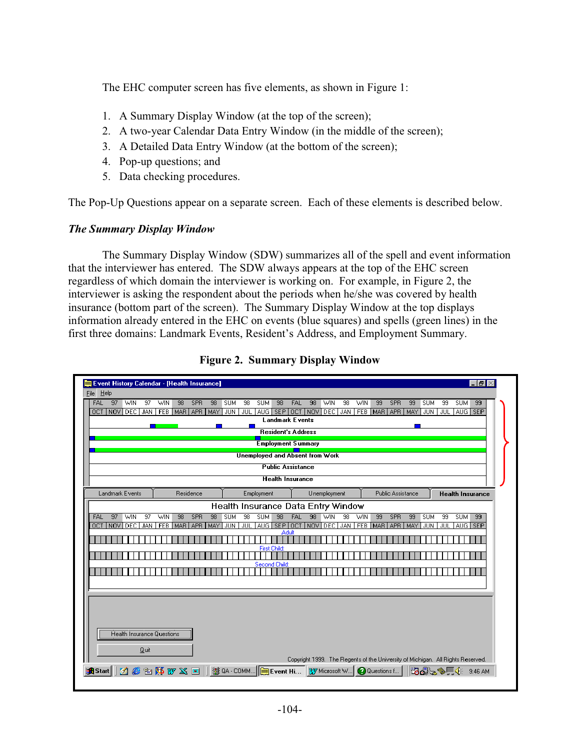The EHC computer screen has five elements, as shown in Figure 1:

- 1. A Summary Display Window (at the top of the screen);
- 2. A two-year Calendar Data Entry Window (in the middle of the screen);
- 3. A Detailed Data Entry Window (at the bottom of the screen);
- 4. Pop-up questions; and
- 5. Data checking procedures.

The Pop-Up Questions appear on a separate screen. Each of these elements is described below.

# *The Summary Display Window*

The Summary Display Window (SDW) summarizes all of the spell and event information that the interviewer has entered. The SDW always appears at the top of the EHC screen regardless of which domain the interviewer is working on. For example, in Figure 2, the interviewer is asking the respondent about the periods when he/she was covered by health insurance (bottom part of the screen). The Summary Display Window at the top displays information already entered in the EHC on events (blue squares) and spells (green lines) in the first three domains: Landmark Events, Resident's Address, and Employment Summary.

| Event History Calendar - [Health Insurance]<br>$    \times$                                                                                                                                                                                                                                                                                                                                                                |  |
|----------------------------------------------------------------------------------------------------------------------------------------------------------------------------------------------------------------------------------------------------------------------------------------------------------------------------------------------------------------------------------------------------------------------------|--|
| File Help                                                                                                                                                                                                                                                                                                                                                                                                                  |  |
| $-97$<br><b>SPR</b><br><b>FAL</b><br><b>WIN</b><br>97<br>98<br>98<br><b>SUM</b><br>98<br>98<br>99<br>99<br>99<br><b>WIN</b><br>98<br><b>SUM</b><br><b>FAL</b><br><b>WIN</b><br>98<br><b>WIN</b><br><b>SPR</b><br>99<br><b>SUM</b><br><b>SUM</b><br>FEB MAR APR MAY JUN<br>AUG SEP<br>OCT   NOV   DEC   JAN<br>JUL.<br>  AUG   SEP   OCT   NOV<br>DEC   JAN   FEB   MAR   APR   MAY   JUN   JUL  <br><b>Landmark Events</b> |  |
| <b>Resident's Address</b>                                                                                                                                                                                                                                                                                                                                                                                                  |  |
| <b>Employment Summary</b>                                                                                                                                                                                                                                                                                                                                                                                                  |  |
| <b>Unemployed and Absent from Work</b>                                                                                                                                                                                                                                                                                                                                                                                     |  |
| <b>Public Assistance</b>                                                                                                                                                                                                                                                                                                                                                                                                   |  |
| <b>Health Insurance</b>                                                                                                                                                                                                                                                                                                                                                                                                    |  |
| Landmark Events<br>Residence<br>Employment<br>Unemployment<br>Public Assistance<br><b>Health Insurance</b>                                                                                                                                                                                                                                                                                                                 |  |
|                                                                                                                                                                                                                                                                                                                                                                                                                            |  |
| Health Insurance Data Entry Window<br>$\overline{98}$<br>FAL<br>$\overline{98}$<br>97<br><b>WIN</b><br>$\overline{97}$<br>98<br>SPR<br>98<br><b>SUM</b><br>$\overline{98}$<br><b>SUM</b><br>WIN<br>98<br>WIN<br>99<br>99<br><b>SUM</b><br>99<br><b>SUM</b><br>99<br><b>FAL</b><br><b>WIN</b><br><b>SPR</b>                                                                                                                 |  |
| OCT   NOV   DEC   JAN<br><b>FEB</b><br>MAR APR<br>JUL<br>$ AUG $ SEP $ $<br><b>OCT</b><br>INOVIDEC<br>JAN<br><b>FEB</b><br>MAR<br><b>JUN</b><br><b>JUL</b><br>AUG SEP<br>MAY<br><b>JUN</b><br><b>LAPR</b><br>MAY                                                                                                                                                                                                           |  |
| Adult                                                                                                                                                                                                                                                                                                                                                                                                                      |  |
| <b>First Child:</b>                                                                                                                                                                                                                                                                                                                                                                                                        |  |
| Second Child:                                                                                                                                                                                                                                                                                                                                                                                                              |  |
|                                                                                                                                                                                                                                                                                                                                                                                                                            |  |
|                                                                                                                                                                                                                                                                                                                                                                                                                            |  |
|                                                                                                                                                                                                                                                                                                                                                                                                                            |  |
|                                                                                                                                                                                                                                                                                                                                                                                                                            |  |
|                                                                                                                                                                                                                                                                                                                                                                                                                            |  |
| <b>Health Insurance Questions</b>                                                                                                                                                                                                                                                                                                                                                                                          |  |
| Quit                                                                                                                                                                                                                                                                                                                                                                                                                       |  |
| Copyright 1999. The Regents of the University of Michigan. All Rights Reserved.                                                                                                                                                                                                                                                                                                                                            |  |
| an Start 3 @ 2 \$ W X @    \$8 QA - COMM   DEvent Hi<br><b>B.J.S.</b><br><b>Q</b> Questions f<br>W Microsoft W<br>$9:46$ AM                                                                                                                                                                                                                                                                                                |  |

**Figure 2. Summary Display Window**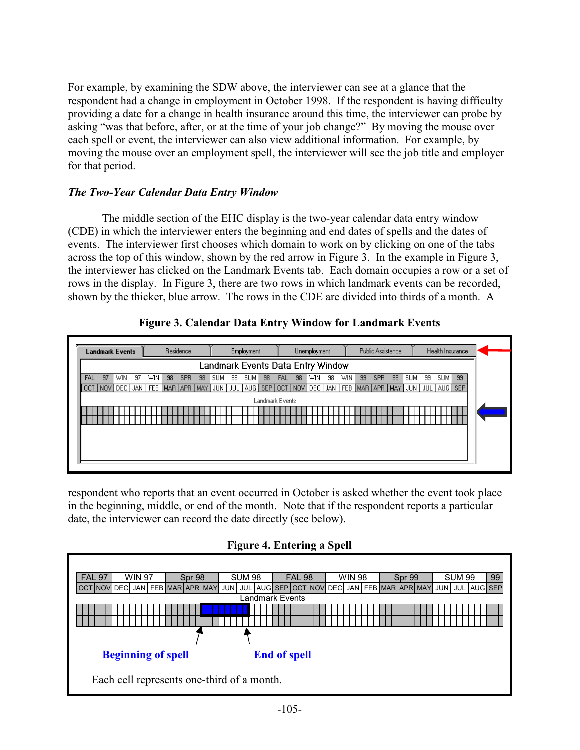For example, by examining the SDW above, the interviewer can see at a glance that the respondent had a change in employment in October 1998. If the respondent is having difficulty providing a date for a change in health insurance around this time, the interviewer can probe by asking "was that before, after, or at the time of your job change?" By moving the mouse over each spell or event, the interviewer can also view additional information. For example, by moving the mouse over an employment spell, the interviewer will see the job title and employer for that period.

## *The Two-Year Calendar Data Entry Window*

The middle section of the EHC display is the two-year calendar data entry window (CDE) in which the interviewer enters the beginning and end dates of spells and the dates of events. The interviewer first chooses which domain to work on by clicking on one of the tabs across the top of this window, shown by the red arrow in Figure 3. In the example in Figure 3, the interviewer has clicked on the Landmark Events tab. Each domain occupies a row or a set of rows in the display. In Figure 3, there are two rows in which landmark events can be recorded, shown by the thicker, blue arrow. The rows in the CDE are divided into thirds of a month. A

# **Figure 3. Calendar Data Entry Window for Landmark Events**



respondent who reports that an event occurred in October is asked whether the event took place in the beginning, middle, or end of the month. Note that if the respondent reports a particular date, the interviewer can record the date directly (see below).

# **Figure 4. Entering a Spell**

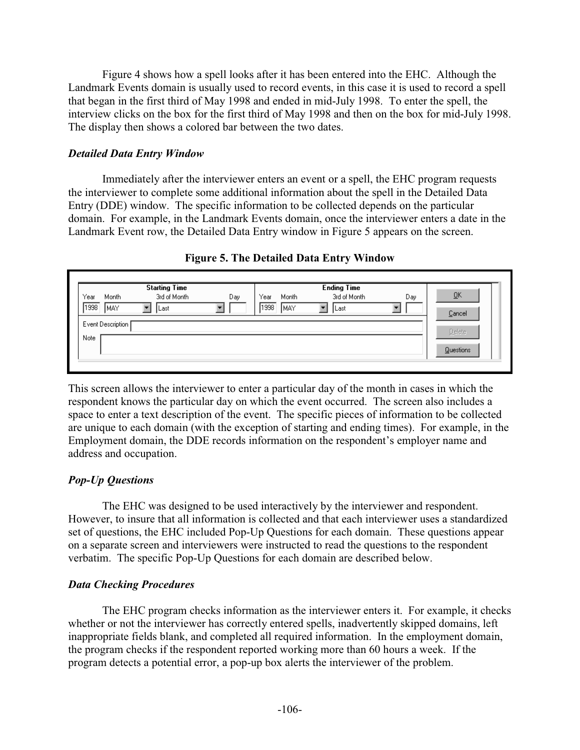Figure 4 shows how a spell looks after it has been entered into the EHC. Although the Landmark Events domain is usually used to record events, in this case it is used to record a spell that began in the first third of May 1998 and ended in mid-July 1998. To enter the spell, the interview clicks on the box for the first third of May 1998 and then on the box for mid-July 1998. The display then shows a colored bar between the two dates.

## *Detailed Data Entry Window*

Immediately after the interviewer enters an event or a spell, the EHC program requests the interviewer to complete some additional information about the spell in the Detailed Data Entry (DDE) window. The specific information to be collected depends on the particular domain. For example, in the Landmark Events domain, once the interviewer enters a date in the Landmark Event row, the Detailed Data Entry window in Figure 5 appears on the screen.

|      |                     | <b>Starting Time</b> |     |               | <b>Ending Time</b> |     |           |
|------|---------------------|----------------------|-----|---------------|--------------------|-----|-----------|
| Year | Month               | 3rd of Month         | Day | Year<br>Month | 3rd of Month       | Day | <u>OK</u> |
| 1998 | Imay                | Last                 |     | 1998<br>IMAY. | Last               |     |           |
|      |                     |                      |     |               |                    |     | Cancel    |
|      | Event Description [ |                      |     |               |                    |     |           |
|      |                     |                      |     |               |                    |     | Delete    |
| Note |                     |                      |     |               |                    |     |           |

## **Figure 5. The Detailed Data Entry Window**

This screen allows the interviewer to enter a particular day of the month in cases in which the respondent knows the particular day on which the event occurred. The screen also includes a space to enter a text description of the event. The specific pieces of information to be collected are unique to each domain (with the exception of starting and ending times). For example, in the Employment domain, the DDE records information on the respondent's employer name and address and occupation.

**Questions** 

# *Pop-Up Questions*

The EHC was designed to be used interactively by the interviewer and respondent. However, to insure that all information is collected and that each interviewer uses a standardized set of questions, the EHC included Pop-Up Questions for each domain. These questions appear on a separate screen and interviewers were instructed to read the questions to the respondent verbatim. The specific Pop-Up Questions for each domain are described below.

### *Data Checking Procedures*

The EHC program checks information as the interviewer enters it. For example, it checks whether or not the interviewer has correctly entered spells, inadvertently skipped domains, left inappropriate fields blank, and completed all required information. In the employment domain, the program checks if the respondent reported working more than 60 hours a week. If the program detects a potential error, a pop-up box alerts the interviewer of the problem.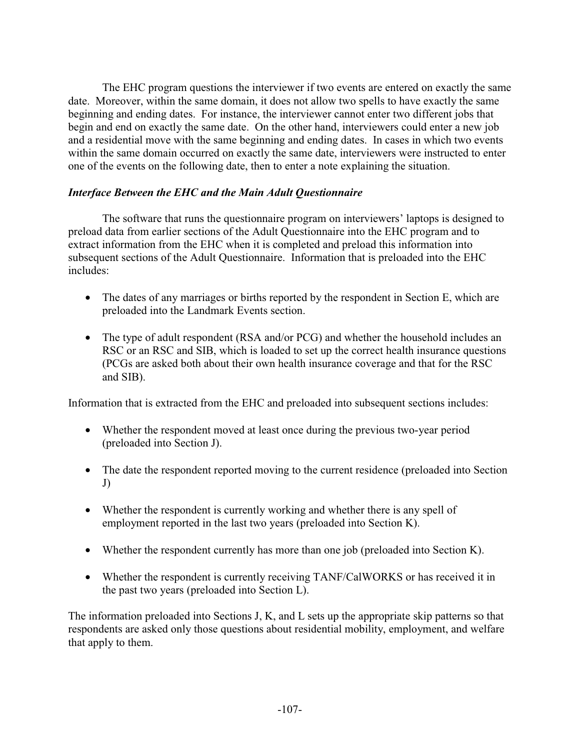The EHC program questions the interviewer if two events are entered on exactly the same date. Moreover, within the same domain, it does not allow two spells to have exactly the same beginning and ending dates. For instance, the interviewer cannot enter two different jobs that begin and end on exactly the same date. On the other hand, interviewers could enter a new job and a residential move with the same beginning and ending dates. In cases in which two events within the same domain occurred on exactly the same date, interviewers were instructed to enter one of the events on the following date, then to enter a note explaining the situation.

## *Interface Between the EHC and the Main Adult Questionnaire*

The software that runs the questionnaire program on interviewers' laptops is designed to preload data from earlier sections of the Adult Questionnaire into the EHC program and to extract information from the EHC when it is completed and preload this information into subsequent sections of the Adult Questionnaire. Information that is preloaded into the EHC includes:

- The dates of any marriages or births reported by the respondent in Section E, which are preloaded into the Landmark Events section.
- The type of adult respondent (RSA and/or PCG) and whether the household includes an RSC or an RSC and SIB, which is loaded to set up the correct health insurance questions (PCGs are asked both about their own health insurance coverage and that for the RSC and SIB).

Information that is extracted from the EHC and preloaded into subsequent sections includes:

- Whether the respondent moved at least once during the previous two-year period (preloaded into Section J).
- The date the respondent reported moving to the current residence (preloaded into Section J)
- Whether the respondent is currently working and whether there is any spell of employment reported in the last two years (preloaded into Section K).
- Whether the respondent currently has more than one job (preloaded into Section K).
- Whether the respondent is currently receiving TANF/CalWORKS or has received it in the past two years (preloaded into Section L).

The information preloaded into Sections J, K, and L sets up the appropriate skip patterns so that respondents are asked only those questions about residential mobility, employment, and welfare that apply to them.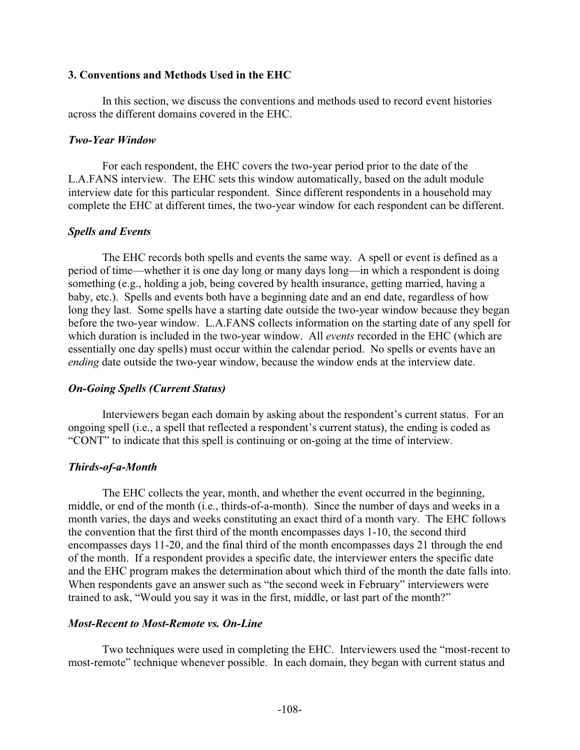#### **3. Conventions and Methods Used in the EHC**

In this section, we discuss the conventions and methods used to record event histories across the different domains covered in the EHC.

#### *Two-Year Window*

For each respondent, the EHC covers the two-year period prior to the date of the L.A.FANS interview. The EHC sets this window automatically, based on the adult module interview date for this particular respondent. Since different respondents in a household may complete the EHC at different times, the two-year window for each respondent can be different.

### *Spells and Events*

The EHC records both spells and events the same way. A spell or event is defined as a period of time—whether it is one day long or many days long—in which a respondent is doing something (e.g., holding a job, being covered by health insurance, getting married, having a baby, etc.). Spells and events both have a beginning date and an end date, regardless of how long they last. Some spells have a starting date outside the two-year window because they began before the two-year window. L.A.FANS collects information on the starting date of any spell for which duration is included in the two-year window. All *events* recorded in the EHC (which are essentially one day spells) must occur within the calendar period. No spells or events have an *ending* date outside the two-year window, because the window ends at the interview date.

### *On-Going Spells (Current Status)*

Interviewers began each domain by asking about the respondent's current status. For an ongoing spell (i.e., a spell that reflected a respondent's current status), the ending is coded as "CONT" to indicate that this spell is continuing or on-going at the time of interview.

### *Thirds-of-a-Month*

The EHC collects the year, month, and whether the event occurred in the beginning, middle, or end of the month (i.e., thirds-of-a-month). Since the number of days and weeks in a month varies, the days and weeks constituting an exact third of a month vary. The EHC follows the convention that the first third of the month encompasses days 1-10, the second third encompasses days 11-20, and the final third of the month encompasses days 21 through the end of the month. If a respondent provides a specific date, the interviewer enters the specific date and the EHC program makes the determination about which third of the month the date falls into. When respondents gave an answer such as "the second week in February" interviewers were trained to ask, "Would you say it was in the first, middle, or last part of the month?"

### *Most-Recent to Most-Remote vs. On-Line*

Two techniques were used in completing the EHC. Interviewers used the "most-recent to most-remote" technique whenever possible. In each domain, they began with current status and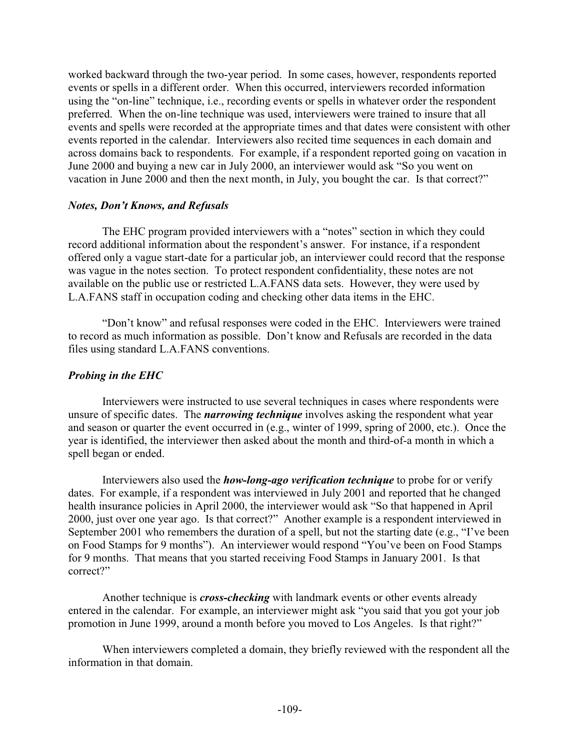worked backward through the two-year period. In some cases, however, respondents reported events or spells in a different order. When this occurred, interviewers recorded information using the "on-line" technique, i.e., recording events or spells in whatever order the respondent preferred. When the on-line technique was used, interviewers were trained to insure that all events and spells were recorded at the appropriate times and that dates were consistent with other events reported in the calendar. Interviewers also recited time sequences in each domain and across domains back to respondents. For example, if a respondent reported going on vacation in June 2000 and buying a new car in July 2000, an interviewer would ask "So you went on vacation in June 2000 and then the next month, in July, you bought the car. Is that correct?"

## *Notes, Don't Knows, and Refusals*

The EHC program provided interviewers with a "notes" section in which they could record additional information about the respondent's answer. For instance, if a respondent offered only a vague start-date for a particular job, an interviewer could record that the response was vague in the notes section. To protect respondent confidentiality, these notes are not available on the public use or restricted L.A.FANS data sets. However, they were used by L.A.FANS staff in occupation coding and checking other data items in the EHC.

"Don't know" and refusal responses were coded in the EHC. Interviewers were trained to record as much information as possible. Don't know and Refusals are recorded in the data files using standard L.A.FANS conventions.

# *Probing in the EHC*

Interviewers were instructed to use several techniques in cases where respondents were unsure of specific dates. The *narrowing technique* involves asking the respondent what year and season or quarter the event occurred in (e.g., winter of 1999, spring of 2000, etc.). Once the year is identified, the interviewer then asked about the month and third-of-a month in which a spell began or ended.

Interviewers also used the *how-long-ago verification technique* to probe for or verify dates. For example, if a respondent was interviewed in July 2001 and reported that he changed health insurance policies in April 2000, the interviewer would ask "So that happened in April 2000, just over one year ago. Is that correct?" Another example is a respondent interviewed in September 2001 who remembers the duration of a spell, but not the starting date (e.g., "I've been on Food Stamps for 9 months"). An interviewer would respond "You've been on Food Stamps for 9 months. That means that you started receiving Food Stamps in January 2001. Is that correct?"

Another technique is *cross-checking* with landmark events or other events already entered in the calendar. For example, an interviewer might ask "you said that you got your job promotion in June 1999, around a month before you moved to Los Angeles. Is that right?"

When interviewers completed a domain, they briefly reviewed with the respondent all the information in that domain.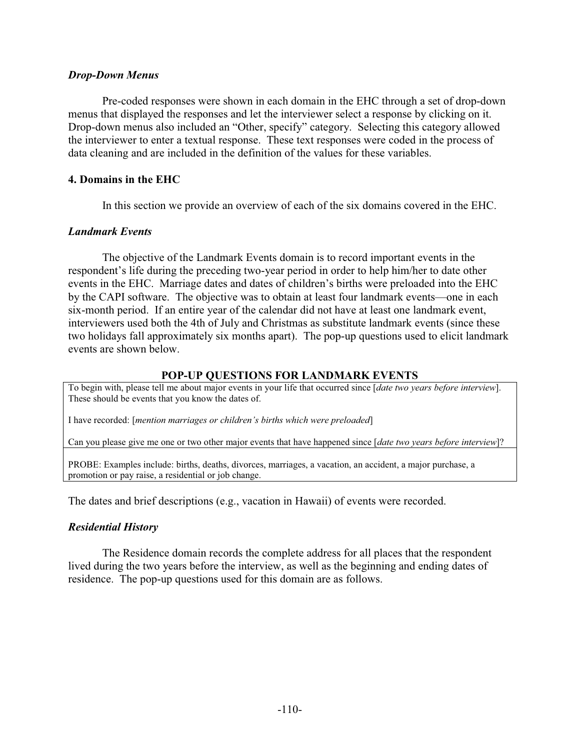#### *Drop-Down Menus*

Pre-coded responses were shown in each domain in the EHC through a set of drop-down menus that displayed the responses and let the interviewer select a response by clicking on it. Drop-down menus also included an "Other, specify" category. Selecting this category allowed the interviewer to enter a textual response. These text responses were coded in the process of data cleaning and are included in the definition of the values for these variables.

#### **4. Domains in the EHC**

In this section we provide an overview of each of the six domains covered in the EHC.

#### *Landmark Events*

The objective of the Landmark Events domain is to record important events in the respondent's life during the preceding two-year period in order to help him/her to date other events in the EHC. Marriage dates and dates of children's births were preloaded into the EHC by the CAPI software. The objective was to obtain at least four landmark events—one in each six-month period. If an entire year of the calendar did not have at least one landmark event, interviewers used both the 4th of July and Christmas as substitute landmark events (since these two holidays fall approximately six months apart). The pop-up questions used to elicit landmark events are shown below.

#### **POP-UP QUESTIONS FOR LANDMARK EVENTS**

To begin with, please tell me about major events in your life that occurred since [*date two years before interview*]. These should be events that you know the dates of.

I have recorded: [*mention marriages or children's births which were preloaded*]

Can you please give me one or two other major events that have happened since [*date two years before interview*]?

PROBE: Examples include: births, deaths, divorces, marriages, a vacation, an accident, a major purchase, a promotion or pay raise, a residential or job change.

The dates and brief descriptions (e.g., vacation in Hawaii) of events were recorded.

### *Residential History*

The Residence domain records the complete address for all places that the respondent lived during the two years before the interview, as well as the beginning and ending dates of residence. The pop-up questions used for this domain are as follows.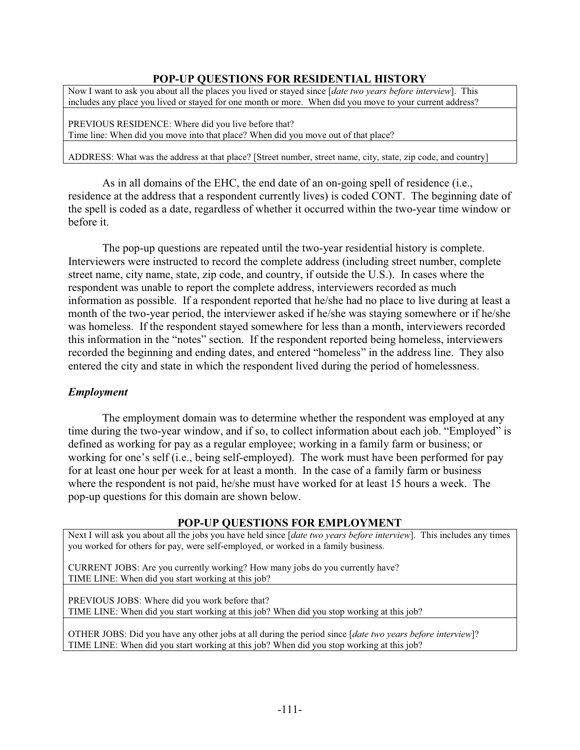# **POP-UP QUESTIONS FOR RESIDENTIAL HISTORY**

Now I want to ask you about all the places you lived or stayed since [*date two years before interview*]. This includes any place you lived or stayed for one month or more. When did you move to your current address?

PREVIOUS RESIDENCE: Where did you live before that? Time line: When did you move into that place? When did you move out of that place?

ADDRESS: What was the address at that place? [Street number, street name, city, state, zip code, and country]

As in all domains of the EHC, the end date of an on-going spell of residence (i.e., residence at the address that a respondent currently lives) is coded CONT. The beginning date of the spell is coded as a date, regardless of whether it occurred within the two-year time window or before it.

The pop-up questions are repeated until the two-year residential history is complete. Interviewers were instructed to record the complete address (including street number, complete street name, city name, state, zip code, and country, if outside the U.S.). In cases where the respondent was unable to report the complete address, interviewers recorded as much information as possible. If a respondent reported that he/she had no place to live during at least a month of the two-year period, the interviewer asked if he/she was staying somewhere or if he/she was homeless. If the respondent stayed somewhere for less than a month, interviewers recorded this information in the "notes" section. If the respondent reported being homeless, interviewers recorded the beginning and ending dates, and entered "homeless" in the address line. They also entered the city and state in which the respondent lived during the period of homelessness.

### *Employment*

The employment domain was to determine whether the respondent was employed at any time during the two-year window, and if so, to collect information about each job. "Employed" is defined as working for pay as a regular employee; working in a family farm or business; or working for one's self (i.e., being self-employed). The work must have been performed for pay for at least one hour per week for at least a month. In the case of a family farm or business where the respondent is not paid, he/she must have worked for at least 15 hours a week. The pop-up questions for this domain are shown below.

### **POP-UP QUESTIONS FOR EMPLOYMENT**

Next I will ask you about all the jobs you have held since [*date two years before interview*]. This includes any times you worked for others for pay, were self-employed, or worked in a family business.

CURRENT JOBS: Are you currently working? How many jobs do you currently have? TIME LINE: When did you start working at this job?

PREVIOUS JOBS: Where did you work before that? TIME LINE: When did you start working at this job? When did you stop working at this job?

OTHER JOBS: Did you have any other jobs at all during the period since [*date two years before interview*]? TIME LINE: When did you start working at this job? When did you stop working at this job?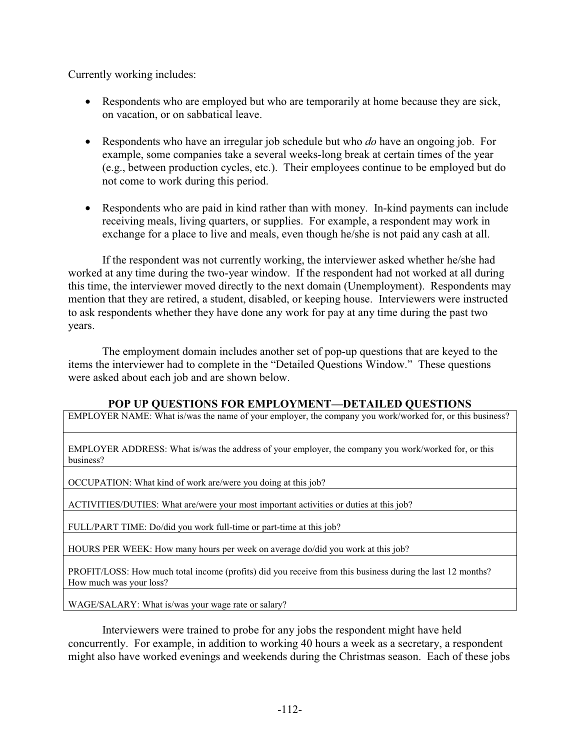Currently working includes:

- Respondents who are employed but who are temporarily at home because they are sick, on vacation, or on sabbatical leave.
- Respondents who have an irregular job schedule but who *do* have an ongoing job. For example, some companies take a several weeks-long break at certain times of the year (e.g., between production cycles, etc.). Their employees continue to be employed but do not come to work during this period.
- Respondents who are paid in kind rather than with money. In-kind payments can include receiving meals, living quarters, or supplies. For example, a respondent may work in exchange for a place to live and meals, even though he/she is not paid any cash at all.

If the respondent was not currently working, the interviewer asked whether he/she had worked at any time during the two-year window. If the respondent had not worked at all during this time, the interviewer moved directly to the next domain (Unemployment). Respondents may mention that they are retired, a student, disabled, or keeping house. Interviewers were instructed to ask respondents whether they have done any work for pay at any time during the past two years.

The employment domain includes another set of pop-up questions that are keyed to the items the interviewer had to complete in the "Detailed Questions Window." These questions were asked about each job and are shown below.

# **POP UP QUESTIONS FOR EMPLOYMENT—DETAILED QUESTIONS**

EMPLOYER NAME: What is/was the name of your employer, the company you work/worked for, or this business?

EMPLOYER ADDRESS: What is/was the address of your employer, the company you work/worked for, or this business?

OCCUPATION: What kind of work are/were you doing at this job?

ACTIVITIES/DUTIES: What are/were your most important activities or duties at this job?

FULL/PART TIME: Do/did you work full-time or part-time at this job?

HOURS PER WEEK: How many hours per week on average do/did you work at this job?

PROFIT/LOSS: How much total income (profits) did you receive from this business during the last 12 months? How much was your loss?

WAGE/SALARY: What is/was your wage rate or salary?

Interviewers were trained to probe for any jobs the respondent might have held concurrently. For example, in addition to working 40 hours a week as a secretary, a respondent might also have worked evenings and weekends during the Christmas season. Each of these jobs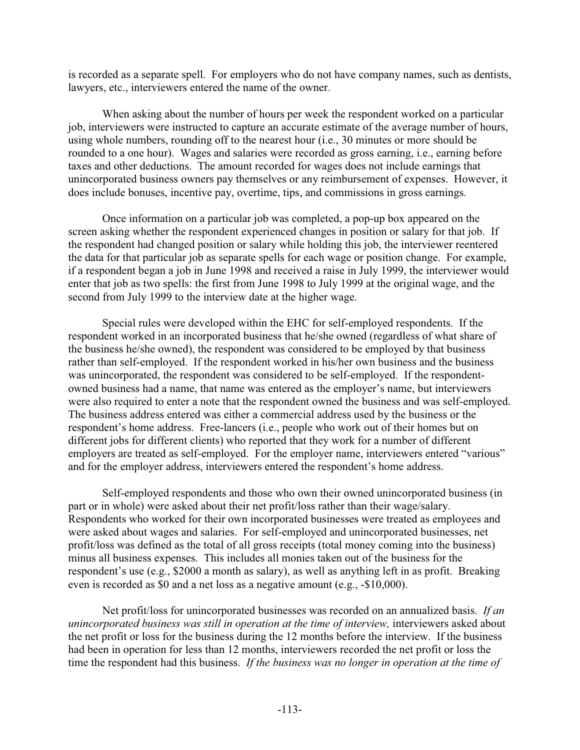is recorded as a separate spell. For employers who do not have company names, such as dentists, lawyers, etc., interviewers entered the name of the owner.

When asking about the number of hours per week the respondent worked on a particular job, interviewers were instructed to capture an accurate estimate of the average number of hours, using whole numbers, rounding off to the nearest hour (i.e., 30 minutes or more should be rounded to a one hour). Wages and salaries were recorded as gross earning, i.e., earning before taxes and other deductions. The amount recorded for wages does not include earnings that unincorporated business owners pay themselves or any reimbursement of expenses. However, it does include bonuses, incentive pay, overtime, tips, and commissions in gross earnings.

Once information on a particular job was completed, a pop-up box appeared on the screen asking whether the respondent experienced changes in position or salary for that job. If the respondent had changed position or salary while holding this job, the interviewer reentered the data for that particular job as separate spells for each wage or position change. For example, if a respondent began a job in June 1998 and received a raise in July 1999, the interviewer would enter that job as two spells: the first from June 1998 to July 1999 at the original wage, and the second from July 1999 to the interview date at the higher wage.

Special rules were developed within the EHC for self-employed respondents. If the respondent worked in an incorporated business that he/she owned (regardless of what share of the business he/she owned), the respondent was considered to be employed by that business rather than self-employed. If the respondent worked in his/her own business and the business was unincorporated, the respondent was considered to be self-employed. If the respondentowned business had a name, that name was entered as the employer's name, but interviewers were also required to enter a note that the respondent owned the business and was self-employed. The business address entered was either a commercial address used by the business or the respondent's home address. Free-lancers (i.e., people who work out of their homes but on different jobs for different clients) who reported that they work for a number of different employers are treated as self-employed. For the employer name, interviewers entered "various" and for the employer address, interviewers entered the respondent's home address.

Self-employed respondents and those who own their owned unincorporated business (in part or in whole) were asked about their net profit/loss rather than their wage/salary. Respondents who worked for their own incorporated businesses were treated as employees and were asked about wages and salaries. For self-employed and unincorporated businesses, net profit/loss was defined as the total of all gross receipts (total money coming into the business) minus all business expenses. This includes all monies taken out of the business for the respondent's use (e.g., \$2000 a month as salary), as well as anything left in as profit. Breaking even is recorded as \$0 and a net loss as a negative amount (e.g., -\$10,000).

Net profit/loss for unincorporated businesses was recorded on an annualized basis. *If an unincorporated business was still in operation at the time of interview, interviewers asked about* the net profit or loss for the business during the 12 months before the interview. If the business had been in operation for less than 12 months, interviewers recorded the net profit or loss the time the respondent had this business. *If the business was no longer in operation at the time of*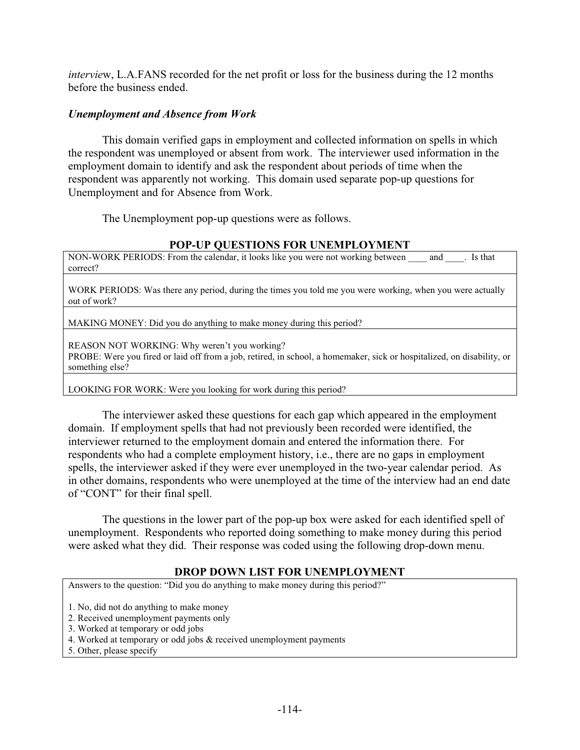*intervie*w, L.A.FANS recorded for the net profit or loss for the business during the 12 months before the business ended.

### *Unemployment and Absence from Work*

This domain verified gaps in employment and collected information on spells in which the respondent was unemployed or absent from work. The interviewer used information in the employment domain to identify and ask the respondent about periods of time when the respondent was apparently not working. This domain used separate pop-up questions for Unemployment and for Absence from Work.

The Unemployment pop-up questions were as follows.

## **POP-UP QUESTIONS FOR UNEMPLOYMENT**

NON-WORK PERIODS: From the calendar, it looks like you were not working between \_\_\_\_ and \_\_\_\_. Is that correct?

WORK PERIODS: Was there any period, during the times you told me you were working, when you were actually out of work?

MAKING MONEY: Did you do anything to make money during this period?

REASON NOT WORKING: Why weren't you working? PROBE: Were you fired or laid off from a job, retired, in school, a homemaker, sick or hospitalized, on disability, or something else?

LOOKING FOR WORK: Were you looking for work during this period?

The interviewer asked these questions for each gap which appeared in the employment domain. If employment spells that had not previously been recorded were identified, the interviewer returned to the employment domain and entered the information there. For respondents who had a complete employment history, i.e., there are no gaps in employment spells, the interviewer asked if they were ever unemployed in the two-year calendar period. As in other domains, respondents who were unemployed at the time of the interview had an end date of "CONT" for their final spell.

The questions in the lower part of the pop-up box were asked for each identified spell of unemployment. Respondents who reported doing something to make money during this period were asked what they did. Their response was coded using the following drop-down menu.

### **DROP DOWN LIST FOR UNEMPLOYMENT**

Answers to the question: "Did you do anything to make money during this period?"

1. No, did not do anything to make money

- 2. Received unemployment payments only
- 3. Worked at temporary or odd jobs
- 4. Worked at temporary or odd jobs & received unemployment payments
- 5. Other, please specify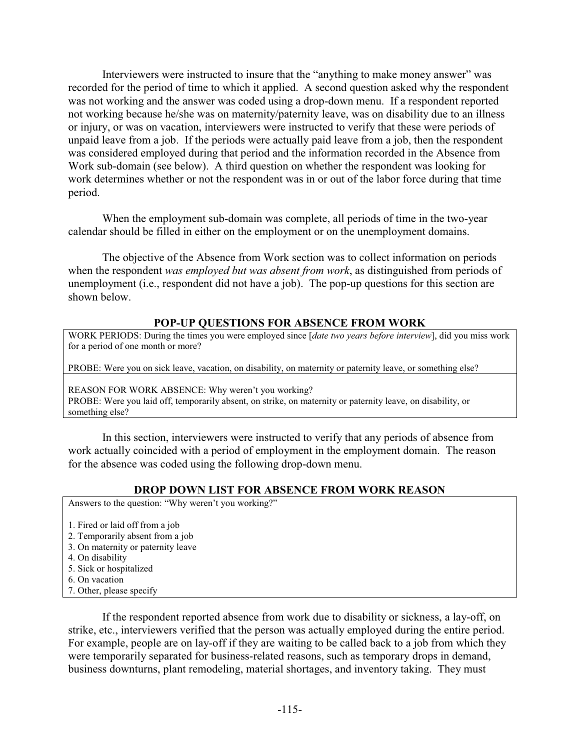Interviewers were instructed to insure that the "anything to make money answer" was recorded for the period of time to which it applied. A second question asked why the respondent was not working and the answer was coded using a drop-down menu. If a respondent reported not working because he/she was on maternity/paternity leave, was on disability due to an illness or injury, or was on vacation, interviewers were instructed to verify that these were periods of unpaid leave from a job. If the periods were actually paid leave from a job, then the respondent was considered employed during that period and the information recorded in the Absence from Work sub-domain (see below). A third question on whether the respondent was looking for work determines whether or not the respondent was in or out of the labor force during that time period.

When the employment sub-domain was complete, all periods of time in the two-year calendar should be filled in either on the employment or on the unemployment domains.

The objective of the Absence from Work section was to collect information on periods when the respondent *was employed but was absent from work*, as distinguished from periods of unemployment (i.e., respondent did not have a job). The pop-up questions for this section are shown below.

### **POP-UP QUESTIONS FOR ABSENCE FROM WORK**

WORK PERIODS: During the times you were employed since [*date two years before interview*], did you miss work for a period of one month or more?

PROBE: Were you on sick leave, vacation, on disability, on maternity or paternity leave, or something else?

REASON FOR WORK ABSENCE: Why weren't you working? PROBE: Were you laid off, temporarily absent, on strike, on maternity or paternity leave, on disability, or something else?

In this section, interviewers were instructed to verify that any periods of absence from work actually coincided with a period of employment in the employment domain. The reason for the absence was coded using the following drop-down menu.

### **DROP DOWN LIST FOR ABSENCE FROM WORK REASON**

Answers to the question: "Why weren't you working?"

- 1. Fired or laid off from a job
- 2. Temporarily absent from a job
- 3. On maternity or paternity leave
- 4. On disability
- 5. Sick or hospitalized
- 6. On vacation
- 7. Other, please specify

If the respondent reported absence from work due to disability or sickness, a lay-off, on strike, etc., interviewers verified that the person was actually employed during the entire period. For example, people are on lay-off if they are waiting to be called back to a job from which they were temporarily separated for business-related reasons, such as temporary drops in demand, business downturns, plant remodeling, material shortages, and inventory taking. They must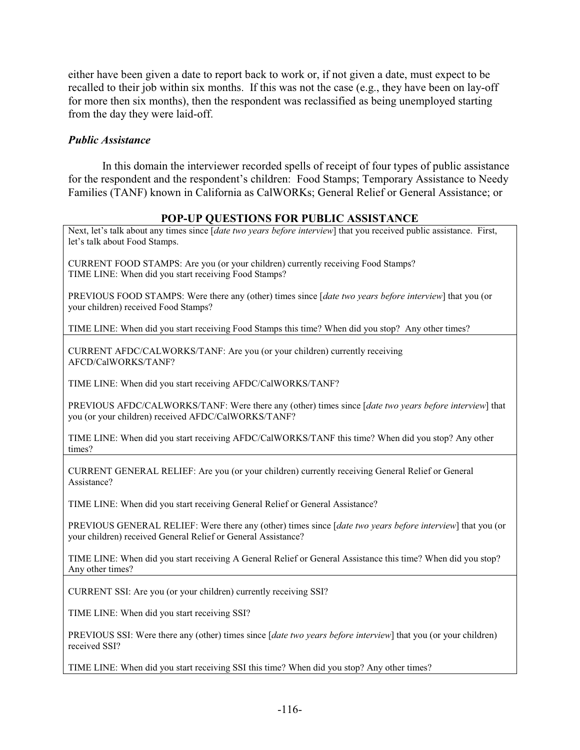either have been given a date to report back to work or, if not given a date, must expect to be recalled to their job within six months. If this was not the case (e.g., they have been on lay-off for more then six months), then the respondent was reclassified as being unemployed starting from the day they were laid-off.

### *Public Assistance*

In this domain the interviewer recorded spells of receipt of four types of public assistance for the respondent and the respondent's children: Food Stamps; Temporary Assistance to Needy Families (TANF) known in California as CalWORKs; General Relief or General Assistance; or

## **POP-UP QUESTIONS FOR PUBLIC ASSISTANCE**

Next, let's talk about any times since [*date two years before interview*] that you received public assistance. First, let's talk about Food Stamps.

CURRENT FOOD STAMPS: Are you (or your children) currently receiving Food Stamps? TIME LINE: When did you start receiving Food Stamps?

PREVIOUS FOOD STAMPS: Were there any (other) times since [*date two years before interview*] that you (or your children) received Food Stamps?

TIME LINE: When did you start receiving Food Stamps this time? When did you stop? Any other times?

CURRENT AFDC/CALWORKS/TANF: Are you (or your children) currently receiving AFCD/CalWORKS/TANF?

TIME LINE: When did you start receiving AFDC/CalWORKS/TANF?

PREVIOUS AFDC/CALWORKS/TANF: Were there any (other) times since [*date two years before interview*] that you (or your children) received AFDC/CalWORKS/TANF?

TIME LINE: When did you start receiving AFDC/CalWORKS/TANF this time? When did you stop? Any other times?

CURRENT GENERAL RELIEF: Are you (or your children) currently receiving General Relief or General Assistance?

TIME LINE: When did you start receiving General Relief or General Assistance?

PREVIOUS GENERAL RELIEF: Were there any (other) times since [*date two years before interview*] that you (or your children) received General Relief or General Assistance?

TIME LINE: When did you start receiving A General Relief or General Assistance this time? When did you stop? Any other times?

CURRENT SSI: Are you (or your children) currently receiving SSI?

TIME LINE: When did you start receiving SSI?

PREVIOUS SSI: Were there any (other) times since [*date two years before interview*] that you (or your children) received SSI?

TIME LINE: When did you start receiving SSI this time? When did you stop? Any other times?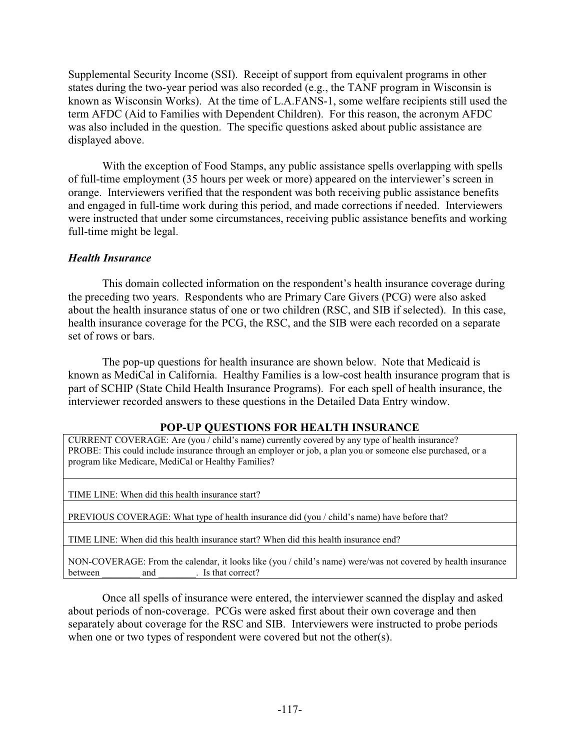Supplemental Security Income (SSI). Receipt of support from equivalent programs in other states during the two-year period was also recorded (e.g., the TANF program in Wisconsin is known as Wisconsin Works). At the time of L.A.FANS-1, some welfare recipients still used the term AFDC (Aid to Families with Dependent Children). For this reason, the acronym AFDC was also included in the question. The specific questions asked about public assistance are displayed above.

With the exception of Food Stamps, any public assistance spells overlapping with spells of full-time employment (35 hours per week or more) appeared on the interviewer's screen in orange. Interviewers verified that the respondent was both receiving public assistance benefits and engaged in full-time work during this period, and made corrections if needed. Interviewers were instructed that under some circumstances, receiving public assistance benefits and working full-time might be legal.

## *Health Insurance*

This domain collected information on the respondent's health insurance coverage during the preceding two years. Respondents who are Primary Care Givers (PCG) were also asked about the health insurance status of one or two children (RSC, and SIB if selected). In this case, health insurance coverage for the PCG, the RSC, and the SIB were each recorded on a separate set of rows or bars.

The pop-up questions for health insurance are shown below. Note that Medicaid is known as MediCal in California. Healthy Families is a low-cost health insurance program that is part of SCHIP (State Child Health Insurance Programs). For each spell of health insurance, the interviewer recorded answers to these questions in the Detailed Data Entry window.

### **POP-UP QUESTIONS FOR HEALTH INSURANCE**

CURRENT COVERAGE: Are (you / child's name) currently covered by any type of health insurance? PROBE: This could include insurance through an employer or job, a plan you or someone else purchased, or a program like Medicare, MediCal or Healthy Families?

TIME LINE: When did this health insurance start?

PREVIOUS COVERAGE: What type of health insurance did (you / child's name) have before that?

TIME LINE: When did this health insurance start? When did this health insurance end?

NON-COVERAGE: From the calendar, it looks like (you / child's name) were/was not covered by health insurance between and . Is that correct?

Once all spells of insurance were entered, the interviewer scanned the display and asked about periods of non-coverage. PCGs were asked first about their own coverage and then separately about coverage for the RSC and SIB. Interviewers were instructed to probe periods when one or two types of respondent were covered but not the other(s).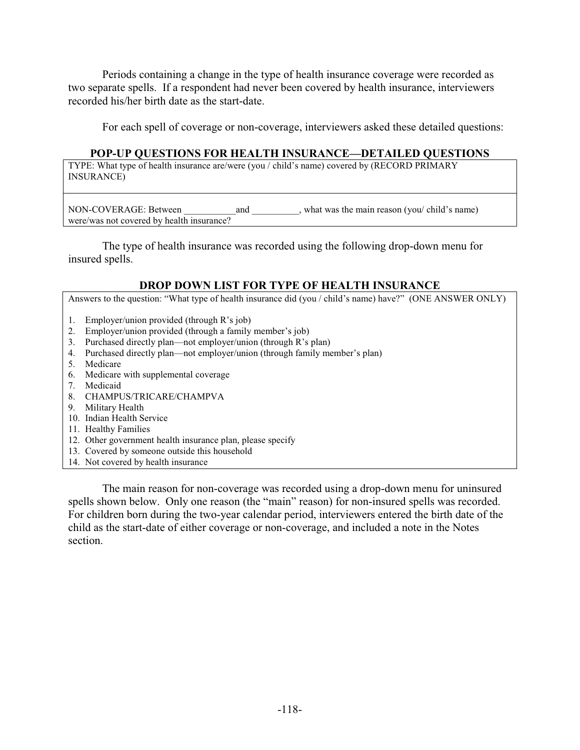Periods containing a change in the type of health insurance coverage were recorded as two separate spells. If a respondent had never been covered by health insurance, interviewers recorded his/her birth date as the start-date.

For each spell of coverage or non-coverage, interviewers asked these detailed questions:

### **POP-UP QUESTIONS FOR HEALTH INSURANCE—DETAILED QUESTIONS**

TYPE: What type of health insurance are/were (you / child's name) covered by (RECORD PRIMARY INSURANCE)

NON-COVERAGE: Between and , what was the main reason (you/ child's name) were/was not covered by health insurance?

The type of health insurance was recorded using the following drop-down menu for insured spells.

#### **DROP DOWN LIST FOR TYPE OF HEALTH INSURANCE**

Answers to the question: "What type of health insurance did (you / child's name) have?" (ONE ANSWER ONLY)

- 1. Employer/union provided (through R's job)
- 2. Employer/union provided (through a family member's job)
- 3. Purchased directly plan—not employer/union (through R's plan)
- 4. Purchased directly plan—not employer/union (through family member's plan)
- 5. Medicare
- 6. Medicare with supplemental coverage
- 7. Medicaid
- 8. CHAMPUS/TRICARE/CHAMPVA
- 9. Military Health
- 10. Indian Health Service
- 11. Healthy Families
- 12. Other government health insurance plan, please specify
- 13. Covered by someone outside this household
- 14. Not covered by health insurance

The main reason for non-coverage was recorded using a drop-down menu for uninsured spells shown below. Only one reason (the "main" reason) for non-insured spells was recorded. For children born during the two-year calendar period, interviewers entered the birth date of the child as the start-date of either coverage or non-coverage, and included a note in the Notes section.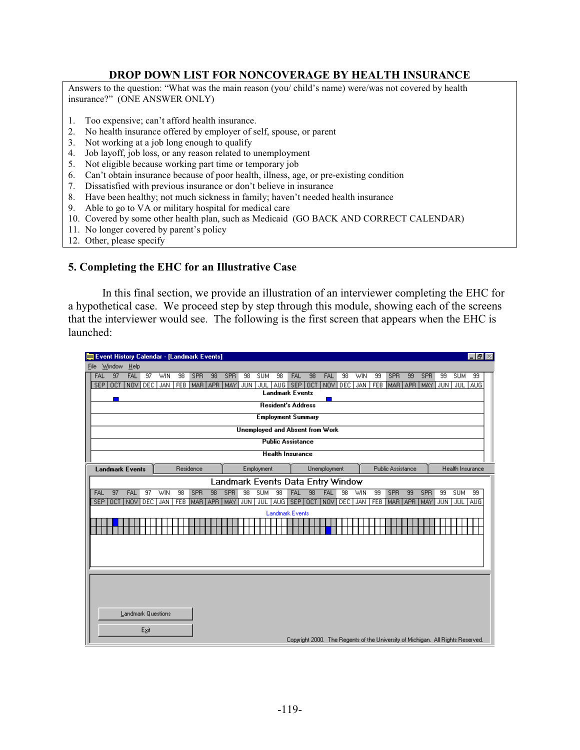### **DROP DOWN LIST FOR NONCOVERAGE BY HEALTH INSURANCE**

Answers to the question: "What was the main reason (you/ child's name) were/was not covered by health insurance?" (ONE ANSWER ONLY)

- 1. Too expensive; can't afford health insurance.
- 2. No health insurance offered by employer of self, spouse, or parent
- 3. Not working at a job long enough to qualify
- 4. Job layoff, job loss, or any reason related to unemployment
- 5. Not eligible because working part time or temporary job
- 6. Can't obtain insurance because of poor health, illness, age, or pre-existing condition
- 7. Dissatisfied with previous insurance or don't believe in insurance
- 8. Have been healthy; not much sickness in family; haven't needed health insurance
- 9. Able to go to VA or military hospital for medical care
- 10. Covered by some other health plan, such as Medicaid (GO BACK AND CORRECT CALENDAR)
- 11. No longer covered by parent's policy
- 12. Other, please specify

### **5. Completing the EHC for an Illustrative Case**

 In this final section, we provide an illustration of an interviewer completing the EHC for a hypothetical case. We proceed step by step through this module, showing each of the screens that the interviewer would see. The following is the first screen that appears when the EHC is launched:

|      | <b>Event History Calendar - [Landmark Events]</b><br>$  \mathbb{F}$ $\times$ |                           |                 |     |    |             |    |                 |                 |                   |                                           |         |                 |                                                                                 |         |            |    |                          |    |     |            |                  |            |
|------|------------------------------------------------------------------------------|---------------------------|-----------------|-----|----|-------------|----|-----------------|-----------------|-------------------|-------------------------------------------|---------|-----------------|---------------------------------------------------------------------------------|---------|------------|----|--------------------------|----|-----|------------|------------------|------------|
| File | Window                                                                       | Help                      |                 |     |    |             |    |                 |                 |                   |                                           |         |                 |                                                                                 |         |            |    |                          |    |     |            |                  |            |
| FAL  | 97                                                                           | FAL                       | 97              | WIN | 98 | <b>SPR</b>  | 98 | <b>SPR</b>      | 98              | <b>SUM</b>        | 98                                        | FAL     | 98              | FAL                                                                             | 98      | <b>WIN</b> | 99 | SPR                      | 99 | SPR | 99         | <b>SUM</b>       | 99         |
|      | SEP OCT NOV DEC                                                              |                           |                 | JAN |    |             |    | FEB MAR APR MAY | JUN             |                   | JUL AUG SEP OCT<br><b>Landmark Events</b> |         |                 |                                                                                 | NOV DEC | JAN        |    | FEB MAR APR              |    | MAY | <b>JUN</b> | JUL 1            | AUG        |
|      |                                                                              |                           |                 |     |    |             |    |                 |                 |                   |                                           |         |                 |                                                                                 |         |            |    |                          |    |     |            |                  |            |
|      |                                                                              |                           |                 |     |    |             |    |                 |                 |                   | <b>Resident's Address</b>                 |         |                 |                                                                                 |         |            |    |                          |    |     |            |                  |            |
|      |                                                                              |                           |                 |     |    |             |    |                 |                 |                   | <b>Employment Summary</b>                 |         |                 |                                                                                 |         |            |    |                          |    |     |            |                  |            |
|      |                                                                              |                           |                 |     |    |             |    |                 |                 |                   |                                           |         |                 | <b>Unemployed and Absent from Work</b>                                          |         |            |    |                          |    |     |            |                  |            |
|      |                                                                              |                           |                 |     |    |             |    |                 |                 |                   | <b>Public Assistance</b>                  |         |                 |                                                                                 |         |            |    |                          |    |     |            |                  |            |
|      |                                                                              |                           |                 |     |    |             |    |                 |                 |                   | <b>Health Insurance</b>                   |         |                 |                                                                                 |         |            |    |                          |    |     |            |                  |            |
|      | <b>Landmark Events</b>                                                       |                           |                 |     |    | Residence   |    |                 |                 | <b>Employment</b> |                                           |         |                 | Unemployment                                                                    |         |            |    | <b>Public Assistance</b> |    |     |            | Health Insurance |            |
|      |                                                                              |                           |                 |     |    |             |    |                 |                 |                   |                                           |         |                 | Landmark Events Data Entry Window                                               |         |            |    |                          |    |     |            |                  |            |
| FAL  | $\overline{97}$                                                              | FAL                       | $\overline{97}$ | WIN | 98 | <b>SPR</b>  | 98 | <b>SPR</b>      | $\overline{98}$ | <b>SUM</b>        | 98                                        | FAL     | $\overline{98}$ | FAL                                                                             | 98      | WIN        | 99 | <b>SPR</b>               | 99 | SPR | 99         | <b>SUM</b>       | 99         |
|      | SEP OCT NOV DEC                                                              |                           |                 | JAN |    | FEB MAR APR |    | MAY             | <b>JUN</b>      | JUL               |                                           | AUG SEP | OCT             |                                                                                 | NOV DEC | <b>JAN</b> |    | FEB MAR APR              |    | MAY | <b>JUN</b> | JUL 1            | <b>AUG</b> |
|      |                                                                              |                           |                 |     |    |             |    |                 |                 |                   | <b>Landmark Events</b>                    |         |                 |                                                                                 |         |            |    |                          |    |     |            |                  |            |
|      |                                                                              |                           |                 |     |    |             |    |                 |                 |                   |                                           |         |                 |                                                                                 |         |            |    |                          |    |     |            |                  |            |
|      |                                                                              |                           |                 |     |    |             |    |                 |                 |                   |                                           |         |                 |                                                                                 |         |            |    |                          |    |     |            |                  |            |
|      |                                                                              |                           |                 |     |    |             |    |                 |                 |                   |                                           |         |                 |                                                                                 |         |            |    |                          |    |     |            |                  |            |
|      |                                                                              |                           |                 |     |    |             |    |                 |                 |                   |                                           |         |                 |                                                                                 |         |            |    |                          |    |     |            |                  |            |
|      |                                                                              |                           |                 |     |    |             |    |                 |                 |                   |                                           |         |                 |                                                                                 |         |            |    |                          |    |     |            |                  |            |
|      |                                                                              |                           |                 |     |    |             |    |                 |                 |                   |                                           |         |                 |                                                                                 |         |            |    |                          |    |     |            |                  |            |
|      |                                                                              |                           |                 |     |    |             |    |                 |                 |                   |                                           |         |                 |                                                                                 |         |            |    |                          |    |     |            |                  |            |
|      |                                                                              |                           |                 |     |    |             |    |                 |                 |                   |                                           |         |                 |                                                                                 |         |            |    |                          |    |     |            |                  |            |
|      |                                                                              | <b>Landmark Questions</b> |                 |     |    |             |    |                 |                 |                   |                                           |         |                 |                                                                                 |         |            |    |                          |    |     |            |                  |            |
|      |                                                                              |                           |                 |     |    |             |    |                 |                 |                   |                                           |         |                 |                                                                                 |         |            |    |                          |    |     |            |                  |            |
|      |                                                                              |                           | Exit            |     |    |             |    |                 |                 |                   |                                           |         |                 |                                                                                 |         |            |    |                          |    |     |            |                  |            |
|      |                                                                              |                           |                 |     |    |             |    |                 |                 |                   |                                           |         |                 | Copyright 2000. The Regents of the University of Michigan. All Rights Reserved. |         |            |    |                          |    |     |            |                  |            |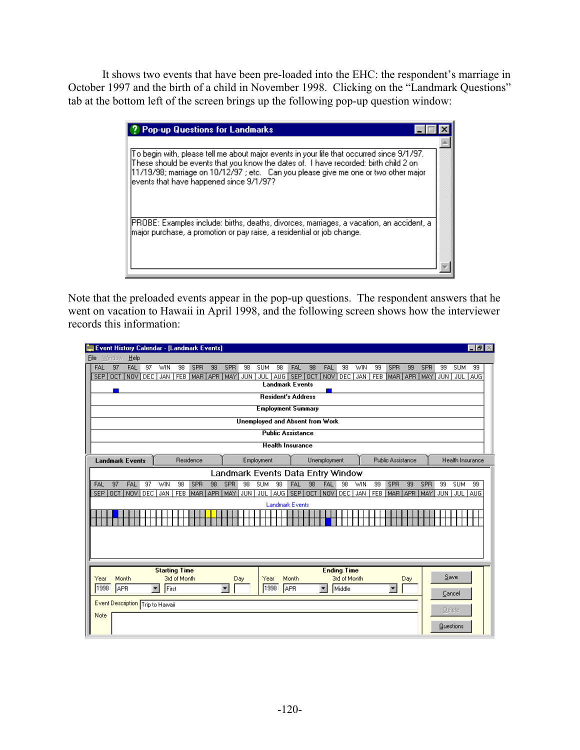It shows two events that have been pre-loaded into the EHC: the respondent's marriage in October 1997 and the birth of a child in November 1998. Clicking on the "Landmark Questions" tab at the bottom left of the screen brings up the following pop-up question window:

| <b>Pop-up Questions for Landmarks</b>                                                                                                                                                                                                                                                                                |  |
|----------------------------------------------------------------------------------------------------------------------------------------------------------------------------------------------------------------------------------------------------------------------------------------------------------------------|--|
|                                                                                                                                                                                                                                                                                                                      |  |
| To begin with, please tell me about major events in your life that occurred since 9/1/97.<br>These should be events that you know the dates of. I have recorded: birth child 2 on<br>[11/19/98; marriage on 10/12/97 ; etc. Can you please give me one or two other major<br>events that have happened since 9/1/97? |  |
| IPROBE: Examples include: births, deaths, divorces, marriages, a vacation, an accident, a [<br>major purchase, a promotion or pay raise, a residential or job change.                                                                                                                                                |  |

Note that the preloaded events appear in the pop-up questions. The respondent answers that he went on vacation to Hawaii in April 1998, and the following screen shows how the interviewer records this information:

| Event History Calendar - [Landmark Events]<br>$  \mathbb{F}$ $\times$                                          |                                                                      |                                                                         |                                                            |                                                                                        |                                                            |  |  |  |  |  |  |  |  |
|----------------------------------------------------------------------------------------------------------------|----------------------------------------------------------------------|-------------------------------------------------------------------------|------------------------------------------------------------|----------------------------------------------------------------------------------------|------------------------------------------------------------|--|--|--|--|--|--|--|--|
| Window<br>$He$ lp<br>File                                                                                      |                                                                      |                                                                         |                                                            |                                                                                        |                                                            |  |  |  |  |  |  |  |  |
| <b>FAL</b><br>FAL<br>97<br>$\overline{37}$<br>WIN<br>NOV <sub></sub><br>DEC<br><b>SEP</b><br>OCT<br><b>JAN</b> | 98<br><b>SPR</b><br>98<br><b>SPR</b><br>MAR APR<br><b>MAY</b><br>FEB | 98<br><b>SUM</b><br>98<br><b>JUN</b><br>JUL 1<br><b>Landmark Events</b> | FAL<br>98<br>FAL<br>98<br>AUG SEP OCT<br>NOV<br><b>DEC</b> | 99<br>SPR<br>99<br><b>SPR</b><br><b>WIN</b><br>FEB MAR APR<br><b>MAY</b><br><b>JAN</b> | <b>SUM</b><br>99<br>99<br>JUL 1<br>JUN <sup>1</sup><br>AUG |  |  |  |  |  |  |  |  |
|                                                                                                                |                                                                      | <b>Resident's Address</b>                                               |                                                            |                                                                                        |                                                            |  |  |  |  |  |  |  |  |
|                                                                                                                |                                                                      | <b>Employment Summary</b>                                               |                                                            |                                                                                        |                                                            |  |  |  |  |  |  |  |  |
|                                                                                                                |                                                                      | <b>Unemployed and Absent from Work</b>                                  |                                                            |                                                                                        |                                                            |  |  |  |  |  |  |  |  |
|                                                                                                                |                                                                      | <b>Public Assistance</b>                                                |                                                            |                                                                                        |                                                            |  |  |  |  |  |  |  |  |
|                                                                                                                |                                                                      | <b>Health Insurance</b>                                                 |                                                            |                                                                                        |                                                            |  |  |  |  |  |  |  |  |
| <b>Landmark Events</b>                                                                                         | Residence                                                            | Employment                                                              | Unemployment                                               | <b>Public Assistance</b>                                                               | Health Insurance                                           |  |  |  |  |  |  |  |  |
|                                                                                                                |                                                                      |                                                                         | Landmark Events Data Entry Window                          |                                                                                        |                                                            |  |  |  |  |  |  |  |  |
| 97<br>FAL<br>FAL<br>$\overline{97}$<br>WIN                                                                     | SPR<br>98<br><b>SPR</b><br>$\overline{98}$                           | 98<br><b>SUM</b><br>$\overline{98}$                                     | 98<br><b>FAL</b><br>$\overline{98}$<br>FAL                 | 99<br><b>SPR</b><br>WIN<br>99<br>SPR                                                   | 99<br><b>SUM</b><br>99                                     |  |  |  |  |  |  |  |  |
| <b>OCT</b><br>NOV<br>DEC <sup>1</sup><br>SEP<br><b>JAN</b>                                                     | FEB   MAR   APR   MAY                                                | <b>JUN</b><br>JUL                                                       | AUG SEP OCT<br>NOV<br>DEC                                  | JAN<br>FEB<br>MAR APR<br>MAY                                                           | JUL AUG<br>JUN                                             |  |  |  |  |  |  |  |  |
|                                                                                                                |                                                                      | <b>Landmark Events</b>                                                  |                                                            |                                                                                        |                                                            |  |  |  |  |  |  |  |  |
|                                                                                                                |                                                                      |                                                                         |                                                            |                                                                                        |                                                            |  |  |  |  |  |  |  |  |
|                                                                                                                |                                                                      |                                                                         |                                                            |                                                                                        |                                                            |  |  |  |  |  |  |  |  |
|                                                                                                                |                                                                      |                                                                         |                                                            |                                                                                        |                                                            |  |  |  |  |  |  |  |  |
|                                                                                                                |                                                                      |                                                                         |                                                            |                                                                                        |                                                            |  |  |  |  |  |  |  |  |
|                                                                                                                |                                                                      |                                                                         |                                                            |                                                                                        |                                                            |  |  |  |  |  |  |  |  |
| <b>Starting Time</b><br>Month<br>Year                                                                          | 3rd of Month                                                         | Day<br>Year                                                             | <b>Ending Time</b><br>3rd of Month<br>Month                | Day                                                                                    | Save                                                       |  |  |  |  |  |  |  |  |
| 1998<br>APR<br>First<br>$\blacktriangledown$                                                                   | $\blacktriangledown$                                                 | 1998                                                                    | APR<br>$\blacktriangledown$<br>Middle                      | $\blacktriangledown$                                                                   |                                                            |  |  |  |  |  |  |  |  |
|                                                                                                                |                                                                      |                                                                         |                                                            |                                                                                        | Cancel                                                     |  |  |  |  |  |  |  |  |
| Event Description Trip to Hawaii                                                                               |                                                                      |                                                                         |                                                            |                                                                                        | Delete                                                     |  |  |  |  |  |  |  |  |
| Note                                                                                                           |                                                                      |                                                                         |                                                            |                                                                                        |                                                            |  |  |  |  |  |  |  |  |
|                                                                                                                |                                                                      |                                                                         |                                                            |                                                                                        | Questions                                                  |  |  |  |  |  |  |  |  |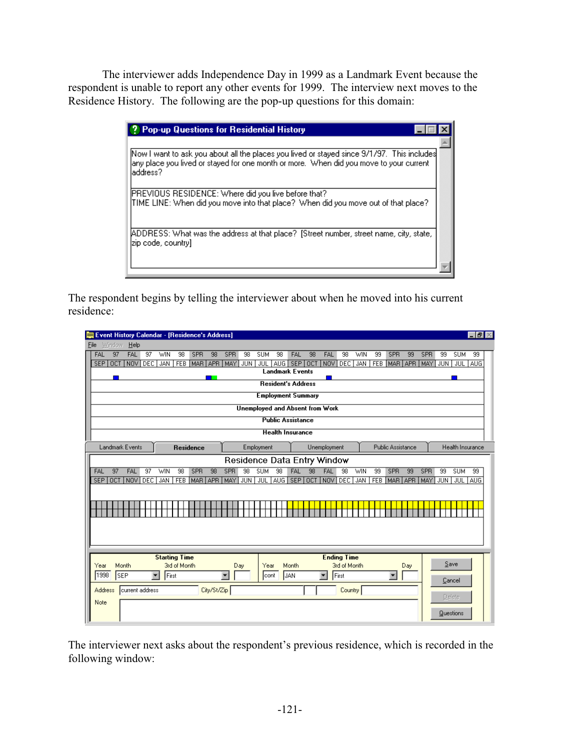The interviewer adds Independence Day in 1999 as a Landmark Event because the respondent is unable to report any other events for 1999. The interview next moves to the Residence History. The following are the pop-up questions for this domain:

| <b>2</b> Pop-up Questions for Residential History                                                                                                                                                  |  |
|----------------------------------------------------------------------------------------------------------------------------------------------------------------------------------------------------|--|
|                                                                                                                                                                                                    |  |
| [Now I want to ask you about all the places you lived or stayed since 9/1/97. This includes<br>any place you lived or stayed for one month or more. When did you move to your current<br>laddress? |  |
| PREVIOUS RESIDENCE: Where did you live before that?<br>TIME LINE: When did you move into that place? When did you move out of that place?                                                          |  |
| ADDRESS: What was the address at that place? [Street number, street name, city, state,<br>Izip code, country]                                                                                      |  |

The respondent begins by telling the interviewer about when he moved into his current residence:

| Event History Calendar - [Residence's Address] |                  |                      |                      |              |                  |             |                               |                        |            |       |                               |    |                                        |                    |            |                  |                          |     |                               |               |                       | $   \mathbb{Z}$ |
|------------------------------------------------|------------------|----------------------|----------------------|--------------|------------------|-------------|-------------------------------|------------------------|------------|-------|-------------------------------|----|----------------------------------------|--------------------|------------|------------------|--------------------------|-----|-------------------------------|---------------|-----------------------|-----------------|
| Window<br>File                                 | $He$ lp          |                      |                      |              |                  |             |                               |                        |            |       |                               |    |                                        |                    |            |                  |                          |     |                               |               |                       |                 |
| 97<br>FAL<br>OCT<br><b>SEP</b>                 | FAL<br>NOV       | 97<br>DEC.           | WIN<br><b>JAN</b>    | 98           | SPR              | 98          | <b>SPR</b><br>FEB MAR APR MAY | 98<br>JUN <sup>1</sup> | <b>SUM</b> | 98    | <b>FAL</b><br>JUL AUG SEP OCT | 98 | FAL                                    | 98<br>NOV DEC      | WIN<br>JAN | 99<br><b>FEB</b> | SPR                      | 99  | <b>SPR</b><br>MAR APR MAY JUN | 99            | <b>SUM</b><br>JUL AUG | 99              |
|                                                |                  |                      |                      |              |                  |             |                               |                        |            |       | <b>Landmark Events</b>        |    |                                        |                    |            |                  |                          |     |                               |               |                       |                 |
|                                                |                  |                      |                      |              |                  |             |                               |                        |            |       | <b>Resident's Address</b>     |    |                                        |                    |            |                  |                          |     |                               |               |                       |                 |
|                                                |                  |                      |                      |              |                  |             |                               |                        |            |       | <b>Employment Summary</b>     |    |                                        |                    |            |                  |                          |     |                               |               |                       |                 |
|                                                |                  |                      |                      |              |                  |             |                               |                        |            |       |                               |    | <b>Unemployed and Absent from Work</b> |                    |            |                  |                          |     |                               |               |                       |                 |
|                                                |                  |                      |                      |              |                  |             |                               |                        |            |       | <b>Public Assistance</b>      |    |                                        |                    |            |                  |                          |     |                               |               |                       |                 |
|                                                |                  |                      |                      |              |                  |             |                               |                        |            |       | <b>Health Insurance</b>       |    |                                        |                    |            |                  |                          |     |                               |               |                       |                 |
| Landmark Events                                |                  |                      |                      |              | <b>Residence</b> |             |                               |                        | Employment |       |                               |    | Unemployment                           |                    |            |                  | <b>Public Assistance</b> |     |                               |               | Health Insurance      |                 |
|                                                |                  |                      |                      |              |                  |             |                               |                        |            |       |                               |    | Residence Data Entry Window            |                    |            |                  |                          |     |                               |               |                       |                 |
| 97<br>FAL                                      | FAL              | $\overline{97}$      | <b>WIN</b>           | 98           | SPR              | 98          | SPR                           | 98                     | <b>SUM</b> | 98    | FAL                           | 98 | <b>FAL</b>                             | 98                 | <b>WIN</b> | 99               | SPR                      | 99  | SPR                           | 99            | <b>SUM</b>            | 99              |
| SEP OCT                                        | NOV <sub>1</sub> | DEC <sup>1</sup>     | <b>JAN</b>           |              |                  |             | FEB MAR APR MAY               | <b>JUN</b>             | JUL        | AUG I | SEP OCT                       |    |                                        | NOV DEC            | JAN        | <b>FEB</b>       | MAR APR                  |     | <b>MAY</b>                    | <b>JUN</b>    | JUL                   | <b>AUG</b>      |
|                                                |                  |                      |                      |              |                  |             |                               |                        |            |       |                               |    |                                        |                    |            |                  |                          |     |                               |               |                       |                 |
|                                                |                  |                      |                      |              |                  |             |                               |                        |            |       |                               |    |                                        |                    |            |                  |                          |     |                               |               |                       |                 |
|                                                |                  |                      |                      |              |                  |             |                               |                        |            |       |                               |    |                                        |                    |            |                  |                          |     |                               |               |                       |                 |
|                                                |                  |                      |                      |              |                  |             |                               |                        |            |       |                               |    |                                        |                    |            |                  |                          |     |                               |               |                       |                 |
|                                                |                  |                      |                      |              |                  |             |                               |                        |            |       |                               |    |                                        |                    |            |                  |                          |     |                               |               |                       |                 |
|                                                |                  |                      | <b>Starting Time</b> |              |                  |             |                               |                        |            |       |                               |    |                                        | <b>Ending Time</b> |            |                  |                          |     |                               |               |                       |                 |
| Year                                           | Month            |                      |                      | 3rd of Month |                  |             |                               | Day                    | Year       |       | Month                         |    |                                        | 3rd of Month       |            |                  |                          | Day |                               | Save          |                       |                 |
| 1998                                           | <b>SEP</b>       | $\blacktriangledown$ | First                |              |                  |             | $\blacksquare$                |                        | lcont      |       | JAN                           |    | $\overline{\phantom{a}}$               | First              |            |                  | $\blacktriangledown$     |     |                               | Cancel        |                       |                 |
| Address                                        | current address  |                      |                      |              |                  | City/St/Zip |                               |                        |            |       |                               |    |                                        | Country            |            |                  |                          |     |                               |               |                       |                 |
| Note                                           |                  |                      |                      |              |                  |             |                               |                        |            |       |                               |    |                                        |                    |            |                  |                          |     |                               | <b>Delete</b> |                       |                 |
|                                                |                  |                      |                      |              |                  |             |                               |                        |            |       |                               |    |                                        |                    |            |                  |                          |     |                               | Questions     |                       |                 |
|                                                |                  |                      |                      |              |                  |             |                               |                        |            |       |                               |    |                                        |                    |            |                  |                          |     |                               |               |                       |                 |

The interviewer next asks about the respondent's previous residence, which is recorded in the following window: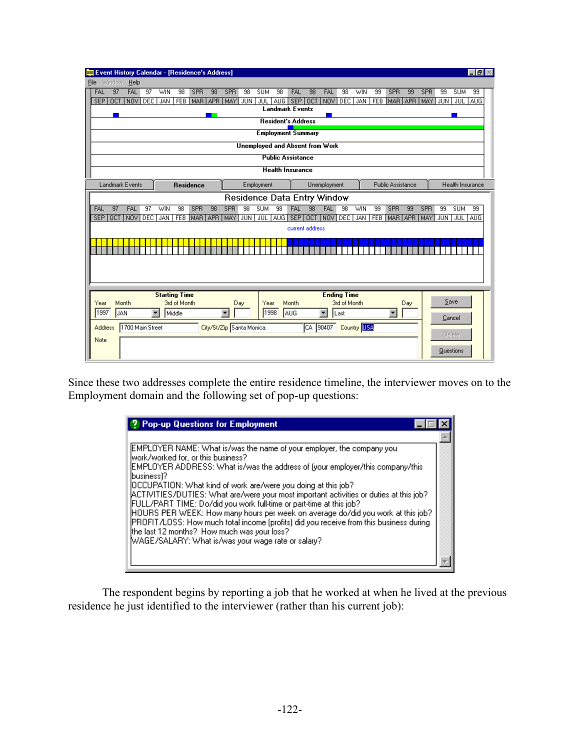|                                | Event History Calendar - [Residence's Address]<br>$  \mathbb{F}$ $\times$ |                          |                      |                 |                  |                 |                          |            |                                        |     |                                     |             |                          |                    |             |            |                          |     |     |                  |                  |     |
|--------------------------------|---------------------------------------------------------------------------|--------------------------|----------------------|-----------------|------------------|-----------------|--------------------------|------------|----------------------------------------|-----|-------------------------------------|-------------|--------------------------|--------------------|-------------|------------|--------------------------|-----|-----|------------------|------------------|-----|
| Window<br>File                 | He                                                                        |                          |                      |                 |                  |                 |                          |            |                                        |     |                                     |             |                          |                    |             |            |                          |     |     |                  |                  |     |
| 97<br>FAL                      | <b>FAL</b>                                                                | $\overline{37}$          | WIN                  | $\overline{98}$ | SPR              | $\overline{98}$ | SPR                      | 98         | <b>SUM</b>                             | 98  | FAL                                 | 98          | <b>FAL</b>               | 98                 | <b>WIN</b>  | 99         | SPR                      | 99  | SPR | 99               | <b>SUM</b>       | 99  |
| $\overline{OCT}$<br><b>SEP</b> | <b>NOV</b>                                                                | Трес                     | <b>JAN</b>           | <b>FEB</b>      | MAR APR          |                 | MAY <sub></sub>          | JUN        | JUL                                    |     | AUG   SEP<br><b>Landmark Events</b> | <b>OCT</b>  | NOV <sup></sup>          | DEC                | <b>JAN</b>  | <b>FEB</b> | MAR APR                  |     | MAY | <b>JUN</b>       | <b>JUL</b>       | AUG |
|                                |                                                                           |                          |                      |                 |                  |                 |                          |            |                                        |     |                                     |             |                          |                    |             |            |                          |     |     |                  |                  |     |
|                                |                                                                           |                          |                      |                 |                  |                 |                          |            |                                        |     | <b>Resident's Address</b>           |             |                          |                    |             |            |                          |     |     |                  |                  |     |
|                                |                                                                           |                          |                      |                 |                  |                 |                          |            |                                        |     | <b>Employment Summary</b>           |             |                          |                    |             |            |                          |     |     |                  |                  |     |
|                                |                                                                           |                          |                      |                 |                  |                 |                          |            | <b>Unemployed and Absent from Work</b> |     |                                     |             |                          |                    |             |            |                          |     |     |                  |                  |     |
|                                |                                                                           |                          |                      |                 |                  |                 |                          |            |                                        |     | <b>Public Assistance</b>            |             |                          |                    |             |            |                          |     |     |                  |                  |     |
|                                |                                                                           |                          |                      |                 |                  |                 |                          |            |                                        |     | <b>Health Insurance</b>             |             |                          |                    |             |            |                          |     |     |                  |                  |     |
| Landmark Events                |                                                                           |                          |                      |                 | <b>Residence</b> |                 |                          |            | Employment                             |     |                                     |             | Unemployment             |                    |             |            | <b>Public Assistance</b> |     |     |                  | Health Insurance |     |
|                                |                                                                           |                          |                      |                 |                  |                 |                          |            | Residence Data Entry Window            |     |                                     |             |                          |                    |             |            |                          |     |     |                  |                  |     |
| 97<br>FAL                      | <b>FAL</b>                                                                | $\overline{37}$          | WIN                  | 98              | SPR              | 98              | <b>SPR</b>               | 98         | <b>SUM</b>                             | 98  | FAL                                 | 98          | <b>FAL</b>               | 98                 | WIN         | 99         | SPR                      | 99  | SPR | 99               | <b>SUM</b>       | 99  |
| <b>OCT</b><br><b>SEP</b>       | NOV                                                                       | <b>DEC</b>               | <b>JAN</b>           |                 | FEB MAR APR      |                 | MAY <sup>1</sup>         | <b>JUN</b> | <b>JUL</b>                             | AUG |                                     | SEP OCT NOV |                          | DEC <sup>1</sup>   | <b>JAN</b>  |            | FEB MAR APR              |     | MAY | JUN <sup>1</sup> | JUL AUG          |     |
|                                |                                                                           |                          |                      |                 |                  |                 |                          |            |                                        |     | current address                     |             |                          |                    |             |            |                          |     |     |                  |                  |     |
|                                |                                                                           |                          |                      |                 |                  |                 |                          |            |                                        |     |                                     |             |                          |                    |             |            |                          |     |     |                  |                  |     |
|                                |                                                                           |                          |                      |                 |                  |                 |                          |            |                                        |     |                                     |             |                          |                    |             |            |                          |     |     |                  |                  |     |
|                                |                                                                           |                          |                      |                 |                  |                 |                          |            |                                        |     |                                     |             |                          |                    |             |            |                          |     |     |                  |                  |     |
|                                |                                                                           |                          |                      |                 |                  |                 |                          |            |                                        |     |                                     |             |                          |                    |             |            |                          |     |     |                  |                  |     |
|                                |                                                                           |                          |                      |                 |                  |                 |                          |            |                                        |     |                                     |             |                          |                    |             |            |                          |     |     |                  |                  |     |
|                                |                                                                           |                          | <b>Starting Time</b> |                 |                  |                 |                          |            |                                        |     |                                     |             |                          | <b>Ending Time</b> |             |            |                          |     |     |                  | Save             |     |
| Year<br>11997                  | Month                                                                     |                          |                      | 3rd of Month    |                  |                 |                          | Day        | Year<br>1998                           |     | Month                               |             |                          | 3rd of Month       |             |            |                          | Day |     |                  |                  |     |
|                                | IJAN                                                                      | $\overline{\phantom{a}}$ |                      | Middle          |                  |                 | $\overline{\phantom{a}}$ |            |                                        |     | AUG                                 |             | $\overline{\phantom{a}}$ | Last               |             |            | $\blacktriangledown$     |     |     | Cancel           |                  |     |
| Address                        | 1700 Main Street                                                          |                          |                      |                 |                  |                 | City/St/Zip Santa Monica |            |                                        |     |                                     | CA          | 90407                    |                    | Country USA |            |                          |     |     |                  | <b>Delete</b>    |     |
| Note                           |                                                                           |                          |                      |                 |                  |                 |                          |            |                                        |     |                                     |             |                          |                    |             |            |                          |     |     |                  |                  |     |
|                                |                                                                           |                          |                      |                 |                  |                 |                          |            |                                        |     |                                     |             |                          |                    |             |            |                          |     |     |                  | <b>Questions</b> |     |
|                                |                                                                           |                          |                      |                 |                  |                 |                          |            |                                        |     |                                     |             |                          |                    |             |            |                          |     |     |                  |                  |     |

Since these two addresses complete the entire residence timeline, the interviewer moves on to the Employment domain and the following set of pop-up questions:

| <sup>2</sup> Pop-up Questions for Employment                                                                                                                                                                                                                                                                                                                                                                                                                                                                                                                                                                                                                                                                                         |  |
|--------------------------------------------------------------------------------------------------------------------------------------------------------------------------------------------------------------------------------------------------------------------------------------------------------------------------------------------------------------------------------------------------------------------------------------------------------------------------------------------------------------------------------------------------------------------------------------------------------------------------------------------------------------------------------------------------------------------------------------|--|
| [EMPLOYER NAME: What is/was the name of your employer, the company you<br>[work/worked for, or this business?]<br>EMPLOYER ADDRESS: What is/was the address of (your employer/this company/this)<br>lbusiness)?<br>IOCCUPATION: What kind of work are/were you doing at this job?<br>ACTIVITIES/DUTIES: What are/were your most important activities or duties at this job?<br>FULL/PART TIME: Do/did you work full-time or part-time at this job?<br>HOURS PER WEEK: How many hours per week on average do/did you work at this job?<br>PROFIT/LOSS: How much total income (profits) did you receive from this business during<br>the last 12 months? How much was your loss?<br>WAGE/SALARY: What is/was your wage rate or salary? |  |

The respondent begins by reporting a job that he worked at when he lived at the previous residence he just identified to the interviewer (rather than his current job):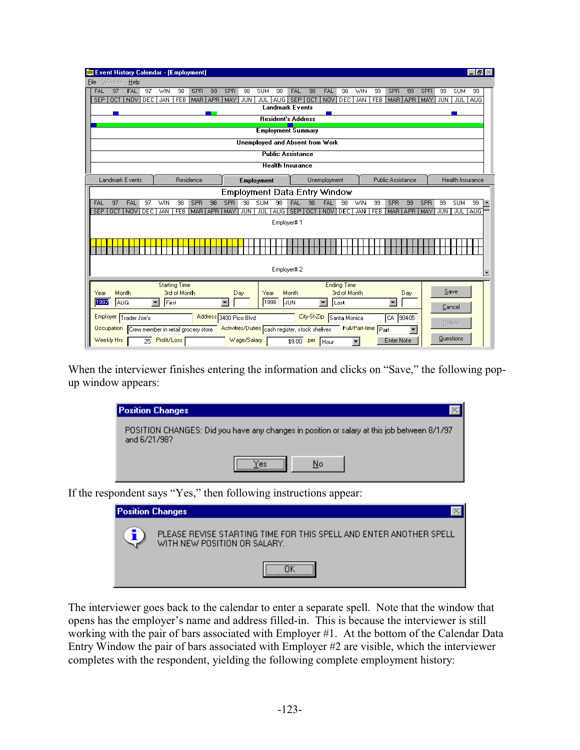|                                                                                                                                                                                                                                                                     |                  |                        |     |             |                      | Event History Calendar - [Employment]          |            |                        |             |                   |            |                                                |             |              |                      |                     |    |                      |     |            |      |                  | - 0        |                          |
|---------------------------------------------------------------------------------------------------------------------------------------------------------------------------------------------------------------------------------------------------------------------|------------------|------------------------|-----|-------------|----------------------|------------------------------------------------|------------|------------------------|-------------|-------------------|------------|------------------------------------------------|-------------|--------------|----------------------|---------------------|----|----------------------|-----|------------|------|------------------|------------|--------------------------|
| Window<br><u>Help</u><br>File<br>97<br>FAL<br>$\overline{97}$<br>WIN<br>98<br>SPR<br>98<br>SPR<br>98<br><b>FAL</b><br>98<br>SPR<br>SPR<br><b>SUM</b><br><b>FAL</b><br>98<br><b>SUM</b><br>FAL<br>98<br><b>WIN</b><br>99<br>99<br>99<br>99<br>SEP OCT<br>FEB MAR APR |                  |                        |     |             |                      |                                                |            |                        |             |                   |            |                                                |             |              |                      |                     |    |                      |     |            |      |                  |            |                          |
|                                                                                                                                                                                                                                                                     |                  |                        |     |             |                      |                                                |            |                        |             |                   |            |                                                |             |              |                      |                     |    |                      |     |            |      |                  |            |                          |
| <b>SEP</b>                                                                                                                                                                                                                                                          | <b>OCT</b>       | <b>NOV</b>             | DEC | JAN         | <b>FEB</b>           | MAR <sup>I</sup>                               | <b>APR</b> | MAY                    | JUN         | JUL               | AUG        | <b>Landmark Events</b>                         |             | NOV          | DEC                  | <b>JAN</b>          |    |                      |     | MAY        | JUN  | JUL 1            | <b>AUG</b> |                          |
|                                                                                                                                                                                                                                                                     |                  |                        |     |             |                      |                                                |            |                        |             |                   |            |                                                |             |              |                      |                     |    |                      |     |            |      |                  |            |                          |
|                                                                                                                                                                                                                                                                     |                  |                        |     |             |                      |                                                |            |                        |             |                   |            | <b>Resident's Address</b>                      |             |              |                      |                     |    |                      |     |            |      |                  |            |                          |
|                                                                                                                                                                                                                                                                     |                  |                        |     |             |                      |                                                |            |                        |             |                   |            | <b>Employment Summary</b>                      |             |              |                      |                     |    |                      |     |            |      |                  |            |                          |
|                                                                                                                                                                                                                                                                     |                  |                        |     |             |                      |                                                |            |                        |             |                   |            | Unemployed and Absent from Work                |             |              |                      |                     |    |                      |     |            |      |                  |            |                          |
|                                                                                                                                                                                                                                                                     |                  |                        |     |             |                      |                                                |            |                        |             |                   |            | <b>Public Assistance</b>                       |             |              |                      |                     |    |                      |     |            |      |                  |            |                          |
|                                                                                                                                                                                                                                                                     |                  |                        |     |             |                      |                                                |            |                        |             |                   |            | <b>Health Insurance</b>                        |             |              |                      |                     |    |                      |     |            |      |                  |            |                          |
|                                                                                                                                                                                                                                                                     |                  | <b>Landmark Events</b> |     |             |                      | Residence                                      |            |                        |             | <b>Employment</b> |            |                                                |             | Unemployment |                      |                     |    | Public Assistance    |     |            |      | Health Insurance |            |                          |
|                                                                                                                                                                                                                                                                     |                  |                        |     |             |                      |                                                |            |                        |             |                   |            | <b>Employment Data Entry Window</b>            |             |              |                      |                     |    |                      |     |            |      |                  |            |                          |
| FAL                                                                                                                                                                                                                                                                 | 97               | <b>FAL</b>             | 97  | <b>WIN</b>  | 98                   | SPR                                            | 98         | <b>SPR</b>             | 98          | <b>SUM</b>        | 98         | FAL                                            | 98          | FAL          | 98                   | <b>WIN</b>          | 99 | <b>SPR</b>           | 99  | <b>SPR</b> | 99   | <b>SUM</b>       | 99         | ۰                        |
| <b>SEP</b>                                                                                                                                                                                                                                                          | $\overline{OCT}$ | NOV DEC                |     | <b>JAN</b>  | <b>FEB</b>           | MAR APR                                        |            | MAY.                   | <b>JUN</b>  | JUL               | <b>AUG</b> |                                                | SEP OCT     | NOV          | <b>DEC</b>           | <b>JAN</b>          |    | FEB MAR APR          |     | MAY        | JUN. |                  | JUL AUG    |                          |
|                                                                                                                                                                                                                                                                     |                  |                        |     |             |                      |                                                |            |                        |             |                   |            | Employer#1                                     |             |              |                      |                     |    |                      |     |            |      |                  |            |                          |
|                                                                                                                                                                                                                                                                     |                  |                        |     |             |                      |                                                |            |                        |             |                   |            |                                                |             |              |                      |                     |    |                      |     |            |      |                  |            |                          |
|                                                                                                                                                                                                                                                                     |                  |                        |     |             |                      |                                                |            |                        |             |                   |            |                                                |             |              |                      |                     |    |                      |     |            |      |                  |            |                          |
|                                                                                                                                                                                                                                                                     |                  |                        |     |             |                      |                                                |            |                        |             |                   |            |                                                |             |              |                      |                     |    |                      |     |            |      |                  |            |                          |
|                                                                                                                                                                                                                                                                     |                  |                        |     |             |                      |                                                |            |                        |             |                   |            | Employer#2                                     |             |              |                      |                     |    |                      |     |            |      |                  |            |                          |
|                                                                                                                                                                                                                                                                     |                  |                        |     |             |                      |                                                |            |                        |             |                   |            |                                                |             |              |                      |                     |    |                      |     |            |      |                  |            | $\overline{\phantom{a}}$ |
|                                                                                                                                                                                                                                                                     |                  |                        |     |             | <b>Starting Time</b> |                                                |            |                        |             |                   |            |                                                |             |              | <b>Ending Time</b>   |                     |    |                      |     |            |      | Save             |            |                          |
| Year<br>1997                                                                                                                                                                                                                                                        | Month<br>AUG     |                        | ▼   | First       | 3rd of Month         |                                                |            |                        | Day         | Year              | 1998       | Month<br>JUN                                   |             | ▼            | 3rd of Month<br>Last |                     |    | $\blacktriangledown$ | Day |            |      |                  |            |                          |
|                                                                                                                                                                                                                                                                     |                  |                        |     |             |                      |                                                |            |                        |             |                   |            |                                                |             |              |                      |                     |    |                      |     |            |      | Cancel           |            |                          |
|                                                                                                                                                                                                                                                                     |                  | Employer Trader Joe's  |     |             |                      |                                                |            | Address 3400 Pico Blvd |             |                   |            |                                                | City-St-Zip |              | Santa Monica         |                     |    | CA 90405             |     |            |      | Delete           |            |                          |
|                                                                                                                                                                                                                                                                     |                  |                        |     |             |                      | Occupation Crew member in retail grocery store |            |                        |             |                   |            | Activities/Duties cash register, stock shelves |             |              |                      | Full/Part-time Part |    |                      |     |            |      |                  |            |                          |
| Weekly Hrs                                                                                                                                                                                                                                                          |                  |                        | 25  | Profit/Loss |                      |                                                |            |                        | Wage/Salary |                   |            | \$9.00                                         | per         | l Hour       |                      |                     |    | <b>Enter Note</b>    |     |            |      | Questions        |            |                          |

When the interviewer finishes entering the information and clicks on "Save," the following popup window appears:

| <b>Position Changes</b>                                                                                     |  |
|-------------------------------------------------------------------------------------------------------------|--|
| POSITION CHANGES: Did you have any changes in position or salary at this job between 8/1/97<br>and 6/21/98? |  |
| <br>No<br>res.                                                                                              |  |
| and ant save "Ves" than following instructions enneary                                                      |  |

If the respondent says "Yes," then following instructions appear:

| <b>Position Changes</b> |                                                                                                    |
|-------------------------|----------------------------------------------------------------------------------------------------|
|                         | PLEASE REVISE STARTING TIME FOR THIS SPELL AND ENTER ANOTHER SPELL<br>WITH NEW POSITION OR SALARY. |
|                         |                                                                                                    |

The interviewer goes back to the calendar to enter a separate spell. Note that the window that opens has the employer's name and address filled-in. This is because the interviewer is still working with the pair of bars associated with Employer #1. At the bottom of the Calendar Data Entry Window the pair of bars associated with Employer #2 are visible, which the interviewer completes with the respondent, yielding the following complete employment history: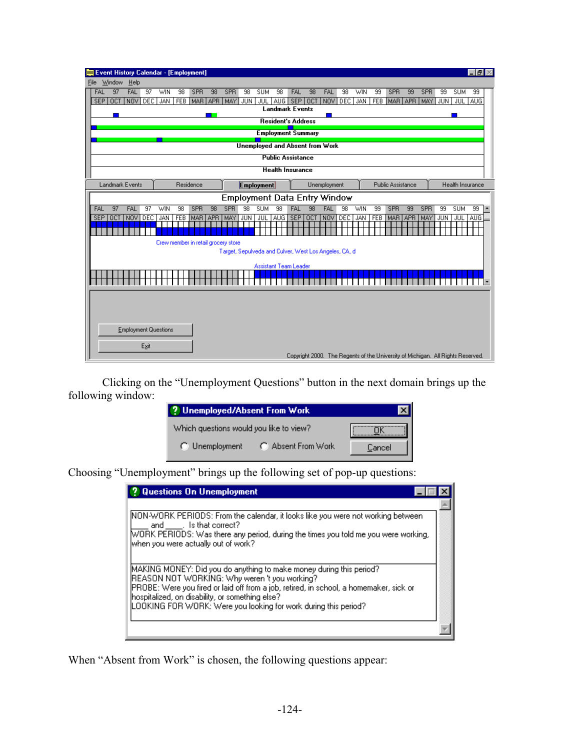| Event History Calendar - [Employment]  |                 |            |            |           |            |                                                       |            |                              |                           |            |            |                                        |         |            |            |                                                                                 |     |            |            |                  | -151                           |  |
|----------------------------------------|-----------------|------------|------------|-----------|------------|-------------------------------------------------------|------------|------------------------------|---------------------------|------------|------------|----------------------------------------|---------|------------|------------|---------------------------------------------------------------------------------|-----|------------|------------|------------------|--------------------------------|--|
| Window<br>$He$ lp<br><b>File</b>       |                 |            |            |           |            |                                                       |            |                              |                           |            |            |                                        |         |            |            |                                                                                 |     |            |            |                  |                                |  |
| <b>FAL</b><br>97<br>FAL                | 97              | WIN        | 98         | SPR       | 98         | SPR                                                   | 98         | <b>SUM</b>                   | 98                        | FAL        | 98         | <b>FAL</b>                             | 98      | <b>WIN</b> | 99         | SPR                                                                             | 99  | SPR        | 99         | <b>SUM</b>       | 99                             |  |
| OCT<br><b>SEP</b>                      | NOV DEC         | JAN FEB    |            | MAR APR   |            | MAY   JUN                                             |            | JUL                          | <b>Landmark Events</b>    | AUG SEP    | l oct      |                                        | NOV DEC |            | JAN FEB    | MAR LAPR                                                                        |     | MAY   JUN  |            | JUL AUG          |                                |  |
|                                        |                 |            |            |           |            |                                                       |            |                              |                           |            |            |                                        |         |            |            |                                                                                 |     |            |            |                  |                                |  |
|                                        |                 |            |            |           |            |                                                       |            |                              | <b>Resident's Address</b> |            |            |                                        |         |            |            |                                                                                 |     |            |            |                  |                                |  |
|                                        |                 |            |            |           |            |                                                       |            |                              | <b>Employment Summary</b> |            |            |                                        |         |            |            |                                                                                 |     |            |            |                  |                                |  |
|                                        |                 |            |            |           |            |                                                       |            |                              |                           |            |            | <b>Unemployed and Absent from Work</b> |         |            |            |                                                                                 |     |            |            |                  |                                |  |
|                                        |                 |            |            |           |            |                                                       |            |                              | <b>Public Assistance</b>  |            |            |                                        |         |            |            |                                                                                 |     |            |            |                  |                                |  |
|                                        |                 |            |            |           |            |                                                       |            |                              | <b>Health Insurance</b>   |            |            |                                        |         |            |            |                                                                                 |     |            |            |                  |                                |  |
| Landmark Events                        |                 |            |            | Residence |            |                                                       |            | <b>Employment</b>            |                           |            |            | Unemployment                           |         |            |            | Public Assistance                                                               |     |            |            | Health Insurance |                                |  |
|                                        |                 |            |            |           |            | <b>Employment Data Entry Window</b>                   |            |                              |                           |            |            |                                        |         |            |            |                                                                                 |     |            |            |                  |                                |  |
| 97<br>FAL<br>FAL                       | $\overline{97}$ | <b>WIN</b> | 98         | SPR       | 98         | SPR                                                   | 98         | <b>SUM</b>                   | 98                        | FAL        | 98         | FAL                                    | 98      | WIN        | 99         | SPR                                                                             | 99  | SPR        | 99         | <b>SUM</b>       | 99<br>$\overline{\phantom{a}}$ |  |
| <b>SEP</b><br><b>NOV</b><br><b>DCT</b> | <b>DEC</b>      | JAN        | <b>FEB</b> | MAR       | <b>APR</b> | MAY                                                   | <b>JUN</b> | JUL                          | <b>AUG</b>                | <b>SEP</b> | <b>OCT</b> | NOV                                    | DEC     | <b>JAN</b> | <b>FEB</b> | MAR <sup>1</sup>                                                                | APR | <b>MAY</b> | <b>JUN</b> | <b>JUL</b>       | AUG <sup></sup>                |  |
|                                        |                 |            |            |           |            |                                                       |            |                              |                           |            |            |                                        |         |            |            |                                                                                 |     |            |            |                  |                                |  |
|                                        |                 |            |            |           |            | Crew member in retail grocery store                   |            |                              |                           |            |            |                                        |         |            |            |                                                                                 |     |            |            |                  |                                |  |
|                                        |                 |            |            |           |            | Target, Sepulveda and Culver, West Los Angeles, CA, d |            |                              |                           |            |            |                                        |         |            |            |                                                                                 |     |            |            |                  |                                |  |
|                                        |                 |            |            |           |            |                                                       |            | <b>Assistant Team Leader</b> |                           |            |            |                                        |         |            |            |                                                                                 |     |            |            |                  |                                |  |
|                                        |                 |            |            |           |            |                                                       |            |                              |                           |            |            |                                        |         |            |            |                                                                                 |     |            |            |                  |                                |  |
|                                        |                 |            |            |           |            |                                                       |            |                              |                           |            |            |                                        |         |            |            |                                                                                 |     |            |            |                  |                                |  |
|                                        |                 |            |            |           |            |                                                       |            |                              |                           |            |            |                                        |         |            |            |                                                                                 |     |            |            |                  |                                |  |
|                                        |                 |            |            |           |            |                                                       |            |                              |                           |            |            |                                        |         |            |            |                                                                                 |     |            |            |                  |                                |  |
|                                        |                 |            |            |           |            |                                                       |            |                              |                           |            |            |                                        |         |            |            |                                                                                 |     |            |            |                  |                                |  |
| <b>Employment Questions</b>            |                 |            |            |           |            |                                                       |            |                              |                           |            |            |                                        |         |            |            |                                                                                 |     |            |            |                  |                                |  |
|                                        |                 |            |            |           |            |                                                       |            |                              |                           |            |            |                                        |         |            |            |                                                                                 |     |            |            |                  |                                |  |
|                                        | Exit            |            |            |           |            |                                                       |            |                              |                           |            |            |                                        |         |            |            | Copyright 2000. The Regents of the University of Michigan. All Rights Reserved. |     |            |            |                  |                                |  |

Clicking on the "Unemployment Questions" button in the next domain brings up the following window:

| ? Unemployed/Absent From Work           |                    |        |
|-----------------------------------------|--------------------|--------|
| Which questions would you like to view? |                    |        |
| $\bigcap$ Unemployment                  | ○ Absent From Work | Cancel |

Choosing "Unemployment" brings up the following set of pop-up questions:

| ? Questions On Unemployment                                                                                                                                                                                                                                                                                                          |  |
|--------------------------------------------------------------------------------------------------------------------------------------------------------------------------------------------------------------------------------------------------------------------------------------------------------------------------------------|--|
| NON-WORK PERIODS: From the calendar, it looks like you were not working between<br>and sthat correct?<br>M/ORK PERIODS: Was there any period, during the times you told me you were working,<br>when you were actually out of work?                                                                                                  |  |
| MAKING MONEY: Did you do anything to make money during this period?<br>REASON NOT WORKING: Why weren 't you working?<br>PROBE: Were you fired or laid off from a job, retired, in school, a homemaker, sick or<br>hospitalized, on disability, or something else?<br>LOOKING FOR WORK: Were you looking for work during this period? |  |
|                                                                                                                                                                                                                                                                                                                                      |  |

When "Absent from Work" is chosen, the following questions appear: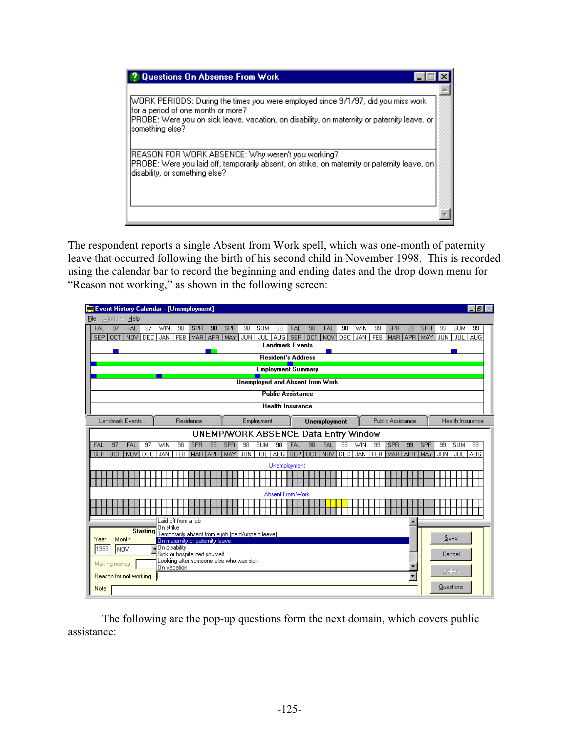| <b>Questions On Absense From Work</b>                                                                                                                                                                                                      |  |
|--------------------------------------------------------------------------------------------------------------------------------------------------------------------------------------------------------------------------------------------|--|
| [WORK PERIODS: During the times you were employed since 9/1/97, did you miss work<br>for a period of one month or more?<br>[PROBE: Were you on sick leave, vacation, on disability, on maternity or paternity leave, or<br>something else? |  |
| [REASON FOR WORK ABSENCE: Why weren't you working?<br>PROBE: Were you laid off, temporarily absent, on strike, on maternity or paternity leave, on<br>disability, or something else?                                                       |  |
|                                                                                                                                                                                                                                            |  |

The respondent reports a single Absent from Work spell, which was one-month of paternity leave that occurred following the birth of his second child in November 1998. This is recorded using the calendar bar to record the beginning and ending dates and the drop down menu for "Reason not working," as shown in the following screen:

| Event History Calendar - [Unemployment]                          |                                                                                      |                                        |                                         |                                                    | - 151                  |
|------------------------------------------------------------------|--------------------------------------------------------------------------------------|----------------------------------------|-----------------------------------------|----------------------------------------------------|------------------------|
| Window<br>Help<br>File                                           |                                                                                      |                                        |                                         |                                                    |                        |
| 97<br>FAL<br>$\overline{97}$<br>FAL                              | SPR<br>WIN<br>98<br>98                                                               | SPR<br>98<br><b>SUM</b><br>98          | <b>FAL</b><br>98<br>FAL<br>98           | 99<br>SPR<br>99<br>SPR<br><b>WIN</b>               | <b>SUM</b><br>99<br>99 |
| <b>SEP</b><br><b>OCT</b><br>NOV <sup>1</sup><br>DEC <sup>1</sup> | JAN<br>FEB MAR APR                                                                   | MAY I<br>JUN                           | JUL AUG SEP OCT NOV<br>DEC <sup>1</sup> | JAN<br>FEB MAR APR MAY                             | JUL AUG<br>  JUN       |
|                                                                  |                                                                                      | <b>Landmark Events</b>                 |                                         |                                                    |                        |
|                                                                  |                                                                                      | <b>Resident's Address</b>              |                                         |                                                    |                        |
|                                                                  |                                                                                      | <b>Employment Summary</b>              |                                         |                                                    |                        |
|                                                                  |                                                                                      | <b>Unemployed and Absent from Work</b> |                                         |                                                    |                        |
|                                                                  |                                                                                      | <b>Public Assistance</b>               |                                         |                                                    |                        |
|                                                                  |                                                                                      | <b>Health Insurance</b>                |                                         |                                                    |                        |
| Landmark Events                                                  | Residence                                                                            | Employment                             | <b>Unemployment</b>                     | Public Assistance                                  | Health Insurance       |
|                                                                  |                                                                                      | UNEMP/WORK ABSENCE Data Entry Window   |                                         |                                                    |                        |
| FAL<br>97<br>FAL<br>97                                           | <b>WIN</b><br>98<br><b>SPR</b><br>98                                                 | <b>SPR</b><br>98<br><b>SUM</b><br>98   | 98<br>FAL<br>98<br>FAL                  | <b>WIN</b><br>99<br><b>SPR</b><br><b>SPR</b><br>99 | 99<br><b>SUM</b><br>99 |
| SEP OCT<br>NOV <sup>1</sup><br>DEC <sup>1</sup>                  | FEB MAR APR MAY<br>JAN                                                               | JUN <sup>1</sup><br>JUL 1<br>AUG I     | SEP OCT<br>NOV DEC                      | JAN   FEB   MAR   APR   MAY                        | <b>JUN</b><br>JUL AUG  |
|                                                                  |                                                                                      | Unemployment                           |                                         |                                                    |                        |
|                                                                  |                                                                                      |                                        |                                         |                                                    |                        |
|                                                                  |                                                                                      |                                        |                                         |                                                    |                        |
|                                                                  |                                                                                      | <b>Absent From Work</b>                |                                         |                                                    |                        |
|                                                                  |                                                                                      |                                        |                                         |                                                    |                        |
|                                                                  | Laid off from a job                                                                  |                                        |                                         |                                                    |                        |
| <b>Starting</b>                                                  | On strike                                                                            |                                        |                                         |                                                    |                        |
| Month<br>Year                                                    | Temporarily absent from a job (paid/unpaid leave)<br>On maternity or paternity leave |                                        |                                         |                                                    | Save                   |
| 1998<br><b>INOV</b>                                              | ¶ On disability                                                                      |                                        |                                         |                                                    |                        |
|                                                                  | Sick or hospitalized yourself<br>Looking after someone else who was sick             |                                        |                                         |                                                    | Cancel                 |
| Making money                                                     | On vacation                                                                          |                                        |                                         |                                                    | <b>Delete</b>          |
| Reason for not working                                           |                                                                                      |                                        |                                         |                                                    |                        |
| Note                                                             |                                                                                      |                                        |                                         |                                                    | Questions              |

The following are the pop-up questions form the next domain, which covers public assistance: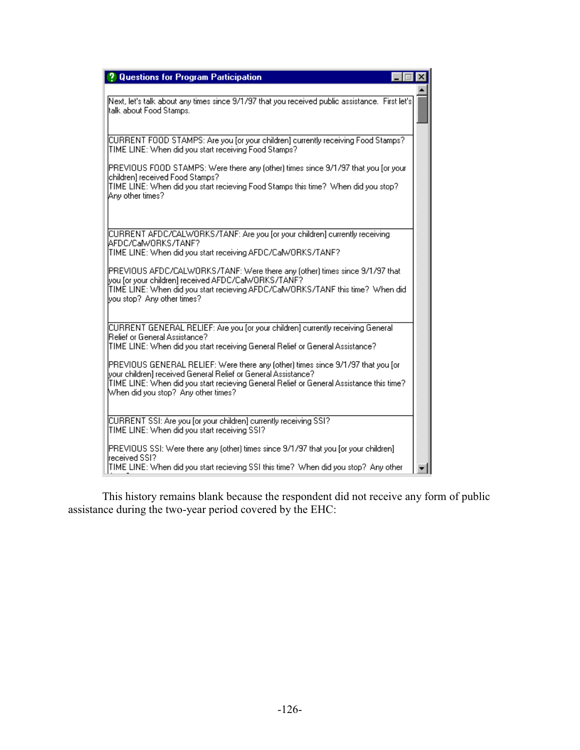| <b>Questions for Program Participation</b>                                                                                                                                                                                                                                          |
|-------------------------------------------------------------------------------------------------------------------------------------------------------------------------------------------------------------------------------------------------------------------------------------|
| Next, let's talk about any times since 9/1/97 that you received public assistance. First let's<br>ltalk about Food Stamps.                                                                                                                                                          |
| CURRENT FOOD STAMPS: Are you [or your children] currently receiving Food Stamps?<br>TIME LINE: When did you start receiving Food Stamps?                                                                                                                                            |
| PREVIOUS FOOD STAMPS: Were there any (other) times since 9/1/97 that you [or your<br>children] received Food Stamps?<br>TIME LINE: When did you start recieving Food Stamps this time? When did you stop?<br>Any other times?                                                       |
| CURRENT AFDC/CALWORKS/TANF: Are you for your children] currently receiving<br>lAFDC/CalwORKS/TANF?<br>TIME LINE: When did you start receiving AFDC/CalWORKS/TANF?                                                                                                                   |
| PREVIOUS AFDC/CALWORKS/TANF: Were there any (other) times since 9/1/97 that<br>vou for vour children] received AFDC/CalWORKS/TANF?<br>TIME LINE: When did you start recieving AFDC/CalWORKS/TANF this time? When did<br>you stop? Any other times?                                  |
| CURRENT GENERAL RELIEF: Are you for your children] currently receiving General<br>[Relief or General Assistance?]<br>TIME LINE: When did you start receiving General Relief or General Assistance?                                                                                  |
| PREVIOUS GENERAL RELIEF: Were there any (other) times since 9/1/97 that you [or<br>[your children] received General Relief or General Assistance?<br>TIME LINE: When did you start recieving General Relief or General Assistance this time?<br>When did you stop? Any other times? |
| CURRENT SSI: Are you [or your children] currently receiving SSI?<br>TIME LINE: When did you start receiving SSI?                                                                                                                                                                    |
| [PREVIOUS SSI: Were there any (other) times since 9/1/97 that you [or your children].<br>lreceived SSI?<br>TIME LINE: When did you start recieving SSI this time? When did you stop? Any other                                                                                      |

 This history remains blank because the respondent did not receive any form of public assistance during the two-year period covered by the EHC: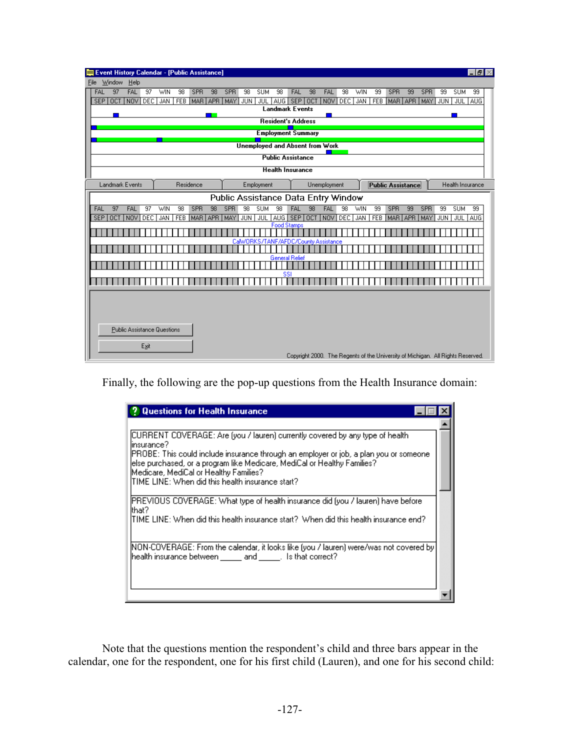|                                     | Event History Calendar - [Public Assistance] |                                                                    |                                           |                                                                                 | -151                         |
|-------------------------------------|----------------------------------------------|--------------------------------------------------------------------|-------------------------------------------|---------------------------------------------------------------------------------|------------------------------|
| Window<br>He<br>File                |                                              |                                                                    |                                           |                                                                                 |                              |
| 97<br>FAL<br>$\overline{97}$<br>FAL | WIN<br>98<br><b>SPR</b><br>98                | <b>SPR</b><br>$\overline{98}$<br>98<br><b>SUM</b>                  | 98<br>FAL<br>FAL<br>98                    | <b>WIN</b><br>99<br>SPR<br>99<br><b>SPR</b>                                     | 99<br><b>SUM</b><br>99       |
| <b>SEP</b><br>OCT<br>NOV DEC        | <b>JAN</b><br>MAR APR<br><b>FEB</b>          | <b>MAY</b><br><b>JUN</b><br>AUG I<br>JUL<br><b>Landmark Events</b> | SEP OCT<br>NOV <sup>1</sup><br><b>DEC</b> | <b>JAN</b><br>MAR APR<br><b>FEB</b>                                             | JUL AUG<br><b>I MAY LJUN</b> |
|                                     |                                              |                                                                    |                                           |                                                                                 |                              |
|                                     |                                              | <b>Resident's Address</b>                                          |                                           |                                                                                 |                              |
|                                     |                                              | <b>Employment Summary</b>                                          |                                           |                                                                                 |                              |
|                                     |                                              | <b>Unemployed and Absent from Work</b>                             |                                           |                                                                                 |                              |
|                                     |                                              | <b>Public Assistance</b>                                           |                                           |                                                                                 |                              |
|                                     |                                              | <b>Health Insurance</b>                                            |                                           |                                                                                 |                              |
| Landmark Events                     | Residence                                    | Employment                                                         | Unemployment                              | Public Assistance                                                               | Health Insurance             |
|                                     |                                              | Public Assistance Data Entry Window                                |                                           |                                                                                 |                              |
| 97<br>FAL<br>FAL<br>$\overline{97}$ | <b>SPR</b><br>98<br><b>WIN</b><br>98         | <b>SPR</b><br>98<br><b>SUM</b><br>98                               | <b>FAL</b><br>98<br>FAL<br>98             | <b>SPR</b><br><b>SPR</b><br>WIN<br>99<br>99                                     | <b>SUM</b><br>99<br>99       |
| DEC.<br>SEP OCT<br>NOV              | <b>FEB</b><br><b>JAN</b><br>MAR APR          | JUL 1<br>AUG SEP<br>MAY<br>JUN <sup>1</sup>                        | DEC.<br><b>OCT</b><br>NOV                 | <b>FEB</b><br>JAN<br>MAR APR<br>MAY                                             | JUL AUG<br>JUN <sup>1</sup>  |
|                                     |                                              | <b>Food Stamps</b>                                                 |                                           |                                                                                 |                              |
|                                     |                                              | CalWORKS/TANF/AFDC/County Assistance                               |                                           |                                                                                 |                              |
|                                     |                                              |                                                                    |                                           |                                                                                 |                              |
|                                     |                                              | <b>General Relief</b>                                              |                                           |                                                                                 |                              |
|                                     |                                              | SSI                                                                |                                           |                                                                                 |                              |
|                                     |                                              |                                                                    |                                           |                                                                                 |                              |
|                                     |                                              |                                                                    |                                           |                                                                                 |                              |
|                                     |                                              |                                                                    |                                           |                                                                                 |                              |
|                                     |                                              |                                                                    |                                           |                                                                                 |                              |
| <b>Public Assistance Questions</b>  |                                              |                                                                    |                                           |                                                                                 |                              |
|                                     |                                              |                                                                    |                                           |                                                                                 |                              |
| Exit                                |                                              |                                                                    |                                           |                                                                                 |                              |
|                                     |                                              |                                                                    |                                           | Copyright 2000. The Regents of the University of Michigan. All Rights Reserved. |                              |

Finally, the following are the pop-up questions from the Health Insurance domain:

| <b>Questions for Health Insurance</b>                                                                                                                                                                                                                                                                                                                               |  |
|---------------------------------------------------------------------------------------------------------------------------------------------------------------------------------------------------------------------------------------------------------------------------------------------------------------------------------------------------------------------|--|
| [CURRENT COVERAGE: Are (you / lauren) currently covered by any type of health.<br>linsurance?<br>[PROBE: This could include insurance through an employer or job, a plan you or someone<br>lelse purchased, or a program like Medicare, MediCal or Healthy Families?<br>Medicare, MediCal or Healthy Families?<br>lTIME LINE: When did this health insurance start? |  |
| [PREVIOUS COVERAGE: What type of health insurance did (you / lauren) have before<br>lthat?<br>ITIME LINE: When did this health insurance start? When did this health insurance end?                                                                                                                                                                                 |  |
| [NON-COVERAGE: From the calendar, it looks like (you / lauren) were/was not covered by<br>health insurance between ______ and ______. Is that correct?                                                                                                                                                                                                              |  |

 Note that the questions mention the respondent's child and three bars appear in the calendar, one for the respondent, one for his first child (Lauren), and one for his second child: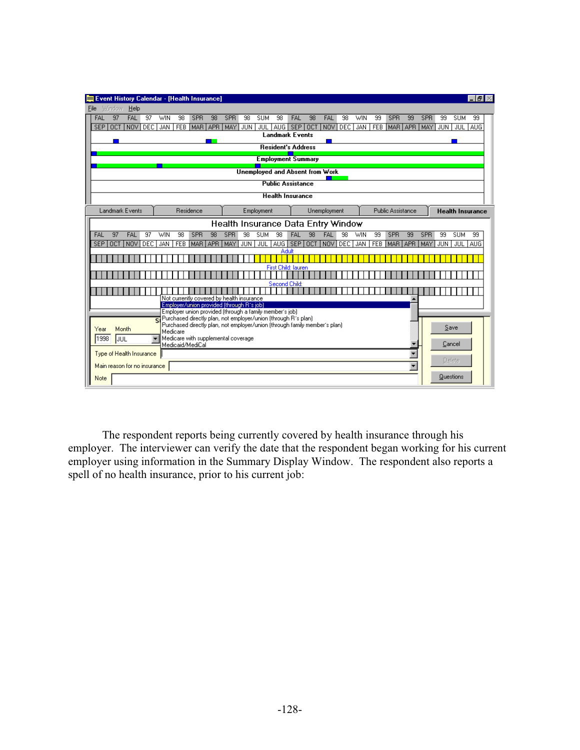| Event History Calendar - [Health Insurance]                                                                                         |                                                                                                                                              |                                                                                                         |                                                              | -151                                                         |
|-------------------------------------------------------------------------------------------------------------------------------------|----------------------------------------------------------------------------------------------------------------------------------------------|---------------------------------------------------------------------------------------------------------|--------------------------------------------------------------|--------------------------------------------------------------|
| Window<br>Help<br>File                                                                                                              |                                                                                                                                              |                                                                                                         |                                                              |                                                              |
| <b>FAL</b><br><b>FAL</b><br>97<br>97<br>98<br><b>SPR</b><br><b>WIN</b><br><b>SEP</b><br>NOV DEC<br><b>JAN</b><br>FEB MAR APR<br>OCT | 98<br><b>SPR</b><br>98<br><b>SUM</b><br><b>MAY</b><br><b>JUN</b><br>JUL 1                                                                    | 98<br>98<br>FAL<br>FAL<br>98<br><b>NOV</b><br>DEC <sup>1</sup><br>AUG SEP OCT<br><b>Landmark Events</b> | <b>WIN</b><br>99<br>SPR<br>99<br>SPR<br>JAN  <br>FEB MAR APR | 99<br><b>SUM</b><br>99<br>MAY<br>JUL AUG<br>JUN <sup>1</sup> |
|                                                                                                                                     |                                                                                                                                              | <b>Resident's Address</b>                                                                               |                                                              |                                                              |
|                                                                                                                                     |                                                                                                                                              | <b>Employment Summary</b>                                                                               |                                                              |                                                              |
|                                                                                                                                     |                                                                                                                                              |                                                                                                         |                                                              |                                                              |
|                                                                                                                                     |                                                                                                                                              | <b>Unemployed and Absent from Work</b>                                                                  |                                                              |                                                              |
|                                                                                                                                     |                                                                                                                                              | <b>Public Assistance</b>                                                                                |                                                              |                                                              |
|                                                                                                                                     |                                                                                                                                              | <b>Health Insurance</b>                                                                                 |                                                              |                                                              |
| Residence<br>Landmark Events                                                                                                        | Employment                                                                                                                                   | Unemployment                                                                                            | Public Assistance                                            | <b>Health Insurance</b>                                      |
|                                                                                                                                     |                                                                                                                                              | Health Insurance Data Entry Window                                                                      |                                                              |                                                              |
| 97<br>FAL<br>SPR<br><b>FAL</b><br>$\overline{97}$<br>WIN<br>98                                                                      | 98<br><b>SPR</b><br>98<br><b>SUM</b>                                                                                                         | 98<br>FAL<br>98<br>FAL<br>98                                                                            | WIN<br>99<br>SPR<br>99<br><b>SPR</b>                         | <b>SUM</b><br>99<br>99                                       |
| <b>OCT</b><br>NOV<br>DEC.<br><b>JAN</b><br>SEP                                                                                      | FEB MAR APR MAY<br>JUN <sub>1</sub>                                                                                                          | JUL AUG SEP OCT<br>NOV DEC                                                                              | JAN FEB<br>MAR APR MAY                                       | <b>JUN</b><br>JUL AUG                                        |
|                                                                                                                                     |                                                                                                                                              | Adult                                                                                                   |                                                              |                                                              |
|                                                                                                                                     |                                                                                                                                              | First Child: lauren                                                                                     |                                                              |                                                              |
|                                                                                                                                     |                                                                                                                                              |                                                                                                         |                                                              |                                                              |
|                                                                                                                                     |                                                                                                                                              | Second Child:                                                                                           |                                                              |                                                              |
|                                                                                                                                     | Not currently covered by health insurance                                                                                                    |                                                                                                         |                                                              |                                                              |
|                                                                                                                                     | Employer/union provided (through R's job)<br>Employer union provided (through a family member's job)                                         |                                                                                                         |                                                              |                                                              |
|                                                                                                                                     | Purchased directly plan, not employer/union (through R's plan)<br>Purchased directly plan, not employer/union (through family member's plan) |                                                                                                         |                                                              |                                                              |
| Month<br>Year<br>Medicare                                                                                                           |                                                                                                                                              |                                                                                                         |                                                              | Save                                                         |
| 1998<br>JUL<br>Medicaid/MediCal                                                                                                     | Medicare with supplemental coverage                                                                                                          |                                                                                                         |                                                              | Cancel                                                       |
| Type of Health Insurance                                                                                                            |                                                                                                                                              |                                                                                                         |                                                              |                                                              |
| Main reason for no insurance                                                                                                        |                                                                                                                                              |                                                                                                         |                                                              | <b>Delete</b>                                                |
| <b>Note</b>                                                                                                                         |                                                                                                                                              |                                                                                                         |                                                              | Questions                                                    |

 The respondent reports being currently covered by health insurance through his employer. The interviewer can verify the date that the respondent began working for his current employer using information in the Summary Display Window. The respondent also reports a spell of no health insurance, prior to his current job: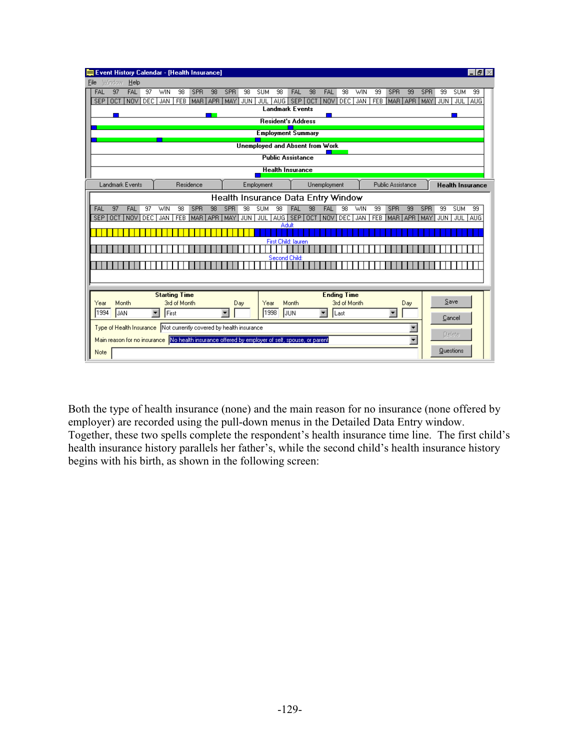|       | <b>Event History Calendar - [Health Insurance]</b>                                              |            |                      |                      |              |                  |            |                         |                  |                                        |                  |                                       |    |                          |              |            |                  |                          |                          |            |                  |               | $    \times$            |
|-------|-------------------------------------------------------------------------------------------------|------------|----------------------|----------------------|--------------|------------------|------------|-------------------------|------------------|----------------------------------------|------------------|---------------------------------------|----|--------------------------|--------------|------------|------------------|--------------------------|--------------------------|------------|------------------|---------------|-------------------------|
| File  | Window                                                                                          | Help       |                      |                      |              |                  |            |                         |                  |                                        |                  |                                       |    |                          |              |            |                  |                          |                          |            |                  |               |                         |
| FAL   | 97                                                                                              | <b>FAL</b> | 97                   | WIN                  | 98           | <b>SPR</b>       | 98         | <b>SPR</b>              | 98               | <b>SUM</b>                             | 98               | <b>FAL</b>                            | 98 | FAL                      | 98           | <b>WIN</b> | 99               | SPR                      | 99                       | SPR        | 99               | <b>SUM</b>    | 99                      |
| SEP I | <b>OCT</b>                                                                                      |            |                      | NOV DEC JAN          |              | FEB MAR APR      |            | MAY                     | JUN              | JUL 1                                  |                  | AUG SEP OCT<br><b>Landmark Events</b> |    | <b>NOV</b>               | <b>DEC</b>   | JAN        |                  | FEB MAR APR              |                          | MAY        | JUN <sup>1</sup> |               | JUL TAUG                |
|       |                                                                                                 |            |                      |                      |              |                  |            |                         |                  |                                        |                  |                                       |    |                          |              |            |                  |                          |                          |            |                  |               |                         |
|       |                                                                                                 |            |                      |                      |              |                  |            |                         |                  |                                        |                  | <b>Resident's Address</b>             |    |                          |              |            |                  |                          |                          |            |                  |               |                         |
|       |                                                                                                 |            |                      |                      |              |                  |            |                         |                  |                                        |                  | <b>Employment Summary</b>             |    |                          |              |            |                  |                          |                          |            |                  |               |                         |
|       |                                                                                                 |            |                      |                      |              |                  |            |                         |                  | <b>Unemployed and Absent from Work</b> |                  |                                       |    |                          |              |            |                  |                          |                          |            |                  |               |                         |
|       |                                                                                                 |            |                      |                      |              |                  |            |                         |                  |                                        |                  | <b>Public Assistance</b>              |    |                          |              |            |                  |                          |                          |            |                  |               |                         |
|       |                                                                                                 |            |                      |                      |              |                  |            |                         |                  |                                        |                  | <b>Health Insurance</b>               |    |                          |              |            |                  |                          |                          |            |                  |               |                         |
|       |                                                                                                 |            |                      |                      |              |                  |            |                         |                  |                                        |                  |                                       |    |                          |              |            |                  |                          |                          |            |                  |               |                         |
|       | <b>Landmark Events</b>                                                                          |            |                      |                      | Residence    |                  |            |                         |                  | Employment                             |                  |                                       |    | Unemployment             |              |            |                  | <b>Public Assistance</b> |                          |            |                  |               | <b>Health Insurance</b> |
|       |                                                                                                 |            |                      |                      |              |                  |            |                         |                  | Health Insurance Data Entry Window     |                  |                                       |    |                          |              |            |                  |                          |                          |            |                  |               |                         |
| FAL   | 97                                                                                              | <b>FAL</b> | $\overline{97}$      | WIN                  | 98           | SPR              | 98         | <b>SPR</b>              | 98               | <b>SUM</b>                             | 98               | <b>FAL</b>                            | 98 | <b>FAL</b>               | 98           | WIN        | 99               | SPR                      | 99                       | <b>SPR</b> | 99               | <b>SUM</b>    | 99                      |
|       | SEP OCT INOV                                                                                    |            | <b>DEC</b>           | JAN                  | <b>FEB</b>   | MAR <sup>I</sup> | <b>APR</b> | MAY                     | JUN <sup>1</sup> | <b>JUL 1</b>                           | AUG <sup>I</sup> | SEP OCT<br>Adult                      |    | NOV <sup>1</sup>         | DEC          | JAN        | FEB <sub>1</sub> | MAR APR                  |                          | MAY        | JUN              | JUL AUG       |                         |
|       |                                                                                                 |            |                      |                      |              |                  |            |                         |                  |                                        |                  |                                       |    |                          |              |            |                  |                          |                          |            |                  |               |                         |
|       |                                                                                                 |            |                      |                      |              |                  |            |                         |                  |                                        |                  | First Child: lauren                   |    |                          |              |            |                  |                          |                          |            |                  |               |                         |
|       |                                                                                                 |            |                      |                      |              |                  |            |                         |                  |                                        |                  |                                       |    |                          |              |            |                  |                          |                          |            |                  |               |                         |
|       |                                                                                                 |            |                      |                      |              |                  |            |                         |                  |                                        | Second Child:    |                                       |    |                          |              |            |                  |                          |                          |            |                  |               |                         |
|       |                                                                                                 |            |                      |                      |              |                  |            |                         |                  |                                        |                  |                                       |    |                          |              |            |                  |                          |                          |            |                  |               |                         |
|       |                                                                                                 |            |                      |                      |              |                  |            |                         |                  |                                        |                  |                                       |    |                          |              |            |                  |                          |                          |            |                  |               |                         |
|       |                                                                                                 |            |                      | <b>Starting Time</b> |              |                  |            |                         |                  |                                        |                  |                                       |    | <b>Ending Time</b>       |              |            |                  |                          |                          |            |                  |               |                         |
| Year  | Month                                                                                           |            |                      |                      | 3rd of Month |                  |            |                         | Day              | Year                                   |                  | Month                                 |    |                          | 3rd of Month |            |                  |                          | Day                      |            |                  | Save          |                         |
| 1994  | JAN                                                                                             |            | $\blacktriangledown$ | First                |              |                  |            | $\overline{\mathbf{v}}$ |                  | 1998                                   |                  | JUN                                   |    | $\overline{\phantom{a}}$ | Last         |            |                  | $\blacktriangledown$     |                          |            |                  | Cancel        |                         |
|       | Type of Health Insurance Not currently covered by health insurance                              |            |                      |                      |              |                  |            |                         |                  |                                        |                  |                                       |    |                          |              |            |                  |                          | T                        |            |                  |               |                         |
|       | Main reason for no insurance No health insurance offered by employer of self, spouse, or parent |            |                      |                      |              |                  |            |                         |                  |                                        |                  |                                       |    |                          |              |            |                  |                          | $\overline{\phantom{a}}$ |            |                  | <b>Delete</b> |                         |
| Note  |                                                                                                 |            |                      |                      |              |                  |            |                         |                  |                                        |                  |                                       |    |                          |              |            |                  |                          |                          |            |                  | Questions     |                         |
|       |                                                                                                 |            |                      |                      |              |                  |            |                         |                  |                                        |                  |                                       |    |                          |              |            |                  |                          |                          |            |                  |               |                         |

Both the type of health insurance (none) and the main reason for no insurance (none offered by employer) are recorded using the pull-down menus in the Detailed Data Entry window. Together, these two spells complete the respondent's health insurance time line. The first child's health insurance history parallels her father's, while the second child's health insurance history begins with his birth, as shown in the following screen: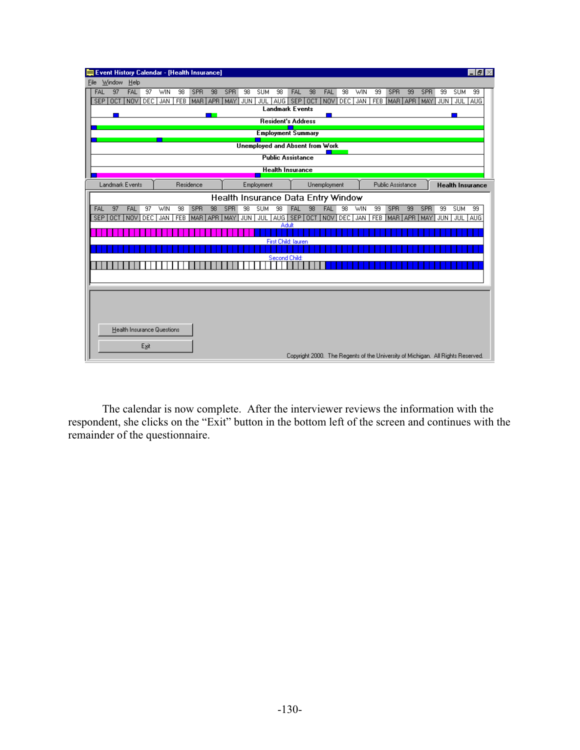| <b>Event History Calendar - [Health Insurance]</b> |                              |             |            |                                        |                                           |                 |              |      |            |    |                          |    |                  |                  | -151                                                                            |
|----------------------------------------------------|------------------------------|-------------|------------|----------------------------------------|-------------------------------------------|-----------------|--------------|------|------------|----|--------------------------|----|------------------|------------------|---------------------------------------------------------------------------------|
| Window<br>Help<br>File                             |                              |             |            |                                        |                                           |                 |              |      |            |    |                          |    |                  |                  |                                                                                 |
| FAL<br>97<br><b>FAL</b>                            | 97<br>WIN<br>98              | SPR<br>98   | <b>SPR</b> | 98<br><b>SUM</b>                       | 98<br>FAL                                 | 98              | FAL          | 98   | <b>WIN</b> | 99 | <b>SPR</b>               | 99 | SPR              | 99               | <b>SUM</b><br>99                                                                |
| NOV DEC<br><b>SEP</b><br><b>OCT</b>                | JAN                          | FEB MAR APR | MAY        | <b>JUN</b>                             | JUL AUG SEP OCT<br><b>Landmark Events</b> |                 | NOV          | DEC. | <b>JAN</b> |    | FEB MAR APR MAY          |    |                  |                  | JUN JUL AUG                                                                     |
|                                                    |                              |             |            |                                        |                                           |                 |              |      |            |    |                          |    |                  |                  |                                                                                 |
|                                                    |                              |             |            |                                        | <b>Resident's Address</b>                 |                 |              |      |            |    |                          |    |                  |                  |                                                                                 |
|                                                    |                              |             |            |                                        | <b>Employment Summary</b>                 |                 |              |      |            |    |                          |    |                  |                  |                                                                                 |
|                                                    |                              |             |            | <b>Unemployed and Absent from Work</b> |                                           |                 |              |      |            |    |                          |    |                  |                  |                                                                                 |
|                                                    |                              |             |            |                                        | <b>Public Assistance</b>                  |                 |              |      |            |    |                          |    |                  |                  |                                                                                 |
|                                                    |                              |             |            |                                        | <b>Health Insurance</b>                   |                 |              |      |            |    |                          |    |                  |                  |                                                                                 |
| Landmark Events                                    |                              | Residence   |            | Employment                             |                                           |                 | Unemployment |      |            |    | <b>Public Assistance</b> |    |                  |                  | <b>Health Insurance</b>                                                         |
|                                                    |                              |             |            |                                        |                                           |                 |              |      |            |    |                          |    |                  |                  |                                                                                 |
|                                                    |                              |             |            | Health Insurance Data Entry Window     |                                           |                 |              |      |            |    |                          |    |                  |                  |                                                                                 |
| 97<br>FAL<br><b>FAL</b>                            | $\overline{97}$<br>98<br>WIN | SPR<br>98   | <b>SPR</b> | 98<br><b>SUM</b>                       | 98<br>FAL                                 | $\overline{98}$ | <b>FAL</b>   | 98   | WIN        | 99 | SPR                      | 99 | <b>SPR</b>       | 99               | <b>SUM</b><br>99                                                                |
| SEP OCT NOV                                        | DEC.<br><b>JAN</b>           | FEB MAR APR | MAY        | JUN <sup>1</sup>                       | JUL AUG SEP OCT<br>Adult                  |                 | NOV DEC      |      | JAN        |    | FEB MAR APR              |    | MAY <sup>1</sup> | JUN <sup>1</sup> | JUL AUG                                                                         |
|                                                    |                              |             |            |                                        |                                           |                 |              |      |            |    |                          |    |                  |                  |                                                                                 |
|                                                    |                              |             |            |                                        | First Child: lauren                       |                 |              |      |            |    |                          |    |                  |                  |                                                                                 |
|                                                    |                              |             |            |                                        | Second Child:                             |                 |              |      |            |    |                          |    |                  |                  |                                                                                 |
|                                                    |                              |             |            |                                        |                                           |                 |              |      |            |    |                          |    |                  |                  |                                                                                 |
|                                                    |                              |             |            |                                        |                                           |                 |              |      |            |    |                          |    |                  |                  |                                                                                 |
|                                                    |                              |             |            |                                        |                                           |                 |              |      |            |    |                          |    |                  |                  |                                                                                 |
|                                                    |                              |             |            |                                        |                                           |                 |              |      |            |    |                          |    |                  |                  |                                                                                 |
|                                                    |                              |             |            |                                        |                                           |                 |              |      |            |    |                          |    |                  |                  |                                                                                 |
|                                                    |                              |             |            |                                        |                                           |                 |              |      |            |    |                          |    |                  |                  |                                                                                 |
| <b>Health Insurance Questions</b>                  |                              |             |            |                                        |                                           |                 |              |      |            |    |                          |    |                  |                  |                                                                                 |
|                                                    |                              |             |            |                                        |                                           |                 |              |      |            |    |                          |    |                  |                  |                                                                                 |
| Exit                                               |                              |             |            |                                        |                                           |                 |              |      |            |    |                          |    |                  |                  |                                                                                 |
|                                                    |                              |             |            |                                        |                                           |                 |              |      |            |    |                          |    |                  |                  | Copyright 2000. The Regents of the University of Michigan. All Rights Reserved. |

 The calendar is now complete. After the interviewer reviews the information with the respondent, she clicks on the "Exit" button in the bottom left of the screen and continues with the remainder of the questionnaire.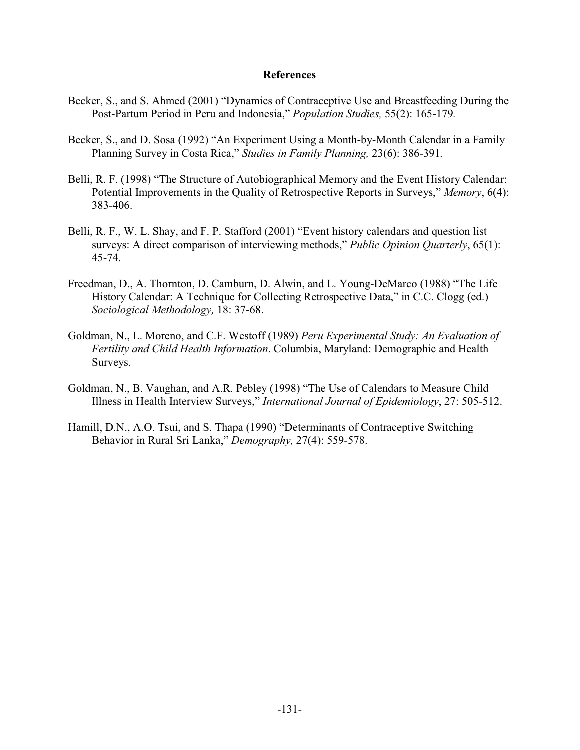#### **References**

- Becker, S., and S. Ahmed (2001) "Dynamics of Contraceptive Use and Breastfeeding During the Post-Partum Period in Peru and Indonesia," *Population Studies,* 55(2): 165-179*.*
- Becker, S., and D. Sosa (1992) "An Experiment Using a Month-by-Month Calendar in a Family Planning Survey in Costa Rica," *Studies in Family Planning,* 23(6): 386-391*.*
- Belli, R. F. (1998) "The Structure of Autobiographical Memory and the Event History Calendar: Potential Improvements in the Quality of Retrospective Reports in Surveys," *Memory*, 6(4): 383-406.
- Belli, R. F., W. L. Shay, and F. P. Stafford (2001) "Event history calendars and question list surveys: A direct comparison of interviewing methods," *Public Opinion Quarterly*, 65(1): 45-74.
- Freedman, D., A. Thornton, D. Camburn, D. Alwin, and L. Young-DeMarco (1988) "The Life History Calendar: A Technique for Collecting Retrospective Data," in C.C. Clogg (ed.) *Sociological Methodology,* 18: 37-68.
- Goldman, N., L. Moreno, and C.F. Westoff (1989) *Peru Experimental Study: An Evaluation of Fertility and Child Health Information*. Columbia, Maryland: Demographic and Health Surveys.
- Goldman, N., B. Vaughan, and A.R. Pebley (1998) "The Use of Calendars to Measure Child Illness in Health Interview Surveys," *International Journal of Epidemiology*, 27: 505-512.
- Hamill, D.N., A.O. Tsui, and S. Thapa (1990) "Determinants of Contraceptive Switching Behavior in Rural Sri Lanka," *Demography,* 27(4): 559-578.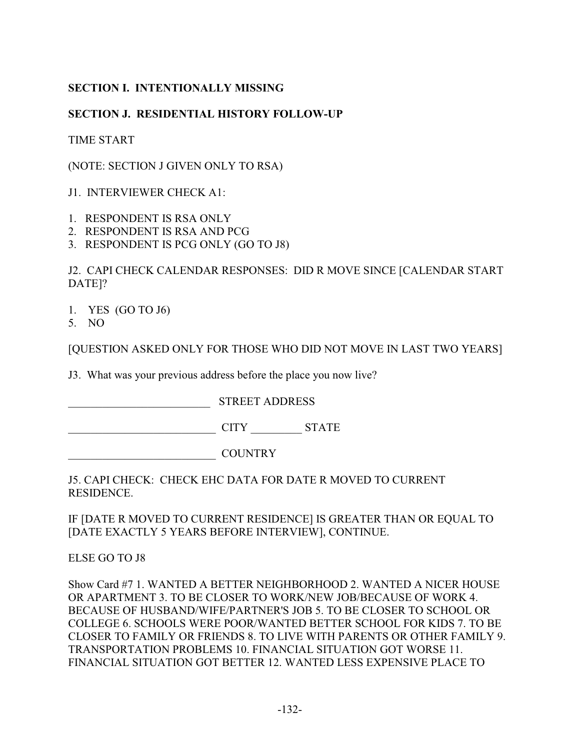# **SECTION I. INTENTIONALLY MISSING**

# **SECTION J. RESIDENTIAL HISTORY FOLLOW-UP**

TIME START

(NOTE: SECTION J GIVEN ONLY TO RSA)

J1. INTERVIEWER CHECK A1:

- 1. RESPONDENT IS RSA ONLY
- 2. RESPONDENT IS RSA AND PCG
- 3. RESPONDENT IS PCG ONLY (GO TO J8)

J2. CAPI CHECK CALENDAR RESPONSES: DID R MOVE SINCE [CALENDAR START DATE]?

- 1. YES (GO TO J6)
- 5. NO

[QUESTION ASKED ONLY FOR THOSE WHO DID NOT MOVE IN LAST TWO YEARS]

J3. What was your previous address before the place you now live?

\_\_\_\_\_\_\_\_\_\_\_\_\_\_\_\_\_\_\_\_\_\_\_\_\_ STREET ADDRESS

\_\_\_\_\_\_\_\_\_\_\_\_\_\_\_\_\_\_\_\_\_\_\_\_\_\_ CITY \_\_\_\_\_\_\_\_\_ STATE

\_\_\_\_\_\_\_\_\_\_\_\_\_\_\_\_\_\_\_\_\_\_\_\_\_\_ COUNTRY

J5. CAPI CHECK: CHECK EHC DATA FOR DATE R MOVED TO CURRENT RESIDENCE.

IF [DATE R MOVED TO CURRENT RESIDENCE] IS GREATER THAN OR EQUAL TO [DATE EXACTLY 5 YEARS BEFORE INTERVIEW], CONTINUE.

ELSE GO TO J8

Show Card #7 1. WANTED A BETTER NEIGHBORHOOD 2. WANTED A NICER HOUSE OR APARTMENT 3. TO BE CLOSER TO WORK/NEW JOB/BECAUSE OF WORK 4. BECAUSE OF HUSBAND/WIFE/PARTNER'S JOB 5. TO BE CLOSER TO SCHOOL OR COLLEGE 6. SCHOOLS WERE POOR/WANTED BETTER SCHOOL FOR KIDS 7. TO BE CLOSER TO FAMILY OR FRIENDS 8. TO LIVE WITH PARENTS OR OTHER FAMILY 9. TRANSPORTATION PROBLEMS 10. FINANCIAL SITUATION GOT WORSE 11. FINANCIAL SITUATION GOT BETTER 12. WANTED LESS EXPENSIVE PLACE TO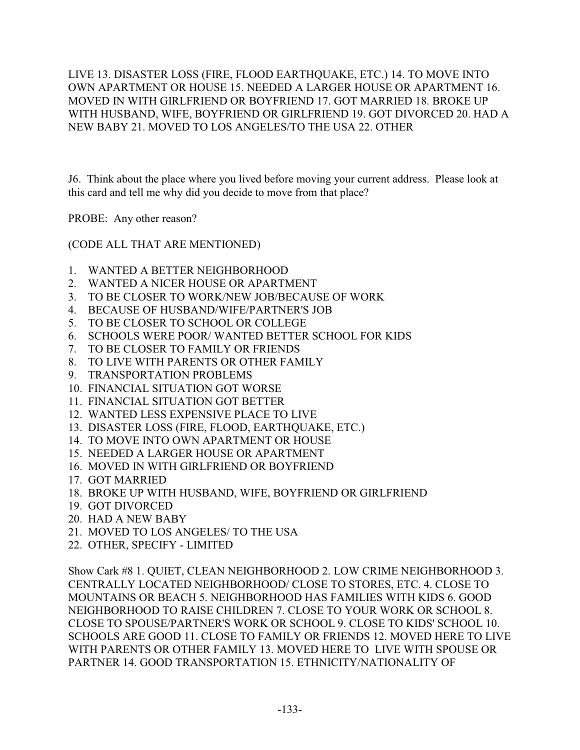LIVE 13. DISASTER LOSS (FIRE, FLOOD EARTHQUAKE, ETC.) 14. TO MOVE INTO OWN APARTMENT OR HOUSE 15. NEEDED A LARGER HOUSE OR APARTMENT 16. MOVED IN WITH GIRLFRIEND OR BOYFRIEND 17. GOT MARRIED 18. BROKE UP WITH HUSBAND, WIFE, BOYFRIEND OR GIRLFRIEND 19. GOT DIVORCED 20. HAD A NEW BABY 21. MOVED TO LOS ANGELES/TO THE USA 22. OTHER

J6. Think about the place where you lived before moving your current address. Please look at this card and tell me why did you decide to move from that place?

PROBE: Any other reason?

(CODE ALL THAT ARE MENTIONED)

- 1. WANTED A BETTER NEIGHBORHOOD
- 2. WANTED A NICER HOUSE OR APARTMENT
- 3. TO BE CLOSER TO WORK/NEW JOB/BECAUSE OF WORK
- 4. BECAUSE OF HUSBAND/WIFE/PARTNER'S JOB
- 5. TO BE CLOSER TO SCHOOL OR COLLEGE
- 6. SCHOOLS WERE POOR/ WANTED BETTER SCHOOL FOR KIDS
- 7. TO BE CLOSER TO FAMILY OR FRIENDS
- 8. TO LIVE WITH PARENTS OR OTHER FAMILY
- 9. TRANSPORTATION PROBLEMS
- 10. FINANCIAL SITUATION GOT WORSE
- 11. FINANCIAL SITUATION GOT BETTER
- 12. WANTED LESS EXPENSIVE PLACE TO LIVE
- 13. DISASTER LOSS (FIRE, FLOOD, EARTHQUAKE, ETC.)
- 14. TO MOVE INTO OWN APARTMENT OR HOUSE
- 15. NEEDED A LARGER HOUSE OR APARTMENT
- 16. MOVED IN WITH GIRLFRIEND OR BOYFRIEND
- 17. GOT MARRIED
- 18. BROKE UP WITH HUSBAND, WIFE, BOYFRIEND OR GIRLFRIEND
- 19. GOT DIVORCED
- 20. HAD A NEW BABY
- 21. MOVED TO LOS ANGELES/ TO THE USA
- 22. OTHER, SPECIFY LIMITED

Show Cark #8 1. QUIET, CLEAN NEIGHBORHOOD 2. LOW CRIME NEIGHBORHOOD 3. CENTRALLY LOCATED NEIGHBORHOOD/ CLOSE TO STORES, ETC. 4. CLOSE TO MOUNTAINS OR BEACH 5. NEIGHBORHOOD HAS FAMILIES WITH KIDS 6. GOOD NEIGHBORHOOD TO RAISE CHILDREN 7. CLOSE TO YOUR WORK OR SCHOOL 8. CLOSE TO SPOUSE/PARTNER'S WORK OR SCHOOL 9. CLOSE TO KIDS' SCHOOL 10. SCHOOLS ARE GOOD 11. CLOSE TO FAMILY OR FRIENDS 12. MOVED HERE TO LIVE WITH PARENTS OR OTHER FAMILY 13. MOVED HERE TO LIVE WITH SPOUSE OR PARTNER 14. GOOD TRANSPORTATION 15. ETHNICITY/NATIONALITY OF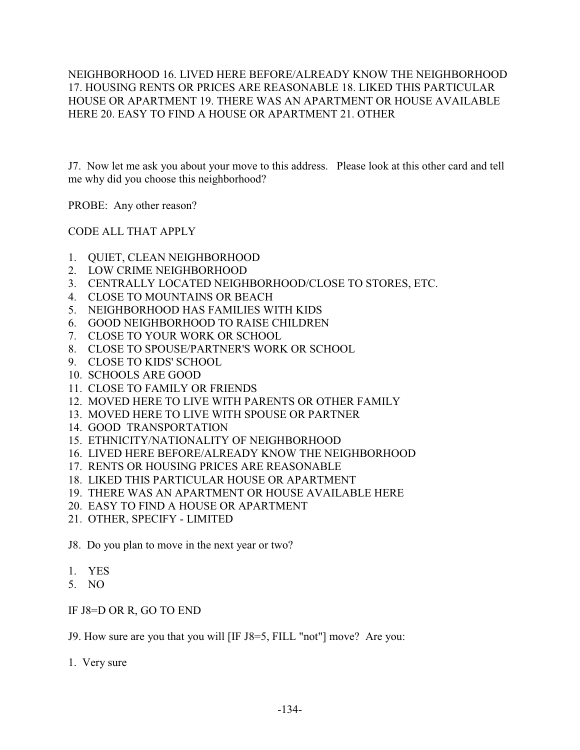NEIGHBORHOOD 16. LIVED HERE BEFORE/ALREADY KNOW THE NEIGHBORHOOD 17. HOUSING RENTS OR PRICES ARE REASONABLE 18. LIKED THIS PARTICULAR HOUSE OR APARTMENT 19. THERE WAS AN APARTMENT OR HOUSE AVAILABLE HERE 20. EASY TO FIND A HOUSE OR APARTMENT 21. OTHER

J7. Now let me ask you about your move to this address. Please look at this other card and tell me why did you choose this neighborhood?

PROBE: Any other reason?

CODE ALL THAT APPLY

- 1. QUIET, CLEAN NEIGHBORHOOD
- 2. LOW CRIME NEIGHBORHOOD
- 3. CENTRALLY LOCATED NEIGHBORHOOD/CLOSE TO STORES, ETC.
- 4. CLOSE TO MOUNTAINS OR BEACH
- 5. NEIGHBORHOOD HAS FAMILIES WITH KIDS
- 6. GOOD NEIGHBORHOOD TO RAISE CHILDREN
- 7. CLOSE TO YOUR WORK OR SCHOOL
- 8. CLOSE TO SPOUSE/PARTNER'S WORK OR SCHOOL
- 9. CLOSE TO KIDS' SCHOOL
- 10. SCHOOLS ARE GOOD
- 11. CLOSE TO FAMILY OR FRIENDS
- 12. MOVED HERE TO LIVE WITH PARENTS OR OTHER FAMILY
- 13. MOVED HERE TO LIVE WITH SPOUSE OR PARTNER
- 14. GOOD TRANSPORTATION
- 15. ETHNICITY/NATIONALITY OF NEIGHBORHOOD
- 16. LIVED HERE BEFORE/ALREADY KNOW THE NEIGHBORHOOD
- 17. RENTS OR HOUSING PRICES ARE REASONABLE
- 18. LIKED THIS PARTICULAR HOUSE OR APARTMENT
- 19. THERE WAS AN APARTMENT OR HOUSE AVAILABLE HERE
- 20. EASY TO FIND A HOUSE OR APARTMENT
- 21. OTHER, SPECIFY LIMITED

J8. Do you plan to move in the next year or two?

- 1. YES
- 5. NO

IF J8=D OR R, GO TO END

J9. How sure are you that you will [IF J8=5, FILL "not"] move? Are you:

1. Very sure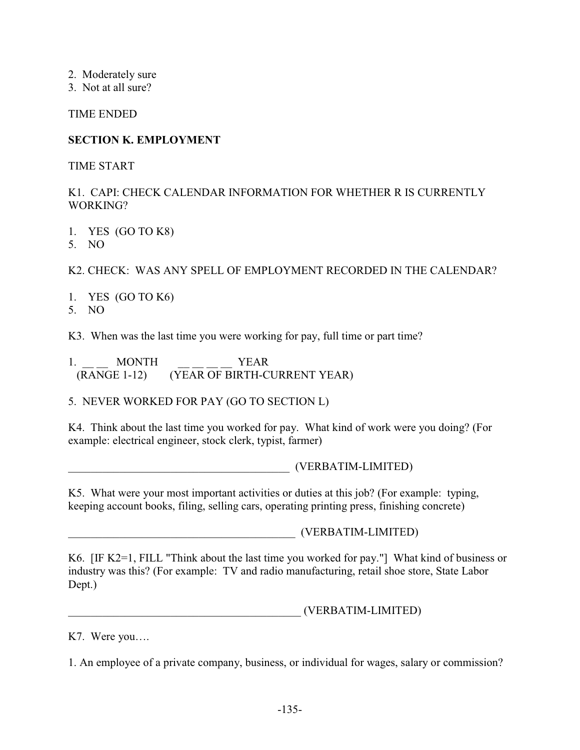- 2. Moderately sure
- 3. Not at all sure?

TIME ENDED

# **SECTION K. EMPLOYMENT**

TIME START

# K1. CAPI: CHECK CALENDAR INFORMATION FOR WHETHER R IS CURRENTLY WORKING?

- 1. YES (GO TO K8)
- 5. NO

K2. CHECK: WAS ANY SPELL OF EMPLOYMENT RECORDED IN THE CALENDAR?

- 1. YES (GO TO K6)
- 5. NO

K3. When was the last time you were working for pay, full time or part time?

1. MONTH YEAR (RANGE 1-12) (YEAR OF BIRTH-CURRENT YEAR)

5. NEVER WORKED FOR PAY (GO TO SECTION L)

K4. Think about the last time you worked for pay. What kind of work were you doing? (For example: electrical engineer, stock clerk, typist, farmer)

\_\_\_\_\_\_\_\_\_\_\_\_\_\_\_\_\_\_\_\_\_\_\_\_\_\_\_\_\_\_\_\_\_\_\_\_\_\_\_ (VERBATIM-LIMITED)

K5. What were your most important activities or duties at this job? (For example: typing, keeping account books, filing, selling cars, operating printing press, finishing concrete)

\_\_\_\_\_\_\_\_\_\_\_\_\_\_\_\_\_\_\_\_\_\_\_\_\_\_\_\_\_\_\_\_\_\_\_\_\_\_\_\_ (VERBATIM-LIMITED)

K6. [IF K2=1, FILL "Think about the last time you worked for pay."] What kind of business or industry was this? (For example: TV and radio manufacturing, retail shoe store, State Labor Dept.)

\_\_\_\_\_\_\_\_\_\_\_\_\_\_\_\_\_\_\_\_\_\_\_\_\_\_\_\_\_\_\_\_\_\_\_\_\_\_\_\_\_ (VERBATIM-LIMITED)

K7. Were you….

1. An employee of a private company, business, or individual for wages, salary or commission?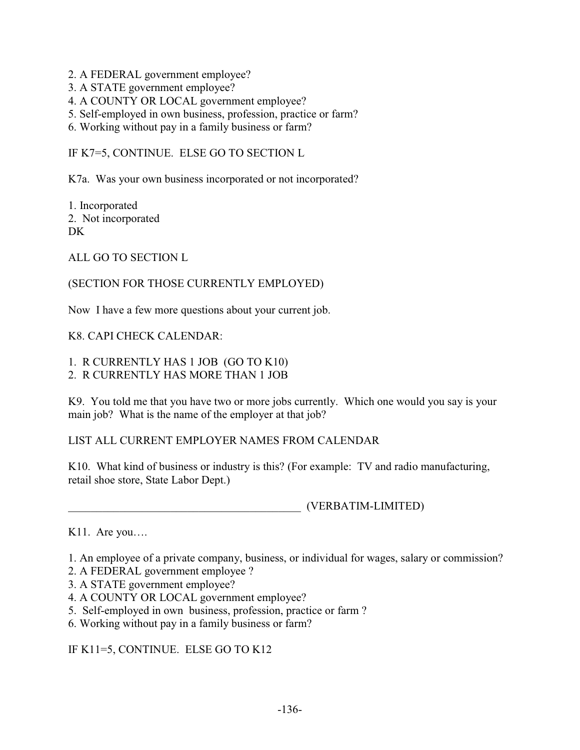- 2. A FEDERAL government employee?
- 3. A STATE government employee?
- 4. A COUNTY OR LOCAL government employee?
- 5. Self-employed in own business, profession, practice or farm?
- 6. Working without pay in a family business or farm?

IF K7=5, CONTINUE. ELSE GO TO SECTION L

K7a. Was your own business incorporated or not incorporated?

1. Incorporated 2. Not incorporated D<sub>K</sub>

ALL GO TO SECTION L

## (SECTION FOR THOSE CURRENTLY EMPLOYED)

Now I have a few more questions about your current job.

## K8. CAPI CHECK CALENDAR:

# 1. R CURRENTLY HAS 1 JOB (GO TO K10)

2. R CURRENTLY HAS MORE THAN 1 JOB

K9. You told me that you have two or more jobs currently. Which one would you say is your main job? What is the name of the employer at that job?

# LIST ALL CURRENT EMPLOYER NAMES FROM CALENDAR

K10. What kind of business or industry is this? (For example: TV and radio manufacturing, retail shoe store, State Labor Dept.)

\_\_\_\_\_\_\_\_\_\_\_\_\_\_\_\_\_\_\_\_\_\_\_\_\_\_\_\_\_\_\_\_\_\_\_\_\_\_\_\_\_ (VERBATIM-LIMITED)

K11. Are you….

1. An employee of a private company, business, or individual for wages, salary or commission?

- 2. A FEDERAL government employee ?
- 3. A STATE government employee?
- 4. A COUNTY OR LOCAL government employee?
- 5. Self-employed in own business, profession, practice or farm ?
- 6. Working without pay in a family business or farm?

IF K11=5, CONTINUE. ELSE GO TO K12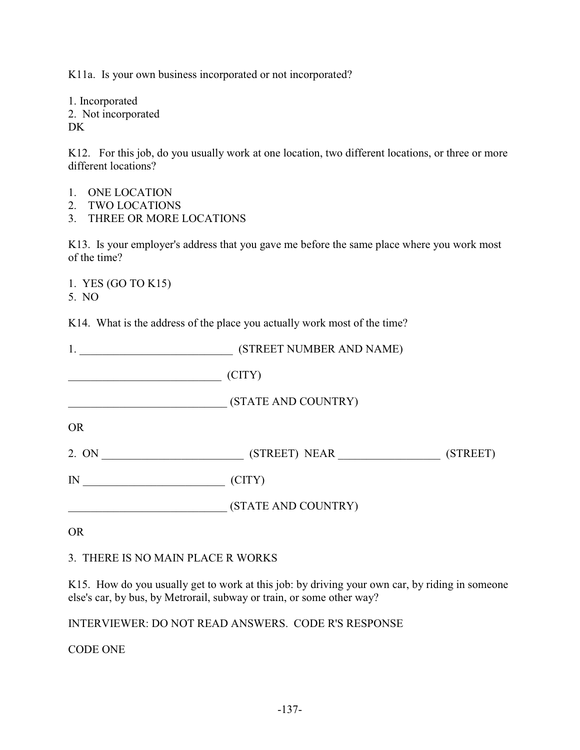K11a. Is your own business incorporated or not incorporated?

1. Incorporated 2. Not incorporated DK

K12. For this job, do you usually work at one location, two different locations, or three or more different locations?

- 1. ONE LOCATION
- 2. TWO LOCATIONS
- 3. THREE OR MORE LOCATIONS

K13. Is your employer's address that you gave me before the same place where you work most of the time?

1. YES (GO TO K15) 5. NO

K14. What is the address of the place you actually work most of the time?

|           | (STREET NUMBER AND NAME)     |
|-----------|------------------------------|
|           | (CITY)                       |
|           | (STATE AND COUNTRY)          |
| <b>OR</b> |                              |
| 2. ON     | (STREET)                     |
| IN        | $\left( \text{CITY} \right)$ |
|           | (STATE AND COUNTRY)          |

OR

#### 3. THERE IS NO MAIN PLACE R WORKS

K15. How do you usually get to work at this job: by driving your own car, by riding in someone else's car, by bus, by Metrorail, subway or train, or some other way?

INTERVIEWER: DO NOT READ ANSWERS. CODE R'S RESPONSE

CODE ONE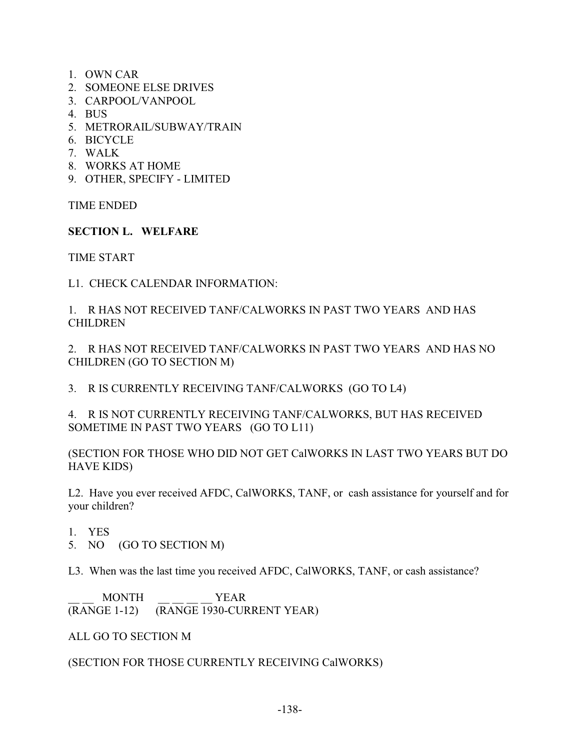- 1. OWN CAR
- 2. SOMEONE ELSE DRIVES
- 3. CARPOOL/VANPOOL
- 4. BUS
- 5. METRORAIL/SUBWAY/TRAIN
- 6. BICYCLE
- 7. WALK
- 8. WORKS AT HOME
- 9. OTHER, SPECIFY LIMITED

TIME ENDED

## **SECTION L. WELFARE**

TIME START

L1. CHECK CALENDAR INFORMATION:

1. R HAS NOT RECEIVED TANF/CALWORKS IN PAST TWO YEARS AND HAS CHILDREN

2. R HAS NOT RECEIVED TANF/CALWORKS IN PAST TWO YEARS AND HAS NO CHILDREN (GO TO SECTION M)

3. R IS CURRENTLY RECEIVING TANF/CALWORKS (GO TO L4)

4. R IS NOT CURRENTLY RECEIVING TANF/CALWORKS, BUT HAS RECEIVED SOMETIME IN PAST TWO YEARS (GO TO L11)

(SECTION FOR THOSE WHO DID NOT GET CalWORKS IN LAST TWO YEARS BUT DO HAVE KIDS)

L2. Have you ever received AFDC, CalWORKS, TANF, or cash assistance for yourself and for your children?

- 1. YES
- 5. NO (GO TO SECTION M)

L3. When was the last time you received AFDC, CalWORKS, TANF, or cash assistance?

\_\_ \_\_ MONTH \_\_ \_\_ \_\_ \_\_ YEAR (RANGE 1-12) (RANGE 1930-CURRENT YEAR)

ALL GO TO SECTION M

### (SECTION FOR THOSE CURRENTLY RECEIVING CalWORKS)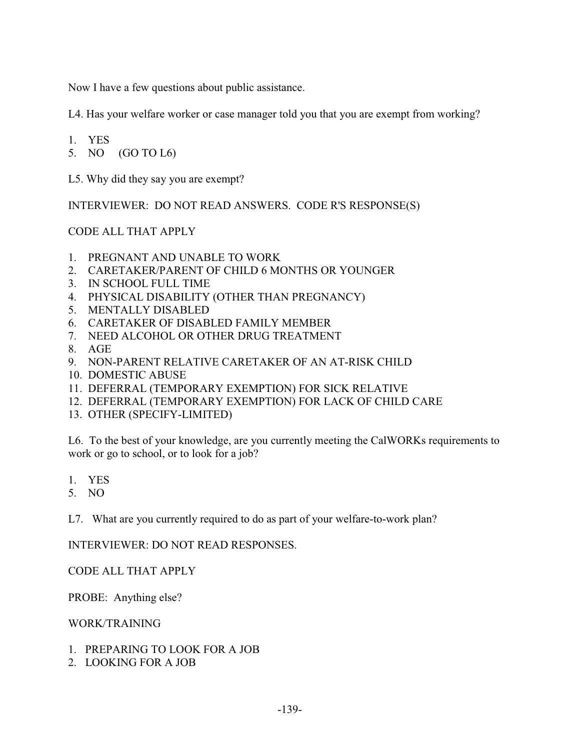Now I have a few questions about public assistance.

L4. Has your welfare worker or case manager told you that you are exempt from working?

1. YES

5. NO (GO TO L6)

L5. Why did they say you are exempt?

INTERVIEWER: DO NOT READ ANSWERS. CODE R'S RESPONSE(S)

### CODE ALL THAT APPLY

- 1. PREGNANT AND UNABLE TO WORK
- 2. CARETAKER/PARENT OF CHILD 6 MONTHS OR YOUNGER
- 3. IN SCHOOL FULL TIME
- 4. PHYSICAL DISABILITY (OTHER THAN PREGNANCY)
- 5. MENTALLY DISABLED
- 6. CARETAKER OF DISABLED FAMILY MEMBER
- 7. NEED ALCOHOL OR OTHER DRUG TREATMENT
- 8. AGE
- 9. NON-PARENT RELATIVE CARETAKER OF AN AT-RISK CHILD
- 10. DOMESTIC ABUSE
- 11. DEFERRAL (TEMPORARY EXEMPTION) FOR SICK RELATIVE
- 12. DEFERRAL (TEMPORARY EXEMPTION) FOR LACK OF CHILD CARE
- 13. OTHER (SPECIFY-LIMITED)

L6. To the best of your knowledge, are you currently meeting the CalWORKs requirements to work or go to school, or to look for a job?

- 1. YES
- 5. NO

L7. What are you currently required to do as part of your welfare-to-work plan?

INTERVIEWER: DO NOT READ RESPONSES.

CODE ALL THAT APPLY

PROBE: Anything else?

WORK/TRAINING

- 1. PREPARING TO LOOK FOR A JOB
- 2. LOOKING FOR A JOB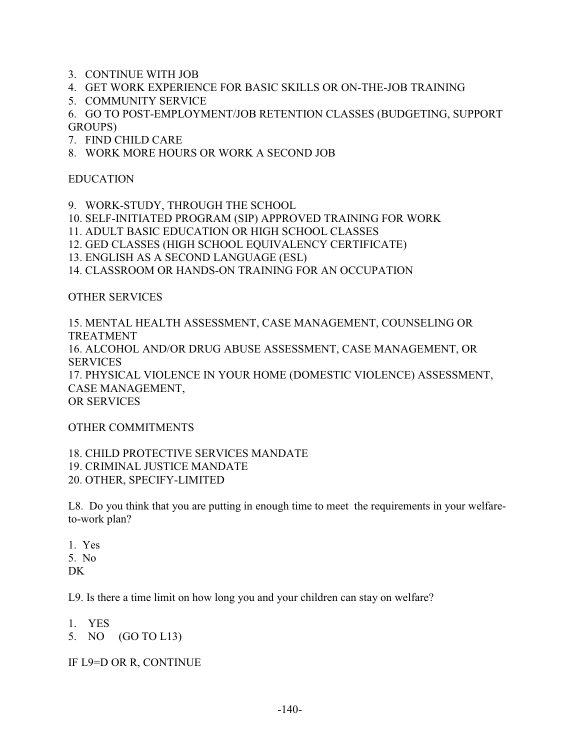- 3. CONTINUE WITH JOB
- 4. GET WORK EXPERIENCE FOR BASIC SKILLS OR ON-THE-JOB TRAINING
- 5. COMMUNITY SERVICE

6. GO TO POST-EMPLOYMENT/JOB RETENTION CLASSES (BUDGETING, SUPPORT GROUPS)

- 7. FIND CHILD CARE
- 8. WORK MORE HOURS OR WORK A SECOND JOB

#### EDUCATION

- 9. WORK-STUDY, THROUGH THE SCHOOL
- 10. SELF-INITIATED PROGRAM (SIP) APPROVED TRAINING FOR WORK
- 11. ADULT BASIC EDUCATION OR HIGH SCHOOL CLASSES
- 12. GED CLASSES (HIGH SCHOOL EQUIVALENCY CERTIFICATE)
- 13. ENGLISH AS A SECOND LANGUAGE (ESL)
- 14. CLASSROOM OR HANDS-ON TRAINING FOR AN OCCUPATION

### OTHER SERVICES

15. MENTAL HEALTH ASSESSMENT, CASE MANAGEMENT, COUNSELING OR TREATMENT 16. ALCOHOL AND/OR DRUG ABUSE ASSESSMENT, CASE MANAGEMENT, OR **SERVICES** 17. PHYSICAL VIOLENCE IN YOUR HOME (DOMESTIC VIOLENCE) ASSESSMENT, CASE MANAGEMENT, OR SERVICES

#### OTHER COMMITMENTS

18. CHILD PROTECTIVE SERVICES MANDATE 19. CRIMINAL JUSTICE MANDATE 20. OTHER, SPECIFY-LIMITED

L8. Do you think that you are putting in enough time to meet the requirements in your welfareto-work plan?

1. Yes 5. No DK

L9. Is there a time limit on how long you and your children can stay on welfare?

- 1. YES
- 5. NO (GO TO L13)

IF L9=D OR R, CONTINUE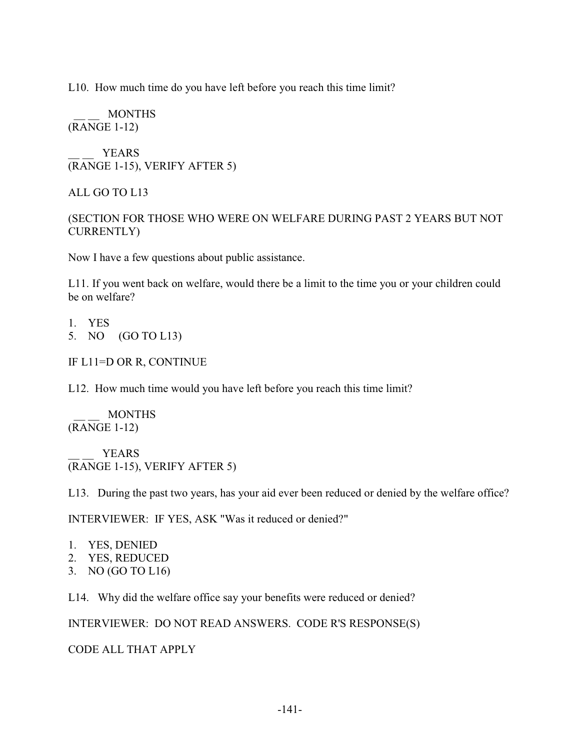L10. How much time do you have left before you reach this time limit?

 \_\_ \_\_ MONTHS (RANGE 1-12)

YEARS (RANGE 1-15), VERIFY AFTER 5)

ALL GO TO L13

### (SECTION FOR THOSE WHO WERE ON WELFARE DURING PAST 2 YEARS BUT NOT CURRENTLY)

Now I have a few questions about public assistance.

L11. If you went back on welfare, would there be a limit to the time you or your children could be on welfare?

1. YES

- 5. NO (GO TO L13)
- IF L11=D OR R, CONTINUE

L12. How much time would you have left before you reach this time limit?

 \_\_ \_\_ MONTHS (RANGE 1-12)

YEARS (RANGE 1-15), VERIFY AFTER 5)

L13. During the past two years, has your aid ever been reduced or denied by the welfare office?

INTERVIEWER: IF YES, ASK "Was it reduced or denied?"

- 1. YES, DENIED
- 2. YES, REDUCED
- 3. NO (GO TO L16)

L14. Why did the welfare office say your benefits were reduced or denied?

INTERVIEWER: DO NOT READ ANSWERS. CODE R'S RESPONSE(S)

CODE ALL THAT APPLY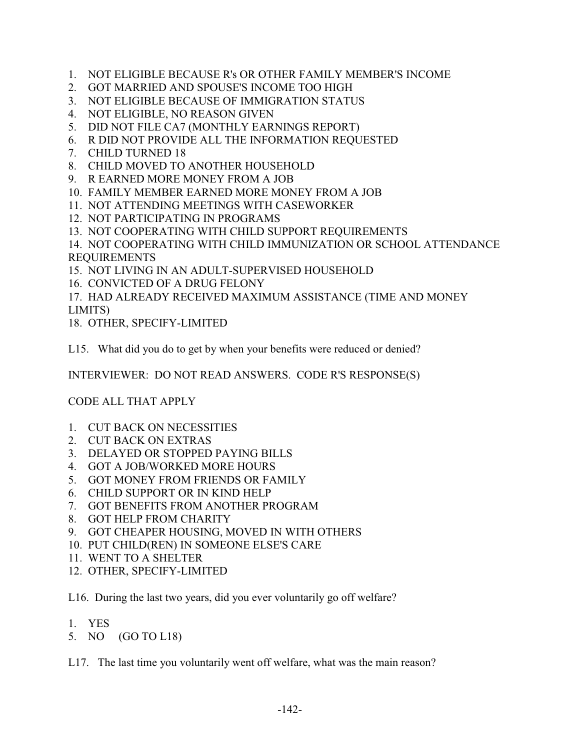- 1. NOT ELIGIBLE BECAUSE R's OR OTHER FAMILY MEMBER'S INCOME
- 2. GOT MARRIED AND SPOUSE'S INCOME TOO HIGH
- 3. NOT ELIGIBLE BECAUSE OF IMMIGRATION STATUS
- 4. NOT ELIGIBLE, NO REASON GIVEN
- 5. DID NOT FILE CA7 (MONTHLY EARNINGS REPORT)
- 6. R DID NOT PROVIDE ALL THE INFORMATION REQUESTED
- 7. CHILD TURNED 18
- 8. CHILD MOVED TO ANOTHER HOUSEHOLD
- 9. R EARNED MORE MONEY FROM A JOB
- 10. FAMILY MEMBER EARNED MORE MONEY FROM A JOB
- 11. NOT ATTENDING MEETINGS WITH CASEWORKER
- 12. NOT PARTICIPATING IN PROGRAMS
- 13. NOT COOPERATING WITH CHILD SUPPORT REQUIREMENTS
- 14. NOT COOPERATING WITH CHILD IMMUNIZATION OR SCHOOL ATTENDANCE REQUIREMENTS
- 15. NOT LIVING IN AN ADULT-SUPERVISED HOUSEHOLD
- 16. CONVICTED OF A DRUG FELONY
- 17. HAD ALREADY RECEIVED MAXIMUM ASSISTANCE (TIME AND MONEY LIMITS)
- 18. OTHER, SPECIFY-LIMITED
- L15. What did you do to get by when your benefits were reduced or denied?

INTERVIEWER: DO NOT READ ANSWERS. CODE R'S RESPONSE(S)

# CODE ALL THAT APPLY

- 1. CUT BACK ON NECESSITIES
- 2. CUT BACK ON EXTRAS
- 3. DELAYED OR STOPPED PAYING BILLS
- 4. GOT A JOB/WORKED MORE HOURS
- 5. GOT MONEY FROM FRIENDS OR FAMILY
- 6. CHILD SUPPORT OR IN KIND HELP
- 7. GOT BENEFITS FROM ANOTHER PROGRAM
- 8. GOT HELP FROM CHARITY
- 9. GOT CHEAPER HOUSING, MOVED IN WITH OTHERS
- 10. PUT CHILD(REN) IN SOMEONE ELSE'S CARE
- 11. WENT TO A SHELTER
- 12. OTHER, SPECIFY-LIMITED
- L16. During the last two years, did you ever voluntarily go off welfare?
- 1. YES
- 5. NO (GO TO L18)
- L17. The last time you voluntarily went off welfare, what was the main reason?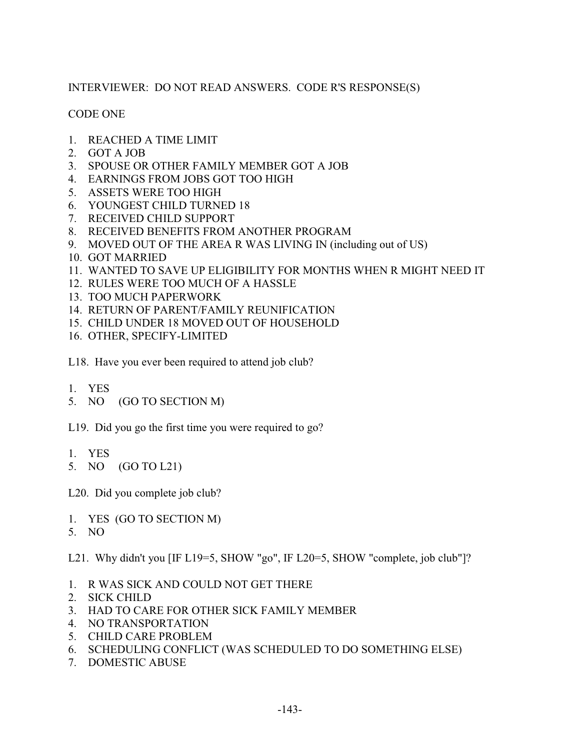# INTERVIEWER: DO NOT READ ANSWERS. CODE R'S RESPONSE(S)

## CODE ONE

- 1. REACHED A TIME LIMIT
- 2. GOT A JOB
- 3. SPOUSE OR OTHER FAMILY MEMBER GOT A JOB
- 4. EARNINGS FROM JOBS GOT TOO HIGH
- 5. ASSETS WERE TOO HIGH
- 6. YOUNGEST CHILD TURNED 18
- 7. RECEIVED CHILD SUPPORT
- 8. RECEIVED BENEFITS FROM ANOTHER PROGRAM
- 9. MOVED OUT OF THE AREA R WAS LIVING IN (including out of US)
- 10. GOT MARRIED
- 11. WANTED TO SAVE UP ELIGIBILITY FOR MONTHS WHEN R MIGHT NEED IT
- 12. RULES WERE TOO MUCH OF A HASSLE
- 13. TOO MUCH PAPERWORK
- 14. RETURN OF PARENT/FAMILY REUNIFICATION
- 15. CHILD UNDER 18 MOVED OUT OF HOUSEHOLD
- 16. OTHER, SPECIFY-LIMITED
- L18. Have you ever been required to attend job club?
- 1. YES
- 5. NO (GO TO SECTION M)
- L19. Did you go the first time you were required to go?
- 1. YES
- 5. NO (GO TO L21)

L20. Did you complete job club?

- 1. YES (GO TO SECTION M)
- 5. NO

L21. Why didn't you [IF L19=5, SHOW "go", IF L20=5, SHOW "complete, job club"]?

- 1. R WAS SICK AND COULD NOT GET THERE
- 2. SICK CHILD
- 3. HAD TO CARE FOR OTHER SICK FAMILY MEMBER
- 4. NO TRANSPORTATION
- 5. CHILD CARE PROBLEM
- 6. SCHEDULING CONFLICT (WAS SCHEDULED TO DO SOMETHING ELSE)
- 7. DOMESTIC ABUSE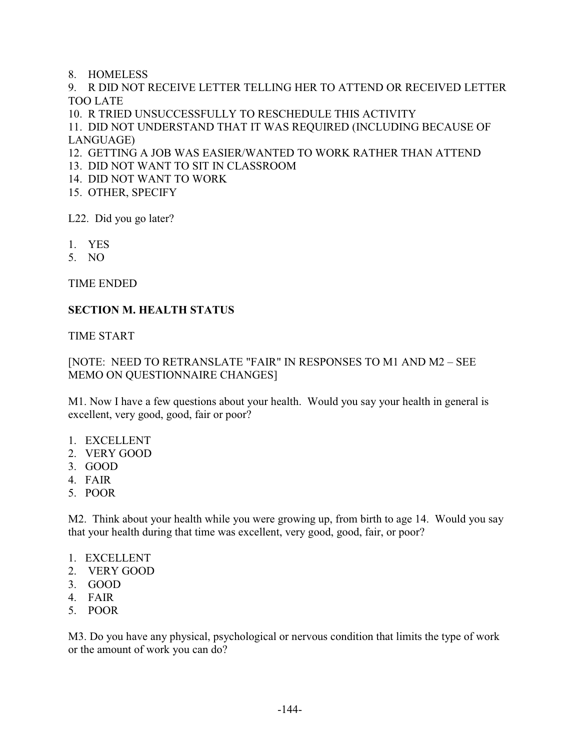8. HOMELESS

9. R DID NOT RECEIVE LETTER TELLING HER TO ATTEND OR RECEIVED LETTER TOO LATE

10. R TRIED UNSUCCESSFULLY TO RESCHEDULE THIS ACTIVITY

11. DID NOT UNDERSTAND THAT IT WAS REQUIRED (INCLUDING BECAUSE OF LANGUAGE)

- 12. GETTING A JOB WAS EASIER/WANTED TO WORK RATHER THAN ATTEND
- 13. DID NOT WANT TO SIT IN CLASSROOM
- 14. DID NOT WANT TO WORK
- 15. OTHER, SPECIFY

L22. Did you go later?

- 1. YES
- 5. NO

TIME ENDED

### **SECTION M. HEALTH STATUS**

TIME START

## [NOTE: NEED TO RETRANSLATE "FAIR" IN RESPONSES TO M1 AND M2 – SEE MEMO ON QUESTIONNAIRE CHANGES]

M1. Now I have a few questions about your health. Would you say your health in general is excellent, very good, good, fair or poor?

- 1. EXCELLENT
- 2. VERY GOOD
- 3. GOOD
- 4. FAIR
- 5. POOR

M2. Think about your health while you were growing up, from birth to age 14. Would you say that your health during that time was excellent, very good, good, fair, or poor?

- 1. EXCELLENT
- 2. VERY GOOD
- 3. GOOD
- 4. FAIR
- 5. POOR

M3. Do you have any physical, psychological or nervous condition that limits the type of work or the amount of work you can do?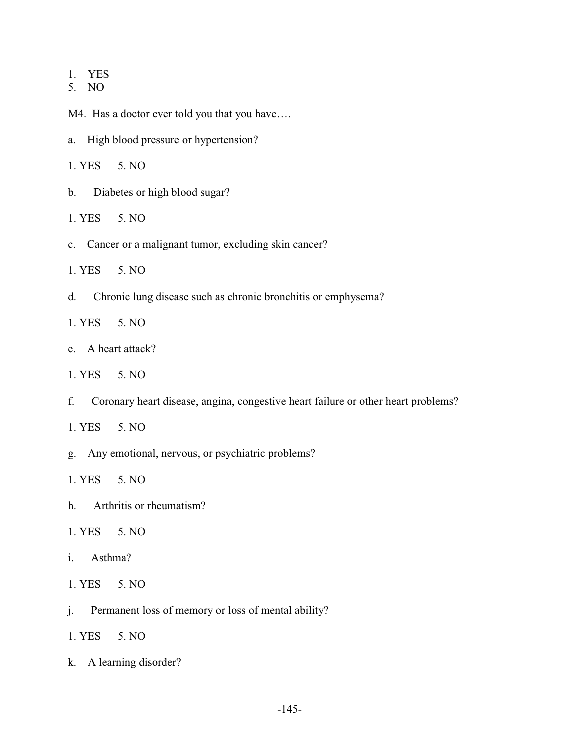- 1. YES
- 5. NO

M4. Has a doctor ever told you that you have….

- a. High blood pressure or hypertension?
- 1. YES 5. NO
- b. Diabetes or high blood sugar?
- 1. YES 5. NO
- c. Cancer or a malignant tumor, excluding skin cancer?
- 1. YES 5. NO
- d. Chronic lung disease such as chronic bronchitis or emphysema?
- 1. YES 5. NO
- e. A heart attack?
- 1. YES 5. NO
- f. Coronary heart disease, angina, congestive heart failure or other heart problems?
- 1. YES 5. NO
- g. Any emotional, nervous, or psychiatric problems?
- 1. YES 5. NO
- h. Arthritis or rheumatism?
- 1. YES 5. NO
- i. Asthma?
- 1. YES 5. NO
- j. Permanent loss of memory or loss of mental ability?
- 1. YES 5. NO
- k. A learning disorder?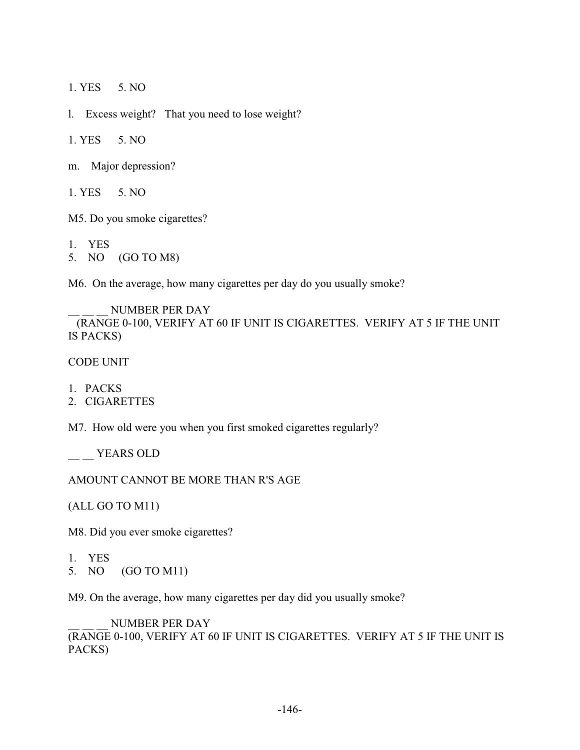1. YES 5. NO

l. Excess weight? That you need to lose weight?

1. YES 5. NO

m. Major depression?

1. YES 5. NO

M5. Do you smoke cigarettes?

1. YES

5. NO (GO TO M8)

M6. On the average, how many cigarettes per day do you usually smoke?

NUMBER PER DAY (RANGE 0-100, VERIFY AT 60 IF UNIT IS CIGARETTES. VERIFY AT 5 IF THE UNIT IS PACKS)

CODE UNIT

1. PACKS

2. CIGARETTES

M7. How old were you when you first smoked cigarettes regularly?

\_\_ YEARS OLD

AMOUNT CANNOT BE MORE THAN R'S AGE

(ALL GO TO M11)

M8. Did you ever smoke cigarettes?

- 1. YES
- 5. NO (GO TO M11)

M9. On the average, how many cigarettes per day did you usually smoke?

NUMBER PER DAY

(RANGE 0-100, VERIFY AT 60 IF UNIT IS CIGARETTES. VERIFY AT 5 IF THE UNIT IS PACKS)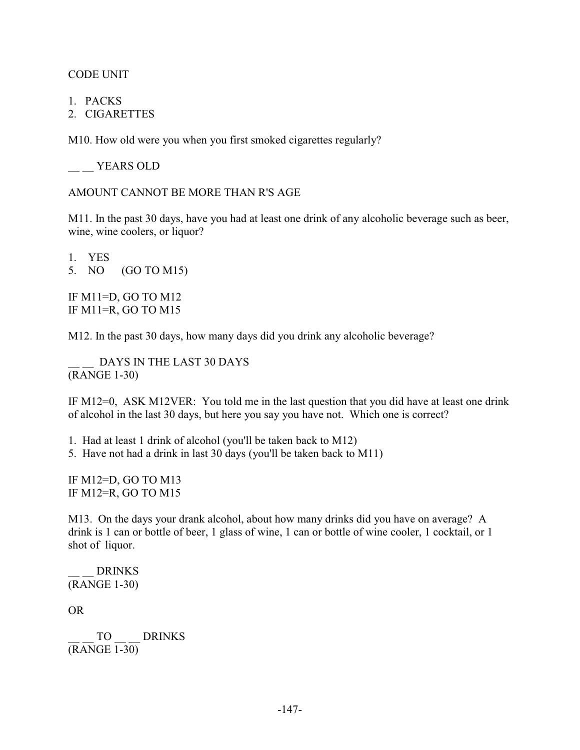CODE UNIT

- 1. PACKS
- 2. CIGARETTES

M10. How old were you when you first smoked cigarettes regularly?

YEARS OLD

AMOUNT CANNOT BE MORE THAN R'S AGE

M11. In the past 30 days, have you had at least one drink of any alcoholic beverage such as beer, wine, wine coolers, or liquor?

1. YES 5. NO (GO TO M15)

IF M11=D, GO TO M12 IF M11=R, GO TO M15

M12. In the past 30 days, how many days did you drink any alcoholic beverage?

DAYS IN THE LAST 30 DAYS (RANGE 1-30)

IF M12=0, ASK M12VER: You told me in the last question that you did have at least one drink of alcohol in the last 30 days, but here you say you have not. Which one is correct?

1. Had at least 1 drink of alcohol (you'll be taken back to M12)

5. Have not had a drink in last 30 days (you'll be taken back to M11)

IF M12=D, GO TO M13 IF M12=R, GO TO M15

M13. On the days your drank alcohol, about how many drinks did you have on average? A drink is 1 can or bottle of beer, 1 glass of wine, 1 can or bottle of wine cooler, 1 cocktail, or 1 shot of liquor.

\_\_ \_\_ DRINKS (RANGE 1-30)

OR

TO DRINKS (RANGE 1-30)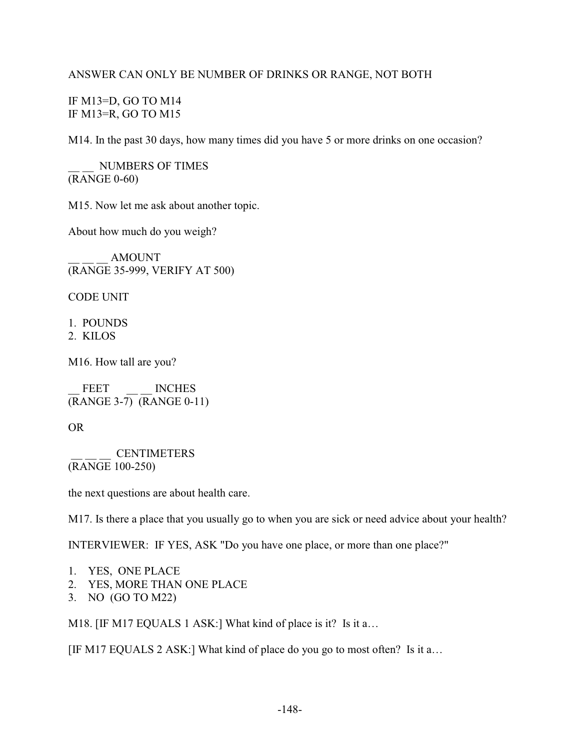#### ANSWER CAN ONLY BE NUMBER OF DRINKS OR RANGE, NOT BOTH

IF M13=D, GO TO M14 IF M13=R, GO TO M15

M14. In the past 30 days, how many times did you have 5 or more drinks on one occasion?

\_\_ \_\_ NUMBERS OF TIMES (RANGE 0-60)

M15. Now let me ask about another topic.

About how much do you weigh?

\_\_ \_\_ \_\_ AMOUNT (RANGE 35-999, VERIFY AT 500)

CODE UNIT

- 1. POUNDS
- 2. KILOS

M16. How tall are you?

FEET MCHES (RANGE 3-7) (RANGE 0-11)

OR

 \_\_ \_\_ \_\_ CENTIMETERS (RANGE 100-250)

the next questions are about health care.

M17. Is there a place that you usually go to when you are sick or need advice about your health?

INTERVIEWER: IF YES, ASK "Do you have one place, or more than one place?"

- 1. YES, ONE PLACE
- 2. YES, MORE THAN ONE PLACE
- 3. NO (GO TO M22)

M18. [IF M17 EQUALS 1 ASK:] What kind of place is it? Is it a...

[IF M17 EQUALS 2 ASK:] What kind of place do you go to most often? Is it a…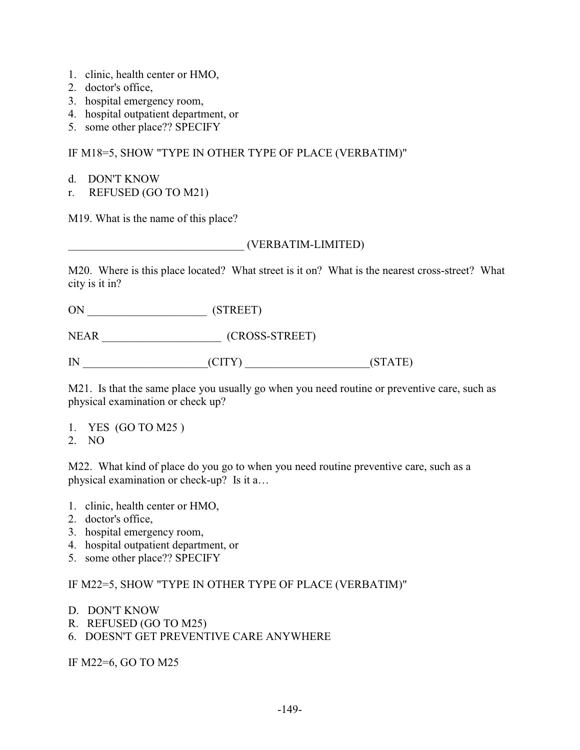- 1. clinic, health center or HMO,
- 2. doctor's office,
- 3. hospital emergency room,
- 4. hospital outpatient department, or
- 5. some other place?? SPECIFY

### IF M18=5, SHOW "TYPE IN OTHER TYPE OF PLACE (VERBATIM)"

- d. DON'T KNOW
- r. REFUSED (GO TO M21)

M19. What is the name of this place?

### \_\_\_\_\_\_\_\_\_\_\_\_\_\_\_\_\_\_\_\_\_\_\_\_\_\_\_\_\_\_\_ (VERBATIM-LIMITED)

M20. Where is this place located? What street is it on? What is the nearest cross-street? What city is it in?

ON \_\_\_\_\_\_\_\_\_\_\_\_\_\_\_\_\_\_\_\_\_ (STREET)

NEAR \_\_\_\_\_\_\_\_\_\_\_\_\_\_\_\_\_\_\_\_\_ (CROSS-STREET)

IN  $\qquad \qquad \text{(STATE)}$ 

M21. Is that the same place you usually go when you need routine or preventive care, such as physical examination or check up?

1. YES (GO TO M25 )

2. NO

M22. What kind of place do you go to when you need routine preventive care, such as a physical examination or check-up? Is it a…

- 1. clinic, health center or HMO,
- 2. doctor's office,
- 3. hospital emergency room,
- 4. hospital outpatient department, or
- 5. some other place?? SPECIFY

IF M22=5, SHOW "TYPE IN OTHER TYPE OF PLACE (VERBATIM)"

- D. DON'T KNOW
- R. REFUSED (GO TO M25)
- 6. DOESN'T GET PREVENTIVE CARE ANYWHERE

IF M22=6, GO TO M25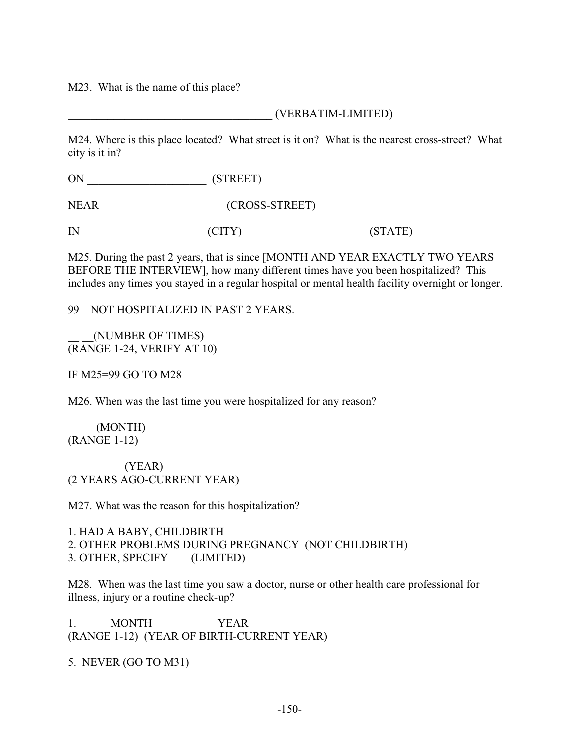M23. What is the name of this place?

## \_\_\_\_\_\_\_\_\_\_\_\_\_\_\_\_\_\_\_\_\_\_\_\_\_\_\_\_\_\_\_\_\_\_\_\_ (VERBATIM-LIMITED)

M24. Where is this place located? What street is it on? What is the nearest cross-street? What city is it in?

ON \_\_\_\_\_\_\_\_\_\_\_\_\_\_\_\_\_\_\_\_\_ (STREET)

NEAR (CROSS-STREET)

IN \_\_\_\_\_\_\_\_\_\_\_\_\_\_\_\_\_\_\_\_\_\_(CITY) \_\_\_\_\_\_\_\_\_\_\_\_\_\_\_\_\_\_\_\_\_\_(STATE)

M25. During the past 2 years, that is since [MONTH AND YEAR EXACTLY TWO YEARS BEFORE THE INTERVIEW], how many different times have you been hospitalized? This includes any times you stayed in a regular hospital or mental health facility overnight or longer.

99 NOT HOSPITALIZED IN PAST 2 YEARS.

\_\_ \_\_(NUMBER OF TIMES) (RANGE 1-24, VERIFY AT 10)

IF M25=99 GO TO M28

M26. When was the last time you were hospitalized for any reason?

\_\_ \_\_ (MONTH) (RANGE 1-12)

 $_{-}$  (YEAR) (2 YEARS AGO-CURRENT YEAR)

M27. What was the reason for this hospitalization?

1. HAD A BABY, CHILDBIRTH 2. OTHER PROBLEMS DURING PREGNANCY (NOT CHILDBIRTH) 3. OTHER, SPECIFY (LIMITED)

M28. When was the last time you saw a doctor, nurse or other health care professional for illness, injury or a routine check-up?

1. MONTH YEAR (RANGE 1-12) (YEAR OF BIRTH-CURRENT YEAR)

5. NEVER (GO TO M31)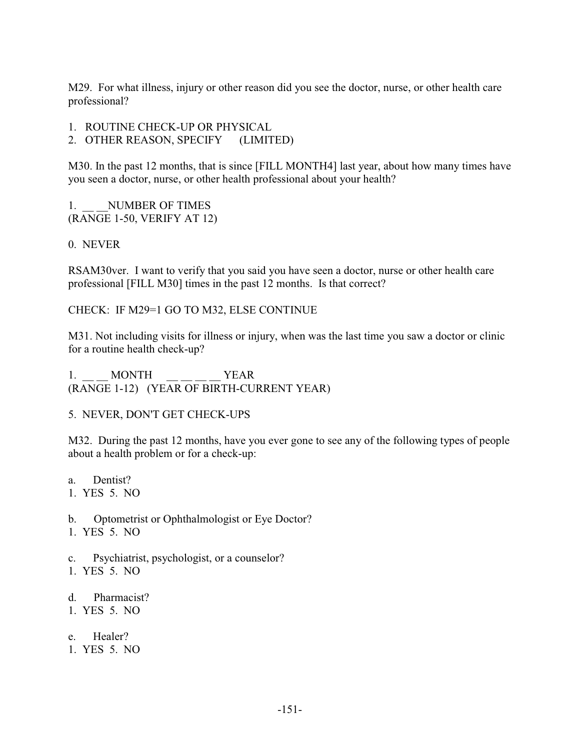M29. For what illness, injury or other reason did you see the doctor, nurse, or other health care professional?

- 1. ROUTINE CHECK-UP OR PHYSICAL
- 2. OTHER REASON, SPECIFY (LIMITED)

M30. In the past 12 months, that is since [FILL MONTH4] last year, about how many times have you seen a doctor, nurse, or other health professional about your health?

1. NUMBER OF TIMES (RANGE 1-50, VERIFY AT 12)

### 0. NEVER

RSAM30ver. I want to verify that you said you have seen a doctor, nurse or other health care professional [FILL M30] times in the past 12 months. Is that correct?

CHECK: IF M29=1 GO TO M32, ELSE CONTINUE

M31. Not including visits for illness or injury, when was the last time you saw a doctor or clinic for a routine health check-up?

1. MONTH YEAR (RANGE 1-12) (YEAR OF BIRTH-CURRENT YEAR)

5. NEVER, DON'T GET CHECK-UPS

M32. During the past 12 months, have you ever gone to see any of the following types of people about a health problem or for a check-up:

- a. Dentist?
- 1. YES 5. NO
- b. Optometrist or Ophthalmologist or Eye Doctor?
- 1. YES 5. NO
- c. Psychiatrist, psychologist, or a counselor?
- 1. YES 5. NO
- d. Pharmacist?
- 1. YES 5. NO
- e. Healer?
- 1. YES 5. NO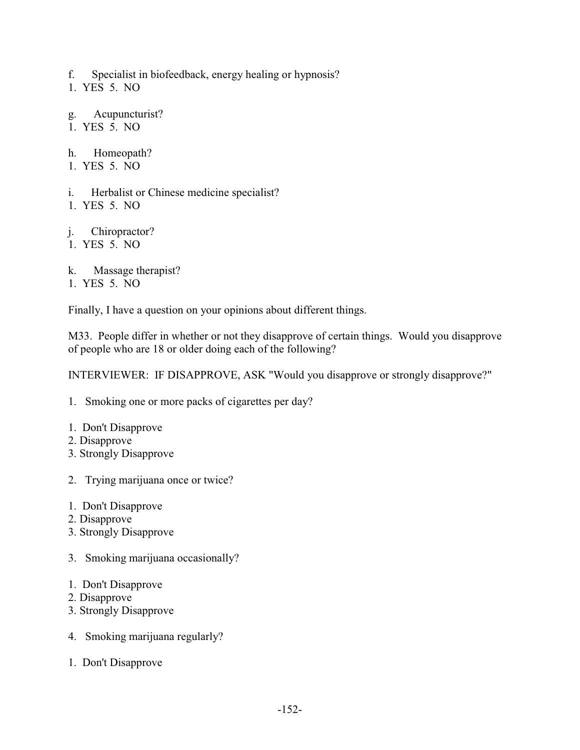f. Specialist in biofeedback, energy healing or hypnosis?

1. YES 5. NO

g. Acupuncturist? 1. YES 5. NO

h. Homeopath?

- 1. YES 5. NO
- i. Herbalist or Chinese medicine specialist?
- 1. YES 5. NO

j. Chiropractor?

1. YES 5. NO

k. Massage therapist?

1. YES 5. NO

Finally, I have a question on your opinions about different things.

M33. People differ in whether or not they disapprove of certain things. Would you disapprove of people who are 18 or older doing each of the following?

INTERVIEWER: IF DISAPPROVE, ASK "Would you disapprove or strongly disapprove?"

1. Smoking one or more packs of cigarettes per day?

- 1. Don't Disapprove
- 2. Disapprove
- 3. Strongly Disapprove
- 2. Trying marijuana once or twice?
- 1. Don't Disapprove
- 2. Disapprove
- 3. Strongly Disapprove
- 3. Smoking marijuana occasionally?
- 1. Don't Disapprove
- 2. Disapprove
- 3. Strongly Disapprove
- 4. Smoking marijuana regularly?
- 1. Don't Disapprove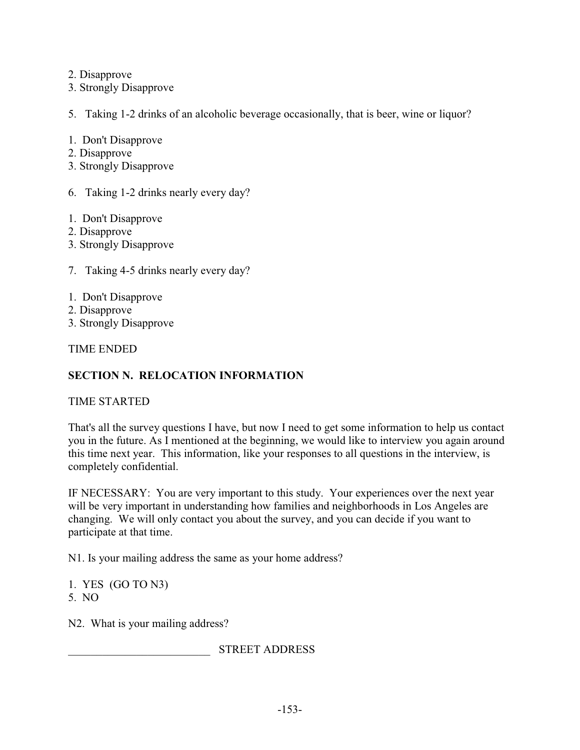2. Disapprove

3. Strongly Disapprove

5. Taking 1-2 drinks of an alcoholic beverage occasionally, that is beer, wine or liquor?

1. Don't Disapprove

- 2. Disapprove
- 3. Strongly Disapprove
- 6. Taking 1-2 drinks nearly every day?
- 1. Don't Disapprove
- 2. Disapprove
- 3. Strongly Disapprove
- 7. Taking 4-5 drinks nearly every day?
- 1. Don't Disapprove
- 2. Disapprove
- 3. Strongly Disapprove

TIME ENDED

# **SECTION N. RELOCATION INFORMATION**

TIME STARTED

That's all the survey questions I have, but now I need to get some information to help us contact you in the future. As I mentioned at the beginning, we would like to interview you again around this time next year. This information, like your responses to all questions in the interview, is completely confidential.

IF NECESSARY: You are very important to this study. Your experiences over the next year will be very important in understanding how families and neighborhoods in Los Angeles are changing. We will only contact you about the survey, and you can decide if you want to participate at that time.

N1. Is your mailing address the same as your home address?

1. YES (GO TO N3) 5. NO

N2. What is your mailing address?

\_\_\_\_\_\_\_\_\_\_\_\_\_\_\_\_\_\_\_\_\_\_\_\_\_ STREET ADDRESS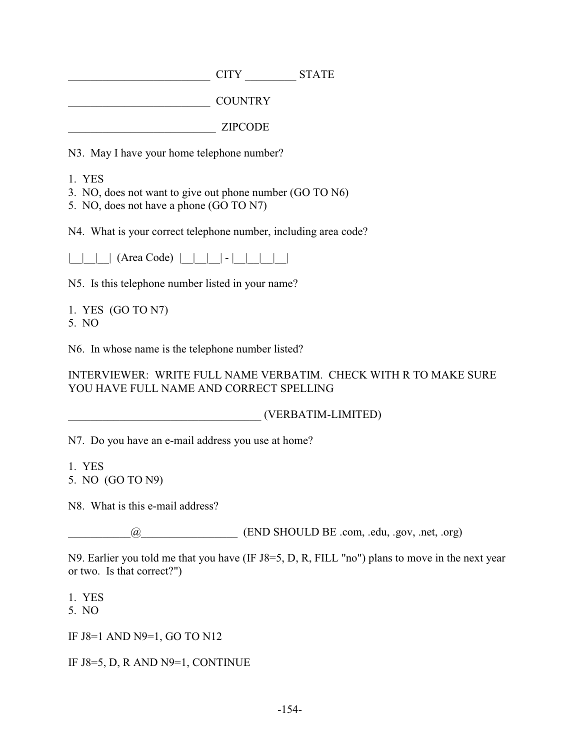$CITY$  STATE

\_\_\_\_\_\_\_\_\_\_\_\_\_\_\_\_\_\_\_\_\_\_\_\_\_ COUNTRY

\_\_\_\_\_\_\_\_\_\_\_\_\_\_\_\_\_\_\_\_\_\_\_\_\_\_ ZIPCODE

N3. May I have your home telephone number?

- 1. YES
- 3. NO, does not want to give out phone number (GO TO N6)
- 5. NO, does not have a phone (GO TO N7)

N4. What is your correct telephone number, including area code?

 $| \ | \ | \ | \$  (Area Code)  $| \ | \ | \ | \ | \ | \ | \ | \$ 

N5. Is this telephone number listed in your name?

1. YES (GO TO N7) 5. NO

N6. In whose name is the telephone number listed?

INTERVIEWER: WRITE FULL NAME VERBATIM. CHECK WITH R TO MAKE SURE YOU HAVE FULL NAME AND CORRECT SPELLING

\_\_\_\_\_\_\_\_\_\_\_\_\_\_\_\_\_\_\_\_\_\_\_\_\_\_\_\_\_\_\_\_\_\_ (VERBATIM-LIMITED)

N7. Do you have an e-mail address you use at home?

1. YES 5. NO (GO TO N9)

N8. What is this e-mail address?

\_\_\_\_\_\_\_\_\_\_\_@\_\_\_\_\_\_\_\_\_\_\_\_\_\_\_\_\_ (END SHOULD BE .com, .edu, .gov, .net, .org)

N9. Earlier you told me that you have (IF J8=5, D, R, FILL "no") plans to move in the next year or two. Is that correct?")

1. YES

5. NO

IF J8=1 AND N9=1, GO TO N12

IF J8=5, D, R AND N9=1, CONTINUE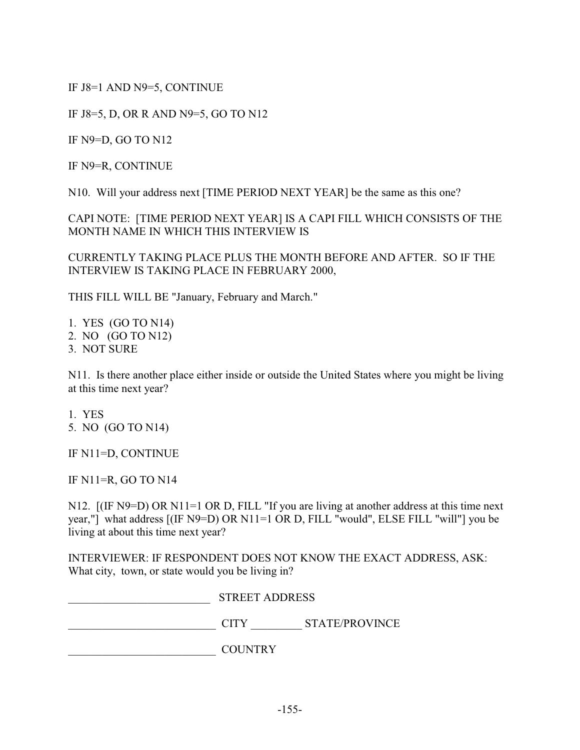IF J8=1 AND N9=5, CONTINUE

IF J8=5, D, OR R AND N9=5, GO TO N12

IF N9=D, GO TO N12

IF N9=R, CONTINUE

N10. Will your address next [TIME PERIOD NEXT YEAR] be the same as this one?

CAPI NOTE: [TIME PERIOD NEXT YEAR] IS A CAPI FILL WHICH CONSISTS OF THE MONTH NAME IN WHICH THIS INTERVIEW IS

CURRENTLY TAKING PLACE PLUS THE MONTH BEFORE AND AFTER. SO IF THE INTERVIEW IS TAKING PLACE IN FEBRUARY 2000,

THIS FILL WILL BE "January, February and March."

- 1. YES (GO TO N14)
- 2. NO (GO TO N12)
- 3. NOT SURE

N11. Is there another place either inside or outside the United States where you might be living at this time next year?

1. YES 5. NO (GO TO N14)

IF N11=D, CONTINUE

IF N11=R, GO TO N14

N12. [(IF N9=D) OR N11=1 OR D, FILL "If you are living at another address at this time next year,"] what address [(IF N9=D) OR N11=1 OR D, FILL "would", ELSE FILL "will"] you be living at about this time next year?

INTERVIEWER: IF RESPONDENT DOES NOT KNOW THE EXACT ADDRESS, ASK: What city, town, or state would you be living in?

| <b>STREET ADDRESS</b> |                       |  |
|-----------------------|-----------------------|--|
| T T Y                 | <b>STATE/PROVINCE</b> |  |

\_\_\_\_\_\_\_\_\_\_\_\_\_\_\_\_\_\_\_\_\_\_\_\_\_\_ COUNTRY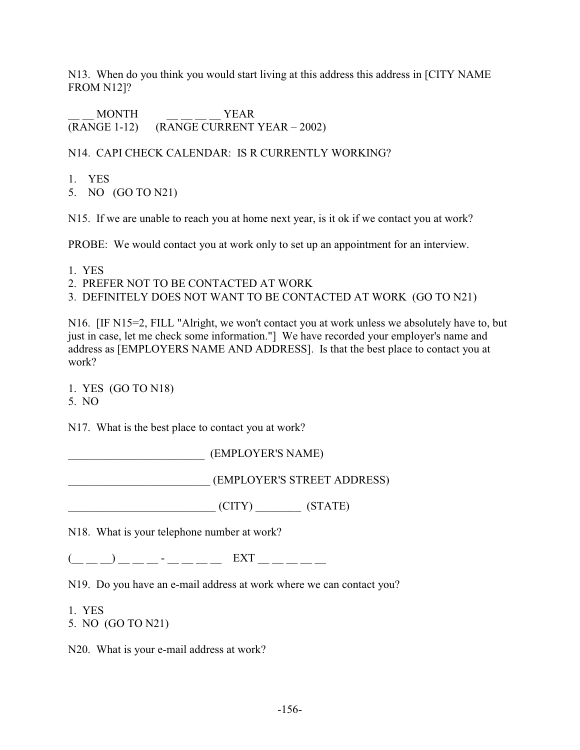N13. When do you think you would start living at this address this address in [CITY NAME FROM N12]?

MONTH YEAR (RANGE 1-12) (RANGE CURRENT YEAR – 2002)

## N14. CAPI CHECK CALENDAR: IS R CURRENTLY WORKING?

- 1. YES
- 5. NO (GO TO N21)

N15. If we are unable to reach you at home next year, is it ok if we contact you at work?

PROBE: We would contact you at work only to set up an appointment for an interview.

- 1. YES
- 2. PREFER NOT TO BE CONTACTED AT WORK
- 3. DEFINITELY DOES NOT WANT TO BE CONTACTED AT WORK (GO TO N21)

N16. [IF N15=2, FILL "Alright, we won't contact you at work unless we absolutely have to, but just in case, let me check some information."] We have recorded your employer's name and address as [EMPLOYERS NAME AND ADDRESS]. Is that the best place to contact you at work?

1. YES (GO TO N18) 5. NO

N17. What is the best place to contact you at work?

\_\_\_\_\_\_\_\_\_\_\_\_\_\_\_\_\_\_\_\_\_\_\_\_ (EMPLOYER'S NAME)

\_\_\_\_\_\_\_\_\_\_\_\_\_\_\_\_\_\_\_\_\_\_\_\_\_ (EMPLOYER'S STREET ADDRESS)

\_\_\_\_\_\_\_\_\_\_\_\_\_\_\_\_\_\_\_\_\_\_\_\_\_\_ (CITY) \_\_\_\_\_\_\_\_ (STATE)

N18. What is your telephone number at work?

 $(\_\_ \_) \_\_ \_ \cdot \_$ 

N19. Do you have an e-mail address at work where we can contact you?

1. YES

5. NO (GO TO N21)

N20. What is your e-mail address at work?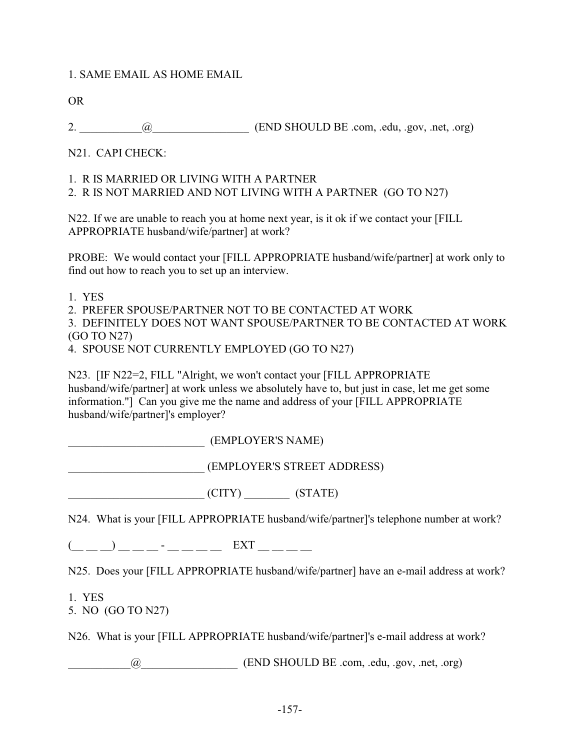### 1. SAME EMAIL AS HOME EMAIL

OR

2.  $\qquad \qquad \text{(END SHOULD BE.com,.edu,.gov, net,.org)}$ 

N21. CAPI CHECK:

#### 1. R IS MARRIED OR LIVING WITH A PARTNER

2. R IS NOT MARRIED AND NOT LIVING WITH A PARTNER (GO TO N27)

N22. If we are unable to reach you at home next year, is it ok if we contact your [FILL APPROPRIATE husband/wife/partner] at work?

PROBE: We would contact your [FILL APPROPRIATE husband/wife/partner] at work only to find out how to reach you to set up an interview.

1. YES

2. PREFER SPOUSE/PARTNER NOT TO BE CONTACTED AT WORK

3. DEFINITELY DOES NOT WANT SPOUSE/PARTNER TO BE CONTACTED AT WORK (GO TO N27)

4. SPOUSE NOT CURRENTLY EMPLOYED (GO TO N27)

N23. [IF N22=2, FILL "Alright, we won't contact your [FILL APPROPRIATE husband/wife/partner] at work unless we absolutely have to, but just in case, let me get some information."] Can you give me the name and address of your [FILL APPROPRIATE husband/wife/partner]'s employer?

\_\_\_\_\_\_\_\_\_\_\_\_\_\_\_\_\_\_\_\_\_\_\_\_ (EMPLOYER'S NAME)

\_\_\_\_\_\_\_\_\_\_\_\_\_\_\_\_\_\_\_\_\_\_\_\_ (EMPLOYER'S STREET ADDRESS)

 $\begin{array}{ccc} \hline \text{ (CITY)} & \text{ (STATE)} \end{array}$ 

N24. What is your [FILL APPROPRIATE husband/wife/partner]'s telephone number at work?

 $(\_\_ \_) \_\_ \_ \_ \_ \$ 

N25. Does your [FILL APPROPRIATE husband/wife/partner] have an e-mail address at work?

1. YES

5. NO (GO TO N27)

N26. What is your [FILL APPROPRIATE husband/wife/partner]'s e-mail address at work?

 $\omega$  (END SHOULD BE .com, .edu, .gov, .net, .org)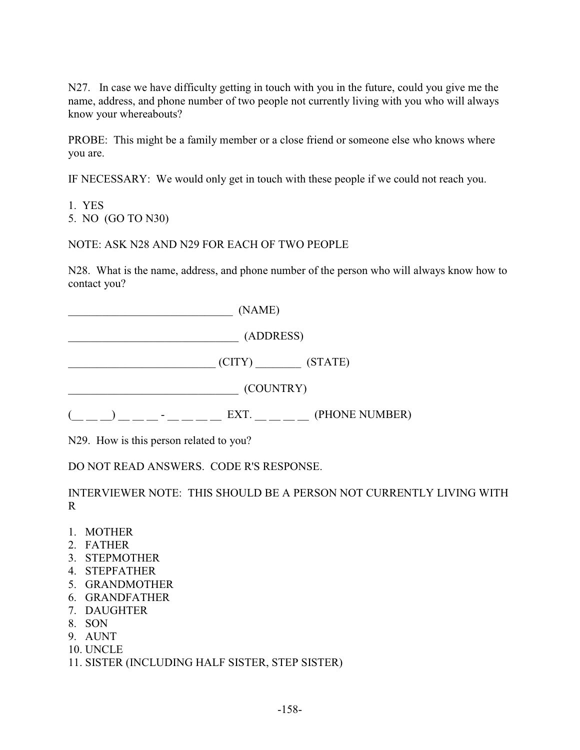N27. In case we have difficulty getting in touch with you in the future, could you give me the name, address, and phone number of two people not currently living with you who will always know your whereabouts?

PROBE: This might be a family member or a close friend or someone else who knows where you are.

IF NECESSARY: We would only get in touch with these people if we could not reach you.

1. YES

5. NO (GO TO N30)

NOTE: ASK N28 AND N29 FOR EACH OF TWO PEOPLE

N28. What is the name, address, and phone number of the person who will always know how to contact you?

 $(NAME)$ \_\_\_\_\_\_\_\_\_\_\_\_\_\_\_\_\_\_\_\_\_\_\_\_\_\_\_\_\_\_ (ADDRESS) \_\_\_\_\_\_\_\_\_\_\_\_\_\_\_\_\_\_\_\_\_\_\_\_\_\_ (CITY) \_\_\_\_\_\_\_\_ (STATE) \_\_\_\_\_\_\_\_\_\_\_\_\_\_\_\_\_\_\_\_\_\_\_\_\_\_\_\_\_\_ (COUNTRY)  $(\_ \_ \_ \_ \_ \_ \_ \$  =  $\_$   $\_$  =  $\_$  =  $\_$  =  $\_$  EXT.  $\_$   $\_$   $\_$  (PHONE NUMBER)

N29. How is this person related to you?

DO NOT READ ANSWERS. CODE R'S RESPONSE.

INTERVIEWER NOTE: THIS SHOULD BE A PERSON NOT CURRENTLY LIVING WITH R

- 1. MOTHER
- 2. FATHER
- 3. STEPMOTHER
- 4. STEPFATHER
- 5. GRANDMOTHER
- 6. GRANDFATHER
- 7. DAUGHTER
- 8. SON
- 9. AUNT
- 10. UNCLE
- 11. SISTER (INCLUDING HALF SISTER, STEP SISTER)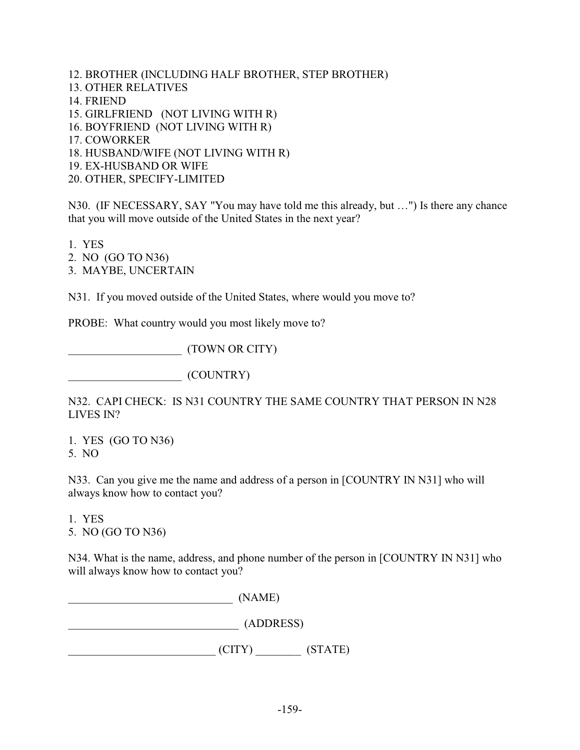- 12. BROTHER (INCLUDING HALF BROTHER, STEP BROTHER)
- 13. OTHER RELATIVES
- 14. FRIEND
- 15. GIRLFRIEND (NOT LIVING WITH R)
- 16. BOYFRIEND (NOT LIVING WITH R)
- 17. COWORKER
- 18. HUSBAND/WIFE (NOT LIVING WITH R)
- 19. EX-HUSBAND OR WIFE
- 20. OTHER, SPECIFY-LIMITED

N30. (IF NECESSARY, SAY "You may have told me this already, but …") Is there any chance that you will move outside of the United States in the next year?

1. YES

- 2. NO (GO TO N36)
- 3. MAYBE, UNCERTAIN

N31. If you moved outside of the United States, where would you move to?

PROBE: What country would you most likely move to?

\_\_\_\_\_\_\_\_\_\_\_\_\_\_\_\_\_\_\_\_ (TOWN OR CITY)

\_\_\_\_\_\_\_\_\_\_\_\_\_\_\_\_\_\_\_\_ (COUNTRY)

N32. CAPI CHECK: IS N31 COUNTRY THE SAME COUNTRY THAT PERSON IN N28 LIVES IN?

1. YES (GO TO N36) 5. NO

N33. Can you give me the name and address of a person in [COUNTRY IN N31] who will always know how to contact you?

1. YES 5. NO (GO TO N36)

N34. What is the name, address, and phone number of the person in [COUNTRY IN N31] who will always know how to contact you?

\_\_\_\_\_\_\_\_\_\_\_\_\_\_\_\_\_\_\_\_\_\_\_\_\_\_\_\_\_ (NAME) \_\_\_\_\_\_\_\_\_\_\_\_\_\_\_\_\_\_\_\_\_\_\_\_\_\_\_\_\_\_ (ADDRESS)  $\begin{array}{ccc} \hline \text{ (CITY)} \end{array}$  (STATE)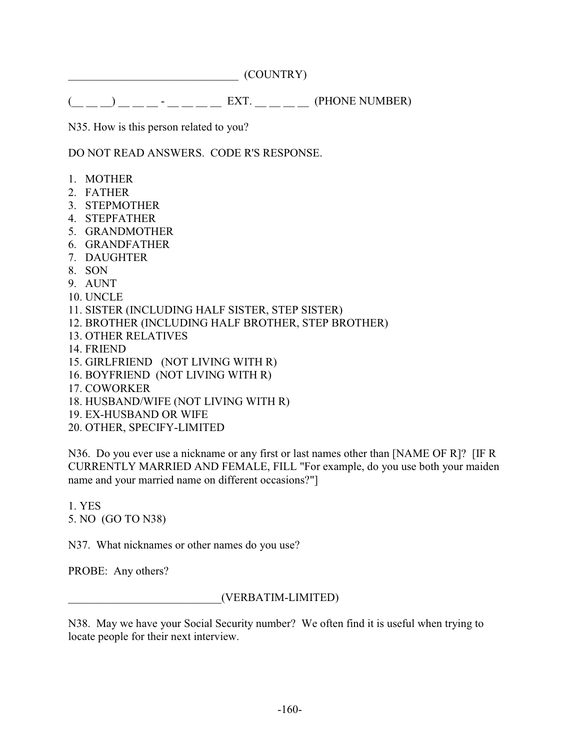\_\_\_\_\_\_\_\_\_\_\_\_\_\_\_\_\_\_\_\_\_\_\_\_\_\_\_\_\_\_ (COUNTRY)

(\_\_ \_\_ \_\_) \_\_ \_\_ \_\_ - \_\_ \_\_ \_\_ \_\_ EXT. \_\_ \_\_ \_\_ \_\_ (PHONE NUMBER)

N35. How is this person related to you?

DO NOT READ ANSWERS. CODE R'S RESPONSE.

- 1. MOTHER
- 2. FATHER
- 3. STEPMOTHER
- 4. STEPFATHER
- 5. GRANDMOTHER
- 6. GRANDFATHER
- 7. DAUGHTER
- 8. SON
- 9. AUNT
- 10. UNCLE
- 11. SISTER (INCLUDING HALF SISTER, STEP SISTER)
- 12. BROTHER (INCLUDING HALF BROTHER, STEP BROTHER)
- 13. OTHER RELATIVES
- 14. FRIEND
- 15. GIRLFRIEND (NOT LIVING WITH R)
- 16. BOYFRIEND (NOT LIVING WITH R)
- 17. COWORKER
- 18. HUSBAND/WIFE (NOT LIVING WITH R)
- 19. EX-HUSBAND OR WIFE
- 20. OTHER, SPECIFY-LIMITED

N36. Do you ever use a nickname or any first or last names other than [NAME OF R]? [IF R CURRENTLY MARRIED AND FEMALE, FILL "For example, do you use both your maiden name and your married name on different occasions?"]

1. YES 5. NO (GO TO N38)

N37. What nicknames or other names do you use?

PROBE: Any others?

\_\_\_\_\_\_\_\_\_\_\_\_\_\_\_\_\_\_\_\_\_\_\_\_\_\_\_(VERBATIM-LIMITED)

N38. May we have your Social Security number? We often find it is useful when trying to locate people for their next interview.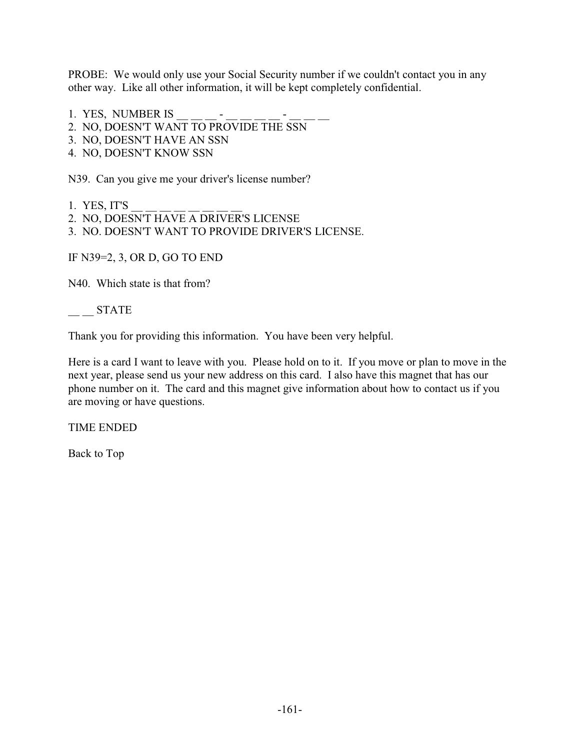PROBE: We would only use your Social Security number if we couldn't contact you in any other way. Like all other information, it will be kept completely confidential.

- 1. YES, NUMBER IS
- 2. NO, DOESN'T WANT TO PROVIDE THE SSN
- 3. NO, DOESN'T HAVE AN SSN
- 4. NO, DOESN'T KNOW SSN

N39. Can you give me your driver's license number?

- 1. YES, IT'S \_\_ \_\_ \_\_ \_\_ \_\_ \_\_ \_\_ \_\_
- 2. NO, DOESN'T HAVE A DRIVER'S LICENSE
- 3. NO. DOESN'T WANT TO PROVIDE DRIVER'S LICENSE.

IF N39=2, 3, OR D, GO TO END

N<sub>40</sub>. Which state is that from?

 $\frac{1}{2}$  STATE

Thank you for providing this information. You have been very helpful.

Here is a card I want to leave with you. Please hold on to it. If you move or plan to move in the next year, please send us your new address on this card. I also have this magnet that has our phone number on it. The card and this magnet give information about how to contact us if you are moving or have questions.

TIME ENDED

Back to Top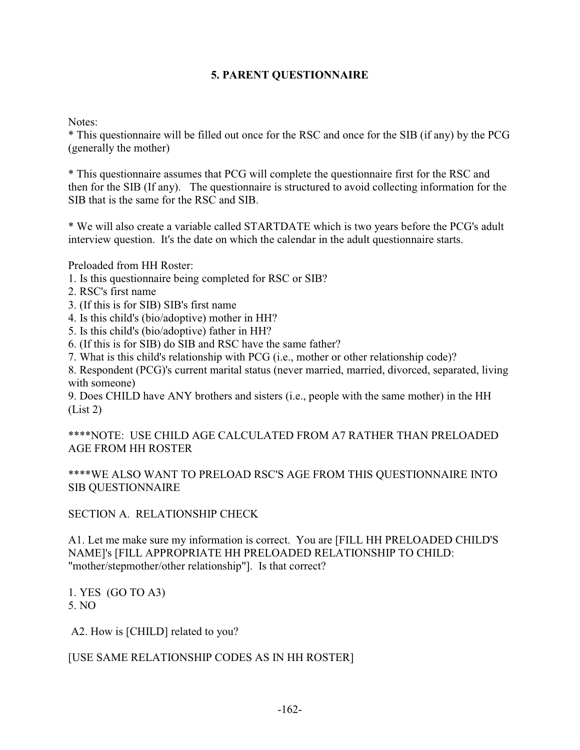## **5. PARENT QUESTIONNAIRE**

Notes:

\* This questionnaire will be filled out once for the RSC and once for the SIB (if any) by the PCG (generally the mother)

\* This questionnaire assumes that PCG will complete the questionnaire first for the RSC and then for the SIB (If any). The questionnaire is structured to avoid collecting information for the SIB that is the same for the RSC and SIB.

\* We will also create a variable called STARTDATE which is two years before the PCG's adult interview question. It's the date on which the calendar in the adult questionnaire starts.

Preloaded from HH Roster:

- 1. Is this questionnaire being completed for RSC or SIB?
- 2. RSC's first name
- 3. (If this is for SIB) SIB's first name
- 4. Is this child's (bio/adoptive) mother in HH?
- 5. Is this child's (bio/adoptive) father in HH?
- 6. (If this is for SIB) do SIB and RSC have the same father?
- 7. What is this child's relationship with PCG (i.e., mother or other relationship code)?

8. Respondent (PCG)'s current marital status (never married, married, divorced, separated, living with someone)

9. Does CHILD have ANY brothers and sisters (i.e., people with the same mother) in the HH (List 2)

\*\*\*\*NOTE: USE CHILD AGE CALCULATED FROM A7 RATHER THAN PRELOADED AGE FROM HH ROSTER

### \*\*\*\*WE ALSO WANT TO PRELOAD RSC'S AGE FROM THIS QUESTIONNAIRE INTO SIB QUESTIONNAIRE

SECTION A. RELATIONSHIP CHECK

A1. Let me make sure my information is correct. You are [FILL HH PRELOADED CHILD'S NAME]'s [FILL APPROPRIATE HH PRELOADED RELATIONSHIP TO CHILD: "mother/stepmother/other relationship"]. Is that correct?

1. YES (GO TO A3) 5. NO

A2. How is [CHILD] related to you?

[USE SAME RELATIONSHIP CODES AS IN HH ROSTER]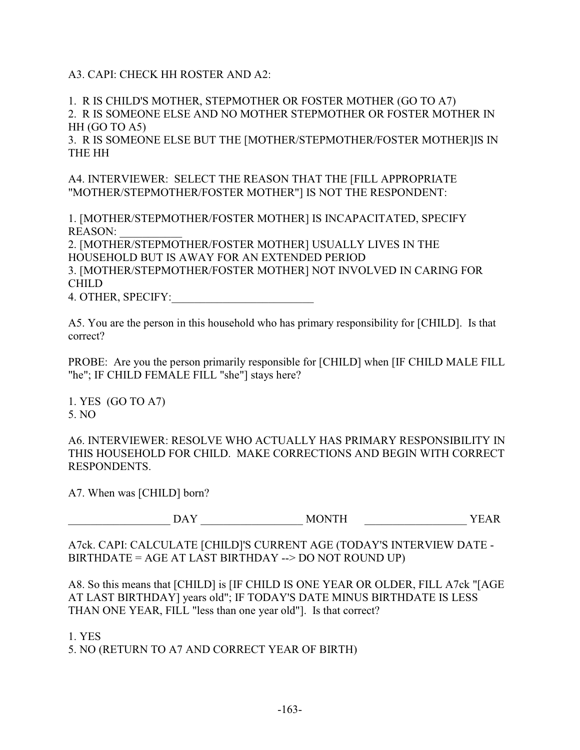A3. CAPI: CHECK HH ROSTER AND A2:

1. R IS CHILD'S MOTHER, STEPMOTHER OR FOSTER MOTHER (GO TO A7) 2. R IS SOMEONE ELSE AND NO MOTHER STEPMOTHER OR FOSTER MOTHER IN HH (GO TO A5)

3. R IS SOMEONE ELSE BUT THE [MOTHER/STEPMOTHER/FOSTER MOTHER]IS IN THE HH

A4. INTERVIEWER: SELECT THE REASON THAT THE [FILL APPROPRIATE "MOTHER/STEPMOTHER/FOSTER MOTHER"] IS NOT THE RESPONDENT:

1. [MOTHER/STEPMOTHER/FOSTER MOTHER] IS INCAPACITATED, SPECIFY REASON:

2. [MOTHER/STEPMOTHER/FOSTER MOTHER] USUALLY LIVES IN THE HOUSEHOLD BUT IS AWAY FOR AN EXTENDED PERIOD 3. [MOTHER/STEPMOTHER/FOSTER MOTHER] NOT INVOLVED IN CARING FOR

CHILD

4. OTHER, SPECIFY:\_\_\_\_\_\_\_\_\_\_\_\_\_\_\_\_\_\_\_\_\_\_\_\_\_

A5. You are the person in this household who has primary responsibility for [CHILD]. Is that correct?

PROBE: Are you the person primarily responsible for [CHILD] when [IF CHILD MALE FILL "he"; IF CHILD FEMALE FILL "she"] stays here?

1. YES (GO TO A7) 5. NO

A6. INTERVIEWER: RESOLVE WHO ACTUALLY HAS PRIMARY RESPONSIBILITY IN THIS HOUSEHOLD FOR CHILD. MAKE CORRECTIONS AND BEGIN WITH CORRECT RESPONDENTS.

A7. When was [CHILD] born?

DAY **WONTH** YEAR

A7ck. CAPI: CALCULATE [CHILD]'S CURRENT AGE (TODAY'S INTERVIEW DATE - BIRTHDATE = AGE AT LAST BIRTHDAY --> DO NOT ROUND UP)

A8. So this means that [CHILD] is [IF CHILD IS ONE YEAR OR OLDER, FILL A7ck "[AGE AT LAST BIRTHDAY] years old"; IF TODAY'S DATE MINUS BIRTHDATE IS LESS THAN ONE YEAR, FILL "less than one year old"]. Is that correct?

1. YES 5. NO (RETURN TO A7 AND CORRECT YEAR OF BIRTH)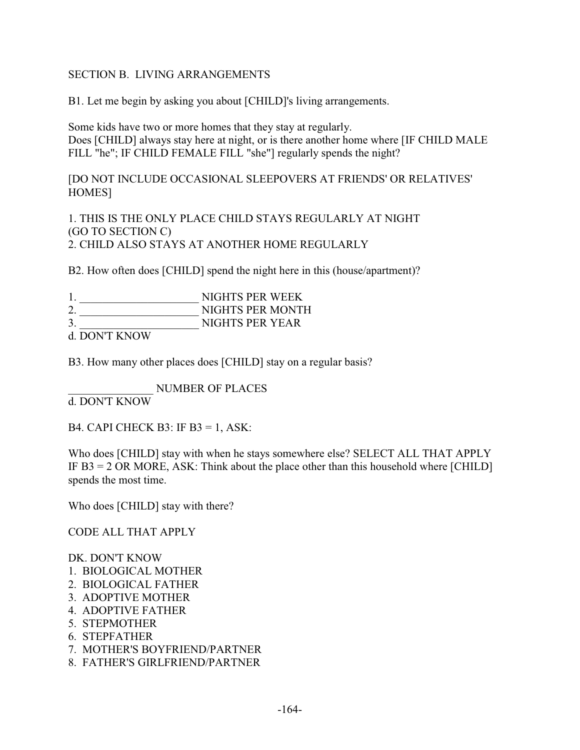### SECTION B. LIVING ARRANGEMENTS

B1. Let me begin by asking you about [CHILD]'s living arrangements.

Some kids have two or more homes that they stay at regularly. Does [CHILD] always stay here at night, or is there another home where [IF CHILD MALE FILL "he"; IF CHILD FEMALE FILL "she"] regularly spends the night?

[DO NOT INCLUDE OCCASIONAL SLEEPOVERS AT FRIENDS' OR RELATIVES' HOMES]

1. THIS IS THE ONLY PLACE CHILD STAYS REGULARLY AT NIGHT (GO TO SECTION C) 2. CHILD ALSO STAYS AT ANOTHER HOME REGULARLY

B2. How often does [CHILD] spend the night here in this (house/apartment)?

|                                                                 | NIGHTS PER WEEK  |
|-----------------------------------------------------------------|------------------|
|                                                                 | NIGHTS PER MONTH |
|                                                                 | NIGHTS PER YEAR  |
| $1.501$ $\mu$ m $\tau$ $\lambda$ $\tau$ $\lambda$ $\tau$ $\tau$ |                  |

d. DON'T KNOW

B3. How many other places does [CHILD] stay on a regular basis?

\_\_\_\_\_\_\_\_\_\_\_\_\_\_\_ NUMBER OF PLACES

d. DON'T KNOW

B4. CAPI CHECK B3: IF B3 = 1, ASK:

Who does [CHILD] stay with when he stays somewhere else? SELECT ALL THAT APPLY IF  $B3 = 2$  OR MORE, ASK: Think about the place other than this household where [CHILD] spends the most time.

Who does [CHILD] stay with there?

CODE ALL THAT APPLY

#### DK. DON'T KNOW

- 1. BIOLOGICAL MOTHER
- 2. BIOLOGICAL FATHER
- 3. ADOPTIVE MOTHER
- 4. ADOPTIVE FATHER
- 5. STEPMOTHER
- 6. STEPFATHER
- 7. MOTHER'S BOYFRIEND/PARTNER
- 8. FATHER'S GIRLFRIEND/PARTNER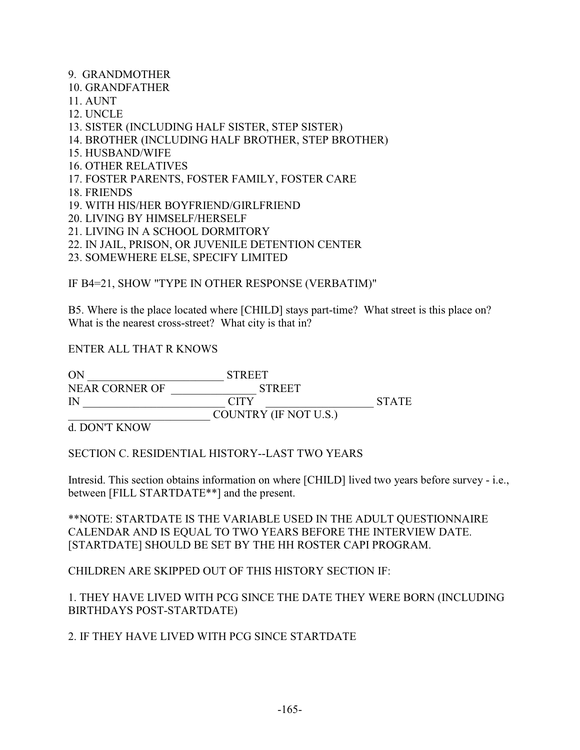9. GRANDMOTHER 10. GRANDFATHER 11. AUNT 12. UNCLE 13. SISTER (INCLUDING HALF SISTER, STEP SISTER) 14. BROTHER (INCLUDING HALF BROTHER, STEP BROTHER) 15. HUSBAND/WIFE 16. OTHER RELATIVES 17. FOSTER PARENTS, FOSTER FAMILY, FOSTER CARE 18. FRIENDS 19. WITH HIS/HER BOYFRIEND/GIRLFRIEND 20. LIVING BY HIMSELF/HERSELF 21. LIVING IN A SCHOOL DORMITORY

22. IN JAIL, PRISON, OR JUVENILE DETENTION CENTER

23. SOMEWHERE ELSE, SPECIFY LIMITED

IF B4=21, SHOW "TYPE IN OTHER RESPONSE (VERBATIM)"

B5. Where is the place located where [CHILD] stays part-time? What street is this place on? What is the nearest cross-street? What city is that in?

ENTER ALL THAT R KNOWS

ON STREET NEAR CORNER OF \_\_\_\_\_\_\_\_\_\_\_\_\_\_\_ STREET IN CITY STATE \_\_\_\_\_\_\_\_\_\_\_\_\_\_\_\_\_\_\_\_\_\_\_\_\_ COUNTRY (IF NOT U.S.)

d. DON'T KNOW

SECTION C. RESIDENTIAL HISTORY--LAST TWO YEARS

Intresid. This section obtains information on where [CHILD] lived two years before survey - i.e., between [FILL STARTDATE\*\*] and the present.

\*\*NOTE: STARTDATE IS THE VARIABLE USED IN THE ADULT QUESTIONNAIRE CALENDAR AND IS EQUAL TO TWO YEARS BEFORE THE INTERVIEW DATE. [STARTDATE] SHOULD BE SET BY THE HH ROSTER CAPI PROGRAM.

CHILDREN ARE SKIPPED OUT OF THIS HISTORY SECTION IF:

1. THEY HAVE LIVED WITH PCG SINCE THE DATE THEY WERE BORN (INCLUDING BIRTHDAYS POST-STARTDATE)

2. IF THEY HAVE LIVED WITH PCG SINCE STARTDATE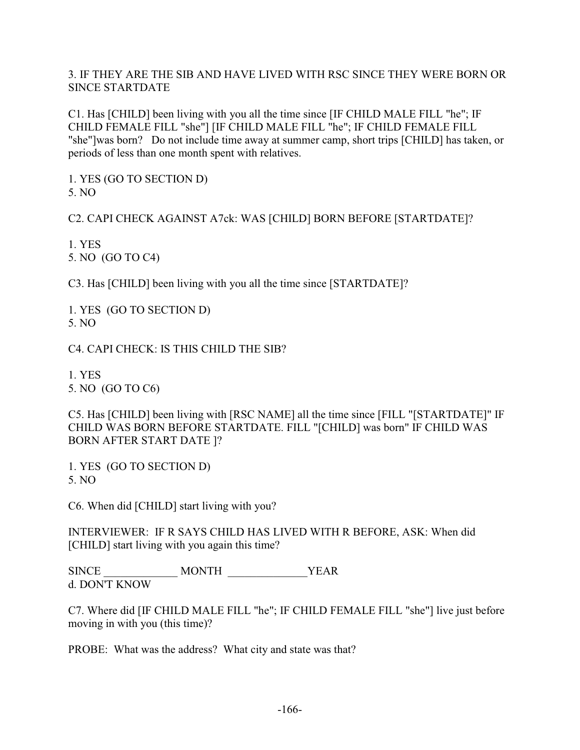### 3. IF THEY ARE THE SIB AND HAVE LIVED WITH RSC SINCE THEY WERE BORN OR SINCE STARTDATE

C1. Has [CHILD] been living with you all the time since [IF CHILD MALE FILL "he"; IF CHILD FEMALE FILL "she"] [IF CHILD MALE FILL "he"; IF CHILD FEMALE FILL "she"]was born? Do not include time away at summer camp, short trips [CHILD] has taken, or periods of less than one month spent with relatives.

1. YES (GO TO SECTION D) 5. NO

C2. CAPI CHECK AGAINST A7ck: WAS [CHILD] BORN BEFORE [STARTDATE]?

1. YES 5. NO (GO TO C4)

C3. Has [CHILD] been living with you all the time since [STARTDATE]?

1. YES (GO TO SECTION D) 5. NO

C4. CAPI CHECK: IS THIS CHILD THE SIB?

1. YES 5. NO (GO TO C6)

C5. Has [CHILD] been living with [RSC NAME] all the time since [FILL "[STARTDATE]" IF CHILD WAS BORN BEFORE STARTDATE. FILL "[CHILD] was born" IF CHILD WAS BORN AFTER START DATE ]?

1. YES (GO TO SECTION D) 5. NO

C6. When did [CHILD] start living with you?

INTERVIEWER: IF R SAYS CHILD HAS LIVED WITH R BEFORE, ASK: When did [CHILD] start living with you again this time?

SINCE \_\_\_\_\_\_\_\_\_\_\_\_\_ MONTH \_\_\_\_\_\_\_\_\_\_\_\_\_\_YEAR d. DON'T KNOW

C7. Where did [IF CHILD MALE FILL "he"; IF CHILD FEMALE FILL "she"] live just before moving in with you (this time)?

PROBE: What was the address? What city and state was that?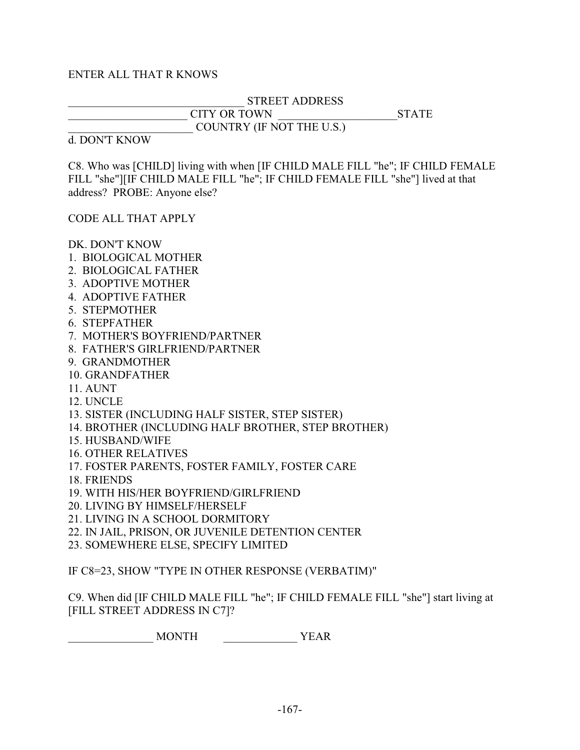#### ENTER ALL THAT R KNOWS

### \_\_\_\_\_\_\_\_\_\_\_\_\_\_\_\_\_\_\_\_\_\_\_\_\_\_\_\_\_\_\_ STREET ADDRESS CITY OR TOWN GIRL STATE COUNTRY (IF NOT THE U.S.)

#### d. DON'T KNOW

C8. Who was [CHILD] living with when [IF CHILD MALE FILL "he"; IF CHILD FEMALE FILL "she"][IF CHILD MALE FILL "he"; IF CHILD FEMALE FILL "she"] lived at that address? PROBE: Anyone else?

CODE ALL THAT APPLY

DK. DON'T KNOW

- 1. BIOLOGICAL MOTHER
- 2. BIOLOGICAL FATHER
- 3. ADOPTIVE MOTHER
- 4. ADOPTIVE FATHER
- 5. STEPMOTHER
- 6. STEPFATHER
- 7. MOTHER'S BOYFRIEND/PARTNER
- 8. FATHER'S GIRLFRIEND/PARTNER
- 9. GRANDMOTHER
- 10. GRANDFATHER
- 11. AUNT
- 12. UNCLE
- 13. SISTER (INCLUDING HALF SISTER, STEP SISTER)
- 14. BROTHER (INCLUDING HALF BROTHER, STEP BROTHER)
- 15. HUSBAND/WIFE
- 16. OTHER RELATIVES
- 17. FOSTER PARENTS, FOSTER FAMILY, FOSTER CARE
- 18. FRIENDS
- 19. WITH HIS/HER BOYFRIEND/GIRLFRIEND
- 20. LIVING BY HIMSELF/HERSELF
- 21. LIVING IN A SCHOOL DORMITORY
- 22. IN JAIL, PRISON, OR JUVENILE DETENTION CENTER
- 23. SOMEWHERE ELSE, SPECIFY LIMITED

IF C8=23, SHOW "TYPE IN OTHER RESPONSE (VERBATIM)"

C9. When did [IF CHILD MALE FILL "he"; IF CHILD FEMALE FILL "she"] start living at [FILL STREET ADDRESS IN C7]?

\_\_\_\_\_\_\_\_\_\_\_\_\_\_\_ MONTH \_\_\_\_\_\_\_\_\_\_\_\_\_ YEAR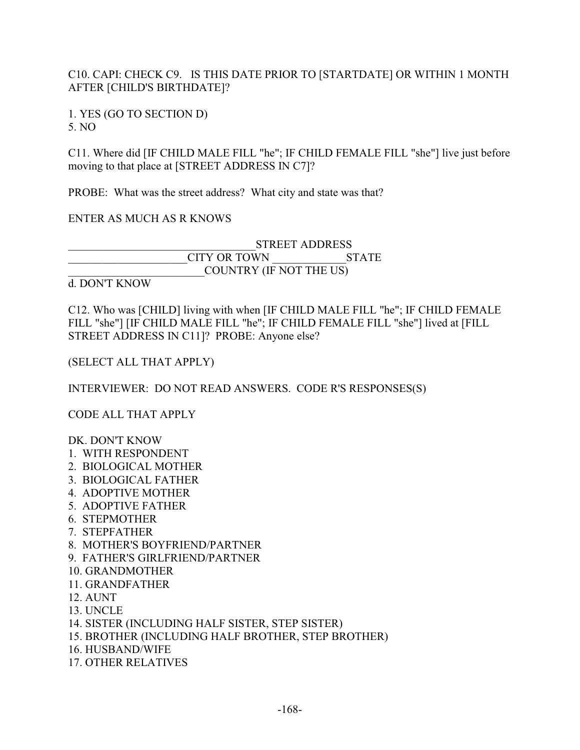## C10. CAPI: CHECK C9. IS THIS DATE PRIOR TO [STARTDATE] OR WITHIN 1 MONTH AFTER [CHILD'S BIRTHDATE]?

1. YES (GO TO SECTION D) 5. NO

C11. Where did [IF CHILD MALE FILL "he"; IF CHILD FEMALE FILL "she"] live just before moving to that place at [STREET ADDRESS IN C7]?

PROBE: What was the street address? What city and state was that?

### ENTER AS MUCH AS R KNOWS

|                     | <b>STREET ADDRESS</b>   |  |  |
|---------------------|-------------------------|--|--|
| <b>CITY OR TOWN</b> | <b>STATE</b>            |  |  |
|                     | COUNTRY (IF NOT THE US) |  |  |

#### d. DON'T KNOW

C12. Who was [CHILD] living with when [IF CHILD MALE FILL "he"; IF CHILD FEMALE FILL "she"] [IF CHILD MALE FILL "he"; IF CHILD FEMALE FILL "she"] lived at [FILL STREET ADDRESS IN C11]? PROBE: Anyone else?

(SELECT ALL THAT APPLY)

INTERVIEWER: DO NOT READ ANSWERS. CODE R'S RESPONSES(S)

CODE ALL THAT APPLY

DK. DON'T KNOW

- 1. WITH RESPONDENT
- 2. BIOLOGICAL MOTHER
- 3. BIOLOGICAL FATHER
- 4. ADOPTIVE MOTHER
- 5. ADOPTIVE FATHER
- 6. STEPMOTHER
- 7. STEPFATHER
- 8. MOTHER'S BOYFRIEND/PARTNER
- 9. FATHER'S GIRLFRIEND/PARTNER
- 10. GRANDMOTHER
- 11. GRANDFATHER
- 12. AUNT
- 13. UNCLE
- 14. SISTER (INCLUDING HALF SISTER, STEP SISTER)
- 15. BROTHER (INCLUDING HALF BROTHER, STEP BROTHER)
- 16. HUSBAND/WIFE
- 17. OTHER RELATIVES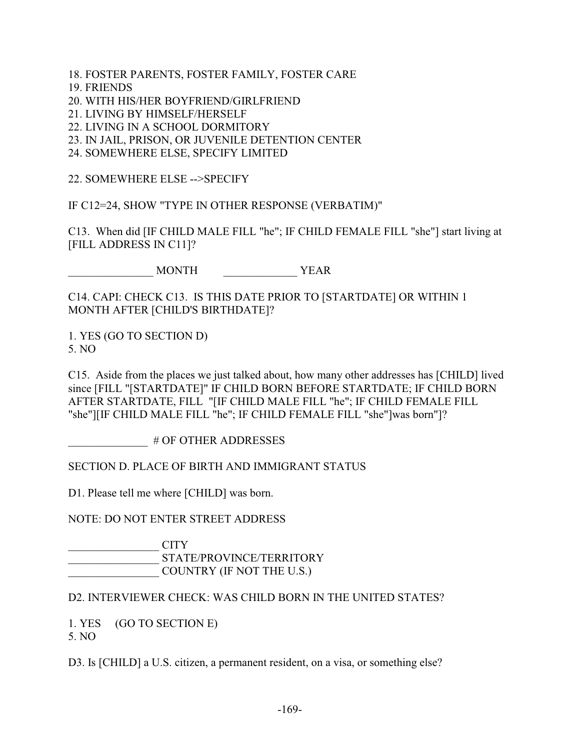- 18. FOSTER PARENTS, FOSTER FAMILY, FOSTER CARE
- 19. FRIENDS
- 20. WITH HIS/HER BOYFRIEND/GIRLFRIEND
- 21. LIVING BY HIMSELF/HERSELF
- 22. LIVING IN A SCHOOL DORMITORY
- 23. IN JAIL, PRISON, OR JUVENILE DETENTION CENTER
- 24. SOMEWHERE ELSE, SPECIFY LIMITED

22. SOMEWHERE ELSE -->SPECIFY

IF C12=24, SHOW "TYPE IN OTHER RESPONSE (VERBATIM)"

C13. When did [IF CHILD MALE FILL "he"; IF CHILD FEMALE FILL "she"] start living at [FILL ADDRESS IN C11]?

\_\_\_\_\_\_\_\_\_\_\_\_\_\_\_ MONTH \_\_\_\_\_\_\_\_\_\_\_\_\_ YEAR

C14. CAPI: CHECK C13. IS THIS DATE PRIOR TO [STARTDATE] OR WITHIN 1 MONTH AFTER [CHILD'S BIRTHDATE]?

1. YES (GO TO SECTION D) 5. NO

C15. Aside from the places we just talked about, how many other addresses has [CHILD] lived since [FILL "[STARTDATE]" IF CHILD BORN BEFORE STARTDATE; IF CHILD BORN AFTER STARTDATE, FILL "[IF CHILD MALE FILL "he"; IF CHILD FEMALE FILL "she"][IF CHILD MALE FILL "he"; IF CHILD FEMALE FILL "she"]was born"]?

\_\_\_\_\_\_\_\_\_\_\_\_\_\_ # OF OTHER ADDRESSES

SECTION D. PLACE OF BIRTH AND IMMIGRANT STATUS

D1. Please tell me where [CHILD] was born.

NOTE: DO NOT ENTER STREET ADDRESS

 $\overline{\phantom{a}}$  CITY \_\_\_\_\_\_\_\_\_\_\_\_\_\_\_\_ STATE/PROVINCE/TERRITORY \_\_\_\_\_\_\_\_\_\_\_\_\_\_\_\_ COUNTRY (IF NOT THE U.S.)

D2. INTERVIEWER CHECK: WAS CHILD BORN IN THE UNITED STATES?

1. YES (GO TO SECTION E) 5. NO

D3. Is [CHILD] a U.S. citizen, a permanent resident, on a visa, or something else?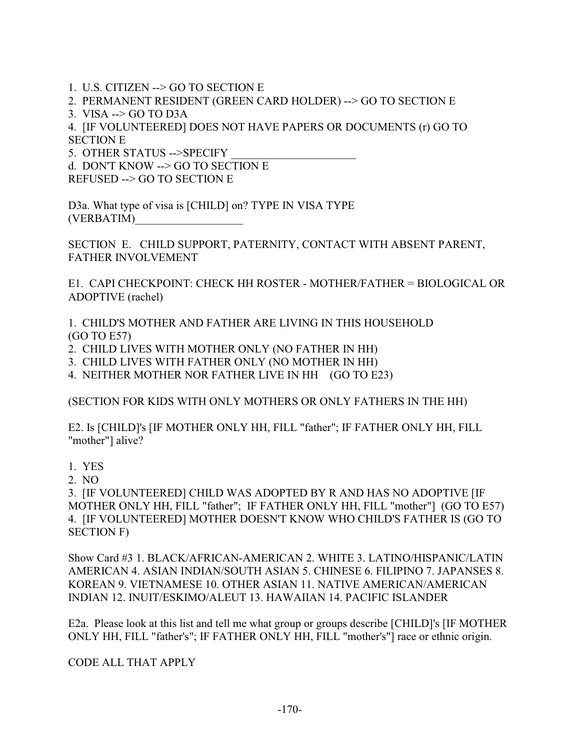1. U.S. CITIZEN --> GO TO SECTION E

2. PERMANENT RESIDENT (GREEN CARD HOLDER) --> GO TO SECTION E

3. VISA --> GO TO D3A

4. [IF VOLUNTEERED] DOES NOT HAVE PAPERS OR DOCUMENTS (r) GO TO SECTION E

5. OTHER STATUS -->SPECIFY

d. DON'T KNOW --> GO TO SECTION E

REFUSED --> GO TO SECTION E

D3a. What type of visa is [CHILD] on? TYPE IN VISA TYPE (VERBATIM)\_\_\_\_\_\_\_\_\_\_\_\_\_\_\_\_\_\_\_

SECTION E. CHILD SUPPORT, PATERNITY, CONTACT WITH ABSENT PARENT, FATHER INVOLVEMENT

E1. CAPI CHECKPOINT: CHECK HH ROSTER - MOTHER/FATHER = BIOLOGICAL OR ADOPTIVE (rachel)

1. CHILD'S MOTHER AND FATHER ARE LIVING IN THIS HOUSEHOLD (GO TO E57)

2. CHILD LIVES WITH MOTHER ONLY (NO FATHER IN HH)

3. CHILD LIVES WITH FATHER ONLY (NO MOTHER IN HH)

4. NEITHER MOTHER NOR FATHER LIVE IN HH (GO TO E23)

(SECTION FOR KIDS WITH ONLY MOTHERS OR ONLY FATHERS IN THE HH)

E2. Is [CHILD]'s [IF MOTHER ONLY HH, FILL "father"; IF FATHER ONLY HH, FILL "mother"] alive?

1. YES

2. NO

3. [IF VOLUNTEERED] CHILD WAS ADOPTED BY R AND HAS NO ADOPTIVE [IF MOTHER ONLY HH, FILL "father"; IF FATHER ONLY HH, FILL "mother"] (GO TO E57) 4. [IF VOLUNTEERED] MOTHER DOESN'T KNOW WHO CHILD'S FATHER IS (GO TO SECTION F)

Show Card #3 1. BLACK/AFRICAN-AMERICAN 2. WHITE 3. LATINO/HISPANIC/LATIN AMERICAN 4. ASIAN INDIAN/SOUTH ASIAN 5. CHINESE 6. FILIPINO 7. JAPANSES 8. KOREAN 9. VIETNAMESE 10. OTHER ASIAN 11. NATIVE AMERICAN/AMERICAN INDIAN 12. INUIT/ESKIMO/ALEUT 13. HAWAIIAN 14. PACIFIC ISLANDER

E2a. Please look at this list and tell me what group or groups describe [CHILD]'s [IF MOTHER ONLY HH, FILL "father's"; IF FATHER ONLY HH, FILL "mother's"] race or ethnic origin.

CODE ALL THAT APPLY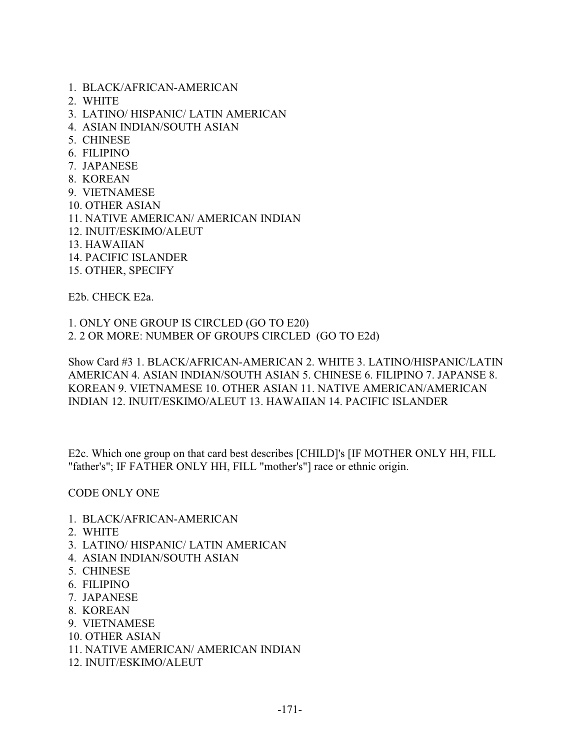- 1. BLACK/AFRICAN-AMERICAN
- 2. WHITE
- 3. LATINO/ HISPANIC/ LATIN AMERICAN
- 4. ASIAN INDIAN/SOUTH ASIAN
- 5. CHINESE
- 6. FILIPINO
- 7. JAPANESE
- 8. KOREAN
- 9. VIETNAMESE
- 10. OTHER ASIAN
- 11. NATIVE AMERICAN/ AMERICAN INDIAN
- 12. INUIT/ESKIMO/ALEUT
- 13. HAWAIIAN
- 14. PACIFIC ISLANDER
- 15. OTHER, SPECIFY

E2b. CHECK E2a.

1. ONLY ONE GROUP IS CIRCLED (GO TO E20) 2. 2 OR MORE: NUMBER OF GROUPS CIRCLED (GO TO E2d)

Show Card #3 1. BLACK/AFRICAN-AMERICAN 2. WHITE 3. LATINO/HISPANIC/LATIN AMERICAN 4. ASIAN INDIAN/SOUTH ASIAN 5. CHINESE 6. FILIPINO 7. JAPANSE 8. KOREAN 9. VIETNAMESE 10. OTHER ASIAN 11. NATIVE AMERICAN/AMERICAN INDIAN 12. INUIT/ESKIMO/ALEUT 13. HAWAIIAN 14. PACIFIC ISLANDER

E2c. Which one group on that card best describes [CHILD]'s [IF MOTHER ONLY HH, FILL "father's"; IF FATHER ONLY HH, FILL "mother's"] race or ethnic origin.

CODE ONLY ONE

- 1. BLACK/AFRICAN-AMERICAN
- 2. WHITE
- 3. LATINO/ HISPANIC/ LATIN AMERICAN
- 4. ASIAN INDIAN/SOUTH ASIAN
- 5. CHINESE
- 6. FILIPINO
- 7. JAPANESE
- 8. KOREAN
- 9. VIETNAMESE
- 10. OTHER ASIAN
- 11. NATIVE AMERICAN/ AMERICAN INDIAN
- 12. INUIT/ESKIMO/ALEUT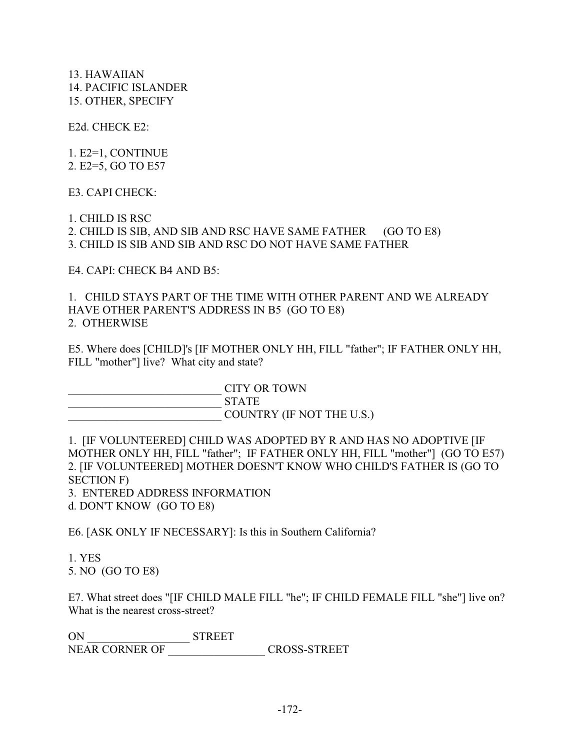13. HAWAIIAN 14. PACIFIC ISLANDER 15. OTHER, SPECIFY

E2d. CHECK E2:

1. E2=1, CONTINUE 2. E2=5, GO TO E57

E3. CAPI CHECK:

1. CHILD IS RSC 2. CHILD IS SIB, AND SIB AND RSC HAVE SAME FATHER (GO TO E8) 3. CHILD IS SIB AND SIB AND RSC DO NOT HAVE SAME FATHER

E4. CAPI: CHECK B4 AND B5:

1. CHILD STAYS PART OF THE TIME WITH OTHER PARENT AND WE ALREADY HAVE OTHER PARENT'S ADDRESS IN B5 (GO TO E8) 2. OTHERWISE

E5. Where does [CHILD]'s [IF MOTHER ONLY HH, FILL "father"; IF FATHER ONLY HH, FILL "mother"] live? What city and state?

\_\_\_\_\_\_\_\_\_\_\_\_\_\_\_\_\_\_\_\_\_\_\_\_\_\_\_ CITY OR TOWN \_\_\_\_\_\_\_\_\_\_\_\_\_\_\_\_\_\_\_\_\_\_\_\_\_\_\_ STATE COUNTRY (IF NOT THE U.S.)

1. [IF VOLUNTEERED] CHILD WAS ADOPTED BY R AND HAS NO ADOPTIVE [IF MOTHER ONLY HH, FILL "father"; IF FATHER ONLY HH, FILL "mother"] (GO TO E57) 2. [IF VOLUNTEERED] MOTHER DOESN'T KNOW WHO CHILD'S FATHER IS (GO TO SECTION F) 3. ENTERED ADDRESS INFORMATION

d. DON'T KNOW (GO TO E8)

E6. [ASK ONLY IF NECESSARY]: Is this in Southern California?

1. YES 5. NO (GO TO E8)

E7. What street does "[IF CHILD MALE FILL "he"; IF CHILD FEMALE FILL "she"] live on? What is the nearest cross-street?

ON \_\_\_\_\_\_\_\_\_\_\_\_\_\_\_\_\_\_ STREET NEAR CORNER OF \_\_\_\_\_\_\_\_\_\_\_\_\_\_\_\_\_ CROSS-STREET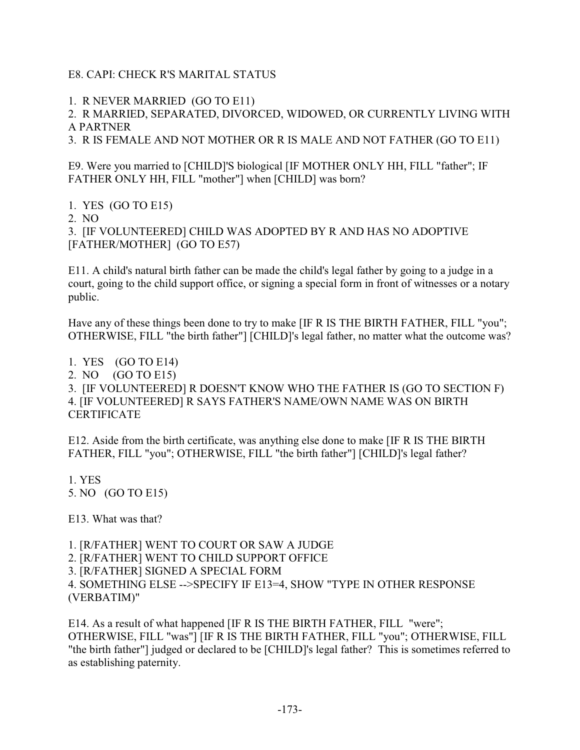### E8. CAPI: CHECK R'S MARITAL STATUS

1. R NEVER MARRIED (GO TO E11)

2. R MARRIED, SEPARATED, DIVORCED, WIDOWED, OR CURRENTLY LIVING WITH A PARTNER

3. R IS FEMALE AND NOT MOTHER OR R IS MALE AND NOT FATHER (GO TO E11)

E9. Were you married to [CHILD]'S biological [IF MOTHER ONLY HH, FILL "father"; IF FATHER ONLY HH, FILL "mother"] when [CHILD] was born?

1. YES (GO TO E15) 2. NO 3. [IF VOLUNTEERED] CHILD WAS ADOPTED BY R AND HAS NO ADOPTIVE [FATHER/MOTHER] (GO TO E57)

E11. A child's natural birth father can be made the child's legal father by going to a judge in a court, going to the child support office, or signing a special form in front of witnesses or a notary public.

Have any of these things been done to try to make [IF R IS THE BIRTH FATHER, FILL "you"; OTHERWISE, FILL "the birth father"] [CHILD]'s legal father, no matter what the outcome was?

1. YES (GO TO E14) 2. NO (GO TO E15) 3. [IF VOLUNTEERED] R DOESN'T KNOW WHO THE FATHER IS (GO TO SECTION F) 4. [IF VOLUNTEERED] R SAYS FATHER'S NAME/OWN NAME WAS ON BIRTH **CERTIFICATE** 

E12. Aside from the birth certificate, was anything else done to make [IF R IS THE BIRTH FATHER, FILL "you"; OTHERWISE, FILL "the birth father"] [CHILD]'s legal father?

1. YES 5. NO (GO TO E15)

E13. What was that?

1. [R/FATHER] WENT TO COURT OR SAW A JUDGE

2. [R/FATHER] WENT TO CHILD SUPPORT OFFICE

3. [R/FATHER] SIGNED A SPECIAL FORM

4. SOMETHING ELSE -->SPECIFY IF E13=4, SHOW "TYPE IN OTHER RESPONSE (VERBATIM)"

E14. As a result of what happened [IF R IS THE BIRTH FATHER, FILL "were"; OTHERWISE, FILL "was"] [IF R IS THE BIRTH FATHER, FILL "you"; OTHERWISE, FILL "the birth father"] judged or declared to be [CHILD]'s legal father? This is sometimes referred to as establishing paternity.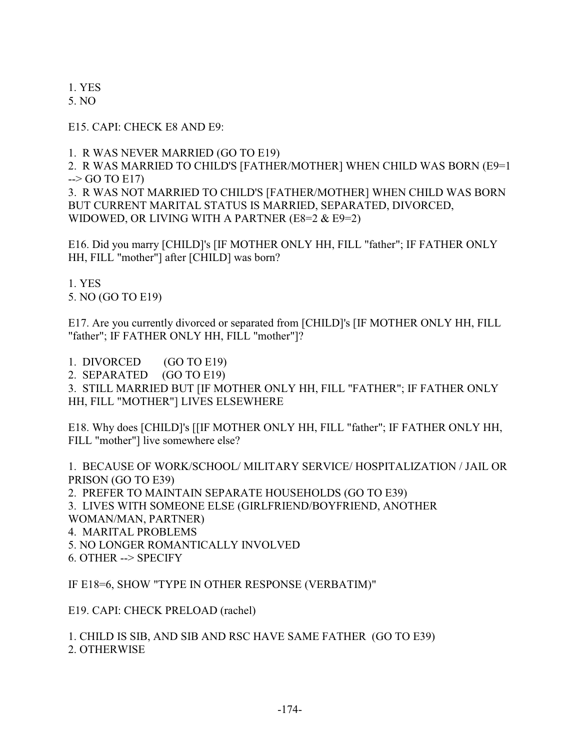1. YES

5. NO

E15. CAPI: CHECK E8 AND E9:

1. R WAS NEVER MARRIED (GO TO E19)

2. R WAS MARRIED TO CHILD'S [FATHER/MOTHER] WHEN CHILD WAS BORN (E9=1  $\rightarrow$  GO TO E17)

3. R WAS NOT MARRIED TO CHILD'S [FATHER/MOTHER] WHEN CHILD WAS BORN BUT CURRENT MARITAL STATUS IS MARRIED, SEPARATED, DIVORCED, WIDOWED, OR LIVING WITH A PARTNER (E8=2 & E9=2)

E16. Did you marry [CHILD]'s [IF MOTHER ONLY HH, FILL "father"; IF FATHER ONLY HH, FILL "mother"] after [CHILD] was born?

1. YES 5. NO (GO TO E19)

E17. Are you currently divorced or separated from [CHILD]'s [IF MOTHER ONLY HH, FILL "father"; IF FATHER ONLY HH, FILL "mother"]?

1. DIVORCED (GO TO E19)

2. SEPARATED (GO TO E19)

3. STILL MARRIED BUT [IF MOTHER ONLY HH, FILL "FATHER"; IF FATHER ONLY HH, FILL "MOTHER"] LIVES ELSEWHERE

E18. Why does [CHILD]'s [[IF MOTHER ONLY HH, FILL "father"; IF FATHER ONLY HH, FILL "mother"] live somewhere else?

1. BECAUSE OF WORK/SCHOOL/ MILITARY SERVICE/ HOSPITALIZATION / JAIL OR PRISON (GO TO E39) 2. PREFER TO MAINTAIN SEPARATE HOUSEHOLDS (GO TO E39) 3. LIVES WITH SOMEONE ELSE (GIRLFRIEND/BOYFRIEND, ANOTHER WOMAN/MAN, PARTNER) 4. MARITAL PROBLEMS 5. NO LONGER ROMANTICALLY INVOLVED 6. OTHER --> SPECIFY

IF E18=6, SHOW "TYPE IN OTHER RESPONSE (VERBATIM)"

E19. CAPI: CHECK PRELOAD (rachel)

1. CHILD IS SIB, AND SIB AND RSC HAVE SAME FATHER (GO TO E39) 2. OTHERWISE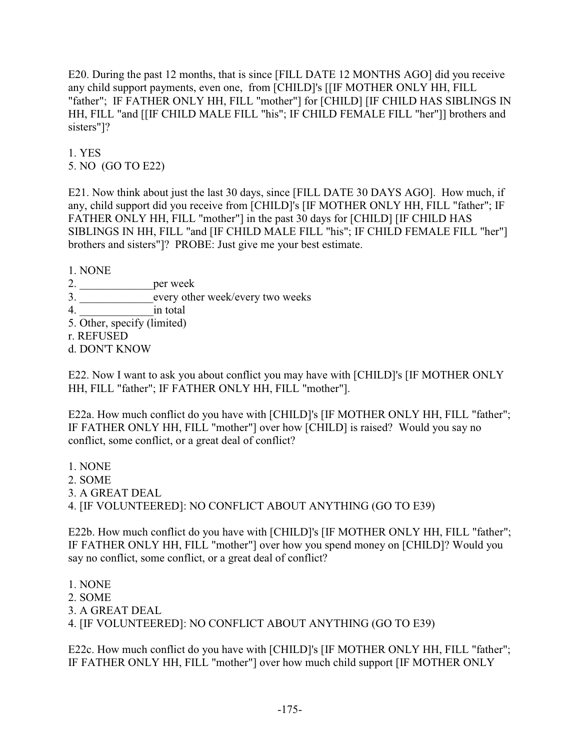E20. During the past 12 months, that is since [FILL DATE 12 MONTHS AGO] did you receive any child support payments, even one, from [CHILD]'s [[IF MOTHER ONLY HH, FILL "father"; IF FATHER ONLY HH, FILL "mother"] for [CHILD] [IF CHILD HAS SIBLINGS IN HH, FILL "and [[IF CHILD MALE FILL "his"; IF CHILD FEMALE FILL "her"]] brothers and sisters"]?

1. YES 5. NO (GO TO E22)

E21. Now think about just the last 30 days, since [FILL DATE 30 DAYS AGO]. How much, if any, child support did you receive from [CHILD]'s [IF MOTHER ONLY HH, FILL "father"; IF FATHER ONLY HH, FILL "mother"] in the past 30 days for [CHILD] [IF CHILD HAS SIBLINGS IN HH, FILL "and [IF CHILD MALE FILL "his"; IF CHILD FEMALE FILL "her"] brothers and sisters"]? PROBE: Just give me your best estimate.

1. NONE

- 2. \_\_\_\_\_\_\_\_\_\_\_\_\_per week
- 3. \_\_\_\_\_\_\_\_\_\_\_\_\_every other week/every two weeks
- 4. contract in total
- 5. Other, specify (limited)
- r. REFUSED
- d. DON'T KNOW

E22. Now I want to ask you about conflict you may have with [CHILD]'s [IF MOTHER ONLY HH, FILL "father"; IF FATHER ONLY HH, FILL "mother"].

E22a. How much conflict do you have with [CHILD]'s [IF MOTHER ONLY HH, FILL "father"; IF FATHER ONLY HH, FILL "mother"] over how [CHILD] is raised? Would you say no conflict, some conflict, or a great deal of conflict?

1. NONE 2. SOME 3. A GREAT DEAL 4. [IF VOLUNTEERED]: NO CONFLICT ABOUT ANYTHING (GO TO E39)

E22b. How much conflict do you have with [CHILD]'s [IF MOTHER ONLY HH, FILL "father"; IF FATHER ONLY HH, FILL "mother"] over how you spend money on [CHILD]? Would you say no conflict, some conflict, or a great deal of conflict?

1. NONE 2. SOME 3. A GREAT DEAL 4. [IF VOLUNTEERED]: NO CONFLICT ABOUT ANYTHING (GO TO E39)

E22c. How much conflict do you have with [CHILD]'s [IF MOTHER ONLY HH, FILL "father"; IF FATHER ONLY HH, FILL "mother"] over how much child support [IF MOTHER ONLY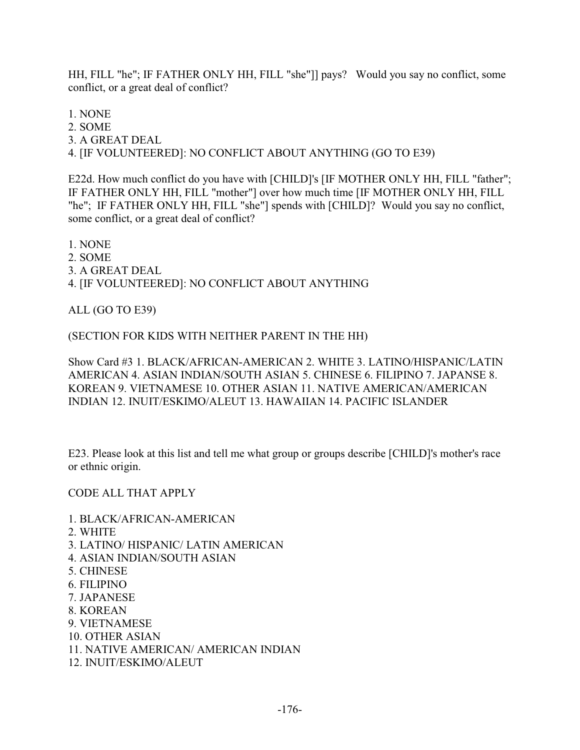HH, FILL "he"; IF FATHER ONLY HH, FILL "she"]] pays? Would you say no conflict, some conflict, or a great deal of conflict?

1. NONE

2. SOME

3. A GREAT DEAL

4. [IF VOLUNTEERED]: NO CONFLICT ABOUT ANYTHING (GO TO E39)

E22d. How much conflict do you have with [CHILD]'s [IF MOTHER ONLY HH, FILL "father"; IF FATHER ONLY HH, FILL "mother"] over how much time [IF MOTHER ONLY HH, FILL "he"; IF FATHER ONLY HH, FILL "she"] spends with [CHILD]? Would you say no conflict, some conflict, or a great deal of conflict?

1. NONE 2. SOME 3. A GREAT DEAL 4. [IF VOLUNTEERED]: NO CONFLICT ABOUT ANYTHING

ALL (GO TO E39)

(SECTION FOR KIDS WITH NEITHER PARENT IN THE HH)

Show Card #3 1. BLACK/AFRICAN-AMERICAN 2. WHITE 3. LATINO/HISPANIC/LATIN AMERICAN 4. ASIAN INDIAN/SOUTH ASIAN 5. CHINESE 6. FILIPINO 7. JAPANSE 8. KOREAN 9. VIETNAMESE 10. OTHER ASIAN 11. NATIVE AMERICAN/AMERICAN INDIAN 12. INUIT/ESKIMO/ALEUT 13. HAWAIIAN 14. PACIFIC ISLANDER

E23. Please look at this list and tell me what group or groups describe [CHILD]'s mother's race or ethnic origin.

CODE ALL THAT APPLY

- 1. BLACK/AFRICAN-AMERICAN
- 2. WHITE
- 3. LATINO/ HISPANIC/ LATIN AMERICAN
- 4. ASIAN INDIAN/SOUTH ASIAN
- 5. CHINESE
- 6. FILIPINO
- 7. JAPANESE
- 8. KOREAN
- 9. VIETNAMESE
- 10. OTHER ASIAN
- 11. NATIVE AMERICAN/ AMERICAN INDIAN
- 12. INUIT/ESKIMO/ALEUT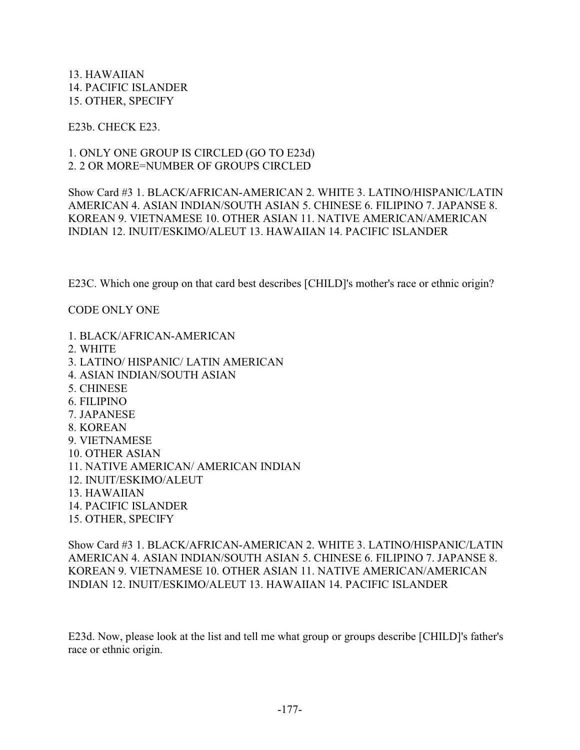13. HAWAIIAN 14. PACIFIC ISLANDER 15. OTHER, SPECIFY

E23b. CHECK E23.

1. ONLY ONE GROUP IS CIRCLED (GO TO E23d) 2. 2 OR MORE=NUMBER OF GROUPS CIRCLED

Show Card #3 1. BLACK/AFRICAN-AMERICAN 2. WHITE 3. LATINO/HISPANIC/LATIN AMERICAN 4. ASIAN INDIAN/SOUTH ASIAN 5. CHINESE 6. FILIPINO 7. JAPANSE 8. KOREAN 9. VIETNAMESE 10. OTHER ASIAN 11. NATIVE AMERICAN/AMERICAN INDIAN 12. INUIT/ESKIMO/ALEUT 13. HAWAIIAN 14. PACIFIC ISLANDER

E23C. Which one group on that card best describes [CHILD]'s mother's race or ethnic origin?

CODE ONLY ONE

1. BLACK/AFRICAN-AMERICAN 2. WHITE 3. LATINO/ HISPANIC/ LATIN AMERICAN 4. ASIAN INDIAN/SOUTH ASIAN 5. CHINESE 6. FILIPINO 7. JAPANESE 8. KOREAN 9. VIETNAMESE 10. OTHER ASIAN 11. NATIVE AMERICAN/ AMERICAN INDIAN 12. INUIT/ESKIMO/ALEUT 13. HAWAIIAN 14. PACIFIC ISLANDER 15. OTHER, SPECIFY

Show Card #3 1. BLACK/AFRICAN-AMERICAN 2. WHITE 3. LATINO/HISPANIC/LATIN AMERICAN 4. ASIAN INDIAN/SOUTH ASIAN 5. CHINESE 6. FILIPINO 7. JAPANSE 8. KOREAN 9. VIETNAMESE 10. OTHER ASIAN 11. NATIVE AMERICAN/AMERICAN INDIAN 12. INUIT/ESKIMO/ALEUT 13. HAWAIIAN 14. PACIFIC ISLANDER

E23d. Now, please look at the list and tell me what group or groups describe [CHILD]'s father's race or ethnic origin.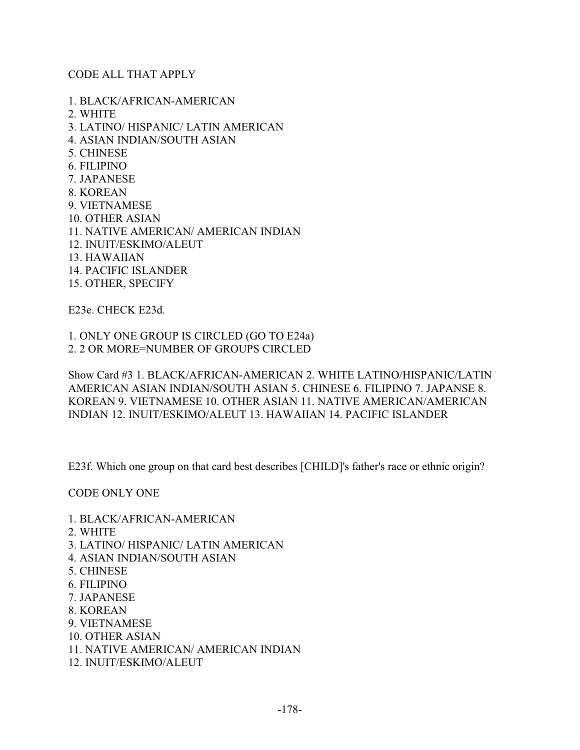#### CODE ALL THAT APPLY

1. BLACK/AFRICAN-AMERICAN 2. WHITE 3. LATINO/ HISPANIC/ LATIN AMERICAN 4. ASIAN INDIAN/SOUTH ASIAN 5. CHINESE 6. FILIPINO 7. JAPANESE 8. KOREAN 9. VIETNAMESE 10. OTHER ASIAN 11. NATIVE AMERICAN/ AMERICAN INDIAN 12. INUIT/ESKIMO/ALEUT 13. HAWAIIAN 14. PACIFIC ISLANDER 15. OTHER, SPECIFY

E23e. CHECK E23d.

1. ONLY ONE GROUP IS CIRCLED (GO TO E24a) 2. 2 OR MORE=NUMBER OF GROUPS CIRCLED

Show Card #3 1. BLACK/AFRICAN-AMERICAN 2. WHITE LATINO/HISPANIC/LATIN AMERICAN ASIAN INDIAN/SOUTH ASIAN 5. CHINESE 6. FILIPINO 7. JAPANSE 8. KOREAN 9. VIETNAMESE 10. OTHER ASIAN 11. NATIVE AMERICAN/AMERICAN INDIAN 12. INUIT/ESKIMO/ALEUT 13. HAWAIIAN 14. PACIFIC ISLANDER

E23f. Which one group on that card best describes [CHILD]'s father's race or ethnic origin?

CODE ONLY ONE

- 1. BLACK/AFRICAN-AMERICAN
- 2. WHITE
- 3. LATINO/ HISPANIC/ LATIN AMERICAN
- 4. ASIAN INDIAN/SOUTH ASIAN
- 5. CHINESE
- 6. FILIPINO
- 7. JAPANESE
- 8. KOREAN
- 9. VIETNAMESE
- 10. OTHER ASIAN
- 11. NATIVE AMERICAN/ AMERICAN INDIAN
- 12. INUIT/ESKIMO/ALEUT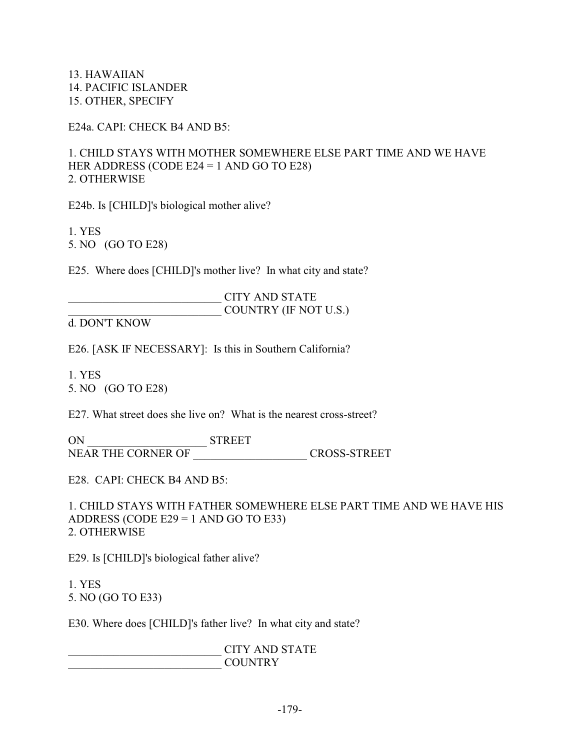13. HAWAIIAN 14. PACIFIC ISLANDER 15. OTHER, SPECIFY

E24a. CAPI: CHECK B4 AND B5:

1. CHILD STAYS WITH MOTHER SOMEWHERE ELSE PART TIME AND WE HAVE HER ADDRESS (CODE E24 = 1 AND GO TO E28) 2. OTHERWISE

E24b. Is [CHILD]'s biological mother alive?

1. YES 5. NO (GO TO E28)

E25. Where does [CHILD]'s mother live? In what city and state?

\_\_\_\_\_\_\_\_\_\_\_\_\_\_\_\_\_\_\_\_\_\_\_\_\_\_\_ CITY AND STATE COUNTRY (IF NOT U.S.)

d. DON'T KNOW

E26. [ASK IF NECESSARY]: Is this in Southern California?

1. YES 5. NO (GO TO E28)

E27. What street does she live on? What is the nearest cross-street?

ON \_\_\_\_\_\_\_\_\_\_\_\_\_\_\_\_\_\_\_\_\_ STREET NEAR THE CORNER OF CROSS-STREET

E28. CAPI: CHECK B4 AND B5:

1. CHILD STAYS WITH FATHER SOMEWHERE ELSE PART TIME AND WE HAVE HIS ADDRESS (CODE E29 = 1 AND GO TO E33) 2. OTHERWISE

E29. Is [CHILD]'s biological father alive?

1. YES 5. NO (GO TO E33)

E30. Where does [CHILD]'s father live? In what city and state?

\_\_\_\_\_\_\_\_\_\_\_\_\_\_\_\_\_\_\_\_\_\_\_\_\_\_\_ CITY AND STATE  $\text{COUNTRY}$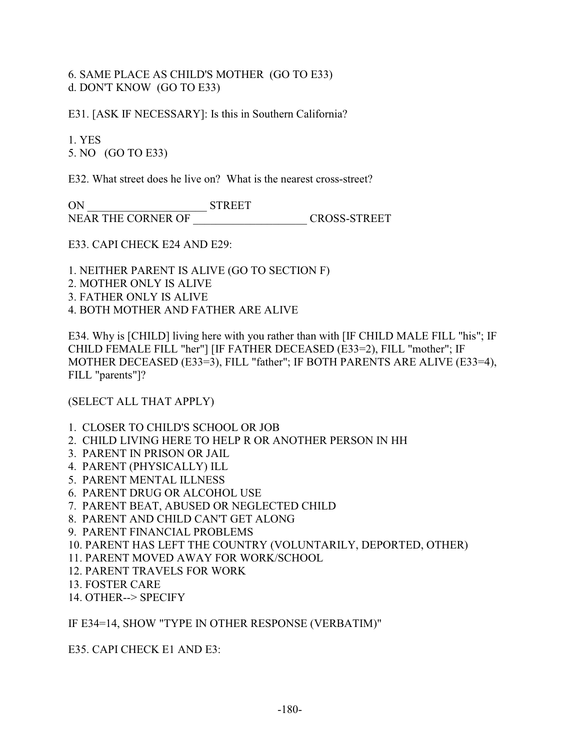# 6. SAME PLACE AS CHILD'S MOTHER (GO TO E33) d. DON'T KNOW (GO TO E33)

E31. [ASK IF NECESSARY]: Is this in Southern California?

1. YES 5. NO (GO TO E33)

E32. What street does he live on? What is the nearest cross-street?

ON \_\_\_\_\_\_\_\_\_\_\_\_\_\_\_\_\_\_\_\_\_ STREET NEAR THE CORNER OF \_\_\_\_\_\_\_\_\_\_\_\_\_\_\_\_\_\_\_\_ CROSS-STREET

E33. CAPI CHECK E24 AND E29:

1. NEITHER PARENT IS ALIVE (GO TO SECTION F)

2. MOTHER ONLY IS ALIVE

- 3. FATHER ONLY IS ALIVE
- 4. BOTH MOTHER AND FATHER ARE ALIVE

E34. Why is [CHILD] living here with you rather than with [IF CHILD MALE FILL "his"; IF CHILD FEMALE FILL "her"] [IF FATHER DECEASED (E33=2), FILL "mother"; IF MOTHER DECEASED (E33=3), FILL "father"; IF BOTH PARENTS ARE ALIVE (E33=4), FILL "parents"]?

(SELECT ALL THAT APPLY)

- 1. CLOSER TO CHILD'S SCHOOL OR JOB
- 2. CHILD LIVING HERE TO HELP R OR ANOTHER PERSON IN HH
- 3. PARENT IN PRISON OR JAIL
- 4. PARENT (PHYSICALLY) ILL
- 5. PARENT MENTAL ILLNESS
- 6. PARENT DRUG OR ALCOHOL USE
- 7. PARENT BEAT, ABUSED OR NEGLECTED CHILD
- 8. PARENT AND CHILD CAN'T GET ALONG
- 9. PARENT FINANCIAL PROBLEMS
- 10. PARENT HAS LEFT THE COUNTRY (VOLUNTARILY, DEPORTED, OTHER)
- 11. PARENT MOVED AWAY FOR WORK/SCHOOL
- 12. PARENT TRAVELS FOR WORK
- 13. FOSTER CARE
- 14. OTHER--> SPECIFY

IF E34=14, SHOW "TYPE IN OTHER RESPONSE (VERBATIM)"

E35. CAPI CHECK E1 AND E3: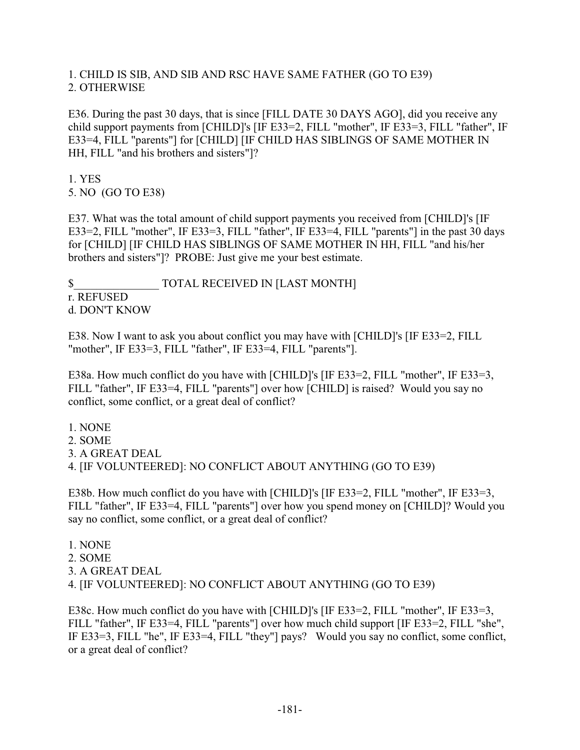# 1. CHILD IS SIB, AND SIB AND RSC HAVE SAME FATHER (GO TO E39) 2. OTHERWISE

E36. During the past 30 days, that is since [FILL DATE 30 DAYS AGO], did you receive any child support payments from [CHILD]'s [IF E33=2, FILL "mother", IF E33=3, FILL "father", IF E33=4, FILL "parents"] for [CHILD] [IF CHILD HAS SIBLINGS OF SAME MOTHER IN HH, FILL "and his brothers and sisters"]?

1. YES 5. NO (GO TO E38)

E37. What was the total amount of child support payments you received from [CHILD]'s [IF E33=2, FILL "mother", IF E33=3, FILL "father", IF E33=4, FILL "parents"] in the past 30 days for [CHILD] [IF CHILD HAS SIBLINGS OF SAME MOTHER IN HH, FILL "and his/her brothers and sisters"]? PROBE: Just give me your best estimate.

\$ TOTAL RECEIVED IN [LAST MONTH] r. REFUSED d. DON'T KNOW

E38. Now I want to ask you about conflict you may have with [CHILD]'s [IF E33=2, FILL "mother", IF E33=3, FILL "father", IF E33=4, FILL "parents"].

E38a. How much conflict do you have with [CHILD]'s [IF E33=2, FILL "mother", IF E33=3, FILL "father", IF E33=4, FILL "parents"] over how [CHILD] is raised? Would you say no conflict, some conflict, or a great deal of conflict?

1. NONE 2. SOME 3. A GREAT DEAL 4. [IF VOLUNTEERED]: NO CONFLICT ABOUT ANYTHING (GO TO E39)

E38b. How much conflict do you have with [CHILD]'s [IF E33=2, FILL "mother", IF E33=3, FILL "father", IF E33=4, FILL "parents"] over how you spend money on [CHILD]? Would you say no conflict, some conflict, or a great deal of conflict?

1. NONE 2. SOME 3. A GREAT DEAL 4. [IF VOLUNTEERED]: NO CONFLICT ABOUT ANYTHING (GO TO E39)

E38c. How much conflict do you have with [CHILD]'s [IF E33=2, FILL "mother", IF E33=3, FILL "father", IF E33=4, FILL "parents"] over how much child support [IF E33=2, FILL "she", IF E33=3, FILL "he", IF E33=4, FILL "they"] pays? Would you say no conflict, some conflict, or a great deal of conflict?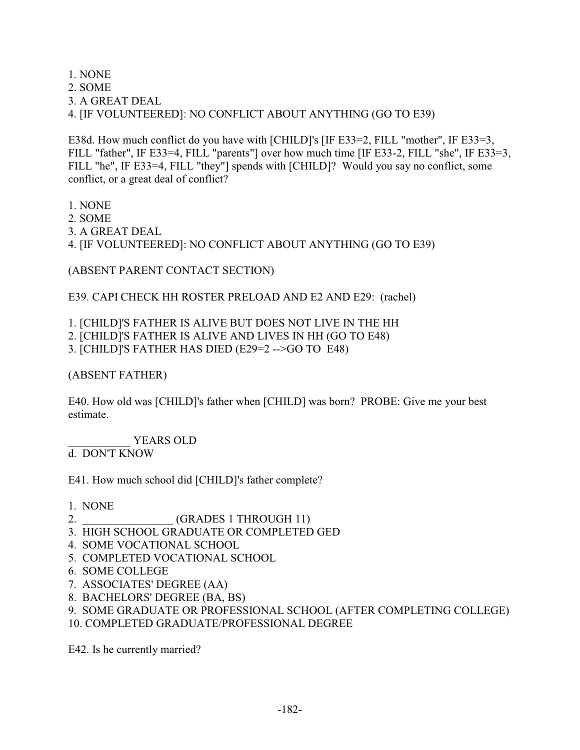1. NONE 2. SOME 3. A GREAT DEAL 4. [IF VOLUNTEERED]: NO CONFLICT ABOUT ANYTHING (GO TO E39)

E38d. How much conflict do you have with [CHILD]'s [IF E33=2, FILL "mother", IF E33=3, FILL "father", IF E33=4, FILL "parents"] over how much time [IF E33-2, FILL "she", IF E33=3, FILL "he", IF E33=4, FILL "they"] spends with [CHILD]? Would you say no conflict, some conflict, or a great deal of conflict?

1. NONE 2. SOME 3. A GREAT DEAL 4. [IF VOLUNTEERED]: NO CONFLICT ABOUT ANYTHING (GO TO E39)

(ABSENT PARENT CONTACT SECTION)

E39. CAPI CHECK HH ROSTER PRELOAD AND E2 AND E29: (rachel)

1. [CHILD]'S FATHER IS ALIVE BUT DOES NOT LIVE IN THE HH

2. [CHILD]'S FATHER IS ALIVE AND LIVES IN HH (GO TO E48)

3. [CHILD]'S FATHER HAS DIED (E29=2 -->GO TO E48)

(ABSENT FATHER)

E40. How old was [CHILD]'s father when [CHILD] was born? PROBE: Give me your best estimate.

YEARS OLD

d. DON'T KNOW

E41. How much school did [CHILD]'s father complete?

1. NONE

- 2. **GRADES 1 THROUGH 11**)
- 3. HIGH SCHOOL GRADUATE OR COMPLETED GED
- 4. SOME VOCATIONAL SCHOOL
- 5. COMPLETED VOCATIONAL SCHOOL
- 6. SOME COLLEGE
- 7. ASSOCIATES' DEGREE (AA)
- 8. BACHELORS' DEGREE (BA, BS)

9. SOME GRADUATE OR PROFESSIONAL SCHOOL (AFTER COMPLETING COLLEGE)

10. COMPLETED GRADUATE/PROFESSIONAL DEGREE

E42. Is he currently married?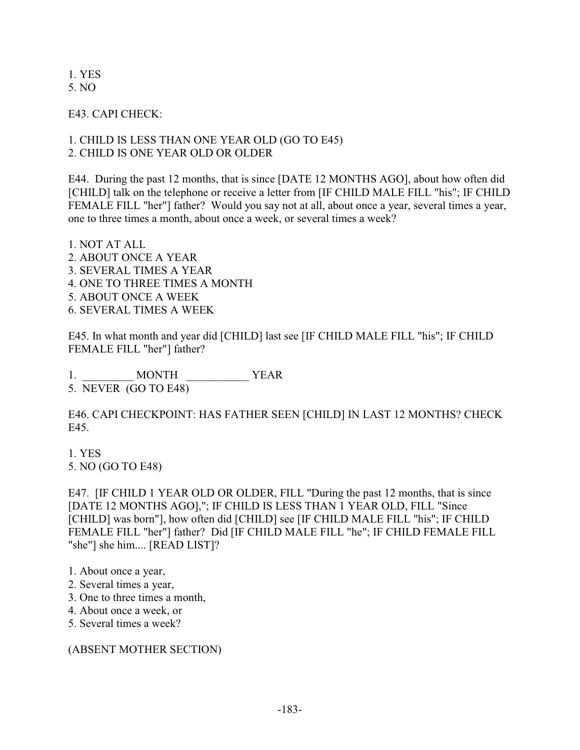1. YES 5. NO

E43. CAPI CHECK:

# 1. CHILD IS LESS THAN ONE YEAR OLD (GO TO E45) 2. CHILD IS ONE YEAR OLD OR OLDER

E44. During the past 12 months, that is since [DATE 12 MONTHS AGO], about how often did [CHILD] talk on the telephone or receive a letter from [IF CHILD MALE FILL "his"; IF CHILD FEMALE FILL "her"] father? Would you say not at all, about once a year, several times a year, one to three times a month, about once a week, or several times a week?

1. NOT AT ALL 2. ABOUT ONCE A YEAR 3. SEVERAL TIMES A YEAR 4. ONE TO THREE TIMES A MONTH 5. ABOUT ONCE A WEEK 6. SEVERAL TIMES A WEEK

E45. In what month and year did [CHILD] last see [IF CHILD MALE FILL "his"; IF CHILD FEMALE FILL "her"] father?

1. MONTH YEAR 5. NEVER (GO TO E48)

E46. CAPI CHECKPOINT: HAS FATHER SEEN [CHILD] IN LAST 12 MONTHS? CHECK E45.

1. YES 5. NO (GO TO E48)

E47. [IF CHILD 1 YEAR OLD OR OLDER, FILL "During the past 12 months, that is since [DATE 12 MONTHS AGO],"; IF CHILD IS LESS THAN 1 YEAR OLD, FILL "Since [CHILD] was born"], how often did [CHILD] see [IF CHILD MALE FILL "his"; IF CHILD FEMALE FILL "her"] father? Did [IF CHILD MALE FILL "he"; IF CHILD FEMALE FILL "she"] she him.... [READ LIST]?

- 2. Several times a year,
- 3. One to three times a month,
- 4. About once a week, or
- 5. Several times a week?

(ABSENT MOTHER SECTION)

<sup>1.</sup> About once a year,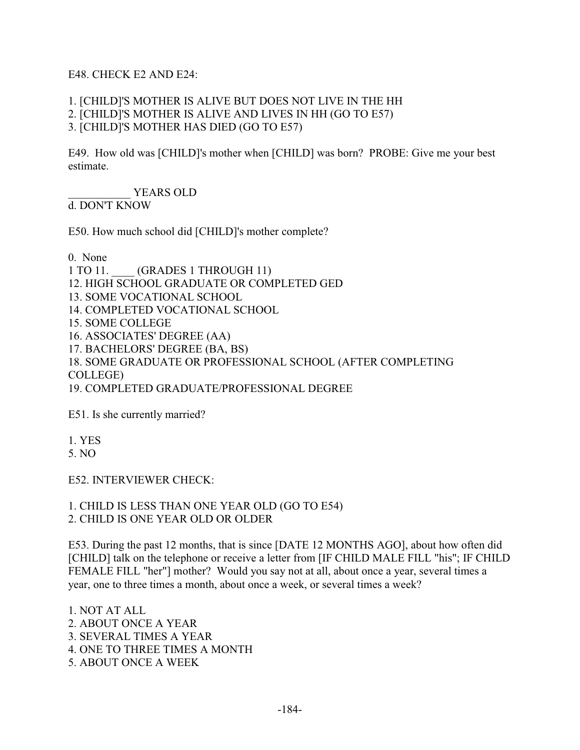### E48. CHECK E2 AND E24:

## 1. [CHILD]'S MOTHER IS ALIVE BUT DOES NOT LIVE IN THE HH 2. [CHILD]'S MOTHER IS ALIVE AND LIVES IN HH (GO TO E57) 3. [CHILD]'S MOTHER HAS DIED (GO TO E57)

E49. How old was [CHILD]'s mother when [CHILD] was born? PROBE: Give me your best estimate.

YEARS OLD

d. DON'T KNOW

E50. How much school did [CHILD]'s mother complete?

0. None

1 TO 11. **GRADES 1 THROUGH 11**) 12. HIGH SCHOOL GRADUATE OR COMPLETED GED 13. SOME VOCATIONAL SCHOOL 14. COMPLETED VOCATIONAL SCHOOL 15. SOME COLLEGE 16. ASSOCIATES' DEGREE (AA) 17. BACHELORS' DEGREE (BA, BS) 18. SOME GRADUATE OR PROFESSIONAL SCHOOL (AFTER COMPLETING COLLEGE) 19. COMPLETED GRADUATE/PROFESSIONAL DEGREE

E51. Is she currently married?

1. YES

5. NO

E52. INTERVIEWER CHECK:

1. CHILD IS LESS THAN ONE YEAR OLD (GO TO E54) 2. CHILD IS ONE YEAR OLD OR OLDER

E53. During the past 12 months, that is since [DATE 12 MONTHS AGO], about how often did [CHILD] talk on the telephone or receive a letter from [IF CHILD MALE FILL "his"; IF CHILD FEMALE FILL "her"] mother? Would you say not at all, about once a year, several times a year, one to three times a month, about once a week, or several times a week?

1. NOT AT ALL 2. ABOUT ONCE A YEAR 3. SEVERAL TIMES A YEAR 4. ONE TO THREE TIMES A MONTH 5. ABOUT ONCE A WEEK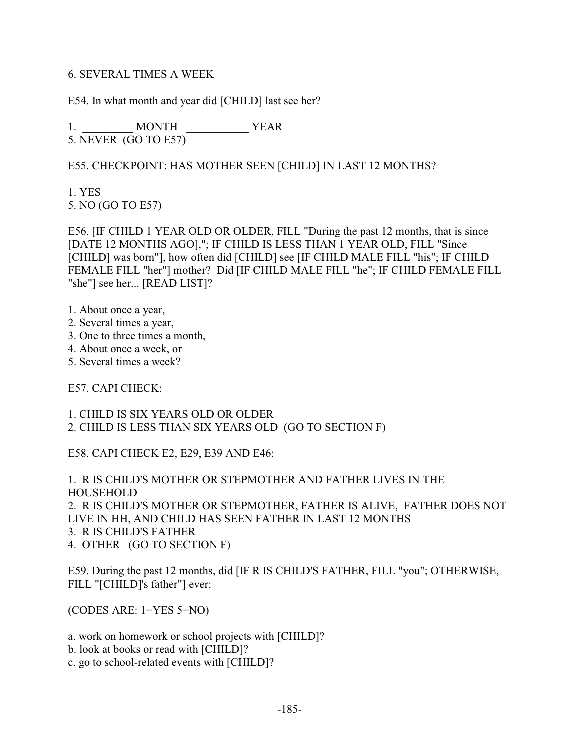### 6. SEVERAL TIMES A WEEK

E54. In what month and year did [CHILD] last see her?

1. \_\_\_\_\_\_\_\_\_\_ MONTH \_\_\_\_\_\_\_\_\_\_\_\_\_ YEAR 5. NEVER (GO TO E57)

## E55. CHECKPOINT: HAS MOTHER SEEN [CHILD] IN LAST 12 MONTHS?

1. YES 5. NO (GO TO E57)

E56. [IF CHILD 1 YEAR OLD OR OLDER, FILL "During the past 12 months, that is since [DATE 12 MONTHS AGO],"; IF CHILD IS LESS THAN 1 YEAR OLD, FILL "Since [CHILD] was born"], how often did [CHILD] see [IF CHILD MALE FILL "his"; IF CHILD FEMALE FILL "her"] mother? Did [IF CHILD MALE FILL "he"; IF CHILD FEMALE FILL "she"] see her... [READ LIST]?

- 1. About once a year,
- 2. Several times a year,
- 3. One to three times a month,
- 4. About once a week, or
- 5. Several times a week?

E57. CAPI CHECK:

1. CHILD IS SIX YEARS OLD OR OLDER 2. CHILD IS LESS THAN SIX YEARS OLD (GO TO SECTION F)

E58. CAPI CHECK E2, E29, E39 AND E46:

1. R IS CHILD'S MOTHER OR STEPMOTHER AND FATHER LIVES IN THE HOUSEHOLD 2. R IS CHILD'S MOTHER OR STEPMOTHER, FATHER IS ALIVE, FATHER DOES NOT LIVE IN HH, AND CHILD HAS SEEN FATHER IN LAST 12 MONTHS 3. R IS CHILD'S FATHER 4. OTHER (GO TO SECTION F)

E59. During the past 12 months, did [IF R IS CHILD'S FATHER, FILL "you"; OTHERWISE, FILL "[CHILD]'s father"] ever:

(CODES ARE: 1=YES 5=NO)

a. work on homework or school projects with [CHILD]?

b. look at books or read with [CHILD]?

c. go to school-related events with [CHILD]?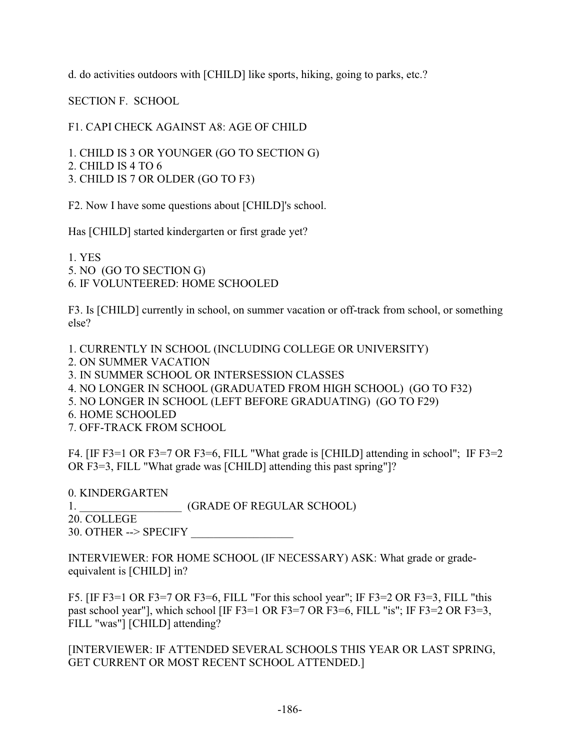d. do activities outdoors with [CHILD] like sports, hiking, going to parks, etc.?

SECTION F. SCHOOL

F1. CAPI CHECK AGAINST A8: AGE OF CHILD

1. CHILD IS 3 OR YOUNGER (GO TO SECTION G)

2. CHILD IS 4 TO 6

3. CHILD IS 7 OR OLDER (GO TO F3)

F2. Now I have some questions about [CHILD]'s school.

Has [CHILD] started kindergarten or first grade yet?

1. YES 5. NO (GO TO SECTION G) 6. IF VOLUNTEERED: HOME SCHOOLED

F3. Is [CHILD] currently in school, on summer vacation or off-track from school, or something else?

1. CURRENTLY IN SCHOOL (INCLUDING COLLEGE OR UNIVERSITY)

2. ON SUMMER VACATION

3. IN SUMMER SCHOOL OR INTERSESSION CLASSES

4. NO LONGER IN SCHOOL (GRADUATED FROM HIGH SCHOOL) (GO TO F32)

- 5. NO LONGER IN SCHOOL (LEFT BEFORE GRADUATING) (GO TO F29)
- 6. HOME SCHOOLED
- 7. OFF-TRACK FROM SCHOOL

F4. [IF F3=1 OR F3=7 OR F3=6, FILL "What grade is [CHILD] attending in school"; IF F3=2 OR F3=3, FILL "What grade was [CHILD] attending this past spring"]?

0. KINDERGARTEN 1. **GRADE OF REGULAR SCHOOL**) 20. COLLEGE  $30.$  OTHER --> SPECIFY

INTERVIEWER: FOR HOME SCHOOL (IF NECESSARY) ASK: What grade or gradeequivalent is [CHILD] in?

F5. [IF F3=1 OR F3=7 OR F3=6, FILL "For this school year"; IF F3=2 OR F3=3, FILL "this past school year"], which school [IF F3=1 OR F3=7 OR F3=6, FILL "is"; IF F3=2 OR F3=3, FILL "was"] [CHILD] attending?

[INTERVIEWER: IF ATTENDED SEVERAL SCHOOLS THIS YEAR OR LAST SPRING, GET CURRENT OR MOST RECENT SCHOOL ATTENDED.]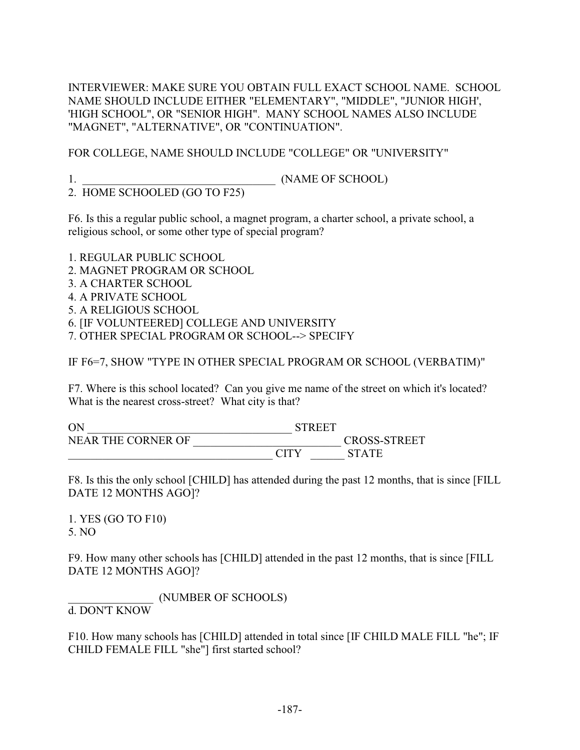INTERVIEWER: MAKE SURE YOU OBTAIN FULL EXACT SCHOOL NAME. SCHOOL NAME SHOULD INCLUDE EITHER "ELEMENTARY", "MIDDLE", "JUNIOR HIGH', 'HIGH SCHOOL", OR "SENIOR HIGH". MANY SCHOOL NAMES ALSO INCLUDE "MAGNET", "ALTERNATIVE", OR "CONTINUATION".

FOR COLLEGE, NAME SHOULD INCLUDE "COLLEGE" OR "UNIVERSITY"

1. \_\_\_\_\_\_\_\_\_\_\_\_\_\_\_\_\_\_\_\_\_\_\_\_\_\_\_\_\_\_\_\_\_\_ (NAME OF SCHOOL)

2. HOME SCHOOLED (GO TO F25)

F6. Is this a regular public school, a magnet program, a charter school, a private school, a religious school, or some other type of special program?

1. REGULAR PUBLIC SCHOOL

2. MAGNET PROGRAM OR SCHOOL

3. A CHARTER SCHOOL

4. A PRIVATE SCHOOL

5. A RELIGIOUS SCHOOL

6. [IF VOLUNTEERED] COLLEGE AND UNIVERSITY

7. OTHER SPECIAL PROGRAM OR SCHOOL--> SPECIFY

IF F6=7, SHOW "TYPE IN OTHER SPECIAL PROGRAM OR SCHOOL (VERBATIM)"

F7. Where is this school located? Can you give me name of the street on which it's located? What is the nearest cross-street? What city is that?

ON \_\_\_\_\_\_\_\_\_\_\_\_\_\_\_\_\_\_\_\_\_\_\_\_\_\_\_\_\_\_\_\_\_\_\_\_ STREET NEAR THE CORNER OF \_\_\_\_\_\_\_\_\_\_\_\_\_\_\_\_\_\_\_\_\_\_\_\_\_\_ CROSS-STREET \_\_\_\_\_\_\_\_\_\_\_\_\_\_\_\_\_\_\_\_\_\_\_\_\_\_\_\_\_\_\_\_\_\_\_\_ CITY \_\_\_\_\_\_ STATE

F8. Is this the only school [CHILD] has attended during the past 12 months, that is since [FILL DATE 12 MONTHS AGO]?

1. YES (GO TO F10) 5. NO

F9. How many other schools has [CHILD] attended in the past 12 months, that is since [FILL DATE 12 MONTHS AGO]?

\_\_\_\_\_\_\_\_\_\_\_\_\_\_\_ (NUMBER OF SCHOOLS) d. DON'T KNOW

F10. How many schools has [CHILD] attended in total since [IF CHILD MALE FILL "he"; IF CHILD FEMALE FILL "she"] first started school?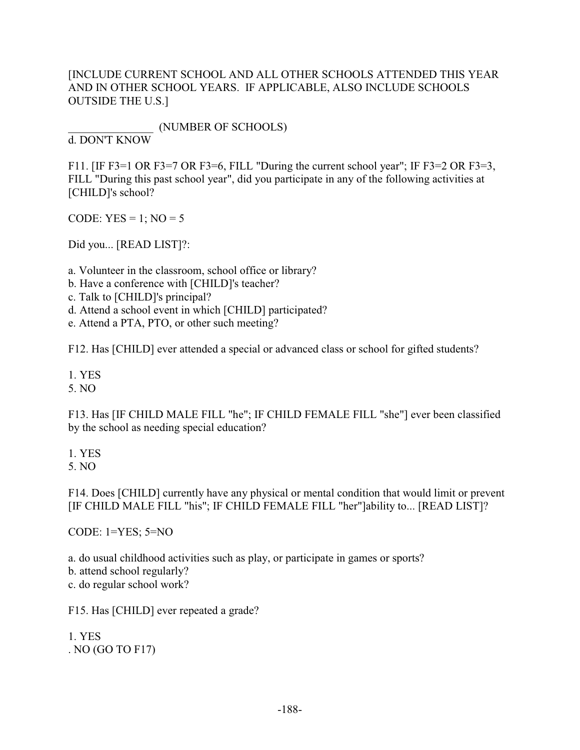# [INCLUDE CURRENT SCHOOL AND ALL OTHER SCHOOLS ATTENDED THIS YEAR AND IN OTHER SCHOOL YEARS. IF APPLICABLE, ALSO INCLUDE SCHOOLS OUTSIDE THE U.S.]

\_\_\_\_\_\_\_\_\_\_\_\_\_\_\_ (NUMBER OF SCHOOLS)

d. DON'T KNOW

F11. [IF F3=1 OR F3=7 OR F3=6, FILL "During the current school year"; IF F3=2 OR F3=3, FILL "During this past school year", did you participate in any of the following activities at [CHILD]'s school?

CODE:  $YES = 1$ ;  $NO = 5$ 

Did you... [READ LIST]?:

a. Volunteer in the classroom, school office or library?

b. Have a conference with [CHILD]'s teacher?

c. Talk to [CHILD]'s principal?

d. Attend a school event in which [CHILD] participated?

e. Attend a PTA, PTO, or other such meeting?

F12. Has [CHILD] ever attended a special or advanced class or school for gifted students?

1. YES

5. NO

F13. Has [IF CHILD MALE FILL "he"; IF CHILD FEMALE FILL "she"] ever been classified by the school as needing special education?

1. YES

5. NO

F14. Does [CHILD] currently have any physical or mental condition that would limit or prevent [IF CHILD MALE FILL "his"; IF CHILD FEMALE FILL "her"]ability to... [READ LIST]?

CODE: 1=YES; 5=NO

a. do usual childhood activities such as play, or participate in games or sports? b. attend school regularly? c. do regular school work?

F15. Has [CHILD] ever repeated a grade?

1. YES . NO (GO TO F17)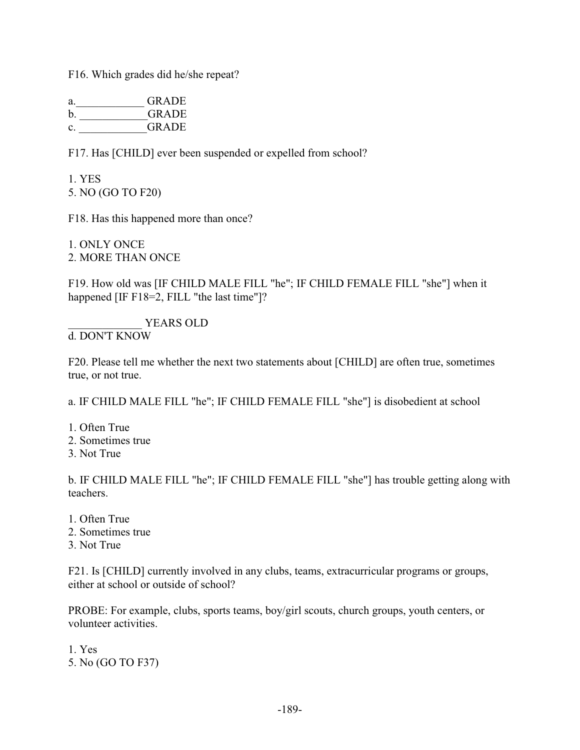F16. Which grades did he/she repeat?

| a.             | <b>GRADE</b> |
|----------------|--------------|
| b <sub>1</sub> | <b>GRADE</b> |
| C.             | <b>GRADE</b> |

F17. Has [CHILD] ever been suspended or expelled from school?

1. YES 5. NO (GO TO F20)

F18. Has this happened more than once?

1. ONLY ONCE 2. MORE THAN ONCE

F19. How old was [IF CHILD MALE FILL "he"; IF CHILD FEMALE FILL "she"] when it happened [IF F18=2, FILL "the last time"]?

YEARS OLD d. DON'T KNOW

F20. Please tell me whether the next two statements about [CHILD] are often true, sometimes true, or not true.

a. IF CHILD MALE FILL "he"; IF CHILD FEMALE FILL "she"] is disobedient at school

- 1. Often True
- 2. Sometimes true
- 3. Not True

b. IF CHILD MALE FILL "he"; IF CHILD FEMALE FILL "she"] has trouble getting along with teachers.

- 1. Often True
- 2. Sometimes true
- 3. Not True

F21. Is [CHILD] currently involved in any clubs, teams, extracurricular programs or groups, either at school or outside of school?

PROBE: For example, clubs, sports teams, boy/girl scouts, church groups, youth centers, or volunteer activities.

1. Yes 5. No (GO TO F37)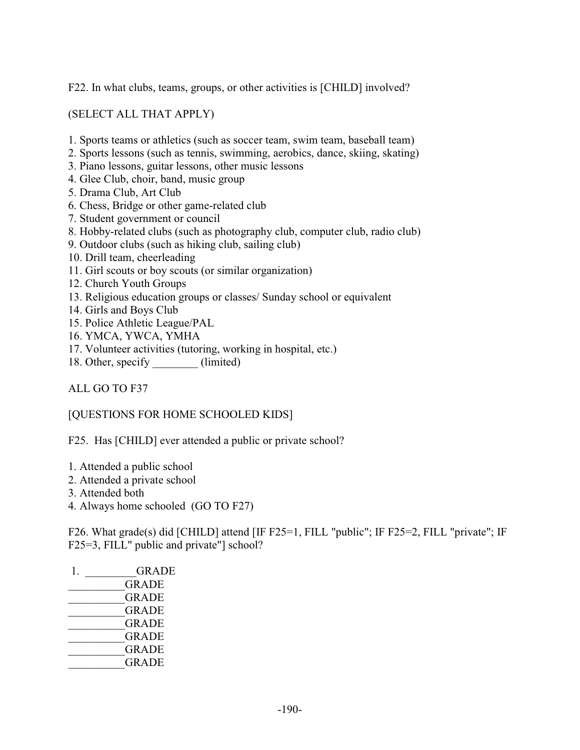F22. In what clubs, teams, groups, or other activities is [CHILD] involved?

(SELECT ALL THAT APPLY)

- 1. Sports teams or athletics (such as soccer team, swim team, baseball team)
- 2. Sports lessons (such as tennis, swimming, aerobics, dance, skiing, skating)
- 3. Piano lessons, guitar lessons, other music lessons
- 4. Glee Club, choir, band, music group
- 5. Drama Club, Art Club
- 6. Chess, Bridge or other game-related club
- 7. Student government or council
- 8. Hobby-related clubs (such as photography club, computer club, radio club)
- 9. Outdoor clubs (such as hiking club, sailing club)
- 10. Drill team, cheerleading
- 11. Girl scouts or boy scouts (or similar organization)
- 12. Church Youth Groups
- 13. Religious education groups or classes/ Sunday school or equivalent
- 14. Girls and Boys Club
- 15. Police Athletic League/PAL
- 16. YMCA, YWCA, YMHA
- 17. Volunteer activities (tutoring, working in hospital, etc.)
- 18. Other, specify \_\_\_\_\_\_\_\_\_ (limited)

ALL GO TO F37

[QUESTIONS FOR HOME SCHOOLED KIDS]

F25. Has [CHILD] ever attended a public or private school?

- 1. Attended a public school
- 2. Attended a private school
- 3. Attended both
- 4. Always home schooled (GO TO F27)

F26. What grade(s) did [CHILD] attend [IF F25=1, FILL "public"; IF F25=2, FILL "private"; IF F25=3, FILL" public and private"] school?

| GRADE        |
|--------------|
| <b>GRADE</b> |
| <b>GRADE</b> |
| <b>GRADE</b> |
| <b>GRADE</b> |
| <b>GRADE</b> |
| <b>GRADE</b> |
| <b>GRADE</b> |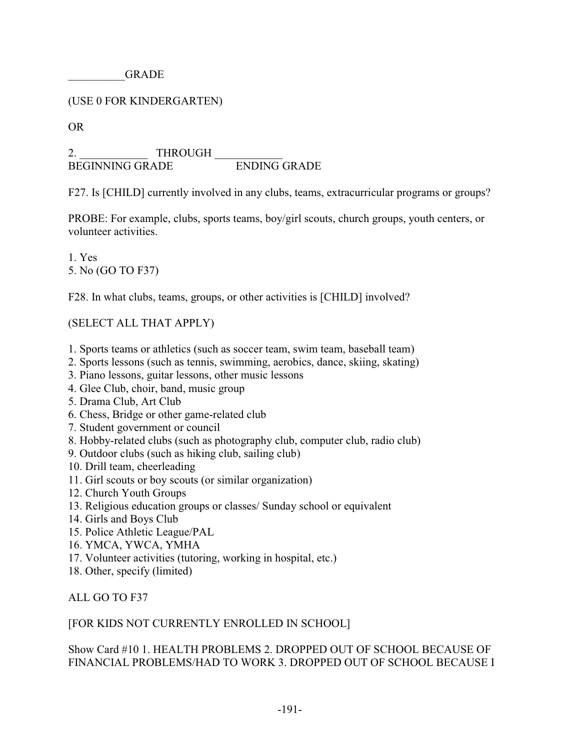GRADE

# (USE 0 FOR KINDERGARTEN)

OR

2. THROUGH BEGINNING GRADE ENDING GRADE

F27. Is [CHILD] currently involved in any clubs, teams, extracurricular programs or groups?

PROBE: For example, clubs, sports teams, boy/girl scouts, church groups, youth centers, or volunteer activities.

1. Yes 5. No (GO TO F37)

F28. In what clubs, teams, groups, or other activities is [CHILD] involved?

(SELECT ALL THAT APPLY)

- 1. Sports teams or athletics (such as soccer team, swim team, baseball team)
- 2. Sports lessons (such as tennis, swimming, aerobics, dance, skiing, skating)
- 3. Piano lessons, guitar lessons, other music lessons
- 4. Glee Club, choir, band, music group
- 5. Drama Club, Art Club
- 6. Chess, Bridge or other game-related club
- 7. Student government or council
- 8. Hobby-related clubs (such as photography club, computer club, radio club)
- 9. Outdoor clubs (such as hiking club, sailing club)
- 10. Drill team, cheerleading
- 11. Girl scouts or boy scouts (or similar organization)
- 12. Church Youth Groups
- 13. Religious education groups or classes/ Sunday school or equivalent
- 14. Girls and Boys Club
- 15. Police Athletic League/PAL
- 16. YMCA, YWCA, YMHA
- 17. Volunteer activities (tutoring, working in hospital, etc.)
- 18. Other, specify (limited)

ALL GO TO F37

# [FOR KIDS NOT CURRENTLY ENROLLED IN SCHOOL]

# Show Card #10 1. HEALTH PROBLEMS 2. DROPPED OUT OF SCHOOL BECAUSE OF FINANCIAL PROBLEMS/HAD TO WORK 3. DROPPED OUT OF SCHOOL BECAUSE I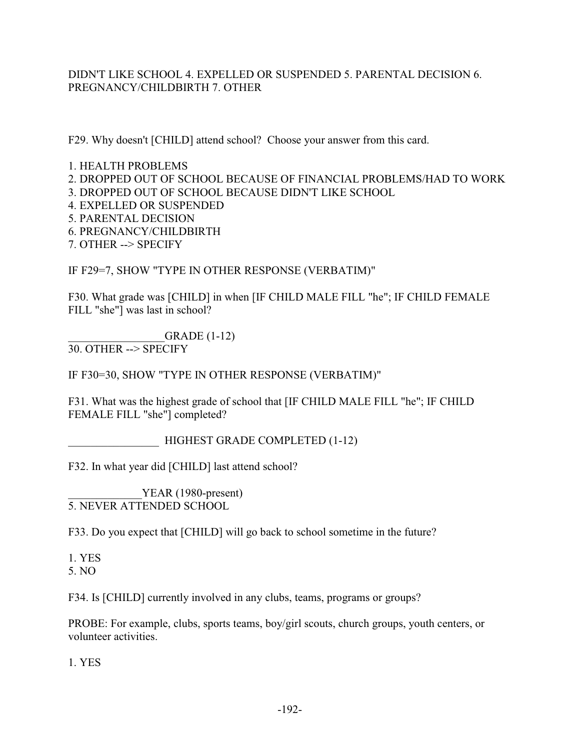# DIDN'T LIKE SCHOOL 4. EXPELLED OR SUSPENDED 5. PARENTAL DECISION 6. PREGNANCY/CHILDBIRTH 7. OTHER

F29. Why doesn't [CHILD] attend school? Choose your answer from this card.

1. HEALTH PROBLEMS

2. DROPPED OUT OF SCHOOL BECAUSE OF FINANCIAL PROBLEMS/HAD TO WORK

3. DROPPED OUT OF SCHOOL BECAUSE DIDN'T LIKE SCHOOL

4. EXPELLED OR SUSPENDED

5. PARENTAL DECISION

6. PREGNANCY/CHILDBIRTH

7. OTHER --> SPECIFY

IF F29=7, SHOW "TYPE IN OTHER RESPONSE (VERBATIM)"

F30. What grade was [CHILD] in when [IF CHILD MALE FILL "he"; IF CHILD FEMALE FILL "she"] was last in school?

\_\_\_\_\_\_\_\_\_\_\_\_\_\_\_\_\_GRADE (1-12) 30. OTHER --> SPECIFY

IF F30=30, SHOW "TYPE IN OTHER RESPONSE (VERBATIM)"

F31. What was the highest grade of school that [IF CHILD MALE FILL "he"; IF CHILD FEMALE FILL "she"] completed?

\_\_\_\_\_\_\_\_\_\_\_\_\_\_\_\_ HIGHEST GRADE COMPLETED (1-12)

F32. In what year did [CHILD] last attend school?

YEAR (1980-present) 5. NEVER ATTENDED SCHOOL

F33. Do you expect that [CHILD] will go back to school sometime in the future?

1. YES 5. NO

F34. Is [CHILD] currently involved in any clubs, teams, programs or groups?

PROBE: For example, clubs, sports teams, boy/girl scouts, church groups, youth centers, or volunteer activities.

1. YES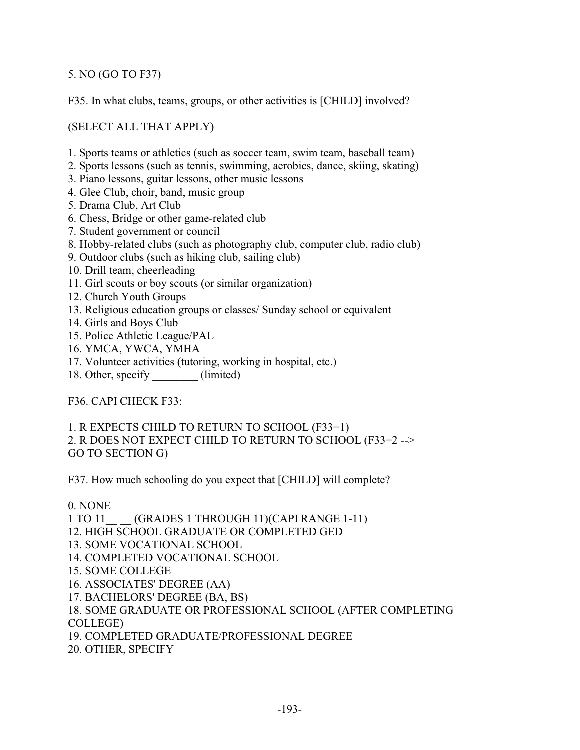5. NO (GO TO F37)

F35. In what clubs, teams, groups, or other activities is [CHILD] involved?

(SELECT ALL THAT APPLY)

- 1. Sports teams or athletics (such as soccer team, swim team, baseball team)
- 2. Sports lessons (such as tennis, swimming, aerobics, dance, skiing, skating)
- 3. Piano lessons, guitar lessons, other music lessons
- 4. Glee Club, choir, band, music group
- 5. Drama Club, Art Club
- 6. Chess, Bridge or other game-related club
- 7. Student government or council
- 8. Hobby-related clubs (such as photography club, computer club, radio club)
- 9. Outdoor clubs (such as hiking club, sailing club)
- 10. Drill team, cheerleading
- 11. Girl scouts or boy scouts (or similar organization)
- 12. Church Youth Groups
- 13. Religious education groups or classes/ Sunday school or equivalent
- 14. Girls and Boys Club
- 15. Police Athletic League/PAL
- 16. YMCA, YWCA, YMHA
- 17. Volunteer activities (tutoring, working in hospital, etc.)
- 18. Other, specify (limited)

F36. CAPI CHECK F33:

1. R EXPECTS CHILD TO RETURN TO SCHOOL (F33=1) 2. R DOES NOT EXPECT CHILD TO RETURN TO SCHOOL (F33=2 --> GO TO SECTION G)

F37. How much schooling do you expect that [CHILD] will complete?

### 0. NONE

1 TO 11 (GRADES 1 THROUGH 11)(CAPI RANGE 1-11)

12. HIGH SCHOOL GRADUATE OR COMPLETED GED

- 13. SOME VOCATIONAL SCHOOL
- 14. COMPLETED VOCATIONAL SCHOOL
- 15. SOME COLLEGE
- 16. ASSOCIATES' DEGREE (AA)
- 17. BACHELORS' DEGREE (BA, BS)
- 18. SOME GRADUATE OR PROFESSIONAL SCHOOL (AFTER COMPLETING COLLEGE)

19. COMPLETED GRADUATE/PROFESSIONAL DEGREE

20. OTHER, SPECIFY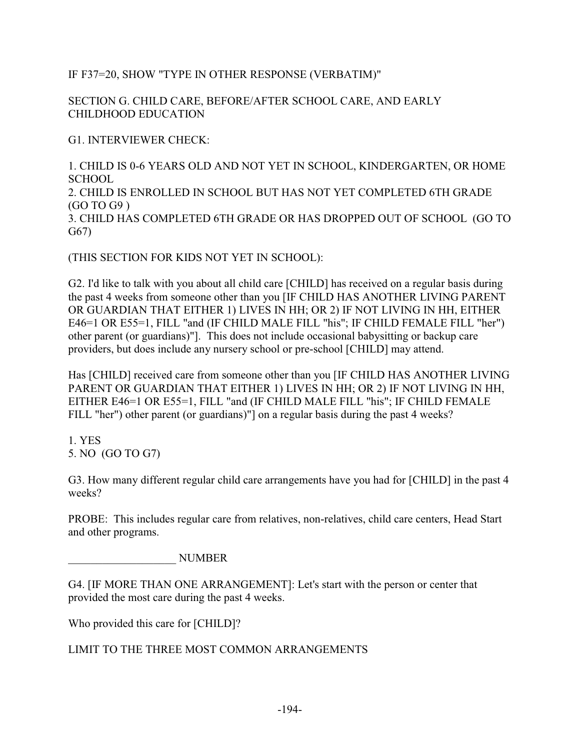IF F37=20, SHOW "TYPE IN OTHER RESPONSE (VERBATIM)"

SECTION G. CHILD CARE, BEFORE/AFTER SCHOOL CARE, AND EARLY CHILDHOOD EDUCATION

G1. INTERVIEWER CHECK:

1. CHILD IS 0-6 YEARS OLD AND NOT YET IN SCHOOL, KINDERGARTEN, OR HOME SCHOOL 2. CHILD IS ENROLLED IN SCHOOL BUT HAS NOT YET COMPLETED 6TH GRADE (GO TO G9 ) 3. CHILD HAS COMPLETED 6TH GRADE OR HAS DROPPED OUT OF SCHOOL (GO TO G67)

(THIS SECTION FOR KIDS NOT YET IN SCHOOL):

G2. I'd like to talk with you about all child care [CHILD] has received on a regular basis during the past 4 weeks from someone other than you [IF CHILD HAS ANOTHER LIVING PARENT OR GUARDIAN THAT EITHER 1) LIVES IN HH; OR 2) IF NOT LIVING IN HH, EITHER E46=1 OR E55=1, FILL "and (IF CHILD MALE FILL "his"; IF CHILD FEMALE FILL "her") other parent (or guardians)"]. This does not include occasional babysitting or backup care providers, but does include any nursery school or pre-school [CHILD] may attend.

Has [CHILD] received care from someone other than you [IF CHILD HAS ANOTHER LIVING PARENT OR GUARDIAN THAT EITHER 1) LIVES IN HH; OR 2) IF NOT LIVING IN HH, EITHER E46=1 OR E55=1, FILL "and (IF CHILD MALE FILL "his"; IF CHILD FEMALE FILL "her") other parent (or guardians)"] on a regular basis during the past 4 weeks?

1. YES 5. NO (GO TO G7)

G3. How many different regular child care arrangements have you had for [CHILD] in the past 4 weeks?

PROBE: This includes regular care from relatives, non-relatives, child care centers, Head Start and other programs.

\_\_\_\_\_\_\_\_\_\_\_\_\_\_\_\_\_\_\_ NUMBER

G4. [IF MORE THAN ONE ARRANGEMENT]: Let's start with the person or center that provided the most care during the past 4 weeks.

Who provided this care for [CHILD]?

LIMIT TO THE THREE MOST COMMON ARRANGEMENTS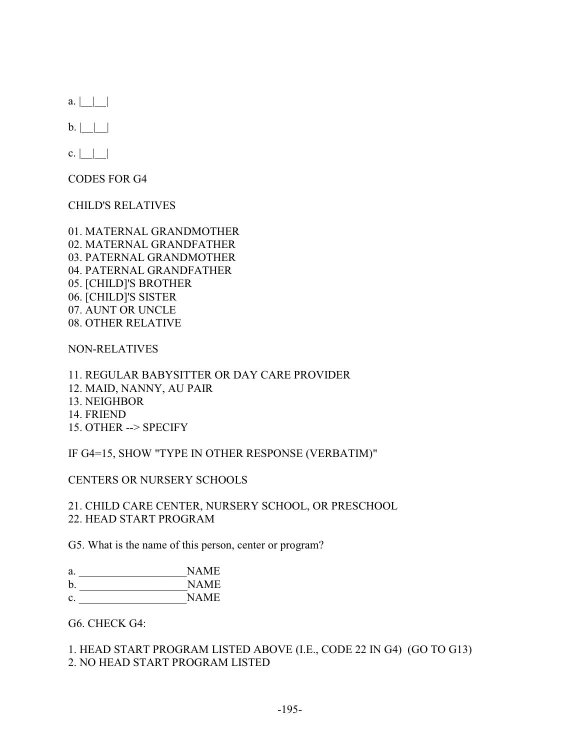$a. |$  | |

 $b. |$  | |

 $c. |$  | |

CODES FOR G4

CHILD'S RELATIVES

01. MATERNAL GRANDMOTHER 02. MATERNAL GRANDFATHER 03. PATERNAL GRANDMOTHER 04. PATERNAL GRANDFATHER 05. [CHILD]'S BROTHER 06. [CHILD]'S SISTER 07. AUNT OR UNCLE 08. OTHER RELATIVE

NON-RELATIVES

11. REGULAR BABYSITTER OR DAY CARE PROVIDER 12. MAID, NANNY, AU PAIR 13. NEIGHBOR 14. FRIEND 15. OTHER --> SPECIFY

IF G4=15, SHOW "TYPE IN OTHER RESPONSE (VERBATIM)"

CENTERS OR NURSERY SCHOOLS

21. CHILD CARE CENTER, NURSERY SCHOOL, OR PRESCHOOL 22. HEAD START PROGRAM

G5. What is the name of this person, center or program?

| a. | NAME |
|----|------|
| b. | NAME |
| c. | NAME |

G6. CHECK G4:

1. HEAD START PROGRAM LISTED ABOVE (I.E., CODE 22 IN G4) (GO TO G13) 2. NO HEAD START PROGRAM LISTED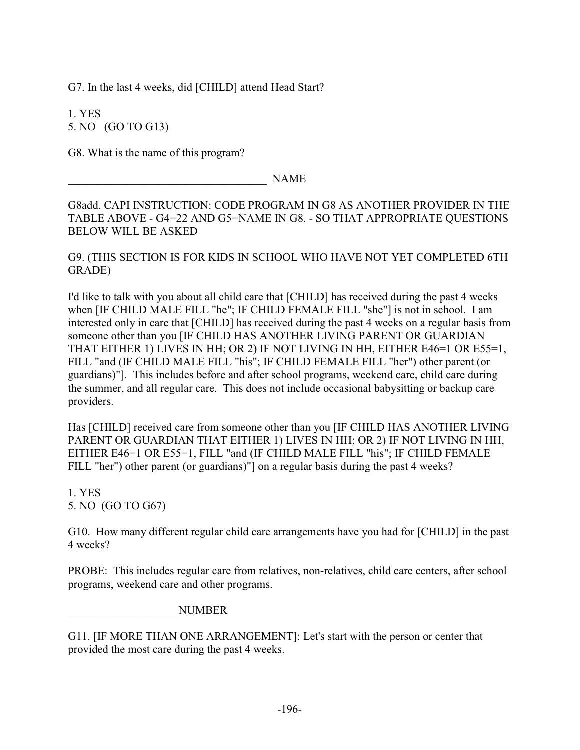G7. In the last 4 weeks, did [CHILD] attend Head Start?

1. YES 5. NO (GO TO G13)

G8. What is the name of this program?

NAME

G8add. CAPI INSTRUCTION: CODE PROGRAM IN G8 AS ANOTHER PROVIDER IN THE TABLE ABOVE - G4=22 AND G5=NAME IN G8. - SO THAT APPROPRIATE QUESTIONS BELOW WILL BE ASKED

G9. (THIS SECTION IS FOR KIDS IN SCHOOL WHO HAVE NOT YET COMPLETED 6TH GRADE)

I'd like to talk with you about all child care that [CHILD] has received during the past 4 weeks when [IF CHILD MALE FILL "he"; IF CHILD FEMALE FILL "she"] is not in school. I am interested only in care that [CHILD] has received during the past 4 weeks on a regular basis from someone other than you [IF CHILD HAS ANOTHER LIVING PARENT OR GUARDIAN THAT EITHER 1) LIVES IN HH; OR 2) IF NOT LIVING IN HH, EITHER E46=1 OR E55=1, FILL "and (IF CHILD MALE FILL "his"; IF CHILD FEMALE FILL "her") other parent (or guardians)"]. This includes before and after school programs, weekend care, child care during the summer, and all regular care. This does not include occasional babysitting or backup care providers.

Has [CHILD] received care from someone other than you [IF CHILD HAS ANOTHER LIVING PARENT OR GUARDIAN THAT EITHER 1) LIVES IN HH; OR 2) IF NOT LIVING IN HH, EITHER E46=1 OR E55=1, FILL "and (IF CHILD MALE FILL "his"; IF CHILD FEMALE FILL "her") other parent (or guardians)"] on a regular basis during the past 4 weeks?

1. YES 5. NO (GO TO G67)

G10. How many different regular child care arrangements have you had for [CHILD] in the past 4 weeks?

PROBE: This includes regular care from relatives, non-relatives, child care centers, after school programs, weekend care and other programs.

 $\Box$  NUMBER

G11. [IF MORE THAN ONE ARRANGEMENT]: Let's start with the person or center that provided the most care during the past 4 weeks.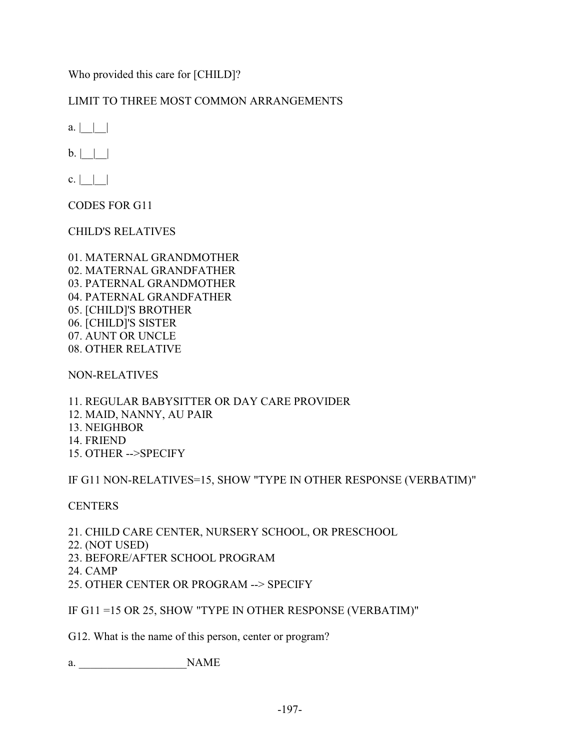Who provided this care for [CHILD]?

# LIMIT TO THREE MOST COMMON ARRANGEMENTS

 $a.$ | | |

 $b. |$  | |

 $c. |$  | |

CODES FOR G11

CHILD'S RELATIVES

01. MATERNAL GRANDMOTHER 02. MATERNAL GRANDFATHER 03. PATERNAL GRANDMOTHER 04. PATERNAL GRANDFATHER 05. [CHILD]'S BROTHER 06. [CHILD]'S SISTER 07. AUNT OR UNCLE 08. OTHER RELATIVE

NON-RELATIVES

11. REGULAR BABYSITTER OR DAY CARE PROVIDER 12. MAID, NANNY, AU PAIR 13. NEIGHBOR 14. FRIEND 15. OTHER -->SPECIFY

IF G11 NON-RELATIVES=15, SHOW "TYPE IN OTHER RESPONSE (VERBATIM)"

# **CENTERS**

21. CHILD CARE CENTER, NURSERY SCHOOL, OR PRESCHOOL

22. (NOT USED)

23. BEFORE/AFTER SCHOOL PROGRAM

- 24. CAMP
- 25. OTHER CENTER OR PROGRAM --> SPECIFY

IF G11 =15 OR 25, SHOW "TYPE IN OTHER RESPONSE (VERBATIM)"

G12. What is the name of this person, center or program?

a.  $NAME$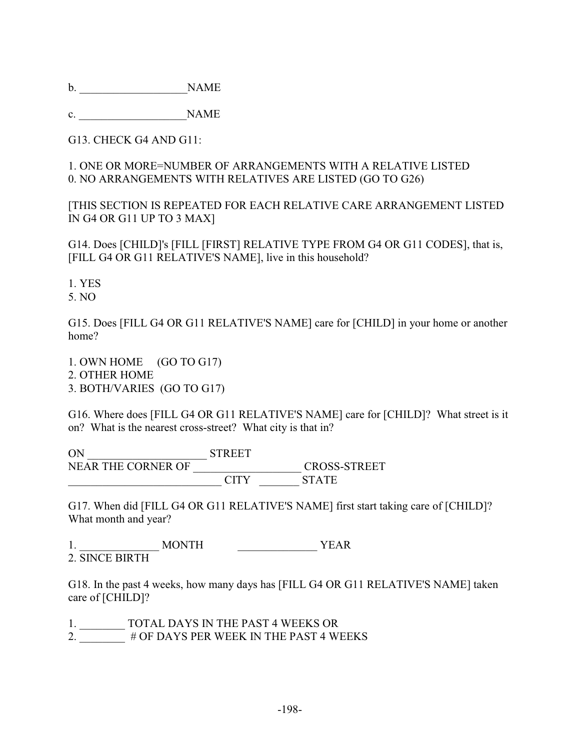b. \_\_\_\_\_\_\_\_\_\_\_\_\_\_\_\_\_\_\_NAME

c. NAME

G13. CHECK G4 AND G11:

# 1. ONE OR MORE=NUMBER OF ARRANGEMENTS WITH A RELATIVE LISTED 0. NO ARRANGEMENTS WITH RELATIVES ARE LISTED (GO TO G26)

[THIS SECTION IS REPEATED FOR EACH RELATIVE CARE ARRANGEMENT LISTED IN G4 OR G11 UP TO 3 MAX]

G14. Does [CHILD]'s [FILL [FIRST] RELATIVE TYPE FROM G4 OR G11 CODES], that is, [FILL G4 OR G11 RELATIVE'S NAME], live in this household?

1. YES

5. NO

G15. Does [FILL G4 OR G11 RELATIVE'S NAME] care for [CHILD] in your home or another home?

1. OWN HOME (GO TO G17) 2. OTHER HOME 3. BOTH/VARIES (GO TO G17)

G16. Where does [FILL G4 OR G11 RELATIVE'S NAME] care for [CHILD]? What street is it on? What is the nearest cross-street? What city is that in?

ON \_\_\_\_\_\_\_\_\_\_\_\_\_\_\_\_\_\_\_\_\_ STREET NEAR THE CORNER OF \_\_\_\_\_\_\_\_\_\_\_\_\_\_\_\_\_\_\_ CROSS-STREET \_\_\_\_\_\_\_\_\_\_\_\_\_\_\_\_\_\_\_\_\_\_\_\_\_\_\_ CITY \_\_\_\_\_\_\_ STATE

G17. When did [FILL G4 OR G11 RELATIVE'S NAME] first start taking care of [CHILD]? What month and year?

1. \_\_\_\_\_\_\_\_\_\_\_\_\_\_ MONTH \_\_\_\_\_\_\_\_\_\_\_\_\_\_ YEAR 2. SINCE BIRTH

G18. In the past 4 weeks, how many days has [FILL G4 OR G11 RELATIVE'S NAME] taken care of [CHILD]?

1. \_\_\_\_\_\_\_\_ TOTAL DAYS IN THE PAST 4 WEEKS OR

2. \_\_\_\_\_\_\_\_ # OF DAYS PER WEEK IN THE PAST 4 WEEKS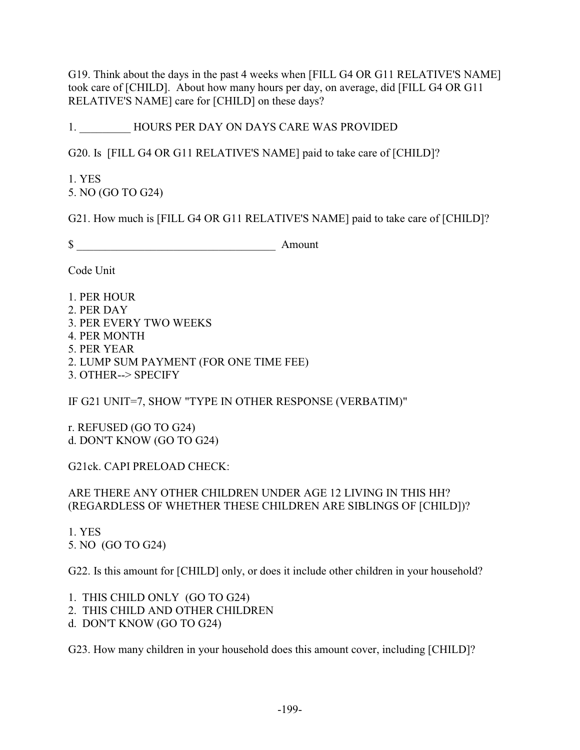G19. Think about the days in the past 4 weeks when [FILL G4 OR G11 RELATIVE'S NAME] took care of [CHILD]. About how many hours per day, on average, did [FILL G4 OR G11 RELATIVE'S NAME] care for [CHILD] on these days?

1. HOURS PER DAY ON DAYS CARE WAS PROVIDED

G20. Is [FILL G4 OR G11 RELATIVE'S NAME] paid to take care of [CHILD]?

1. YES 5. NO (GO TO G24)

G21. How much is [FILL G4 OR G11 RELATIVE'S NAME] paid to take care of [CHILD]?

 $\$  Amount

Code Unit

- 1. PER HOUR
- 2. PER DAY
- 3. PER EVERY TWO WEEKS
- 4. PER MONTH
- 5. PER YEAR
- 2. LUMP SUM PAYMENT (FOR ONE TIME FEE)
- 3. OTHER--> SPECIFY

IF G21 UNIT=7, SHOW "TYPE IN OTHER RESPONSE (VERBATIM)"

r. REFUSED (GO TO G24) d. DON'T KNOW (GO TO G24)

G21ck. CAPI PRELOAD CHECK:

ARE THERE ANY OTHER CHILDREN UNDER AGE 12 LIVING IN THIS HH? (REGARDLESS OF WHETHER THESE CHILDREN ARE SIBLINGS OF [CHILD])?

1. YES 5. NO (GO TO G24)

G22. Is this amount for [CHILD] only, or does it include other children in your household?

1. THIS CHILD ONLY (GO TO G24)

- 2. THIS CHILD AND OTHER CHILDREN
- d. DON'T KNOW (GO TO G24)

G23. How many children in your household does this amount cover, including [CHILD]?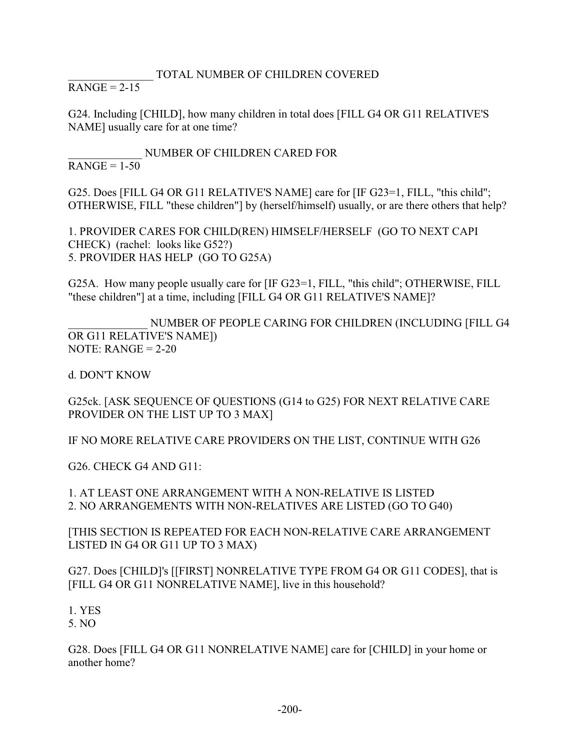# \_\_\_\_\_\_\_\_\_\_\_\_\_\_\_ TOTAL NUMBER OF CHILDREN COVERED

 $RANGE = 2-15$ 

G24. Including [CHILD], how many children in total does [FILL G4 OR G11 RELATIVE'S NAME] usually care for at one time?

\_\_\_\_\_\_\_\_\_\_\_\_\_ NUMBER OF CHILDREN CARED FOR  $RANGE = 1-50$ 

G25. Does [FILL G4 OR G11 RELATIVE'S NAME] care for [IF G23=1, FILL, "this child"; OTHERWISE, FILL "these children"] by (herself/himself) usually, or are there others that help?

1. PROVIDER CARES FOR CHILD(REN) HIMSELF/HERSELF (GO TO NEXT CAPI CHECK) (rachel: looks like G52?) 5. PROVIDER HAS HELP (GO TO G25A)

G25A. How many people usually care for [IF G23=1, FILL, "this child"; OTHERWISE, FILL "these children"] at a time, including [FILL G4 OR G11 RELATIVE'S NAME]?

NUMBER OF PEOPLE CARING FOR CHILDREN (INCLUDING [FILL G4 OR G11 RELATIVE'S NAME]) NOTE:  $RANGE = 2-20$ 

d. DON'T KNOW

G25ck. [ASK SEQUENCE OF QUESTIONS (G14 to G25) FOR NEXT RELATIVE CARE PROVIDER ON THE LIST UP TO 3 MAX]

IF NO MORE RELATIVE CARE PROVIDERS ON THE LIST, CONTINUE WITH G26

G26. CHECK G4 AND G11:

1. AT LEAST ONE ARRANGEMENT WITH A NON-RELATIVE IS LISTED 2. NO ARRANGEMENTS WITH NON-RELATIVES ARE LISTED (GO TO G40)

[THIS SECTION IS REPEATED FOR EACH NON-RELATIVE CARE ARRANGEMENT LISTED IN G4 OR G11 UP TO 3 MAX)

G27. Does [CHILD]'s [[FIRST] NONRELATIVE TYPE FROM G4 OR G11 CODES], that is [FILL G4 OR G11 NONRELATIVE NAME], live in this household?

1. YES 5. NO

G28. Does [FILL G4 OR G11 NONRELATIVE NAME] care for [CHILD] in your home or another home?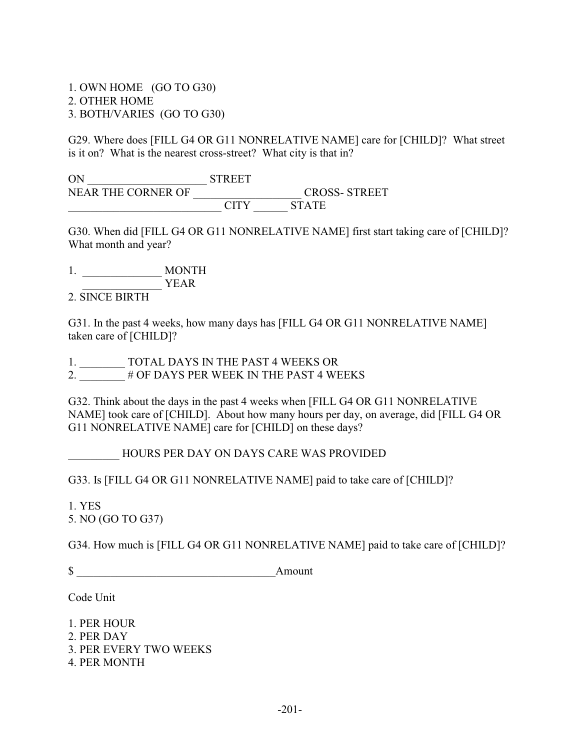1. OWN HOME (GO TO G30) 2. OTHER HOME 3. BOTH/VARIES (GO TO G30)

G29. Where does [FILL G4 OR G11 NONRELATIVE NAME] care for [CHILD]? What street is it on? What is the nearest cross-street? What city is that in?

ON \_\_\_\_\_\_\_\_\_\_\_\_\_\_\_\_\_\_\_\_\_ STREET NEAR THE CORNER OF \_\_\_\_\_\_\_\_\_\_\_\_\_\_\_\_\_\_\_ CROSS- STREET \_\_\_\_\_\_\_\_\_\_\_\_\_\_\_\_\_\_\_\_\_\_\_\_\_\_\_ CITY \_\_\_\_\_\_ STATE

G30. When did [FILL G4 OR G11 NONRELATIVE NAME] first start taking care of [CHILD]? What month and year?

1. \_\_\_\_\_\_\_\_\_\_\_\_\_\_ MONTH \_\_\_\_\_\_\_\_\_\_\_\_\_\_ YEAR

2. SINCE BIRTH

G31. In the past 4 weeks, how many days has [FILL G4 OR G11 NONRELATIVE NAME] taken care of [CHILD]?

1. \_\_\_\_\_\_\_\_ TOTAL DAYS IN THE PAST 4 WEEKS OR 2. # OF DAYS PER WEEK IN THE PAST 4 WEEKS

G32. Think about the days in the past 4 weeks when [FILL G4 OR G11 NONRELATIVE NAME] took care of [CHILD]. About how many hours per day, on average, did [FILL G4 OR G11 NONRELATIVE NAME] care for [CHILD] on these days?

\_\_\_\_\_\_\_\_\_ HOURS PER DAY ON DAYS CARE WAS PROVIDED

G33. Is [FILL G4 OR G11 NONRELATIVE NAME] paid to take care of [CHILD]?

1. YES 5. NO (GO TO G37)

G34. How much is [FILL G4 OR G11 NONRELATIVE NAME] paid to take care of [CHILD]?

\$ \_\_\_\_\_\_\_\_\_\_\_\_\_\_\_\_\_\_\_\_\_\_\_\_\_\_\_\_\_\_\_\_\_\_\_Amount

Code Unit

1. PER HOUR 2. PER DAY 3. PER EVERY TWO WEEKS 4. PER MONTH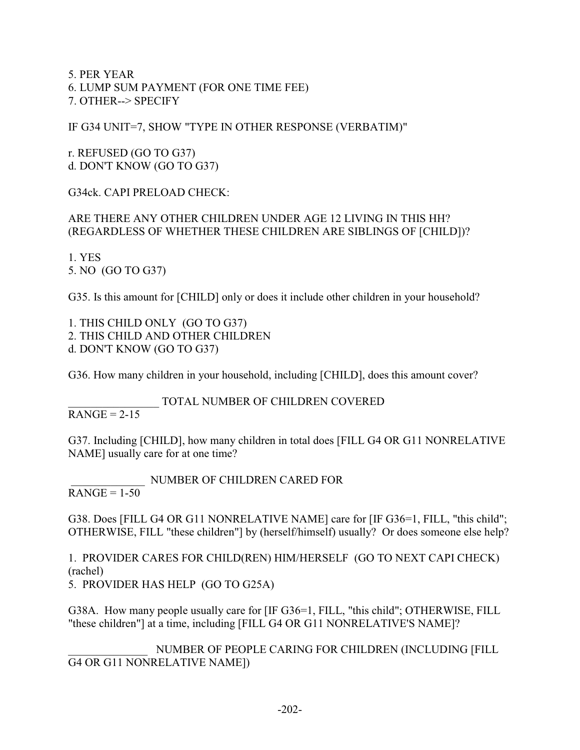5. PER YEAR 6. LUMP SUM PAYMENT (FOR ONE TIME FEE) 7. OTHER--> SPECIFY

IF G34 UNIT=7, SHOW "TYPE IN OTHER RESPONSE (VERBATIM)"

r. REFUSED (GO TO G37) d. DON'T KNOW (GO TO G37)

G34ck. CAPI PRELOAD CHECK:

# ARE THERE ANY OTHER CHILDREN UNDER AGE 12 LIVING IN THIS HH? (REGARDLESS OF WHETHER THESE CHILDREN ARE SIBLINGS OF [CHILD])?

1. YES 5. NO (GO TO G37)

G35. Is this amount for [CHILD] only or does it include other children in your household?

1. THIS CHILD ONLY (GO TO G37) 2. THIS CHILD AND OTHER CHILDREN d. DON'T KNOW (GO TO G37)

G36. How many children in your household, including [CHILD], does this amount cover?

\_\_\_\_\_\_\_\_\_\_\_\_\_\_\_\_ TOTAL NUMBER OF CHILDREN COVERED

 $RANGE = 2-15$ 

G37. Including [CHILD], how many children in total does [FILL G4 OR G11 NONRELATIVE NAME] usually care for at one time?

 \_\_\_\_\_\_\_\_\_\_\_\_\_ NUMBER OF CHILDREN CARED FOR  $RANGE = 1-50$ 

G38. Does [FILL G4 OR G11 NONRELATIVE NAME] care for [IF G36=1, FILL, "this child"; OTHERWISE, FILL "these children"] by (herself/himself) usually? Or does someone else help?

1. PROVIDER CARES FOR CHILD(REN) HIM/HERSELF (GO TO NEXT CAPI CHECK) (rachel) 5. PROVIDER HAS HELP (GO TO G25A)

G38A. How many people usually care for [IF G36=1, FILL, "this child"; OTHERWISE, FILL "these children"] at a time, including [FILL G4 OR G11 NONRELATIVE'S NAME]?

NUMBER OF PEOPLE CARING FOR CHILDREN (INCLUDING [FILL G4 OR G11 NONRELATIVE NAME])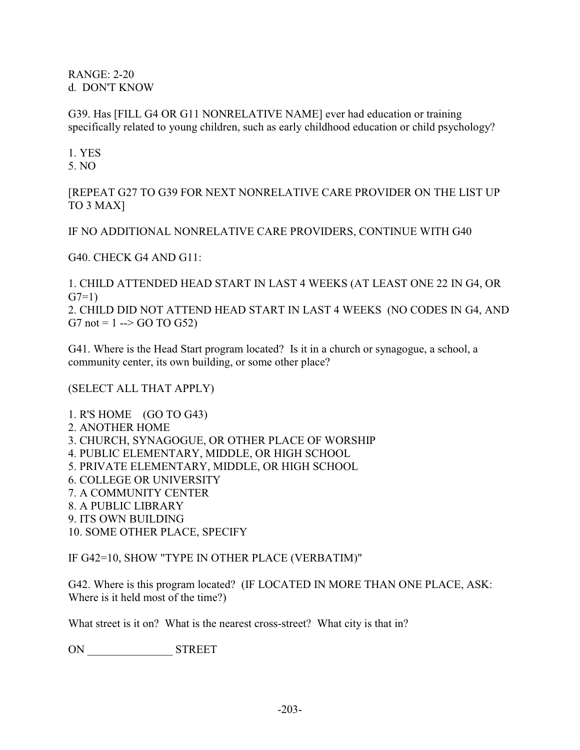RANGE: 2-20 d. DON'T KNOW

G39. Has [FILL G4 OR G11 NONRELATIVE NAME] ever had education or training specifically related to young children, such as early childhood education or child psychology?

1. YES 5. NO

[REPEAT G27 TO G39 FOR NEXT NONRELATIVE CARE PROVIDER ON THE LIST UP TO 3 MAX]

IF NO ADDITIONAL NONRELATIVE CARE PROVIDERS, CONTINUE WITH G40

G40. CHECK G4 AND G11:

1. CHILD ATTENDED HEAD START IN LAST 4 WEEKS (AT LEAST ONE 22 IN G4, OR  $G7=1$ )

2. CHILD DID NOT ATTEND HEAD START IN LAST 4 WEEKS (NO CODES IN G4, AND G7 not = 1 --> GO TO G52)

G41. Where is the Head Start program located? Is it in a church or synagogue, a school, a community center, its own building, or some other place?

(SELECT ALL THAT APPLY)

1. R'S HOME (GO TO G43) 2. ANOTHER HOME 3. CHURCH, SYNAGOGUE, OR OTHER PLACE OF WORSHIP 4. PUBLIC ELEMENTARY, MIDDLE, OR HIGH SCHOOL 5. PRIVATE ELEMENTARY, MIDDLE, OR HIGH SCHOOL 6. COLLEGE OR UNIVERSITY 7. A COMMUNITY CENTER 8. A PUBLIC LIBRARY 9. ITS OWN BUILDING 10. SOME OTHER PLACE, SPECIFY

IF G42=10, SHOW "TYPE IN OTHER PLACE (VERBATIM)"

G42. Where is this program located? (IF LOCATED IN MORE THAN ONE PLACE, ASK: Where is it held most of the time?)

What street is it on? What is the nearest cross-street? What city is that in?

ON \_\_\_\_\_\_\_\_\_\_\_\_\_\_\_ STREET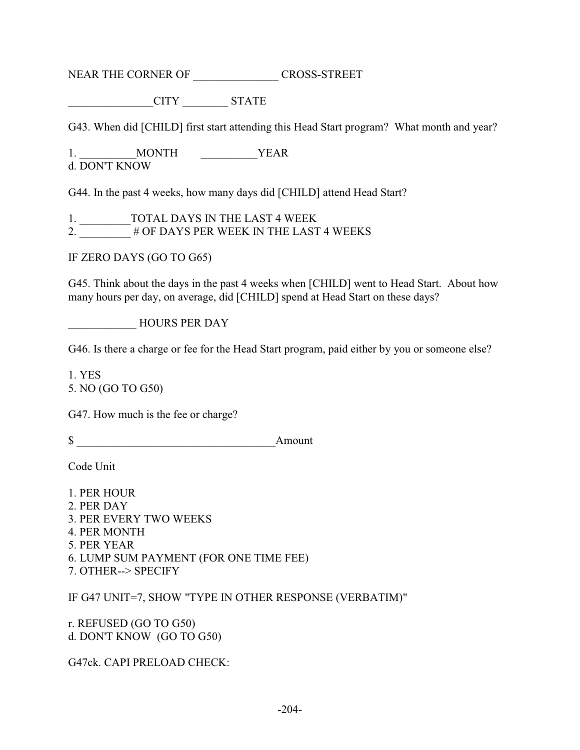NEAR THE CORNER OF GROSS-STREET

\_\_\_\_\_\_\_\_\_\_\_\_\_\_\_CITY \_\_\_\_\_\_\_\_ STATE

G43. When did [CHILD] first start attending this Head Start program? What month and year?

1. MONTH YEAR d. DON'T KNOW

G44. In the past 4 weeks, how many days did [CHILD] attend Head Start?

1. \_\_\_\_\_\_\_\_\_TOTAL DAYS IN THE LAST 4 WEEK 2.  $\overline{\hspace{1cm}}$  # OF DAYS PER WEEK IN THE LAST 4 WEEKS

IF ZERO DAYS (GO TO G65)

G45. Think about the days in the past 4 weeks when [CHILD] went to Head Start. About how many hours per day, on average, did [CHILD] spend at Head Start on these days?

\_\_\_\_\_\_\_\_\_\_\_\_ HOURS PER DAY

G46. Is there a charge or fee for the Head Start program, paid either by you or someone else?

1. YES 5. NO (GO TO G50)

G47. How much is the fee or charge?

\$ \_\_\_\_\_\_\_\_\_\_\_\_\_\_\_\_\_\_\_\_\_\_\_\_\_\_\_\_\_\_\_\_\_\_\_Amount

Code Unit

1. PER HOUR 2. PER DAY 3. PER EVERY TWO WEEKS 4. PER MONTH 5. PER YEAR 6. LUMP SUM PAYMENT (FOR ONE TIME FEE) 7. OTHER--> SPECIFY

IF G47 UNIT=7, SHOW "TYPE IN OTHER RESPONSE (VERBATIM)"

r. REFUSED (GO TO G50) d. DON'T KNOW (GO TO G50)

G47ck. CAPI PRELOAD CHECK: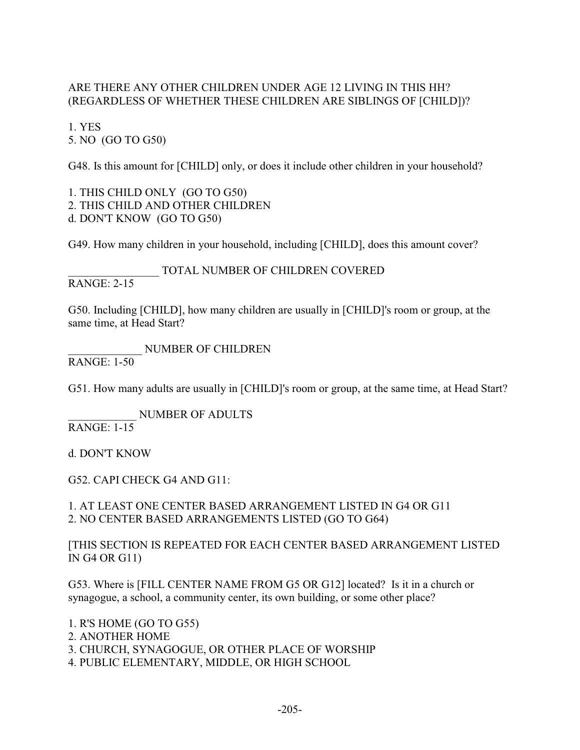### ARE THERE ANY OTHER CHILDREN UNDER AGE 12 LIVING IN THIS HH? (REGARDLESS OF WHETHER THESE CHILDREN ARE SIBLINGS OF [CHILD])?

1. YES 5. NO (GO TO G50)

G48. Is this amount for [CHILD] only, or does it include other children in your household?

1. THIS CHILD ONLY (GO TO G50) 2. THIS CHILD AND OTHER CHILDREN d. DON'T KNOW (GO TO G50)

G49. How many children in your household, including [CHILD], does this amount cover?

TOTAL NUMBER OF CHILDREN COVERED RANGE: 2-15

G50. Including [CHILD], how many children are usually in [CHILD]'s room or group, at the same time, at Head Start?

\_\_\_\_\_\_\_\_\_\_\_\_\_ NUMBER OF CHILDREN RANGE: 1-50

G51. How many adults are usually in [CHILD]'s room or group, at the same time, at Head Start?

\_\_\_\_\_\_\_\_\_\_\_\_ NUMBER OF ADULTS RANGE: 1-15

d. DON'T KNOW

G52. CAPI CHECK G4 AND G11:

1. AT LEAST ONE CENTER BASED ARRANGEMENT LISTED IN G4 OR G11 2. NO CENTER BASED ARRANGEMENTS LISTED (GO TO G64)

[THIS SECTION IS REPEATED FOR EACH CENTER BASED ARRANGEMENT LISTED IN G4 OR G11)

G53. Where is [FILL CENTER NAME FROM G5 OR G12] located? Is it in a church or synagogue, a school, a community center, its own building, or some other place?

1. R'S HOME (GO TO G55) 2. ANOTHER HOME 3. CHURCH, SYNAGOGUE, OR OTHER PLACE OF WORSHIP 4. PUBLIC ELEMENTARY, MIDDLE, OR HIGH SCHOOL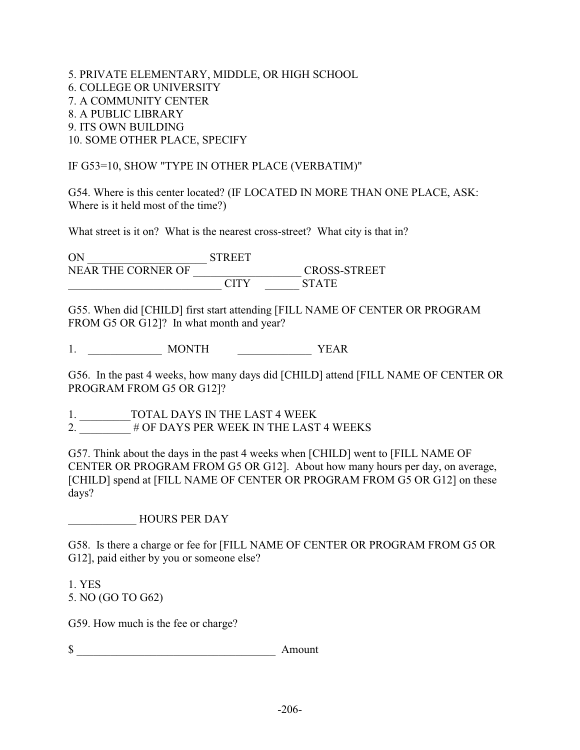5. PRIVATE ELEMENTARY, MIDDLE, OR HIGH SCHOOL 6. COLLEGE OR UNIVERSITY 7. A COMMUNITY CENTER 8. A PUBLIC LIBRARY 9. ITS OWN BUILDING 10. SOME OTHER PLACE, SPECIFY

## IF G53=10, SHOW "TYPE IN OTHER PLACE (VERBATIM)"

G54. Where is this center located? (IF LOCATED IN MORE THAN ONE PLACE, ASK: Where is it held most of the time?)

What street is it on? What is the nearest cross-street? What city is that in?

ON \_\_\_\_\_\_\_\_\_\_\_\_\_\_\_\_\_\_\_\_\_ STREET NEAR THE CORNER OF \_\_\_\_\_\_\_\_\_\_\_\_\_\_\_\_\_\_\_ CROSS-STREET \_\_\_\_\_\_\_\_\_\_\_\_\_\_\_\_\_\_\_\_\_\_\_\_\_\_\_ CITY \_\_\_\_\_\_ STATE

G55. When did [CHILD] first start attending [FILL NAME OF CENTER OR PROGRAM FROM G5 OR G12]? In what month and year?

1. \_\_\_\_\_\_\_\_\_\_\_\_\_ MONTH \_\_\_\_\_\_\_\_\_\_\_\_\_\_\_\_ YEAR

G56. In the past 4 weeks, how many days did [CHILD] attend [FILL NAME OF CENTER OR PROGRAM FROM G5 OR G12]?

1. \_\_\_\_\_\_\_\_\_TOTAL DAYS IN THE LAST 4 WEEK 2.  $\#$  OF DAYS PER WEEK IN THE LAST 4 WEEKS

G57. Think about the days in the past 4 weeks when [CHILD] went to [FILL NAME OF CENTER OR PROGRAM FROM G5 OR G12]. About how many hours per day, on average, [CHILD] spend at [FILL NAME OF CENTER OR PROGRAM FROM G5 OR G12] on these days?

\_\_\_\_\_\_\_\_\_\_\_\_ HOURS PER DAY

G58. Is there a charge or fee for [FILL NAME OF CENTER OR PROGRAM FROM G5 OR G12], paid either by you or someone else?

1. YES 5. NO (GO TO G62)

G59. How much is the fee or charge?

 $\$   $\qquad \qquad$  Amount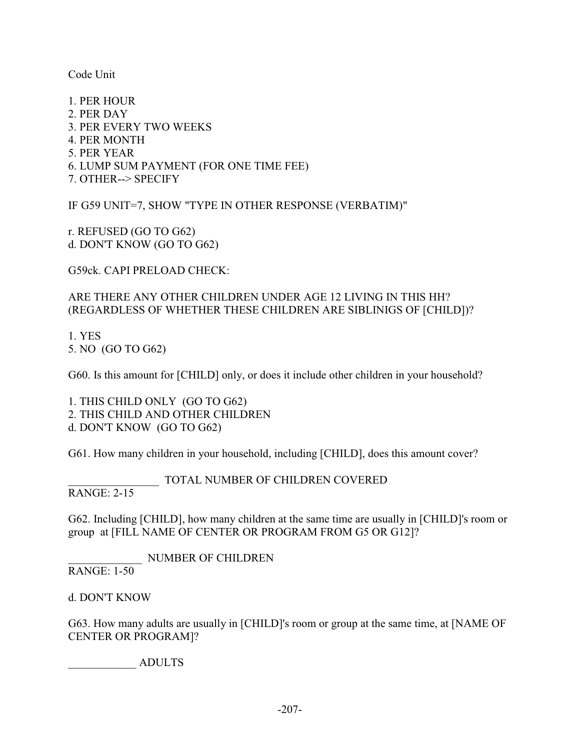Code Unit

1. PER HOUR 2. PER DAY 3. PER EVERY TWO WEEKS 4. PER MONTH 5. PER YEAR 6. LUMP SUM PAYMENT (FOR ONE TIME FEE) 7. OTHER--> SPECIFY

IF G59 UNIT=7, SHOW "TYPE IN OTHER RESPONSE (VERBATIM)"

r. REFUSED (GO TO G62) d. DON'T KNOW (GO TO G62)

G59ck. CAPI PRELOAD CHECK:

## ARE THERE ANY OTHER CHILDREN UNDER AGE 12 LIVING IN THIS HH? (REGARDLESS OF WHETHER THESE CHILDREN ARE SIBLINIGS OF [CHILD])?

1. YES 5. NO (GO TO G62)

G60. Is this amount for [CHILD] only, or does it include other children in your household?

1. THIS CHILD ONLY (GO TO G62) 2. THIS CHILD AND OTHER CHILDREN d. DON'T KNOW (GO TO G62)

G61. How many children in your household, including [CHILD], does this amount cover?

### TOTAL NUMBER OF CHILDREN COVERED

RANGE: 2-15

G62. Including [CHILD], how many children at the same time are usually in [CHILD]'s room or group at [FILL NAME OF CENTER OR PROGRAM FROM G5 OR G12]?

\_\_\_\_\_\_\_\_\_\_\_\_\_ NUMBER OF CHILDREN

RANGE: 1-50

d. DON'T KNOW

G63. How many adults are usually in [CHILD]'s room or group at the same time, at [NAME OF CENTER OR PROGRAM]?

\_\_\_\_\_\_\_\_\_\_\_\_ ADULTS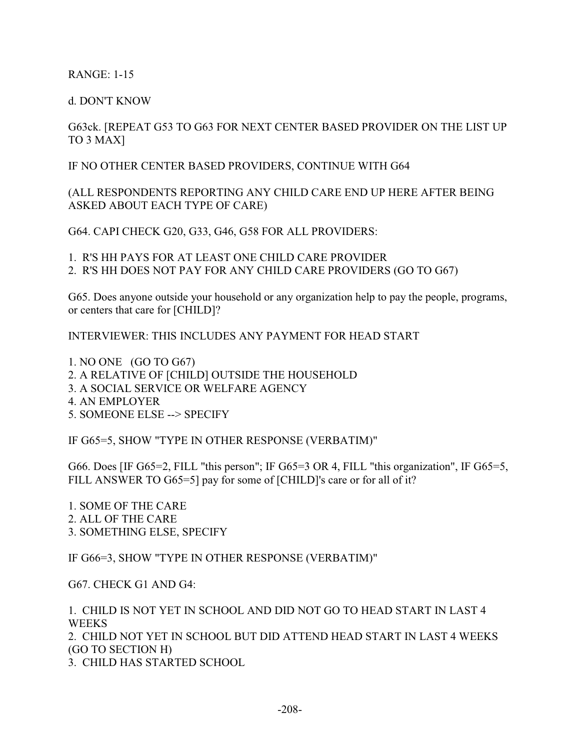RANGE: 1-15

d. DON'T KNOW

# G63ck. [REPEAT G53 TO G63 FOR NEXT CENTER BASED PROVIDER ON THE LIST UP TO 3 MAX]

IF NO OTHER CENTER BASED PROVIDERS, CONTINUE WITH G64

(ALL RESPONDENTS REPORTING ANY CHILD CARE END UP HERE AFTER BEING ASKED ABOUT EACH TYPE OF CARE)

G64. CAPI CHECK G20, G33, G46, G58 FOR ALL PROVIDERS:

1. R'S HH PAYS FOR AT LEAST ONE CHILD CARE PROVIDER

2. R'S HH DOES NOT PAY FOR ANY CHILD CARE PROVIDERS (GO TO G67)

G65. Does anyone outside your household or any organization help to pay the people, programs, or centers that care for [CHILD]?

INTERVIEWER: THIS INCLUDES ANY PAYMENT FOR HEAD START

1. NO ONE (GO TO G67) 2. A RELATIVE OF [CHILD] OUTSIDE THE HOUSEHOLD 3. A SOCIAL SERVICE OR WELFARE AGENCY 4. AN EMPLOYER 5. SOMEONE ELSE --> SPECIFY

IF G65=5, SHOW "TYPE IN OTHER RESPONSE (VERBATIM)"

G66. Does [IF G65=2, FILL "this person"; IF G65=3 OR 4, FILL "this organization", IF G65=5, FILL ANSWER TO G65=5] pay for some of [CHILD]'s care or for all of it?

1. SOME OF THE CARE 2. ALL OF THE CARE 3. SOMETHING ELSE, SPECIFY

IF G66=3, SHOW "TYPE IN OTHER RESPONSE (VERBATIM)"

G67. CHECK G1 AND G4:

1. CHILD IS NOT YET IN SCHOOL AND DID NOT GO TO HEAD START IN LAST 4 **WEEKS** 2. CHILD NOT YET IN SCHOOL BUT DID ATTEND HEAD START IN LAST 4 WEEKS (GO TO SECTION H)

3. CHILD HAS STARTED SCHOOL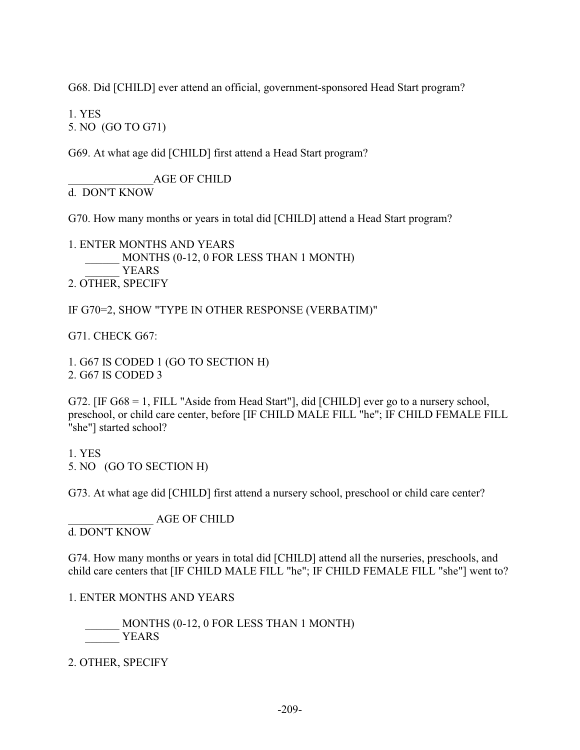G68. Did [CHILD] ever attend an official, government-sponsored Head Start program?

1. YES

5. NO (GO TO G71)

G69. At what age did [CHILD] first attend a Head Start program?

\_\_\_\_\_\_\_\_\_\_\_\_\_\_\_AGE OF CHILD d. DON'T KNOW

G70. How many months or years in total did [CHILD] attend a Head Start program?

1. ENTER MONTHS AND YEARS MONTHS (0-12, 0 FOR LESS THAN 1 MONTH) YEARS 2. OTHER, SPECIFY

IF G70=2, SHOW "TYPE IN OTHER RESPONSE (VERBATIM)"

G71. CHECK G67:

1. G67 IS CODED 1 (GO TO SECTION H) 2. G67 IS CODED 3

G72. [IF G68 = 1, FILL "Aside from Head Start"], did [CHILD] ever go to a nursery school, preschool, or child care center, before [IF CHILD MALE FILL "he"; IF CHILD FEMALE FILL "she"] started school?

1. YES 5. NO (GO TO SECTION H)

G73. At what age did [CHILD] first attend a nursery school, preschool or child care center?

\_\_\_\_\_\_\_\_\_\_\_\_\_\_\_ AGE OF CHILD

d. DON'T KNOW

G74. How many months or years in total did [CHILD] attend all the nurseries, preschools, and child care centers that [IF CHILD MALE FILL "he"; IF CHILD FEMALE FILL "she"] went to?

1. ENTER MONTHS AND YEARS

 \_\_\_\_\_\_ MONTHS (0-12, 0 FOR LESS THAN 1 MONTH) YEARS

2. OTHER, SPECIFY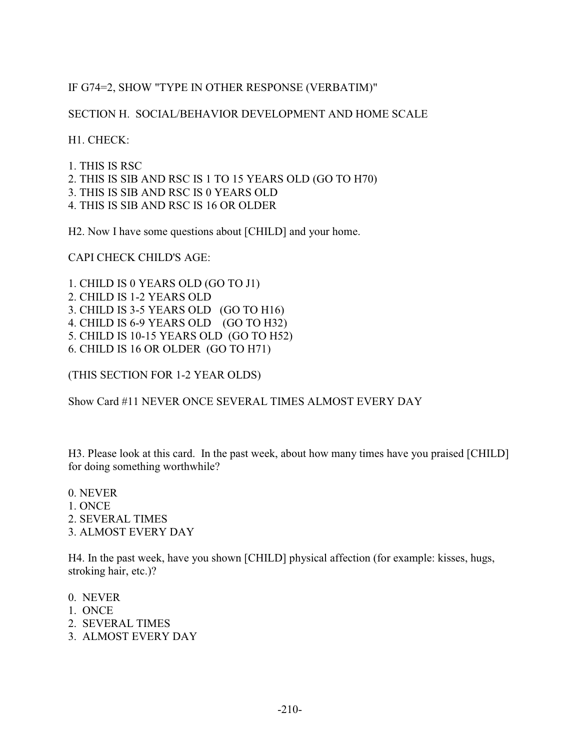# IF G74=2, SHOW "TYPE IN OTHER RESPONSE (VERBATIM)"

## SECTION H. SOCIAL/BEHAVIOR DEVELOPMENT AND HOME SCALE

H1. CHECK:

1. THIS IS RSC 2. THIS IS SIB AND RSC IS 1 TO 15 YEARS OLD (GO TO H70) 3. THIS IS SIB AND RSC IS 0 YEARS OLD 4. THIS IS SIB AND RSC IS 16 OR OLDER

H2. Now I have some questions about [CHILD] and your home.

CAPI CHECK CHILD'S AGE:

1. CHILD IS 0 YEARS OLD (GO TO J1) 2. CHILD IS 1-2 YEARS OLD 3. CHILD IS 3-5 YEARS OLD (GO TO H16) 4. CHILD IS 6-9 YEARS OLD (GO TO H32) 5. CHILD IS 10-15 YEARS OLD (GO TO H52) 6. CHILD IS 16 OR OLDER (GO TO H71)

(THIS SECTION FOR 1-2 YEAR OLDS)

Show Card #11 NEVER ONCE SEVERAL TIMES ALMOST EVERY DAY

H3. Please look at this card. In the past week, about how many times have you praised [CHILD] for doing something worthwhile?

0. NEVER 1. ONCE 2. SEVERAL TIMES 3. ALMOST EVERY DAY

H4. In the past week, have you shown [CHILD] physical affection (for example: kisses, hugs, stroking hair, etc.)?

- 0. NEVER
- 1. ONCE
- 2. SEVERAL TIMES
- 3. ALMOST EVERY DAY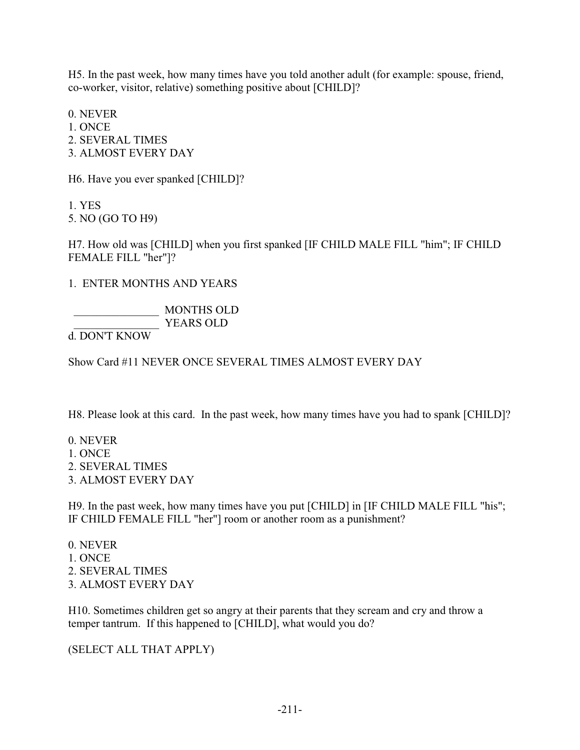H5. In the past week, how many times have you told another adult (for example: spouse, friend, co-worker, visitor, relative) something positive about [CHILD]?

0. NEVER 1. ONCE 2. SEVERAL TIMES 3. ALMOST EVERY DAY

H6. Have you ever spanked [CHILD]?

1. YES 5. NO (GO TO H9)

H7. How old was [CHILD] when you first spanked [IF CHILD MALE FILL "him"; IF CHILD FEMALE FILL "her"]?

1. ENTER MONTHS AND YEARS

 \_\_\_\_\_\_\_\_\_\_\_\_\_\_\_ MONTHS OLD YEARS OLD

d. DON'T KNOW

Show Card #11 NEVER ONCE SEVERAL TIMES ALMOST EVERY DAY

H8. Please look at this card. In the past week, how many times have you had to spank [CHILD]?

0. NEVER 1. ONCE 2. SEVERAL TIMES 3. ALMOST EVERY DAY

H9. In the past week, how many times have you put [CHILD] in [IF CHILD MALE FILL "his"; IF CHILD FEMALE FILL "her"] room or another room as a punishment?

0. NEVER 1. ONCE 2. SEVERAL TIMES 3. ALMOST EVERY DAY

H10. Sometimes children get so angry at their parents that they scream and cry and throw a temper tantrum. If this happened to [CHILD], what would you do?

(SELECT ALL THAT APPLY)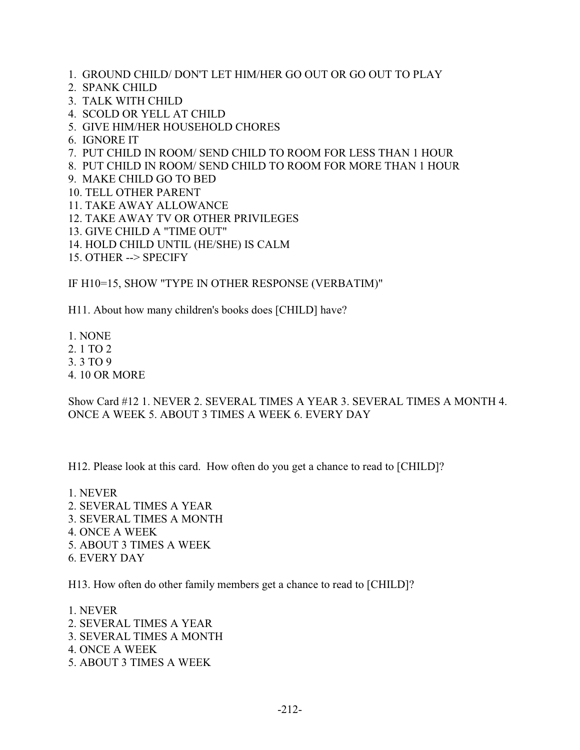- 1. GROUND CHILD/ DON'T LET HIM/HER GO OUT OR GO OUT TO PLAY
- 2. SPANK CHILD
- 3. TALK WITH CHILD
- 4. SCOLD OR YELL AT CHILD
- 5. GIVE HIM/HER HOUSEHOLD CHORES
- 6. IGNORE IT
- 7. PUT CHILD IN ROOM/ SEND CHILD TO ROOM FOR LESS THAN 1 HOUR
- 8. PUT CHILD IN ROOM/ SEND CHILD TO ROOM FOR MORE THAN 1 HOUR
- 9. MAKE CHILD GO TO BED
- 10. TELL OTHER PARENT
- 11. TAKE AWAY ALLOWANCE
- 12. TAKE AWAY TV OR OTHER PRIVILEGES
- 13. GIVE CHILD A "TIME OUT"
- 14. HOLD CHILD UNTIL (HE/SHE) IS CALM
- 15. OTHER --> SPECIFY

IF H10=15, SHOW "TYPE IN OTHER RESPONSE (VERBATIM)"

H11. About how many children's books does [CHILD] have?

- 1. NONE
- 2. 1 TO 2
- 3. 3 TO 9
- 4. 10 OR MORE

Show Card #12 1. NEVER 2. SEVERAL TIMES A YEAR 3. SEVERAL TIMES A MONTH 4. ONCE A WEEK 5. ABOUT 3 TIMES A WEEK 6. EVERY DAY

H12. Please look at this card. How often do you get a chance to read to [CHILD]?

1. NEVER 2. SEVERAL TIMES A YEAR 3. SEVERAL TIMES A MONTH 4. ONCE A WEEK 5. ABOUT 3 TIMES A WEEK 6. EVERY DAY

H13. How often do other family members get a chance to read to [CHILD]?

1. NEVER 2. SEVERAL TIMES A YEAR 3. SEVERAL TIMES A MONTH 4. ONCE A WEEK 5. ABOUT 3 TIMES A WEEK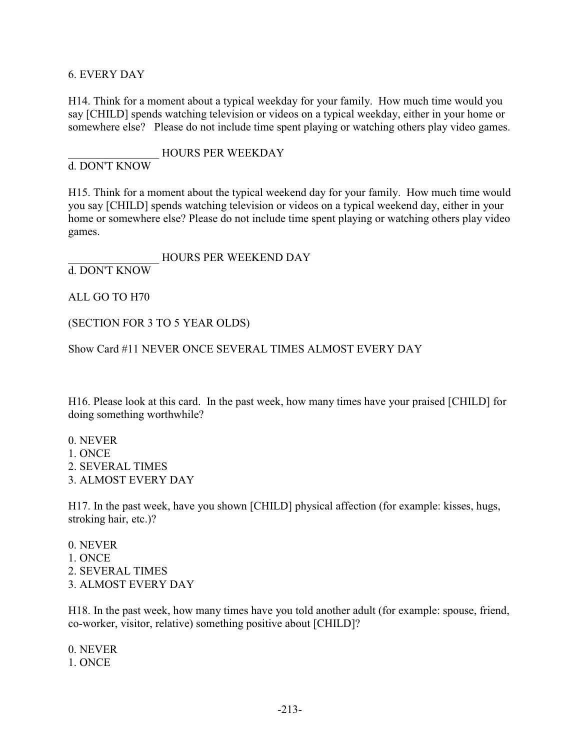#### 6. EVERY DAY

H14. Think for a moment about a typical weekday for your family. How much time would you say [CHILD] spends watching television or videos on a typical weekday, either in your home or somewhere else? Please do not include time spent playing or watching others play video games.

\_\_\_\_\_\_\_\_\_\_\_\_\_\_\_\_ HOURS PER WEEKDAY d. DON'T KNOW

H15. Think for a moment about the typical weekend day for your family. How much time would you say [CHILD] spends watching television or videos on a typical weekend day, either in your home or somewhere else? Please do not include time spent playing or watching others play video games.

HOURS PER WEEKEND DAY d. DON'T KNOW

ALL GO TO H70

(SECTION FOR 3 TO 5 YEAR OLDS)

Show Card #11 NEVER ONCE SEVERAL TIMES ALMOST EVERY DAY

H16. Please look at this card. In the past week, how many times have your praised [CHILD] for doing something worthwhile?

0. NEVER 1. ONCE 2. SEVERAL TIMES 3. ALMOST EVERY DAY

H17. In the past week, have you shown [CHILD] physical affection (for example: kisses, hugs, stroking hair, etc.)?

0. NEVER 1. ONCE 2. SEVERAL TIMES 3. ALMOST EVERY DAY

H18. In the past week, how many times have you told another adult (for example: spouse, friend, co-worker, visitor, relative) something positive about [CHILD]?

0. NEVER 1. ONCE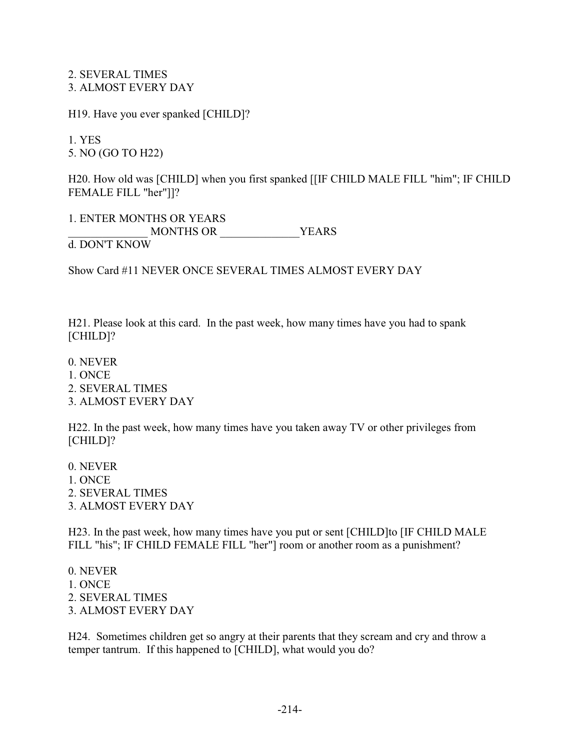2. SEVERAL TIMES 3. ALMOST EVERY DAY

H19. Have you ever spanked [CHILD]?

1. YES 5. NO (GO TO H22)

H20. How old was [CHILD] when you first spanked [[IF CHILD MALE FILL "him"; IF CHILD FEMALE FILL "her"]]?

1. ENTER MONTHS OR YEARS \_\_\_\_\_\_\_\_\_\_\_\_\_\_ MONTHS OR \_\_\_\_\_\_\_\_\_\_\_\_\_\_YEARS d. DON'T KNOW

Show Card #11 NEVER ONCE SEVERAL TIMES ALMOST EVERY DAY

H21. Please look at this card. In the past week, how many times have you had to spank [CHILD]?

0. NEVER 1. ONCE 2. SEVERAL TIMES 3. ALMOST EVERY DAY

H22. In the past week, how many times have you taken away TV or other privileges from [CHILD]?

0. NEVER 1. ONCE 2. SEVERAL TIMES 3. ALMOST EVERY DAY

H23. In the past week, how many times have you put or sent [CHILD]to [IF CHILD MALE FILL "his"; IF CHILD FEMALE FILL "her"] room or another room as a punishment?

0. NEVER 1. ONCE 2. SEVERAL TIMES 3. ALMOST EVERY DAY

H24. Sometimes children get so angry at their parents that they scream and cry and throw a temper tantrum. If this happened to [CHILD], what would you do?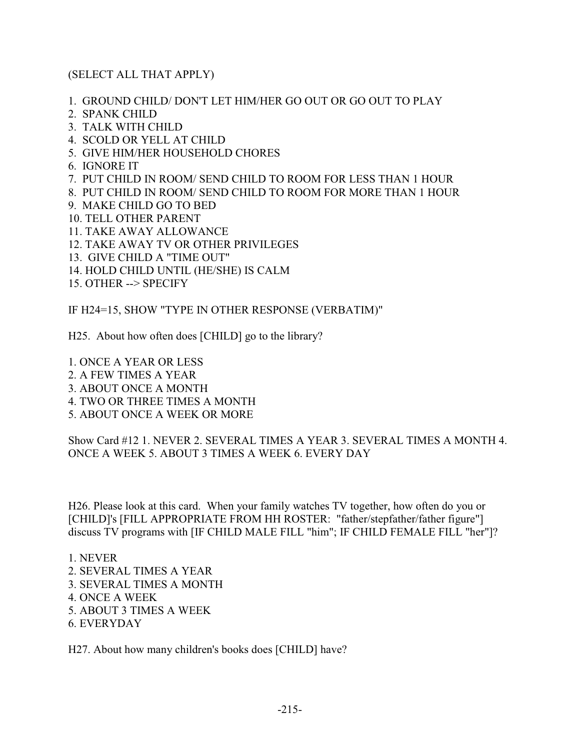### (SELECT ALL THAT APPLY)

- 1. GROUND CHILD/ DON'T LET HIM/HER GO OUT OR GO OUT TO PLAY
- 2. SPANK CHILD
- 3. TALK WITH CHILD
- 4. SCOLD OR YELL AT CHILD
- 5. GIVE HIM/HER HOUSEHOLD CHORES
- 6. IGNORE IT
- 7. PUT CHILD IN ROOM/ SEND CHILD TO ROOM FOR LESS THAN 1 HOUR
- 8. PUT CHILD IN ROOM/ SEND CHILD TO ROOM FOR MORE THAN 1 HOUR
- 9. MAKE CHILD GO TO BED
- 10. TELL OTHER PARENT
- 11. TAKE AWAY ALLOWANCE
- 12. TAKE AWAY TV OR OTHER PRIVILEGES
- 13. GIVE CHILD A "TIME OUT"
- 14. HOLD CHILD UNTIL (HE/SHE) IS CALM
- 15. OTHER --> SPECIFY

IF H24=15, SHOW "TYPE IN OTHER RESPONSE (VERBATIM)"

H25. About how often does [CHILD] go to the library?

1. ONCE A YEAR OR LESS 2. A FEW TIMES A YEAR 3. ABOUT ONCE A MONTH 4. TWO OR THREE TIMES A MONTH 5. ABOUT ONCE A WEEK OR MORE

Show Card #12 1. NEVER 2. SEVERAL TIMES A YEAR 3. SEVERAL TIMES A MONTH 4. ONCE A WEEK 5. ABOUT 3 TIMES A WEEK 6. EVERY DAY

H26. Please look at this card. When your family watches TV together, how often do you or [CHILD]'s [FILL APPROPRIATE FROM HH ROSTER: "father/stepfather/father figure"] discuss TV programs with [IF CHILD MALE FILL "him"; IF CHILD FEMALE FILL "her"]?

1. NEVER

- 2. SEVERAL TIMES A YEAR
- 3. SEVERAL TIMES A MONTH
- 4. ONCE A WEEK
- 5. ABOUT 3 TIMES A WEEK
- 6. EVERYDAY

H27. About how many children's books does [CHILD] have?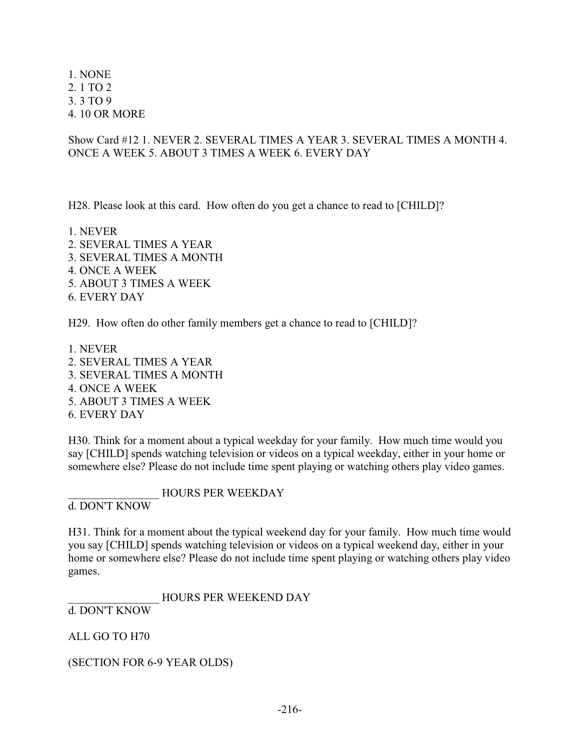1. NONE 2. 1 TO 2 3. 3 TO 9 4. 10 OR MORE

Show Card #12 1. NEVER 2. SEVERAL TIMES A YEAR 3. SEVERAL TIMES A MONTH 4. ONCE A WEEK 5. ABOUT 3 TIMES A WEEK 6. EVERY DAY

H28. Please look at this card. How often do you get a chance to read to [CHILD]?

1. NEVER 2. SEVERAL TIMES A YEAR 3. SEVERAL TIMES A MONTH 4. ONCE A WEEK 5. ABOUT 3 TIMES A WEEK 6. EVERY DAY

H29. How often do other family members get a chance to read to [CHILD]?

1. NEVER 2. SEVERAL TIMES A YEAR 3. SEVERAL TIMES A MONTH 4. ONCE A WEEK 5. ABOUT 3 TIMES A WEEK 6. EVERY DAY

H30. Think for a moment about a typical weekday for your family. How much time would you say [CHILD] spends watching television or videos on a typical weekday, either in your home or somewhere else? Please do not include time spent playing or watching others play video games.

\_\_\_\_\_\_\_\_\_\_\_\_\_\_\_\_ HOURS PER WEEKDAY d. DON'T KNOW

H31. Think for a moment about the typical weekend day for your family. How much time would you say [CHILD] spends watching television or videos on a typical weekend day, either in your home or somewhere else? Please do not include time spent playing or watching others play video games.

\_\_\_\_\_\_\_\_\_\_\_\_\_\_\_\_ HOURS PER WEEKEND DAY

d. DON'T KNOW

ALL GO TO H70

(SECTION FOR 6-9 YEAR OLDS)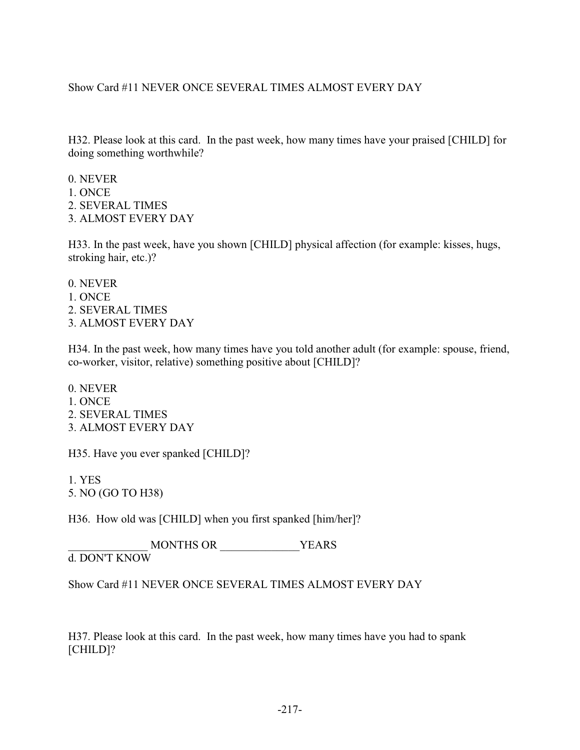## Show Card #11 NEVER ONCE SEVERAL TIMES ALMOST EVERY DAY

H32. Please look at this card. In the past week, how many times have your praised [CHILD] for doing something worthwhile?

0. NEVER 1. ONCE 2. SEVERAL TIMES 3. ALMOST EVERY DAY

H33. In the past week, have you shown [CHILD] physical affection (for example: kisses, hugs, stroking hair, etc.)?

0. NEVER 1. ONCE 2. SEVERAL TIMES 3. ALMOST EVERY DAY

H34. In the past week, how many times have you told another adult (for example: spouse, friend, co-worker, visitor, relative) something positive about [CHILD]?

0. NEVER 1. ONCE 2. SEVERAL TIMES 3. ALMOST EVERY DAY

H35. Have you ever spanked [CHILD]?

1. YES 5. NO (GO TO H38)

H36. How old was [CHILD] when you first spanked [him/her]?

MONTHS OR  $YEARS$ d. DON'T KNOW

Show Card #11 NEVER ONCE SEVERAL TIMES ALMOST EVERY DAY

H37. Please look at this card. In the past week, how many times have you had to spank [CHILD]?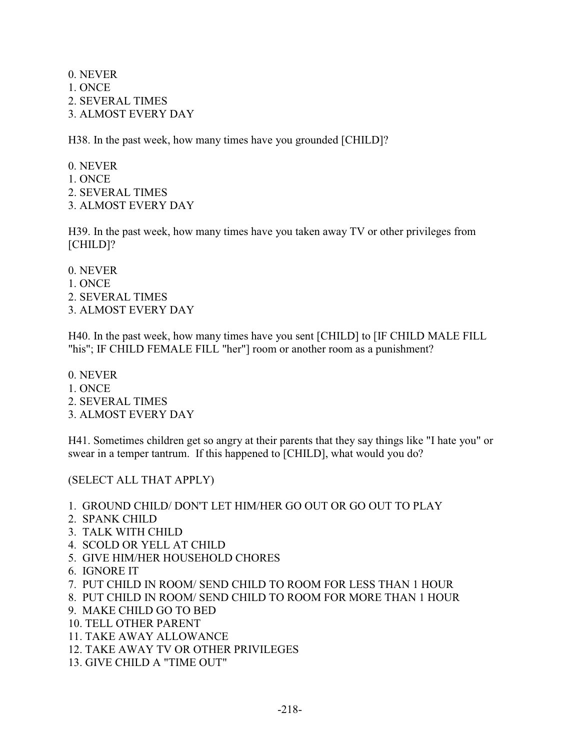0. NEVER 1. ONCE 2. SEVERAL TIMES 3. ALMOST EVERY DAY

H38. In the past week, how many times have you grounded [CHILD]?

0. NEVER 1. ONCE 2. SEVERAL TIMES 3. ALMOST EVERY DAY

H39. In the past week, how many times have you taken away TV or other privileges from [CHILD]?

0. NEVER 1. ONCE 2. SEVERAL TIMES 3. ALMOST EVERY DAY

H40. In the past week, how many times have you sent [CHILD] to [IF CHILD MALE FILL "his"; IF CHILD FEMALE FILL "her"] room or another room as a punishment?

0. NEVER 1. ONCE 2. SEVERAL TIMES 3. ALMOST EVERY DAY

H41. Sometimes children get so angry at their parents that they say things like "I hate you" or swear in a temper tantrum. If this happened to [CHILD], what would you do?

(SELECT ALL THAT APPLY)

- 1. GROUND CHILD/ DON'T LET HIM/HER GO OUT OR GO OUT TO PLAY
- 2. SPANK CHILD
- 3. TALK WITH CHILD
- 4. SCOLD OR YELL AT CHILD
- 5. GIVE HIM/HER HOUSEHOLD CHORES
- 6. IGNORE IT
- 7. PUT CHILD IN ROOM/ SEND CHILD TO ROOM FOR LESS THAN 1 HOUR
- 8. PUT CHILD IN ROOM/ SEND CHILD TO ROOM FOR MORE THAN 1 HOUR
- 9. MAKE CHILD GO TO BED
- 10. TELL OTHER PARENT
- 11. TAKE AWAY ALLOWANCE
- 12. TAKE AWAY TV OR OTHER PRIVILEGES
- 13. GIVE CHILD A "TIME OUT"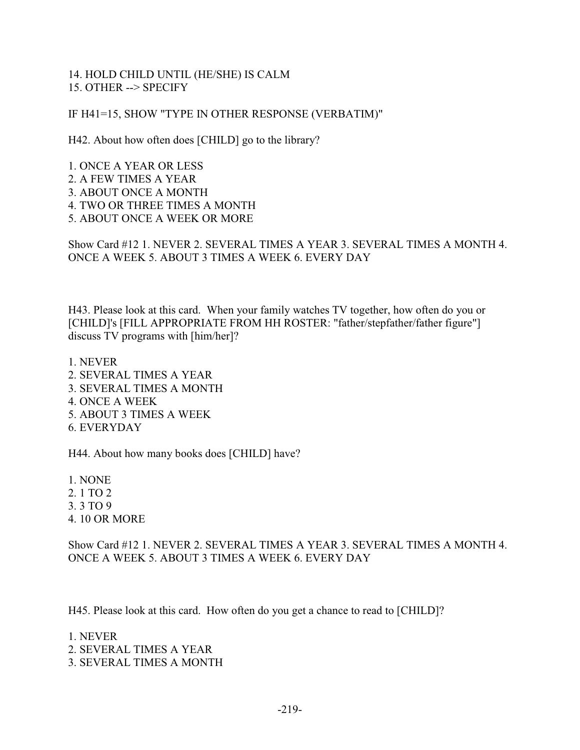### 14. HOLD CHILD UNTIL (HE/SHE) IS CALM 15. OTHER --> SPECIFY

IF H41=15, SHOW "TYPE IN OTHER RESPONSE (VERBATIM)"

H42. About how often does [CHILD] go to the library?

1. ONCE A YEAR OR LESS 2. A FEW TIMES A YEAR 3. ABOUT ONCE A MONTH 4. TWO OR THREE TIMES A MONTH 5. ABOUT ONCE A WEEK OR MORE

Show Card #12 1. NEVER 2. SEVERAL TIMES A YEAR 3. SEVERAL TIMES A MONTH 4. ONCE A WEEK 5. ABOUT 3 TIMES A WEEK 6. EVERY DAY

H43. Please look at this card. When your family watches TV together, how often do you or [CHILD]'s [FILL APPROPRIATE FROM HH ROSTER: "father/stepfather/father figure"] discuss TV programs with [him/her]?

1. NEVER 2. SEVERAL TIMES A YEAR 3. SEVERAL TIMES A MONTH 4. ONCE A WEEK 5. ABOUT 3 TIMES A WEEK 6. EVERYDAY

H44. About how many books does [CHILD] have?

1. NONE 2. 1 TO 2 3. 3 TO 9 4. 10 OR MORE

Show Card #12 1. NEVER 2. SEVERAL TIMES A YEAR 3. SEVERAL TIMES A MONTH 4. ONCE A WEEK 5. ABOUT 3 TIMES A WEEK 6. EVERY DAY

H45. Please look at this card. How often do you get a chance to read to [CHILD]?

1. NEVER

- 2. SEVERAL TIMES A YEAR
- 3. SEVERAL TIMES A MONTH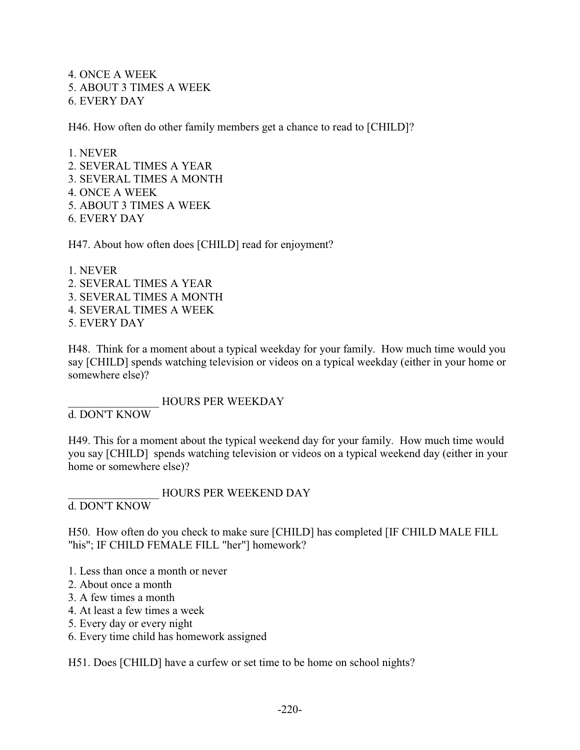4. ONCE A WEEK 5. ABOUT 3 TIMES A WEEK 6. EVERY DAY

H46. How often do other family members get a chance to read to [CHILD]?

1. NEVER 2. SEVERAL TIMES A YEAR 3. SEVERAL TIMES A MONTH 4. ONCE A WEEK 5. ABOUT 3 TIMES A WEEK 6. EVERY DAY

H47. About how often does [CHILD] read for enjoyment?

1. NEVER 2. SEVERAL TIMES A YEAR 3. SEVERAL TIMES A MONTH 4. SEVERAL TIMES A WEEK 5. EVERY DAY

H48. Think for a moment about a typical weekday for your family. How much time would you say [CHILD] spends watching television or videos on a typical weekday (either in your home or somewhere else)?

\_\_\_\_\_\_\_\_\_\_\_\_\_\_\_\_ HOURS PER WEEKDAY

d. DON'T KNOW

H49. This for a moment about the typical weekend day for your family. How much time would you say [CHILD] spends watching television or videos on a typical weekend day (either in your home or somewhere else)?

\_\_\_\_\_\_\_\_\_\_\_\_\_\_\_\_ HOURS PER WEEKEND DAY d. DON'T KNOW

H50. How often do you check to make sure [CHILD] has completed [IF CHILD MALE FILL "his"; IF CHILD FEMALE FILL "her"] homework?

- 1. Less than once a month or never
- 2. About once a month
- 3. A few times a month
- 4. At least a few times a week
- 5. Every day or every night
- 6. Every time child has homework assigned

H51. Does [CHILD] have a curfew or set time to be home on school nights?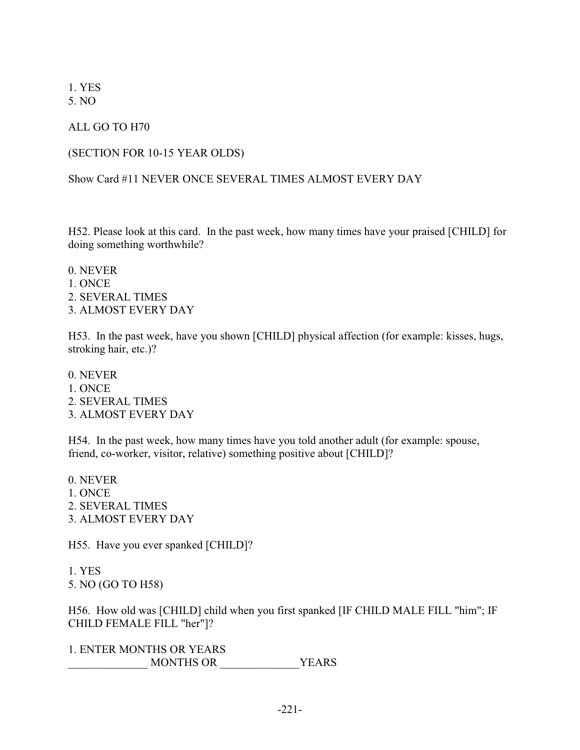1. YES 5. NO

ALL GO TO H70

### (SECTION FOR 10-15 YEAR OLDS)

## Show Card #11 NEVER ONCE SEVERAL TIMES ALMOST EVERY DAY

H52. Please look at this card. In the past week, how many times have your praised [CHILD] for doing something worthwhile?

0. NEVER 1. ONCE 2. SEVERAL TIMES 3. ALMOST EVERY DAY

H53. In the past week, have you shown [CHILD] physical affection (for example: kisses, hugs, stroking hair, etc.)?

0. NEVER 1. ONCE 2. SEVERAL TIMES 3. ALMOST EVERY DAY

H54. In the past week, how many times have you told another adult (for example: spouse, friend, co-worker, visitor, relative) something positive about [CHILD]?

0. NEVER 1. ONCE 2. SEVERAL TIMES 3. ALMOST EVERY DAY

H55. Have you ever spanked [CHILD]?

1. YES 5. NO (GO TO H58)

H56. How old was [CHILD] child when you first spanked [IF CHILD MALE FILL "him"; IF CHILD FEMALE FILL "her"]?

1. ENTER MONTHS OR YEARS \_\_\_\_\_\_\_\_\_\_\_\_\_\_ MONTHS OR \_\_\_\_\_\_\_\_\_\_\_\_\_\_YEARS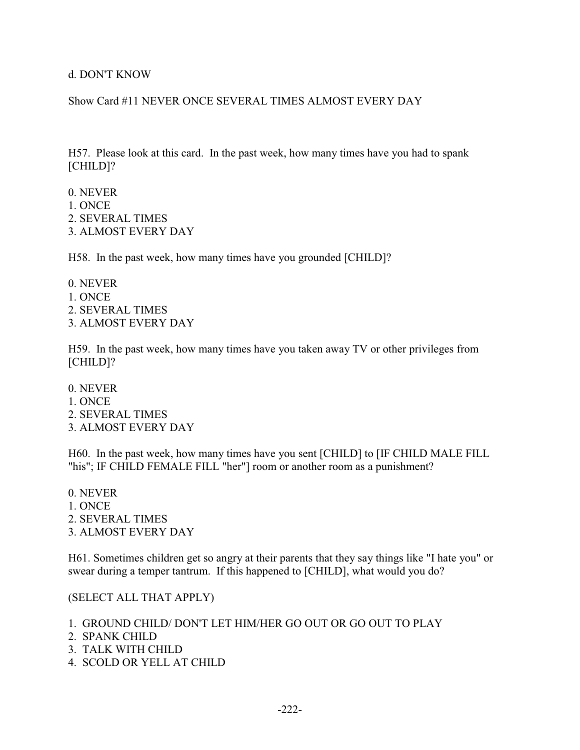d. DON'T KNOW

Show Card #11 NEVER ONCE SEVERAL TIMES ALMOST EVERY DAY

H57. Please look at this card. In the past week, how many times have you had to spank [CHILD]?

- 0. NEVER
- 1. ONCE
- 2. SEVERAL TIMES
- 3. ALMOST EVERY DAY

H58. In the past week, how many times have you grounded [CHILD]?

0. NEVER 1. ONCE 2. SEVERAL TIMES 3. ALMOST EVERY DAY

H59. In the past week, how many times have you taken away TV or other privileges from [CHILD]?

0. NEVER 1. ONCE 2. SEVERAL TIMES 3. ALMOST EVERY DAY

H60. In the past week, how many times have you sent [CHILD] to [IF CHILD MALE FILL "his"; IF CHILD FEMALE FILL "her"] room or another room as a punishment?

0. NEVER 1. ONCE 2. SEVERAL TIMES 3. ALMOST EVERY DAY

H61. Sometimes children get so angry at their parents that they say things like "I hate you" or swear during a temper tantrum. If this happened to [CHILD], what would you do?

(SELECT ALL THAT APPLY)

- 1. GROUND CHILD/ DON'T LET HIM/HER GO OUT OR GO OUT TO PLAY
- 2. SPANK CHILD
- 3. TALK WITH CHILD
- 4. SCOLD OR YELL AT CHILD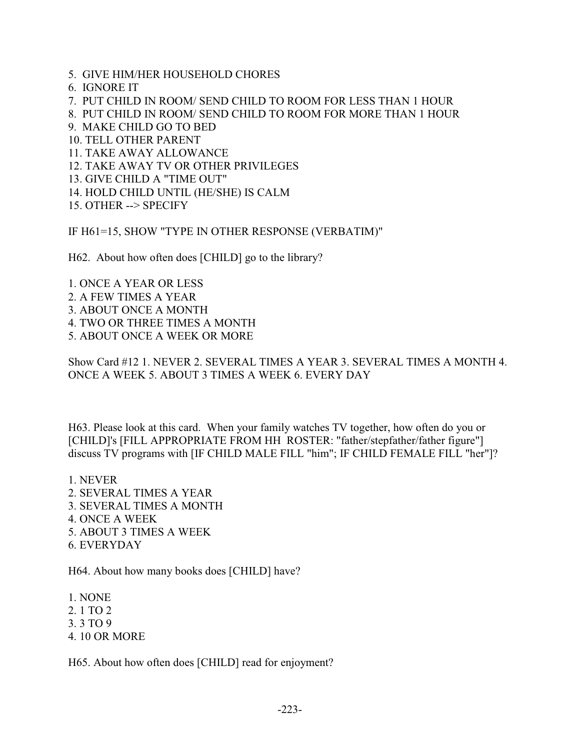- 5. GIVE HIM/HER HOUSEHOLD CHORES
- 6. IGNORE IT

7. PUT CHILD IN ROOM/ SEND CHILD TO ROOM FOR LESS THAN 1 HOUR

8. PUT CHILD IN ROOM/ SEND CHILD TO ROOM FOR MORE THAN 1 HOUR

- 9. MAKE CHILD GO TO BED
- 10. TELL OTHER PARENT
- 11. TAKE AWAY ALLOWANCE
- 12. TAKE AWAY TV OR OTHER PRIVILEGES
- 13. GIVE CHILD A "TIME OUT"
- 14. HOLD CHILD UNTIL (HE/SHE) IS CALM
- 15. OTHER --> SPECIFY

IF H61=15, SHOW "TYPE IN OTHER RESPONSE (VERBATIM)"

H62. About how often does [CHILD] go to the library?

1. ONCE A YEAR OR LESS 2. A FEW TIMES A YEAR 3. ABOUT ONCE A MONTH 4. TWO OR THREE TIMES A MONTH 5. ABOUT ONCE A WEEK OR MORE

Show Card #12 1. NEVER 2. SEVERAL TIMES A YEAR 3. SEVERAL TIMES A MONTH 4. ONCE A WEEK 5. ABOUT 3 TIMES A WEEK 6. EVERY DAY

H63. Please look at this card. When your family watches TV together, how often do you or [CHILD]'s [FILL APPROPRIATE FROM HH ROSTER: "father/stepfather/father figure"] discuss TV programs with [IF CHILD MALE FILL "him"; IF CHILD FEMALE FILL "her"]?

- 1. NEVER
- 2. SEVERAL TIMES A YEAR
- 3. SEVERAL TIMES A MONTH
- 4. ONCE A WEEK
- 5. ABOUT 3 TIMES A WEEK
- 6. EVERYDAY

H64. About how many books does [CHILD] have?

1. NONE

- 2. 1 TO 2
- 3. 3 TO 9
- 4. 10 OR MORE

H65. About how often does [CHILD] read for enjoyment?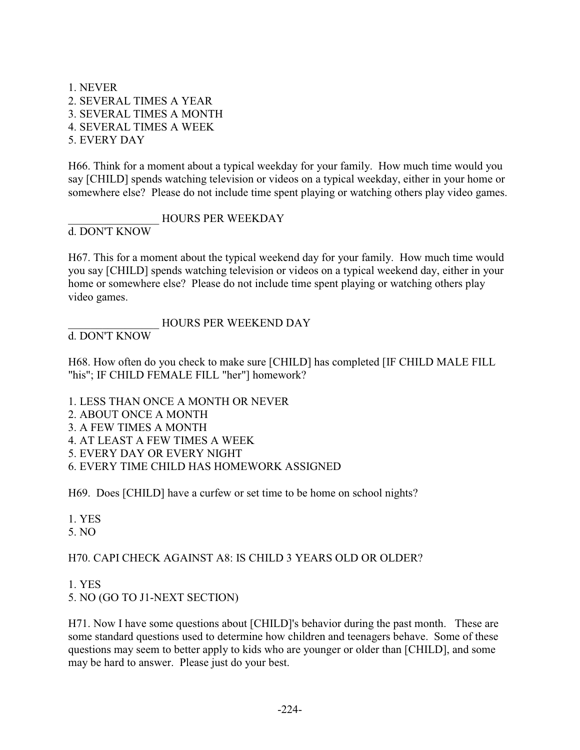1. NEVER 2. SEVERAL TIMES A YEAR 3. SEVERAL TIMES A MONTH 4. SEVERAL TIMES A WEEK 5. EVERY DAY

H66. Think for a moment about a typical weekday for your family. How much time would you say [CHILD] spends watching television or videos on a typical weekday, either in your home or somewhere else? Please do not include time spent playing or watching others play video games.

## \_\_\_\_\_\_\_\_\_\_\_\_\_\_\_\_ HOURS PER WEEKDAY

d. DON'T KNOW

H67. This for a moment about the typical weekend day for your family. How much time would you say [CHILD] spends watching television or videos on a typical weekend day, either in your home or somewhere else? Please do not include time spent playing or watching others play video games.

# HOURS PER WEEKEND DAY

d. DON'T KNOW

H68. How often do you check to make sure [CHILD] has completed [IF CHILD MALE FILL "his"; IF CHILD FEMALE FILL "her"] homework?

- 1. LESS THAN ONCE A MONTH OR NEVER
- 2. ABOUT ONCE A MONTH
- 3. A FEW TIMES A MONTH
- 4. AT LEAST A FEW TIMES A WEEK
- 5. EVERY DAY OR EVERY NIGHT
- 6. EVERY TIME CHILD HAS HOMEWORK ASSIGNED

H69. Does [CHILD] have a curfew or set time to be home on school nights?

1. YES

5. NO

# H70. CAPI CHECK AGAINST A8: IS CHILD 3 YEARS OLD OR OLDER?

1. YES

5. NO (GO TO J1-NEXT SECTION)

H71. Now I have some questions about [CHILD]'s behavior during the past month. These are some standard questions used to determine how children and teenagers behave. Some of these questions may seem to better apply to kids who are younger or older than [CHILD], and some may be hard to answer. Please just do your best.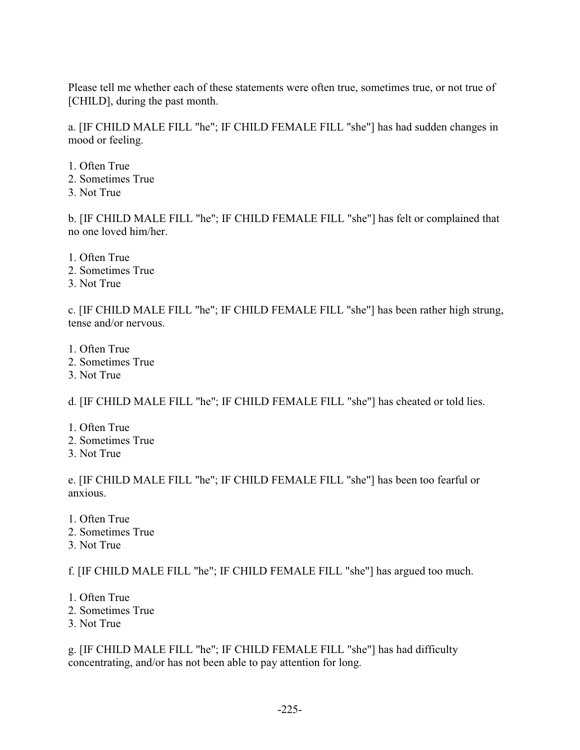Please tell me whether each of these statements were often true, sometimes true, or not true of [CHILD], during the past month.

a. [IF CHILD MALE FILL "he"; IF CHILD FEMALE FILL "she"] has had sudden changes in mood or feeling.

1. Often True 2. Sometimes True 3. Not True

b. [IF CHILD MALE FILL "he"; IF CHILD FEMALE FILL "she"] has felt or complained that no one loved him/her.

- 1. Often True
- 2. Sometimes True
- 3. Not True

c. [IF CHILD MALE FILL "he"; IF CHILD FEMALE FILL "she"] has been rather high strung, tense and/or nervous.

- 1. Often True
- 2. Sometimes True
- 3. Not True

d. [IF CHILD MALE FILL "he"; IF CHILD FEMALE FILL "she"] has cheated or told lies.

- 1. Often True
- 2. Sometimes True
- 3. Not True

e. [IF CHILD MALE FILL "he"; IF CHILD FEMALE FILL "she"] has been too fearful or anxious.

- 1. Often True
- 2. Sometimes True
- 3. Not True

f. [IF CHILD MALE FILL "he"; IF CHILD FEMALE FILL "she"] has argued too much.

- 1. Often True
- 2. Sometimes True
- 3. Not True

g. [IF CHILD MALE FILL "he"; IF CHILD FEMALE FILL "she"] has had difficulty concentrating, and/or has not been able to pay attention for long.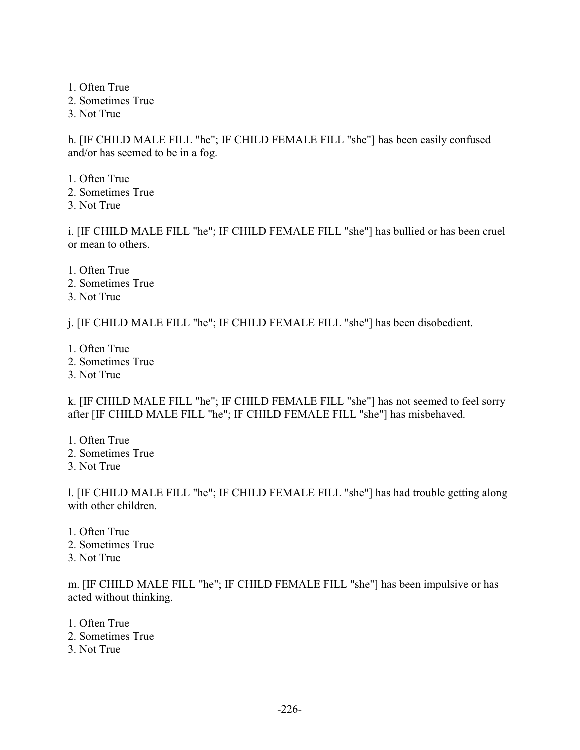1. Often True

- 2. Sometimes True
- 3. Not True

h. [IF CHILD MALE FILL "he"; IF CHILD FEMALE FILL "she"] has been easily confused and/or has seemed to be in a fog.

- 1. Often True
- 2. Sometimes True
- 3. Not True

i. [IF CHILD MALE FILL "he"; IF CHILD FEMALE FILL "she"] has bullied or has been cruel or mean to others.

- 1. Often True
- 2. Sometimes True
- 3. Not True

j. [IF CHILD MALE FILL "he"; IF CHILD FEMALE FILL "she"] has been disobedient.

- 1. Often True
- 2. Sometimes True
- 3. Not True

k. [IF CHILD MALE FILL "he"; IF CHILD FEMALE FILL "she"] has not seemed to feel sorry after [IF CHILD MALE FILL "he"; IF CHILD FEMALE FILL "she"] has misbehaved.

- 1. Often True
- 2. Sometimes True

3. Not True

l. [IF CHILD MALE FILL "he"; IF CHILD FEMALE FILL "she"] has had trouble getting along with other children.

- 1. Often True
- 2. Sometimes True
- 3. Not True

m. [IF CHILD MALE FILL "he"; IF CHILD FEMALE FILL "she"] has been impulsive or has acted without thinking.

- 1. Often True
- 2. Sometimes True
- 3. Not True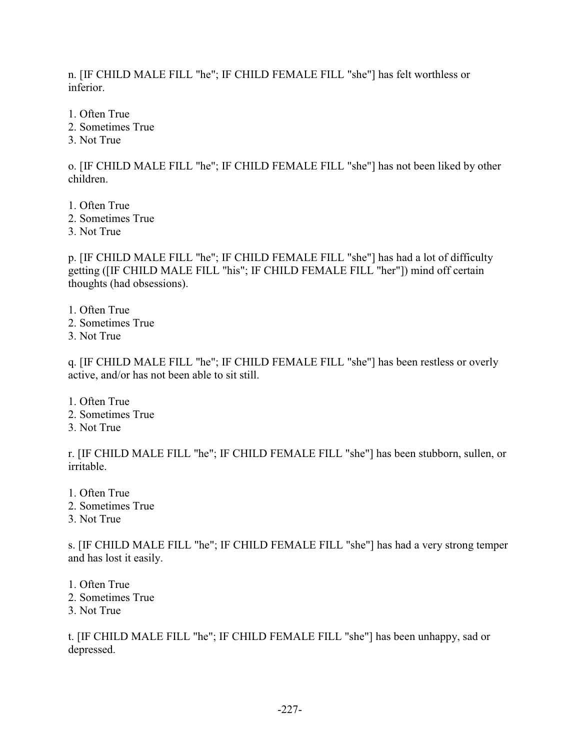n. [IF CHILD MALE FILL "he"; IF CHILD FEMALE FILL "she"] has felt worthless or inferior.

1. Often True

- 2. Sometimes True
- 3. Not True

o. [IF CHILD MALE FILL "he"; IF CHILD FEMALE FILL "she"] has not been liked by other children.

- 1. Often True
- 2. Sometimes True
- 3. Not True

p. [IF CHILD MALE FILL "he"; IF CHILD FEMALE FILL "she"] has had a lot of difficulty getting ([IF CHILD MALE FILL "his"; IF CHILD FEMALE FILL "her"]) mind off certain thoughts (had obsessions).

- 1. Often True
- 2. Sometimes True
- 3. Not True

q. [IF CHILD MALE FILL "he"; IF CHILD FEMALE FILL "she"] has been restless or overly active, and/or has not been able to sit still.

1. Often True 2. Sometimes True 3. Not True

r. [IF CHILD MALE FILL "he"; IF CHILD FEMALE FILL "she"] has been stubborn, sullen, or irritable.

- 1. Often True
- 2. Sometimes True
- 3. Not True

s. [IF CHILD MALE FILL "he"; IF CHILD FEMALE FILL "she"] has had a very strong temper and has lost it easily.

- 1. Often True
- 2. Sometimes True
- 3. Not True

t. [IF CHILD MALE FILL "he"; IF CHILD FEMALE FILL "she"] has been unhappy, sad or depressed.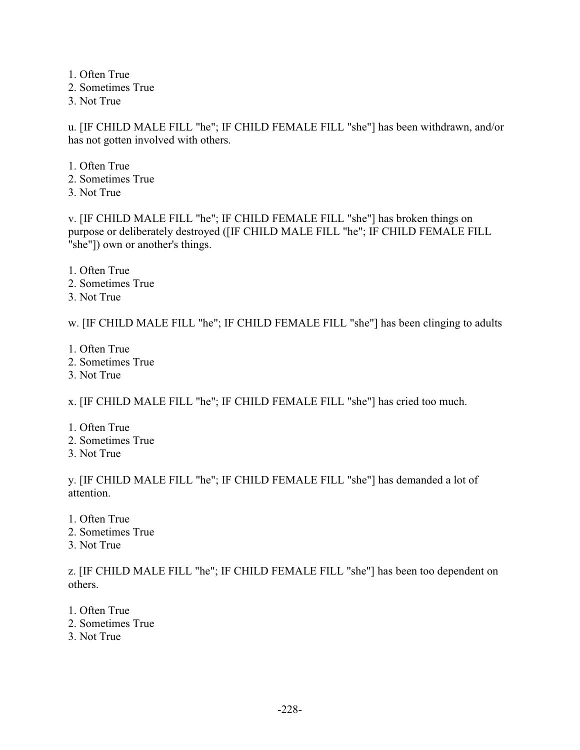1. Often True 2. Sometimes True 3. Not True

u. [IF CHILD MALE FILL "he"; IF CHILD FEMALE FILL "she"] has been withdrawn, and/or has not gotten involved with others.

1. Often True 2. Sometimes True 3. Not True

v. [IF CHILD MALE FILL "he"; IF CHILD FEMALE FILL "she"] has broken things on purpose or deliberately destroyed ([IF CHILD MALE FILL "he"; IF CHILD FEMALE FILL "she"]) own or another's things.

- 1. Often True
- 2. Sometimes True
- 3. Not True

w. [IF CHILD MALE FILL "he"; IF CHILD FEMALE FILL "she"] has been clinging to adults

- 1. Often True
- 2. Sometimes True
- 3. Not True

x. [IF CHILD MALE FILL "he"; IF CHILD FEMALE FILL "she"] has cried too much.

- 1. Often True
- 2. Sometimes True
- 3. Not True

y. [IF CHILD MALE FILL "he"; IF CHILD FEMALE FILL "she"] has demanded a lot of attention.

- 1. Often True
- 2. Sometimes True
- 3. Not True

z. [IF CHILD MALE FILL "he"; IF CHILD FEMALE FILL "she"] has been too dependent on others.

- 1. Often True
- 2. Sometimes True
- 3. Not True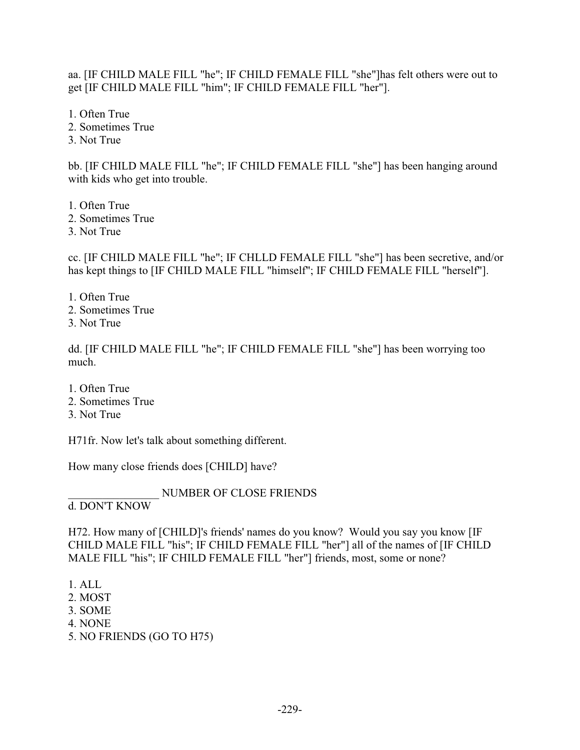aa. [IF CHILD MALE FILL "he"; IF CHILD FEMALE FILL "she"]has felt others were out to get [IF CHILD MALE FILL "him"; IF CHILD FEMALE FILL "her"].

1. Often True 2. Sometimes True

3. Not True

bb. [IF CHILD MALE FILL "he"; IF CHILD FEMALE FILL "she"] has been hanging around with kids who get into trouble.

1. Often True

2. Sometimes True

3. Not True

cc. [IF CHILD MALE FILL "he"; IF CHLLD FEMALE FILL "she"] has been secretive, and/or has kept things to [IF CHILD MALE FILL "himself"; IF CHILD FEMALE FILL "herself"].

- 1. Often True
- 2. Sometimes True
- 3. Not True

dd. [IF CHILD MALE FILL "he"; IF CHILD FEMALE FILL "she"] has been worrying too much.

- 1. Often True
- 2. Sometimes True
- 3. Not True

H71fr. Now let's talk about something different.

How many close friends does [CHILD] have?

\_\_\_\_\_\_\_\_\_\_\_\_\_\_\_\_ NUMBER OF CLOSE FRIENDS

d. DON'T KNOW

H72. How many of [CHILD]'s friends' names do you know? Would you say you know [IF CHILD MALE FILL "his"; IF CHILD FEMALE FILL "her"] all of the names of [IF CHILD MALE FILL "his"; IF CHILD FEMALE FILL "her"] friends, most, some or none?

- 1. ALL
- 2. MOST
- 3. SOME
- 4. NONE
- 5. NO FRIENDS (GO TO H75)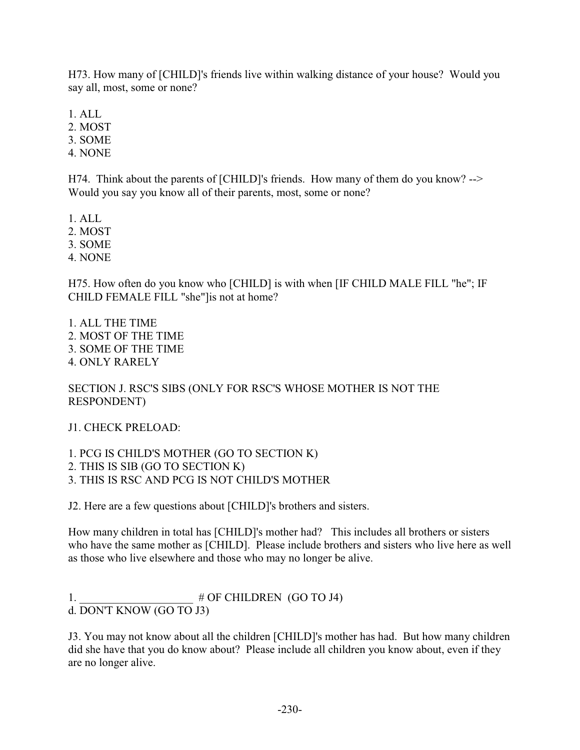H73. How many of [CHILD]'s friends live within walking distance of your house? Would you say all, most, some or none?

1. ALL

2. MOST

3. SOME

4. NONE

H74. Think about the parents of [CHILD]'s friends. How many of them do you know? --> Would you say you know all of their parents, most, some or none?

1. ALL

2. MOST

3. SOME

4. NONE

H75. How often do you know who [CHILD] is with when [IF CHILD MALE FILL "he"; IF CHILD FEMALE FILL "she"]is not at home?

1. ALL THE TIME 2. MOST OF THE TIME 3. SOME OF THE TIME 4. ONLY RARELY

SECTION J. RSC'S SIBS (ONLY FOR RSC'S WHOSE MOTHER IS NOT THE RESPONDENT)

J1. CHECK PRELOAD:

1. PCG IS CHILD'S MOTHER (GO TO SECTION K) 2. THIS IS SIB (GO TO SECTION K) 3. THIS IS RSC AND PCG IS NOT CHILD'S MOTHER

J2. Here are a few questions about [CHILD]'s brothers and sisters.

How many children in total has [CHILD]'s mother had? This includes all brothers or sisters who have the same mother as [CHILD]. Please include brothers and sisters who live here as well as those who live elsewhere and those who may no longer be alive.

1.  $\#$  OF CHILDREN (GO TO J4) d. DON'T KNOW (GO TO J3)

J3. You may not know about all the children [CHILD]'s mother has had. But how many children did she have that you do know about? Please include all children you know about, even if they are no longer alive.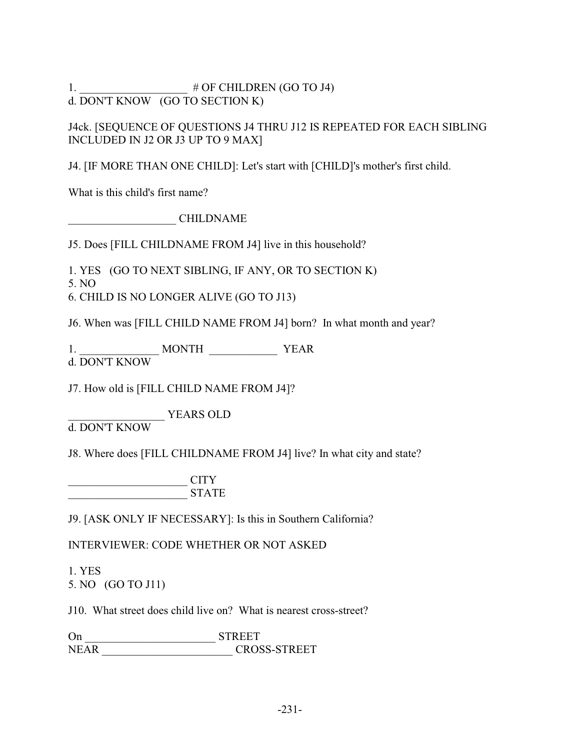1.  $\#$  OF CHILDREN (GO TO J4) d. DON'T KNOW (GO TO SECTION K)

J4ck. [SEQUENCE OF QUESTIONS J4 THRU J12 IS REPEATED FOR EACH SIBLING INCLUDED IN J2 OR J3 UP TO 9 MAX]

J4. [IF MORE THAN ONE CHILD]: Let's start with [CHILD]'s mother's first child.

What is this child's first name?

\_\_\_\_\_\_\_\_\_\_\_\_\_\_\_\_\_\_\_ CHILDNAME

J5. Does [FILL CHILDNAME FROM J4] live in this household?

1. YES (GO TO NEXT SIBLING, IF ANY, OR TO SECTION K)

5. NO

6. CHILD IS NO LONGER ALIVE (GO TO J13)

J6. When was [FILL CHILD NAME FROM J4] born? In what month and year?

1. \_\_\_\_\_\_\_\_\_\_\_\_\_\_ MONTH \_\_\_\_\_\_\_\_\_\_\_\_ YEAR

d. DON'T KNOW

J7. How old is [FILL CHILD NAME FROM J4]?

\_\_\_\_\_\_\_\_\_\_\_\_\_\_\_\_\_ YEARS OLD

d. DON'T KNOW

J8. Where does [FILL CHILDNAME FROM J4] live? In what city and state?

\_\_\_\_\_\_\_\_\_\_\_\_\_\_\_\_\_\_\_\_\_ CITY \_\_\_\_\_\_\_\_\_\_\_\_\_\_\_\_\_\_\_\_\_ STATE

J9. [ASK ONLY IF NECESSARY]: Is this in Southern California?

INTERVIEWER: CODE WHETHER OR NOT ASKED

1. YES 5. NO (GO TO J11)

J10. What street does child live on? What is nearest cross-street?

On \_\_\_\_\_\_\_\_\_\_\_\_\_\_\_\_\_\_\_\_\_\_\_ STREET NEAR CROSS-STREET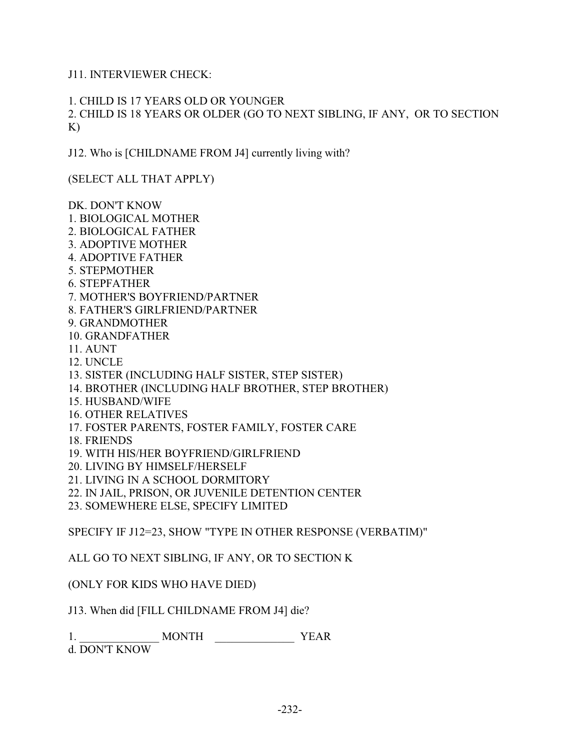J11. INTERVIEWER CHECK:

1. CHILD IS 17 YEARS OLD OR YOUNGER 2. CHILD IS 18 YEARS OR OLDER (GO TO NEXT SIBLING, IF ANY, OR TO SECTION K)

J12. Who is [CHILDNAME FROM J4] currently living with?

(SELECT ALL THAT APPLY)

DK. DON'T KNOW 1. BIOLOGICAL MOTHER 2. BIOLOGICAL FATHER 3. ADOPTIVE MOTHER 4. ADOPTIVE FATHER 5. STEPMOTHER 6. STEPFATHER 7. MOTHER'S BOYFRIEND/PARTNER 8. FATHER'S GIRLFRIEND/PARTNER 9. GRANDMOTHER 10. GRANDFATHER 11. AUNT 12. UNCLE 13. SISTER (INCLUDING HALF SISTER, STEP SISTER) 14. BROTHER (INCLUDING HALF BROTHER, STEP BROTHER) 15. HUSBAND/WIFE 16. OTHER RELATIVES

- 17. FOSTER PARENTS, FOSTER FAMILY, FOSTER CARE
- 18. FRIENDS
- 19. WITH HIS/HER BOYFRIEND/GIRLFRIEND
- 20. LIVING BY HIMSELF/HERSELF
- 21. LIVING IN A SCHOOL DORMITORY
- 22. IN JAIL, PRISON, OR JUVENILE DETENTION CENTER
- 23. SOMEWHERE ELSE, SPECIFY LIMITED

SPECIFY IF J12=23, SHOW "TYPE IN OTHER RESPONSE (VERBATIM)"

ALL GO TO NEXT SIBLING, IF ANY, OR TO SECTION K

(ONLY FOR KIDS WHO HAVE DIED)

J13. When did [FILL CHILDNAME FROM J4] die?

1. \_\_\_\_\_\_\_\_\_\_\_\_\_\_ MONTH \_\_\_\_\_\_\_\_\_\_\_\_\_\_ YEAR d. DON'T KNOW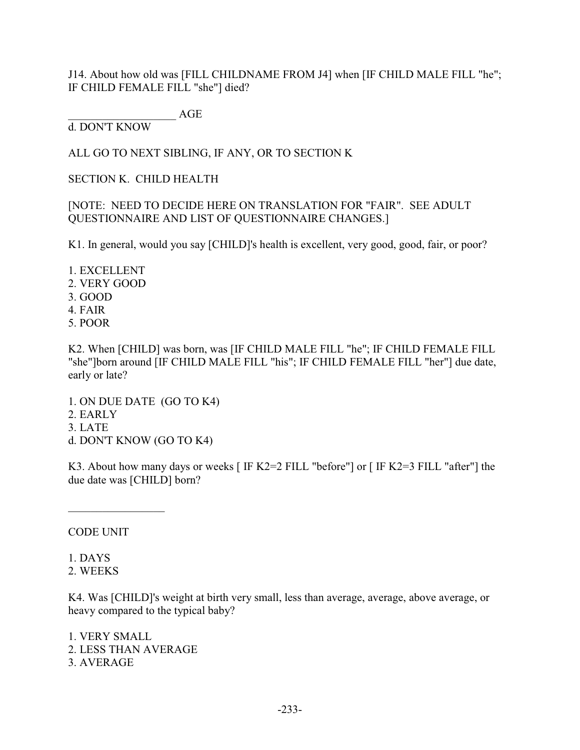J14. About how old was [FILL CHILDNAME FROM J4] when [IF CHILD MALE FILL "he"; IF CHILD FEMALE FILL "she"] died?

 $AGE$ 

d. DON'T KNOW

ALL GO TO NEXT SIBLING, IF ANY, OR TO SECTION K

SECTION K. CHILD HEALTH

[NOTE: NEED TO DECIDE HERE ON TRANSLATION FOR "FAIR". SEE ADULT QUESTIONNAIRE AND LIST OF QUESTIONNAIRE CHANGES.]

K1. In general, would you say [CHILD]'s health is excellent, very good, good, fair, or poor?

1. EXCELLENT 2. VERY GOOD 3. GOOD 4. FAIR 5. POOR

K2. When [CHILD] was born, was [IF CHILD MALE FILL "he"; IF CHILD FEMALE FILL "she"]born around [IF CHILD MALE FILL "his"; IF CHILD FEMALE FILL "her"] due date, early or late?

1. ON DUE DATE (GO TO K4) 2. EARLY 3. LATE d. DON'T KNOW (GO TO K4)

K3. About how many days or weeks [ IF K2=2 FILL "before"] or [ IF K2=3 FILL "after"] the due date was [CHILD] born?

CODE UNIT

1. DAYS 2. WEEKS

K4. Was [CHILD]'s weight at birth very small, less than average, average, above average, or heavy compared to the typical baby?

1. VERY SMALL 2. LESS THAN AVERAGE 3. AVERAGE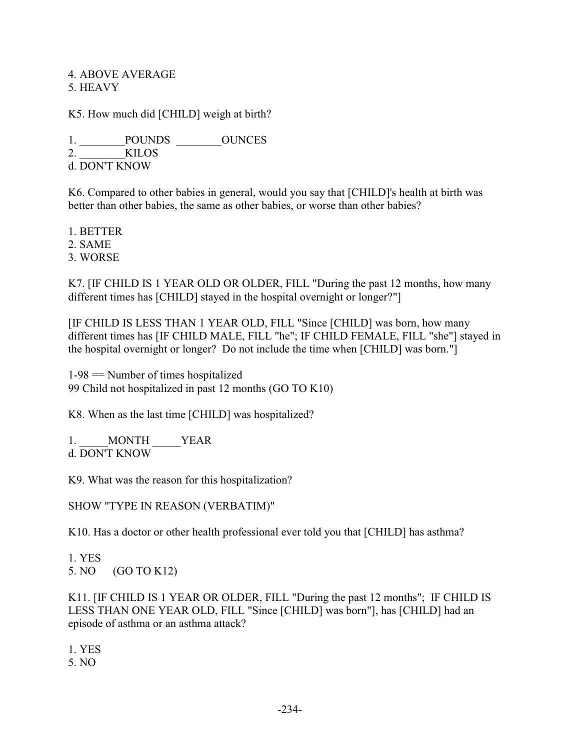### 4. ABOVE AVERAGE 5. HEAVY

K5. How much did [CHILD] weigh at birth?

1. POUNDS OUNCES 2. KILOS d. DON'T KNOW

K6. Compared to other babies in general, would you say that [CHILD]'s health at birth was better than other babies, the same as other babies, or worse than other babies?

1. BETTER

2. SAME

3. WORSE

K7. [IF CHILD IS 1 YEAR OLD OR OLDER, FILL "During the past 12 months, how many different times has [CHILD] stayed in the hospital overnight or longer?"]

[IF CHILD IS LESS THAN 1 YEAR OLD, FILL "Since [CHILD] was born, how many different times has [IF CHILD MALE, FILL "he"; IF CHILD FEMALE, FILL "she"] stayed in the hospital overnight or longer? Do not include the time when [CHILD] was born."]

 $1-98$  = Number of times hospitalized 99 Child not hospitalized in past 12 months (GO TO K10)

K8. When as the last time [CHILD] was hospitalized?

1. MONTH YEAR d. DON'T KNOW

K9. What was the reason for this hospitalization?

SHOW "TYPE IN REASON (VERBATIM)"

K10. Has a doctor or other health professional ever told you that [CHILD] has asthma?

1. YES 5. NO (GO TO K12)

K11. [IF CHILD IS 1 YEAR OR OLDER, FILL "During the past 12 months"; IF CHILD IS LESS THAN ONE YEAR OLD, FILL "Since [CHILD] was born"], has [CHILD] had an episode of asthma or an asthma attack?

1. YES 5. NO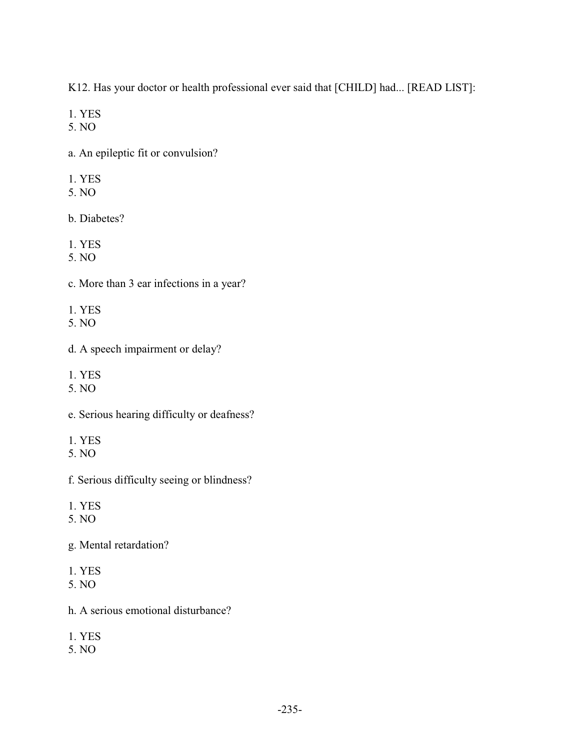K12. Has your doctor or health professional ever said that [CHILD] had... [READ LIST]:

1. YES

5. NO

a. An epileptic fit or convulsion?

- 1. YES
- 5. NO

b. Diabetes?

1. YES

5. NO

c. More than 3 ear infections in a year?

- 1. YES
- 5. NO
- d. A speech impairment or delay?
- 1. YES
- 5. NO
- e. Serious hearing difficulty or deafness?
- 1. YES
- 5. NO

f. Serious difficulty seeing or blindness?

1. YES

5. NO

g. Mental retardation?

- 1. YES
- 5. NO
- h. A serious emotional disturbance?
- 1. YES
- 5. NO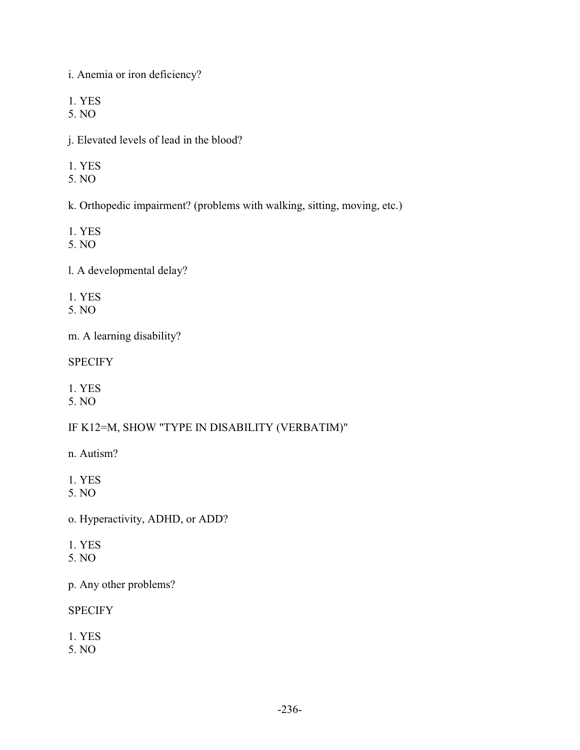i. Anemia or iron deficiency?

1. YES

5. NO

j. Elevated levels of lead in the blood?

- 1. YES
- 5. NO

k. Orthopedic impairment? (problems with walking, sitting, moving, etc.)

- 1. YES
- 5. NO

l. A developmental delay?

- 1. YES
- 5. NO

m. A learning disability?

**SPECIFY** 

1. YES

5. NO

IF K12=M, SHOW "TYPE IN DISABILITY (VERBATIM)"

- n. Autism?
- 1. YES
- 5. NO

o. Hyperactivity, ADHD, or ADD?

- 1. YES
- 5. NO

p. Any other problems?

**SPECIFY** 

1. YES

5. NO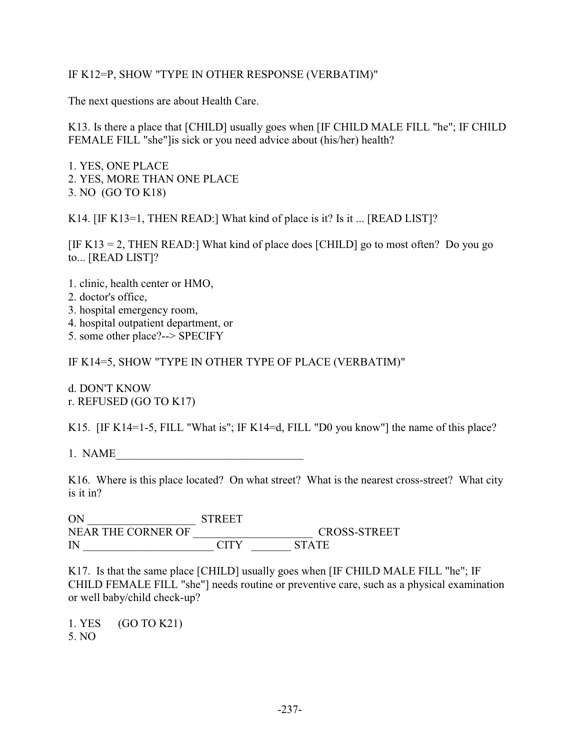## IF K12=P, SHOW "TYPE IN OTHER RESPONSE (VERBATIM)"

The next questions are about Health Care.

K13. Is there a place that [CHILD] usually goes when [IF CHILD MALE FILL "he"; IF CHILD FEMALE FILL "she"]is sick or you need advice about (his/her) health?

1. YES, ONE PLACE 2. YES, MORE THAN ONE PLACE 3. NO (GO TO K18)

K14. [IF K13=1, THEN READ:] What kind of place is it? Is it ... [READ LIST]?

[IF K13 = 2, THEN READ:] What kind of place does [CHILD] go to most often? Do you go to... [READ LIST]?

- 1. clinic, health center or HMO,
- 2. doctor's office,
- 3. hospital emergency room,
- 4. hospital outpatient department, or
- 5. some other place?--> SPECIFY

IF K14=5, SHOW "TYPE IN OTHER TYPE OF PLACE (VERBATIM)"

d. DON'T KNOW r. REFUSED (GO TO K17)

K15. [IF K14=1-5, FILL "What is"; IF K14=d, FILL "D0 you know"] the name of this place?

1. NAME

K16. Where is this place located? On what street? What is the nearest cross-street? What city is it in?

ON STREET NEAR THE CORNER OF CITY CROSS-STREET IN CITY

K17. Is that the same place [CHILD] usually goes when [IF CHILD MALE FILL "he"; IF CHILD FEMALE FILL "she"] needs routine or preventive care, such as a physical examination or well baby/child check-up?

1. YES (GO TO K21) 5. NO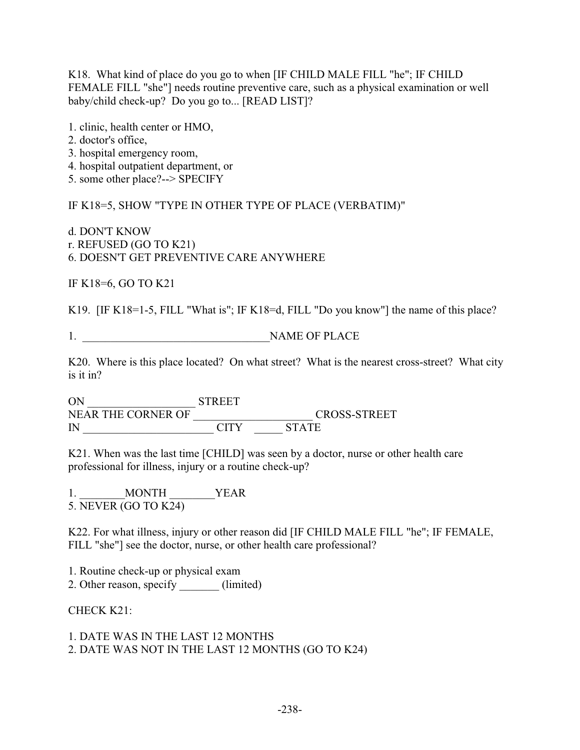K18. What kind of place do you go to when [IF CHILD MALE FILL "he"; IF CHILD FEMALE FILL "she"] needs routine preventive care, such as a physical examination or well baby/child check-up? Do you go to... [READ LIST]?

1. clinic, health center or HMO,

- 2. doctor's office,
- 3. hospital emergency room,
- 4. hospital outpatient department, or

5. some other place?--> SPECIFY

IF K18=5, SHOW "TYPE IN OTHER TYPE OF PLACE (VERBATIM)"

d. DON'T KNOW r. REFUSED (GO TO K21) 6. DOESN'T GET PREVENTIVE CARE ANYWHERE

IF K18=6, GO TO K21

K19. [IF K18=1-5, FILL "What is"; IF K18=d, FILL "Do you know"] the name of this place?

1. NAME OF PLACE

K20. Where is this place located? On what street? What is the nearest cross-street? What city is it in?

ON \_\_\_\_\_\_\_\_\_\_\_\_\_\_\_\_\_\_\_ STREET NEAR THE CORNER OF \_\_\_\_\_\_\_\_\_\_\_\_\_\_\_\_\_\_\_\_\_ CROSS-STREET IN  $\blacksquare$ 

K21. When was the last time [CHILD] was seen by a doctor, nurse or other health care professional for illness, injury or a routine check-up?

1. MONTH YEAR 5. NEVER (GO TO K24)

K22. For what illness, injury or other reason did [IF CHILD MALE FILL "he"; IF FEMALE, FILL "she"] see the doctor, nurse, or other health care professional?

1. Routine check-up or physical exam 2. Other reason, specify \_\_\_\_\_\_\_ (limited)

CHECK K21:

1. DATE WAS IN THE LAST 12 MONTHS 2. DATE WAS NOT IN THE LAST 12 MONTHS (GO TO K24)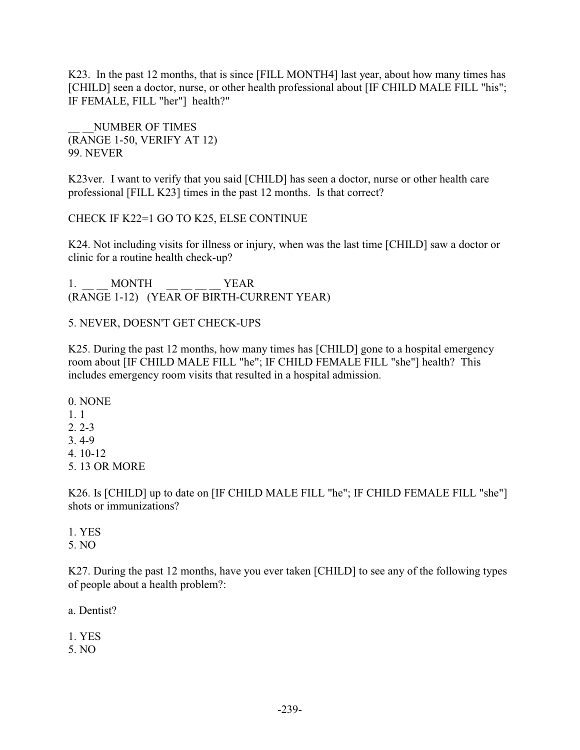K23. In the past 12 months, that is since [FILL MONTH4] last year, about how many times has [CHILD] seen a doctor, nurse, or other health professional about [IF CHILD MALE FILL "his"; IF FEMALE, FILL "her"] health?"

NUMBER OF TIMES (RANGE 1-50, VERIFY AT 12) 99. NEVER

K23ver. I want to verify that you said [CHILD] has seen a doctor, nurse or other health care professional [FILL K23] times in the past 12 months. Is that correct?

CHECK IF K22=1 GO TO K25, ELSE CONTINUE

K24. Not including visits for illness or injury, when was the last time [CHILD] saw a doctor or clinic for a routine health check-up?

1. MONTH YEAR (RANGE 1-12) (YEAR OF BIRTH-CURRENT YEAR)

### 5. NEVER, DOESN'T GET CHECK-UPS

K25. During the past 12 months, how many times has [CHILD] gone to a hospital emergency room about [IF CHILD MALE FILL "he"; IF CHILD FEMALE FILL "she"] health? This includes emergency room visits that resulted in a hospital admission.

0. NONE 1. 1 2. 2-3 3. 4-9 4. 10-12 5. 13 OR MORE

K26. Is [CHILD] up to date on [IF CHILD MALE FILL "he"; IF CHILD FEMALE FILL "she"] shots or immunizations?

1. YES 5. NO

K27. During the past 12 months, have you ever taken [CHILD] to see any of the following types of people about a health problem?:

a. Dentist?

1. YES

5. NO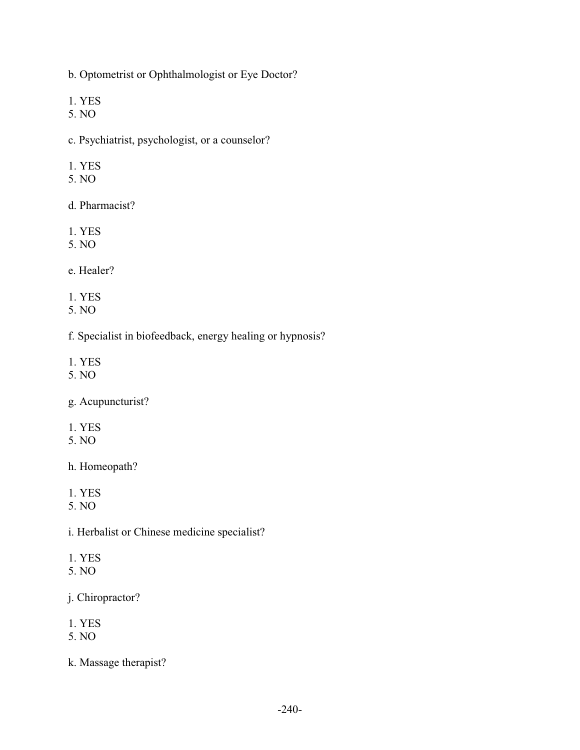b. Optometrist or Ophthalmologist or Eye Doctor?

1. YES

5. NO

c. Psychiatrist, psychologist, or a counselor?

- 1. YES
- 5. NO

d. Pharmacist?

- 1. YES
- 5. NO

e. Healer?

1. YES

5. NO

f. Specialist in biofeedback, energy healing or hypnosis?

1. YES

5. NO

g. Acupuncturist?

1. YES

5. NO

h. Homeopath?

1. YES

5. NO

i. Herbalist or Chinese medicine specialist?

- 1. YES
- 5. NO

j. Chiropractor?

- 1. YES
- 5. NO

k. Massage therapist?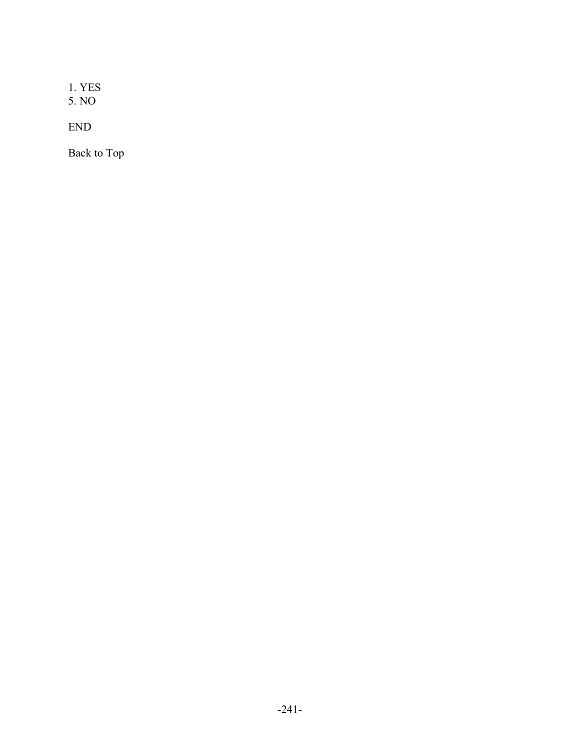1. YES 5. NO

END

Back to Top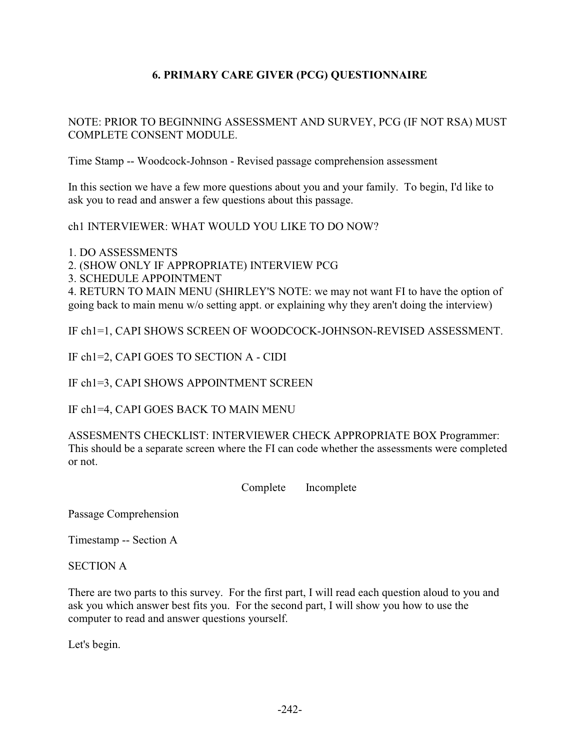# **6. PRIMARY CARE GIVER (PCG) QUESTIONNAIRE**

## NOTE: PRIOR TO BEGINNING ASSESSMENT AND SURVEY, PCG (IF NOT RSA) MUST COMPLETE CONSENT MODULE.

Time Stamp -- Woodcock-Johnson - Revised passage comprehension assessment

In this section we have a few more questions about you and your family. To begin, I'd like to ask you to read and answer a few questions about this passage.

ch1 INTERVIEWER: WHAT WOULD YOU LIKE TO DO NOW?

1. DO ASSESSMENTS

2. (SHOW ONLY IF APPROPRIATE) INTERVIEW PCG

3. SCHEDULE APPOINTMENT

4. RETURN TO MAIN MENU (SHIRLEY'S NOTE: we may not want FI to have the option of going back to main menu w/o setting appt. or explaining why they aren't doing the interview)

IF ch1=1, CAPI SHOWS SCREEN OF WOODCOCK-JOHNSON-REVISED ASSESSMENT.

IF ch1=2, CAPI GOES TO SECTION A - CIDI

IF ch1=3, CAPI SHOWS APPOINTMENT SCREEN

IF ch1=4, CAPI GOES BACK TO MAIN MENU

ASSESMENTS CHECKLIST: INTERVIEWER CHECK APPROPRIATE BOX Programmer: This should be a separate screen where the FI can code whether the assessments were completed or not.

Complete Incomplete

Passage Comprehension

Timestamp -- Section A

SECTION A

There are two parts to this survey. For the first part, I will read each question aloud to you and ask you which answer best fits you. For the second part, I will show you how to use the computer to read and answer questions yourself.

Let's begin.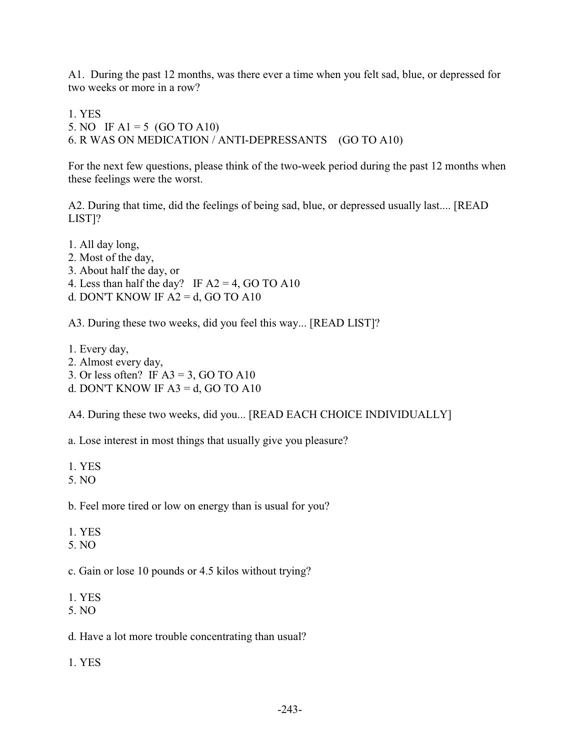A1. During the past 12 months, was there ever a time when you felt sad, blue, or depressed for two weeks or more in a row?

1. YES

5. NO IF A1 = 5 (GO TO A10)

6. R WAS ON MEDICATION / ANTI-DEPRESSANTS (GO TO A10)

For the next few questions, please think of the two-week period during the past 12 months when these feelings were the worst.

A2. During that time, did the feelings of being sad, blue, or depressed usually last.... [READ LIST]?

1. All day long, 2. Most of the day, 3. About half the day, or 4. Less than half the day? IF  $A2 = 4$ , GO TO A10 d. DON'T KNOW IF  $A2 = d$ , GO TO A10

A3. During these two weeks, did you feel this way... [READ LIST]?

1. Every day, 2. Almost every day, 3. Or less often? IF  $A3 = 3$ , GO TO A10 d. DON'T KNOW IF  $A3 = d$ , GO TO A10

A4. During these two weeks, did you... [READ EACH CHOICE INDIVIDUALLY]

a. Lose interest in most things that usually give you pleasure?

1. YES

5. NO

b. Feel more tired or low on energy than is usual for you?

1. YES

5. NO

c. Gain or lose 10 pounds or 4.5 kilos without trying?

1. YES

5. NO

d. Have a lot more trouble concentrating than usual?

1. YES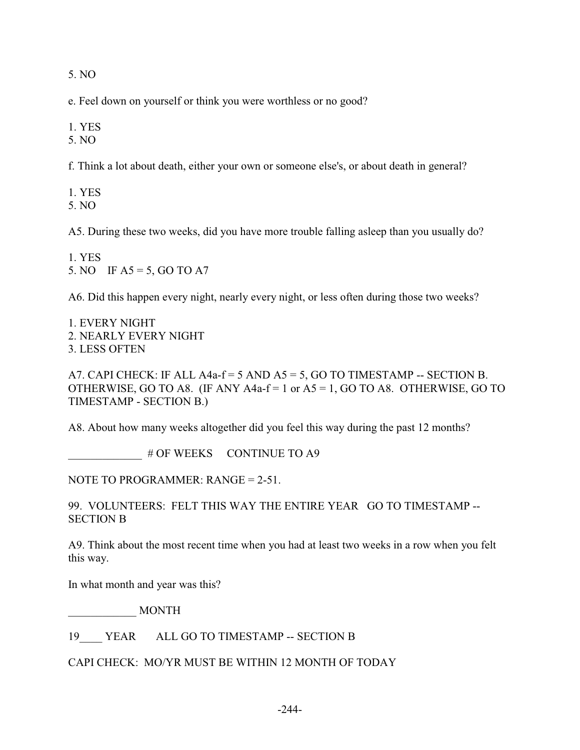5. NO

e. Feel down on yourself or think you were worthless or no good?

1. YES

5. NO

f. Think a lot about death, either your own or someone else's, or about death in general?

1. YES 5. NO

A5. During these two weeks, did you have more trouble falling asleep than you usually do?

1. YES 5. NO IF  $A5 = 5$ , GO TO A7

A6. Did this happen every night, nearly every night, or less often during those two weeks?

1. EVERY NIGHT 2. NEARLY EVERY NIGHT 3. LESS OFTEN

A7. CAPI CHECK: IF ALL A4a- $f = 5$  AND A5 = 5, GO TO TIMESTAMP -- SECTION B. OTHERWISE, GO TO A8. (IF ANY A4a-f = 1 or  $A5 = 1$ , GO TO A8. OTHERWISE, GO TO TIMESTAMP - SECTION B.)

A8. About how many weeks altogether did you feel this way during the past 12 months?

# OF WEEKS CONTINUE TO A9

NOTE TO PROGRAMMER: RANGE = 2-51.

99. VOLUNTEERS: FELT THIS WAY THE ENTIRE YEAR GO TO TIMESTAMP -- SECTION B

A9. Think about the most recent time when you had at least two weeks in a row when you felt this way.

In what month and year was this?

\_\_\_\_\_\_\_\_\_\_\_\_ MONTH

19 YEAR ALL GO TO TIMESTAMP -- SECTION B

CAPI CHECK: MO/YR MUST BE WITHIN 12 MONTH OF TODAY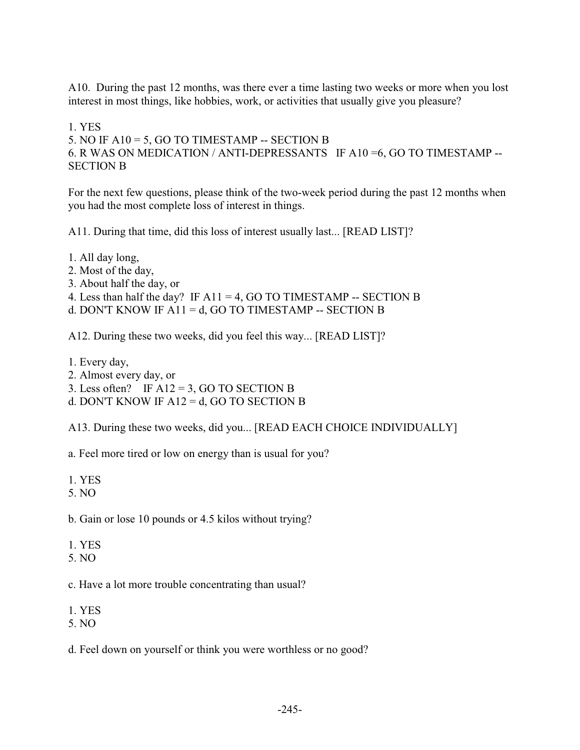A10. During the past 12 months, was there ever a time lasting two weeks or more when you lost interest in most things, like hobbies, work, or activities that usually give you pleasure?

1. YES

5. NO IF  $A10 = 5$ , GO TO TIMESTAMP -- SECTION B

6. R WAS ON MEDICATION / ANTI-DEPRESSANTS IF A10 =6, GO TO TIMESTAMP -- SECTION B

For the next few questions, please think of the two-week period during the past 12 months when you had the most complete loss of interest in things.

A11. During that time, did this loss of interest usually last... [READ LIST]?

- 1. All day long,
- 2. Most of the day,
- 3. About half the day, or
- 4. Less than half the day? IF  $A11 = 4$ , GO TO TIMESTAMP -- SECTION B
- d. DON'T KNOW IF  $A11 = d$ , GO TO TIMESTAMP -- SECTION B

A12. During these two weeks, did you feel this way... [READ LIST]?

- 1. Every day,
- 2. Almost every day, or
- 3. Less often? IF  $A12 = 3$ , GO TO SECTION B
- d. DON'T KNOW IF A12 = d, GO TO SECTION B

A13. During these two weeks, did you... [READ EACH CHOICE INDIVIDUALLY]

a. Feel more tired or low on energy than is usual for you?

- 1. YES
- 5. NO
- b. Gain or lose 10 pounds or 4.5 kilos without trying?
- 1. YES
- 5. NO
- c. Have a lot more trouble concentrating than usual?
- 1. YES
- 5. NO
- d. Feel down on yourself or think you were worthless or no good?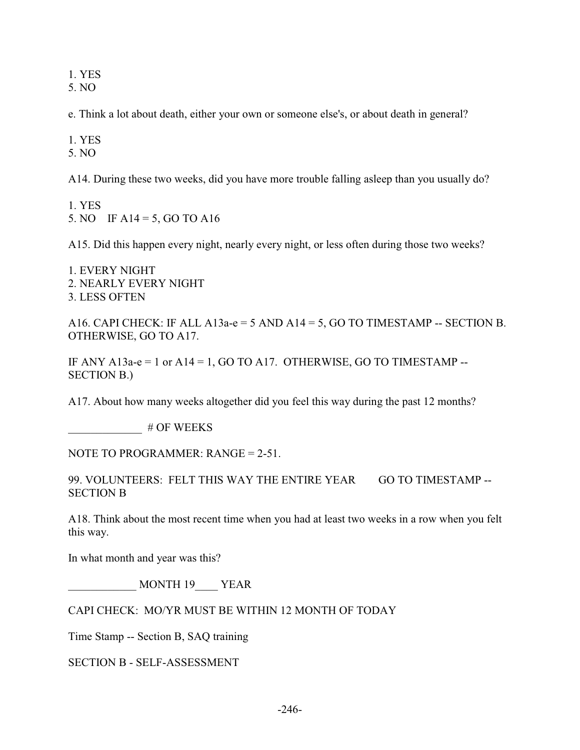1. YES

5. NO

e. Think a lot about death, either your own or someone else's, or about death in general?

1. YES

5. NO

A14. During these two weeks, did you have more trouble falling asleep than you usually do?

1. YES 5. NO IF A14 = 5, GO TO A16

A15. Did this happen every night, nearly every night, or less often during those two weeks?

1. EVERY NIGHT 2. NEARLY EVERY NIGHT 3. LESS OFTEN

A16. CAPI CHECK: IF ALL A13a-e = 5 AND A14 = 5, GO TO TIMESTAMP -- SECTION B. OTHERWISE, GO TO A17.

IF ANY A13a-e = 1 or A14 = 1, GO TO A17. OTHERWISE, GO TO TIMESTAMP --SECTION B.)

A17. About how many weeks altogether did you feel this way during the past 12 months?

\_\_\_\_\_\_\_\_\_\_\_\_\_ # OF WEEKS

NOTE TO PROGRAMMER: RANGE = 2-51.

99. VOLUNTEERS: FELT THIS WAY THE ENTIRE YEAR GO TO TIMESTAMP --SECTION B

A18. Think about the most recent time when you had at least two weeks in a row when you felt this way.

In what month and year was this?

\_\_\_\_\_\_\_\_\_\_\_\_ MONTH 19\_\_\_\_ YEAR

CAPI CHECK: MO/YR MUST BE WITHIN 12 MONTH OF TODAY

Time Stamp -- Section B, SAQ training

SECTION B - SELF-ASSESSMENT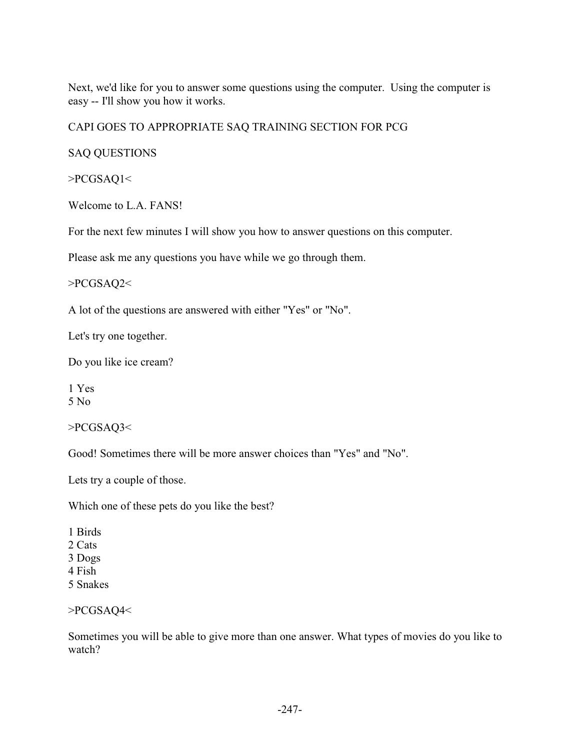Next, we'd like for you to answer some questions using the computer. Using the computer is easy -- I'll show you how it works.

# CAPI GOES TO APPROPRIATE SAQ TRAINING SECTION FOR PCG

# SAQ QUESTIONS

>PCGSAQ1<

Welcome to L.A. FANS!

For the next few minutes I will show you how to answer questions on this computer.

Please ask me any questions you have while we go through them.

>PCGSAQ2<

A lot of the questions are answered with either "Yes" or "No".

Let's try one together.

Do you like ice cream?

1 Yes 5 No

>PCGSAQ3<

Good! Sometimes there will be more answer choices than "Yes" and "No".

Lets try a couple of those.

Which one of these pets do you like the best?

1 Birds 2 Cats

- 3 Dogs
- 4 Fish
- 5 Snakes

>PCGSAQ4<

Sometimes you will be able to give more than one answer. What types of movies do you like to watch?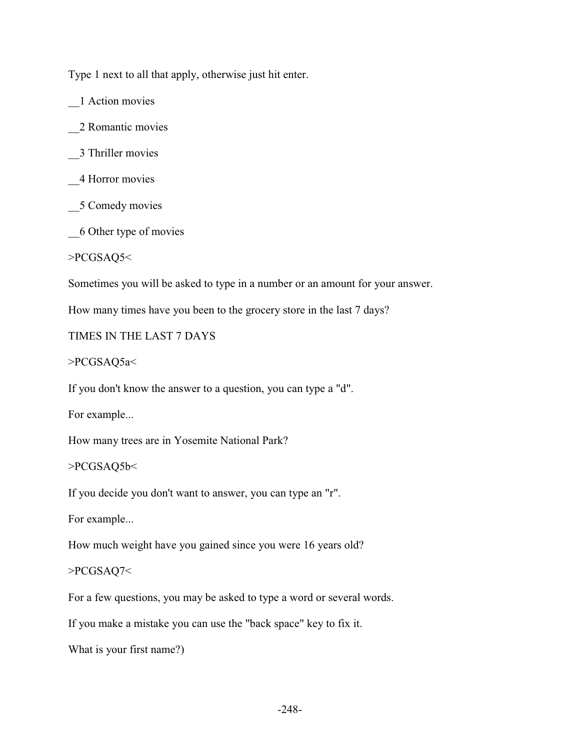Type 1 next to all that apply, otherwise just hit enter.

\_\_1 Action movies

\_\_2 Romantic movies

\_\_3 Thriller movies

\_\_4 Horror movies

\_\_5 Comedy movies

\_\_6 Other type of movies

>PCGSAQ5<

Sometimes you will be asked to type in a number or an amount for your answer.

How many times have you been to the grocery store in the last 7 days?

TIMES IN THE LAST 7 DAYS

>PCGSAQ5a<

If you don't know the answer to a question, you can type a "d".

For example...

How many trees are in Yosemite National Park?

>PCGSAQ5b<

If you decide you don't want to answer, you can type an "r".

For example...

How much weight have you gained since you were 16 years old?

>PCGSAQ7<

For a few questions, you may be asked to type a word or several words.

If you make a mistake you can use the "back space" key to fix it.

What is your first name?)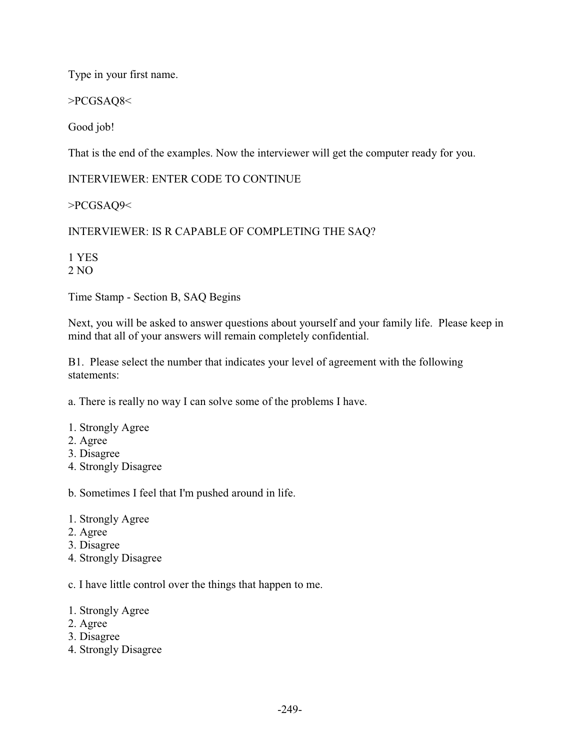Type in your first name.

>PCGSAQ8<

Good job!

That is the end of the examples. Now the interviewer will get the computer ready for you.

INTERVIEWER: ENTER CODE TO CONTINUE

>PCGSAQ9<

INTERVIEWER: IS R CAPABLE OF COMPLETING THE SAQ?

1 YES 2 NO

Time Stamp - Section B, SAQ Begins

Next, you will be asked to answer questions about yourself and your family life. Please keep in mind that all of your answers will remain completely confidential.

B1. Please select the number that indicates your level of agreement with the following statements:

a. There is really no way I can solve some of the problems I have.

- 1. Strongly Agree
- 2. Agree
- 3. Disagree
- 4. Strongly Disagree

b. Sometimes I feel that I'm pushed around in life.

- 1. Strongly Agree
- 2. Agree
- 3. Disagree
- 4. Strongly Disagree

c. I have little control over the things that happen to me.

- 1. Strongly Agree
- 2. Agree
- 3. Disagree
- 4. Strongly Disagree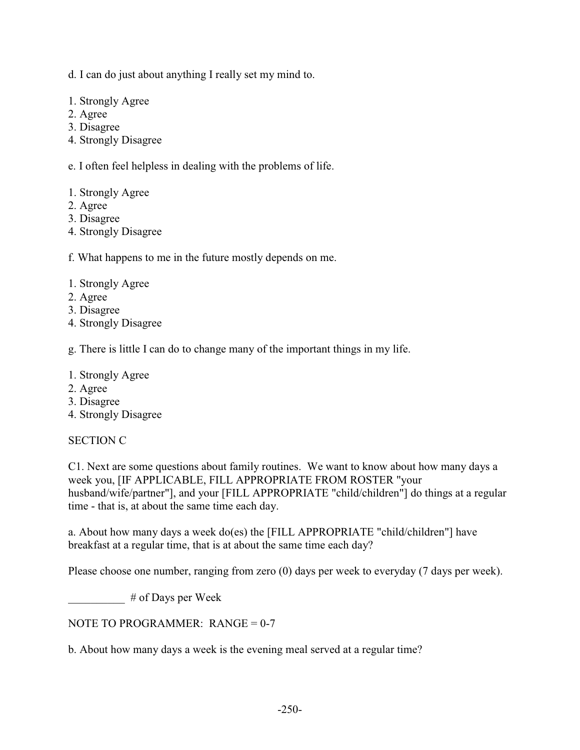d. I can do just about anything I really set my mind to.

- 1. Strongly Agree
- 2. Agree
- 3. Disagree
- 4. Strongly Disagree

e. I often feel helpless in dealing with the problems of life.

- 1. Strongly Agree
- 2. Agree
- 3. Disagree
- 4. Strongly Disagree

f. What happens to me in the future mostly depends on me.

- 1. Strongly Agree
- 2. Agree
- 3. Disagree
- 4. Strongly Disagree

g. There is little I can do to change many of the important things in my life.

- 1. Strongly Agree
- 2. Agree
- 3. Disagree
- 4. Strongly Disagree

#### SECTION C

C1. Next are some questions about family routines. We want to know about how many days a week you, [IF APPLICABLE, FILL APPROPRIATE FROM ROSTER "your husband/wife/partner"], and your [FILL APPROPRIATE "child/children"] do things at a regular time - that is, at about the same time each day.

a. About how many days a week do(es) the [FILL APPROPRIATE "child/children"] have breakfast at a regular time, that is at about the same time each day?

Please choose one number, ranging from zero (0) days per week to everyday (7 days per week).

 $#$  of Days per Week

NOTE TO PROGRAMMER: RANGE =  $0-7$ 

b. About how many days a week is the evening meal served at a regular time?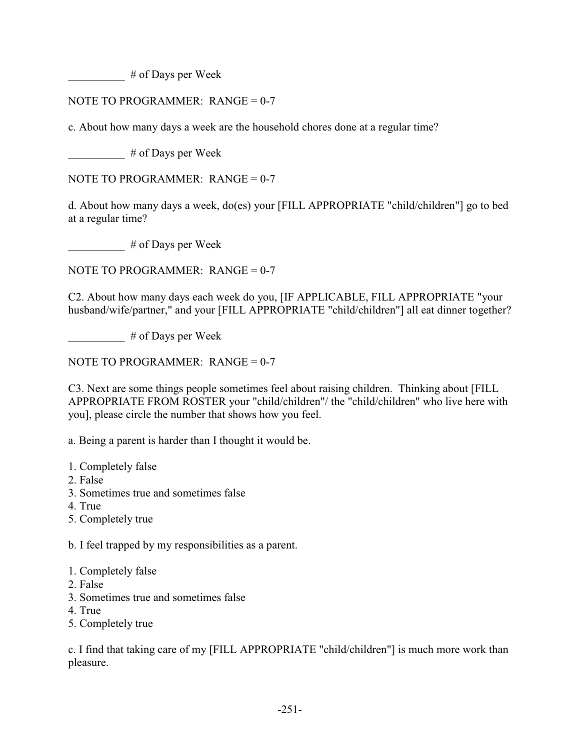\_\_\_\_\_\_\_\_\_\_ # of Days per Week

# NOTE TO PROGRAMMER: RANGE = 0-7

c. About how many days a week are the household chores done at a regular time?

 $#$  of Days per Week

NOTE TO PROGRAMMER: RANGE =  $0-7$ 

d. About how many days a week, do(es) your [FILL APPROPRIATE "child/children"] go to bed at a regular time?

\_\_\_\_\_\_\_\_\_\_ # of Days per Week

NOTE TO PROGRAMMER: RANGE =  $0-7$ 

C2. About how many days each week do you, [IF APPLICABLE, FILL APPROPRIATE "your husband/wife/partner," and your [FILL APPROPRIATE "child/children"] all eat dinner together?

 $#$  of Days per Week

NOTE TO PROGRAMMER:  $RANGE = 0-7$ 

C3. Next are some things people sometimes feel about raising children. Thinking about [FILL APPROPRIATE FROM ROSTER your "child/children"/ the "child/children" who live here with you], please circle the number that shows how you feel.

a. Being a parent is harder than I thought it would be.

- 1. Completely false
- 2. False
- 3. Sometimes true and sometimes false
- 4. True
- 5. Completely true

b. I feel trapped by my responsibilities as a parent.

- 1. Completely false
- 2. False
- 3. Sometimes true and sometimes false
- 4. True
- 5. Completely true

c. I find that taking care of my [FILL APPROPRIATE "child/children"] is much more work than pleasure.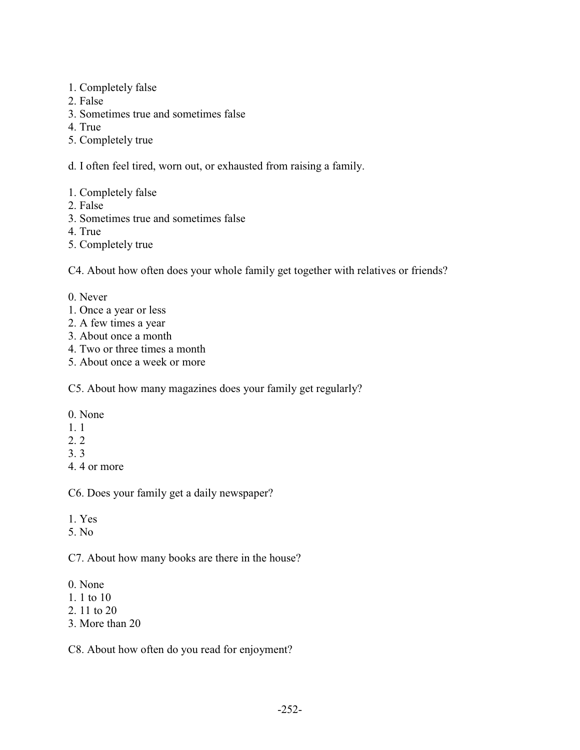- 1. Completely false
- 2. False
- 3. Sometimes true and sometimes false
- 4. True
- 5. Completely true
- d. I often feel tired, worn out, or exhausted from raising a family.
- 1. Completely false
- 2. False
- 3. Sometimes true and sometimes false
- 4. True
- 5. Completely true

C4. About how often does your whole family get together with relatives or friends?

- 0. Never
- 1. Once a year or less
- 2. A few times a year
- 3. About once a month
- 4. Two or three times a month
- 5. About once a week or more

C5. About how many magazines does your family get regularly?

- 0. None
- 1. 1
- 2. 2
- 3. 3
- 4. 4 or more

C6. Does your family get a daily newspaper?

- 1. Yes
- 5. No

C7. About how many books are there in the house?

- 0. None
- 1. 1 to 10
- 2. 11 to 20
- 3. More than 20

C8. About how often do you read for enjoyment?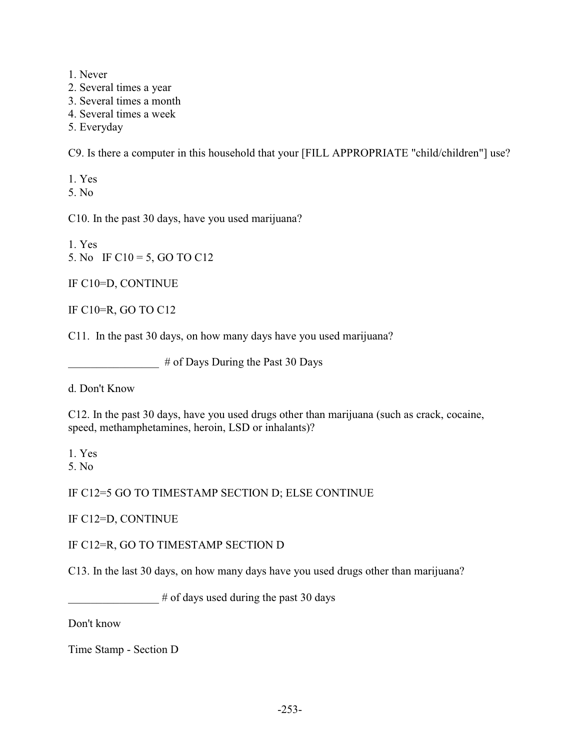- 1. Never
- 2. Several times a year
- 3. Several times a month
- 4. Several times a week
- 5. Everyday

C9. Is there a computer in this household that your [FILL APPROPRIATE "child/children"] use?

1. Yes

5. No

C10. In the past 30 days, have you used marijuana?

1. Yes 5. No IF C10 = 5, GO TO C12

IF C10=D, CONTINUE

IF C10=R, GO TO C12

C11. In the past 30 days, on how many days have you used marijuana?

\_\_\_\_\_\_\_\_\_\_\_\_\_\_\_\_ # of Days During the Past 30 Days

d. Don't Know

C12. In the past 30 days, have you used drugs other than marijuana (such as crack, cocaine, speed, methamphetamines, heroin, LSD or inhalants)?

1. Yes

5. No

IF C12=5 GO TO TIMESTAMP SECTION D; ELSE CONTINUE

IF C12=D, CONTINUE

#### IF C12=R, GO TO TIMESTAMP SECTION D

C13. In the last 30 days, on how many days have you used drugs other than marijuana?

 $#$  of days used during the past 30 days

Don't know

Time Stamp - Section D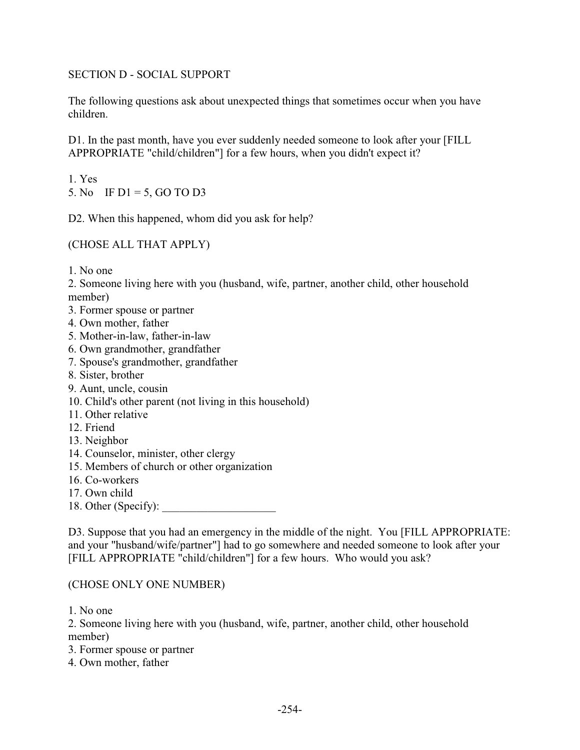## SECTION D - SOCIAL SUPPORT

The following questions ask about unexpected things that sometimes occur when you have children.

D1. In the past month, have you ever suddenly needed someone to look after your [FILL APPROPRIATE "child/children"] for a few hours, when you didn't expect it?

1. Yes 5. No IF D1 = 5, GO TO D3

D2. When this happened, whom did you ask for help?

(CHOSE ALL THAT APPLY)

1. No one

2. Someone living here with you (husband, wife, partner, another child, other household member)

- 3. Former spouse or partner
- 4. Own mother, father
- 5. Mother-in-law, father-in-law
- 6. Own grandmother, grandfather
- 7. Spouse's grandmother, grandfather
- 8. Sister, brother
- 9. Aunt, uncle, cousin
- 10. Child's other parent (not living in this household)
- 11. Other relative
- 12. Friend
- 13. Neighbor
- 14. Counselor, minister, other clergy
- 15. Members of church or other organization
- 16. Co-workers
- 17. Own child
- 18. Other (Specify):

D3. Suppose that you had an emergency in the middle of the night. You [FILL APPROPRIATE: and your "husband/wife/partner"] had to go somewhere and needed someone to look after your [FILL APPROPRIATE "child/children"] for a few hours. Who would you ask?

#### (CHOSE ONLY ONE NUMBER)

1. No one

2. Someone living here with you (husband, wife, partner, another child, other household member)

- 3. Former spouse or partner
- 4. Own mother, father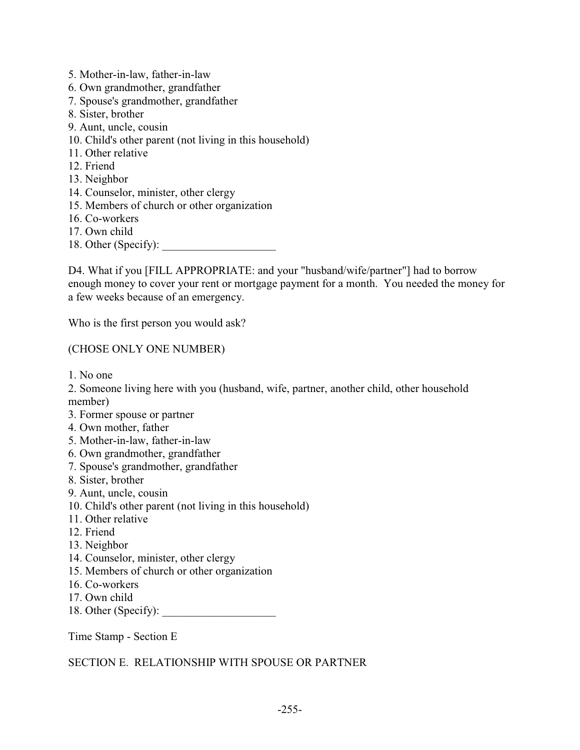- 5. Mother-in-law, father-in-law 6. Own grandmother, grandfather 7. Spouse's grandmother, grandfather 8. Sister, brother 9. Aunt, uncle, cousin 10. Child's other parent (not living in this household) 11. Other relative 12. Friend 13. Neighbor 14. Counselor, minister, other clergy 15. Members of church or other organization 16. Co-workers 17. Own child
- 18. Other (Specify):

D4. What if you [FILL APPROPRIATE: and your "husband/wife/partner"] had to borrow enough money to cover your rent or mortgage payment for a month. You needed the money for a few weeks because of an emergency.

Who is the first person you would ask?

#### (CHOSE ONLY ONE NUMBER)

1. No one

2. Someone living here with you (husband, wife, partner, another child, other household member)

- 3. Former spouse or partner
- 4. Own mother, father
- 5. Mother-in-law, father-in-law
- 6. Own grandmother, grandfather
- 7. Spouse's grandmother, grandfather
- 8. Sister, brother
- 9. Aunt, uncle, cousin
- 10. Child's other parent (not living in this household)
- 11. Other relative
- 12. Friend
- 13. Neighbor
- 14. Counselor, minister, other clergy
- 15. Members of church or other organization
- 16. Co-workers
- 17. Own child
- 18. Other (Specify):

Time Stamp - Section E

SECTION E. RELATIONSHIP WITH SPOUSE OR PARTNER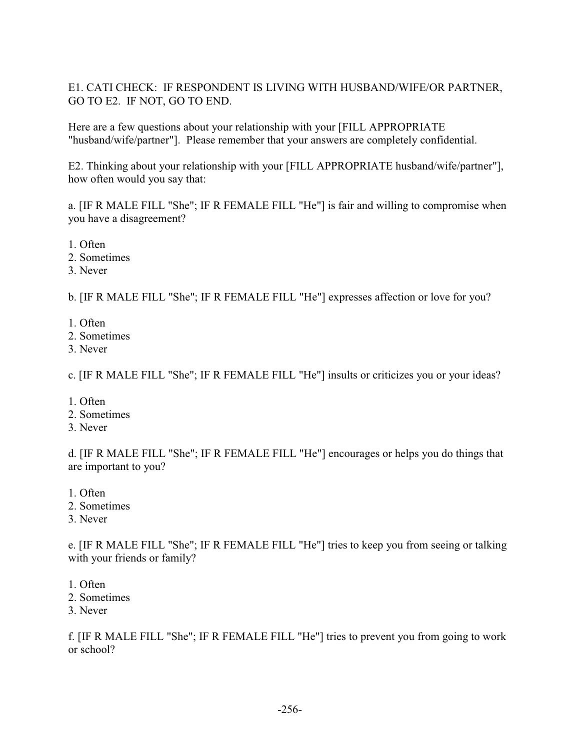# E1. CATI CHECK: IF RESPONDENT IS LIVING WITH HUSBAND/WIFE/OR PARTNER, GO TO E2. IF NOT, GO TO END.

Here are a few questions about your relationship with your [FILL APPROPRIATE "husband/wife/partner"]. Please remember that your answers are completely confidential.

E2. Thinking about your relationship with your [FILL APPROPRIATE husband/wife/partner"], how often would you say that:

a. [IF R MALE FILL "She"; IF R FEMALE FILL "He"] is fair and willing to compromise when you have a disagreement?

- 1. Often
- 2. Sometimes
- 3. Never

b. [IF R MALE FILL "She"; IF R FEMALE FILL "He"] expresses affection or love for you?

- 1. Often
- 2. Sometimes
- 3. Never

c. [IF R MALE FILL "She"; IF R FEMALE FILL "He"] insults or criticizes you or your ideas?

- 1. Often
- 2. Sometimes
- 3. Never

d. [IF R MALE FILL "She"; IF R FEMALE FILL "He"] encourages or helps you do things that are important to you?

- 1. Often
- 2. Sometimes
- 3. Never

e. [IF R MALE FILL "She"; IF R FEMALE FILL "He"] tries to keep you from seeing or talking with your friends or family?

- 1. Often
- 2. Sometimes
- 3. Never

f. [IF R MALE FILL "She"; IF R FEMALE FILL "He"] tries to prevent you from going to work or school?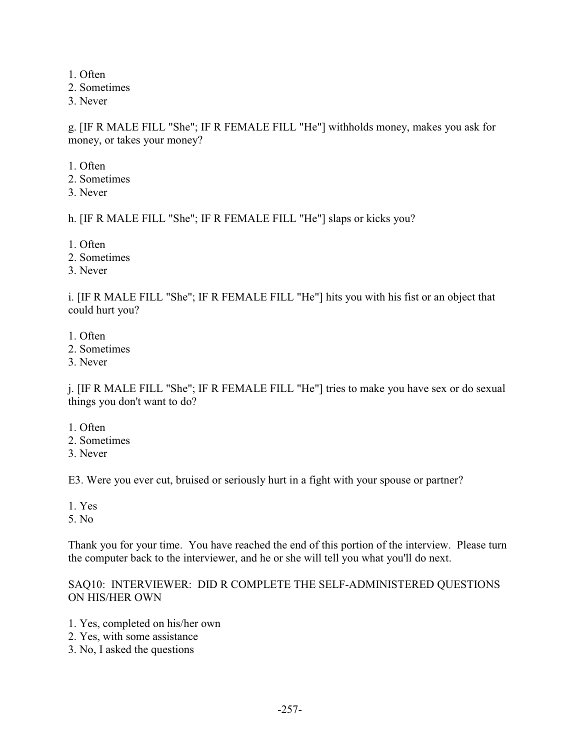1. Often

2. Sometimes

3. Never

g. [IF R MALE FILL "She"; IF R FEMALE FILL "He"] withholds money, makes you ask for money, or takes your money?

1. Often

- 2. Sometimes
- 3. Never

h. [IF R MALE FILL "She"; IF R FEMALE FILL "He"] slaps or kicks you?

- 1. Often
- 2. Sometimes
- 3. Never

i. [IF R MALE FILL "She"; IF R FEMALE FILL "He"] hits you with his fist or an object that could hurt you?

- 1. Often
- 2. Sometimes
- 3. Never

j. [IF R MALE FILL "She"; IF R FEMALE FILL "He"] tries to make you have sex or do sexual things you don't want to do?

- 1. Often
- 2. Sometimes
- 3. Never

E3. Were you ever cut, bruised or seriously hurt in a fight with your spouse or partner?

- 1. Yes
- 5. No

Thank you for your time. You have reached the end of this portion of the interview. Please turn the computer back to the interviewer, and he or she will tell you what you'll do next.

## SAQ10: INTERVIEWER: DID R COMPLETE THE SELF-ADMINISTERED QUESTIONS ON HIS/HER OWN

- 1. Yes, completed on his/her own
- 2. Yes, with some assistance
- 3. No, I asked the questions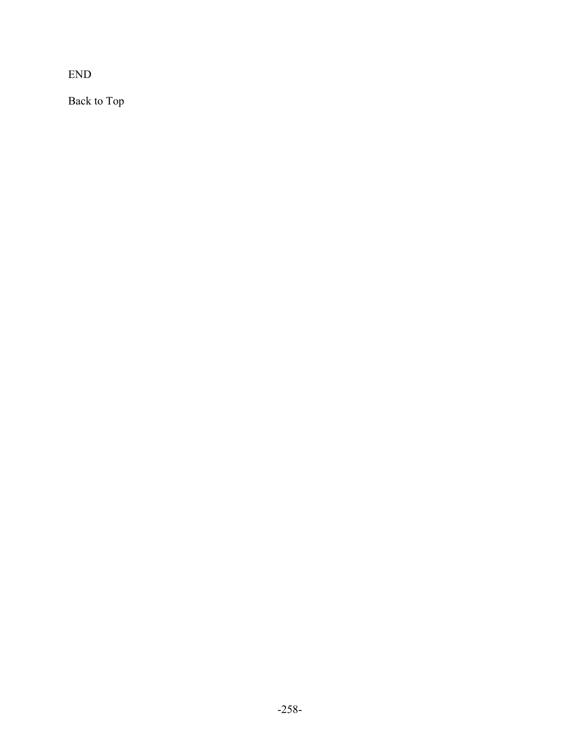END

Back to Top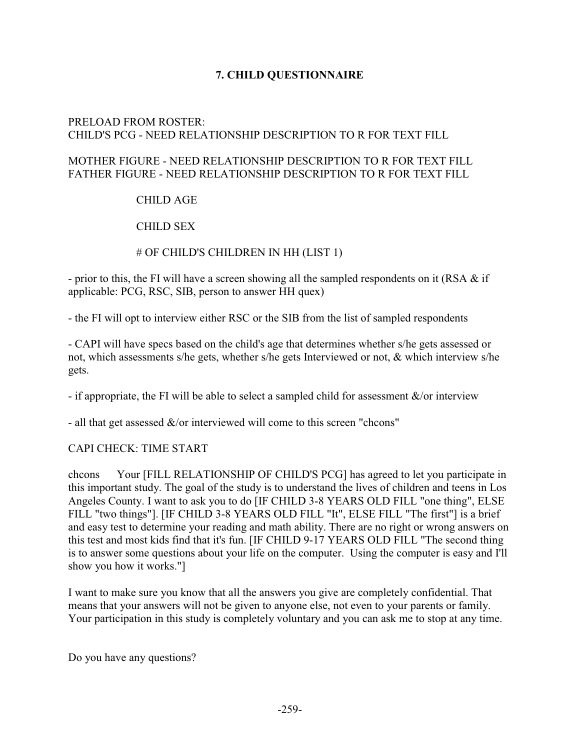# **7. CHILD QUESTIONNAIRE**

## PRELOAD FROM ROSTER: CHILD'S PCG - NEED RELATIONSHIP DESCRIPTION TO R FOR TEXT FILL

#### MOTHER FIGURE - NEED RELATIONSHIP DESCRIPTION TO R FOR TEXT FILL FATHER FIGURE - NEED RELATIONSHIP DESCRIPTION TO R FOR TEXT FILL

# CHILD AGE

# CHILD SEX

## # OF CHILD'S CHILDREN IN HH (LIST 1)

- prior to this, the FI will have a screen showing all the sampled respondents on it (RSA & if applicable: PCG, RSC, SIB, person to answer HH quex)

- the FI will opt to interview either RSC or the SIB from the list of sampled respondents

- CAPI will have specs based on the child's age that determines whether s/he gets assessed or not, which assessments s/he gets, whether s/he gets Interviewed or not, & which interview s/he gets.

- if appropriate, the FI will be able to select a sampled child for assessment  $\&$ /or interview

- all that get assessed  $\&$ /or interviewed will come to this screen "chcons"

#### CAPI CHECK: TIME START

chcons Your [FILL RELATIONSHIP OF CHILD'S PCG] has agreed to let you participate in this important study. The goal of the study is to understand the lives of children and teens in Los Angeles County. I want to ask you to do [IF CHILD 3-8 YEARS OLD FILL "one thing", ELSE FILL "two things"]. [IF CHILD 3-8 YEARS OLD FILL "It", ELSE FILL "The first"] is a brief and easy test to determine your reading and math ability. There are no right or wrong answers on this test and most kids find that it's fun. [IF CHILD 9-17 YEARS OLD FILL "The second thing is to answer some questions about your life on the computer. Using the computer is easy and I'll show you how it works."]

I want to make sure you know that all the answers you give are completely confidential. That means that your answers will not be given to anyone else, not even to your parents or family. Your participation in this study is completely voluntary and you can ask me to stop at any time.

Do you have any questions?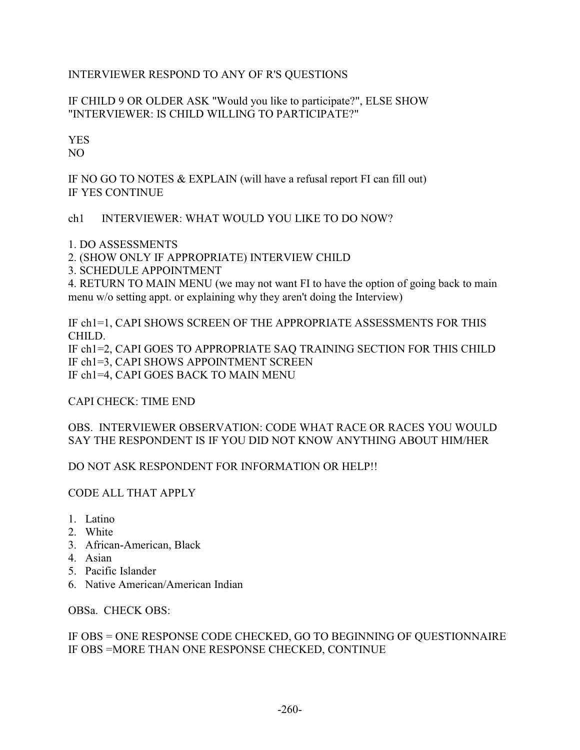# INTERVIEWER RESPOND TO ANY OF R'S QUESTIONS

# IF CHILD 9 OR OLDER ASK "Would you like to participate?", ELSE SHOW "INTERVIEWER: IS CHILD WILLING TO PARTICIPATE?"

# YES

NO

IF NO GO TO NOTES & EXPLAIN (will have a refusal report FI can fill out) IF YES CONTINUE

# ch1 INTERVIEWER: WHAT WOULD YOU LIKE TO DO NOW?

1. DO ASSESSMENTS

2. (SHOW ONLY IF APPROPRIATE) INTERVIEW CHILD

3. SCHEDULE APPOINTMENT

4. RETURN TO MAIN MENU (we may not want FI to have the option of going back to main menu w/o setting appt. or explaining why they aren't doing the Interview)

IF ch1=1, CAPI SHOWS SCREEN OF THE APPROPRIATE ASSESSMENTS FOR THIS CHILD. IF ch1=2, CAPI GOES TO APPROPRIATE SAQ TRAINING SECTION FOR THIS CHILD IF ch1=3, CAPI SHOWS APPOINTMENT SCREEN IF ch1=4, CAPI GOES BACK TO MAIN MENU

CAPI CHECK: TIME END

# OBS. INTERVIEWER OBSERVATION: CODE WHAT RACE OR RACES YOU WOULD SAY THE RESPONDENT IS IF YOU DID NOT KNOW ANYTHING ABOUT HIM/HER

DO NOT ASK RESPONDENT FOR INFORMATION OR HELP!!

# CODE ALL THAT APPLY

- 1. Latino
- 2. White
- 3. African-American, Black
- 4. Asian
- 5. Pacific Islander
- 6. Native American/American Indian

OBSa. CHECK OBS:

## IF OBS = ONE RESPONSE CODE CHECKED, GO TO BEGINNING OF QUESTIONNAIRE IF OBS =MORE THAN ONE RESPONSE CHECKED, CONTINUE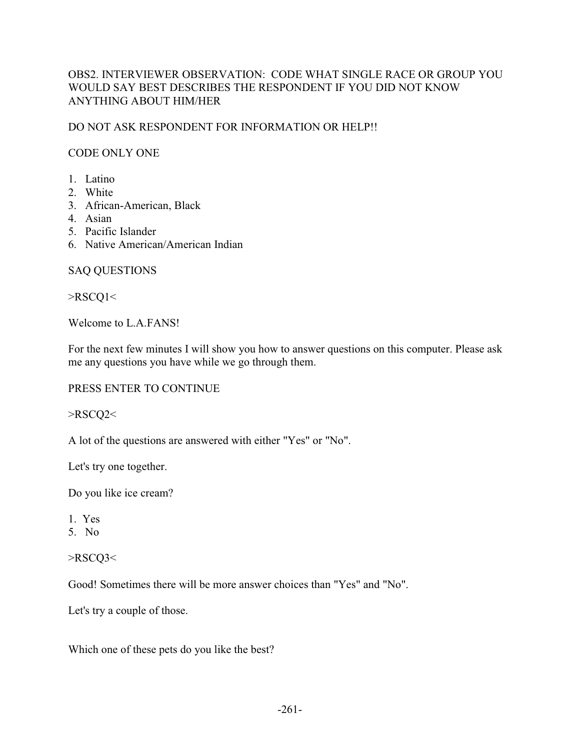# OBS2. INTERVIEWER OBSERVATION: CODE WHAT SINGLE RACE OR GROUP YOU WOULD SAY BEST DESCRIBES THE RESPONDENT IF YOU DID NOT KNOW ANYTHING ABOUT HIM/HER

## DO NOT ASK RESPONDENT FOR INFORMATION OR HELP!!

## CODE ONLY ONE

- 1. Latino
- 2. White
- 3. African-American, Black
- 4. Asian
- 5. Pacific Islander
- 6. Native American/American Indian

## SAQ QUESTIONS

>RSCQ1<

Welcome to L.A.FANS!

For the next few minutes I will show you how to answer questions on this computer. Please ask me any questions you have while we go through them.

PRESS ENTER TO CONTINUE

>RSCQ2<

A lot of the questions are answered with either "Yes" or "No".

Let's try one together.

Do you like ice cream?

1. Yes

5. No

>RSCQ3<

Good! Sometimes there will be more answer choices than "Yes" and "No".

Let's try a couple of those.

Which one of these pets do you like the best?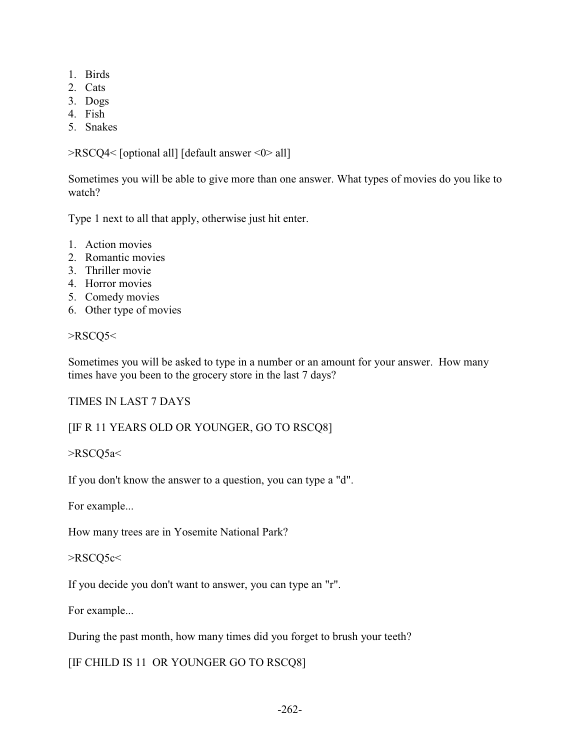- 1. Birds
- 2. Cats
- 3. Dogs
- 4. Fish
- 5. Snakes

>RSCQ4< [optional all] [default answer <0> all]

Sometimes you will be able to give more than one answer. What types of movies do you like to watch?

Type 1 next to all that apply, otherwise just hit enter.

- 1. Action movies
- 2. Romantic movies
- 3. Thriller movie
- 4. Horror movies
- 5. Comedy movies
- 6. Other type of movies

#### >RSCQ5<

Sometimes you will be asked to type in a number or an amount for your answer. How many times have you been to the grocery store in the last 7 days?

#### TIMES IN LAST 7 DAYS

#### [IF R 11 YEARS OLD OR YOUNGER, GO TO RSCQ8]

>RSCQ5a<

If you don't know the answer to a question, you can type a "d".

For example...

How many trees are in Yosemite National Park?

>RSCQ5c<

If you decide you don't want to answer, you can type an "r".

For example...

During the past month, how many times did you forget to brush your teeth?

[IF CHILD IS 11 OR YOUNGER GO TO RSCQ8]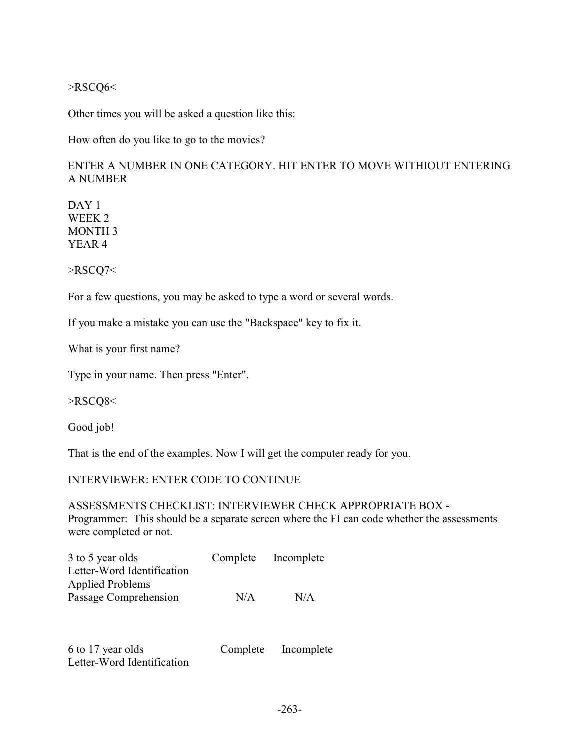## >RSCQ6<

Other times you will be asked a question like this:

How often do you like to go to the movies?

# ENTER A NUMBER IN ONE CATEGORY. HIT ENTER TO MOVE WITHIOUT ENTERING A NUMBER

DAY<sub>1</sub> WEEK 2 MONTH 3 YEAR 4

>RSCQ7<

For a few questions, you may be asked to type a word or several words.

If you make a mistake you can use the "Backspace" key to fix it.

What is your first name?

Type in your name. Then press "Enter".

>RSCQ8<

Good job!

That is the end of the examples. Now I will get the computer ready for you.

## INTERVIEWER: ENTER CODE TO CONTINUE

ASSESSMENTS CHECKLIST: INTERVIEWER CHECK APPROPRIATE BOX - Programmer: This should be a separate screen where the FI can code whether the assessments were completed or not.

| 3 to 5 year olds           | Complete | Incomplete |
|----------------------------|----------|------------|
| Letter-Word Identification |          |            |
| <b>Applied Problems</b>    |          |            |
| Passage Comprehension      | N/A      | N/A        |

6 to 17 year olds Complete Incomplete Letter-Word Identification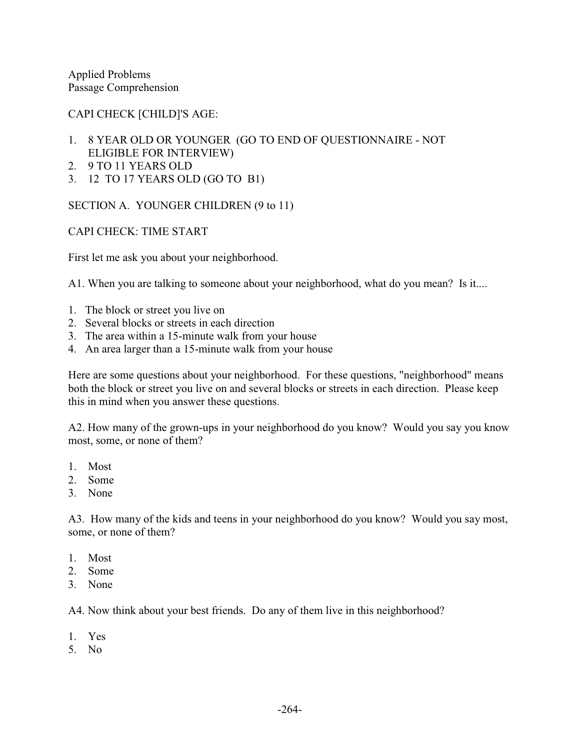Applied Problems Passage Comprehension

CAPI CHECK [CHILD]'S AGE:

- 1. 8 YEAR OLD OR YOUNGER (GO TO END OF QUESTIONNAIRE NOT ELIGIBLE FOR INTERVIEW)
- 2. 9 TO 11 YEARS OLD
- 3. 12 TO 17 YEARS OLD (GO TO B1)

SECTION A. YOUNGER CHILDREN (9 to 11)

CAPI CHECK: TIME START

First let me ask you about your neighborhood.

A1. When you are talking to someone about your neighborhood, what do you mean? Is it....

- 1. The block or street you live on
- 2. Several blocks or streets in each direction
- 3. The area within a 15-minute walk from your house
- 4. An area larger than a 15-minute walk from your house

Here are some questions about your neighborhood. For these questions, "neighborhood" means both the block or street you live on and several blocks or streets in each direction. Please keep this in mind when you answer these questions.

A2. How many of the grown-ups in your neighborhood do you know? Would you say you know most, some, or none of them?

- 1. Most
- 2. Some
- 3. None

A3. How many of the kids and teens in your neighborhood do you know? Would you say most, some, or none of them?

- 1. Most
- 2. Some
- 3. None

A4. Now think about your best friends. Do any of them live in this neighborhood?

- 1. Yes
- 5. No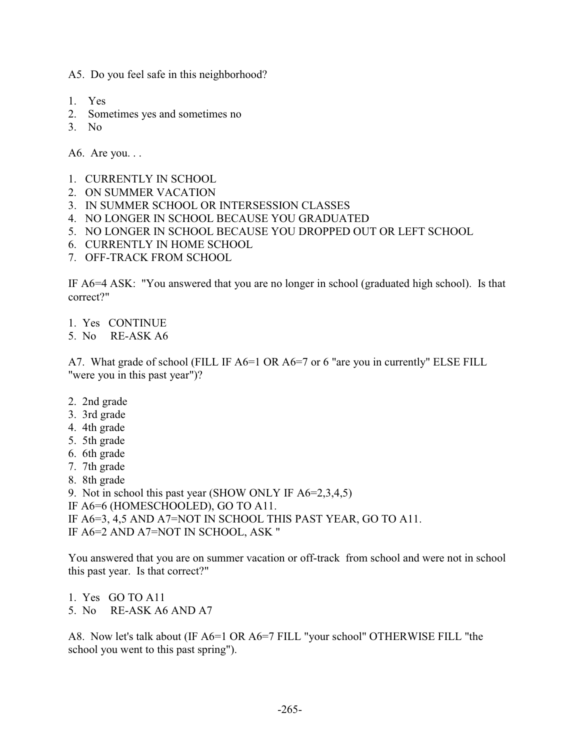A5. Do you feel safe in this neighborhood?

- 1. Yes
- 2. Sometimes yes and sometimes no
- 3. No

A6. Are you. . .

- 1. CURRENTLY IN SCHOOL
- 2. ON SUMMER VACATION
- 3. IN SUMMER SCHOOL OR INTERSESSION CLASSES
- 4. NO LONGER IN SCHOOL BECAUSE YOU GRADUATED
- 5. NO LONGER IN SCHOOL BECAUSE YOU DROPPED OUT OR LEFT SCHOOL
- 6. CURRENTLY IN HOME SCHOOL
- 7. OFF-TRACK FROM SCHOOL

IF A6=4 ASK: "You answered that you are no longer in school (graduated high school). Is that correct?"

- 1. Yes CONTINUE
- 5. No RE-ASK A6

A7. What grade of school (FILL IF A6=1 OR A6=7 or 6 "are you in currently" ELSE FILL "were you in this past year")?

- 2. 2nd grade
- 3. 3rd grade
- 4. 4th grade
- 5. 5th grade
- 6. 6th grade
- 7. 7th grade
- 8. 8th grade
- 9. Not in school this past year (SHOW ONLY IF A6=2,3,4,5)
- IF A6=6 (HOMESCHOOLED), GO TO A11.
- IF A6=3, 4,5 AND A7=NOT IN SCHOOL THIS PAST YEAR, GO TO A11.
- IF A6=2 AND A7=NOT IN SCHOOL, ASK "

You answered that you are on summer vacation or off-track from school and were not in school this past year. Is that correct?"

- 1. Yes GO TO A11
- 5. No RE-ASK A6 AND A7

A8. Now let's talk about (IF A6=1 OR A6=7 FILL "your school" OTHERWISE FILL "the school you went to this past spring").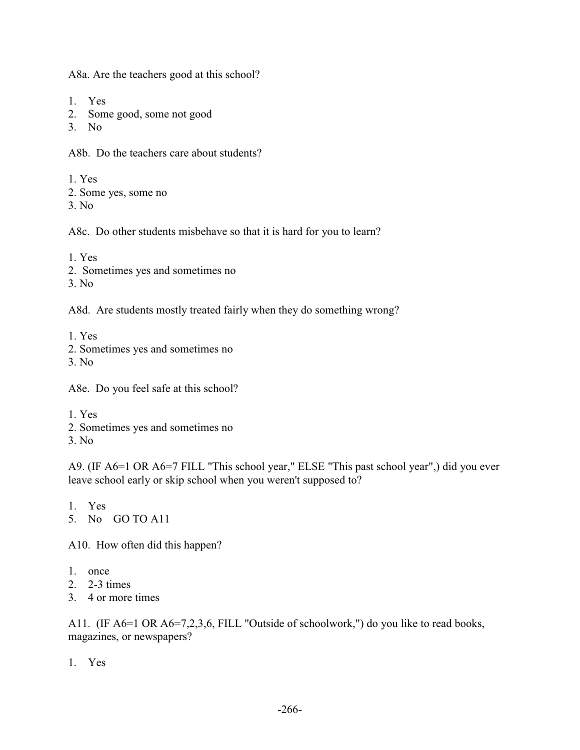A8a. Are the teachers good at this school?

- 1. Yes
- 2. Some good, some not good
- 3. No

A8b. Do the teachers care about students?

1. Yes

- 2. Some yes, some no
- 3. No

A8c. Do other students misbehave so that it is hard for you to learn?

1. Yes

- 2. Sometimes yes and sometimes no
- 3. No

A8d. Are students mostly treated fairly when they do something wrong?

1. Yes

- 2. Sometimes yes and sometimes no
- 3. No

A8e. Do you feel safe at this school?

- 1. Yes
- 2. Sometimes yes and sometimes no
- 3. No

A9. (IF A6=1 OR A6=7 FILL "This school year," ELSE "This past school year",) did you ever leave school early or skip school when you weren't supposed to?

1. Yes

5. No GO TO A11

A10. How often did this happen?

- 1. once
- 2. 2-3 times
- 3. 4 or more times

A11. (IF A6=1 OR A6=7,2,3,6, FILL "Outside of schoolwork,") do you like to read books, magazines, or newspapers?

1. Yes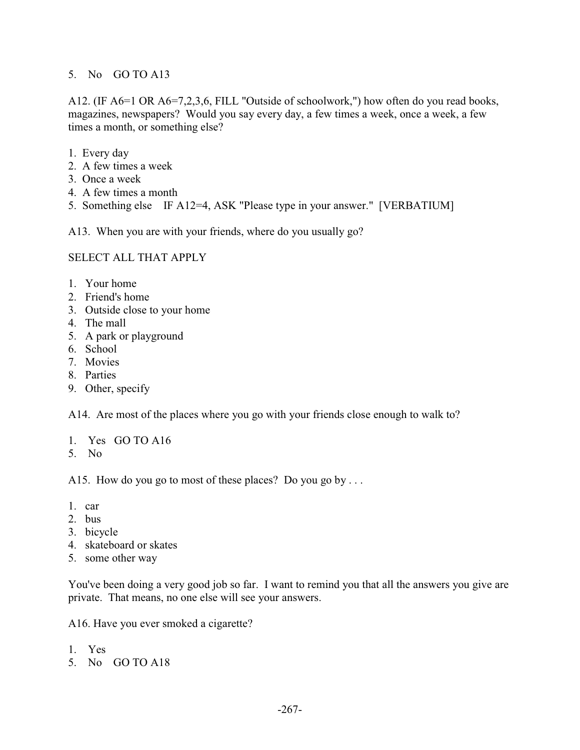#### 5. No GO TO A13

A12. (IF A6=1 OR A6=7,2,3,6, FILL "Outside of schoolwork,") how often do you read books, magazines, newspapers? Would you say every day, a few times a week, once a week, a few times a month, or something else?

- 1. Every day
- 2. A few times a week
- 3. Once a week
- 4. A few times a month
- 5. Something else IF A12=4, ASK "Please type in your answer." [VERBATIUM]

A13. When you are with your friends, where do you usually go?

## SELECT ALL THAT APPLY

- 1. Your home
- 2. Friend's home
- 3. Outside close to your home
- 4. The mall
- 5. A park or playground
- 6. School
- 7. Movies
- 8. Parties
- 9. Other, specify

A14. Are most of the places where you go with your friends close enough to walk to?

- 1. Yes GO TO A16
- 5. No

A15. How do you go to most of these places? Do you go by ...

- 1. car
- 2. bus
- 3. bicycle
- 4. skateboard or skates
- 5. some other way

You've been doing a very good job so far. I want to remind you that all the answers you give are private. That means, no one else will see your answers.

A16. Have you ever smoked a cigarette?

- 1. Yes
- 5. No GO TO A18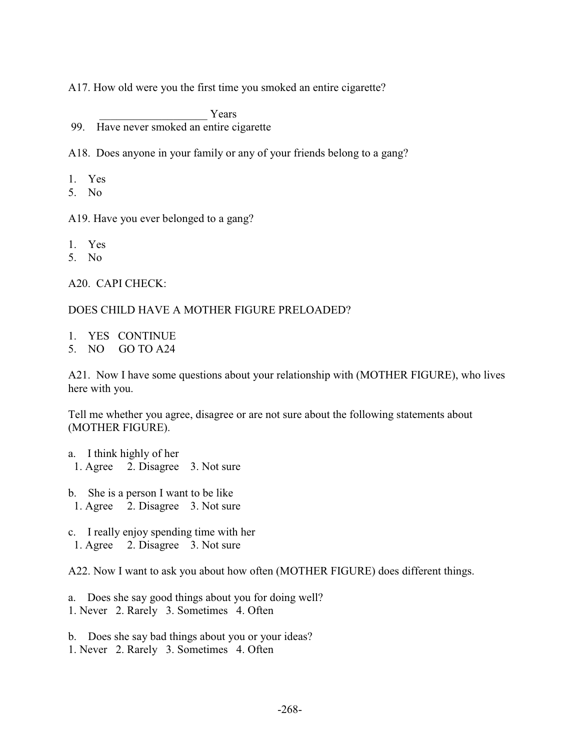A17. How old were you the first time you smoked an entire cigarette?

Years 99. Have never smoked an entire cigarette

A18. Does anyone in your family or any of your friends belong to a gang?

- 1. Yes
- 5. No

A19. Have you ever belonged to a gang?

- 1. Yes
- 5. No

A20. CAPI CHECK:

#### DOES CHILD HAVE A MOTHER FIGURE PRELOADED?

- 1. YES CONTINUE
- 5. NO GO TO A24

A21. Now I have some questions about your relationship with (MOTHER FIGURE), who lives here with you.

Tell me whether you agree, disagree or are not sure about the following statements about (MOTHER FIGURE).

- a. I think highly of her
- 1. Agree 2. Disagree 3. Not sure
- b. She is a person I want to be like 1. Agree 2. Disagree 3. Not sure
- c. I really enjoy spending time with her 1. Agree 2. Disagree 3. Not sure

A22. Now I want to ask you about how often (MOTHER FIGURE) does different things.

- a. Does she say good things about you for doing well?
- 1. Never 2. Rarely 3. Sometimes 4. Often
- b. Does she say bad things about you or your ideas?
- 1. Never 2. Rarely 3. Sometimes 4. Often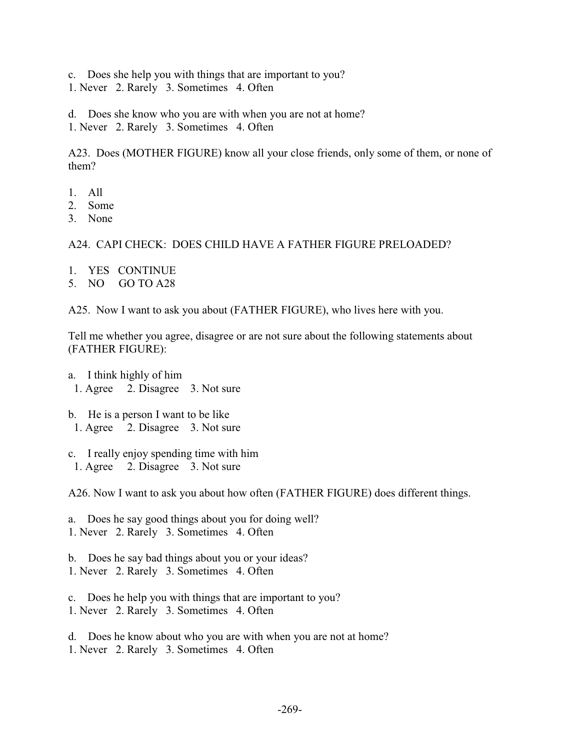c. Does she help you with things that are important to you?

1. Never 2. Rarely 3. Sometimes 4. Often

d. Does she know who you are with when you are not at home?

1. Never 2. Rarely 3. Sometimes 4. Often

A23. Does (MOTHER FIGURE) know all your close friends, only some of them, or none of them?

- 1. All
- 2. Some
- 3. None

#### A24. CAPI CHECK: DOES CHILD HAVE A FATHER FIGURE PRELOADED?

- 1. YES CONTINUE
- 5. NO GO TO A28

A25. Now I want to ask you about (FATHER FIGURE), who lives here with you.

Tell me whether you agree, disagree or are not sure about the following statements about (FATHER FIGURE):

- a. I think highly of him 1. Agree 2. Disagree 3. Not sure
- b. He is a person I want to be like 1. Agree 2. Disagree 3. Not sure
- c. I really enjoy spending time with him 1. Agree 2. Disagree 3. Not sure

A26. Now I want to ask you about how often (FATHER FIGURE) does different things.

- a. Does he say good things about you for doing well? 1. Never 2. Rarely 3. Sometimes 4. Often
- b. Does he say bad things about you or your ideas? 1. Never 2. Rarely 3. Sometimes 4. Often
- c. Does he help you with things that are important to you? 1. Never 2. Rarely 3. Sometimes 4. Often
- d. Does he know about who you are with when you are not at home? 1. Never 2. Rarely 3. Sometimes 4. Often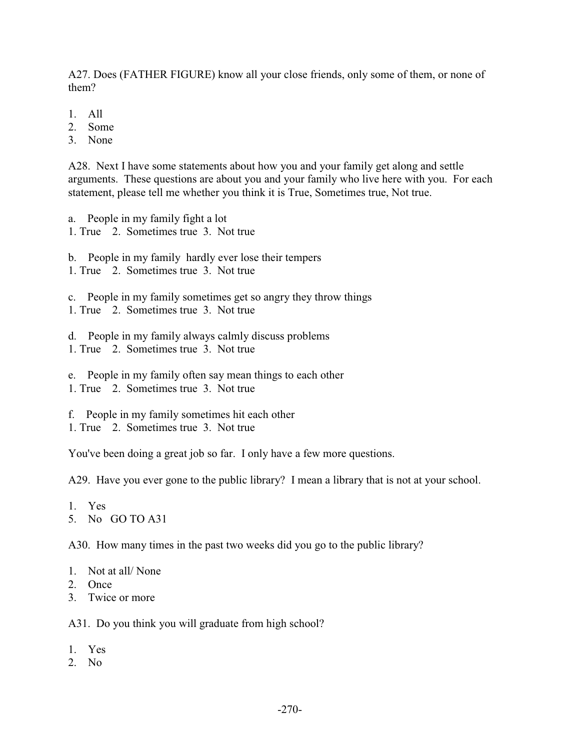A27. Does (FATHER FIGURE) know all your close friends, only some of them, or none of them?

- 1. All
- 2. Some
- 3. None

A28. Next I have some statements about how you and your family get along and settle arguments. These questions are about you and your family who live here with you. For each statement, please tell me whether you think it is True, Sometimes true, Not true.

- a. People in my family fight a lot
- 1. True 2. Sometimes true 3. Not true
- b. People in my family hardly ever lose their tempers
- 1. True 2. Sometimes true 3. Not true
- c. People in my family sometimes get so angry they throw things
- 1. True 2. Sometimes true 3. Not true
- d. People in my family always calmly discuss problems 1. True 2. Sometimes true 3. Not true
- e. People in my family often say mean things to each other 1. True 2. Sometimes true 3. Not true
- 
- f. People in my family sometimes hit each other
- 1. True 2. Sometimes true 3. Not true

You've been doing a great job so far. I only have a few more questions.

A29. Have you ever gone to the public library? I mean a library that is not at your school.

1. Yes

5. No GO TO A31

A30. How many times in the past two weeks did you go to the public library?

- 1. Not at all/ None
- 2. Once
- 3. Twice or more

A31. Do you think you will graduate from high school?

- 1. Yes
- 2. No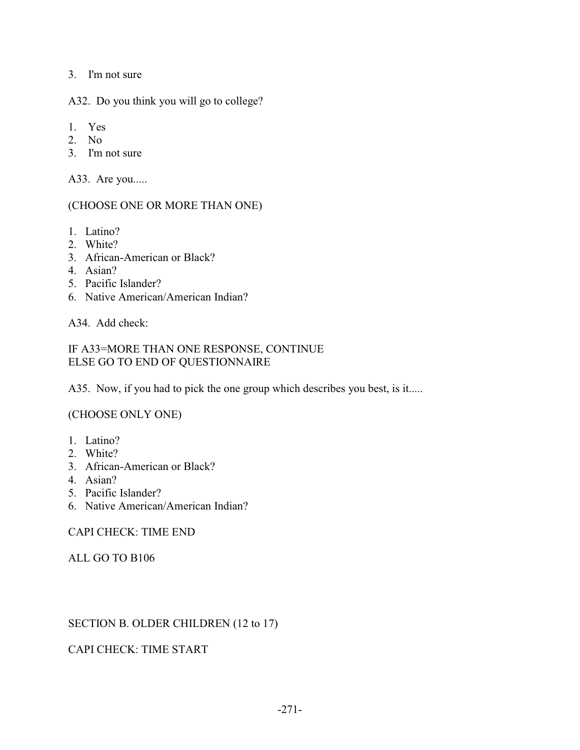3. I'm not sure

A32. Do you think you will go to college?

- 1. Yes
- 2. No
- 3. I'm not sure

A33. Are you.....

## (CHOOSE ONE OR MORE THAN ONE)

- 1. Latino?
- 2. White?
- 3. African-American or Black?
- 4. Asian?
- 5. Pacific Islander?
- 6. Native American/American Indian?

A34. Add check:

## IF A33=MORE THAN ONE RESPONSE, CONTINUE ELSE GO TO END OF QUESTIONNAIRE

A35. Now, if you had to pick the one group which describes you best, is it.....

# (CHOOSE ONLY ONE)

- 1. Latino?
- 2. White?
- 3. African-American or Black?
- 4. Asian?
- 5. Pacific Islander?
- 6. Native American/American Indian?

CAPI CHECK: TIME END

#### ALL GO TO B106

# SECTION B. OLDER CHILDREN (12 to 17)

# CAPI CHECK: TIME START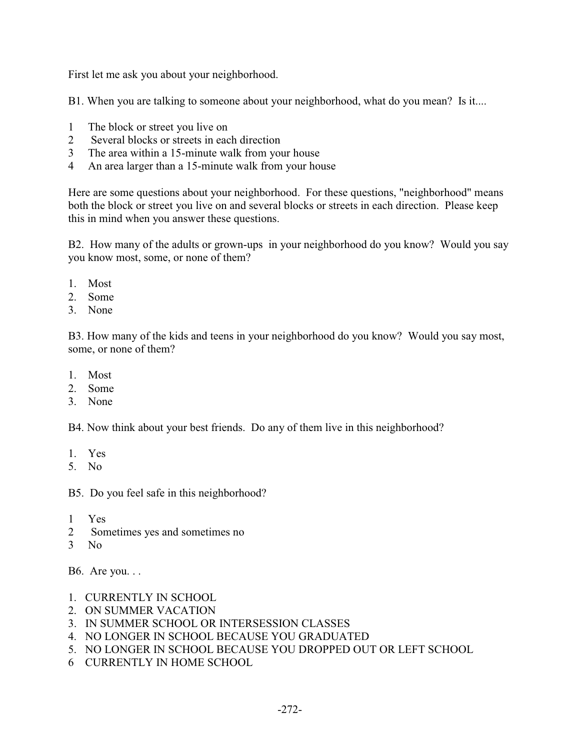First let me ask you about your neighborhood.

B1. When you are talking to someone about your neighborhood, what do you mean? Is it....

- 1 The block or street you live on
- 2 Several blocks or streets in each direction
- 3 The area within a 15-minute walk from your house
- 4 An area larger than a 15-minute walk from your house

Here are some questions about your neighborhood. For these questions, "neighborhood" means both the block or street you live on and several blocks or streets in each direction. Please keep this in mind when you answer these questions.

B2. How many of the adults or grown-ups in your neighborhood do you know? Would you say you know most, some, or none of them?

- 1. Most
- 2. Some
- 3. None

B3. How many of the kids and teens in your neighborhood do you know? Would you say most, some, or none of them?

- 1. Most
- 2. Some
- 3. None

B4. Now think about your best friends. Do any of them live in this neighborhood?

- 1. Yes
- 5. No

B5. Do you feel safe in this neighborhood?

- 1 Yes
- 2 Sometimes yes and sometimes no
- 3 No

B6. Are you. . .

- 1. CURRENTLY IN SCHOOL
- 2. ON SUMMER VACATION
- 3. IN SUMMER SCHOOL OR INTERSESSION CLASSES
- 4. NO LONGER IN SCHOOL BECAUSE YOU GRADUATED
- 5. NO LONGER IN SCHOOL BECAUSE YOU DROPPED OUT OR LEFT SCHOOL
- 6 CURRENTLY IN HOME SCHOOL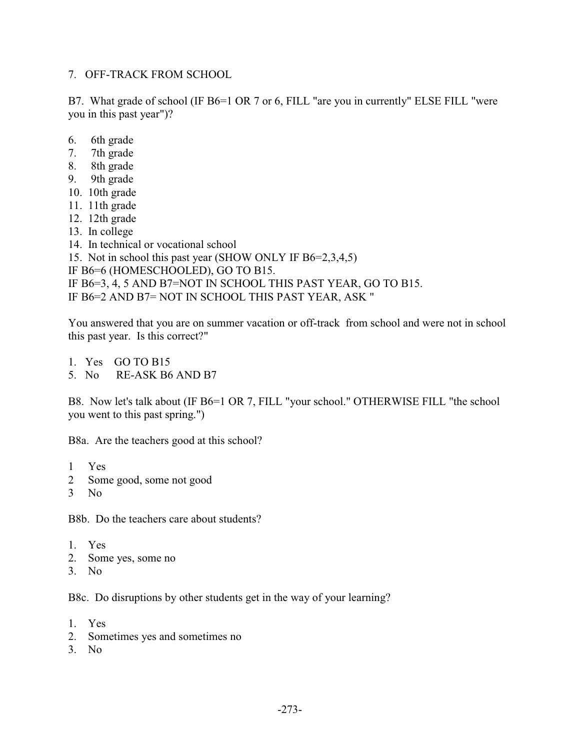#### 7. OFF-TRACK FROM SCHOOL

B7. What grade of school (IF B6=1 OR 7 or 6, FILL "are you in currently" ELSE FILL "were you in this past year")?

- 6. 6th grade
- 7. 7th grade
- 8. 8th grade
- 9. 9th grade
- 10. 10th grade
- 11. 11th grade
- 12. 12th grade
- 13. In college
- 14. In technical or vocational school
- 15. Not in school this past year (SHOW ONLY IF B6=2,3,4,5)
- IF B6=6 (HOMESCHOOLED), GO TO B15.
- IF B6=3, 4, 5 AND B7=NOT IN SCHOOL THIS PAST YEAR, GO TO B15.
- IF B6=2 AND B7= NOT IN SCHOOL THIS PAST YEAR, ASK "

You answered that you are on summer vacation or off-track from school and were not in school this past year. Is this correct?"

- 1. Yes GO TO B15
- 5. No RE-ASK B6 AND B7

B8. Now let's talk about (IF B6=1 OR 7, FILL "your school." OTHERWISE FILL "the school you went to this past spring.")

B8a. Are the teachers good at this school?

- 1 Yes
- 2 Some good, some not good
- 3 No

B8b. Do the teachers care about students?

- 1. Yes
- 2. Some yes, some no
- 3. No

B8c. Do disruptions by other students get in the way of your learning?

- 1. Yes
- 2. Sometimes yes and sometimes no
- 3. No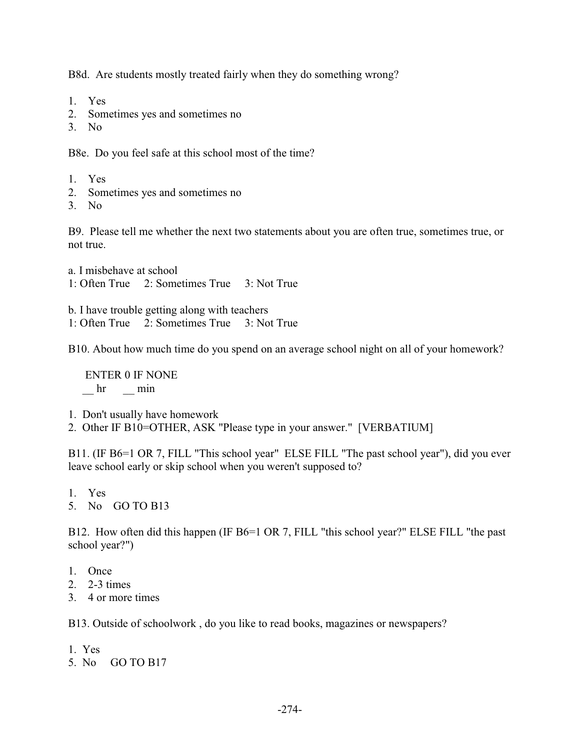B8d. Are students mostly treated fairly when they do something wrong?

- 1. Yes
- 2. Sometimes yes and sometimes no
- 3. No

B8e. Do you feel safe at this school most of the time?

- 1. Yes
- 2. Sometimes yes and sometimes no
- 3. No

B9. Please tell me whether the next two statements about you are often true, sometimes true, or not true.

a. I misbehave at school 1: Often True 2: Sometimes True 3: Not True

b. I have trouble getting along with teachers

1: Often True 2: Sometimes True 3: Not True

B10. About how much time do you spend on an average school night on all of your homework?

 ENTER 0 IF NONE hr min

- 1. Don't usually have homework
- 2. Other IF B10=OTHER, ASK "Please type in your answer." [VERBATIUM]

B11. (IF B6=1 OR 7, FILL "This school year" ELSE FILL "The past school year"), did you ever leave school early or skip school when you weren't supposed to?

- 1. Yes
- 5. No GO TO B13

B12. How often did this happen (IF B6=1 OR 7, FILL "this school year?" ELSE FILL "the past school year?")

- 1. Once
- 2. 2-3 times
- 3. 4 or more times

B13. Outside of schoolwork , do you like to read books, magazines or newspapers?

- 1. Yes
- 5. No GO TO B17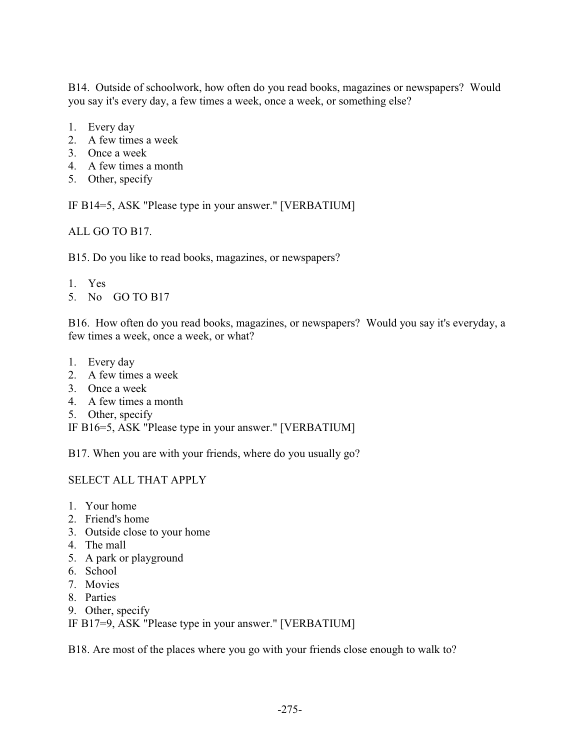B14. Outside of schoolwork, how often do you read books, magazines or newspapers? Would you say it's every day, a few times a week, once a week, or something else?

- 1. Every day
- 2. A few times a week
- 3. Once a week
- 4. A few times a month
- 5. Other, specify

IF B14=5, ASK "Please type in your answer." [VERBATIUM]

ALL GO TO B17.

B15. Do you like to read books, magazines, or newspapers?

- 1. Yes
- 5. No GO TO B17

B16. How often do you read books, magazines, or newspapers? Would you say it's everyday, a few times a week, once a week, or what?

- 1. Every day
- 2. A few times a week
- 3. Once a week
- 4. A few times a month
- 5. Other, specify

IF B16=5, ASK "Please type in your answer." [VERBATIUM]

B17. When you are with your friends, where do you usually go?

# SELECT ALL THAT APPLY

- 1. Your home
- 2. Friend's home
- 3. Outside close to your home
- 4. The mall
- 5. A park or playground
- 6. School
- 7. Movies
- 8. Parties
- 9. Other, specify

IF B17=9, ASK "Please type in your answer." [VERBATIUM]

B18. Are most of the places where you go with your friends close enough to walk to?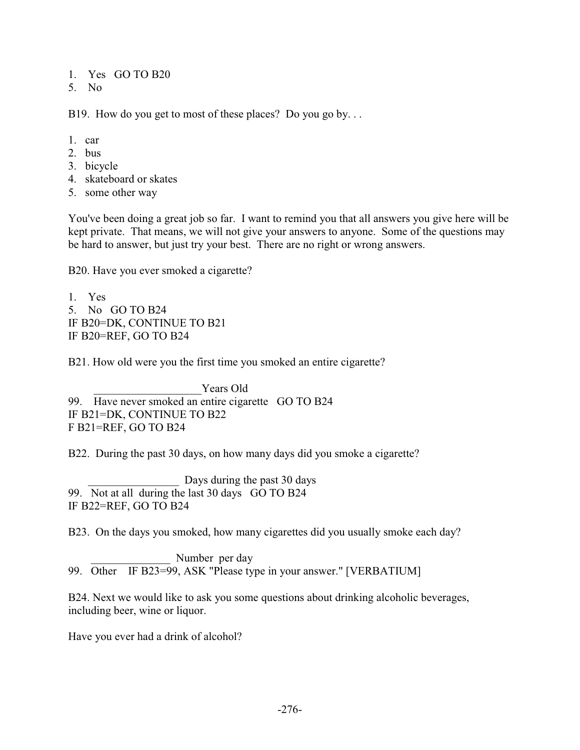1. Yes GO TO B20

5. No

B19. How do you get to most of these places? Do you go by...

- 1. car
- 2. bus
- 3. bicycle
- 4. skateboard or skates
- 5. some other way

You've been doing a great job so far. I want to remind you that all answers you give here will be kept private. That means, we will not give your answers to anyone. Some of the questions may be hard to answer, but just try your best. There are no right or wrong answers.

B20. Have you ever smoked a cigarette?

1. Yes 5. No GO TO B24 IF B20=DK, CONTINUE TO B21 IF B20=REF, GO TO B24

B21. How old were you the first time you smoked an entire cigarette?

Years Old 99. Have never smoked an entire cigarette GO TO B24 IF B21=DK, CONTINUE TO B22 F B21=REF, GO TO B24

B22. During the past 30 days, on how many days did you smoke a cigarette?

Days during the past 30 days 99. Not at all during the last 30 days GO TO B24 IF B22=REF, GO TO B24

B23. On the days you smoked, how many cigarettes did you usually smoke each day?

Number per day 99. Other IF B23=99, ASK "Please type in your answer." [VERBATIUM]

B24. Next we would like to ask you some questions about drinking alcoholic beverages, including beer, wine or liquor.

Have you ever had a drink of alcohol?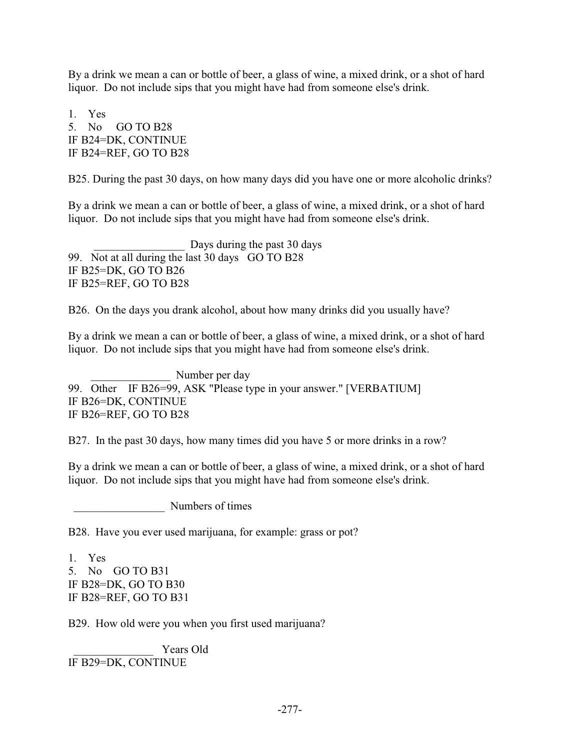By a drink we mean a can or bottle of beer, a glass of wine, a mixed drink, or a shot of hard liquor. Do not include sips that you might have had from someone else's drink.

1. Yes 5. No GO TO B28 IF B24=DK, CONTINUE IF B24=REF, GO TO B28

B25. During the past 30 days, on how many days did you have one or more alcoholic drinks?

By a drink we mean a can or bottle of beer, a glass of wine, a mixed drink, or a shot of hard liquor. Do not include sips that you might have had from someone else's drink.

Days during the past 30 days 99. Not at all during the last 30 days GO TO B28 IF B25=DK, GO TO B26 IF B25=REF, GO TO B28

B26. On the days you drank alcohol, about how many drinks did you usually have?

By a drink we mean a can or bottle of beer, a glass of wine, a mixed drink, or a shot of hard liquor. Do not include sips that you might have had from someone else's drink.

Number per day 99. Other IF B26=99, ASK "Please type in your answer." [VERBATIUM] IF B26=DK, CONTINUE IF B26=REF, GO TO B28

B27. In the past 30 days, how many times did you have 5 or more drinks in a row?

By a drink we mean a can or bottle of beer, a glass of wine, a mixed drink, or a shot of hard liquor. Do not include sips that you might have had from someone else's drink.

Numbers of times

B28. Have you ever used marijuana, for example: grass or pot?

1. Yes 5. No GO TO B31 IF B28=DK, GO TO B30 IF B28=REF, GO TO B31

B29. How old were you when you first used marijuana?

Years Old IF B29=DK, CONTINUE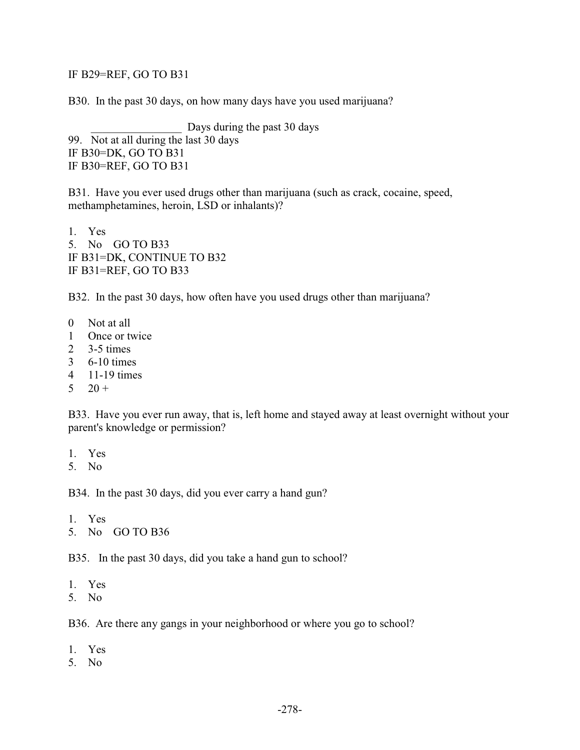#### IF B29=REF, GO TO B31

B30. In the past 30 days, on how many days have you used marijuana?

Days during the past 30 days 99. Not at all during the last 30 days IF B30=DK, GO TO B31 IF B30=REF, GO TO B31

B31. Have you ever used drugs other than marijuana (such as crack, cocaine, speed, methamphetamines, heroin, LSD or inhalants)?

1. Yes 5. No GO TO B33 IF B31=DK, CONTINUE TO B32 IF B31=REF, GO TO B33

B32. In the past 30 days, how often have you used drugs other than marijuana?

- 0 Not at all
- 1 Once or twice
- 2 3-5 times
- 3 6-10 times
- 4 11-19 times
- $5 \t20 +$

B33. Have you ever run away, that is, left home and stayed away at least overnight without your parent's knowledge or permission?

- 1. Yes
- 5. No

B34. In the past 30 days, did you ever carry a hand gun?

1. Yes

5. No GO TO B36

B35. In the past 30 days, did you take a hand gun to school?

- 1. Yes
- 5. No

B36. Are there any gangs in your neighborhood or where you go to school?

- 1. Yes
- 5. No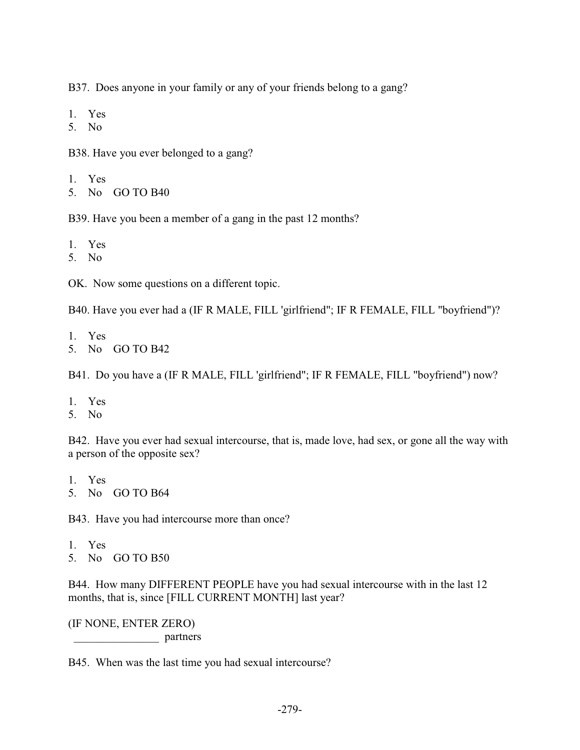B37. Does anyone in your family or any of your friends belong to a gang?

- 1. Yes
- 5. No

B38. Have you ever belonged to a gang?

- 1. Yes
- 5. No GO TO B40

B39. Have you been a member of a gang in the past 12 months?

- 1. Yes
- 5. No

OK. Now some questions on a different topic.

B40. Have you ever had a (IF R MALE, FILL 'girlfriend"; IF R FEMALE, FILL "boyfriend")?

- 1. Yes
- 5. No GO TO B42

B41. Do you have a (IF R MALE, FILL 'girlfriend"; IF R FEMALE, FILL "boyfriend") now?

- 1. Yes
- 5. No

B42. Have you ever had sexual intercourse, that is, made love, had sex, or gone all the way with a person of the opposite sex?

- 1. Yes
- 5. No GO TO B64

B43. Have you had intercourse more than once?

- 1. Yes
- 5. No GO TO B50

B44. How many DIFFERENT PEOPLE have you had sexual intercourse with in the last 12 months, that is, since [FILL CURRENT MONTH] last year?

(IF NONE, ENTER ZERO) \_\_\_\_\_\_\_\_\_\_\_\_\_\_\_ partners

B45. When was the last time you had sexual intercourse?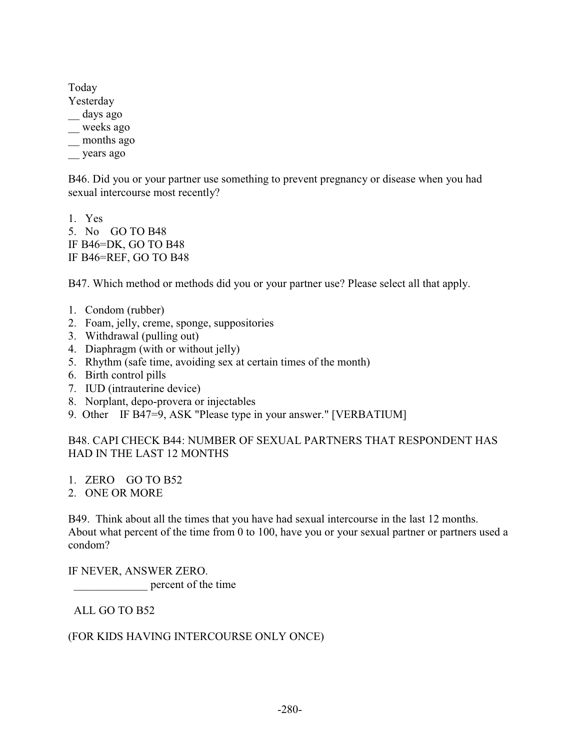Today

- Yesterday
- \_\_ days ago
- \_\_ weeks ago
- \_\_ months ago
- \_\_ years ago

B46. Did you or your partner use something to prevent pregnancy or disease when you had sexual intercourse most recently?

1. Yes 5. No GO TO B48 IF B46=DK, GO TO B48 IF B46=REF, GO TO B48

B47. Which method or methods did you or your partner use? Please select all that apply.

- 1. Condom (rubber)
- 2. Foam, jelly, creme, sponge, suppositories
- 3. Withdrawal (pulling out)
- 4. Diaphragm (with or without jelly)
- 5. Rhythm (safe time, avoiding sex at certain times of the month)
- 6. Birth control pills
- 7. IUD (intrauterine device)
- 8. Norplant, depo-provera or injectables
- 9. Other IF B47=9, ASK "Please type in your answer." [VERBATIUM]

## B48. CAPI CHECK B44: NUMBER OF SEXUAL PARTNERS THAT RESPONDENT HAS HAD IN THE LAST 12 MONTHS

- 1. ZERO GO TO B52
- 2. ONE OR MORE

B49. Think about all the times that you have had sexual intercourse in the last 12 months. About what percent of the time from 0 to 100, have you or your sexual partner or partners used a condom?

IF NEVER, ANSWER ZERO. percent of the time

ALL GO TO B52

#### (FOR KIDS HAVING INTERCOURSE ONLY ONCE)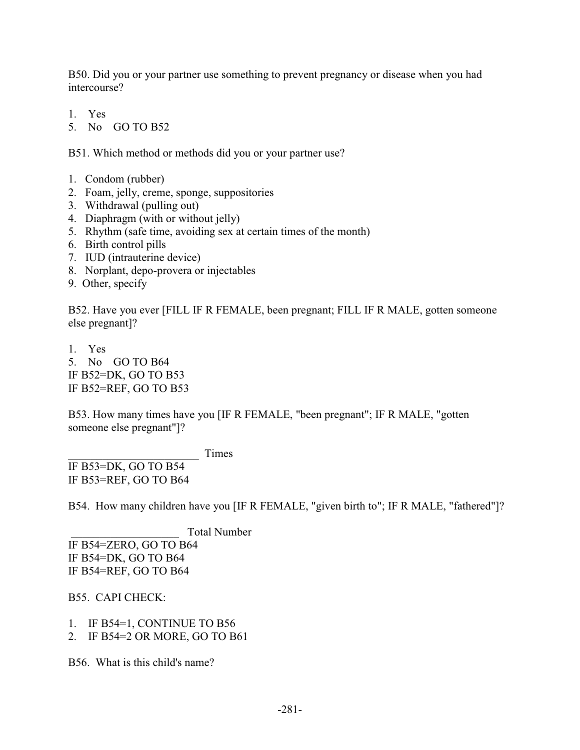B50. Did you or your partner use something to prevent pregnancy or disease when you had intercourse?

- 1. Yes
- 5. No GO TO B52

B51. Which method or methods did you or your partner use?

- 1. Condom (rubber)
- 2. Foam, jelly, creme, sponge, suppositories
- 3. Withdrawal (pulling out)
- 4. Diaphragm (with or without jelly)
- 5. Rhythm (safe time, avoiding sex at certain times of the month)
- 6. Birth control pills
- 7. IUD (intrauterine device)
- 8. Norplant, depo-provera or injectables
- 9. Other, specify

B52. Have you ever [FILL IF R FEMALE, been pregnant; FILL IF R MALE, gotten someone else pregnant]?

1. Yes 5. No GO TO B64 IF B52=DK, GO TO B53 IF B52=REF, GO TO B53

B53. How many times have you [IF R FEMALE, "been pregnant"; IF R MALE, "gotten someone else pregnant"]?

\_\_\_\_\_\_\_\_\_\_\_\_\_\_\_\_\_\_\_\_\_\_\_ Times

IF B53=DK, GO TO B54 IF B53=REF, GO TO B64

B54. How many children have you [IF R FEMALE, "given birth to"; IF R MALE, "fathered"]?

\_\_\_\_\_\_\_\_\_\_\_\_\_\_\_\_\_\_\_ Total Number

IF B54=ZERO, GO TO B64 IF B54=DK, GO TO B64 IF B54=REF, GO TO B64

B55. CAPI CHECK:

1. IF B54=1, CONTINUE TO B56

2. IF B54=2 OR MORE, GO TO B61

B56. What is this child's name?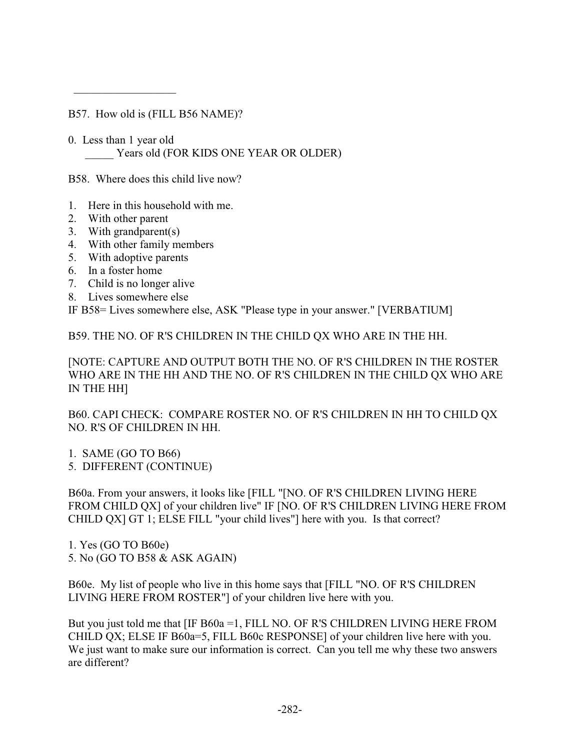B57. How old is (FILL B56 NAME)?

0. Less than 1 year old Years old (FOR KIDS ONE YEAR OR OLDER)

B58. Where does this child live now?

- 1. Here in this household with me.
- 2. With other parent
- 3. With grandparent(s)

 $\overline{\phantom{a}}$  ,  $\overline{\phantom{a}}$  ,  $\overline{\phantom{a}}$  ,  $\overline{\phantom{a}}$  ,  $\overline{\phantom{a}}$  ,  $\overline{\phantom{a}}$  ,  $\overline{\phantom{a}}$  ,  $\overline{\phantom{a}}$  ,  $\overline{\phantom{a}}$  ,  $\overline{\phantom{a}}$  ,  $\overline{\phantom{a}}$  ,  $\overline{\phantom{a}}$  ,  $\overline{\phantom{a}}$  ,  $\overline{\phantom{a}}$  ,  $\overline{\phantom{a}}$  ,  $\overline{\phantom{a}}$ 

- 4. With other family members
- 5. With adoptive parents
- 6. In a foster home
- 7. Child is no longer alive
- 8. Lives somewhere else

IF B58= Lives somewhere else, ASK "Please type in your answer." [VERBATIUM]

B59. THE NO. OF R'S CHILDREN IN THE CHILD QX WHO ARE IN THE HH.

[NOTE: CAPTURE AND OUTPUT BOTH THE NO. OF R'S CHILDREN IN THE ROSTER WHO ARE IN THE HH AND THE NO. OF R'S CHILDREN IN THE CHILD QX WHO ARE IN THE HH]

B60. CAPI CHECK: COMPARE ROSTER NO. OF R'S CHILDREN IN HH TO CHILD QX NO. R'S OF CHILDREN IN HH.

1. SAME (GO TO B66)

5. DIFFERENT (CONTINUE)

B60a. From your answers, it looks like [FILL "[NO. OF R'S CHILDREN LIVING HERE FROM CHILD QX] of your children live" IF [NO. OF R'S CHILDREN LIVING HERE FROM CHILD QX] GT 1; ELSE FILL "your child lives"] here with you. Is that correct?

1. Yes (GO TO B60e) 5. No (GO TO B58 & ASK AGAIN)

B60e. My list of people who live in this home says that [FILL "NO. OF R'S CHILDREN LIVING HERE FROM ROSTER"] of your children live here with you.

But you just told me that [IF B60a = 1, FILL NO. OF R'S CHILDREN LIVING HERE FROM CHILD QX; ELSE IF B60a=5, FILL B60c RESPONSE] of your children live here with you. We just want to make sure our information is correct. Can you tell me why these two answers are different?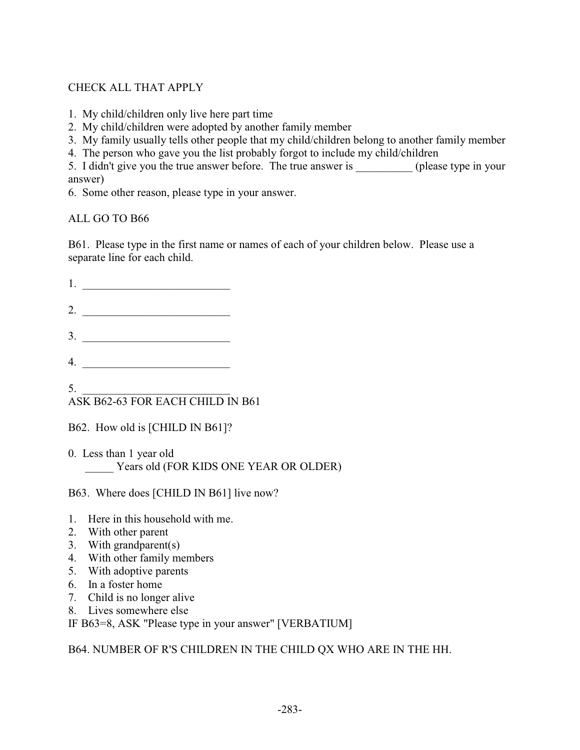# CHECK ALL THAT APPLY

- 1. My child/children only live here part time
- 2. My child/children were adopted by another family member
- 3. My family usually tells other people that my child/children belong to another family member
- 4. The person who gave you the list probably forgot to include my child/children

5. I didn't give you the true answer before. The true answer is \_\_\_\_\_\_\_\_\_\_ (please type in your answer)

6. Some other reason, please type in your answer.

ALL GO TO B66

B61. Please type in the first name or names of each of your children below. Please use a separate line for each child.

| ∼ |  |  |  |  |
|---|--|--|--|--|
|   |  |  |  |  |

- 3. \_\_\_\_\_\_\_\_\_\_\_\_\_\_\_\_\_\_\_\_\_\_\_\_\_\_
- 4. \_\_\_\_\_\_\_\_\_\_\_\_\_\_\_\_\_\_\_\_\_\_\_\_\_\_

#### $5.$   $\frac{1}{2}$   $\frac{1}{2}$   $\frac{1}{2}$   $\frac{1}{2}$   $\frac{1}{2}$   $\frac{1}{2}$   $\frac{1}{2}$   $\frac{1}{2}$   $\frac{1}{2}$   $\frac{1}{2}$   $\frac{1}{2}$   $\frac{1}{2}$   $\frac{1}{2}$   $\frac{1}{2}$   $\frac{1}{2}$   $\frac{1}{2}$   $\frac{1}{2}$   $\frac{1}{2}$   $\frac{1}{2}$   $\frac{1}{2}$   $\frac{1}{2}$   $\frac{1}{$ ASK B62-63 FOR EACH CHILD IN B61

- B62. How old is [CHILD IN B61]?
- 0. Less than 1 year old Years old (FOR KIDS ONE YEAR OR OLDER)

B63. Where does [CHILD IN B61] live now?

- 1. Here in this household with me.
- 2. With other parent
- 3. With grandparent(s)
- 4. With other family members
- 5. With adoptive parents
- 6. In a foster home
- 7. Child is no longer alive
- 8. Lives somewhere else

IF B63=8, ASK "Please type in your answer" [VERBATIUM]

B64. NUMBER OF R'S CHILDREN IN THE CHILD QX WHO ARE IN THE HH.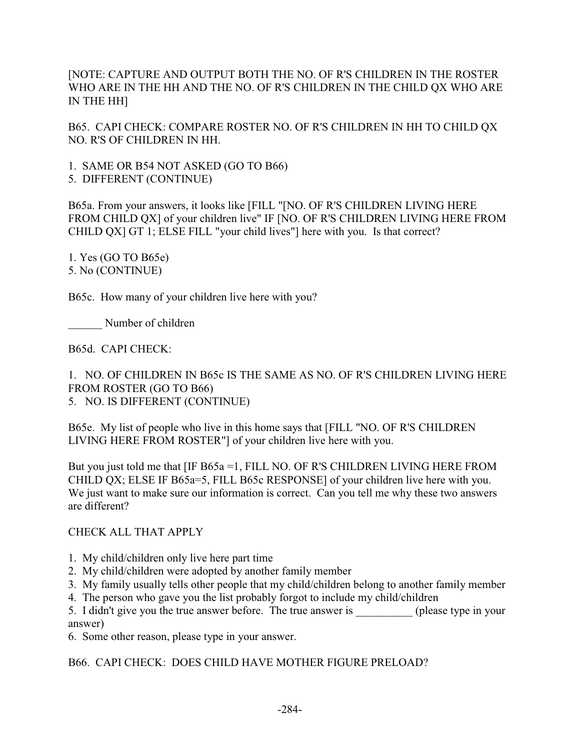[NOTE: CAPTURE AND OUTPUT BOTH THE NO. OF R'S CHILDREN IN THE ROSTER WHO ARE IN THE HH AND THE NO. OF R'S CHILDREN IN THE CHILD QX WHO ARE IN THE HH]

B65. CAPI CHECK: COMPARE ROSTER NO. OF R'S CHILDREN IN HH TO CHILD QX NO. R'S OF CHILDREN IN HH.

1. SAME OR B54 NOT ASKED (GO TO B66)

5. DIFFERENT (CONTINUE)

B65a. From your answers, it looks like [FILL "[NO. OF R'S CHILDREN LIVING HERE FROM CHILD QX] of your children live" IF [NO. OF R'S CHILDREN LIVING HERE FROM CHILD QX] GT 1; ELSE FILL "your child lives"] here with you. Is that correct?

1. Yes (GO TO B65e) 5. No (CONTINUE)

B65c. How many of your children live here with you?

Number of children

B65d. CAPI CHECK:

1. NO. OF CHILDREN IN B65c IS THE SAME AS NO. OF R'S CHILDREN LIVING HERE FROM ROSTER (GO TO B66) 5. NO. IS DIFFERENT (CONTINUE)

B65e. My list of people who live in this home says that [FILL "NO. OF R'S CHILDREN LIVING HERE FROM ROSTER"] of your children live here with you.

But you just told me that [IF B65a = 1, FILL NO. OF R'S CHILDREN LIVING HERE FROM CHILD QX; ELSE IF B65a=5, FILL B65c RESPONSE] of your children live here with you. We just want to make sure our information is correct. Can you tell me why these two answers are different?

CHECK ALL THAT APPLY

- 1. My child/children only live here part time
- 2. My child/children were adopted by another family member
- 3. My family usually tells other people that my child/children belong to another family member
- 4. The person who gave you the list probably forgot to include my child/children

5. I didn't give you the true answer before. The true answer is \_\_\_\_\_\_\_\_\_\_ (please type in your answer)

6. Some other reason, please type in your answer.

B66. CAPI CHECK: DOES CHILD HAVE MOTHER FIGURE PRELOAD?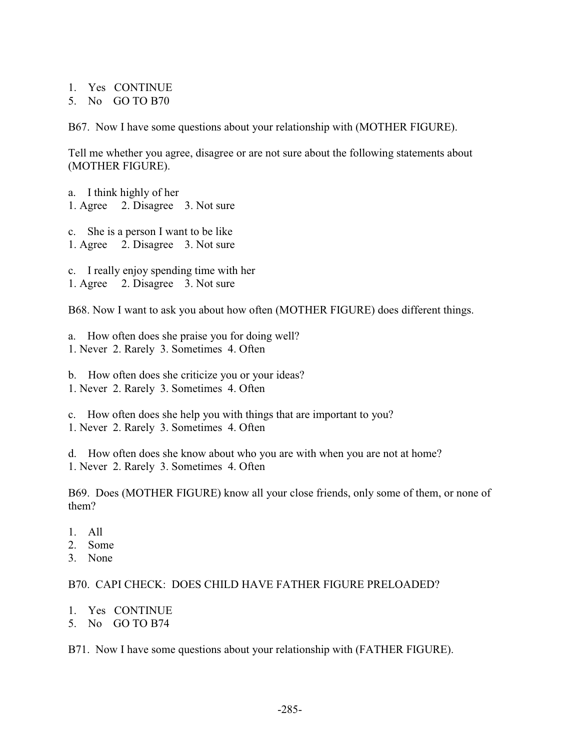1. Yes CONTINUE

5. No GO TO B70

B67. Now I have some questions about your relationship with (MOTHER FIGURE).

Tell me whether you agree, disagree or are not sure about the following statements about (MOTHER FIGURE).

- a. I think highly of her 1. Agree 2. Disagree 3. Not sure
- c. She is a person I want to be like 1. Agree 2. Disagree 3. Not sure
- c. I really enjoy spending time with her
- 1. Agree 2. Disagree 3. Not sure

B68. Now I want to ask you about how often (MOTHER FIGURE) does different things.

- a. How often does she praise you for doing well?
- 1. Never 2. Rarely 3. Sometimes 4. Often
- b. How often does she criticize you or your ideas? 1. Never 2. Rarely 3. Sometimes 4. Often
- c. How often does she help you with things that are important to you? 1. Never 2. Rarely 3. Sometimes 4. Often

d. How often does she know about who you are with when you are not at home? 1. Never 2. Rarely 3. Sometimes 4. Often

B69. Does (MOTHER FIGURE) know all your close friends, only some of them, or none of them?

- 1. All
- 2. Some
- 3. None

## B70. CAPI CHECK: DOES CHILD HAVE FATHER FIGURE PRELOADED?

- 1. Yes CONTINUE
- 5. No GO TO B74

B71. Now I have some questions about your relationship with (FATHER FIGURE).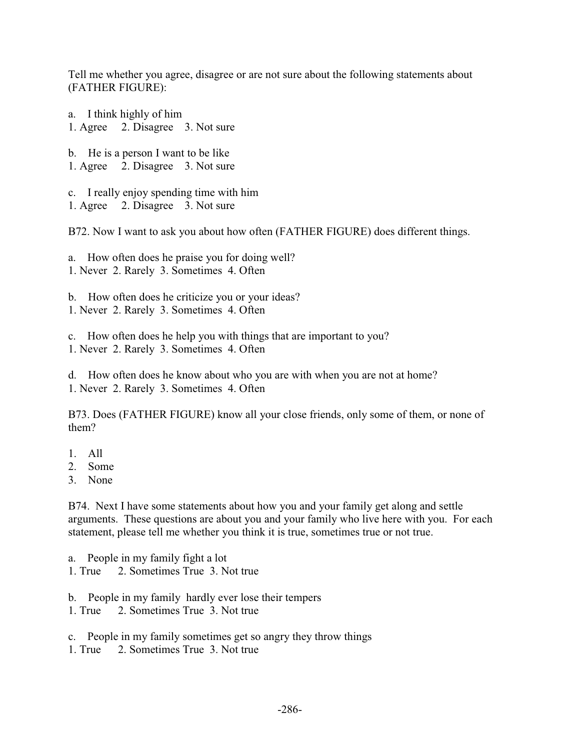Tell me whether you agree, disagree or are not sure about the following statements about (FATHER FIGURE):

a. I think highly of him 1. Agree 2. Disagree 3. Not sure

b. He is a person I want to be like 1. Agree 2. Disagree 3. Not sure

c. I really enjoy spending time with him 1. Agree 2. Disagree 3. Not sure

B72. Now I want to ask you about how often (FATHER FIGURE) does different things.

a. How often does he praise you for doing well? 1. Never 2. Rarely 3. Sometimes 4. Often

b. How often does he criticize you or your ideas? 1. Never 2. Rarely 3. Sometimes 4. Often

c. How often does he help you with things that are important to you?

1. Never 2. Rarely 3. Sometimes 4. Often

d. How often does he know about who you are with when you are not at home? 1. Never 2. Rarely 3. Sometimes 4. Often

B73. Does (FATHER FIGURE) know all your close friends, only some of them, or none of them?

- 1. All
- 2. Some
- 3. None

B74. Next I have some statements about how you and your family get along and settle arguments. These questions are about you and your family who live here with you. For each statement, please tell me whether you think it is true, sometimes true or not true.

a. People in my family fight a lot

1. True 2. Sometimes True 3. Not true

- b. People in my family hardly ever lose their tempers
- 1. True 2. Sometimes True 3. Not true
- c. People in my family sometimes get so angry they throw things
- 1. True 2. Sometimes True 3. Not true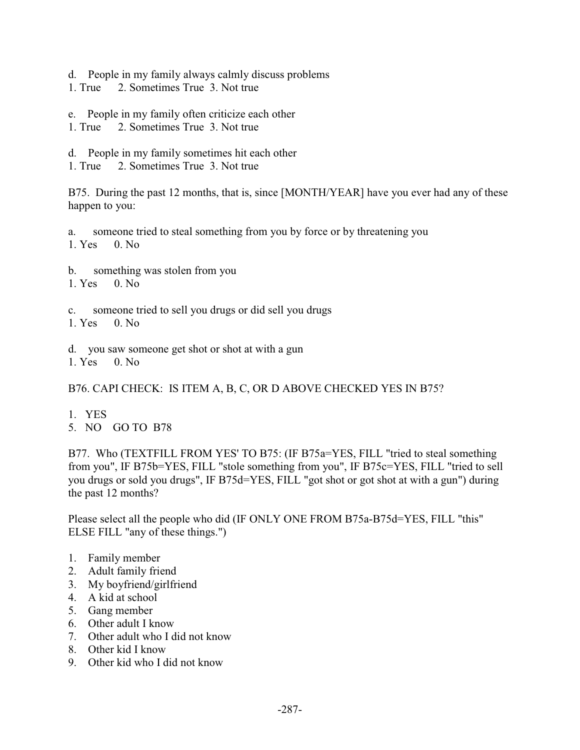d. People in my family always calmly discuss problems

- 1. True 2. Sometimes True 3. Not true
- e. People in my family often criticize each other
- 1. True 2. Sometimes True 3. Not true
- d. People in my family sometimes hit each other
- 1. True 2. Sometimes True 3. Not true

B75. During the past 12 months, that is, since [MONTH/YEAR] have you ever had any of these happen to you:

a. someone tried to steal something from you by force or by threatening you 1. Yes 0. No

- b. something was stolen from you
- 1. Yes 0. No
- c. someone tried to sell you drugs or did sell you drugs
- 1. Yes 0. No

d. you saw someone get shot or shot at with a gun

1. Yes 0. No

B76. CAPI CHECK: IS ITEM A, B, C, OR D ABOVE CHECKED YES IN B75?

- 1. YES
- 5. NO GO TO B78

B77. Who (TEXTFILL FROM YES' TO B75: (IF B75a=YES, FILL "tried to steal something from you", IF B75b=YES, FILL "stole something from you", IF B75c=YES, FILL "tried to sell you drugs or sold you drugs", IF B75d=YES, FILL "got shot or got shot at with a gun") during the past 12 months?

Please select all the people who did (IF ONLY ONE FROM B75a-B75d=YES, FILL "this" ELSE FILL "any of these things.")

- 1. Family member
- 2. Adult family friend
- 3. My boyfriend/girlfriend
- 4. A kid at school
- 5. Gang member
- 6. Other adult I know
- 7. Other adult who I did not know
- 8. Other kid I know
- 9. Other kid who I did not know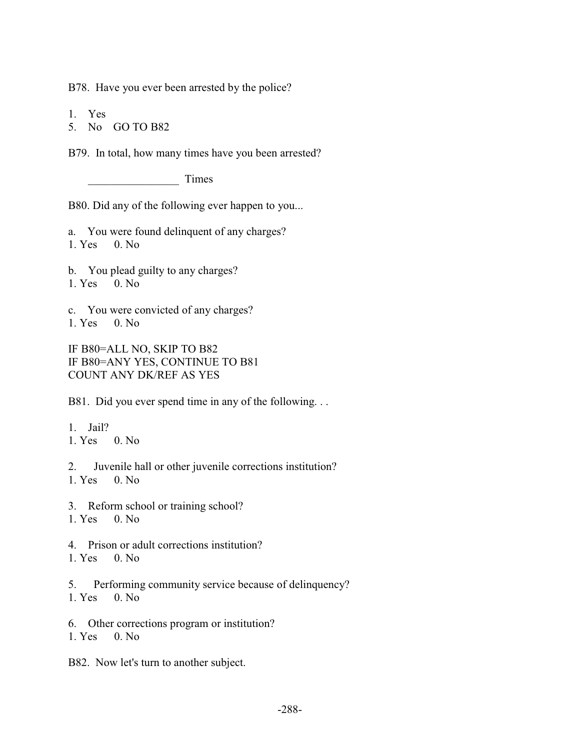B78. Have you ever been arrested by the police?

1. Yes

5. No GO TO B82

B79. In total, how many times have you been arrested?

Times

B80. Did any of the following ever happen to you...

- a. You were found delinquent of any charges? 1. Yes 0. No
- 
- b. You plead guilty to any charges?
- 1. Yes 0. No
- c. You were convicted of any charges?
- 1. Yes 0. No

IF B80=ALL NO, SKIP TO B82 IF B80=ANY YES, CONTINUE TO B81 COUNT ANY DK/REF AS YES

B81. Did you ever spend time in any of the following...

- 1. Jail? 1. Yes 0. No
- 2. Juvenile hall or other juvenile corrections institution? 1. Yes 0. No

3. Reform school or training school? 1. Yes 0. No

4. Prison or adult corrections institution? 1. Yes 0. No

5. Performing community service because of delinquency? 1. Yes 0. No

6. Other corrections program or institution? 1. Yes 0. No

B82. Now let's turn to another subject.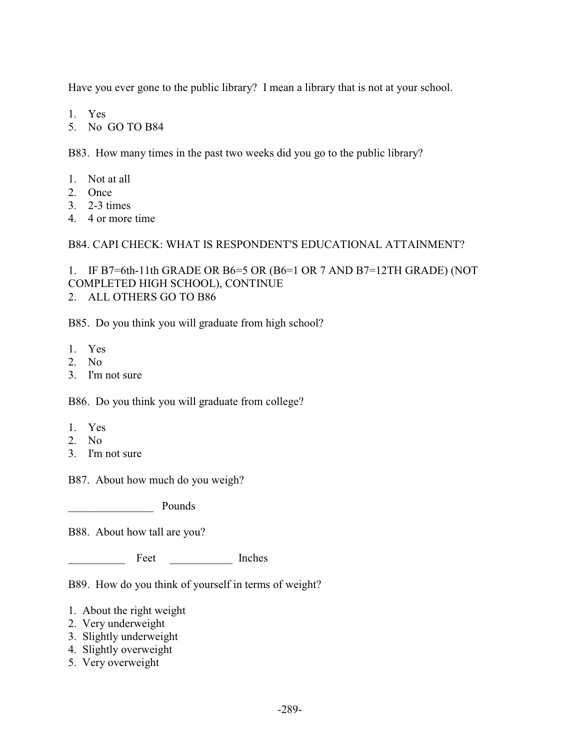Have you ever gone to the public library? I mean a library that is not at your school.

- 1. Yes
- 5. No GO TO B84

B83. How many times in the past two weeks did you go to the public library?

- 1. Not at all
- 2. Once
- 3. 2-3 times
- 4. 4 or more time

B84. CAPI CHECK: WHAT IS RESPONDENT'S EDUCATIONAL ATTAINMENT?

1. IF B7=6th-11th GRADE OR B6=5 OR (B6=1 OR 7 AND B7=12TH GRADE) (NOT COMPLETED HIGH SCHOOL), CONTINUE 2. ALL OTHERS GO TO B86

B85. Do you think you will graduate from high school?

- 1. Yes
- 2. No
- 3. I'm not sure

B86. Do you think you will graduate from college?

- 1. Yes
- 2. No
- 3. I'm not sure

B87. About how much do you weigh?

\_\_\_\_\_\_\_\_\_\_\_\_\_\_\_ Pounds

B88. About how tall are you?

Feet Inches

B89. How do you think of yourself in terms of weight?

- 1. About the right weight
- 2. Very underweight
- 3. Slightly underweight
- 4. Slightly overweight
- 5. Very overweight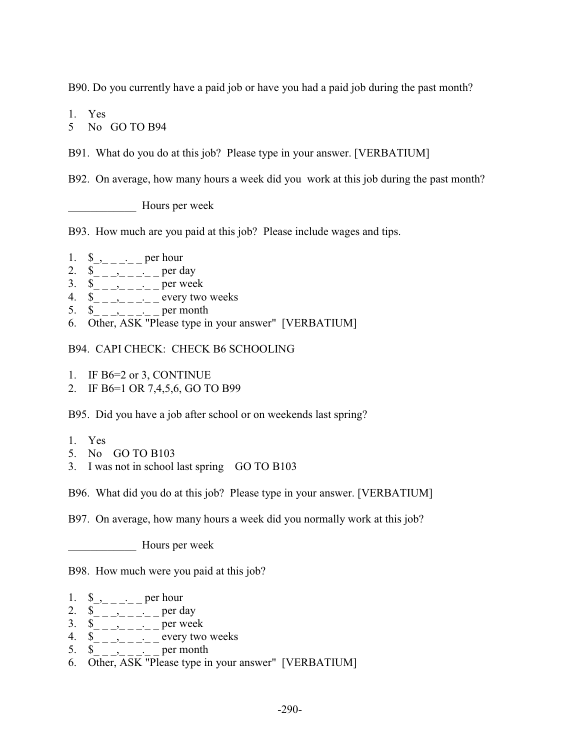B90. Do you currently have a paid job or have you had a paid job during the past month?

1. Yes

5 No GO TO B94

B91. What do you do at this job? Please type in your answer. [VERBATIUM]

B92. On average, how many hours a week did you work at this job during the past month?

\_\_\_\_\_\_\_\_\_\_\_\_ Hours per week

B93. How much are you paid at this job? Please include wages and tips.

- 1.  $\⊂>-\_\_ \_\_ \_\_$  per hour
- 2.  $\&$ <sub>\_\_\_</sub>\_\_\_\_\_\_\_\_ per day
- 3.  $\&$ <sub>--------</sub> per week
- 4.  $\&$ <sub>--------</sub> every two weeks
- 5.  $\&$ <sub>\_\_\_</sub>\_<sub>\_\_\_\_</sub>\_\_\_ per month
- 6. Other, ASK "Please type in your answer" [VERBATIUM]

B94. CAPI CHECK: CHECK B6 SCHOOLING

- 1. IF B6=2 or 3, CONTINUE
- 2. IF B6=1 OR 7,4,5,6, GO TO B99

B95. Did you have a job after school or on weekends last spring?

- 1. Yes
- 5. No GO TO B103
- 3. I was not in school last spring GO TO B103

B96. What did you do at this job? Please type in your answer. [VERBATIUM]

B97. On average, how many hours a week did you normally work at this job?

Hours per week

B98. How much were you paid at this job?

- 1.  $\&_{-}$   $\&_{-}$  per hour
- 2.  $\&$ <sub>\_\_\_</sub>\_\_<sub>\_\_\_\_</sub>\_\_ per day
- 3.  $\int_{-\infty}^{\infty} \frac{e^{-(x-2)x}}{x^2-2x^2-2x} dx$  per week
- 4.  $\&$ <sub>-------</sub>----- every two weeks
- 5.  $\&$  \_ \_, \_ \_, \_ \_ per month
- 6. Other, ASK "Please type in your answer" [VERBATIUM]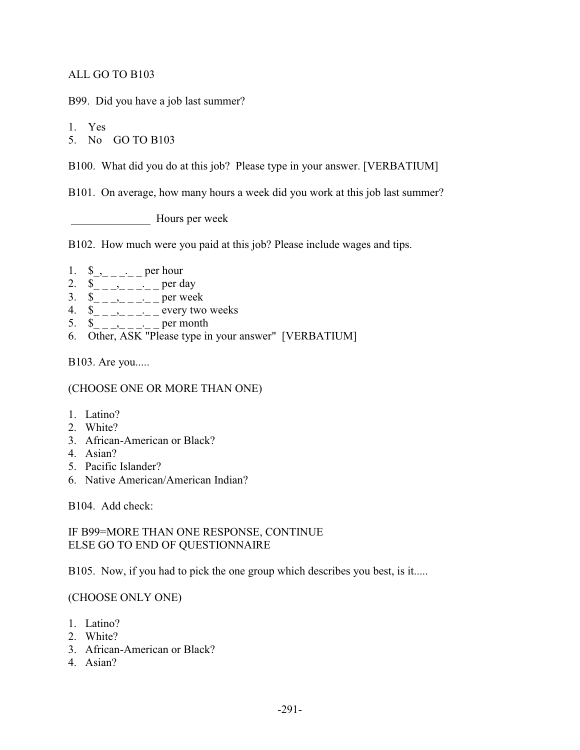### ALL GO TO B103

B99. Did you have a job last summer?

1. Yes

5. No GO TO B103

B100. What did you do at this job? Please type in your answer. [VERBATIUM]

B101. On average, how many hours a week did you work at this job last summer?

Hours per week

B102. How much were you paid at this job? Please include wages and tips.

- 1.  $\frac{1}{2}$ ,  $\frac{1}{2}$  per hour
- 2.  $\&$ <sub>\_\_\_</sub>\_\_<sub>\_\_\_\_</sub>\_\_ per day
- 3.  $\overline{\$}_{\_-\_-\_-\_-\_-\_}$  per week
- 4.  $\&$ <sub>\_\_\_</sub>\_\_<sub>\_\_\_</sub>\_\_\_ every two weeks
- 5.  $\&$ <sub>\_\_</sub>\_\_<sub>\_</sub>\_\_\_<sub>\_</sub>\_per month
- 6. Other, ASK "Please type in your answer" [VERBATIUM]

B103. Are you.....

(CHOOSE ONE OR MORE THAN ONE)

- 1. Latino?
- 2. White?
- 3. African-American or Black?
- 4. Asian?
- 5. Pacific Islander?
- 6. Native American/American Indian?

B104. Add check:

IF B99=MORE THAN ONE RESPONSE, CONTINUE ELSE GO TO END OF QUESTIONNAIRE

B105. Now, if you had to pick the one group which describes you best, is it.....

#### (CHOOSE ONLY ONE)

- 1. Latino?
- 2. White?
- 3. African-American or Black?
- 4. Asian?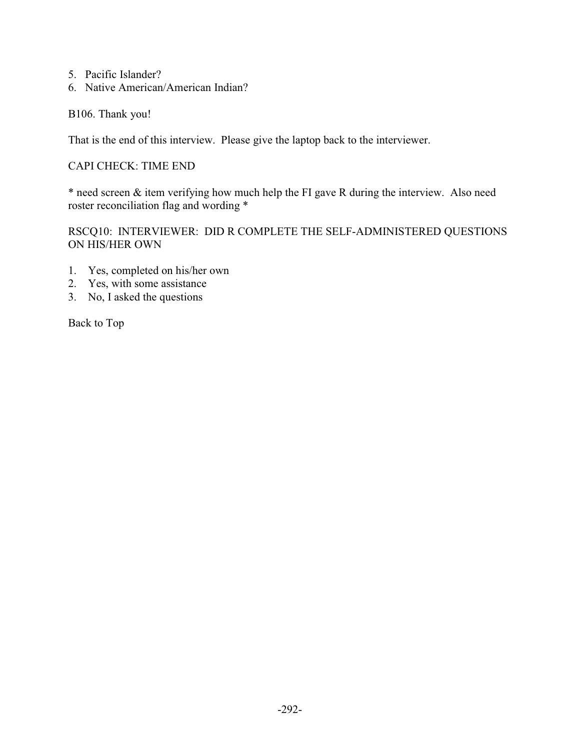- 5. Pacific Islander?
- 6. Native American/American Indian?

B106. Thank you!

That is the end of this interview. Please give the laptop back to the interviewer.

### CAPI CHECK: TIME END

\* need screen & item verifying how much help the FI gave R during the interview. Also need roster reconciliation flag and wording \*

RSCQ10: INTERVIEWER: DID R COMPLETE THE SELF-ADMINISTERED QUESTIONS ON HIS/HER OWN

- 1. Yes, completed on his/her own
- 2. Yes, with some assistance
- 3. No, I asked the questions

Back to Top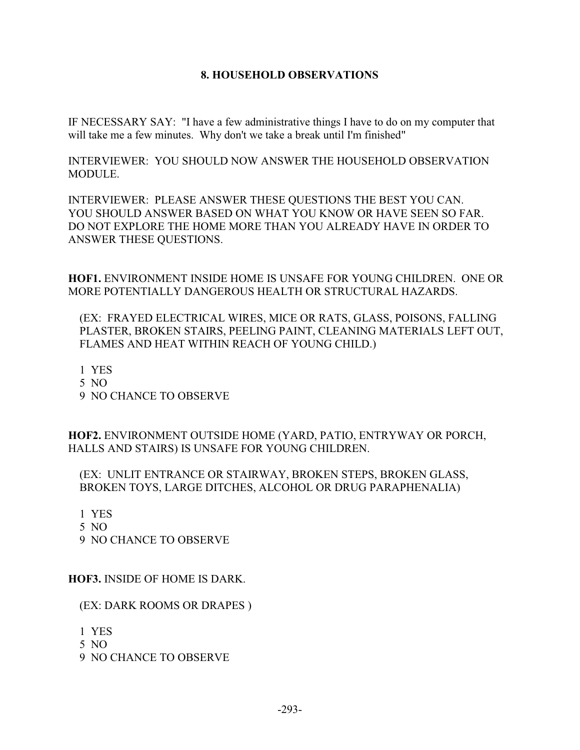#### **8. HOUSEHOLD OBSERVATIONS**

IF NECESSARY SAY: "I have a few administrative things I have to do on my computer that will take me a few minutes. Why don't we take a break until I'm finished"

INTERVIEWER: YOU SHOULD NOW ANSWER THE HOUSEHOLD OBSERVATION **MODULE** 

INTERVIEWER: PLEASE ANSWER THESE QUESTIONS THE BEST YOU CAN. YOU SHOULD ANSWER BASED ON WHAT YOU KNOW OR HAVE SEEN SO FAR. DO NOT EXPLORE THE HOME MORE THAN YOU ALREADY HAVE IN ORDER TO ANSWER THESE QUESTIONS.

**HOF1.** ENVIRONMENT INSIDE HOME IS UNSAFE FOR YOUNG CHILDREN. ONE OR MORE POTENTIALLY DANGEROUS HEALTH OR STRUCTURAL HAZARDS.

 (EX: FRAYED ELECTRICAL WIRES, MICE OR RATS, GLASS, POISONS, FALLING PLASTER, BROKEN STAIRS, PEELING PAINT, CLEANING MATERIALS LEFT OUT, FLAMES AND HEAT WITHIN REACH OF YOUNG CHILD.)

1 YES

- 5 NO
- 9 NO CHANCE TO OBSERVE

**HOF2.** ENVIRONMENT OUTSIDE HOME (YARD, PATIO, ENTRYWAY OR PORCH, HALLS AND STAIRS) IS UNSAFE FOR YOUNG CHILDREN.

(EX: UNLIT ENTRANCE OR STAIRWAY, BROKEN STEPS, BROKEN GLASS, BROKEN TOYS, LARGE DITCHES, ALCOHOL OR DRUG PARAPHENALIA)

1 YES

- 5 NO
- 9 NO CHANCE TO OBSERVE

**HOF3.** INSIDE OF HOME IS DARK.

(EX: DARK ROOMS OR DRAPES )

- 1 YES
- 5 NO
- 9 NO CHANCE TO OBSERVE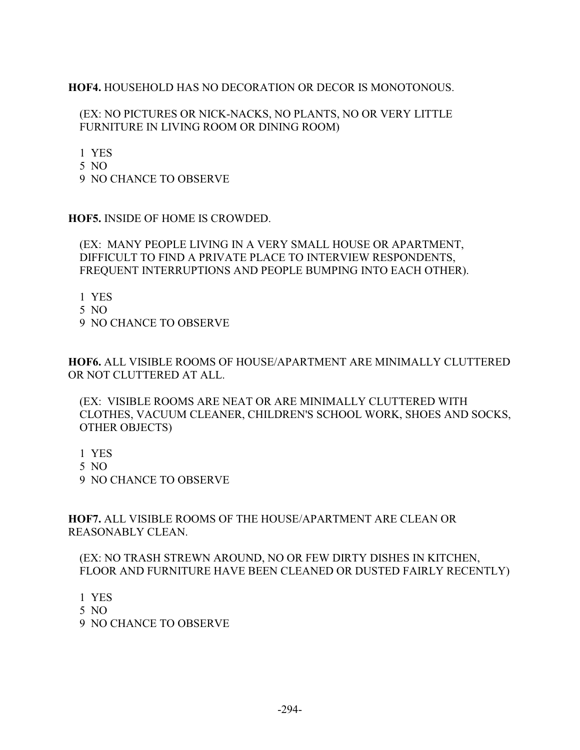# **HOF4.** HOUSEHOLD HAS NO DECORATION OR DECOR IS MONOTONOUS.

### (EX: NO PICTURES OR NICK-NACKS, NO PLANTS, NO OR VERY LITTLE FURNITURE IN LIVING ROOM OR DINING ROOM)

1 YES

- 5 NO
- 9 NO CHANCE TO OBSERVE

**HOF5.** INSIDE OF HOME IS CROWDED.

(EX: MANY PEOPLE LIVING IN A VERY SMALL HOUSE OR APARTMENT, DIFFICULT TO FIND A PRIVATE PLACE TO INTERVIEW RESPONDENTS, FREQUENT INTERRUPTIONS AND PEOPLE BUMPING INTO EACH OTHER).

- 1 YES
- 5 NO
- 9 NO CHANCE TO OBSERVE

**HOF6.** ALL VISIBLE ROOMS OF HOUSE/APARTMENT ARE MINIMALLY CLUTTERED OR NOT CLUTTERED AT ALL.

(EX: VISIBLE ROOMS ARE NEAT OR ARE MINIMALLY CLUTTERED WITH CLOTHES, VACUUM CLEANER, CHILDREN'S SCHOOL WORK, SHOES AND SOCKS, OTHER OBJECTS)

- 1 YES
- 5 NO

9 NO CHANCE TO OBSERVE

**HOF7.** ALL VISIBLE ROOMS OF THE HOUSE/APARTMENT ARE CLEAN OR REASONABLY CLEAN.

(EX: NO TRASH STREWN AROUND, NO OR FEW DIRTY DISHES IN KITCHEN, FLOOR AND FURNITURE HAVE BEEN CLEANED OR DUSTED FAIRLY RECENTLY)

- 1 YES
- 5 NO
- 9 NO CHANCE TO OBSERVE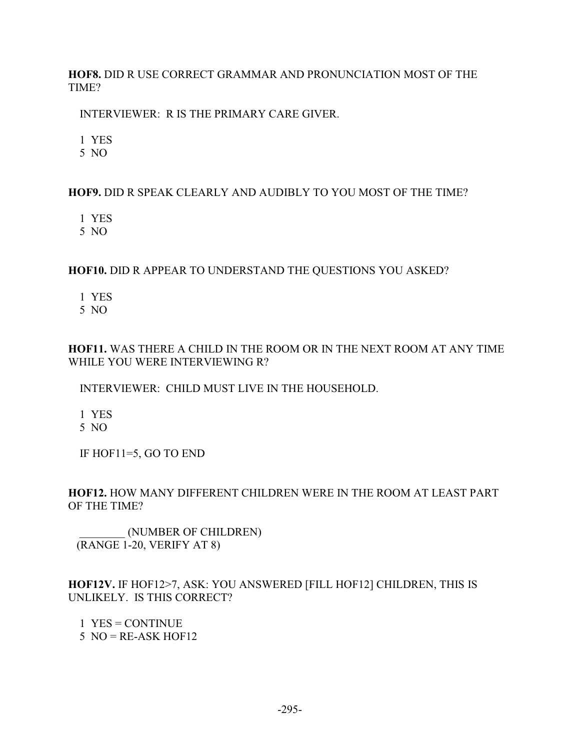**HOF8.** DID R USE CORRECT GRAMMAR AND PRONUNCIATION MOST OF THE TIME?

INTERVIEWER: R IS THE PRIMARY CARE GIVER.

1 YES

5 NO

# **HOF9.** DID R SPEAK CLEARLY AND AUDIBLY TO YOU MOST OF THE TIME?

1 YES

5 NO

# **HOF10.** DID R APPEAR TO UNDERSTAND THE QUESTIONS YOU ASKED?

1 YES

5 NO

# **HOF11.** WAS THERE A CHILD IN THE ROOM OR IN THE NEXT ROOM AT ANY TIME WHILE YOU WERE INTERVIEWING R?

INTERVIEWER: CHILD MUST LIVE IN THE HOUSEHOLD.

1 YES

5 NO

IF HOF11=5, GO TO END

# **HOF12.** HOW MANY DIFFERENT CHILDREN WERE IN THE ROOM AT LEAST PART OF THE TIME?

 \_\_\_\_\_\_\_\_ (NUMBER OF CHILDREN) (RANGE 1-20, VERIFY AT 8)

# **HOF12V.** IF HOF12>7, ASK: YOU ANSWERED [FILL HOF12] CHILDREN, THIS IS UNLIKELY. IS THIS CORRECT?

 1 YES = CONTINUE  $5 \text{ NO} = \text{RE-ASK HOF12}$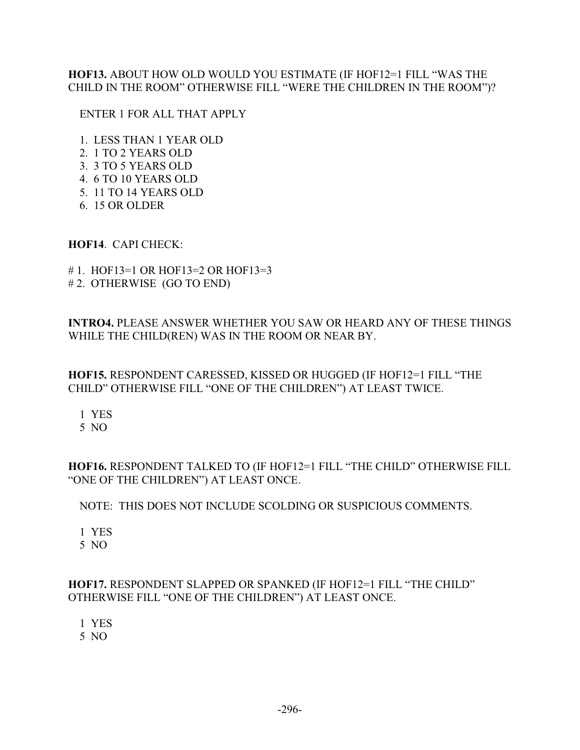## **HOF13.** ABOUT HOW OLD WOULD YOU ESTIMATE (IF HOF12=1 FILL "WAS THE CHILD IN THE ROOM" OTHERWISE FILL "WERE THE CHILDREN IN THE ROOM")?

### ENTER 1 FOR ALL THAT APPLY

- 1. LESS THAN 1 YEAR OLD
- 2. 1 TO 2 YEARS OLD
- 3. 3 TO 5 YEARS OLD
- 4. 6 TO 10 YEARS OLD
- 5. 11 TO 14 YEARS OLD
- 6. 15 OR OLDER

### **HOF14**. CAPI CHECK:

- # 1. HOF13=1 OR HOF13=2 OR HOF13=3
- # 2. OTHERWISE (GO TO END)

**INTRO4.** PLEASE ANSWER WHETHER YOU SAW OR HEARD ANY OF THESE THINGS WHILE THE CHILD(REN) WAS IN THE ROOM OR NEAR BY.

**HOF15.** RESPONDENT CARESSED, KISSED OR HUGGED (IF HOF12=1 FILL "THE CHILD" OTHERWISE FILL "ONE OF THE CHILDREN") AT LEAST TWICE.

1 YES

5 NO

**HOF16.** RESPONDENT TALKED TO (IF HOF12=1 FILL "THE CHILD" OTHERWISE FILL "ONE OF THE CHILDREN") AT LEAST ONCE.

# NOTE: THIS DOES NOT INCLUDE SCOLDING OR SUSPICIOUS COMMENTS.

1 YES

5 NO

# **HOF17.** RESPONDENT SLAPPED OR SPANKED (IF HOF12=1 FILL "THE CHILD" OTHERWISE FILL "ONE OF THE CHILDREN") AT LEAST ONCE.

1 YES

5 NO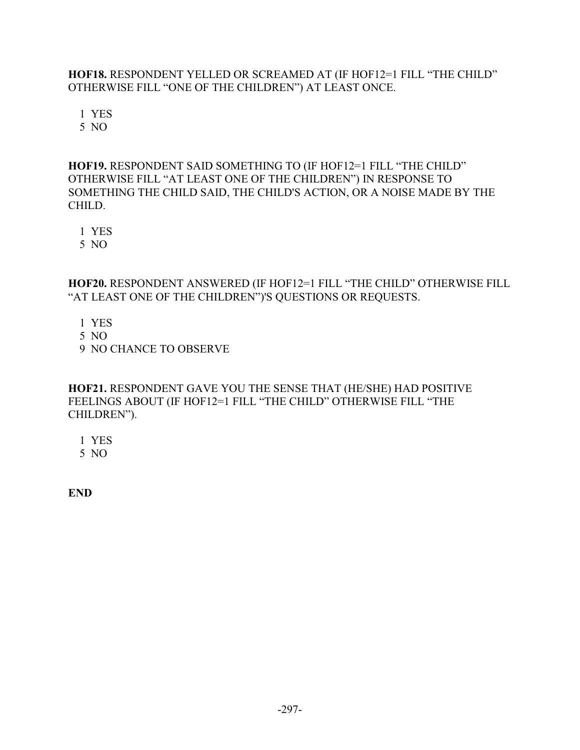**HOF18.** RESPONDENT YELLED OR SCREAMED AT (IF HOF12=1 FILL "THE CHILD" OTHERWISE FILL "ONE OF THE CHILDREN") AT LEAST ONCE.

1 YES

5 NO

# **HOF19.** RESPONDENT SAID SOMETHING TO (IF HOF12=1 FILL "THE CHILD" OTHERWISE FILL "AT LEAST ONE OF THE CHILDREN") IN RESPONSE TO SOMETHING THE CHILD SAID, THE CHILD'S ACTION, OR A NOISE MADE BY THE CHILD.

1 YES

5 NO

**HOF20.** RESPONDENT ANSWERED (IF HOF12=1 FILL "THE CHILD" OTHERWISE FILL "AT LEAST ONE OF THE CHILDREN")'S QUESTIONS OR REQUESTS.

- 1 YES
- 5 NO
- 9 NO CHANCE TO OBSERVE

**HOF21.** RESPONDENT GAVE YOU THE SENSE THAT (HE/SHE) HAD POSITIVE FEELINGS ABOUT (IF HOF12=1 FILL "THE CHILD" OTHERWISE FILL "THE CHILDREN").

1 YES

5 NO

**END**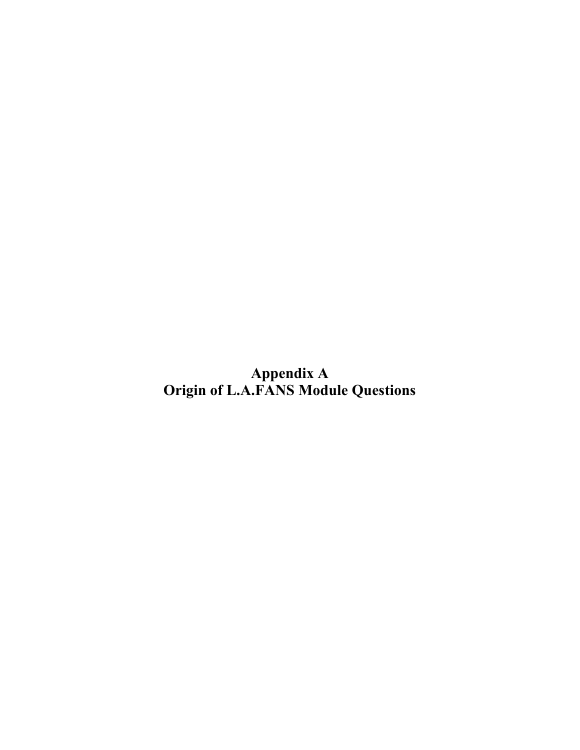**Appendix A Origin of L.A.FANS Module Questions**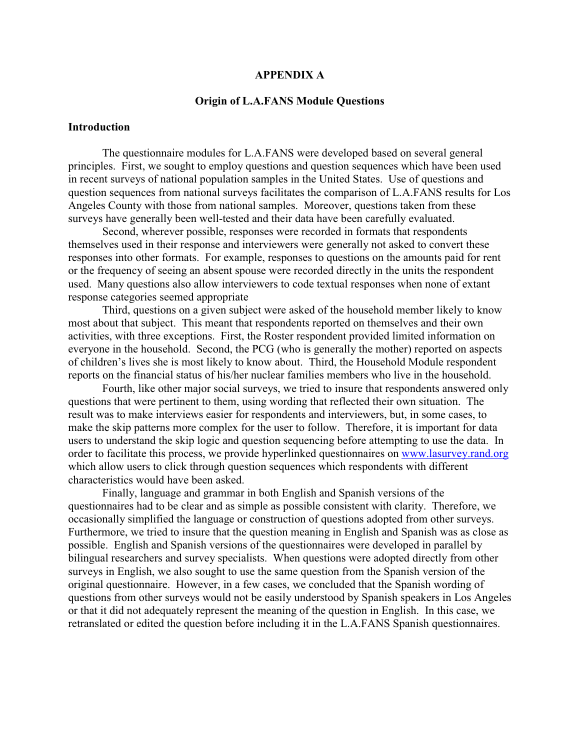#### **APPENDIX A**

#### **Origin of L.A.FANS Module Questions**

#### **Introduction**

 The questionnaire modules for L.A.FANS were developed based on several general principles. First, we sought to employ questions and question sequences which have been used in recent surveys of national population samples in the United States. Use of questions and question sequences from national surveys facilitates the comparison of L.A.FANS results for Los Angeles County with those from national samples. Moreover, questions taken from these surveys have generally been well-tested and their data have been carefully evaluated.

 Second, wherever possible, responses were recorded in formats that respondents themselves used in their response and interviewers were generally not asked to convert these responses into other formats. For example, responses to questions on the amounts paid for rent or the frequency of seeing an absent spouse were recorded directly in the units the respondent used. Many questions also allow interviewers to code textual responses when none of extant response categories seemed appropriate

 Third, questions on a given subject were asked of the household member likely to know most about that subject. This meant that respondents reported on themselves and their own activities, with three exceptions. First, the Roster respondent provided limited information on everyone in the household. Second, the PCG (who is generally the mother) reported on aspects of children's lives she is most likely to know about. Third, the Household Module respondent reports on the financial status of his/her nuclear families members who live in the household.

 Fourth, like other major social surveys, we tried to insure that respondents answered only questions that were pertinent to them, using wording that reflected their own situation. The result was to make interviews easier for respondents and interviewers, but, in some cases, to make the skip patterns more complex for the user to follow. Therefore, it is important for data users to understand the skip logic and question sequencing before attempting to use the data. In order to facilitate this process, we provide hyperlinked questionnaires on www.lasurvey.rand.org which allow users to click through question sequences which respondents with different characteristics would have been asked.

 Finally, language and grammar in both English and Spanish versions of the questionnaires had to be clear and as simple as possible consistent with clarity. Therefore, we occasionally simplified the language or construction of questions adopted from other surveys. Furthermore, we tried to insure that the question meaning in English and Spanish was as close as possible. English and Spanish versions of the questionnaires were developed in parallel by bilingual researchers and survey specialists. When questions were adopted directly from other surveys in English, we also sought to use the same question from the Spanish version of the original questionnaire. However, in a few cases, we concluded that the Spanish wording of questions from other surveys would not be easily understood by Spanish speakers in Los Angeles or that it did not adequately represent the meaning of the question in English. In this case, we retranslated or edited the question before including it in the L.A.FANS Spanish questionnaires.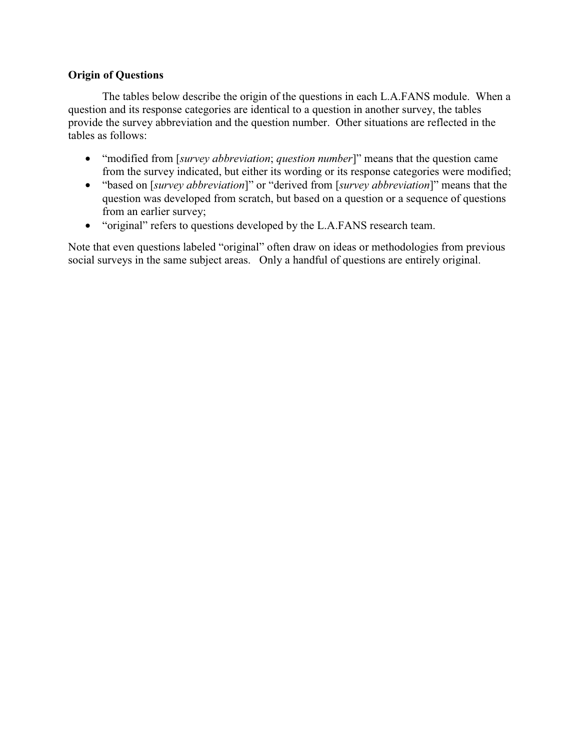### **Origin of Questions**

 The tables below describe the origin of the questions in each L.A.FANS module. When a question and its response categories are identical to a question in another survey, the tables provide the survey abbreviation and the question number. Other situations are reflected in the tables as follows:

- "modified from [*survey abbreviation*; *question number*]" means that the question came from the survey indicated, but either its wording or its response categories were modified;
- "based on [*survey abbreviation*]" or "derived from [*survey abbreviation*]" means that the question was developed from scratch, but based on a question or a sequence of questions from an earlier survey;
- "original" refers to questions developed by the L.A.FANS research team.

Note that even questions labeled "original" often draw on ideas or methodologies from previous social surveys in the same subject areas. Only a handful of questions are entirely original.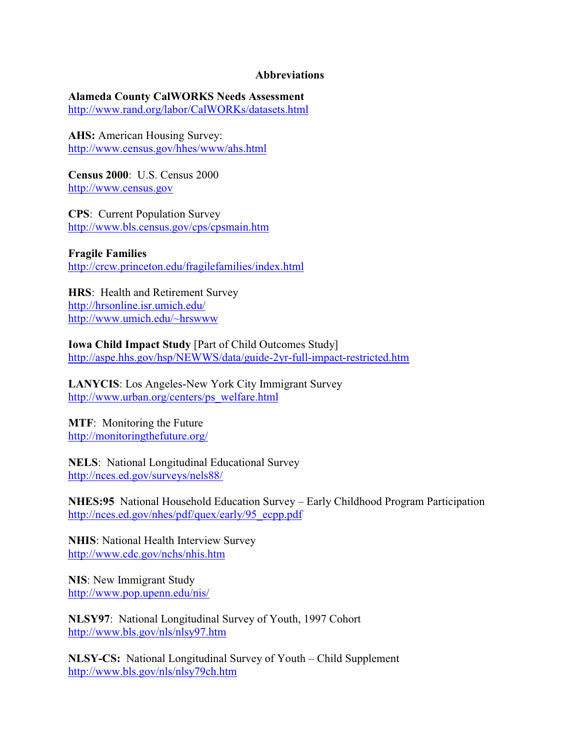#### **Abbreviations**

#### **Alameda County CalWORKS Needs Assessment**

http://www.rand.org/labor/CalWORKs/datasets.html

**AHS:** American Housing Survey: http://www.census.gov/hhes/www/ahs.html

**Census 2000**: U.S. Census 2000 http://www.census.gov

**CPS**: Current Population Survey http://www.bls.census.gov/cps/cpsmain.htm

**Fragile Families** http://crcw.princeton.edu/fragilefamilies/index.html

**HRS**: Health and Retirement Survey http://hrsonline.isr.umich.edu/ http://www.umich.edu/~hrswww

**Iowa Child Impact Study** [Part of Child Outcomes Study] http://aspe.hhs.gov/hsp/NEWWS/data/guide-2yr-full-impact-restricted.htm

**LANYCIS**: Los Angeles-New York City Immigrant Survey http://www.urban.org/centers/ps\_welfare.html

**MTF**: Monitoring the Future http://monitoringthefuture.org/

**NELS**: National Longitudinal Educational Survey http://nces.ed.gov/surveys/nels88/

**NHES:95** National Household Education Survey – Early Childhood Program Participation http://nces.ed.gov/nhes/pdf/quex/early/95\_ecpp.pdf

**NHIS**: National Health Interview Survey http://www.cdc.gov/nchs/nhis.htm

**NIS**: New Immigrant Study http://www.pop.upenn.edu/nis/

**NLSY97**: National Longitudinal Survey of Youth, 1997 Cohort http://www.bls.gov/nls/nlsy97.htm

**NLSY-CS:** National Longitudinal Survey of Youth – Child Supplement http://www.bls.gov/nls/nlsy79ch.htm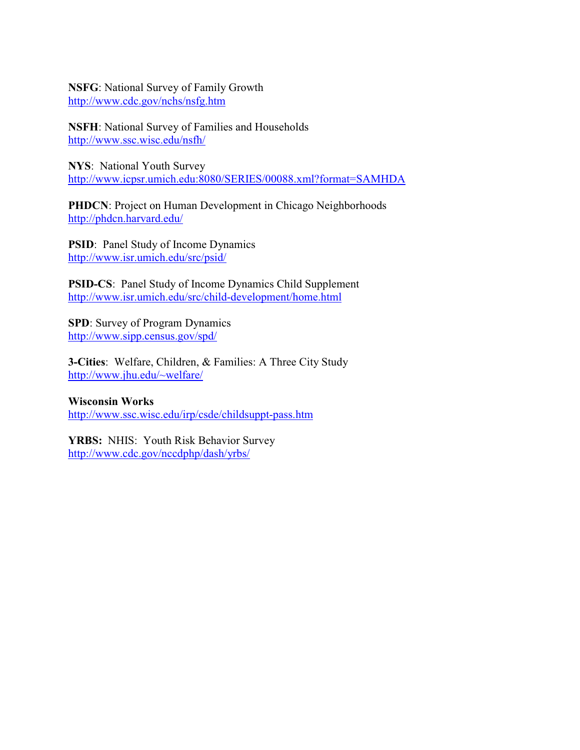#### **NSFG**: National Survey of Family Growth http://www.cdc.gov/nchs/nsfg.htm

**NSFH**: National Survey of Families and Households http://www.ssc.wisc.edu/nsfh/

**NYS**: National Youth Survey http://www.icpsr.umich.edu:8080/SERIES/00088.xml?format=SAMHDA

**PHDCN**: Project on Human Development in Chicago Neighborhoods http://phdcn.harvard.edu/

**PSID**: Panel Study of Income Dynamics http://www.isr.umich.edu/src/psid/

**PSID-CS**: Panel Study of Income Dynamics Child Supplement http://www.isr.umich.edu/src/child-development/home.html

**SPD**: Survey of Program Dynamics http://www.sipp.census.gov/spd/

**3-Cities**: Welfare, Children, & Families: A Three City Study http://www.jhu.edu/~welfare/

**Wisconsin Works** http://www.ssc.wisc.edu/irp/csde/childsuppt-pass.htm

**YRBS:** NHIS: Youth Risk Behavior Survey http://www.cdc.gov/nccdphp/dash/yrbs/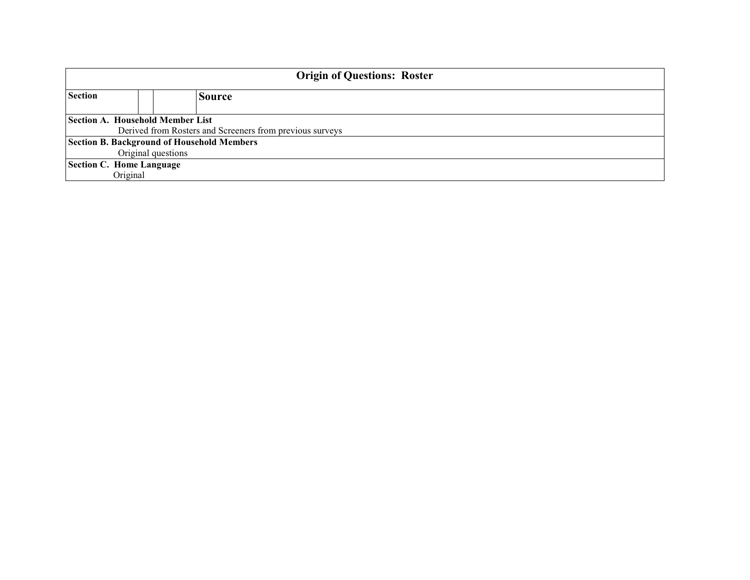| <b>Origin of Questions: Roster</b>                |                                                          |  |  |  |
|---------------------------------------------------|----------------------------------------------------------|--|--|--|
| <b>Section</b>                                    | <b>Source</b>                                            |  |  |  |
|                                                   | <b>Section A. Household Member List</b>                  |  |  |  |
|                                                   | Derived from Rosters and Screeners from previous surveys |  |  |  |
| <b>Section B. Background of Household Members</b> |                                                          |  |  |  |
| Original questions                                |                                                          |  |  |  |
| Section C. Home Language                          |                                                          |  |  |  |
| Original                                          |                                                          |  |  |  |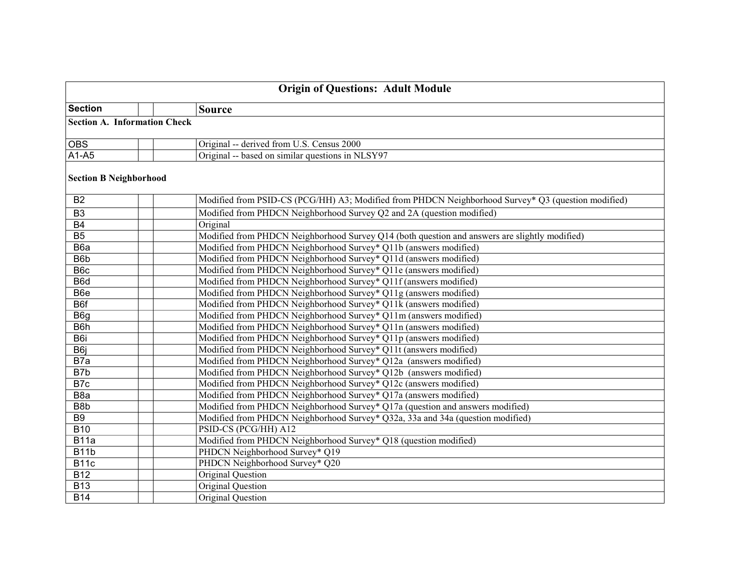| <b>Origin of Questions: Adult Module</b> |                                                                                                    |  |  |
|------------------------------------------|----------------------------------------------------------------------------------------------------|--|--|
| <b>Section</b>                           | <b>Source</b>                                                                                      |  |  |
|                                          | <b>Section A. Information Check</b>                                                                |  |  |
| <b>OBS</b>                               | Original -- derived from U.S. Census 2000                                                          |  |  |
| $A1-A5$                                  | Original -- based on similar questions in NLSY97                                                   |  |  |
| <b>Section B Neighborhood</b>            |                                                                                                    |  |  |
| <b>B2</b>                                | Modified from PSID-CS (PCG/HH) A3; Modified from PHDCN Neighborhood Survey* Q3 (question modified) |  |  |
| B <sub>3</sub>                           | Modified from PHDCN Neighborhood Survey Q2 and 2A (question modified)                              |  |  |
| $\overline{B4}$                          | Original                                                                                           |  |  |
| $\overline{B5}$                          | Modified from PHDCN Neighborhood Survey Q14 (both question and answers are slightly modified)      |  |  |
| B6a                                      | Modified from PHDCN Neighborhood Survey* Q11b (answers modified)                                   |  |  |
| B6b                                      | Modified from PHDCN Neighborhood Survey* Q11d (answers modified)                                   |  |  |
| B <sub>6c</sub>                          | Modified from PHDCN Neighborhood Survey* Q11e (answers modified)                                   |  |  |
| B6d                                      | Modified from PHDCN Neighborhood Survey* Q11f (answers modified)                                   |  |  |
| B <sub>6</sub> e                         | Modified from PHDCN Neighborhood Survey* Q11g (answers modified)                                   |  |  |
| B <sub>6f</sub>                          | Modified from PHDCN Neighborhood Survey* Q11k (answers modified)                                   |  |  |
| B <sub>6g</sub>                          | Modified from PHDCN Neighborhood Survey* Q11m (answers modified)                                   |  |  |
| B <sub>6</sub> h                         | Modified from PHDCN Neighborhood Survey* Q11n (answers modified)                                   |  |  |
| B6i                                      | Modified from PHDCN Neighborhood Survey* Q11p (answers modified)                                   |  |  |
| B <sub>6j</sub>                          | Modified from PHDCN Neighborhood Survey* Q11t (answers modified)                                   |  |  |
| B7a                                      | Modified from PHDCN Neighborhood Survey* Q12a (answers modified)                                   |  |  |
| $\overline{B7b}$                         | Modified from PHDCN Neighborhood Survey* Q12b (answers modified)                                   |  |  |
| $\overline{B7c}$                         | Modified from PHDCN Neighborhood Survey* Q12c (answers modified)                                   |  |  |
| B8a                                      | Modified from PHDCN Neighborhood Survey* Q17a (answers modified)                                   |  |  |
| B8b                                      | Modified from PHDCN Neighborhood Survey* Q17a (question and answers modified)                      |  |  |
| B9                                       | Modified from PHDCN Neighborhood Survey* Q32a, 33a and 34a (question modified)                     |  |  |
| $\overline{B10}$                         | PSID-CS (PCG/HH) A12                                                                               |  |  |
| B11a                                     | Modified from PHDCN Neighborhood Survey* Q18 (question modified)                                   |  |  |
| <b>B11b</b>                              | PHDCN Neighborhood Survey* Q19                                                                     |  |  |
| B <sub>11</sub> c                        | PHDCN Neighborhood Survey* Q20                                                                     |  |  |
| $\overline{B12}$                         | Original Question                                                                                  |  |  |
| <b>B13</b>                               | Original Question                                                                                  |  |  |
| <b>B14</b>                               | Original Question                                                                                  |  |  |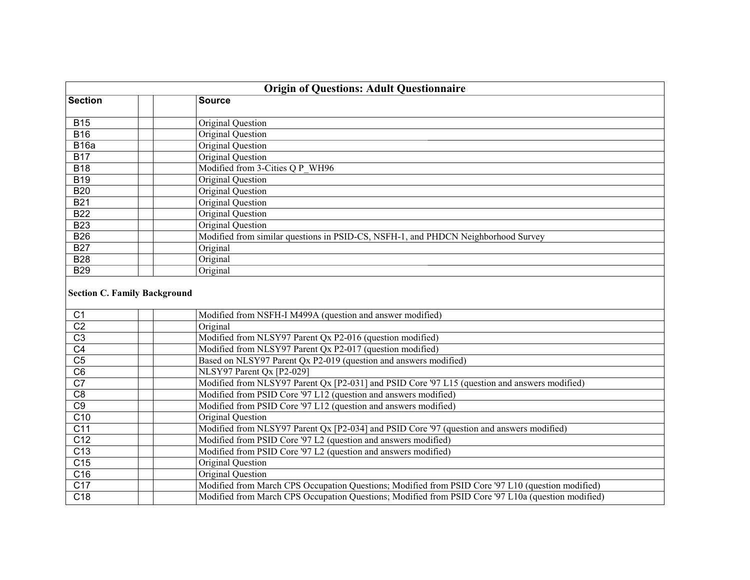| <b>Origin of Questions: Adult Questionnaire</b> |                                                                                                    |  |  |
|-------------------------------------------------|----------------------------------------------------------------------------------------------------|--|--|
| <b>Section</b>                                  | <b>Source</b>                                                                                      |  |  |
|                                                 |                                                                                                    |  |  |
| <b>B15</b>                                      | Original Question                                                                                  |  |  |
| <b>B16</b>                                      | Original Question                                                                                  |  |  |
| <b>B16a</b>                                     | Original Question                                                                                  |  |  |
| <b>B17</b>                                      | Original Question                                                                                  |  |  |
| <b>B18</b>                                      | Modified from 3-Cities Q P WH96                                                                    |  |  |
| <b>B19</b>                                      | Original Question                                                                                  |  |  |
| <b>B20</b>                                      | Original Question                                                                                  |  |  |
| <b>B21</b>                                      | Original Question                                                                                  |  |  |
| <b>B22</b>                                      | Original Question                                                                                  |  |  |
| <b>B23</b>                                      | Original Question                                                                                  |  |  |
| <b>B26</b>                                      | Modified from similar questions in PSID-CS, NSFH-1, and PHDCN Neighborhood Survey                  |  |  |
| <b>B27</b>                                      | Original                                                                                           |  |  |
| <b>B28</b>                                      | Original                                                                                           |  |  |
| <b>B29</b>                                      | Original                                                                                           |  |  |
| <b>Section C. Family Background</b>             |                                                                                                    |  |  |
| C <sub>1</sub>                                  | Modified from NSFH-I M499A (question and answer modified)                                          |  |  |
| $\overline{C2}$                                 | Original                                                                                           |  |  |
| $\overline{C3}$                                 | Modified from NLSY97 Parent Qx P2-016 (question modified)                                          |  |  |
| $\overline{C4}$                                 | Modified from NLSY97 Parent Qx P2-017 (question modified)                                          |  |  |
| $\overline{C5}$                                 | Based on NLSY97 Parent Qx P2-019 (question and answers modified)                                   |  |  |
| $\overline{C6}$                                 | NLSY97 Parent Qx [P2-029]                                                                          |  |  |
| $\overline{C7}$                                 | Modified from NLSY97 Parent Qx [P2-031] and PSID Core '97 L15 (question and answers modified)      |  |  |
| C <sub>8</sub>                                  | Modified from PSID Core '97 L12 (question and answers modified)                                    |  |  |
| C9                                              | Modified from PSID Core '97 L12 (question and answers modified)                                    |  |  |
| C10                                             | Original Question                                                                                  |  |  |
| $\overline{C11}$                                | Modified from NLSY97 Parent Qx [P2-034] and PSID Core '97 (question and answers modified)          |  |  |
| $\overline{C12}$                                | Modified from PSID Core '97 L2 (question and answers modified)                                     |  |  |
| $\overline{C13}$                                | Modified from PSID Core '97 L2 (question and answers modified)                                     |  |  |
| $\overline{C15}$                                | Original Question                                                                                  |  |  |
| $\overline{C16}$                                | Original Question                                                                                  |  |  |
| C17                                             | Modified from March CPS Occupation Questions; Modified from PSID Core '97 L10 (question modified)  |  |  |
| C <sub>18</sub>                                 | Modified from March CPS Occupation Questions; Modified from PSID Core '97 L10a (question modified) |  |  |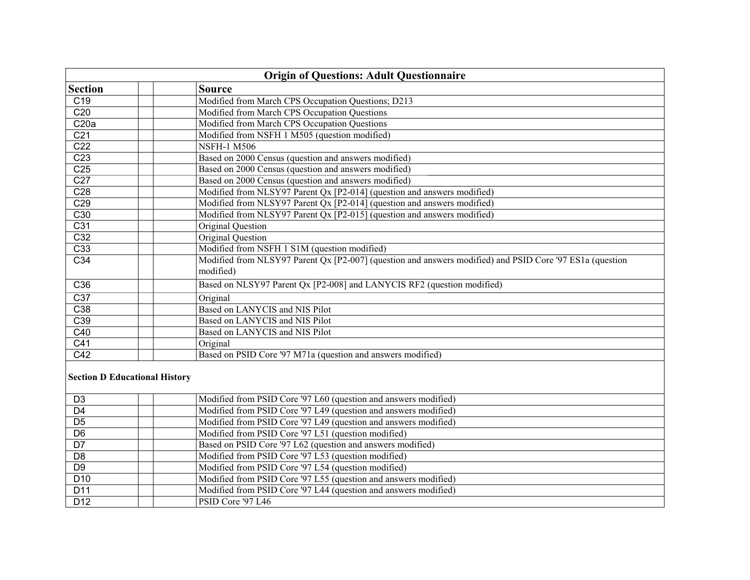| <b>Origin of Questions: Adult Questionnaire</b> |                                                                                                          |  |  |
|-------------------------------------------------|----------------------------------------------------------------------------------------------------------|--|--|
| <b>Section</b>                                  | <b>Source</b>                                                                                            |  |  |
| $\overline{C19}$                                | Modified from March CPS Occupation Questions; D213                                                       |  |  |
| $\overline{C20}$                                | Modified from March CPS Occupation Questions                                                             |  |  |
| $\overline{\text{C20a}}$                        | Modified from March CPS Occupation Questions                                                             |  |  |
| $\overline{C21}$                                | Modified from NSFH 1 M505 (question modified)                                                            |  |  |
| C <sub>22</sub>                                 | <b>NSFH-1 M506</b>                                                                                       |  |  |
| $\overline{C23}$                                | Based on 2000 Census (question and answers modified)                                                     |  |  |
| C <sub>25</sub>                                 | Based on 2000 Census (question and answers modified)                                                     |  |  |
| C27                                             | Based on 2000 Census (question and answers modified)                                                     |  |  |
| $\overline{C28}$                                | Modified from NLSY97 Parent Qx [P2-014] (question and answers modified)                                  |  |  |
| $\overline{C29}$                                | Modified from NLSY97 Parent Qx [P2-014] (question and answers modified)                                  |  |  |
| $\overline{C30}$                                | Modified from NLSY97 Parent Qx [P2-015] (question and answers modified)                                  |  |  |
| $\overline{C31}$                                | <b>Original Question</b>                                                                                 |  |  |
| $\overline{C32}$                                | <b>Original Question</b>                                                                                 |  |  |
| $\overline{C33}$                                | Modified from NSFH 1 S1M (question modified)                                                             |  |  |
| $\overline{C34}$                                | Modified from NLSY97 Parent Qx [P2-007] (question and answers modified) and PSID Core '97 ES1a (question |  |  |
|                                                 | modified)                                                                                                |  |  |
| C36                                             | Based on NLSY97 Parent Qx [P2-008] and LANYCIS RF2 (question modified)                                   |  |  |
| $\overline{C37}$                                | Original                                                                                                 |  |  |
| $\overline{C38}$                                | Based on LANYCIS and NIS Pilot                                                                           |  |  |
| C39                                             | Based on LANYCIS and NIS Pilot                                                                           |  |  |
| C40                                             | Based on LANYCIS and NIS Pilot                                                                           |  |  |
| $\overline{C41}$                                | Original                                                                                                 |  |  |
| $\overline{C42}$                                | Based on PSID Core '97 M71a (question and answers modified)                                              |  |  |
| <b>Section D Educational History</b>            |                                                                                                          |  |  |
| D <sub>3</sub>                                  | Modified from PSID Core '97 L60 (question and answers modified)                                          |  |  |
| $\overline{D4}$                                 | Modified from PSID Core '97 L49 (question and answers modified)                                          |  |  |
| $\overline{D5}$                                 | Modified from PSID Core '97 L49 (question and answers modified)                                          |  |  |
| $\overline{D6}$                                 | Modified from PSID Core '97 L51 (question modified)                                                      |  |  |
| $\overline{D7}$                                 | Based on PSID Core '97 L62 (question and answers modified)                                               |  |  |
| $\overline{D8}$                                 | Modified from PSID Core '97 L53 (question modified)                                                      |  |  |
| $\overline{D9}$                                 | Modified from PSID Core '97 L54 (question modified)                                                      |  |  |
| $\overline{D10}$                                | Modified from PSID Core '97 L55 (question and answers modified)                                          |  |  |
| D11                                             | Modified from PSID Core '97 L44 (question and answers modified)                                          |  |  |
| D <sub>12</sub>                                 | PSID Core '97 L46                                                                                        |  |  |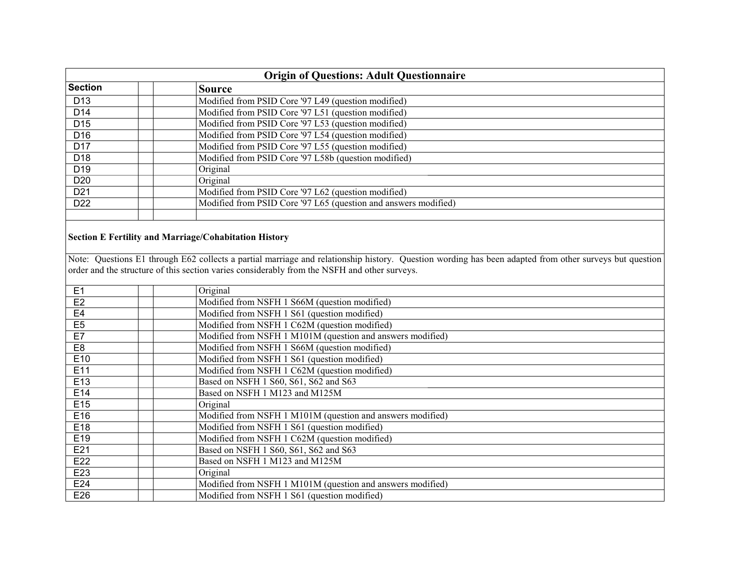| <b>Origin of Questions: Adult Questionnaire</b> |  |                                                                                                                                                                                                                                                        |  |
|-------------------------------------------------|--|--------------------------------------------------------------------------------------------------------------------------------------------------------------------------------------------------------------------------------------------------------|--|
| <b>Section</b>                                  |  | <b>Source</b>                                                                                                                                                                                                                                          |  |
| D <sub>13</sub>                                 |  | Modified from PSID Core '97 L49 (question modified)                                                                                                                                                                                                    |  |
| $\overline{D14}$                                |  | Modified from PSID Core '97 L51 (question modified)                                                                                                                                                                                                    |  |
| D <sub>15</sub>                                 |  | Modified from PSID Core '97 L53 (question modified)                                                                                                                                                                                                    |  |
| D16                                             |  | Modified from PSID Core '97 L54 (question modified)                                                                                                                                                                                                    |  |
| D17                                             |  | Modified from PSID Core '97 L55 (question modified)                                                                                                                                                                                                    |  |
| D18                                             |  | Modified from PSID Core '97 L58b (question modified)                                                                                                                                                                                                   |  |
| D19                                             |  | Original                                                                                                                                                                                                                                               |  |
| D20                                             |  | Original                                                                                                                                                                                                                                               |  |
| D21                                             |  | Modified from PSID Core '97 L62 (question modified)                                                                                                                                                                                                    |  |
| D22                                             |  | Modified from PSID Core '97 L65 (question and answers modified)                                                                                                                                                                                        |  |
|                                                 |  |                                                                                                                                                                                                                                                        |  |
|                                                 |  | <b>Section E Fertility and Marriage/Cohabitation History</b>                                                                                                                                                                                           |  |
|                                                 |  | Note: Questions E1 through E62 collects a partial marriage and relationship history. Question wording has been adapted from other surveys but question<br>order and the structure of this section varies considerably from the NSFH and other surveys. |  |
| E1                                              |  | Original                                                                                                                                                                                                                                               |  |
| E2                                              |  | Modified from NSFH 1 S66M (question modified)                                                                                                                                                                                                          |  |
| E4                                              |  | Modified from NSFH 1 S61 (question modified)                                                                                                                                                                                                           |  |
| E5                                              |  | Modified from NSFH 1 C62M (question modified)                                                                                                                                                                                                          |  |
| E7                                              |  | Modified from NSFH 1 M101M (question and answers modified)                                                                                                                                                                                             |  |
| E8                                              |  | Modified from NSFH 1 S66M (question modified)                                                                                                                                                                                                          |  |
| E10                                             |  | Modified from NSFH 1 S61 (question modified)                                                                                                                                                                                                           |  |
| E11                                             |  | Modified from NSFH 1 C62M (question modified)                                                                                                                                                                                                          |  |
| E13                                             |  | Based on NSFH 1 S60, S61, S62 and S63                                                                                                                                                                                                                  |  |
| E14                                             |  | Based on NSFH 1 M123 and M125M                                                                                                                                                                                                                         |  |
| E15                                             |  | Original                                                                                                                                                                                                                                               |  |
| E16                                             |  | Modified from NSFH 1 M101M (question and answers modified)                                                                                                                                                                                             |  |
| E18                                             |  | Modified from NSFH 1 S61 (question modified)                                                                                                                                                                                                           |  |
| E19                                             |  | Modified from NSFH 1 C62M (question modified)                                                                                                                                                                                                          |  |
| E21                                             |  | Based on NSFH 1 S60, S61, S62 and S63                                                                                                                                                                                                                  |  |
| E22                                             |  | Based on NSFH 1 M123 and M125M                                                                                                                                                                                                                         |  |
| E23                                             |  | Original                                                                                                                                                                                                                                               |  |
| E24                                             |  | Modified from NSFH 1 M101M (question and answers modified)                                                                                                                                                                                             |  |
| E26                                             |  | Modified from NSFH 1 S61 (question modified)                                                                                                                                                                                                           |  |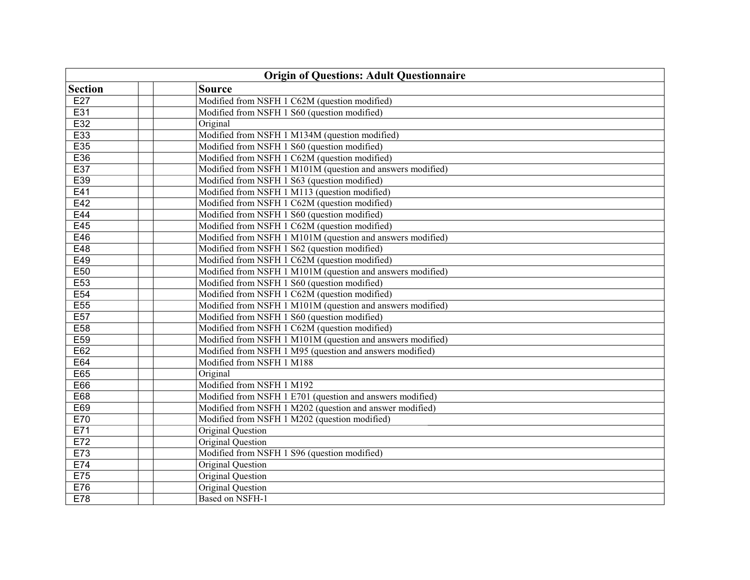| <b>Origin of Questions: Adult Questionnaire</b> |                                                            |  |  |
|-------------------------------------------------|------------------------------------------------------------|--|--|
| <b>Section</b>                                  | <b>Source</b>                                              |  |  |
| E27                                             | Modified from NSFH 1 C62M (question modified)              |  |  |
| E31                                             | Modified from NSFH 1 S60 (question modified)               |  |  |
| E32                                             | Original                                                   |  |  |
| E33                                             | Modified from NSFH 1 M134M (question modified)             |  |  |
| E35                                             | Modified from NSFH 1 S60 (question modified)               |  |  |
| E36                                             | Modified from NSFH 1 C62M (question modified)              |  |  |
| E37                                             | Modified from NSFH 1 M101M (question and answers modified) |  |  |
| E39                                             | Modified from NSFH 1 S63 (question modified)               |  |  |
| E41                                             | Modified from NSFH 1 M113 (question modified)              |  |  |
| E42                                             | Modified from NSFH 1 C62M (question modified)              |  |  |
| E44                                             | Modified from NSFH 1 S60 (question modified)               |  |  |
| E45                                             | Modified from NSFH 1 C62M (question modified)              |  |  |
| E46                                             | Modified from NSFH 1 M101M (question and answers modified) |  |  |
| E48                                             | Modified from NSFH 1 S62 (question modified)               |  |  |
| E49                                             | Modified from NSFH 1 C62M (question modified)              |  |  |
| E50                                             | Modified from NSFH 1 M101M (question and answers modified) |  |  |
| E53                                             | Modified from NSFH 1 S60 (question modified)               |  |  |
| E54                                             | Modified from NSFH 1 C62M (question modified)              |  |  |
| E55                                             | Modified from NSFH 1 M101M (question and answers modified) |  |  |
| E57                                             | Modified from NSFH 1 S60 (question modified)               |  |  |
| E <sub>58</sub>                                 | Modified from NSFH 1 C62M (question modified)              |  |  |
| E <sub>59</sub>                                 | Modified from NSFH 1 M101M (question and answers modified) |  |  |
| E62                                             | Modified from NSFH 1 M95 (question and answers modified)   |  |  |
| E64                                             | Modified from NSFH 1 M188                                  |  |  |
| E65                                             | Original                                                   |  |  |
| E66                                             | Modified from NSFH 1 M192                                  |  |  |
| E68                                             | Modified from NSFH 1 E701 (question and answers modified)  |  |  |
| E69                                             | Modified from NSFH 1 M202 (question and answer modified)   |  |  |
| E70                                             | Modified from NSFH 1 M202 (question modified)              |  |  |
| E71                                             | <b>Original Question</b>                                   |  |  |
| E72                                             | <b>Original Question</b>                                   |  |  |
| E73                                             | Modified from NSFH 1 S96 (question modified)               |  |  |
| E74                                             | <b>Original Question</b>                                   |  |  |
| E75                                             | <b>Original Question</b>                                   |  |  |
| E76                                             | <b>Original Question</b>                                   |  |  |
| <b>E78</b>                                      | Based on NSFH-1                                            |  |  |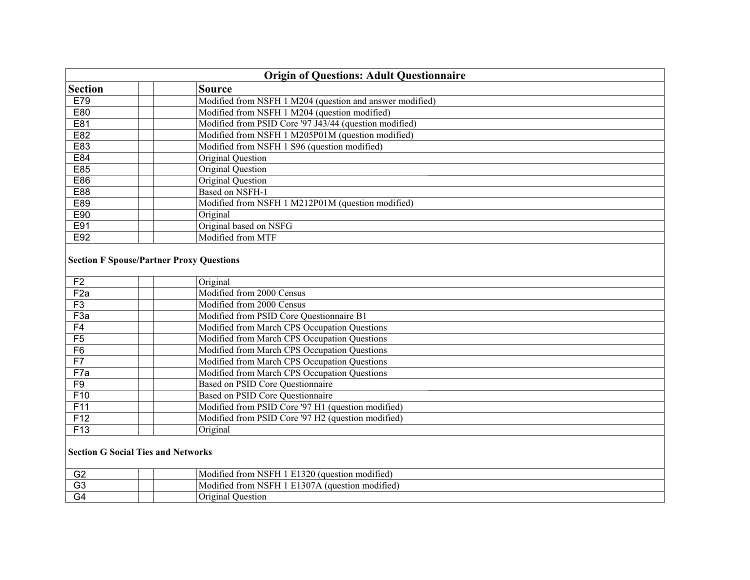| <b>Origin of Questions: Adult Questionnaire</b> |                                                                                        |  |  |
|-------------------------------------------------|----------------------------------------------------------------------------------------|--|--|
| <b>Section</b>                                  | <b>Source</b>                                                                          |  |  |
| E79                                             | Modified from NSFH 1 M204 (question and answer modified)                               |  |  |
| E80                                             | Modified from NSFH 1 M204 (question modified)                                          |  |  |
| E81                                             | Modified from PSID Core '97 J43/44 (question modified)                                 |  |  |
| E82                                             | Modified from NSFH 1 M205P01M (question modified)                                      |  |  |
| E83                                             | Modified from NSFH 1 S96 (question modified)                                           |  |  |
| E84                                             | <b>Original Question</b>                                                               |  |  |
| E85                                             | <b>Original Question</b>                                                               |  |  |
| E86                                             | <b>Original Question</b>                                                               |  |  |
| E88                                             | <b>Based on NSFH-1</b>                                                                 |  |  |
| E89                                             | Modified from NSFH 1 M212P01M (question modified)                                      |  |  |
| E90                                             | Original                                                                               |  |  |
| E91                                             | Original based on NSFG                                                                 |  |  |
| E92                                             | Modified from MTF                                                                      |  |  |
|                                                 | <b>Section F Spouse/Partner Proxy Questions</b>                                        |  |  |
| F <sub>2</sub>                                  | Original                                                                               |  |  |
| F2a                                             | Modified from 2000 Census                                                              |  |  |
| F3                                              | Modified from 2000 Census                                                              |  |  |
| F <sub>3a</sub>                                 | Modified from PSID Core Questionnaire B1                                               |  |  |
| F4                                              | Modified from March CPS Occupation Questions                                           |  |  |
| $\overline{F5}$                                 | Modified from March CPS Occupation Questions                                           |  |  |
| F6                                              | Modified from March CPS Occupation Questions                                           |  |  |
| $\overline{F7}$                                 | Modified from March CPS Occupation Questions                                           |  |  |
| F7a                                             | Modified from March CPS Occupation Questions                                           |  |  |
| F9<br>F10                                       | Based on PSID Core Questionnaire                                                       |  |  |
| F11                                             | Based on PSID Core Questionnaire<br>Modified from PSID Core '97 H1 (question modified) |  |  |
| F12                                             | Modified from PSID Core '97 H2 (question modified)                                     |  |  |
| F <sub>13</sub>                                 | Original                                                                               |  |  |
|                                                 |                                                                                        |  |  |
|                                                 | <b>Section G Social Ties and Networks</b>                                              |  |  |
| G <sub>2</sub>                                  | Modified from NSFH 1 E1320 (question modified)                                         |  |  |
| $\overline{G3}$                                 | Modified from NSFH 1 E1307A (question modified)                                        |  |  |
| $\overline{G4}$                                 | Original Question                                                                      |  |  |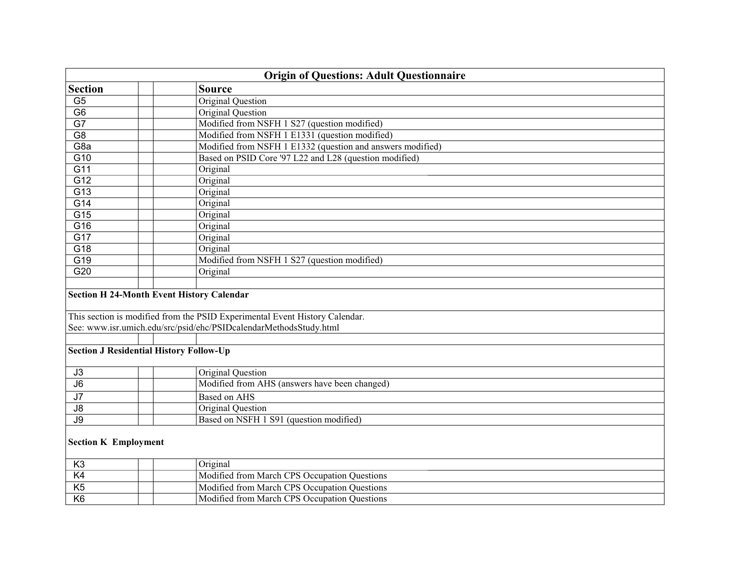| <b>Origin of Questions: Adult Questionnaire</b>  |  |                                                                             |  |
|--------------------------------------------------|--|-----------------------------------------------------------------------------|--|
| <b>Section</b>                                   |  | <b>Source</b>                                                               |  |
| $\overline{G5}$                                  |  | <b>Original Question</b>                                                    |  |
| $\overline{G6}$                                  |  | <b>Original Question</b>                                                    |  |
| $\overline{G7}$                                  |  | Modified from NSFH 1 S27 (question modified)                                |  |
| $\overline{G8}$                                  |  | Modified from NSFH 1 E1331 (question modified)                              |  |
| G8a                                              |  | Modified from NSFH 1 E1332 (question and answers modified)                  |  |
| G10                                              |  | Based on PSID Core '97 L22 and L28 (question modified)                      |  |
| $\overline{G11}$                                 |  | Original                                                                    |  |
| G12                                              |  | Original                                                                    |  |
| $\overline{G13}$                                 |  | Original                                                                    |  |
| G14                                              |  | Original                                                                    |  |
| $\overline{G15}$                                 |  | Original                                                                    |  |
| G16                                              |  | Original                                                                    |  |
| $\overline{G17}$                                 |  | Original                                                                    |  |
| $\overline{G18}$                                 |  | Original                                                                    |  |
| G19                                              |  | Modified from NSFH 1 S27 (question modified)                                |  |
| G20                                              |  | Original                                                                    |  |
| <b>Section H 24-Month Event History Calendar</b> |  |                                                                             |  |
|                                                  |  |                                                                             |  |
|                                                  |  | This section is modified from the PSID Experimental Event History Calendar. |  |
|                                                  |  | See: www.isr.umich.edu/src/psid/ehc/PSIDcalendarMethodsStudy.html           |  |
|                                                  |  |                                                                             |  |
| <b>Section J Residential History Follow-Up</b>   |  |                                                                             |  |
| J3                                               |  | Original Question                                                           |  |
| $\overline{\mathsf{J6}}$                         |  | Modified from AHS (answers have been changed)                               |  |
| $\overline{J7}$                                  |  | <b>Based on AHS</b>                                                         |  |
| $\overline{\mathsf{J8}}$                         |  | Original Question                                                           |  |
| $\overline{J9}$                                  |  | Based on NSFH 1 S91 (question modified)                                     |  |
| <b>Section K Employment</b>                      |  |                                                                             |  |
| K <sub>3</sub>                                   |  | Original                                                                    |  |
| K4                                               |  | Modified from March CPS Occupation Questions                                |  |
| $\overline{K5}$                                  |  | Modified from March CPS Occupation Questions                                |  |
| K6                                               |  | Modified from March CPS Occupation Questions                                |  |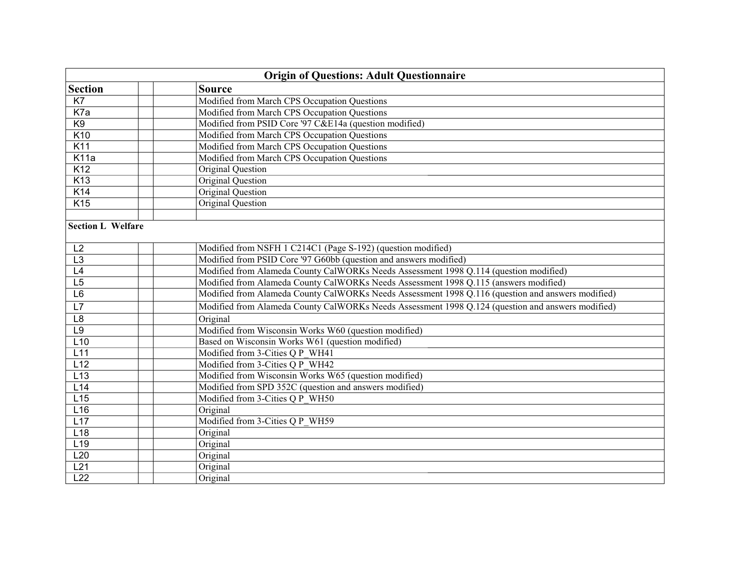| <b>Origin of Questions: Adult Questionnaire</b> |  |                                                                                                   |  |
|-------------------------------------------------|--|---------------------------------------------------------------------------------------------------|--|
| <b>Section</b>                                  |  | <b>Source</b>                                                                                     |  |
| K7                                              |  | Modified from March CPS Occupation Questions                                                      |  |
| K7a                                             |  | Modified from March CPS Occupation Questions                                                      |  |
| K9                                              |  | Modified from PSID Core '97 C&E14a (question modified)                                            |  |
| K10                                             |  | Modified from March CPS Occupation Questions                                                      |  |
| K11                                             |  | Modified from March CPS Occupation Questions                                                      |  |
| K <sub>11a</sub>                                |  | Modified from March CPS Occupation Questions                                                      |  |
| K12                                             |  | <b>Original Question</b>                                                                          |  |
| K <sub>13</sub>                                 |  | <b>Original Question</b>                                                                          |  |
| K14                                             |  | <b>Original Question</b>                                                                          |  |
| K <sub>15</sub>                                 |  | Original Question                                                                                 |  |
|                                                 |  |                                                                                                   |  |
| <b>Section L Welfare</b>                        |  |                                                                                                   |  |
| L2                                              |  | Modified from NSFH 1 C214C1 (Page S-192) (question modified)                                      |  |
| $\overline{L3}$                                 |  | Modified from PSID Core '97 G60bb (question and answers modified)                                 |  |
| L4                                              |  | Modified from Alameda County CalWORKs Needs Assessment 1998 Q.114 (question modified)             |  |
| $\overline{L5}$                                 |  | Modified from Alameda County CalWORKs Needs Assessment 1998 Q.115 (answers modified)              |  |
| L <sub>6</sub>                                  |  | Modified from Alameda County CalWORKs Needs Assessment 1998 Q.116 (question and answers modified) |  |
| L7                                              |  | Modified from Alameda County CalWORKs Needs Assessment 1998 Q.124 (question and answers modified) |  |
| L8                                              |  | Original                                                                                          |  |
| L9                                              |  | Modified from Wisconsin Works W60 (question modified)                                             |  |
| L10                                             |  | Based on Wisconsin Works W61 (question modified)                                                  |  |
| L11                                             |  | Modified from 3-Cities Q P WH41                                                                   |  |
| L12                                             |  | Modified from 3-Cities Q P WH42                                                                   |  |
| L13                                             |  | Modified from Wisconsin Works W65 (question modified)                                             |  |
| L14                                             |  | Modified from SPD 352C (question and answers modified)                                            |  |
| L15                                             |  | Modified from 3-Cities Q P WH50                                                                   |  |
| L16                                             |  | Original                                                                                          |  |
| L17                                             |  | Modified from 3-Cities Q P WH59                                                                   |  |
| L18                                             |  | Original                                                                                          |  |
| L <sub>19</sub>                                 |  | Original                                                                                          |  |
| L20                                             |  | Original                                                                                          |  |
| L21                                             |  | Original                                                                                          |  |
| L22                                             |  | Original                                                                                          |  |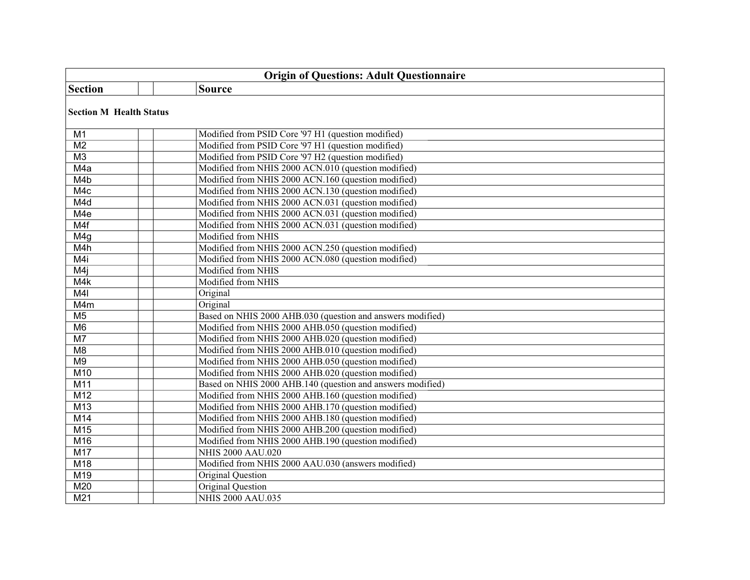| <b>Origin of Questions: Adult Questionnaire</b> |                                                            |  |  |
|-------------------------------------------------|------------------------------------------------------------|--|--|
| <b>Section</b>                                  | <b>Source</b>                                              |  |  |
|                                                 | <b>Section M Health Status</b>                             |  |  |
| M1                                              | Modified from PSID Core '97 H1 (question modified)         |  |  |
| M <sub>2</sub>                                  | Modified from PSID Core '97 H1 (question modified)         |  |  |
| M3                                              | Modified from PSID Core '97 H2 (question modified)         |  |  |
| M4a                                             | Modified from NHIS 2000 ACN.010 (question modified)        |  |  |
| M4b                                             | Modified from NHIS 2000 ACN.160 (question modified)        |  |  |
| M4c                                             | Modified from NHIS 2000 ACN.130 (question modified)        |  |  |
| M4d                                             | Modified from NHIS 2000 ACN.031 (question modified)        |  |  |
| M <sub>4e</sub>                                 | Modified from NHIS 2000 ACN.031 (question modified)        |  |  |
| M4f                                             | Modified from NHIS 2000 ACN.031 (question modified)        |  |  |
| M <sub>4g</sub>                                 | Modified from NHIS                                         |  |  |
| M4h                                             | Modified from NHIS 2000 ACN.250 (question modified)        |  |  |
| M4i                                             | Modified from NHIS 2000 ACN.080 (question modified)        |  |  |
| M4j                                             | Modified from NHIS                                         |  |  |
| M4k                                             | Modified from NHIS                                         |  |  |
| M4I                                             | Original                                                   |  |  |
| M4m                                             | Original                                                   |  |  |
| M <sub>5</sub>                                  | Based on NHIS 2000 AHB.030 (question and answers modified) |  |  |
| M <sub>6</sub>                                  | Modified from NHIS 2000 AHB.050 (question modified)        |  |  |
| M7                                              | Modified from NHIS 2000 AHB.020 (question modified)        |  |  |
| M <sub>8</sub>                                  | Modified from NHIS 2000 AHB.010 (question modified)        |  |  |
| M9                                              | Modified from NHIS 2000 AHB.050 (question modified)        |  |  |
| M10                                             | Modified from NHIS 2000 AHB.020 (question modified)        |  |  |
| M11                                             | Based on NHIS 2000 AHB.140 (question and answers modified) |  |  |
| M12                                             | Modified from NHIS 2000 AHB.160 (question modified)        |  |  |
| M13                                             | Modified from NHIS 2000 AHB.170 (question modified)        |  |  |
| M14                                             | Modified from NHIS 2000 AHB.180 (question modified)        |  |  |
| M15                                             | Modified from NHIS 2000 AHB.200 (question modified)        |  |  |
| M16                                             | Modified from NHIS 2000 AHB.190 (question modified)        |  |  |
| M17                                             | <b>NHIS 2000 AAU.020</b>                                   |  |  |
| M18                                             | Modified from NHIS 2000 AAU.030 (answers modified)         |  |  |
| M19                                             | Original Question                                          |  |  |
| M20                                             | Original Question                                          |  |  |
| M <sub>21</sub>                                 | <b>NHIS 2000 AAU.035</b>                                   |  |  |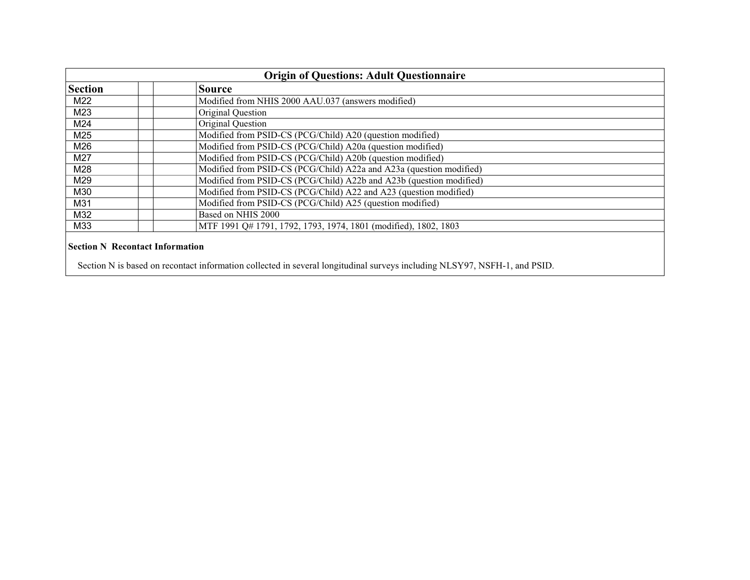| <b>Origin of Questions: Adult Questionnaire</b> |                                                                     |  |
|-------------------------------------------------|---------------------------------------------------------------------|--|
| <b>Section</b>                                  | <b>Source</b>                                                       |  |
| M22                                             | Modified from NHIS 2000 AAU.037 (answers modified)                  |  |
| M23                                             | Original Question                                                   |  |
| M24                                             | Original Question                                                   |  |
| M25                                             | Modified from PSID-CS (PCG/Child) A20 (question modified)           |  |
| M26                                             | Modified from PSID-CS (PCG/Child) A20a (question modified)          |  |
| M27                                             | Modified from PSID-CS (PCG/Child) A20b (question modified)          |  |
| M28                                             | Modified from PSID-CS (PCG/Child) A22a and A23a (question modified) |  |
| M29                                             | Modified from PSID-CS (PCG/Child) A22b and A23b (question modified) |  |
| M30                                             | Modified from PSID-CS (PCG/Child) A22 and A23 (question modified)   |  |
| M31                                             | Modified from PSID-CS (PCG/Child) A25 (question modified)           |  |
| M32                                             | Based on NHIS 2000                                                  |  |
| M33                                             | MTF 1991 Q# 1791, 1792, 1793, 1974, 1801 (modified), 1802, 1803     |  |
| <b>Section N Recontact Information</b>          |                                                                     |  |

Section N is based on recontact information collected in several longitudinal surveys including NLSY97, NSFH-1, and PSID.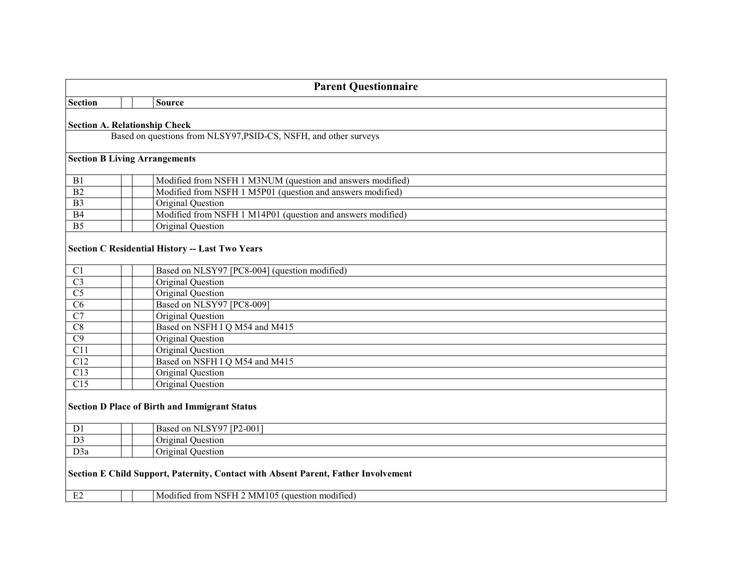| <b>Parent Questionnaire</b>                                                                                                                |                                                                  |  |
|--------------------------------------------------------------------------------------------------------------------------------------------|------------------------------------------------------------------|--|
| <b>Section</b>                                                                                                                             | <b>Source</b>                                                    |  |
|                                                                                                                                            | <b>Section A. Relationship Check</b>                             |  |
|                                                                                                                                            | Based on questions from NLSY97, PSID-CS, NSFH, and other surveys |  |
|                                                                                                                                            | <b>Section B Living Arrangements</b>                             |  |
| B1                                                                                                                                         | Modified from NSFH 1 M3NUM (question and answers modified)       |  |
| $\overline{B2}$                                                                                                                            | Modified from NSFH 1 M5P01 (question and answers modified)       |  |
| $\overline{B3}$                                                                                                                            | Original Question                                                |  |
| B4                                                                                                                                         | Modified from NSFH 1 M14P01 (question and answers modified)      |  |
| $\overline{B5}$                                                                                                                            | Original Question                                                |  |
|                                                                                                                                            | <b>Section C Residential History -- Last Two Years</b>           |  |
| C1                                                                                                                                         | Based on NLSY97 [PC8-004] (question modified)                    |  |
| $\overline{C3}$                                                                                                                            | Original Question                                                |  |
| $\overline{\text{C5}}$                                                                                                                     | <b>Original Question</b>                                         |  |
| $\overline{\text{C6}}$                                                                                                                     | Based on NLSY97 [PC8-009]                                        |  |
| $\overline{C7}$                                                                                                                            | Original Question                                                |  |
| $\overline{C8}$                                                                                                                            | Based on NSFH I Q M54 and M415                                   |  |
| $\overline{C9}$                                                                                                                            | Original Question                                                |  |
| $\overline{C11}$                                                                                                                           | Original Question                                                |  |
| C12                                                                                                                                        | Based on NSFH I Q M54 and M415                                   |  |
| C13                                                                                                                                        | Original Question                                                |  |
| C15                                                                                                                                        | Original Question                                                |  |
| <b>Section D Place of Birth and Immigrant Status</b>                                                                                       |                                                                  |  |
| D1                                                                                                                                         | Based on NLSY97 [P2-001]                                         |  |
| $\overline{D3}$                                                                                                                            | Original Question                                                |  |
| D3a                                                                                                                                        | Original Question                                                |  |
| Section E Child Support, Paternity, Contact with Absent Parent, Father Involvement<br>E2<br>Modified from NSFH 2 MM105 (question modified) |                                                                  |  |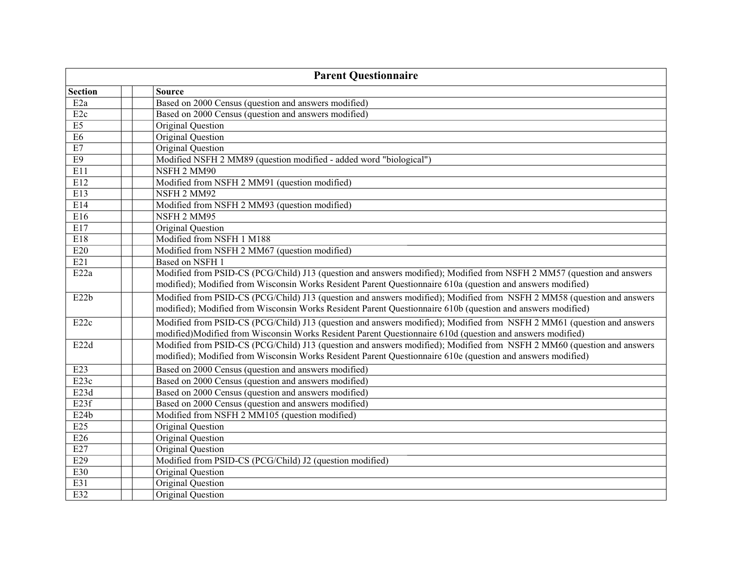| <b>Parent Questionnaire</b> |                                                                                                                                                                                                                                       |  |
|-----------------------------|---------------------------------------------------------------------------------------------------------------------------------------------------------------------------------------------------------------------------------------|--|
| <b>Section</b>              | <b>Source</b>                                                                                                                                                                                                                         |  |
| E <sub>2a</sub>             | Based on 2000 Census (question and answers modified)                                                                                                                                                                                  |  |
| E <sub>2c</sub>             | Based on 2000 Census (question and answers modified)                                                                                                                                                                                  |  |
| $\overline{E5}$             | Original Question                                                                                                                                                                                                                     |  |
| E6                          | Original Question                                                                                                                                                                                                                     |  |
| $\rm E7$                    | Original Question                                                                                                                                                                                                                     |  |
| E9                          | Modified NSFH 2 MM89 (question modified - added word "biological")                                                                                                                                                                    |  |
| E11                         | NSFH 2 MM90                                                                                                                                                                                                                           |  |
| E12                         | Modified from NSFH 2 MM91 (question modified)                                                                                                                                                                                         |  |
| E13                         | NSFH 2 MM92                                                                                                                                                                                                                           |  |
| E14                         | Modified from NSFH 2 MM93 (question modified)                                                                                                                                                                                         |  |
| E16                         | NSFH 2 MM95                                                                                                                                                                                                                           |  |
| E17                         | Original Question                                                                                                                                                                                                                     |  |
| E18                         | Modified from NSFH 1 M188                                                                                                                                                                                                             |  |
| E20                         | Modified from NSFH 2 MM67 (question modified)                                                                                                                                                                                         |  |
| E21                         | Based on NSFH 1                                                                                                                                                                                                                       |  |
| E22a                        | Modified from PSID-CS (PCG/Child) J13 (question and answers modified); Modified from NSFH 2 MM57 (question and answers<br>modified); Modified from Wisconsin Works Resident Parent Questionnaire 610a (question and answers modified) |  |
| E22b                        | Modified from PSID-CS (PCG/Child) J13 (question and answers modified); Modified from NSFH 2 MM58 (question and answers<br>modified); Modified from Wisconsin Works Resident Parent Questionnaire 610b (question and answers modified) |  |
| E22c                        | Modified from PSID-CS (PCG/Child) J13 (question and answers modified); Modified from NSFH 2 MM61 (question and answers<br>modified)Modified from Wisconsin Works Resident Parent Questionnaire 610d (question and answers modified)   |  |
| E22d                        | Modified from PSID-CS (PCG/Child) J13 (question and answers modified); Modified from NSFH 2 MM60 (question and answers<br>modified); Modified from Wisconsin Works Resident Parent Questionnaire 610e (question and answers modified) |  |
| E23                         | Based on 2000 Census (question and answers modified)                                                                                                                                                                                  |  |
| E <sub>23c</sub>            | Based on 2000 Census (question and answers modified)                                                                                                                                                                                  |  |
| E23d                        | Based on 2000 Census (question and answers modified)                                                                                                                                                                                  |  |
| E <sub>23f</sub>            | Based on 2000 Census (question and answers modified)                                                                                                                                                                                  |  |
| E24b                        | Modified from NSFH 2 MM105 (question modified)                                                                                                                                                                                        |  |
| E25                         | Original Question                                                                                                                                                                                                                     |  |
| E26                         | Original Question                                                                                                                                                                                                                     |  |
| E27                         | Original Question                                                                                                                                                                                                                     |  |
| E29                         | Modified from PSID-CS (PCG/Child) J2 (question modified)                                                                                                                                                                              |  |
| E30                         | Original Question                                                                                                                                                                                                                     |  |
| E31                         | <b>Original Question</b>                                                                                                                                                                                                              |  |
| E32                         | Original Question                                                                                                                                                                                                                     |  |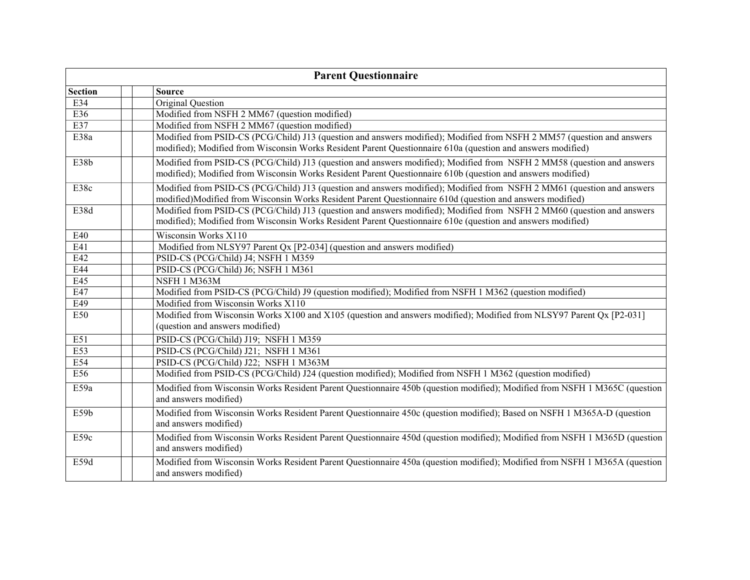| <b>Parent Questionnaire</b> |                                                                                                                                                                                                                                       |  |  |
|-----------------------------|---------------------------------------------------------------------------------------------------------------------------------------------------------------------------------------------------------------------------------------|--|--|
| <b>Section</b>              | <b>Source</b>                                                                                                                                                                                                                         |  |  |
| E34                         | Original Question                                                                                                                                                                                                                     |  |  |
| E36                         | Modified from NSFH 2 MM67 (question modified)                                                                                                                                                                                         |  |  |
| E37                         | Modified from NSFH 2 MM67 (question modified)                                                                                                                                                                                         |  |  |
| E38a                        | Modified from PSID-CS (PCG/Child) J13 (question and answers modified); Modified from NSFH 2 MM57 (question and answers<br>modified); Modified from Wisconsin Works Resident Parent Questionnaire 610a (question and answers modified) |  |  |
| E38b                        | Modified from PSID-CS (PCG/Child) J13 (question and answers modified); Modified from NSFH 2 MM58 (question and answers<br>modified); Modified from Wisconsin Works Resident Parent Questionnaire 610b (question and answers modified) |  |  |
| E38c                        | Modified from PSID-CS (PCG/Child) J13 (question and answers modified); Modified from NSFH 2 MM61 (question and answers<br>modified)Modified from Wisconsin Works Resident Parent Questionnaire 610d (question and answers modified)   |  |  |
| E38d                        | Modified from PSID-CS (PCG/Child) J13 (question and answers modified); Modified from NSFH 2 MM60 (question and answers<br>modified); Modified from Wisconsin Works Resident Parent Questionnaire 610e (question and answers modified) |  |  |
| E40                         | Wisconsin Works X110                                                                                                                                                                                                                  |  |  |
| E41                         | Modified from NLSY97 Parent Qx [P2-034] (question and answers modified)                                                                                                                                                               |  |  |
| E42                         | PSID-CS (PCG/Child) J4; NSFH 1 M359                                                                                                                                                                                                   |  |  |
| E44                         | PSID-CS (PCG/Child) J6; NSFH 1 M361                                                                                                                                                                                                   |  |  |
| E45                         | NSFH 1 M363M                                                                                                                                                                                                                          |  |  |
| E47                         | Modified from PSID-CS (PCG/Child) J9 (question modified); Modified from NSFH 1 M362 (question modified)                                                                                                                               |  |  |
| E49                         | Modified from Wisconsin Works X110                                                                                                                                                                                                    |  |  |
| E50                         | Modified from Wisconsin Works X100 and X105 (question and answers modified); Modified from NLSY97 Parent Qx [P2-031]<br>(question and answers modified)                                                                               |  |  |
| E51                         | PSID-CS (PCG/Child) J19; NSFH 1 M359                                                                                                                                                                                                  |  |  |
| E53                         | PSID-CS (PCG/Child) J21; NSFH 1 M361                                                                                                                                                                                                  |  |  |
| E54                         | PSID-CS (PCG/Child) J22; NSFH 1 M363M                                                                                                                                                                                                 |  |  |
| E56                         | Modified from PSID-CS (PCG/Child) J24 (question modified); Modified from NSFH 1 M362 (question modified)                                                                                                                              |  |  |
| E59a                        | Modified from Wisconsin Works Resident Parent Questionnaire 450b (question modified); Modified from NSFH 1 M365C (question<br>and answers modified)                                                                                   |  |  |
| E59b                        | Modified from Wisconsin Works Resident Parent Questionnaire 450c (question modified); Based on NSFH 1 M365A-D (question<br>and answers modified)                                                                                      |  |  |
| E59c                        | Modified from Wisconsin Works Resident Parent Questionnaire 450d (question modified); Modified from NSFH 1 M365D (question<br>and answers modified)                                                                                   |  |  |
| E59d                        | Modified from Wisconsin Works Resident Parent Questionnaire 450a (question modified); Modified from NSFH 1 M365A (question<br>and answers modified)                                                                                   |  |  |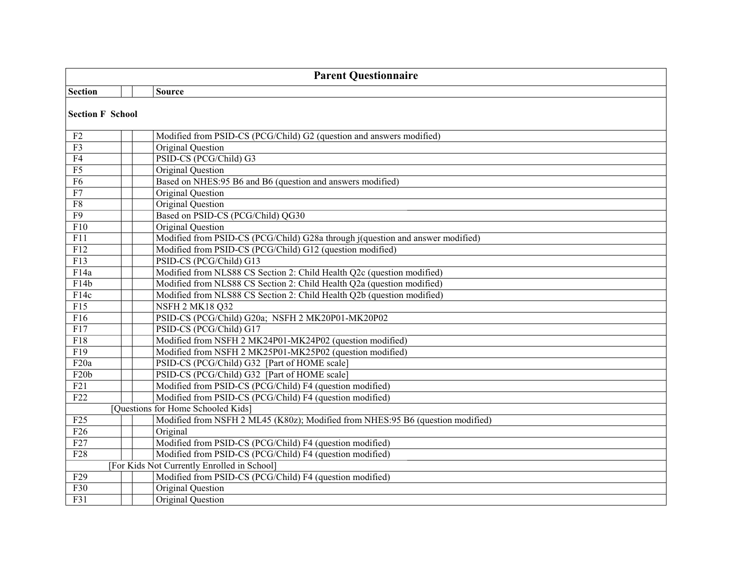| <b>Parent Questionnaire</b> |                                                                                |  |
|-----------------------------|--------------------------------------------------------------------------------|--|
| <b>Section</b>              | <b>Source</b>                                                                  |  |
| <b>Section F School</b>     |                                                                                |  |
| F <sub>2</sub>              | Modified from PSID-CS (PCG/Child) G2 (question and answers modified)           |  |
| F <sub>3</sub>              | Original Question                                                              |  |
| F <sub>4</sub>              | PSID-CS (PCG/Child) G3                                                         |  |
| $\overline{F5}$             | Original Question                                                              |  |
| F6                          | Based on NHES:95 B6 and B6 (question and answers modified)                     |  |
| F7                          | Original Question                                                              |  |
| F8                          | Original Question                                                              |  |
| F9                          | Based on PSID-CS (PCG/Child) QG30                                              |  |
| F10                         | Original Question                                                              |  |
| F11                         | Modified from PSID-CS (PCG/Child) G28a through j(question and answer modified) |  |
| F12                         | Modified from PSID-CS (PCG/Child) G12 (question modified)                      |  |
| F13                         | PSID-CS (PCG/Child) G13                                                        |  |
| F14a                        | Modified from NLS88 CS Section 2: Child Health Q2c (question modified)         |  |
| F14b                        | Modified from NLS88 CS Section 2: Child Health Q2a (question modified)         |  |
| F14c                        | Modified from NLS88 CS Section 2: Child Health Q2b (question modified)         |  |
| $\overline{F15}$            | <b>NSFH 2 MK18 Q32</b>                                                         |  |
| $\overline{F16}$            | PSID-CS (PCG/Child) G20a; NSFH 2 MK20P01-MK20P02                               |  |
| F17                         | PSID-CS (PCG/Child) G17                                                        |  |
| F18                         | Modified from NSFH 2 MK24P01-MK24P02 (question modified)                       |  |
| $\overline{F19}$            | Modified from NSFH 2 MK25P01-MK25P02 (question modified)                       |  |
| F <sub>20</sub> a           | PSID-CS (PCG/Child) G32 [Part of HOME scale]                                   |  |
| F20b                        | PSID-CS (PCG/Child) G32 [Part of HOME scale]                                   |  |
| F21                         | Modified from PSID-CS (PCG/Child) F4 (question modified)                       |  |
| F <sub>22</sub>             | Modified from PSID-CS (PCG/Child) F4 (question modified)                       |  |
|                             | [Questions for Home Schooled Kids]                                             |  |
| F25                         | Modified from NSFH 2 ML45 (K80z); Modified from NHES:95 B6 (question modified) |  |
| $\overline{F26}$            | Original                                                                       |  |
| F27                         | Modified from PSID-CS (PCG/Child) F4 (question modified)                       |  |
| F28                         | Modified from PSID-CS (PCG/Child) F4 (question modified)                       |  |
|                             | [For Kids Not Currently Enrolled in School]                                    |  |
| F29                         | Modified from PSID-CS (PCG/Child) F4 (question modified)                       |  |
| F30                         | Original Question                                                              |  |
| F31                         | Original Question                                                              |  |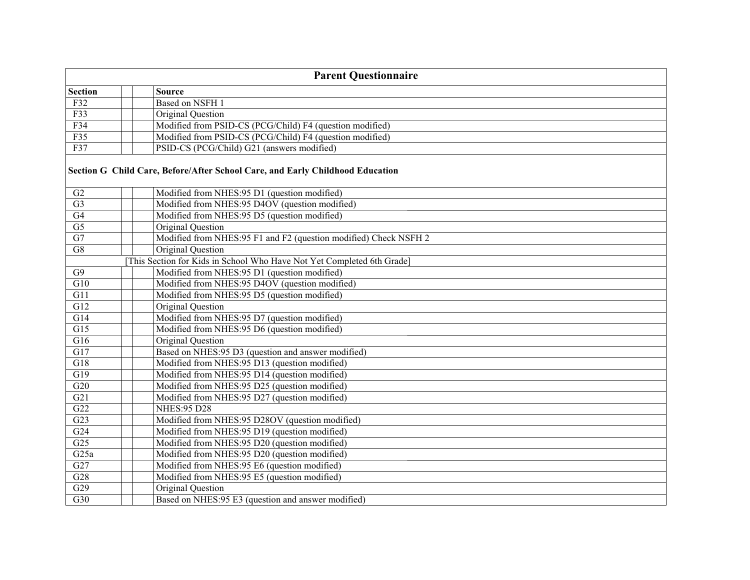| <b>Parent Questionnaire</b> |                                                                               |  |
|-----------------------------|-------------------------------------------------------------------------------|--|
| <b>Section</b>              | <b>Source</b>                                                                 |  |
| F32                         | Based on NSFH 1                                                               |  |
| F33                         | Original Question                                                             |  |
| F34                         | Modified from PSID-CS (PCG/Child) F4 (question modified)                      |  |
| F35                         | Modified from PSID-CS (PCG/Child) F4 (question modified)                      |  |
| F37                         | PSID-CS (PCG/Child) G21 (answers modified)                                    |  |
|                             | Section G Child Care, Before/After School Care, and Early Childhood Education |  |
| G2                          | Modified from NHES:95 D1 (question modified)                                  |  |
| $\overline{G3}$             | Modified from NHES:95 D4OV (question modified)                                |  |
| G4                          | Modified from NHES:95 D5 (question modified)                                  |  |
| $\overline{G5}$             | Original Question                                                             |  |
| $\overline{G7}$             | Modified from NHES:95 F1 and F2 (question modified) Check NSFH 2              |  |
| G8                          | Original Question                                                             |  |
|                             | [This Section for Kids in School Who Have Not Yet Completed 6th Grade]        |  |
| G9                          | Modified from NHES:95 D1 (question modified)                                  |  |
| $\overline{G10}$            | Modified from NHES:95 D4OV (question modified)                                |  |
| G11                         | Modified from NHES:95 D5 (question modified)                                  |  |
| G12                         | Original Question                                                             |  |
| G14                         | Modified from NHES:95 D7 (question modified)                                  |  |
| $\overline{G15}$            | Modified from NHES:95 D6 (question modified)                                  |  |
| G16                         | Original Question                                                             |  |
| $\overline{G17}$            | Based on NHES:95 D3 (question and answer modified)                            |  |
| G18                         | Modified from NHES:95 D13 (question modified)                                 |  |
| $\overline{G19}$            | Modified from NHES:95 D14 (question modified)                                 |  |
| G20                         | Modified from NHES:95 D25 (question modified)                                 |  |
| G21                         | Modified from NHES:95 D27 (question modified)                                 |  |
| G22                         | <b>NHES:95 D28</b>                                                            |  |
| G23                         | Modified from NHES:95 D28OV (question modified)                               |  |
| G24                         | Modified from NHES:95 D19 (question modified)                                 |  |
| $\overline{G25}$            | Modified from NHES:95 D20 (question modified)                                 |  |
| G25a                        | Modified from NHES:95 D20 (question modified)                                 |  |
| G27                         | Modified from NHES:95 E6 (question modified)                                  |  |
| $\overline{G28}$            | Modified from NHES:95 E5 (question modified)                                  |  |
| $\overline{G29}$            | Original Question                                                             |  |
| $\overline{G30}$            | Based on NHES:95 E3 (question and answer modified)                            |  |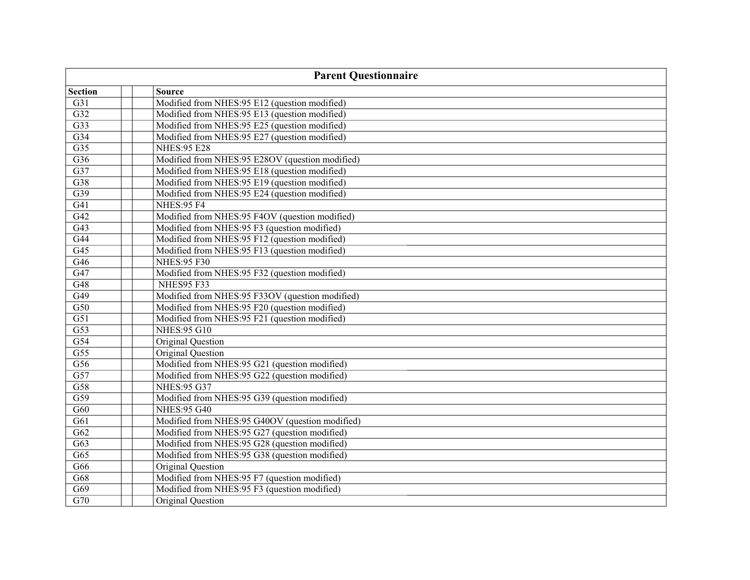| <b>Parent Questionnaire</b> |                                                 |  |
|-----------------------------|-------------------------------------------------|--|
| <b>Section</b>              | <b>Source</b>                                   |  |
| G31                         | Modified from NHES:95 E12 (question modified)   |  |
| $\overline{G32}$            | Modified from NHES:95 E13 (question modified)   |  |
| $\overline{G33}$            | Modified from NHES:95 E25 (question modified)   |  |
| $\overline{G34}$            | Modified from NHES:95 E27 (question modified)   |  |
| $\overline{G35}$            | <b>NHES:95 E28</b>                              |  |
| $\overline{G36}$            | Modified from NHES:95 E28OV (question modified) |  |
| $\overline{G37}$            | Modified from NHES:95 E18 (question modified)   |  |
| $\overline{G38}$            | Modified from NHES:95 E19 (question modified)   |  |
| G39                         | Modified from NHES:95 E24 (question modified)   |  |
| $\overline{G41}$            | <b>NHES:95 F4</b>                               |  |
| $\overline{G42}$            | Modified from NHES:95 F4OV (question modified)  |  |
| $\overline{G43}$            | Modified from NHES:95 F3 (question modified)    |  |
| $\overline{G44}$            | Modified from NHES:95 F12 (question modified)   |  |
| $\overline{G45}$            | Modified from NHES:95 F13 (question modified)   |  |
| $\overline{G46}$            | <b>NHES:95 F30</b>                              |  |
| $\overline{G47}$            | Modified from NHES:95 F32 (question modified)   |  |
| $\overline{G48}$            | <b>NHES95 F33</b>                               |  |
| $\overline{G49}$            | Modified from NHES:95 F33OV (question modified) |  |
| $\overline{G50}$            | Modified from NHES:95 F20 (question modified)   |  |
| $\overline{G51}$            | Modified from NHES:95 F21 (question modified)   |  |
| $\overline{G53}$            | <b>NHES:95 G10</b>                              |  |
| $\overline{G54}$            | <b>Original Question</b>                        |  |
| $\overline{G55}$            | Original Question                               |  |
| G56                         | Modified from NHES:95 G21 (question modified)   |  |
| G57                         | Modified from NHES:95 G22 (question modified)   |  |
| G58                         | <b>NHES:95 G37</b>                              |  |
| G59                         | Modified from NHES:95 G39 (question modified)   |  |
| G60                         | <b>NHES:95 G40</b>                              |  |
| G61                         | Modified from NHES:95 G40OV (question modified) |  |
| G62                         | Modified from NHES:95 G27 (question modified)   |  |
| G63                         | Modified from NHES:95 G28 (question modified)   |  |
| G65                         | Modified from NHES:95 G38 (question modified)   |  |
| G66                         | Original Question                               |  |
| G68                         | Modified from NHES:95 F7 (question modified)    |  |
| G69                         | Modified from NHES:95 F3 (question modified)    |  |
| $\overline{G70}$            | Original Ouestion                               |  |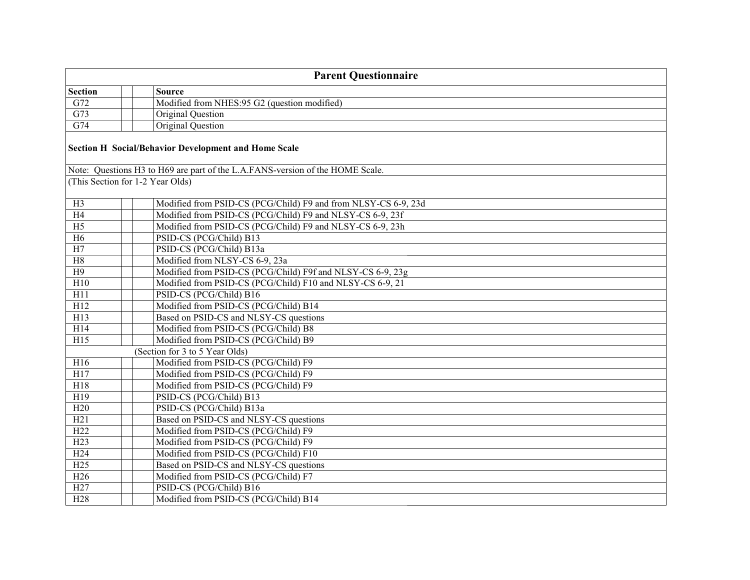| <b>Parent Questionnaire</b>      |  |                                                                               |
|----------------------------------|--|-------------------------------------------------------------------------------|
| <b>Section</b>                   |  | <b>Source</b>                                                                 |
| G72                              |  | Modified from NHES:95 G2 (question modified)                                  |
| G73                              |  | Original Question                                                             |
| $\overline{G74}$                 |  | Original Question                                                             |
|                                  |  | <b>Section H Social/Behavior Development and Home Scale</b>                   |
|                                  |  | Note: Questions H3 to H69 are part of the L.A.FANS-version of the HOME Scale. |
| (This Section for 1-2 Year Olds) |  |                                                                               |
| H <sub>3</sub>                   |  | Modified from PSID-CS (PCG/Child) F9 and from NLSY-CS 6-9, 23d                |
| H4                               |  | Modified from PSID-CS (PCG/Child) F9 and NLSY-CS 6-9, 23f                     |
| $\overline{H5}$                  |  | Modified from PSID-CS (PCG/Child) F9 and NLSY-CS 6-9, 23h                     |
| H6                               |  | PSID-CS (PCG/Child) B13                                                       |
| $\overline{H7}$                  |  | PSID-CS (PCG/Child) B13a                                                      |
| H8                               |  | Modified from NLSY-CS 6-9, 23a                                                |
| H9                               |  | Modified from PSID-CS (PCG/Child) F9f and NLSY-CS 6-9, 23g                    |
| H10                              |  | Modified from PSID-CS (PCG/Child) F10 and NLSY-CS 6-9, 21                     |
| H11                              |  | PSID-CS (PCG/Child) B16                                                       |
| $\overline{H12}$                 |  | Modified from PSID-CS (PCG/Child) B14                                         |
| $\overline{H13}$                 |  | Based on PSID-CS and NLSY-CS questions                                        |
| H14                              |  | Modified from PSID-CS (PCG/Child) B8                                          |
| H15                              |  | Modified from PSID-CS (PCG/Child) B9                                          |
| (Section for 3 to 5 Year Olds)   |  |                                                                               |
| H <sub>16</sub>                  |  | Modified from PSID-CS (PCG/Child) F9                                          |
| H17                              |  | Modified from PSID-CS (PCG/Child) F9                                          |
| H <sub>18</sub>                  |  | Modified from PSID-CS (PCG/Child) F9                                          |
| H19                              |  | PSID-CS (PCG/Child) B13                                                       |
| H20                              |  | PSID-CS (PCG/Child) B13a                                                      |
| H21                              |  | Based on PSID-CS and NLSY-CS questions                                        |
| H22                              |  | Modified from PSID-CS (PCG/Child) F9                                          |
| H <sub>23</sub>                  |  | Modified from PSID-CS (PCG/Child) F9                                          |
| H24                              |  | Modified from PSID-CS (PCG/Child) F10                                         |
| H25                              |  | Based on PSID-CS and NLSY-CS questions                                        |
| H <sub>26</sub>                  |  | Modified from PSID-CS (PCG/Child) F7                                          |
| H27                              |  | PSID-CS (PCG/Child) B16                                                       |
| H <sub>28</sub>                  |  | Modified from PSID-CS (PCG/Child) B14                                         |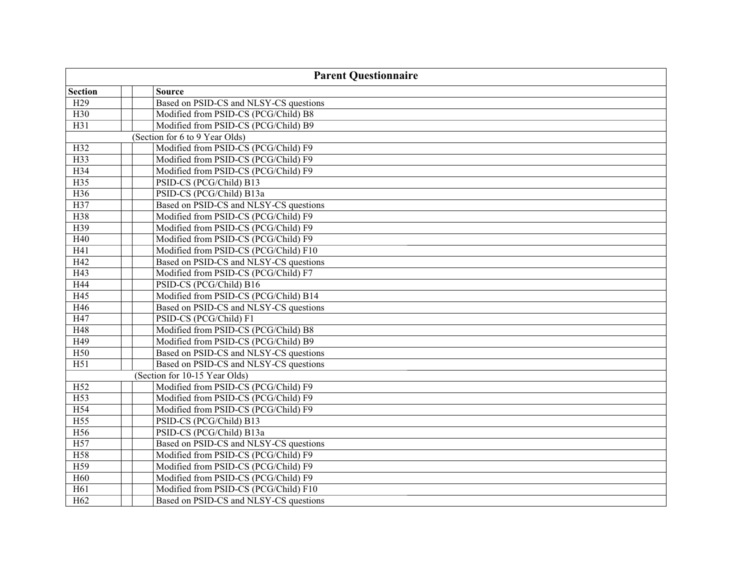| <b>Parent Questionnaire</b> |                                        |  |
|-----------------------------|----------------------------------------|--|
| <b>Section</b>              | <b>Source</b>                          |  |
| H <sub>29</sub>             | Based on PSID-CS and NLSY-CS questions |  |
| H30                         | Modified from PSID-CS (PCG/Child) B8   |  |
| H31                         | Modified from PSID-CS (PCG/Child) B9   |  |
|                             | (Section for 6 to 9 Year Olds)         |  |
| H32                         | Modified from PSID-CS (PCG/Child) F9   |  |
| H33                         | Modified from PSID-CS (PCG/Child) F9   |  |
| H34                         | Modified from PSID-CS (PCG/Child) F9   |  |
| H35                         | PSID-CS (PCG/Child) B13                |  |
| H36                         | PSID-CS (PCG/Child) B13a               |  |
| H37                         | Based on PSID-CS and NLSY-CS questions |  |
| H38                         | Modified from PSID-CS (PCG/Child) F9   |  |
| H39                         | Modified from PSID-CS (PCG/Child) F9   |  |
| H40                         | Modified from PSID-CS (PCG/Child) F9   |  |
| H41                         | Modified from PSID-CS (PCG/Child) F10  |  |
| H42                         | Based on PSID-CS and NLSY-CS questions |  |
| H43                         | Modified from PSID-CS (PCG/Child) F7   |  |
| H44                         | PSID-CS (PCG/Child) B16                |  |
| H45                         | Modified from PSID-CS (PCG/Child) B14  |  |
| H46                         | Based on PSID-CS and NLSY-CS questions |  |
| H47                         | PSID-CS (PCG/Child) F1                 |  |
| H48                         | Modified from PSID-CS (PCG/Child) B8   |  |
| H49                         | Modified from PSID-CS (PCG/Child) B9   |  |
| H50                         | Based on PSID-CS and NLSY-CS questions |  |
| H51                         | Based on PSID-CS and NLSY-CS questions |  |
|                             | (Section for 10-15 Year Olds)          |  |
| H <sub>52</sub>             | Modified from PSID-CS (PCG/Child) F9   |  |
| H <sub>53</sub>             | Modified from PSID-CS (PCG/Child) F9   |  |
| H54                         | Modified from PSID-CS (PCG/Child) F9   |  |
| H <sub>55</sub>             | PSID-CS (PCG/Child) B13                |  |
| H56                         | PSID-CS (PCG/Child) B13a               |  |
| H <sub>57</sub>             | Based on PSID-CS and NLSY-CS questions |  |
| H58                         | Modified from PSID-CS (PCG/Child) F9   |  |
| H59                         | Modified from PSID-CS (PCG/Child) F9   |  |
| H <sub>60</sub>             | Modified from PSID-CS (PCG/Child) F9   |  |
| H61                         | Modified from PSID-CS (PCG/Child) F10  |  |
| H <sub>62</sub>             | Based on PSID-CS and NLSY-CS questions |  |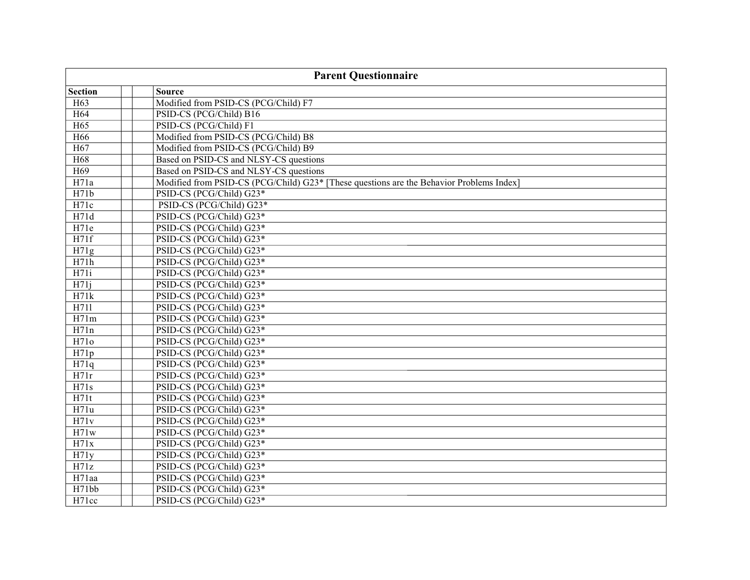| <b>Parent Questionnaire</b> |                                                                                          |  |
|-----------------------------|------------------------------------------------------------------------------------------|--|
| <b>Section</b>              | <b>Source</b>                                                                            |  |
| H <sub>63</sub>             | Modified from PSID-CS (PCG/Child) F7                                                     |  |
| H <sub>64</sub>             | PSID-CS (PCG/Child) B16                                                                  |  |
| $H\overline{65}$            | PSID-CS (PCG/Child) F1                                                                   |  |
| H <sub>66</sub>             | Modified from PSID-CS (PCG/Child) B8                                                     |  |
| H67                         | Modified from PSID-CS (PCG/Child) B9                                                     |  |
| H68                         | Based on PSID-CS and NLSY-CS questions                                                   |  |
| H <sub>69</sub>             | Based on PSID-CS and NLSY-CS questions                                                   |  |
| H71a                        | Modified from PSID-CS (PCG/Child) G23* [These questions are the Behavior Problems Index] |  |
| H71b                        | PSID-CS (PCG/Child) G23*                                                                 |  |
| H71c                        | PSID-CS (PCG/Child) G23*                                                                 |  |
| H71d                        | PSID-CS (PCG/Child) G23*                                                                 |  |
| H71e                        | PSID-CS (PCG/Child) G23*                                                                 |  |
| H71f                        | PSID-CS (PCG/Child) G23*                                                                 |  |
| H71g                        | PSID-CS (PCG/Child) G23*                                                                 |  |
| H71h                        | PSID-CS (PCG/Child) G23*                                                                 |  |
| H71i                        | PSID-CS (PCG/Child) G23*                                                                 |  |
| H71j                        | PSID-CS (PCG/Child) G23*                                                                 |  |
| H71k                        | PSID-CS (PCG/Child) G23*                                                                 |  |
| H711                        | PSID-CS (PCG/Child) G23*                                                                 |  |
| H71m                        | PSID-CS (PCG/Child) G23*                                                                 |  |
| H71n                        | PSID-CS (PCG/Child) G23*                                                                 |  |
| H71o                        | PSID-CS (PCG/Child) G23*                                                                 |  |
| H71p                        | PSID-CS (PCG/Child) G23*                                                                 |  |
| H71q                        | PSID-CS (PCG/Child) G23*                                                                 |  |
| H71r                        | PSID-CS (PCG/Child) G23*                                                                 |  |
| H71s                        | PSID-CS (PCG/Child) G23*                                                                 |  |
| H71t                        | PSID-CS (PCG/Child) G23*                                                                 |  |
| H71u                        | PSID-CS (PCG/Child) G23*                                                                 |  |
| H71v                        | PSID-CS (PCG/Child) G23*                                                                 |  |
| H71w                        | PSID-CS (PCG/Child) G23*                                                                 |  |
| H71x                        | PSID-CS (PCG/Child) G23*                                                                 |  |
| H71y                        | PSID-CS (PCG/Child) G23*                                                                 |  |
| H71z                        | PSID-CS (PCG/Child) G23*                                                                 |  |
| H71aa                       | PSID-CS (PCG/Child) G23*                                                                 |  |
| H71bb                       | PSID-CS (PCG/Child) G23*                                                                 |  |
| H71cc                       | PSID-CS (PCG/Child) G23*                                                                 |  |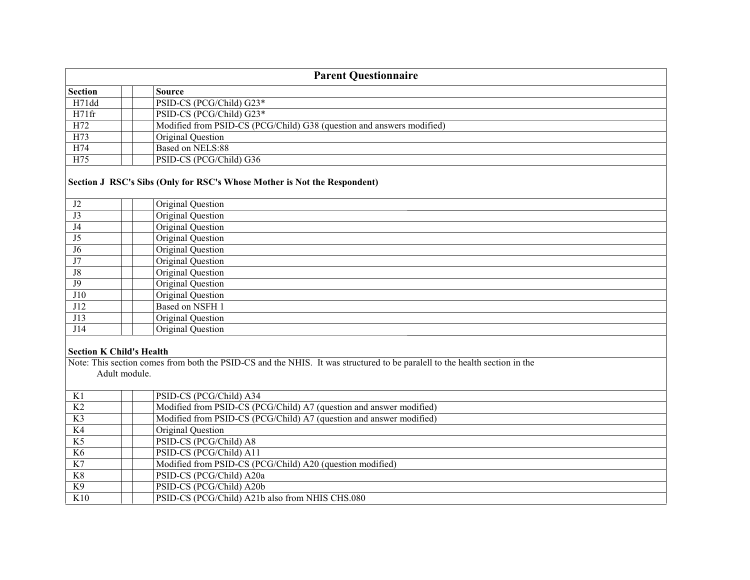| <b>Parent Questionnaire</b> |                                                                       |  |
|-----------------------------|-----------------------------------------------------------------------|--|
| <b>Section</b>              | <b>Source</b>                                                         |  |
| H71dd                       | PSID-CS (PCG/Child) G23*                                              |  |
| H71fr                       | PSID-CS (PCG/Child) G23*                                              |  |
| H72                         | Modified from PSID-CS (PCG/Child) G38 (question and answers modified) |  |
| H73                         | Original Question                                                     |  |
| H74                         | Based on NELS:88                                                      |  |
| H75                         | PSID-CS (PCG/Child) G36                                               |  |

## **Section J RSC's Sibs (Only for RSC's Whose Mother is Not the Respondent)**

| J2             | Original Question      |
|----------------|------------------------|
| J3             | Original Question      |
| J4             | Original Question      |
| J5             | Original Question      |
| J <sub>6</sub> | Original Question      |
| J7             | Original Question      |
| ${\rm J}8$     | Original Question      |
| <b>J9</b>      | Original Question      |
| <b>J10</b>     | Original Question      |
| J12            | <b>Based on NSFH 1</b> |
| J13            | Original Question      |
| J14            | Original Question      |
|                |                        |

## **Section K Child's Health**

Note: This section comes from both the PSID-CS and the NHIS. It was structured to be paralell to the health section in the Adult module.

| K1             | PSID-CS (PCG/Child) A34                                             |
|----------------|---------------------------------------------------------------------|
| K2             | Modified from PSID-CS (PCG/Child) A7 (question and answer modified) |
| K <sub>3</sub> | Modified from PSID-CS (PCG/Child) A7 (question and answer modified) |
| K <sub>4</sub> | Original Question                                                   |
| K <sub>5</sub> | PSID-CS (PCG/Child) A8                                              |
| K6             | PSID-CS (PCG/Child) A11                                             |
| K7             | Modified from PSID-CS (PCG/Child) A20 (question modified)           |
| K8             | PSID-CS (PCG/Child) A20a                                            |
| K9             | PSID-CS (PCG/Child) A20b                                            |
| K10            | PSID-CS (PCG/Child) A21b also from NHIS CHS.080                     |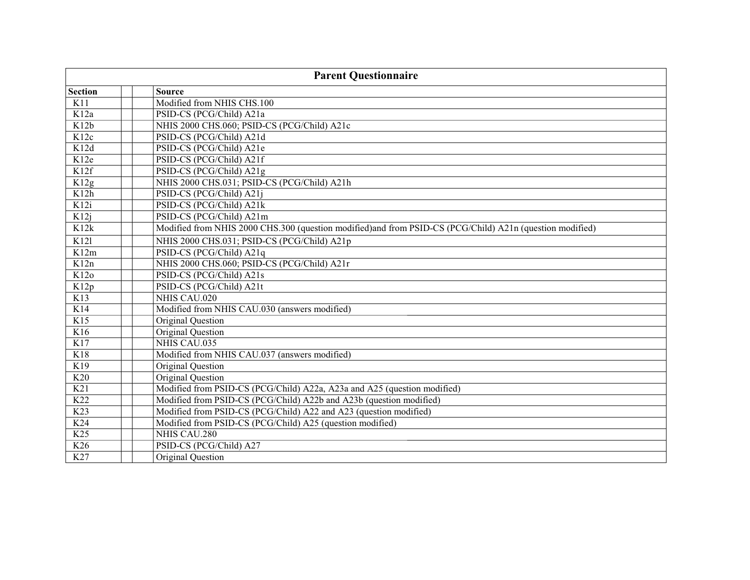| <b>Parent Questionnaire</b> |                                                                                                          |  |
|-----------------------------|----------------------------------------------------------------------------------------------------------|--|
| <b>Section</b>              | <b>Source</b>                                                                                            |  |
| K11                         | Modified from NHIS CHS.100                                                                               |  |
| K12a                        | PSID-CS (PCG/Child) A21a                                                                                 |  |
| K12b                        | NHIS 2000 CHS.060; PSID-CS (PCG/Child) A21c                                                              |  |
| K12c                        | PSID-CS (PCG/Child) A21d                                                                                 |  |
| K12d                        | PSID-CS (PCG/Child) A21e                                                                                 |  |
| K12e                        | PSID-CS (PCG/Child) A21f                                                                                 |  |
| K12f                        | PSID-CS (PCG/Child) A21g                                                                                 |  |
| K12g                        | NHIS 2000 CHS.031; PSID-CS (PCG/Child) A21h                                                              |  |
| K12h                        | PSID-CS (PCG/Child) A21j                                                                                 |  |
| K <sub>12i</sub>            | PSID-CS (PCG/Child) A21k                                                                                 |  |
| K12j                        | PSID-CS (PCG/Child) A21m                                                                                 |  |
| K12k                        | Modified from NHIS 2000 CHS.300 (question modified)and from PSID-CS (PCG/Child) A21n (question modified) |  |
| K121                        | NHIS 2000 CHS.031; PSID-CS (PCG/Child) A21p                                                              |  |
| K12m                        | PSID-CS (PCG/Child) A21q                                                                                 |  |
| K12n                        | NHIS 2000 CHS.060; PSID-CS (PCG/Child) A21r                                                              |  |
| K12o                        | PSID-CS (PCG/Child) A21s                                                                                 |  |
| K12p                        | PSID-CS (PCG/Child) A21t                                                                                 |  |
| K13                         | NHIS CAU.020                                                                                             |  |
| K14                         | Modified from NHIS CAU.030 (answers modified)                                                            |  |
| K15                         | Original Question                                                                                        |  |
| K16                         | Original Question                                                                                        |  |
| K17                         | NHIS CAU.035                                                                                             |  |
| K18                         | Modified from NHIS CAU.037 (answers modified)                                                            |  |
| K19                         | Original Question                                                                                        |  |
| K <sub>20</sub>             | Original Question                                                                                        |  |
| K21                         | Modified from PSID-CS (PCG/Child) A22a, A23a and A25 (question modified)                                 |  |
| K22                         | Modified from PSID-CS (PCG/Child) A22b and A23b (question modified)                                      |  |
| K23                         | Modified from PSID-CS (PCG/Child) A22 and A23 (question modified)                                        |  |
| K24                         | Modified from PSID-CS (PCG/Child) A25 (question modified)                                                |  |
| K <sub>25</sub>             | NHIS CAU.280                                                                                             |  |
| K26                         | PSID-CS (PCG/Child) A27                                                                                  |  |
| K27                         | Original Question                                                                                        |  |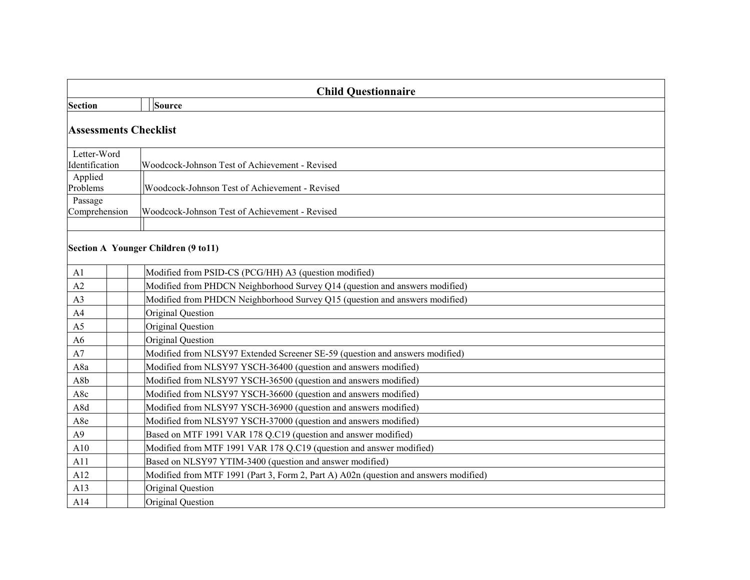| <b>Child Questionnaire</b>    |                                     |                                                                                      |  |
|-------------------------------|-------------------------------------|--------------------------------------------------------------------------------------|--|
| Section                       |                                     | Source                                                                               |  |
|                               | <b>Assessments Checklist</b>        |                                                                                      |  |
| Letter-Word<br>Identification |                                     | Woodcock-Johnson Test of Achievement - Revised                                       |  |
| Applied<br>Problems           |                                     | Woodcock-Johnson Test of Achievement - Revised                                       |  |
| Passage<br>Comprehension      |                                     | Woodcock-Johnson Test of Achievement - Revised                                       |  |
|                               | Section A Younger Children (9 to11) |                                                                                      |  |
| A1                            |                                     | Modified from PSID-CS (PCG/HH) A3 (question modified)                                |  |
| A2                            |                                     | Modified from PHDCN Neighborhood Survey Q14 (question and answers modified)          |  |
| A3                            |                                     | Modified from PHDCN Neighborhood Survey Q15 (question and answers modified)          |  |
| A <sub>4</sub>                |                                     | Original Question                                                                    |  |
| A <sub>5</sub>                |                                     | Original Question                                                                    |  |
| A <sub>6</sub>                |                                     | Original Question                                                                    |  |
| A7                            |                                     | Modified from NLSY97 Extended Screener SE-59 (question and answers modified)         |  |
| A8a                           |                                     | Modified from NLSY97 YSCH-36400 (question and answers modified)                      |  |
| A8b                           |                                     | Modified from NLSY97 YSCH-36500 (question and answers modified)                      |  |
| A8c                           |                                     | Modified from NLSY97 YSCH-36600 (question and answers modified)                      |  |
| A8d                           |                                     | Modified from NLSY97 YSCH-36900 (question and answers modified)                      |  |
| A8e                           |                                     | Modified from NLSY97 YSCH-37000 (question and answers modified)                      |  |
| A9                            |                                     | Based on MTF 1991 VAR 178 Q.C19 (question and answer modified)                       |  |
| A10                           |                                     | Modified from MTF 1991 VAR 178 Q.C19 (question and answer modified)                  |  |
| A11                           |                                     | Based on NLSY97 YTIM-3400 (question and answer modified)                             |  |
| A12                           |                                     | Modified from MTF 1991 (Part 3, Form 2, Part A) A02n (question and answers modified) |  |
| A13                           |                                     | Original Question                                                                    |  |
| A14                           |                                     | Original Question                                                                    |  |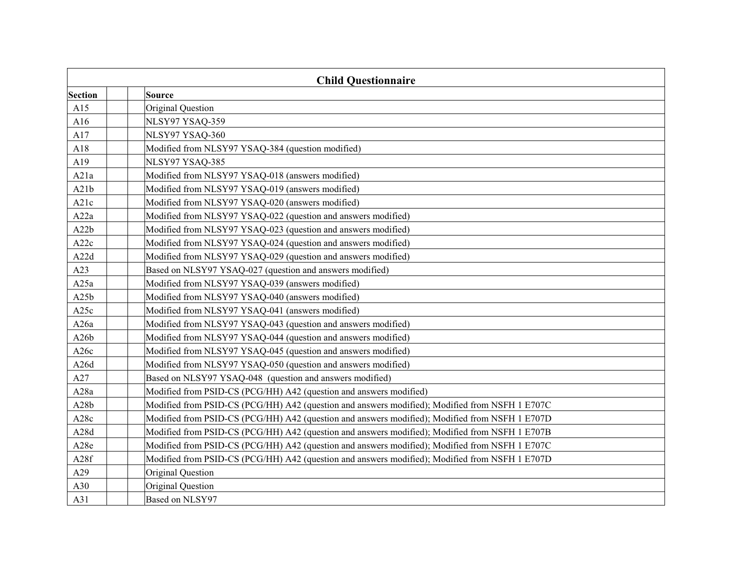|                  | <b>Child Questionnaire</b>                                                                     |  |  |
|------------------|------------------------------------------------------------------------------------------------|--|--|
| Section          | <b>Source</b>                                                                                  |  |  |
| A15              | Original Question                                                                              |  |  |
| A16              | NLSY97 YSAQ-359                                                                                |  |  |
| A17              | NLSY97 YSAQ-360                                                                                |  |  |
| A18              | Modified from NLSY97 YSAQ-384 (question modified)                                              |  |  |
| A19              | NLSY97 YSAQ-385                                                                                |  |  |
| A21a             | Modified from NLSY97 YSAQ-018 (answers modified)                                               |  |  |
| A21b             | Modified from NLSY97 YSAQ-019 (answers modified)                                               |  |  |
| A21c             | Modified from NLSY97 YSAQ-020 (answers modified)                                               |  |  |
| A22a             | Modified from NLSY97 YSAQ-022 (question and answers modified)                                  |  |  |
| A22b             | Modified from NLSY97 YSAQ-023 (question and answers modified)                                  |  |  |
| A22c             | Modified from NLSY97 YSAQ-024 (question and answers modified)                                  |  |  |
| A22d             | Modified from NLSY97 YSAQ-029 (question and answers modified)                                  |  |  |
| A23              | Based on NLSY97 YSAQ-027 (question and answers modified)                                       |  |  |
| A25a             | Modified from NLSY97 YSAQ-039 (answers modified)                                               |  |  |
| A25b             | Modified from NLSY97 YSAQ-040 (answers modified)                                               |  |  |
| A <sub>25c</sub> | Modified from NLSY97 YSAQ-041 (answers modified)                                               |  |  |
| A26a             | Modified from NLSY97 YSAQ-043 (question and answers modified)                                  |  |  |
| A26b             | Modified from NLSY97 YSAQ-044 (question and answers modified)                                  |  |  |
| A26c             | Modified from NLSY97 YSAQ-045 (question and answers modified)                                  |  |  |
| A26d             | Modified from NLSY97 YSAQ-050 (question and answers modified)                                  |  |  |
| A27              | Based on NLSY97 YSAQ-048 (question and answers modified)                                       |  |  |
| A28a             | Modified from PSID-CS (PCG/HH) A42 (question and answers modified)                             |  |  |
| A28b             | Modified from PSID-CS (PCG/HH) A42 (question and answers modified); Modified from NSFH 1 E707C |  |  |
| A28c             | Modified from PSID-CS (PCG/HH) A42 (question and answers modified); Modified from NSFH 1 E707D |  |  |
| A28d             | Modified from PSID-CS (PCG/HH) A42 (question and answers modified); Modified from NSFH 1 E707B |  |  |
| A28e             | Modified from PSID-CS (PCG/HH) A42 (question and answers modified); Modified from NSFH 1 E707C |  |  |
| A28f             | Modified from PSID-CS (PCG/HH) A42 (question and answers modified); Modified from NSFH 1 E707D |  |  |
| A29              | Original Question                                                                              |  |  |
| A30              | Original Question                                                                              |  |  |
| A31              | Based on NLSY97                                                                                |  |  |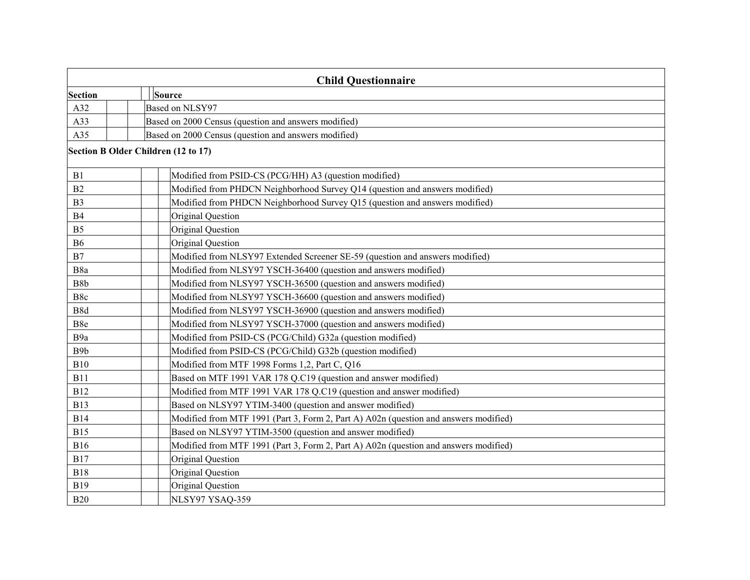| <b>Child Questionnaire</b>          |  |                                                                                      |  |  |
|-------------------------------------|--|--------------------------------------------------------------------------------------|--|--|
| Section                             |  | Source                                                                               |  |  |
| A32                                 |  | Based on NLSY97                                                                      |  |  |
| A33                                 |  | Based on 2000 Census (question and answers modified)                                 |  |  |
| A35                                 |  | Based on 2000 Census (question and answers modified)                                 |  |  |
| Section B Older Children (12 to 17) |  |                                                                                      |  |  |
| B1                                  |  | Modified from PSID-CS (PCG/HH) A3 (question modified)                                |  |  |
| B2                                  |  | Modified from PHDCN Neighborhood Survey Q14 (question and answers modified)          |  |  |
| B <sub>3</sub>                      |  | Modified from PHDCN Neighborhood Survey Q15 (question and answers modified)          |  |  |
| B4                                  |  | Original Question                                                                    |  |  |
| B <sub>5</sub>                      |  | Original Question                                                                    |  |  |
| <b>B6</b>                           |  | Original Question                                                                    |  |  |
| $\mathbf{B}7$                       |  | Modified from NLSY97 Extended Screener SE-59 (question and answers modified)         |  |  |
| B8a                                 |  | Modified from NLSY97 YSCH-36400 (question and answers modified)                      |  |  |
| ${\bf B8b}$                         |  | Modified from NLSY97 YSCH-36500 (question and answers modified)                      |  |  |
| B8c                                 |  | Modified from NLSY97 YSCH-36600 (question and answers modified)                      |  |  |
| B8d                                 |  | Modified from NLSY97 YSCH-36900 (question and answers modified)                      |  |  |
| B8e                                 |  | Modified from NLSY97 YSCH-37000 (question and answers modified)                      |  |  |
| B <sub>9a</sub>                     |  | Modified from PSID-CS (PCG/Child) G32a (question modified)                           |  |  |
| B <sub>9</sub> b                    |  | Modified from PSID-CS (PCG/Child) G32b (question modified)                           |  |  |
| <b>B10</b>                          |  | Modified from MTF 1998 Forms 1,2, Part C, Q16                                        |  |  |
| <b>B11</b>                          |  | Based on MTF 1991 VAR 178 Q.C19 (question and answer modified)                       |  |  |
| <b>B12</b>                          |  | Modified from MTF 1991 VAR 178 Q.C19 (question and answer modified)                  |  |  |
| <b>B13</b>                          |  | Based on NLSY97 YTIM-3400 (question and answer modified)                             |  |  |
| <b>B14</b>                          |  | Modified from MTF 1991 (Part 3, Form 2, Part A) A02n (question and answers modified) |  |  |
| <b>B15</b>                          |  | Based on NLSY97 YTIM-3500 (question and answer modified)                             |  |  |
| <b>B16</b>                          |  | Modified from MTF 1991 (Part 3, Form 2, Part A) A02n (question and answers modified) |  |  |
| <b>B17</b>                          |  | Original Question                                                                    |  |  |
| <b>B18</b>                          |  | Original Question                                                                    |  |  |
| <b>B19</b>                          |  | Original Question                                                                    |  |  |
| <b>B20</b>                          |  | NLSY97 YSAQ-359                                                                      |  |  |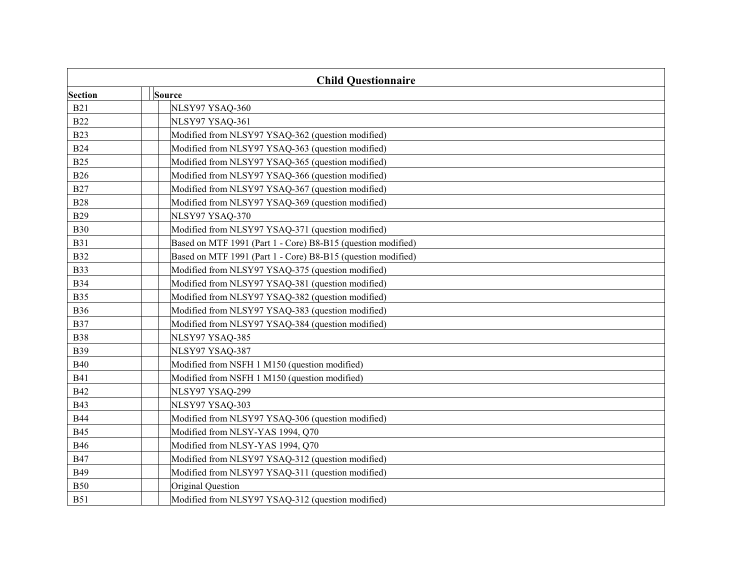| <b>Child Questionnaire</b> |                                                              |  |
|----------------------------|--------------------------------------------------------------|--|
| Section                    | Source                                                       |  |
| <b>B21</b>                 | NLSY97 YSAQ-360                                              |  |
| <b>B22</b>                 | NLSY97 YSAQ-361                                              |  |
| <b>B23</b>                 | Modified from NLSY97 YSAQ-362 (question modified)            |  |
| <b>B24</b>                 | Modified from NLSY97 YSAQ-363 (question modified)            |  |
| <b>B25</b>                 | Modified from NLSY97 YSAQ-365 (question modified)            |  |
| <b>B26</b>                 | Modified from NLSY97 YSAQ-366 (question modified)            |  |
| <b>B27</b>                 | Modified from NLSY97 YSAQ-367 (question modified)            |  |
| <b>B28</b>                 | Modified from NLSY97 YSAQ-369 (question modified)            |  |
| <b>B29</b>                 | NLSY97 YSAQ-370                                              |  |
| <b>B30</b>                 | Modified from NLSY97 YSAQ-371 (question modified)            |  |
| <b>B31</b>                 | Based on MTF 1991 (Part 1 - Core) B8-B15 (question modified) |  |
| <b>B32</b>                 | Based on MTF 1991 (Part 1 - Core) B8-B15 (question modified) |  |
| <b>B33</b>                 | Modified from NLSY97 YSAQ-375 (question modified)            |  |
| <b>B34</b>                 | Modified from NLSY97 YSAQ-381 (question modified)            |  |
| <b>B35</b>                 | Modified from NLSY97 YSAQ-382 (question modified)            |  |
| <b>B36</b>                 | Modified from NLSY97 YSAQ-383 (question modified)            |  |
| <b>B37</b>                 | Modified from NLSY97 YSAQ-384 (question modified)            |  |
| <b>B38</b>                 | NLSY97 YSAQ-385                                              |  |
| <b>B39</b>                 | NLSY97 YSAQ-387                                              |  |
| <b>B40</b>                 | Modified from NSFH 1 M150 (question modified)                |  |
| <b>B41</b>                 | Modified from NSFH 1 M150 (question modified)                |  |
| <b>B42</b>                 | NLSY97 YSAQ-299                                              |  |
| <b>B43</b>                 | NLSY97 YSAQ-303                                              |  |
| <b>B44</b>                 | Modified from NLSY97 YSAQ-306 (question modified)            |  |
| <b>B45</b>                 | Modified from NLSY-YAS 1994, Q70                             |  |
| <b>B46</b>                 | Modified from NLSY-YAS 1994, Q70                             |  |
| <b>B47</b>                 | Modified from NLSY97 YSAQ-312 (question modified)            |  |
| <b>B49</b>                 | Modified from NLSY97 YSAQ-311 (question modified)            |  |
| <b>B50</b>                 | Original Question                                            |  |
| <b>B51</b>                 | Modified from NLSY97 YSAQ-312 (question modified)            |  |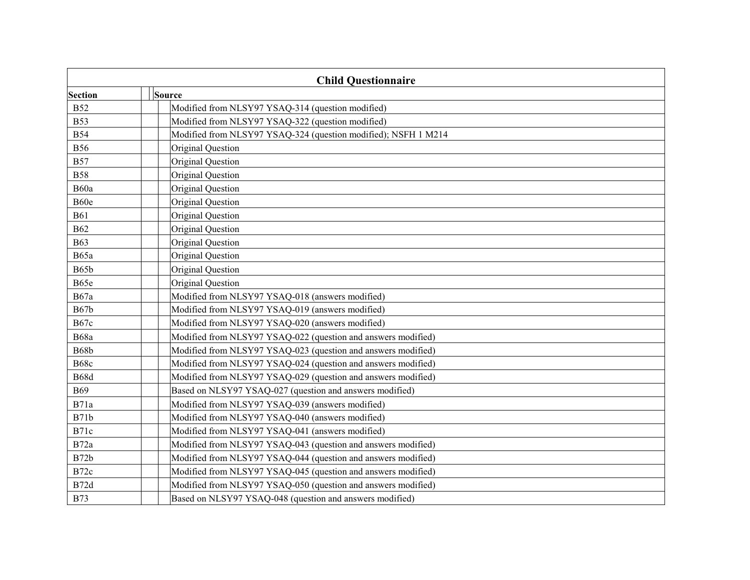|             | <b>Child Questionnaire</b>                                     |  |  |
|-------------|----------------------------------------------------------------|--|--|
| Section     | Source                                                         |  |  |
| <b>B52</b>  | Modified from NLSY97 YSAQ-314 (question modified)              |  |  |
| <b>B53</b>  | Modified from NLSY97 YSAQ-322 (question modified)              |  |  |
| <b>B54</b>  | Modified from NLSY97 YSAQ-324 (question modified); NSFH 1 M214 |  |  |
| <b>B56</b>  | Original Question                                              |  |  |
| <b>B57</b>  | Original Question                                              |  |  |
| <b>B58</b>  | Original Question                                              |  |  |
| B60a        | Original Question                                              |  |  |
| B60e        | Original Question                                              |  |  |
| <b>B61</b>  | Original Question                                              |  |  |
| <b>B62</b>  | Original Question                                              |  |  |
| <b>B63</b>  | Original Question                                              |  |  |
| <b>B65a</b> | Original Question                                              |  |  |
| <b>B65b</b> | Original Question                                              |  |  |
| B65e        | Original Question                                              |  |  |
| <b>B67a</b> | Modified from NLSY97 YSAQ-018 (answers modified)               |  |  |
| <b>B67b</b> | Modified from NLSY97 YSAQ-019 (answers modified)               |  |  |
| <b>B67c</b> | Modified from NLSY97 YSAQ-020 (answers modified)               |  |  |
| B68a        | Modified from NLSY97 YSAQ-022 (question and answers modified)  |  |  |
| <b>B68b</b> | Modified from NLSY97 YSAQ-023 (question and answers modified)  |  |  |
| <b>B68c</b> | Modified from NLSY97 YSAQ-024 (question and answers modified)  |  |  |
| B68d        | Modified from NLSY97 YSAQ-029 (question and answers modified)  |  |  |
| <b>B69</b>  | Based on NLSY97 YSAQ-027 (question and answers modified)       |  |  |
| B71a        | Modified from NLSY97 YSAQ-039 (answers modified)               |  |  |
| <b>B71b</b> | Modified from NLSY97 YSAQ-040 (answers modified)               |  |  |
| B71c        | Modified from NLSY97 YSAQ-041 (answers modified)               |  |  |
| B72a        | Modified from NLSY97 YSAQ-043 (question and answers modified)  |  |  |
| B72b        | Modified from NLSY97 YSAQ-044 (question and answers modified)  |  |  |
| B72c        | Modified from NLSY97 YSAQ-045 (question and answers modified)  |  |  |
| B72d        | Modified from NLSY97 YSAQ-050 (question and answers modified)  |  |  |
| <b>B73</b>  | Based on NLSY97 YSAQ-048 (question and answers modified)       |  |  |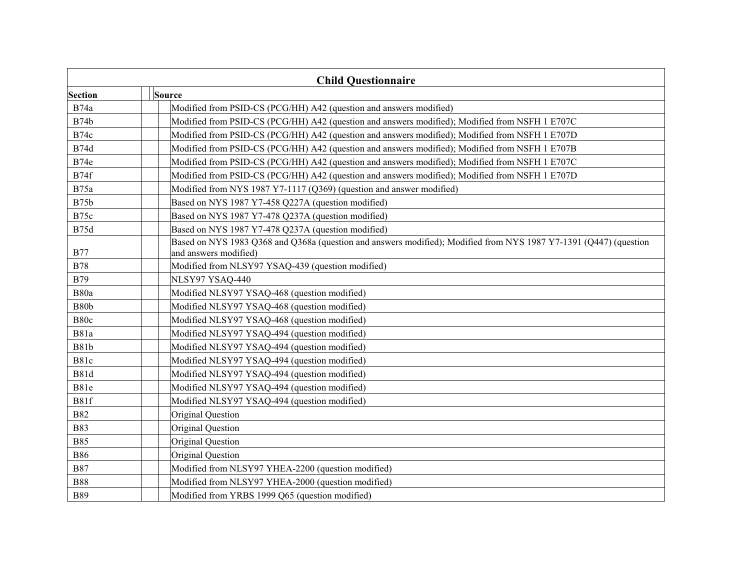| <b>Child Questionnaire</b> |                                                                                                                                            |  |
|----------------------------|--------------------------------------------------------------------------------------------------------------------------------------------|--|
| Section                    | Source                                                                                                                                     |  |
| <b>B74a</b>                | Modified from PSID-CS (PCG/HH) A42 (question and answers modified)                                                                         |  |
| <b>B74b</b>                | Modified from PSID-CS (PCG/HH) A42 (question and answers modified); Modified from NSFH 1 E707C                                             |  |
| <b>B74c</b>                | Modified from PSID-CS (PCG/HH) A42 (question and answers modified); Modified from NSFH 1 E707D                                             |  |
| <b>B74d</b>                | Modified from PSID-CS (PCG/HH) A42 (question and answers modified); Modified from NSFH 1 E707B                                             |  |
| B74e                       | Modified from PSID-CS (PCG/HH) A42 (question and answers modified); Modified from NSFH 1 E707C                                             |  |
| B74f                       | Modified from PSID-CS (PCG/HH) A42 (question and answers modified); Modified from NSFH 1 E707D                                             |  |
| <b>B75a</b>                | Modified from NYS 1987 Y7-1117 (Q369) (question and answer modified)                                                                       |  |
| <b>B75b</b>                | Based on NYS 1987 Y7-458 Q227A (question modified)                                                                                         |  |
| B75c                       | Based on NYS 1987 Y7-478 Q237A (question modified)                                                                                         |  |
| B75d                       | Based on NYS 1987 Y7-478 Q237A (question modified)                                                                                         |  |
| <b>B77</b>                 | Based on NYS 1983 Q368 and Q368a (question and answers modified); Modified from NYS 1987 Y7-1391 (Q447) (question<br>and answers modified) |  |
| <b>B78</b>                 | Modified from NLSY97 YSAQ-439 (question modified)                                                                                          |  |
| <b>B79</b>                 | NLSY97 YSAQ-440                                                                                                                            |  |
| B80a                       | Modified NLSY97 YSAQ-468 (question modified)                                                                                               |  |
| <b>B80b</b>                | Modified NLSY97 YSAQ-468 (question modified)                                                                                               |  |
| B80c                       | Modified NLSY97 YSAQ-468 (question modified)                                                                                               |  |
| <b>B81a</b>                | Modified NLSY97 YSAQ-494 (question modified)                                                                                               |  |
| <b>B81b</b>                | Modified NLSY97 YSAQ-494 (question modified)                                                                                               |  |
| B81c                       | Modified NLSY97 YSAQ-494 (question modified)                                                                                               |  |
| <b>B81d</b>                | Modified NLSY97 YSAQ-494 (question modified)                                                                                               |  |
| B81e                       | Modified NLSY97 YSAQ-494 (question modified)                                                                                               |  |
| B81f                       | Modified NLSY97 YSAQ-494 (question modified)                                                                                               |  |
| <b>B82</b>                 | Original Question                                                                                                                          |  |
| <b>B83</b>                 | Original Question                                                                                                                          |  |
| <b>B85</b>                 | Original Question                                                                                                                          |  |
| <b>B86</b>                 | Original Question                                                                                                                          |  |
| <b>B87</b>                 | Modified from NLSY97 YHEA-2200 (question modified)                                                                                         |  |
| <b>B88</b>                 | Modified from NLSY97 YHEA-2000 (question modified)                                                                                         |  |
| <b>B89</b>                 | Modified from YRBS 1999 Q65 (question modified)                                                                                            |  |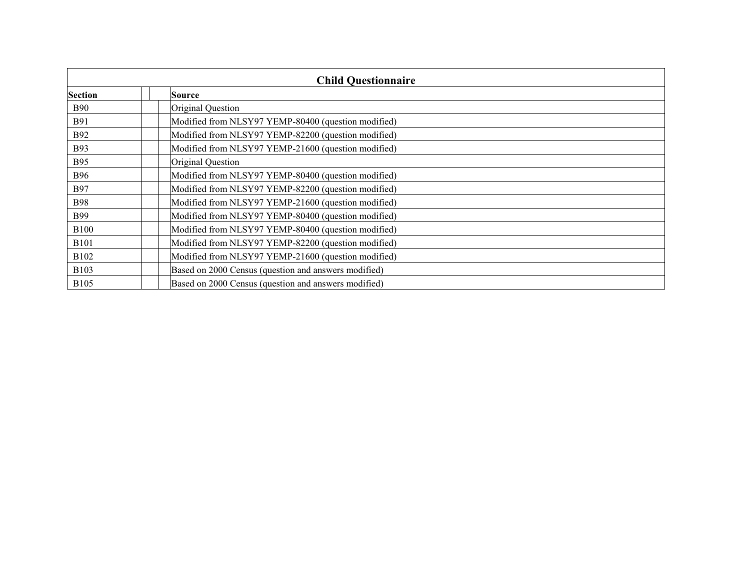| <b>Child Questionnaire</b> |  |                                                      |
|----------------------------|--|------------------------------------------------------|
| Section                    |  | Source                                               |
| <b>B90</b>                 |  | Original Question                                    |
| <b>B91</b>                 |  | Modified from NLSY97 YEMP-80400 (question modified)  |
| <b>B92</b>                 |  | Modified from NLSY97 YEMP-82200 (question modified)  |
| <b>B93</b>                 |  | Modified from NLSY97 YEMP-21600 (question modified)  |
| <b>B95</b>                 |  | Original Question                                    |
| <b>B96</b>                 |  | Modified from NLSY97 YEMP-80400 (question modified)  |
| <b>B97</b>                 |  | Modified from NLSY97 YEMP-82200 (question modified)  |
| <b>B98</b>                 |  | Modified from NLSY97 YEMP-21600 (question modified)  |
| <b>B99</b>                 |  | Modified from NLSY97 YEMP-80400 (question modified)  |
| <b>B100</b>                |  | Modified from NLSY97 YEMP-80400 (question modified)  |
| <b>B101</b>                |  | Modified from NLSY97 YEMP-82200 (question modified)  |
| <b>B102</b>                |  | Modified from NLSY97 YEMP-21600 (question modified)  |
| <b>B</b> 103               |  | Based on 2000 Census (question and answers modified) |
| <b>B</b> 105               |  | Based on 2000 Census (question and answers modified) |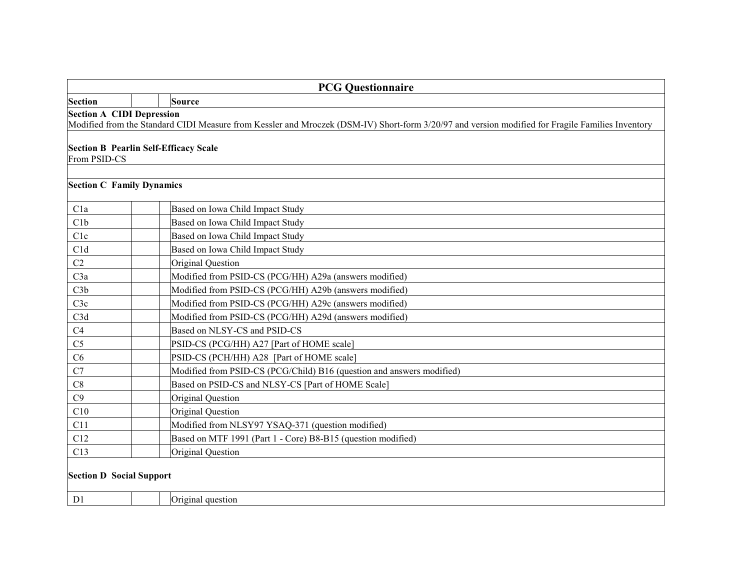|                | <b>PCG Questionnaire</b>                                                                                                                                                             |  |  |
|----------------|--------------------------------------------------------------------------------------------------------------------------------------------------------------------------------------|--|--|
| Section        | Source                                                                                                                                                                               |  |  |
|                | <b>Section A CIDI Depression</b><br>Modified from the Standard CIDI Measure from Kessler and Mroczek (DSM-IV) Short-form 3/20/97 and version modified for Fragile Families Inventory |  |  |
| From PSID-CS   | <b>Section B Pearlin Self-Efficacy Scale</b>                                                                                                                                         |  |  |
|                | <b>Section C Family Dynamics</b>                                                                                                                                                     |  |  |
| C1a            | Based on Iowa Child Impact Study                                                                                                                                                     |  |  |
| C1b            | Based on Iowa Child Impact Study                                                                                                                                                     |  |  |
| C1c            | Based on Iowa Child Impact Study                                                                                                                                                     |  |  |
| C1d            | Based on Iowa Child Impact Study                                                                                                                                                     |  |  |
| C <sub>2</sub> | Original Question                                                                                                                                                                    |  |  |
| C3a            | Modified from PSID-CS (PCG/HH) A29a (answers modified)                                                                                                                               |  |  |
| C3b            | Modified from PSID-CS (PCG/HH) A29b (answers modified)                                                                                                                               |  |  |
| C3c            | Modified from PSID-CS (PCG/HH) A29c (answers modified)                                                                                                                               |  |  |
| C3d            | Modified from PSID-CS (PCG/HH) A29d (answers modified)                                                                                                                               |  |  |
| C4             | Based on NLSY-CS and PSID-CS                                                                                                                                                         |  |  |
| C <sub>5</sub> | PSID-CS (PCG/HH) A27 [Part of HOME scale]                                                                                                                                            |  |  |
| C6             | PSID-CS (PCH/HH) A28 [Part of HOME scale]                                                                                                                                            |  |  |
| C7             | Modified from PSID-CS (PCG/Child) B16 (question and answers modified)                                                                                                                |  |  |
| C8             | Based on PSID-CS and NLSY-CS [Part of HOME Scale]                                                                                                                                    |  |  |
| C9             | Original Question                                                                                                                                                                    |  |  |
| C10            | Original Question                                                                                                                                                                    |  |  |
| C11            | Modified from NLSY97 YSAQ-371 (question modified)                                                                                                                                    |  |  |
| C12            | Based on MTF 1991 (Part 1 - Core) B8-B15 (question modified)                                                                                                                         |  |  |
| C13            | Original Question                                                                                                                                                                    |  |  |
|                | <b>Section D Social Support</b>                                                                                                                                                      |  |  |
| D <sub>1</sub> | Original question                                                                                                                                                                    |  |  |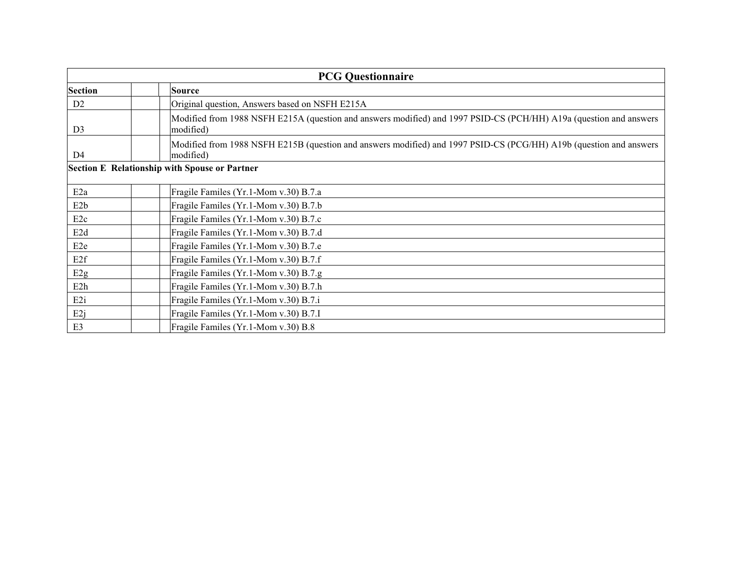| <b>PCG Questionnaire</b> |                                                                                                                                 |  |
|--------------------------|---------------------------------------------------------------------------------------------------------------------------------|--|
| Section                  | Source                                                                                                                          |  |
| D <sub>2</sub>           | Original question, Answers based on NSFH E215A                                                                                  |  |
| D <sub>3</sub>           | Modified from 1988 NSFH E215A (question and answers modified) and 1997 PSID-CS (PCH/HH) A19a (question and answers<br>modified) |  |
| D <sub>4</sub>           | Modified from 1988 NSFH E215B (question and answers modified) and 1997 PSID-CS (PCG/HH) A19b (question and answers<br>modified) |  |
|                          | Section E Relationship with Spouse or Partner                                                                                   |  |
| E <sub>2a</sub>          | Fragile Familes (Yr.1-Mom v.30) B.7.a                                                                                           |  |
| E <sub>2</sub> b         | Fragile Familes (Yr.1-Mom v.30) B.7.b                                                                                           |  |
| E <sub>2c</sub>          | Fragile Familes (Yr.1-Mom v.30) B.7.c                                                                                           |  |
| E <sub>2</sub> d         | Fragile Familes (Yr.1-Mom v.30) B.7.d                                                                                           |  |
| E <sub>2e</sub>          | Fragile Familes (Yr.1-Mom v.30) B.7.e                                                                                           |  |
| E <sub>2f</sub>          | Fragile Familes (Yr.1-Mom v.30) B.7.f                                                                                           |  |
| E <sub>2g</sub>          | Fragile Familes (Yr.1-Mom v.30) B.7.g                                                                                           |  |
| E <sub>2</sub> h         | Fragile Familes (Yr.1-Mom v.30) B.7.h                                                                                           |  |
| E <sub>2i</sub>          | Fragile Familes (Yr.1-Mom v.30) B.7.i                                                                                           |  |
| E2j                      | Fragile Familes (Yr.1-Mom v.30) B.7.I                                                                                           |  |
| E <sub>3</sub>           | Fragile Familes (Yr.1-Mom v.30) B.8                                                                                             |  |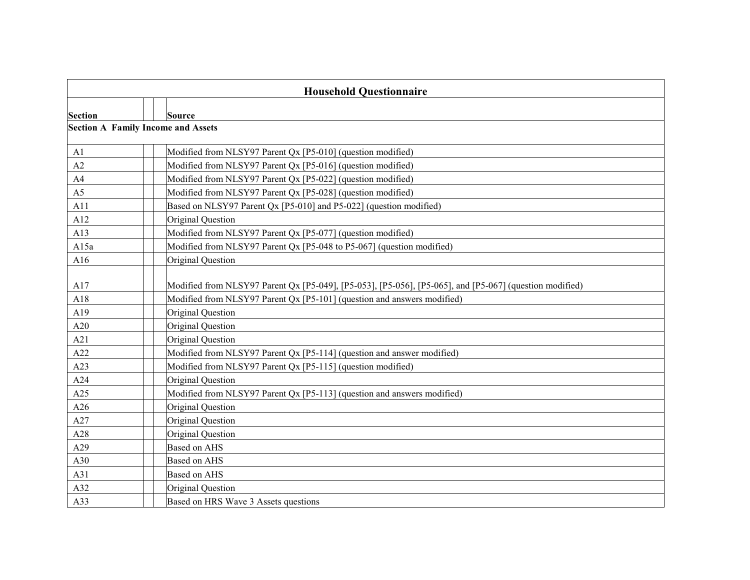| <b>Household Questionnaire</b> |                                                                                                         |  |
|--------------------------------|---------------------------------------------------------------------------------------------------------|--|
|                                |                                                                                                         |  |
| Section                        | Source<br><b>Section A Family Income and Assets</b>                                                     |  |
|                                |                                                                                                         |  |
| A1                             | Modified from NLSY97 Parent Qx [P5-010] (question modified)                                             |  |
| A2                             | Modified from NLSY97 Parent Qx [P5-016] (question modified)                                             |  |
| A4                             | Modified from NLSY97 Parent Qx [P5-022] (question modified)                                             |  |
| A <sub>5</sub>                 | Modified from NLSY97 Parent Qx [P5-028] (question modified)                                             |  |
| A11                            | Based on NLSY97 Parent Qx [P5-010] and P5-022] (question modified)                                      |  |
| A12                            | Original Question                                                                                       |  |
| A13                            | Modified from NLSY97 Parent Qx [P5-077] (question modified)                                             |  |
| A15a                           | Modified from NLSY97 Parent Qx [P5-048 to P5-067] (question modified)                                   |  |
| A16                            | Original Question                                                                                       |  |
| A17                            | Modified from NLSY97 Parent Qx [P5-049], [P5-053], [P5-056], [P5-065], and [P5-067] (question modified) |  |
| A18                            | Modified from NLSY97 Parent Qx [P5-101] (question and answers modified)                                 |  |
| A19                            | Original Question                                                                                       |  |
| A20                            | Original Question                                                                                       |  |
| A21                            | Original Question                                                                                       |  |
| A22                            | Modified from NLSY97 Parent Qx [P5-114] (question and answer modified)                                  |  |
| A23                            | Modified from NLSY97 Parent Qx [P5-115] (question modified)                                             |  |
| A24                            | Original Question                                                                                       |  |
| A25                            | Modified from NLSY97 Parent Qx [P5-113] (question and answers modified)                                 |  |
| A26                            | Original Question                                                                                       |  |
| A27                            | Original Question                                                                                       |  |
| A28                            | Original Question                                                                                       |  |
| A29                            | <b>Based on AHS</b>                                                                                     |  |
| A30                            | Based on AHS                                                                                            |  |
| A31                            | Based on AHS                                                                                            |  |
| A32                            | Original Question                                                                                       |  |
| A33                            | Based on HRS Wave 3 Assets questions                                                                    |  |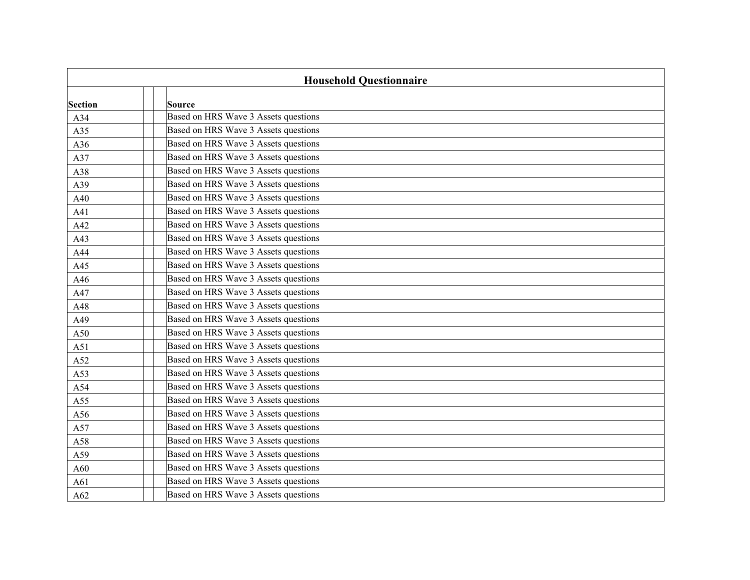| <b>Household Questionnaire</b> |  |                                      |
|--------------------------------|--|--------------------------------------|
| <b>Section</b>                 |  | Source                               |
| A34                            |  | Based on HRS Wave 3 Assets questions |
| A35                            |  | Based on HRS Wave 3 Assets questions |
| A36                            |  | Based on HRS Wave 3 Assets questions |
| A37                            |  | Based on HRS Wave 3 Assets questions |
| A38                            |  | Based on HRS Wave 3 Assets questions |
| A39                            |  | Based on HRS Wave 3 Assets questions |
| A40                            |  | Based on HRS Wave 3 Assets questions |
| A41                            |  | Based on HRS Wave 3 Assets questions |
| A42                            |  | Based on HRS Wave 3 Assets questions |
| A43                            |  | Based on HRS Wave 3 Assets questions |
| A44                            |  | Based on HRS Wave 3 Assets questions |
| A45                            |  | Based on HRS Wave 3 Assets questions |
| A46                            |  | Based on HRS Wave 3 Assets questions |
| A47                            |  | Based on HRS Wave 3 Assets questions |
| A48                            |  | Based on HRS Wave 3 Assets questions |
| A49                            |  | Based on HRS Wave 3 Assets questions |
| A50                            |  | Based on HRS Wave 3 Assets questions |
| A51                            |  | Based on HRS Wave 3 Assets questions |
| A52                            |  | Based on HRS Wave 3 Assets questions |
| A53                            |  | Based on HRS Wave 3 Assets questions |
| A54                            |  | Based on HRS Wave 3 Assets questions |
| A55                            |  | Based on HRS Wave 3 Assets questions |
| A56                            |  | Based on HRS Wave 3 Assets questions |
| A57                            |  | Based on HRS Wave 3 Assets questions |
| A58                            |  | Based on HRS Wave 3 Assets questions |
| A59                            |  | Based on HRS Wave 3 Assets questions |
| A60                            |  | Based on HRS Wave 3 Assets questions |
| A61                            |  | Based on HRS Wave 3 Assets questions |
| A62                            |  | Based on HRS Wave 3 Assets questions |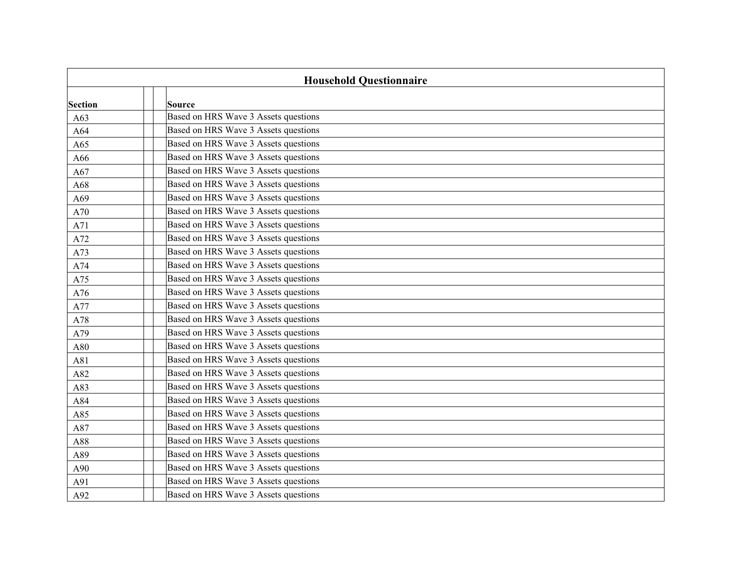| <b>Household Questionnaire</b> |  |                                      |
|--------------------------------|--|--------------------------------------|
| <b>Section</b>                 |  | Source                               |
| A63                            |  | Based on HRS Wave 3 Assets questions |
| A64                            |  | Based on HRS Wave 3 Assets questions |
| A65                            |  | Based on HRS Wave 3 Assets questions |
| A66                            |  | Based on HRS Wave 3 Assets questions |
| A67                            |  | Based on HRS Wave 3 Assets questions |
| A68                            |  | Based on HRS Wave 3 Assets questions |
| A69                            |  | Based on HRS Wave 3 Assets questions |
| A70                            |  | Based on HRS Wave 3 Assets questions |
| A71                            |  | Based on HRS Wave 3 Assets questions |
| A72                            |  | Based on HRS Wave 3 Assets questions |
| A73                            |  | Based on HRS Wave 3 Assets questions |
| A74                            |  | Based on HRS Wave 3 Assets questions |
| A75                            |  | Based on HRS Wave 3 Assets questions |
| A76                            |  | Based on HRS Wave 3 Assets questions |
| A77                            |  | Based on HRS Wave 3 Assets questions |
| A78                            |  | Based on HRS Wave 3 Assets questions |
| A79                            |  | Based on HRS Wave 3 Assets questions |
| A80                            |  | Based on HRS Wave 3 Assets questions |
| A81                            |  | Based on HRS Wave 3 Assets questions |
| A82                            |  | Based on HRS Wave 3 Assets questions |
| A83                            |  | Based on HRS Wave 3 Assets questions |
| A84                            |  | Based on HRS Wave 3 Assets questions |
| A85                            |  | Based on HRS Wave 3 Assets questions |
| A87                            |  | Based on HRS Wave 3 Assets questions |
| A88                            |  | Based on HRS Wave 3 Assets questions |
| A89                            |  | Based on HRS Wave 3 Assets questions |
| A90                            |  | Based on HRS Wave 3 Assets questions |
| A91                            |  | Based on HRS Wave 3 Assets questions |
| A92                            |  | Based on HRS Wave 3 Assets questions |